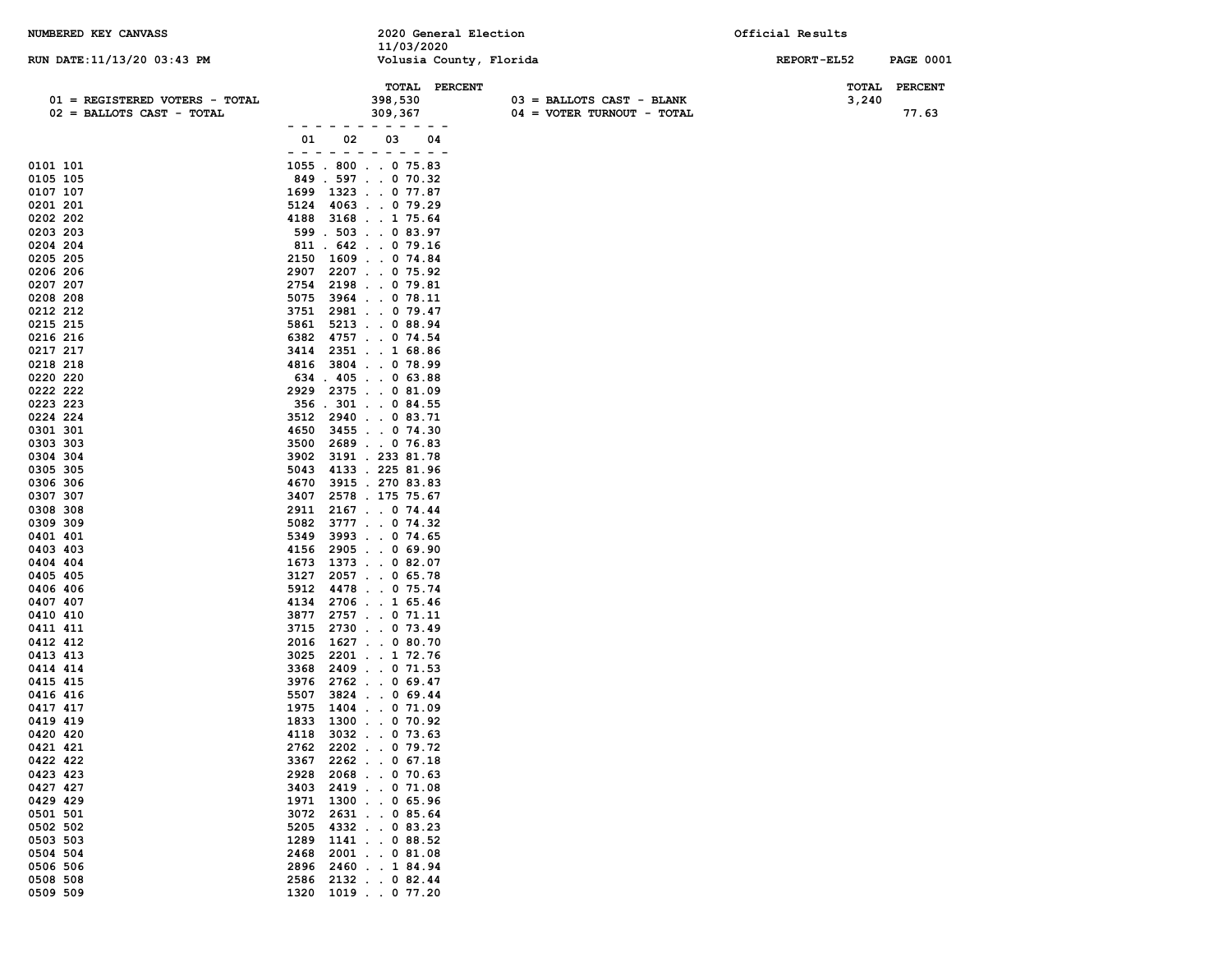| NUMBERED KEY CANVASS                                        |                                                                                                                                                                                                                                                                                                                                                                                                                                                | 2020 General Election<br>11/03/2020 |                                                             | Official Results |                         |
|-------------------------------------------------------------|------------------------------------------------------------------------------------------------------------------------------------------------------------------------------------------------------------------------------------------------------------------------------------------------------------------------------------------------------------------------------------------------------------------------------------------------|-------------------------------------|-------------------------------------------------------------|------------------|-------------------------|
| RUN DATE: 11/13/20 03:43 PM                                 |                                                                                                                                                                                                                                                                                                                                                                                                                                                | Volusia County, Florida             |                                                             | REPORT-EL52      | <b>PAGE 0001</b>        |
| 01 = REGISTERED VOTERS - TOTAL<br>02 = BALLOTS CAST - TOTAL |                                                                                                                                                                                                                                                                                                                                                                                                                                                | TOTAL PERCENT<br>398,530<br>309,367 | $03$ = BALLOTS CAST - BLANK<br>$04 = VOTER TURNOUT - TOTAL$ | TOTAL<br>3,240   | <b>PERCENT</b><br>77.63 |
|                                                             | 01<br>02                                                                                                                                                                                                                                                                                                                                                                                                                                       | - - - - - - - - - - -<br>03<br>04   |                                                             |                  |                         |
|                                                             | $\frac{1}{2} \left( \frac{1}{2} \right) + \frac{1}{2} \left( \frac{1}{2} \right) + \frac{1}{2} \left( \frac{1}{2} \right) + \frac{1}{2} \left( \frac{1}{2} \right) + \frac{1}{2} \left( \frac{1}{2} \right) + \frac{1}{2} \left( \frac{1}{2} \right) + \frac{1}{2} \left( \frac{1}{2} \right) + \frac{1}{2} \left( \frac{1}{2} \right) + \frac{1}{2} \left( \frac{1}{2} \right) + \frac{1}{2} \left( \frac{1}{2} \right) + \frac{1}{2} \left($ | $ -$                                |                                                             |                  |                         |
| 0101 101                                                    | $1055$ . 800 0 75.83                                                                                                                                                                                                                                                                                                                                                                                                                           |                                     |                                                             |                  |                         |
| 0105 105<br>0107 107                                        | 849.597070.32<br>1699 1323 0 77.87                                                                                                                                                                                                                                                                                                                                                                                                             |                                     |                                                             |                  |                         |
| 0201 201                                                    | 5124                                                                                                                                                                                                                                                                                                                                                                                                                                           | 4063079.29                          |                                                             |                  |                         |
| 0202 202                                                    | 4188                                                                                                                                                                                                                                                                                                                                                                                                                                           | 3168175.64                          |                                                             |                  |                         |
| 0203 203                                                    | 599 . 503 0 83.97                                                                                                                                                                                                                                                                                                                                                                                                                              |                                     |                                                             |                  |                         |
| 0204 204                                                    | 811 . 642 0 79.16                                                                                                                                                                                                                                                                                                                                                                                                                              |                                     |                                                             |                  |                         |
| 0205 205                                                    | 2150                                                                                                                                                                                                                                                                                                                                                                                                                                           | 1609074.84                          |                                                             |                  |                         |
| 0206 206                                                    | 2907                                                                                                                                                                                                                                                                                                                                                                                                                                           | 2207. 0 75.92                       |                                                             |                  |                         |
| 0207 207                                                    | 2754                                                                                                                                                                                                                                                                                                                                                                                                                                           | 2198079.81                          |                                                             |                  |                         |
| 0208 208<br>0212 212                                        | 5075<br>3751                                                                                                                                                                                                                                                                                                                                                                                                                                   | 3964 0 78.11<br>2981 0 79.47        |                                                             |                  |                         |
| 0215 215                                                    | 5861                                                                                                                                                                                                                                                                                                                                                                                                                                           | $5213$ 0 88.94                      |                                                             |                  |                         |
| 0216 216                                                    | 6382                                                                                                                                                                                                                                                                                                                                                                                                                                           | 4757. 0 74.54                       |                                                             |                  |                         |
| 0217 217                                                    | 3414                                                                                                                                                                                                                                                                                                                                                                                                                                           | 2351 1 68.86                        |                                                             |                  |                         |
| 0218 218                                                    | 4816                                                                                                                                                                                                                                                                                                                                                                                                                                           | 3804 0 78.99                        |                                                             |                  |                         |
| 0220 220                                                    | $634$ . $405$ 0 63.88                                                                                                                                                                                                                                                                                                                                                                                                                          |                                     |                                                             |                  |                         |
| 0222 222                                                    | 2929                                                                                                                                                                                                                                                                                                                                                                                                                                           | 2375 0 81.09                        |                                                             |                  |                         |
| 0223 223<br>0224 224                                        | 356.301084.55                                                                                                                                                                                                                                                                                                                                                                                                                                  |                                     |                                                             |                  |                         |
| 0301 301                                                    | 3512<br>4650                                                                                                                                                                                                                                                                                                                                                                                                                                   | 2940083.71<br>34550 74.30           |                                                             |                  |                         |
| 0303 303                                                    | 3500                                                                                                                                                                                                                                                                                                                                                                                                                                           | 2689 0 76.83                        |                                                             |                  |                         |
| 0304 304                                                    | 3902                                                                                                                                                                                                                                                                                                                                                                                                                                           | 3191 . 233 81.78                    |                                                             |                  |                         |
| 0305 305                                                    | 5043                                                                                                                                                                                                                                                                                                                                                                                                                                           | 4133 . 225 81.96                    |                                                             |                  |                         |
| 0306 306                                                    | 4670                                                                                                                                                                                                                                                                                                                                                                                                                                           | 3915.27083.83                       |                                                             |                  |                         |
| 0307 307                                                    | 3407                                                                                                                                                                                                                                                                                                                                                                                                                                           | 2578.17575.67                       |                                                             |                  |                         |
| 0308 308                                                    | 2911                                                                                                                                                                                                                                                                                                                                                                                                                                           | 2167074.44                          |                                                             |                  |                         |
| 0309 309                                                    | 5082                                                                                                                                                                                                                                                                                                                                                                                                                                           | 3777 0 74.32<br>3993 0 74.65        |                                                             |                  |                         |
| 0401 401<br>0403 403                                        | 5349<br>4156                                                                                                                                                                                                                                                                                                                                                                                                                                   | 2905069.90                          |                                                             |                  |                         |
| 0404 404                                                    | 1673                                                                                                                                                                                                                                                                                                                                                                                                                                           | 1373 0 82.07                        |                                                             |                  |                         |
| 0405 405                                                    | 3127                                                                                                                                                                                                                                                                                                                                                                                                                                           | $2057$ 0 65.78                      |                                                             |                  |                         |
| 0406 406                                                    | 5912                                                                                                                                                                                                                                                                                                                                                                                                                                           | 4478 0 75.74                        |                                                             |                  |                         |
| 0407 407                                                    | 4134                                                                                                                                                                                                                                                                                                                                                                                                                                           | 2706165.46                          |                                                             |                  |                         |
| 0410 410                                                    | 3877                                                                                                                                                                                                                                                                                                                                                                                                                                           | 2757071.11                          |                                                             |                  |                         |
| 0411 411                                                    | 3715                                                                                                                                                                                                                                                                                                                                                                                                                                           | 2730073.49                          |                                                             |                  |                         |
| 0412 412<br>0413 413                                        | 2016<br>3025                                                                                                                                                                                                                                                                                                                                                                                                                                   | 1627 0 80.70<br>2201 1 72.76        |                                                             |                  |                         |
| 0414 414                                                    | 3368                                                                                                                                                                                                                                                                                                                                                                                                                                           | 2409 0 71.53                        |                                                             |                  |                         |
| 0415 415                                                    | 3976                                                                                                                                                                                                                                                                                                                                                                                                                                           | 2762069.47                          |                                                             |                  |                         |
| 0416 416                                                    | 5507                                                                                                                                                                                                                                                                                                                                                                                                                                           | $3824$ 0 69.44                      |                                                             |                  |                         |
| 0417 417                                                    | 1975                                                                                                                                                                                                                                                                                                                                                                                                                                           | $1404$ 0 71.09                      |                                                             |                  |                         |
| 0419 419                                                    | 1833                                                                                                                                                                                                                                                                                                                                                                                                                                           | $1300$ 0 70.92                      |                                                             |                  |                         |
| 0420 420                                                    | 4118                                                                                                                                                                                                                                                                                                                                                                                                                                           | 3032 0 73.63                        |                                                             |                  |                         |
| 0421 421                                                    | 2762                                                                                                                                                                                                                                                                                                                                                                                                                                           | 2202079.72                          |                                                             |                  |                         |
| 0422 422<br>0423 423                                        | 3367<br>2928                                                                                                                                                                                                                                                                                                                                                                                                                                   | 2262067.18<br>2068 0 70.63          |                                                             |                  |                         |
| 0427 427                                                    | 3403                                                                                                                                                                                                                                                                                                                                                                                                                                           | 2419071.08                          |                                                             |                  |                         |
| 0429 429                                                    | 1971                                                                                                                                                                                                                                                                                                                                                                                                                                           | $1300$ 0 65.96                      |                                                             |                  |                         |
| 0501 501                                                    | 3072                                                                                                                                                                                                                                                                                                                                                                                                                                           | 2631 0 85.64                        |                                                             |                  |                         |
| 0502 502                                                    | 5205                                                                                                                                                                                                                                                                                                                                                                                                                                           | 4332 0 83.23                        |                                                             |                  |                         |
| 0503 503                                                    | 1289                                                                                                                                                                                                                                                                                                                                                                                                                                           | 1141 0 88.52                        |                                                             |                  |                         |
| 0504 504                                                    | 2468                                                                                                                                                                                                                                                                                                                                                                                                                                           | 2001 0 81.08                        |                                                             |                  |                         |
| 0506 506<br>0508 508                                        | 2896<br>2586                                                                                                                                                                                                                                                                                                                                                                                                                                   | 2460184.94<br>2132082.44            |                                                             |                  |                         |
| 0509 509                                                    | 1320                                                                                                                                                                                                                                                                                                                                                                                                                                           | 1019 0 77.20                        |                                                             |                  |                         |
|                                                             |                                                                                                                                                                                                                                                                                                                                                                                                                                                |                                     |                                                             |                  |                         |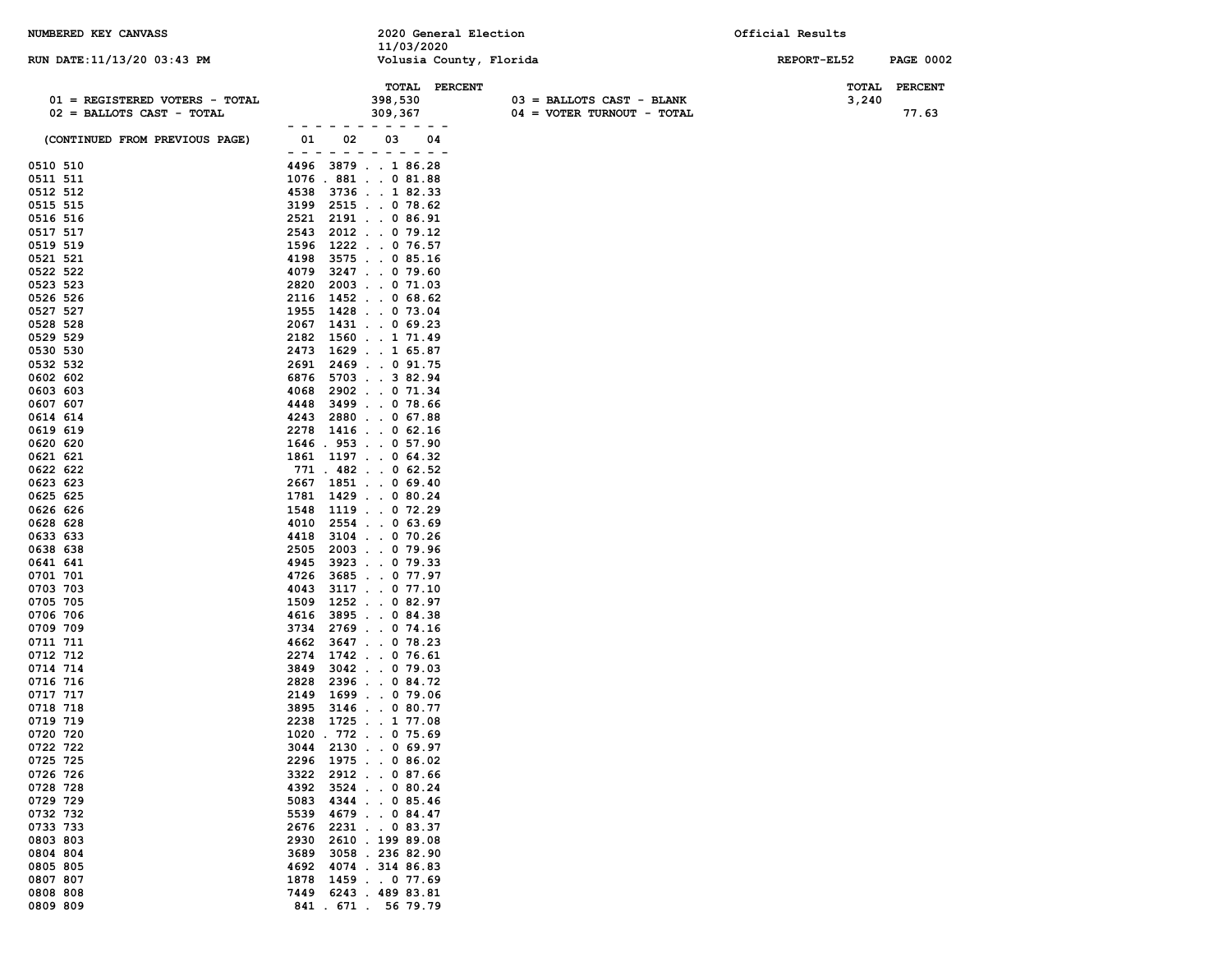| NUMBERED KEY CANVASS                                          | 2020 General Election<br>11/03/2020                                                                                                                                                                                                                                                                                                                                                                                                                                             | Official Results                   |
|---------------------------------------------------------------|---------------------------------------------------------------------------------------------------------------------------------------------------------------------------------------------------------------------------------------------------------------------------------------------------------------------------------------------------------------------------------------------------------------------------------------------------------------------------------|------------------------------------|
| RUN DATE:11/13/20 03:43 PM                                    | Volusia County, Florida                                                                                                                                                                                                                                                                                                                                                                                                                                                         | REPORT-EL52<br><b>PAGE 0002</b>    |
| 01 = REGISTERED VOTERS - TOTAL<br>$02$ = BALLOTS CAST - TOTAL | TOTAL PERCENT<br>398,530<br>$03 = BALLOTS CAST - BLANK$<br>309,367<br>04 = VOTER TURNOUT - TOTAL                                                                                                                                                                                                                                                                                                                                                                                | TOTAL<br>PERCENT<br>3,240<br>77.63 |
| (CONTINUED FROM PREVIOUS PAGE)                                | 01<br>02<br>03<br>04<br>- - -<br>$\frac{1}{2} \left( \frac{1}{2} \right) + \frac{1}{2} \left( \frac{1}{2} \right) + \frac{1}{2} \left( \frac{1}{2} \right) + \frac{1}{2} \left( \frac{1}{2} \right) + \frac{1}{2} \left( \frac{1}{2} \right) + \frac{1}{2} \left( \frac{1}{2} \right) + \frac{1}{2} \left( \frac{1}{2} \right) + \frac{1}{2} \left( \frac{1}{2} \right) + \frac{1}{2} \left( \frac{1}{2} \right) + \frac{1}{2} \left( \frac{1}{2} \right) + \frac{1}{2} \left($ |                                    |
| 0510 510                                                      | 3879186.28<br>4496                                                                                                                                                                                                                                                                                                                                                                                                                                                              |                                    |
| 0511 511                                                      | 1076 . 881 0 81.88                                                                                                                                                                                                                                                                                                                                                                                                                                                              |                                    |
| 0512 512                                                      | 3736182.33<br>4538                                                                                                                                                                                                                                                                                                                                                                                                                                                              |                                    |
| 0515 515                                                      | 2515. 0 78.62<br>3199                                                                                                                                                                                                                                                                                                                                                                                                                                                           |                                    |
| 0516 516                                                      | 2521<br>2191 0 86.91                                                                                                                                                                                                                                                                                                                                                                                                                                                            |                                    |
| 0517 517                                                      | 2012. 0 79.12<br>2543                                                                                                                                                                                                                                                                                                                                                                                                                                                           |                                    |
| 0519 519                                                      | 1222 0 76.57<br>1596                                                                                                                                                                                                                                                                                                                                                                                                                                                            |                                    |
| 0521 521<br>0522 522                                          | 3575 0 85.16<br>4198<br>3247 0 79.60<br>4079                                                                                                                                                                                                                                                                                                                                                                                                                                    |                                    |
| 0523 523                                                      | 2003071.03<br>2820                                                                                                                                                                                                                                                                                                                                                                                                                                                              |                                    |
| 0526 526                                                      | 2116<br>1452068.62                                                                                                                                                                                                                                                                                                                                                                                                                                                              |                                    |
| 0527 527                                                      | 1428 0 73.04<br>1955                                                                                                                                                                                                                                                                                                                                                                                                                                                            |                                    |
| 0528 528                                                      | $1431$ 0 69.23<br>2067                                                                                                                                                                                                                                                                                                                                                                                                                                                          |                                    |
| 0529 529                                                      | 1560171.49<br>2182                                                                                                                                                                                                                                                                                                                                                                                                                                                              |                                    |
| 0530 530                                                      | 1629 1 65.87<br>2473                                                                                                                                                                                                                                                                                                                                                                                                                                                            |                                    |
| 0532 532                                                      | 2469 0 91.75<br>2691                                                                                                                                                                                                                                                                                                                                                                                                                                                            |                                    |
| 0602 602                                                      | 6876<br>5703382.94                                                                                                                                                                                                                                                                                                                                                                                                                                                              |                                    |
| 0603 603<br>0607 607                                          | 2902071.34<br>4068<br>3499078.66<br>4448                                                                                                                                                                                                                                                                                                                                                                                                                                        |                                    |
| 0614 614                                                      | 2880067.88<br>4243                                                                                                                                                                                                                                                                                                                                                                                                                                                              |                                    |
| 0619 619                                                      | $1416$ 0 62.16<br>2278                                                                                                                                                                                                                                                                                                                                                                                                                                                          |                                    |
| 0620 620                                                      | $1646$ . 953 0 57.90                                                                                                                                                                                                                                                                                                                                                                                                                                                            |                                    |
| 0621 621                                                      | 1861 1197 0 64.32                                                                                                                                                                                                                                                                                                                                                                                                                                                               |                                    |
| 0622 622                                                      | $771$ . 482 0 62.52                                                                                                                                                                                                                                                                                                                                                                                                                                                             |                                    |
| 0623 623                                                      | 2667 1851 0 69.40                                                                                                                                                                                                                                                                                                                                                                                                                                                               |                                    |
| 0625 625<br>0626 626                                          | 1781 1429 0 80.24<br>$1119$ 0 72.29<br>1548                                                                                                                                                                                                                                                                                                                                                                                                                                     |                                    |
| 0628 628                                                      | $2554$ 0 63.69<br>4010                                                                                                                                                                                                                                                                                                                                                                                                                                                          |                                    |
| 0633 633                                                      | 4418<br>$3104$ 0 70.26                                                                                                                                                                                                                                                                                                                                                                                                                                                          |                                    |
| 0638 638                                                      | 2003079.96<br>2505                                                                                                                                                                                                                                                                                                                                                                                                                                                              |                                    |
| 0641 641                                                      | 3923 0 79.33<br>4945                                                                                                                                                                                                                                                                                                                                                                                                                                                            |                                    |
| 0701 701                                                      | 36850 77.97<br>4726                                                                                                                                                                                                                                                                                                                                                                                                                                                             |                                    |
| 0703 703                                                      | 3117 0 77.10<br>4043                                                                                                                                                                                                                                                                                                                                                                                                                                                            |                                    |
| 0705 705<br>0706 706                                          | $1252$ 0 82.97<br>1509<br>4616<br>3895084.38                                                                                                                                                                                                                                                                                                                                                                                                                                    |                                    |
| 0709 709                                                      | 3734 2769 0 74.16                                                                                                                                                                                                                                                                                                                                                                                                                                                               |                                    |
| 0711 711                                                      | 3647 0 78.23<br>4662                                                                                                                                                                                                                                                                                                                                                                                                                                                            |                                    |
| 0712 712                                                      | 1742076.61<br>2274                                                                                                                                                                                                                                                                                                                                                                                                                                                              |                                    |
| 0714 714                                                      | $3042$ 0 79.03<br>3849                                                                                                                                                                                                                                                                                                                                                                                                                                                          |                                    |
| 0716 716                                                      | 2396084.72<br>2828                                                                                                                                                                                                                                                                                                                                                                                                                                                              |                                    |
| 0717 717<br>0718 718                                          | 1699 0 79.06<br>2149<br>3895 3146 0 80.77                                                                                                                                                                                                                                                                                                                                                                                                                                       |                                    |
| 0719 719                                                      | 2238 1725 1 77.08                                                                                                                                                                                                                                                                                                                                                                                                                                                               |                                    |
| 0720 720                                                      | 1020. 772. 0 75.69                                                                                                                                                                                                                                                                                                                                                                                                                                                              |                                    |
| 0722 722                                                      | 3044 2130 0 69.97                                                                                                                                                                                                                                                                                                                                                                                                                                                               |                                    |
| 0725 725                                                      | 2296 1975 0 86.02                                                                                                                                                                                                                                                                                                                                                                                                                                                               |                                    |
| 0726 726                                                      | 3322<br>2912. 0 87.66                                                                                                                                                                                                                                                                                                                                                                                                                                                           |                                    |
| 0728 728<br>0729 729                                          | 4392 3524 0 80.24<br>4344 0 85.46                                                                                                                                                                                                                                                                                                                                                                                                                                               |                                    |
| 0732 732                                                      | 5083<br>4679 0 84.47<br>5539                                                                                                                                                                                                                                                                                                                                                                                                                                                    |                                    |
| 0733 733                                                      | 2676<br>2231 0 83.37                                                                                                                                                                                                                                                                                                                                                                                                                                                            |                                    |
| 0803 803                                                      | 2930<br>2610.19989.08                                                                                                                                                                                                                                                                                                                                                                                                                                                           |                                    |
| 0804 804                                                      | 3689<br>3058.23682.90                                                                                                                                                                                                                                                                                                                                                                                                                                                           |                                    |
| 0805 805                                                      | 4692<br>4074.31486.83                                                                                                                                                                                                                                                                                                                                                                                                                                                           |                                    |
| 0807 807                                                      | 1878<br>1459077.69                                                                                                                                                                                                                                                                                                                                                                                                                                                              |                                    |
| 0808 808<br>0809 809                                          | 6243 . 489 83.81<br>7449<br>841 . 671 . 56 79.79                                                                                                                                                                                                                                                                                                                                                                                                                                |                                    |
|                                                               |                                                                                                                                                                                                                                                                                                                                                                                                                                                                                 |                                    |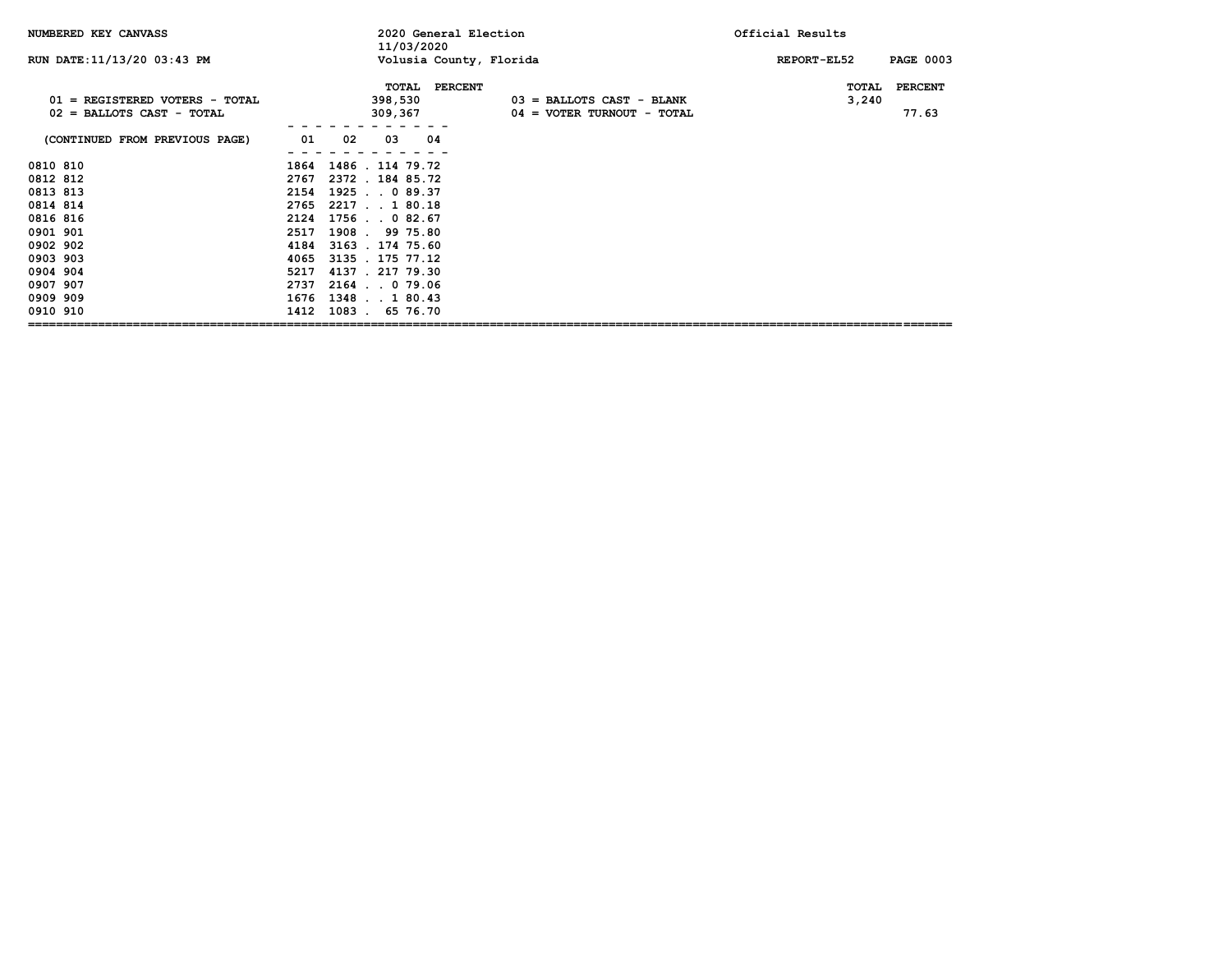| NUMBERED KEY CANVASS                                          |                   | 2020 General Election<br>11/03/2020           | Official Results                                            |                |                         |
|---------------------------------------------------------------|-------------------|-----------------------------------------------|-------------------------------------------------------------|----------------|-------------------------|
| RUN DATE: 11/13/20 03:43 PM                                   |                   | Volusia County, Florida                       |                                                             | REPORT-EL52    | <b>PAGE 0003</b>        |
| 01 = REGISTERED VOTERS - TOTAL<br>$02$ = BALLOTS CAST - TOTAL |                   | <b>PERCENT</b><br>TOTAL<br>398,530<br>309,367 | $03$ = BALLOTS CAST - BLANK<br>$04 = VOTER TURNOUT - TOTAL$ | TOTAL<br>3,240 | <b>PERCENT</b><br>77.63 |
| (CONTINUED FROM PREVIOUS PAGE)                                | 02<br>01          | 04<br>03                                      |                                                             |                |                         |
| 0810 810                                                      |                   | 1864 1486 . 114 79.72                         |                                                             |                |                         |
| 0812 812                                                      |                   | 2767 2372 . 184 85.72                         |                                                             |                |                         |
| 0813 813                                                      |                   | 2154 1925 0 89.37                             |                                                             |                |                         |
| 0814 814                                                      | 2765 2217 1 80.18 |                                               |                                                             |                |                         |
| 0816 816                                                      | 2124              | $1756$ , 0 82.67                              |                                                             |                |                         |
| 0901 901                                                      | 2517              | 1908. 99 75.80                                |                                                             |                |                         |
| 0902 902                                                      |                   | 4184 3163 . 174 75.60                         |                                                             |                |                         |
| 0903 903                                                      | 4065              | 3135 . 175 77.12                              |                                                             |                |                         |
| 0904 904                                                      | 5217              | 4137.21779.30                                 |                                                             |                |                         |
| 0907 907                                                      | 2737              | 2164.079.06                                   |                                                             |                |                         |
| 0909 909                                                      | 1676 1348 1 80.43 |                                               |                                                             |                |                         |
| 0910 910                                                      |                   | 1412 1083 . 65 76.70                          |                                                             |                |                         |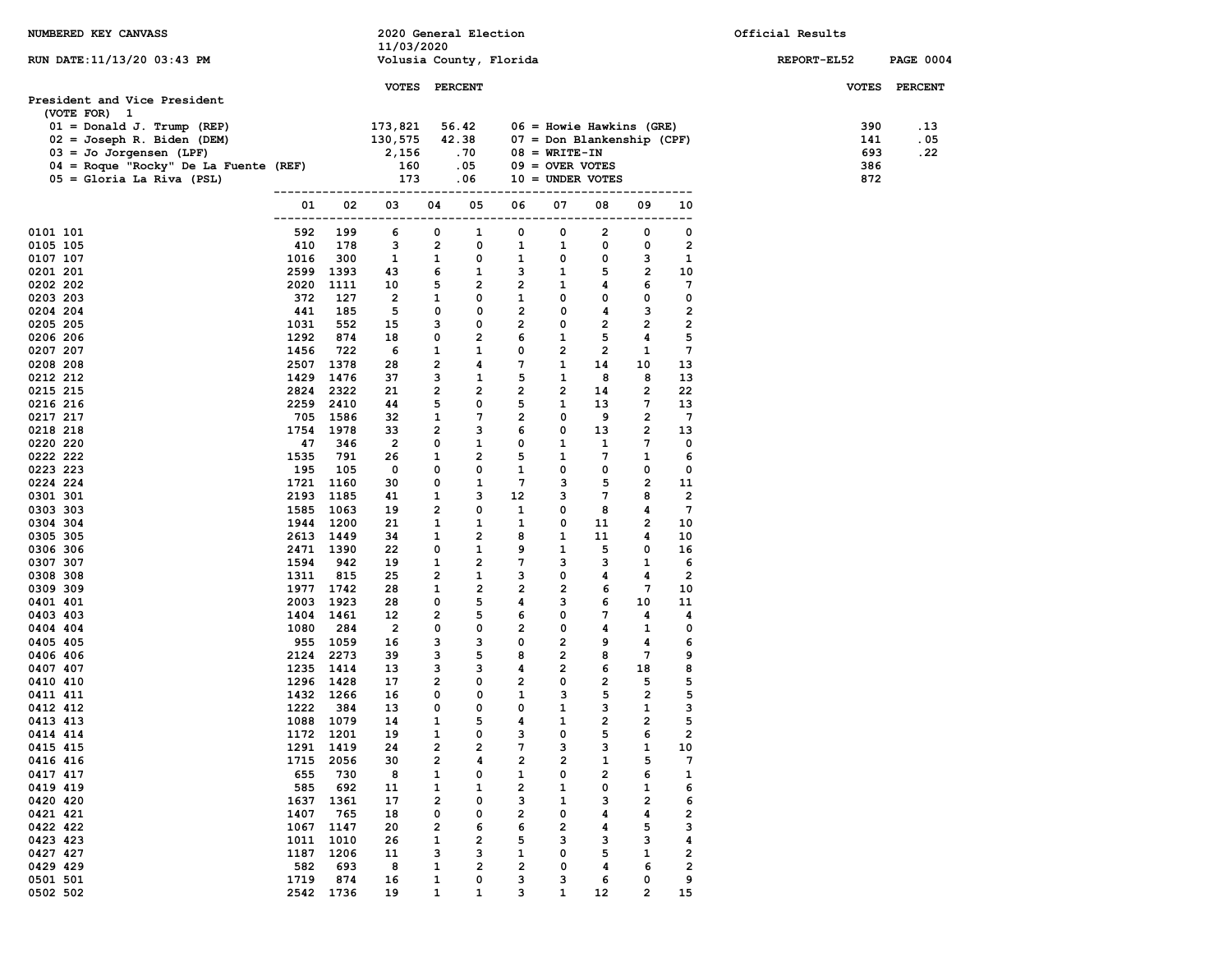| NUMBERED KEY CANVASS                                       |            |                   | 2020 General Election           |                     |                         |                                |                                 |                                                          |                       |                              | Official Results |                  |
|------------------------------------------------------------|------------|-------------------|---------------------------------|---------------------|-------------------------|--------------------------------|---------------------------------|----------------------------------------------------------|-----------------------|------------------------------|------------------|------------------|
|                                                            |            |                   | 11/03/2020                      |                     |                         |                                |                                 |                                                          |                       |                              |                  |                  |
| RUN DATE: 11/13/20 03:43 PM                                |            |                   | Volusia County, Florida         |                     |                         |                                |                                 |                                                          |                       |                              | REPORT-EL52      | <b>PAGE 0004</b> |
|                                                            |            |                   | VOTES PERCENT                   |                     |                         |                                |                                 |                                                          |                       |                              |                  | VOTES PERCENT    |
| President and Vice President                               |            |                   |                                 |                     |                         |                                |                                 |                                                          |                       |                              |                  |                  |
| (VOTE FOR) 1                                               |            |                   |                                 |                     |                         |                                |                                 |                                                          |                       |                              |                  |                  |
| $01 = Donald J. Trump (REF)$<br>02 = Joseph R. Biden (DEM) |            |                   | 173,821<br>130,575              |                     | 56.42<br>42.38          |                                |                                 | $06 =$ Howie Hawkins (GRE)<br>07 = Don Blankenship (CPF) |                       |                              | 390<br>141       | . 13<br>. 05     |
| $03 =$ Jo Jorgensen (LPF)                                  |            |                   | 2,156                           |                     | . 70                    |                                | $08 = \text{WRTTE} - \text{IN}$ |                                                          |                       |                              | 693              | .22              |
| 04 = Roque "Rocky" De La Fuente (REF)                      |            |                   | 160                             |                     | .05                     |                                | $09 =$ OVER VOTES               |                                                          |                       |                              | 386              |                  |
| $05 =$ Gloria La Riva (PSL)                                |            |                   | 173                             |                     | .06                     |                                |                                 | $10 =$ UNDER VOTES                                       |                       |                              | 872              |                  |
|                                                            |            |                   | ---------------------           |                     |                         |                                |                                 |                                                          | ---------             |                              |                  |                  |
|                                                            | 01         | 02                | 03<br>------------------------- | 04                  | 05<br>-----             | 06<br>-----                    | 07                              | 08<br>-------                                            | 09<br>$---$           | 10<br>-----                  |                  |                  |
| 0101 101                                                   | 592        | 199               | 6                               | 0                   | 1                       | 0                              | 0                               | $\overline{2}$                                           | 0                     | 0                            |                  |                  |
| 0105 105                                                   | 410        | 178               | 3                               | $\overline{2}$      | 0                       | 1                              | 1                               | 0                                                        | 0                     | $\overline{2}$               |                  |                  |
| 0107 107                                                   | 1016       | 300               | 1                               | 1                   | 0                       | 1                              | 0                               | 0                                                        | з                     | 1                            |                  |                  |
| 0201 201                                                   |            | 2599 1393         | 43                              | 6                   | 1                       | 3                              | $\mathbf{1}$                    | 5                                                        | $\mathbf{2}$          | 10                           |                  |                  |
| 0202 202                                                   | 2020       | 1111              | 10                              | 5                   | $\overline{2}$          | $\overline{2}$                 | $\mathbf{1}$                    | 4                                                        | 6                     | $7\phantom{.0}$              |                  |                  |
| 0203 203<br>0204 204                                       | 372<br>441 | 127<br>185        | $\overline{2}$<br>5             | 1<br>0              | 0<br>0                  | $\mathbf{1}$<br>$\overline{2}$ | 0<br>0                          | 0<br>4                                                   | 0<br>3                | 0<br>$\overline{\mathbf{2}}$ |                  |                  |
| 0205 205                                                   | 1031       | 552               | 15                              | з                   | 0                       | $\overline{2}$                 | 0                               | $\overline{2}$                                           | 2                     | $\overline{\mathbf{2}}$      |                  |                  |
| 0206 206                                                   | 1292       | 874               | 18                              | 0                   | $\mathbf{2}$            | 6                              | 1                               | 5                                                        | 4                     | 5                            |                  |                  |
| 0207 207                                                   | 1456       | 722               | 6                               | 1                   | 1                       | 0                              | $\overline{2}$                  | $\overline{2}$                                           | 1                     | 7                            |                  |                  |
| 0208 208                                                   | 2507       | 1378              | 28                              | $\overline{2}$      | 4                       | $7\phantom{.0}$                | 1                               | 14                                                       | 10                    | 13                           |                  |                  |
| 0212 212                                                   | 1429       | 1476              | 37                              | з                   | 1                       | 5                              | 1                               | 8                                                        | 8                     | 13                           |                  |                  |
| 0215 215                                                   | 2824       | 2322              | 21                              | $\overline{2}$      | $\overline{2}$          | $\overline{2}$                 | 2                               | 14                                                       | 2                     | 22                           |                  |                  |
| 0216 216                                                   |            | 2259 2410         | 44                              | 5                   | 0                       | 5                              | 1                               | 13                                                       | $7\phantom{.0}$       | 13                           |                  |                  |
| 0217 217                                                   |            | 705 1586          | 32                              | 1                   | 7                       | 2                              | 0                               | 9                                                        | 2                     | $7\phantom{.0}$              |                  |                  |
| 0218 218<br>0220 220                                       | 47         | 1754 1978<br>346  | 33<br>$\overline{2}$            | $\overline{2}$<br>0 | 3<br>1                  | 6<br>0                         | 0<br>1                          | 13<br>1                                                  | 2<br>7                | 13<br>0                      |                  |                  |
| 0222 222                                                   | 1535       | 791               | 26                              | 1                   | $\overline{2}$          | 5                              | 1                               | 7                                                        | 1                     | 6                            |                  |                  |
| 0223 223                                                   | 195        | 105               | 0                               | 0                   | 0                       | 1                              | 0                               | 0                                                        | 0                     | 0                            |                  |                  |
| 0224 224                                                   |            | 1721 1160         | 30                              | 0                   | $\mathbf{1}$            | $7\phantom{.0}$                | 3                               | 5                                                        | $\overline{2}$        | 11                           |                  |                  |
| 0301 301                                                   |            | 2193 1185         | 41                              | 1                   | 3                       | 12                             | 3                               | $7\phantom{.0}$                                          | 8                     | $\overline{2}$               |                  |                  |
| 0303 303                                                   |            | 1585 1063         | 19                              | $\overline{2}$      | 0                       | 1                              | 0                               | 8                                                        | 4                     | $7\phantom{.0}$              |                  |                  |
| 0304 304                                                   | 1944       | 1200              | 21                              | 1                   | 1                       | 1                              | 0                               | 11                                                       | 2                     | 10                           |                  |                  |
| 0305 305                                                   |            | 2613 1449         | 34                              | 1<br>0              | 2                       | 8                              | 1                               | 11<br>5                                                  | 4<br>0                | 10                           |                  |                  |
| 0306 306<br>0307 307                                       | 1594       | 2471 1390<br>942  | 22<br>19                        | $\mathbf{1}$        | 1<br>$\overline{2}$     | 9<br>$\overline{7}$            | 1<br>3                          | 3                                                        | 1                     | 16<br>6                      |                  |                  |
| 0308 308                                                   | 1311       | 815               | 25                              | 2                   | 1                       | 3                              | 0                               | 4                                                        | 4                     | 2                            |                  |                  |
| 0309 309                                                   |            | 1977 1742         | 28                              | 1                   | $\overline{2}$          | $\overline{2}$                 | $\overline{2}$                  | 6                                                        | 7                     | 10                           |                  |                  |
| 0401 401                                                   |            | 2003 1923         | 28                              | 0                   | 5                       | 4                              | 3                               | 6                                                        | 10                    | 11                           |                  |                  |
| 0403 403                                                   | 1404       | 1461              | 12                              | 2                   | 5                       | 6                              | 0                               | 7                                                        | 4                     | 4                            |                  |                  |
| 0404 404                                                   | 1080       | 284               | $\overline{2}$                  | 0                   | 0                       | $\overline{2}$                 | 0                               | 4                                                        | $\mathbf{1}$          | $\mathbf 0$                  |                  |                  |
| 0405 405                                                   |            | 955 1059          | 16                              | з                   | 3                       | 0                              | $\overline{2}$                  | 9                                                        | 4                     | 6                            |                  |                  |
| 0406 406<br>0407 407                                       | 2124       | 2273<br>1235 1414 | 39<br>13                        | 3<br>3              | 5<br>3                  | 8<br>4                         | $\mathbf{2}$<br>$\overline{2}$  | 8<br>6                                                   | $7\phantom{.0}$<br>18 | 9<br>8                       |                  |                  |
| 0410 410                                                   |            | 1296 1428         | 17                              | $\mathbf{2}$        | 0                       | $\overline{2}$                 | 0                               | $\overline{2}$                                           | 5                     | 5                            |                  |                  |
| 0411 411                                                   |            | 1432 1266         | 16                              | 0                   | 0                       | 1                              | 3                               | 5                                                        | 2                     | 5                            |                  |                  |
| 0412 412                                                   | 1222       | 384               | 13                              | 0                   | 0                       | 0                              | $\mathbf{1}$                    | 3                                                        | 1                     | 3                            |                  |                  |
| 0413 413                                                   |            | 1088 1079         | 14                              | $\mathbf{1}$        | 5                       | 4                              | $\mathbf{1}$                    | $\overline{2}$                                           | $\overline{2}$        | 5                            |                  |                  |
| 0414 414                                                   | 1172       | 1201              | 19                              | 1                   | 0                       | з                              | 0                               | 5                                                        | 6                     | $\overline{\mathbf{2}}$      |                  |                  |
| 0415 415                                                   | 1291       | 1419              | 24                              | 2                   | 2                       | 7                              | з                               | з                                                        | 1                     | 10                           |                  |                  |
| 0416 416                                                   | 1715       | 2056              | 30                              | 2                   | 4                       | 2                              | $\overline{\mathbf{2}}$         | 1                                                        | 5                     | 7                            |                  |                  |
| 0417 417<br>0419 419                                       | 655<br>585 | 730<br>692        | 8                               | 1                   | 0                       | 1<br>$\overline{\mathbf{2}}$   | 0<br>1                          | $\overline{\mathbf{2}}$<br>0                             | 6<br>1                | $\mathbf{1}$<br>6            |                  |                  |
| 0420 420                                                   | 1637       | 1361              | 11<br>17                        | 1<br>2              | 1<br>0                  | з                              | 1                               | з                                                        | 2                     | 6                            |                  |                  |
| 0421 421                                                   | 1407       | 765               | 18                              | 0                   | 0                       | 2                              | 0                               | 4                                                        | 4                     | $\overline{\mathbf{2}}$      |                  |                  |
| 0422 422                                                   | 1067       | 1147              | 20                              | 2                   | 6                       | 6                              | $\overline{2}$                  | 4                                                        | 5                     | з                            |                  |                  |
| 0423 423                                                   | 1011       | 1010              | 26                              | 1                   | 2                       | 5                              | з                               | з                                                        | з                     | 4                            |                  |                  |
| 0427 427                                                   | 1187       | 1206              | 11                              | з                   | з                       | 1                              | 0                               | 5                                                        | 1                     | $\overline{\mathbf{2}}$      |                  |                  |
| 0429 429                                                   | 582        | 693               | 8                               | 1                   | $\overline{\mathbf{2}}$ | $\overline{\mathbf{2}}$        | 0                               | 4                                                        | 6                     | $\overline{\mathbf{2}}$      |                  |                  |
| 0501 501                                                   | 1719       | 874               | 16                              | 1                   | 0                       | з                              | з                               | 6                                                        | 0                     | 9                            |                  |                  |
| 0502 502                                                   |            | 2542 1736         | 19                              | 1                   | $\mathbf{1}$            | з                              | 1                               | 12                                                       | 2                     | 15                           |                  |                  |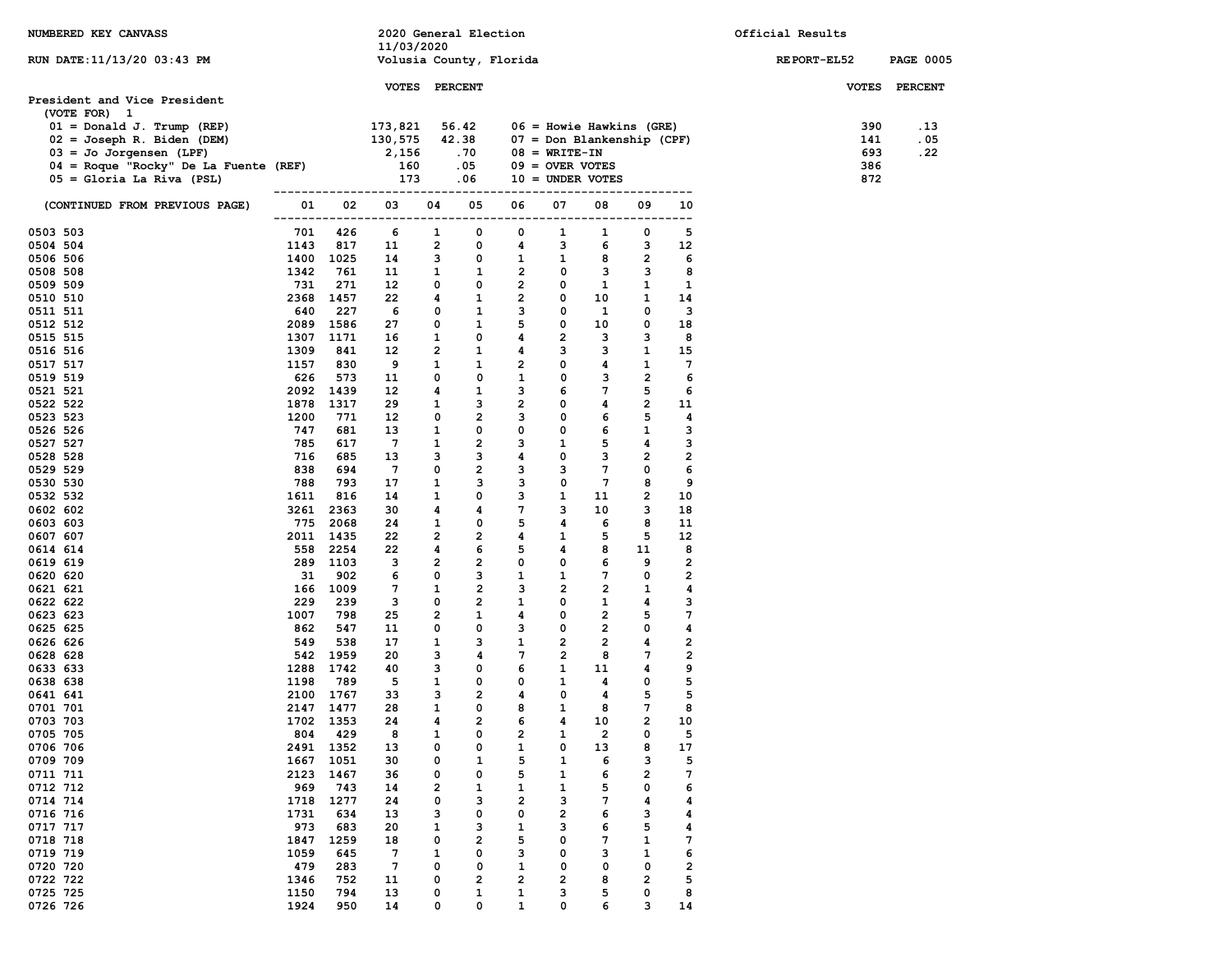| NUMBERED KEY CANVASS                                                                                                |              |                       | 2020 General Election                 |                     |                                        |                             |                                 |                                 |                   |                         | Official Results   |                  |
|---------------------------------------------------------------------------------------------------------------------|--------------|-----------------------|---------------------------------------|---------------------|----------------------------------------|-----------------------------|---------------------------------|---------------------------------|-------------------|-------------------------|--------------------|------------------|
| RUN DATE: 11/13/20 03:43 PM                                                                                         |              |                       | 11/03/2020<br>Volusia County, Florida |                     |                                        |                             |                                 |                                 |                   |                         | <b>REPORT-EL52</b> | <b>PAGE 0005</b> |
|                                                                                                                     |              |                       |                                       |                     |                                        |                             |                                 |                                 |                   |                         |                    |                  |
|                                                                                                                     |              |                       | <b>VOTES PERCENT</b>                  |                     |                                        |                             |                                 |                                 |                   |                         |                    | VOTES PERCENT    |
| President and Vice President<br>(VOTE FOR) 1                                                                        |              |                       |                                       |                     |                                        |                             |                                 |                                 |                   |                         |                    |                  |
| $01 = Donald J. Trump (REF)$                                                                                        |              |                       | 173,821                               |                     | 56.42                                  |                             |                                 | $06$ = Howie Hawkins (GRE)      |                   |                         | 390                | .13              |
| $02 = Joseph R. Biden (DEM)$                                                                                        |              |                       | $\frac{130,575}{2,156}$               |                     | 42.38                                  |                             |                                 | $07 = Don Blanchenship (CPF)$   |                   |                         | 141                | . 05             |
| $03 =$ Jo Jorgensen (LPF)                                                                                           |              |                       |                                       |                     | .70                                    |                             | $08 = \text{WRTTE} - \text{IN}$ |                                 |                   |                         | 693                | . 22             |
| 03 = Jo Jorgensen (pr. 1988)<br>04 = Roque "Rocky" De La Fuente (REF)<br>1988 : 1988<br>$05 =$ Gloria La Riva (PSL) |              |                       | 160<br>173                            |                     | .05<br>.06                             |                             | $09 =$ OVER VOTES               | $10 =$ UNDER VOTES              |                   |                         | 386<br>872         |                  |
|                                                                                                                     |              |                       |                                       |                     |                                        |                             |                                 |                                 |                   |                         |                    |                  |
| (CONTINUED FROM PREVIOUS PAGE)                                                                                      | 01           |                       | 02 03                                 | 04                  | 05                                     | 06                          | 07                              | 08                              | 09                | 10                      |                    |                  |
| 0503 503                                                                                                            | 701          | 426                   | 6                                     | $\mathbf{1}$        | 0                                      | $^{\circ}$                  | 1                               | 1                               | 0                 | 5                       |                    |                  |
| 0504 504                                                                                                            | 1143         | 817                   | 11                                    | $\overline{2}$      | 0                                      | 4                           | 3                               | -6                              | 3                 | 12                      |                    |                  |
| 0506 506<br>0508 508                                                                                                | 1342         | 1400 1025<br>761      | 14<br>11                              | 3<br>$\mathbf{1}$   | $\mathbf 0$<br>$\overline{\mathbf{1}}$ | $\mathbf{1}$<br>$2^{\circ}$ | $\mathbf{1}$<br>0               | 8<br>$\overline{\phantom{a}}$ 3 | $\mathbf{2}$<br>3 | 6<br>8                  |                    |                  |
| 0509 509                                                                                                            | 731          | 271                   | 12                                    | $\mathbf 0$         | $\mathbf{o}$                           | $\overline{2}$              | $\mathbf 0$                     | $\mathbf{1}$                    | 1                 | 1                       |                    |                  |
| 0510 510                                                                                                            |              | 2368 1457             | 22                                    | 4                   | 1                                      | $\overline{2}$              | 0                               | 10                              | 1                 | 14                      |                    |                  |
| 0511 511                                                                                                            | 640          | 227                   | 6                                     | 0                   | 1                                      | 3                           | $\mathbf{o}$                    | $\mathbf{1}$                    | 0                 | 3                       |                    |                  |
| 0512 512                                                                                                            |              | 2089 1586             | 27                                    | 0                   | $\mathbf{1}$                           | 5                           | 0                               | 10                              | 0                 | 18                      |                    |                  |
| 0515 515<br>0516 516                                                                                                | 1309         | 1307 1171<br>841      | 16<br>12                              | 1<br>$\overline{2}$ | 0<br>1                                 | 4<br>4                      | $\overline{2}$<br>3             | 3<br>3                          | 3<br>1            | 8<br>15                 |                    |                  |
| 0517 517                                                                                                            | 1157         | 830                   | 9                                     | $\mathbf{1}$        | 1                                      | $\overline{2}$              | 0                               | 4                               | 1                 | $7\phantom{.0}$         |                    |                  |
| 0519 519                                                                                                            | 626          | 573                   | 11                                    | 0                   | $\mathbf{o}$                           | $\mathbf{1}$                | 0                               | $\mathbf{3}$                    | $\overline{2}$    | 6                       |                    |                  |
| 0521 521                                                                                                            |              | 2092 1439             | 12                                    | 4                   | 1                                      | 3                           | 6                               | 7                               | 5                 | 6                       |                    |                  |
| 0522 522                                                                                                            | 1878         | 1317                  | 29                                    | 1                   | 3                                      | $\overline{2}$              | $\mathbf{o}$                    | $\overline{\mathbf{4}}$         | $\mathbf{2}$      | 11                      |                    |                  |
| 0523 523                                                                                                            | 1200         | 771                   | 12                                    | 0                   | $\overline{2}$                         | 3                           | 0                               | 6<br>6                          | 5                 | 4                       |                    |                  |
| 0526 526<br>0527 527                                                                                                | 747<br>785   | 681<br>617            | 13<br>$7^{\circ}$                     | 1<br>$\mathbf{1}$   | $\mathbf 0$<br>$\overline{2}$          | $\mathbf 0$<br>3            | 0<br>$\mathbf{1}$               | 5                               | $\mathbf{1}$<br>4 | 3<br>3                  |                    |                  |
| 0528 528                                                                                                            | 716          | 685                   | 13                                    | 3                   | 3                                      | 4                           | 0                               | 3                               | $\overline{2}$    | $\overline{\mathbf{2}}$ |                    |                  |
| 0529 529                                                                                                            | 838          | 694                   | $\overline{7}$                        | 0                   | $\overline{2}$                         | 3                           | 3                               | $\mathbf{7}$                    | 0                 | 6                       |                    |                  |
| 0530 530                                                                                                            | 788          | 793                   | 17                                    | $\mathbf{1}$        | 3                                      | 3                           | 0                               | $7\phantom{.0}$                 | 8                 | 9                       |                    |                  |
| 0532 532                                                                                                            | 1611         | 816                   | 14                                    | 1                   | 0                                      | 3                           | 1                               | 11                              | 2                 | 10                      |                    |                  |
| 0602 602<br>0603 603                                                                                                |              | 3261 2363<br>775 2068 | 30<br>24                              | 4<br>1              | 4<br>$\mathbf 0$                       | $7\overline{ }$<br>5        | 3<br>4                          | 10<br>6                         | 3<br>8            | 18<br>11                |                    |                  |
| 0607 607                                                                                                            |              | 2011 1435             | 22                                    | $\overline{2}$      | $\overline{2}$                         | 4                           | 1                               | 5                               | 5                 | 12                      |                    |                  |
| 0614 614                                                                                                            |              | 558 2254              | 22                                    | 4                   | 6                                      | 5                           | 4                               | 8                               | 11                | 8                       |                    |                  |
| 0619 619                                                                                                            |              | 289 1103              | 3                                     | $\overline{2}$      | $\overline{2}$                         | $\mathbf 0$                 | 0                               | 6                               | 9                 | $\overline{\mathbf{2}}$ |                    |                  |
| 0620 620                                                                                                            | 31           | 902                   | 6                                     | 0                   | $\overline{\mathbf{3}}$                | $\mathbf{1}$                | 1                               | $7\phantom{.0}$                 | 0                 | $\overline{\mathbf{2}}$ |                    |                  |
| 0621 621<br>0622 622                                                                                                | 229          | 166 1009<br>239       | $7\phantom{.0}$<br>3                  | $\mathbf{1}$<br>0   | $\overline{2}$<br>$\overline{2}$       | 3<br>$\mathbf{1}$           | $\overline{2}$<br>0             | $\overline{2}$<br>$\mathbf{1}$  | $\mathbf{1}$<br>4 | 4<br>3                  |                    |                  |
| 0623 623                                                                                                            | 1007         | 798                   | 25                                    | 2                   | 1                                      | 4                           | 0                               | $\overline{2}$                  | 5                 | 7                       |                    |                  |
| 0625 625                                                                                                            | 862          | 547                   | 11                                    | 0                   | $\mathbf{o}$                           | 3                           | $\mathbf{o}$                    | $\overline{2}$                  | 0                 | 4                       |                    |                  |
| 0626 626                                                                                                            | 549          | 538                   | 17                                    | 1                   | 3                                      | $\mathbf{1}$                | $\overline{2}$                  | $\overline{2}$                  | 4                 | $\overline{\mathbf{2}}$ |                    |                  |
| 0628 628                                                                                                            |              | 542 1959              | 20                                    | 3                   | 4                                      | $7$ and $7$                 | $\overline{2}$                  | - 8                             | $7\phantom{.0}$   | $\overline{\mathbf{2}}$ |                    |                  |
| 0633 633                                                                                                            |              | 1288 1742             | 40                                    | 3                   | 0                                      | 6                           | $\mathbf{1}$                    | 11                              | 4                 | 9                       |                    |                  |
| 0638 638<br>0641 641                                                                                                | 1198         | 789<br>2100 1767      | 5<br>33                               | $\mathbf{1}$<br>3   | $\mathbf 0$<br>$\overline{2}$          | $\mathbf{0}$<br>4           | $\mathbf{1}$<br>0               | 4<br>4                          | 0<br>5            | 5<br>5                  |                    |                  |
| 0701 701                                                                                                            |              | 2147 1477             | 28                                    | $\mathbf{1}$        | 0                                      | 8                           | 1                               | 8                               | 7                 | 8                       |                    |                  |
| 0703 703                                                                                                            |              | 1702 1353             | 24                                    | 4                   | $\overline{2}$                         | 6                           | 4                               | 10                              | $\mathbf{2}$      | 10                      |                    |                  |
| 0705 705                                                                                                            | 804          | 429                   | 8                                     | 1                   | 0                                      | 2                           | 1                               | 2                               | 0                 | 5                       |                    |                  |
| 0706 706                                                                                                            | 2491         | 1352                  | 13                                    | 0                   | 0                                      | 1                           | 0                               | 13                              | 8                 | 17                      |                    |                  |
| 0709 709<br>0711 711                                                                                                | 1667<br>2123 | 1051<br>1467          | 30<br>36                              | 0<br>0              | 1<br>0                                 | 5<br>5                      | 1<br>1                          | 6<br>6                          | з<br>2            | 5<br>7                  |                    |                  |
| 0712 712                                                                                                            | 969          | 743                   | 14                                    | 2                   | 1                                      | 1                           | 1                               | 5                               | 0                 | 6                       |                    |                  |
| 0714 714                                                                                                            | 1718         | 1277                  | 24                                    | 0                   | з                                      | 2                           | з                               | 7                               | 4                 | 4                       |                    |                  |
| 0716 716                                                                                                            | 1731         | 634                   | 13                                    | з                   | 0                                      | 0                           | 2                               | 6                               | з                 | 4                       |                    |                  |
| 0717 717                                                                                                            | 973          | 683                   | 20                                    | 1                   | з                                      | 1                           | з                               | 6                               | 5                 | 4                       |                    |                  |
| 0718 718                                                                                                            | 1847         | 1259                  | 18<br>7                               | 0<br>1              | 2<br>0                                 | 5<br>з                      | 0<br>0                          | 7<br>з                          | 1                 | 7<br>6                  |                    |                  |
| 0719 719<br>0720 720                                                                                                | 1059<br>479  | 645<br>283            | 7                                     | 0                   | 0                                      | 1                           | 0                               | 0                               | 1<br>0            | 2                       |                    |                  |
| 0722 722                                                                                                            | 1346         | 752                   | 11                                    | 0                   | 2                                      | 2                           | 2                               | 8                               | 2                 | 5                       |                    |                  |
| 0725 725                                                                                                            | 1150         | 794                   | 13                                    | 0                   | 1                                      | 1                           | з                               | 5                               | 0                 | 8                       |                    |                  |
| 0726 726                                                                                                            | 1924         | 950                   | 14                                    | 0                   | 0                                      | 1                           | 0                               | 6                               | з                 | 14                      |                    |                  |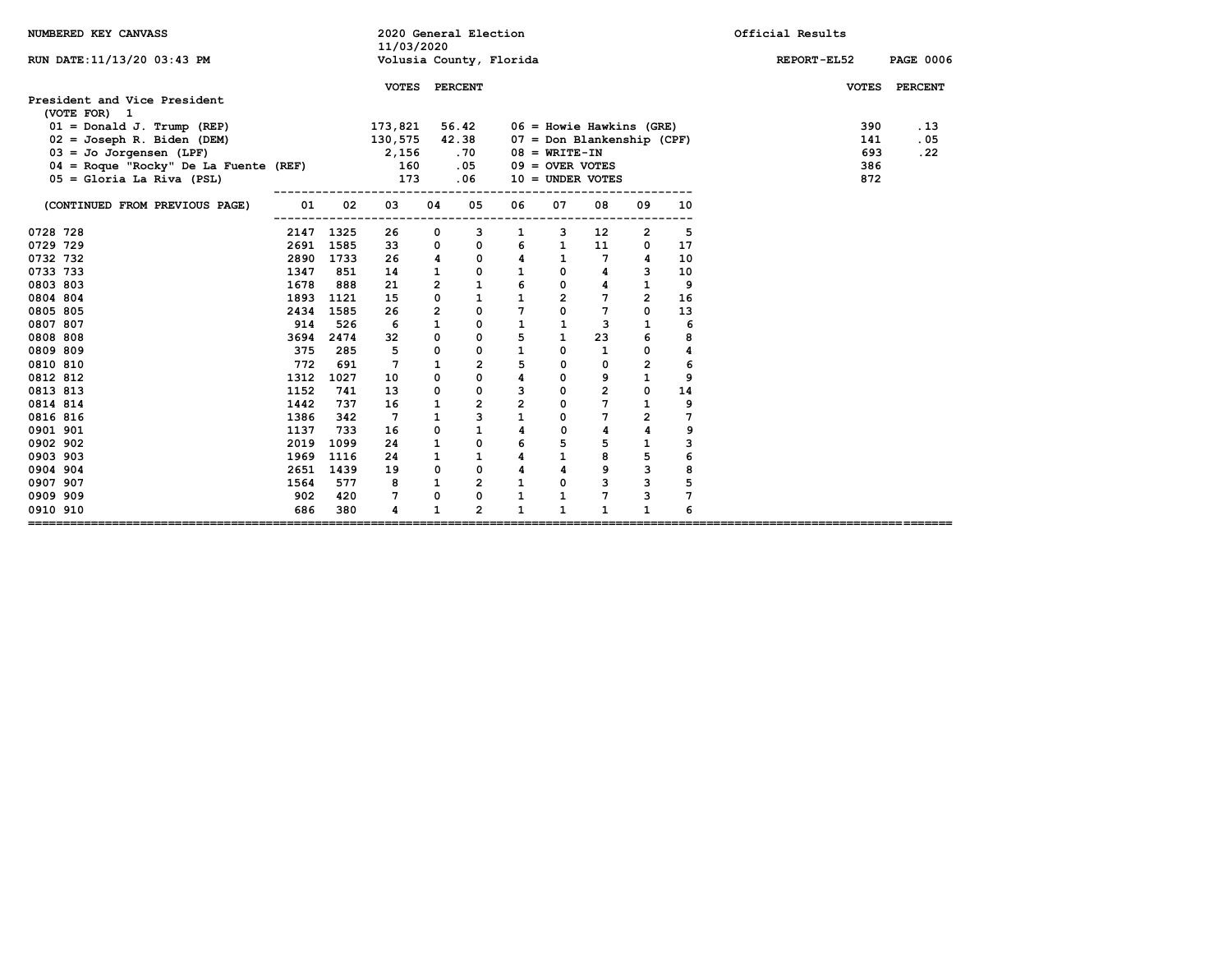| NUMBERED KEY CANVASS                                                                                         | 2020 General Election<br>11/03/2020 |           |                                     |                |                   |                         |                                                      |                                                             | Official Results        |          |                    |                             |
|--------------------------------------------------------------------------------------------------------------|-------------------------------------|-----------|-------------------------------------|----------------|-------------------|-------------------------|------------------------------------------------------|-------------------------------------------------------------|-------------------------|----------|--------------------|-----------------------------|
| RUN DATE: 11/13/20 03:43 PM                                                                                  |                                     |           |                                     |                |                   | Volusia County, Florida |                                                      |                                                             |                         |          | <b>REPORT-EL52</b> | <b>PAGE 0006</b>            |
| President and Vice President<br>(VOTE FOR) 1<br>$01 = Donald J. Trump (REF)$<br>$02 = Joseph R. Biden (DEM)$ |                                     |           | VOTES PERCENT<br>173,821<br>130,575 |                | 56.42<br>42.38    |                         |                                                      | $06$ = Howie Hawkins (GRE)<br>$07 = Don Blanchenship (CPF)$ |                         |          | 390<br>141         | VOTES PERCENT<br>.13<br>.05 |
| $03 =$ Jo Jorgensen (LPF)<br>$04$ = Roque "Rocky" De La Fuente (REF)<br>$05 =$ Gloria La Riva (PSL)          |                                     |           | 2,156<br>160<br>173                 |                | .70<br>.05<br>.06 |                         | $08 = \text{WRITE} - \text{IN}$<br>$09 =$ OVER VOTES | $10 =$ UNDER VOTES                                          |                         |          | 693<br>386<br>872  | .22                         |
| (CONTINUED FROM PREVIOUS PAGE)                                                                               | 01                                  | 02        | 03                                  | 04             | 05                | 06                      | 07                                                   | 08                                                          | 09                      | 10       |                    |                             |
| 0728 728                                                                                                     |                                     | 2147 1325 | 26                                  | 0              | з                 | 1                       | з                                                    | 12                                                          | 2                       | 5        |                    |                             |
| 0729 729<br>0732 732                                                                                         | 2691 1585<br>2890                   | 1733      | 33<br>26                            | 0<br>4         | 0<br>0            | 6<br>4                  | $\mathbf{1}$<br>$\mathbf{1}$                         | 11<br>7                                                     | 0<br>4                  | 17<br>10 |                    |                             |
| 0733 733                                                                                                     | 1347                                | 851       | 14                                  | $\mathbf{1}$   | 0                 | $\mathbf{1}$            | 0                                                    | 4                                                           | з                       | 10       |                    |                             |
| 0803 803                                                                                                     | 1678                                | 888       | 21                                  | $\overline{2}$ | $\mathbf{1}$      | 6                       | 0                                                    | 4                                                           | 1                       | 9        |                    |                             |
| 0804 804                                                                                                     | 1893                                | 1121      | 15                                  | $\mathbf{0}$   | $\mathbf{1}$      | $\mathbf{1}$            | $\overline{2}$                                       | 7                                                           | $\overline{2}$          | 16       |                    |                             |
| 0805 805                                                                                                     | 2434                                | 1585      | 26                                  | $\overline{2}$ | 0                 | 7                       | $\mathbf 0$                                          | 7                                                           | 0                       | 13       |                    |                             |
| 0807 807                                                                                                     | 914                                 | 526       | 6                                   | $\mathbf{1}$   | 0                 | $\mathbf{1}$            | $\mathbf{1}$                                         | 3                                                           | $\mathbf{1}$            | 6        |                    |                             |
| 0808 808                                                                                                     | 3694                                | 2474      | 32                                  | 0              | 0                 | 5                       | $\mathbf{1}$                                         | 23                                                          | 6                       | 8        |                    |                             |
| 0809 809                                                                                                     | 375                                 | 285       | 5                                   | 0              | 0                 | $\mathbf{1}$            | 0                                                    | 1                                                           | 0                       | 4        |                    |                             |
| 0810 810                                                                                                     | 772                                 | 691       | $7\phantom{.0}$                     | 1              | 2                 | 5                       | 0                                                    | 0                                                           | $\mathbf{2}$            | 6        |                    |                             |
| 0812 812                                                                                                     | 1312                                | 1027      | 10                                  | 0              | 0                 | 4                       | 0                                                    | 9                                                           | $\mathbf{1}$            | 9        |                    |                             |
| 0813 813                                                                                                     | 1152                                | 741       | 13                                  | 0              | 0                 | 3                       | $\mathbf 0$                                          | $\overline{2}$                                              | 0                       | 14       |                    |                             |
| 0814 814                                                                                                     | 1442                                | 737       | 16                                  | 1              | $\mathbf{2}$      | $\overline{\mathbf{2}}$ | 0                                                    | 7                                                           | $\mathbf{1}$            | 9        |                    |                             |
| 0816 816                                                                                                     | 1386                                | 342       | $7\phantom{.0}$                     | $\mathbf{1}$   | 3                 | $\mathbf 1$             | 0                                                    | 7                                                           | $\overline{\mathbf{2}}$ | 7        |                    |                             |
| 0901 901                                                                                                     | 1137                                | 733       | 16                                  | 0              | $\mathbf{1}$      | 4                       | $\mathbf 0$                                          | 4                                                           | 4                       | 9        |                    |                             |
| 0902 902                                                                                                     | 2019                                | 1099      | 24                                  | $\mathbf{1}$   | 0                 | 6                       | 5                                                    | 5                                                           | $\mathbf{1}$            | 3        |                    |                             |
| 0903 903                                                                                                     | 1969                                | 1116      | 24                                  | $\mathbf{1}$   | $\mathbf{1}$      | 4                       | $\mathbf{1}$                                         | 8                                                           | 5                       | 6        |                    |                             |
| 0904 904                                                                                                     | 2651                                | 1439      | 19                                  | 0              | 0                 | 4                       | 4                                                    | 9                                                           | 3                       | 8        |                    |                             |
| 0907 907                                                                                                     | 1564                                | 577       | 8                                   | $\mathbf{1}$   | 2                 | $\mathbf{1}$            | 0                                                    | з                                                           | з                       | 5        |                    |                             |
| 0909 909                                                                                                     | 902                                 | 420       | 7                                   | 0              | 0                 | 1                       | 1                                                    | 7                                                           | з                       | 7        |                    |                             |
| 0910 910<br>-------                                                                                          | 686                                 | 380       | 4                                   | $\mathbf{1}$   | $\overline{2}$    | $\mathbf{1}$            | $\mathbf{1}$                                         | $\mathbf{1}$                                                | $\mathbf{1}$            | 6        |                    |                             |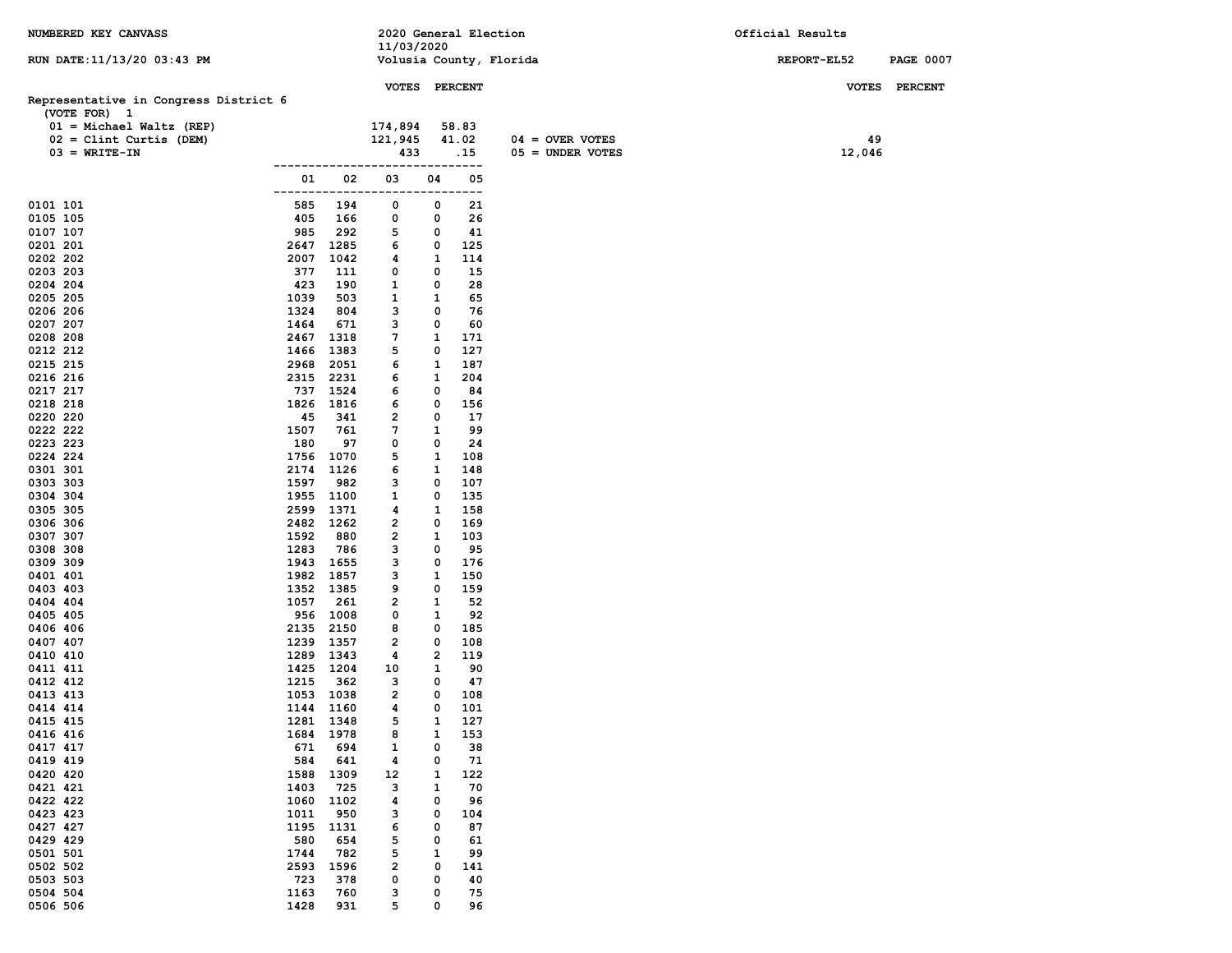| NUMBERED KEY CANVASS                       |                     |                        | 2020 General Election   |                |             |                    | Official Results |                  |
|--------------------------------------------|---------------------|------------------------|-------------------------|----------------|-------------|--------------------|------------------|------------------|
|                                            |                     |                        | 11/03/2020              |                |             |                    |                  |                  |
| RUN DATE: 11/13/20 03:43 PM                |                     |                        | Volusia County, Florida |                |             |                    | REPORT-EL52      | <b>PAGE 0007</b> |
|                                            |                     |                        | VOTES PERCENT           |                |             |                    |                  | VOTES PERCENT    |
| Representative in Congress District 6      |                     |                        |                         |                |             |                    |                  |                  |
| (VOTE FOR) 1<br>$01 = Michael Waltz (REP)$ |                     |                        | 174,894                 |                | 58.83       |                    |                  |                  |
| $02 =$ Clint Curtis (DEM)                  |                     |                        | 121,945                 |                | 41.02       | $04 =$ OVER VOTES  | 49               |                  |
| $03 = WRITE-TN$                            |                     |                        | 433                     |                | .15         | $05 =$ UNDER VOTES | 12,046           |                  |
|                                            | ------------------- |                        |                         |                | ----------- |                    |                  |                  |
|                                            | 01                  | 02                     | 03                      | 04             | 05          |                    |                  |                  |
|                                            | -------             |                        | ----                    | ----           | ---         |                    |                  |                  |
| 0101 101                                   | 585                 | 194                    | 0                       | 0              | 21          |                    |                  |                  |
| 0105 105                                   | 405                 | 166                    | 0                       | 0<br>0         | 26          |                    |                  |                  |
| 0107 107<br>0201 201                       | 985                 | 292<br>2647 1285       | 5<br>6                  | 0              | 41<br>125   |                    |                  |                  |
| 0202 202                                   | 2007                | 1042                   | 4                       | 1              | 114         |                    |                  |                  |
| 0203 203                                   | 377                 | 111                    | 0                       | 0              | 15          |                    |                  |                  |
| 0204 204                                   | 423                 | 190                    | $\mathbf{1}$            | 0              | 28          |                    |                  |                  |
| 0205 205                                   | 1039                | 503                    | 1                       | 1              | 65          |                    |                  |                  |
| 0206 206                                   | 1324                | 804                    | 3                       | 0              | 76          |                    |                  |                  |
| 0207 207                                   | 1464                | 671                    | 3                       | 0              | 60          |                    |                  |                  |
| 0208 208                                   |                     | 2467 1318              | 7                       | 1              | 171         |                    |                  |                  |
| 0212 212                                   | 1466                | 1383                   | 5                       | 0              | 127         |                    |                  |                  |
| 0215 215<br>0216 216                       | 2968                | 2051<br>2315 2231      | 6<br>6                  | 1<br>1         | 187<br>204  |                    |                  |                  |
| 0217 217                                   |                     | 737 1524               | 6                       | 0              | 84          |                    |                  |                  |
| 0218 218                                   |                     | 1826 1816              | 6                       | 0              | 156         |                    |                  |                  |
| 0220 220                                   | 45                  | 341                    | $\overline{2}$          | 0              | 17          |                    |                  |                  |
| 0222 222                                   | 1507                | 761                    | 7                       | 1              | 99          |                    |                  |                  |
| 0223 223                                   | 180                 | 97                     | 0                       | 0              | 24          |                    |                  |                  |
| 0224 224                                   | 1756                | 1070                   | 5                       | $\mathbf{1}$   | 108         |                    |                  |                  |
| 0301 301                                   | 2174                | 1126                   | 6                       | 1              | 148         |                    |                  |                  |
| 0303 303<br>0304 304                       | 1597<br>1955        | 982<br>1100            | 3<br>1                  | 0<br>0         | 107<br>135  |                    |                  |                  |
| 0305 305                                   | 2599                | 1371                   | 4                       | 1              | 158         |                    |                  |                  |
| 0306 306                                   |                     | 2482 1262              | 2                       | 0              | 169         |                    |                  |                  |
| 0307 307                                   | 1592                | 880                    | $\overline{2}$          | 1              | 103         |                    |                  |                  |
| 0308 308                                   | 1283                | 786                    | 3                       | 0              | 95          |                    |                  |                  |
| 0309 309                                   |                     | 1943 1655              | 3                       | 0              | 176         |                    |                  |                  |
| 0401 401                                   |                     | 1982 1857              | 3                       | 1              | 150         |                    |                  |                  |
| 0403 403<br>0404 404                       | 1057                | 1352 1385<br>261       | 9<br>2                  | 0<br>1         | 159<br>52   |                    |                  |                  |
| 0405 405                                   |                     | 956 1008               | 0                       | 1              | 92          |                    |                  |                  |
| 0406 406                                   | 2135                | 2150                   | 8                       | 0              | 185         |                    |                  |                  |
| 0407 407                                   |                     | 1239 1357              | 2                       | 0              | 108         |                    |                  |                  |
| 0410 410                                   |                     | 1289 1343              | 4                       | $\overline{2}$ | 119         |                    |                  |                  |
| 0411 411                                   |                     | 1425 1204              | 10                      | 1              | 90          |                    |                  |                  |
| 0412 412                                   | 1215                | 362                    | 3                       | 0              | 47          |                    |                  |                  |
| 0413 413                                   |                     | 1053 1038              | $\overline{\mathbf{2}}$ | 0<br>0         | 108         |                    |                  |                  |
| 0414 414<br>0415 415                       |                     | 1144 1160<br>1281 1348 | 4<br>5                  | $\mathbf{1}$   | 101<br>127  |                    |                  |                  |
| 0416 416                                   | 1684                | 1978                   | 8                       | 1              | 153         |                    |                  |                  |
| 0417 417                                   | 671                 | 694                    | 1                       | 0              | 38          |                    |                  |                  |
| 0419 419                                   | 584                 | 641                    | 4                       | 0              | 71          |                    |                  |                  |
| 0420 420                                   | 1588                | 1309                   | 12                      | 1              | 122         |                    |                  |                  |
| 0421 421                                   | 1403                | 725                    | з                       | 1              | 70          |                    |                  |                  |
| 0422 422                                   | 1060                | 1102                   | 4                       | 0              | 96          |                    |                  |                  |
| 0423 423                                   | 1011                | 950                    | з                       | 0              | 104         |                    |                  |                  |
| 0427 427<br>0429 429                       | 1195<br>580         | 1131<br>654            | 6<br>5                  | 0<br>0         | 87<br>61    |                    |                  |                  |
| 0501 501                                   | 1744                | 782                    | 5                       | 1              | 99          |                    |                  |                  |
| 0502 502                                   | 2593                | 1596                   | $\overline{\mathbf{2}}$ | 0              | 141         |                    |                  |                  |
| 0503 503                                   | 723                 | 378                    | 0                       | 0              | 40          |                    |                  |                  |
| 0504 504                                   | 1163                | 760                    | з                       | 0              | 75          |                    |                  |                  |
| 0506 506                                   | 1428                | 931                    | 5                       | 0              | 96          |                    |                  |                  |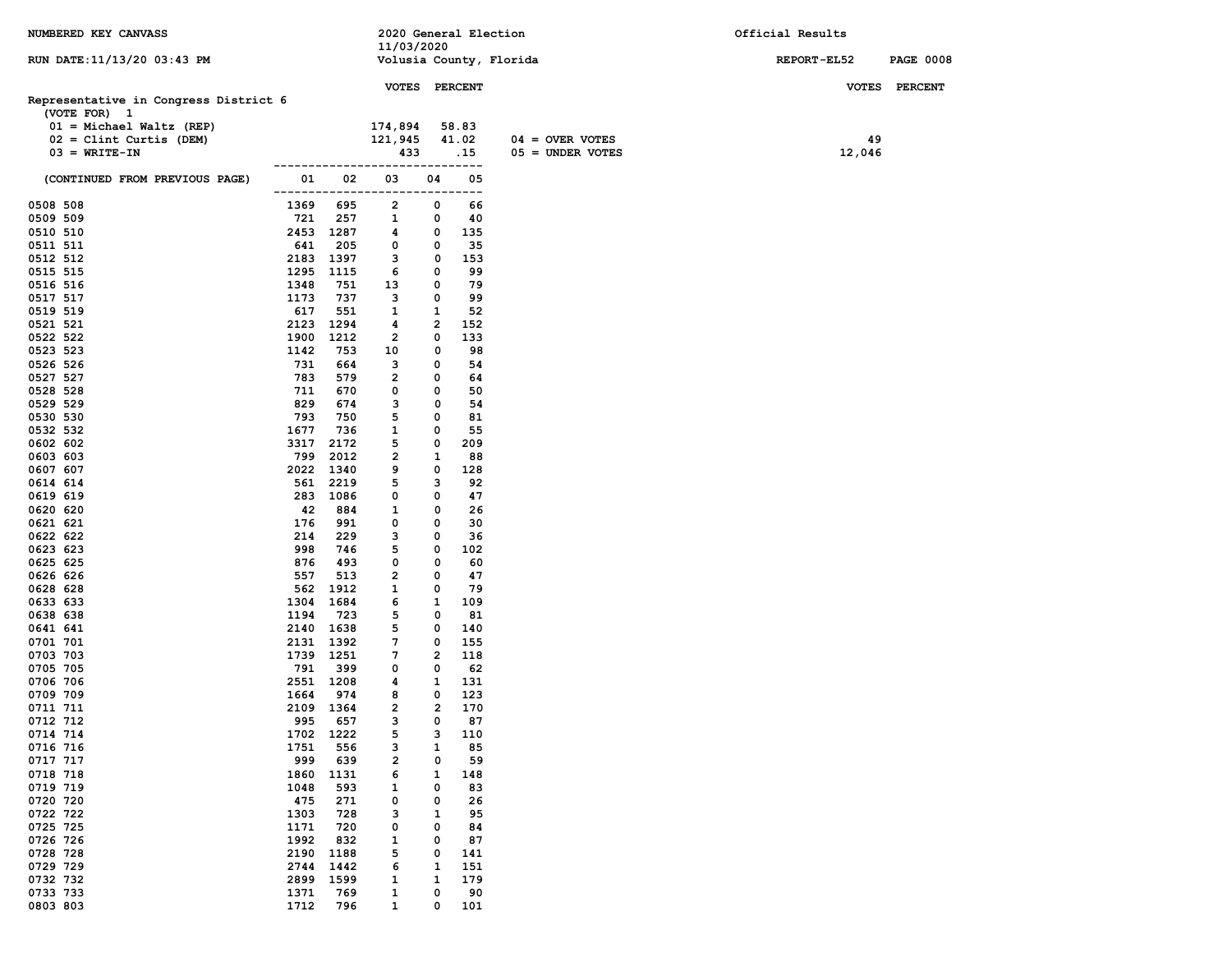| NUMBERED KEY CANVASS                                  |              |                  | 2020 General Election                                                   |                |            |                         | Official Results   |                  |
|-------------------------------------------------------|--------------|------------------|-------------------------------------------------------------------------|----------------|------------|-------------------------|--------------------|------------------|
| RUN DATE:11/13/20 03:43 PM                            |              |                  | 11/03/2020                                                              |                |            | Volusia County, Florida | <b>REPORT-EL52</b> | <b>PAGE 0008</b> |
|                                                       |              |                  | VOTES PERCENT                                                           |                |            |                         |                    | VOTES PERCENT    |
| Representative in Congress District 6<br>(VOTE FOR) 1 |              |                  |                                                                         |                |            |                         |                    |                  |
| $01 = Michael Walkz (REF)$                            |              |                  | 174,894                                                                 |                | 58.83      |                         |                    |                  |
| $02 =$ Clint Curtis (DEM)                             |              |                  | 121,945                                                                 |                | 41.02      | $04 =$ OVER VOTES       | 49                 |                  |
| $03 = WRITE-TN$                                       |              |                  | 433                                                                     |                | .15        | $05 =$ UNDER VOTES      | 12,046             |                  |
| (CONTINUED FROM PREVIOUS PAGE)                        | 01 —         | 02               | ------------------------------<br>03<br>------------------------------- | 04             | 05         |                         |                    |                  |
| 0508 508                                              | 1369         | 695              | $\mathbf{2}$                                                            | 0              | 66         |                         |                    |                  |
| 0509 509                                              | 721          | 257              | $\mathbf{1}$                                                            | 0              | 40         |                         |                    |                  |
| 0510 510                                              |              | 2453 1287        | 4                                                                       | 0              | 135        |                         |                    |                  |
| 0511 511                                              | 641          | 205              | $\mathbf 0$                                                             | $\mathbf 0$    | 35         |                         |                    |                  |
| 0512 512                                              |              | 2183 1397        | $\mathbf{3}$                                                            | $\mathbf 0$    | 153        |                         |                    |                  |
| 0515 515                                              |              | 1295 1115        | 6                                                                       | $\mathbf 0$    | 99         |                         |                    |                  |
| 0516 516                                              | 1348         | 751              | 13                                                                      | $\mathbf{o}$   | 79         |                         |                    |                  |
| 0517 517                                              | 1173         | 737              | 3                                                                       | 0              | 99         |                         |                    |                  |
| 0519 519                                              | 617          | 551              | $\mathbf{1}$                                                            | 1              | 52         |                         |                    |                  |
| 0521 521                                              |              | 2123 1294        | 4                                                                       | $\mathbf{2}$   | 152        |                         |                    |                  |
| 0522 522                                              |              | 1900 1212        | $\overline{2}$                                                          | 0              | 133        |                         |                    |                  |
| 0523 523<br>0526 526                                  | 1142         | 753              | 10                                                                      | 0<br>0         | 98         |                         |                    |                  |
| 0527 527                                              | 731<br>783   | 664<br>579       | 3<br>$\overline{2}$                                                     | 0              | 54<br>64   |                         |                    |                  |
| 0528 528                                              | 711          | 670              | 0                                                                       | 0              | 50         |                         |                    |                  |
| 0529 529                                              | 829          | 674              | 3                                                                       | 0              | 54         |                         |                    |                  |
| 0530 530                                              | 793          | 750              | 5                                                                       | 0              | 81         |                         |                    |                  |
| 0532 532                                              | 1677         | 736              | $\mathbf{1}$                                                            | 0              | 55         |                         |                    |                  |
| 0602 602                                              | 3317         | 2172             | 5                                                                       | 0              | 209        |                         |                    |                  |
| 0603 603                                              | 799          | 2012             | $\overline{2}$                                                          | 1              | 88         |                         |                    |                  |
| 0607 607                                              |              | 2022 1340        | 9                                                                       | 0              | 128        |                         |                    |                  |
| 0614 614                                              |              | 561 2219         | 5                                                                       | 3              | 92         |                         |                    |                  |
| 0619 619                                              |              | 283 1086         | $\mathbf 0$                                                             | 0              | 47         |                         |                    |                  |
| 0620 620                                              | 42           | 884              | $\mathbf{1}$                                                            | 0              | 26         |                         |                    |                  |
| 0621 621                                              | 176          | 991              | 0                                                                       | 0              | 30         |                         |                    |                  |
| 0622 622                                              | 214          | 229              | 3                                                                       | 0              | 36         |                         |                    |                  |
| 0623 623                                              | 998          | 746              | 5                                                                       | 0              | 102        |                         |                    |                  |
| 0625 625                                              | 876          | 493              | $\mathbf 0$                                                             | 0              | 60         |                         |                    |                  |
| 0626 626                                              | 557          | 513              | $\overline{2}$                                                          | 0              | 47<br>79   |                         |                    |                  |
| 0628 628<br>0633 633                                  | 1304         | 562 1912<br>1684 | $\mathbf{1}$<br>6                                                       | 0<br>1         | 109        |                         |                    |                  |
| 0638 638                                              | 1194         | 723              | 5                                                                       | 0              | 81         |                         |                    |                  |
| 0641 641                                              |              | 2140 1638        | 5                                                                       | 0              | 140        |                         |                    |                  |
| 0701 701                                              |              | 2131 1392        | 7                                                                       | 0              | 155        |                         |                    |                  |
| 0703 703                                              |              | 1739 1251        | $7\phantom{.0}$                                                         | $\overline{2}$ | 118        |                         |                    |                  |
| 0705 705                                              | 791          | 399              | 0                                                                       | 0              | 62         |                         |                    |                  |
| 0706 706                                              |              | 2551 1208        | 4                                                                       | 1              | 131        |                         |                    |                  |
| 0709 709                                              | 1664         | 974              | 8                                                                       | 0              | 123        |                         |                    |                  |
| 0711 711                                              |              | 2109 1364        | $\overline{2}$                                                          | $\overline{2}$ | 170        |                         |                    |                  |
| 0712 712                                              | 995          | 657              | 3                                                                       | 0              | 87         |                         |                    |                  |
| 0714 714                                              | 1702         | 1222             | 5                                                                       | з              | 110        |                         |                    |                  |
| 0716 716                                              | 1751         | 556              | з                                                                       | 1              | 85         |                         |                    |                  |
| 0717 717                                              | 999          | 639              | 2                                                                       | 0              | 59         |                         |                    |                  |
| 0718 718                                              | 1860         | 1131             | 6                                                                       | 1              | 148        |                         |                    |                  |
| 0719 719                                              | 1048         | 593              | 1                                                                       | 0              | 83         |                         |                    |                  |
| 0720 720                                              | 475          | 271              | 0                                                                       | 0              | 26         |                         |                    |                  |
| 0722 722                                              | 1303         | 728              | з                                                                       | 1              | 95         |                         |                    |                  |
| 0725 725                                              | 1171         | 720              | 0                                                                       | 0              | 84         |                         |                    |                  |
| 0726 726                                              | 1992         | 832              | 1                                                                       | 0              | 87         |                         |                    |                  |
| 0728 728<br>0729 729                                  | 2190<br>2744 | 1188<br>1442     | 5<br>6                                                                  | 0<br>1         | 141<br>151 |                         |                    |                  |
| 0732 732                                              | 2899         | 1599             | 1                                                                       | 1              | 179        |                         |                    |                  |
| 0733 733                                              | 1371         | 769              | 1                                                                       | 0              | 90         |                         |                    |                  |
| 0803 803                                              | 1712         | 796              | $\mathbf{1}$                                                            | 0              | 101        |                         |                    |                  |
|                                                       |              |                  |                                                                         |                |            |                         |                    |                  |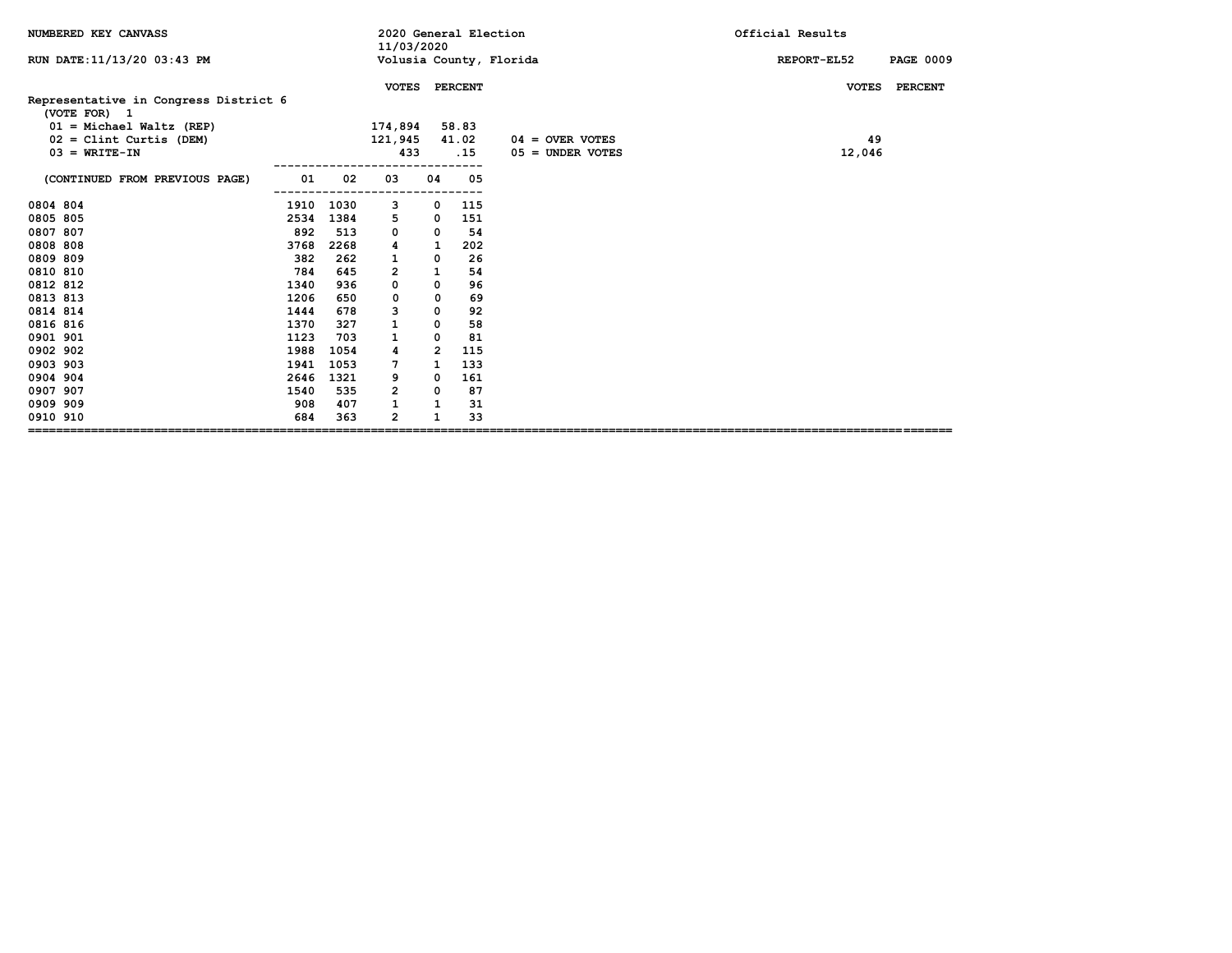| NUMBERED KEY CANVASS                                  |      |      | 2020 General Election<br>11/03/2020 |                |       |                         | Official Results                |
|-------------------------------------------------------|------|------|-------------------------------------|----------------|-------|-------------------------|---------------------------------|
| RUN DATE: 11/13/20 03:43 PM                           |      |      |                                     |                |       | Volusia County, Florida | REPORT-EL52<br><b>PAGE 0009</b> |
|                                                       |      |      | VOTES PERCENT                       |                |       |                         | VOTES PERCENT                   |
| Representative in Congress District 6<br>(VOTE FOR) 1 |      |      |                                     |                |       |                         |                                 |
| $01 = Michael Walk (REF)$                             |      |      | 174,894                             |                | 58.83 |                         |                                 |
| $02 =$ Clint Curtis (DEM)                             |      |      | 121,945                             |                | 41.02 | $04 =$ OVER VOTES       | 49                              |
| $03 = WRTTE-TN$                                       |      |      | 433                                 |                | .15   | $05 =$ UNDER VOTES      | 12,046                          |
| (CONTINUED FROM PREVIOUS PAGE)                        | 01   | 02   | 03                                  | 04             | 05    |                         |                                 |
| 0804 804                                              | 1910 | 1030 | 3                                   | 0              | 115   |                         |                                 |
| 0805 805                                              | 2534 | 1384 | 5                                   | 0              | 151   |                         |                                 |
| 0807 807                                              | 892  | 513  | 0                                   | 0              | 54    |                         |                                 |
| 0808 808                                              | 3768 | 2268 | 4                                   | $\mathbf{1}$   | 202   |                         |                                 |
| 0809 809                                              | 382  | 262  | 1                                   | 0              | 26    |                         |                                 |
| 0810 810                                              | 784  | 645  | $\overline{2}$                      | $\mathbf{1}$   | 54    |                         |                                 |
| 0812 812                                              | 1340 | 936  | 0                                   | 0              | 96    |                         |                                 |
| 0813 813                                              | 1206 | 650  | 0                                   | 0              | 69    |                         |                                 |
| 0814 814                                              | 1444 | 678  | 3                                   | $\mathbf 0$    | 92    |                         |                                 |
| 0816 816                                              | 1370 | 327  | 1                                   | $\mathbf 0$    | 58    |                         |                                 |
| 0901 901                                              | 1123 | 703  |                                     | 0              | 81    |                         |                                 |
| 0902 902                                              | 1988 | 1054 | 4                                   | $\overline{2}$ | 115   |                         |                                 |
| 0903 903                                              | 1941 | 1053 | 7                                   | 1              | 133   |                         |                                 |
| 0904 904                                              | 2646 | 1321 | 9                                   | 0              | 161   |                         |                                 |
| 0907 907                                              | 1540 | 535  | $\overline{2}$                      | 0              | 87    |                         |                                 |
| 0909 909                                              | 908  | 407  |                                     | $\mathbf{1}$   | 31    |                         |                                 |
| 0910 910                                              | 684  | 363  | $\mathbf{2}$                        | $\mathbf{1}$   | 33    |                         |                                 |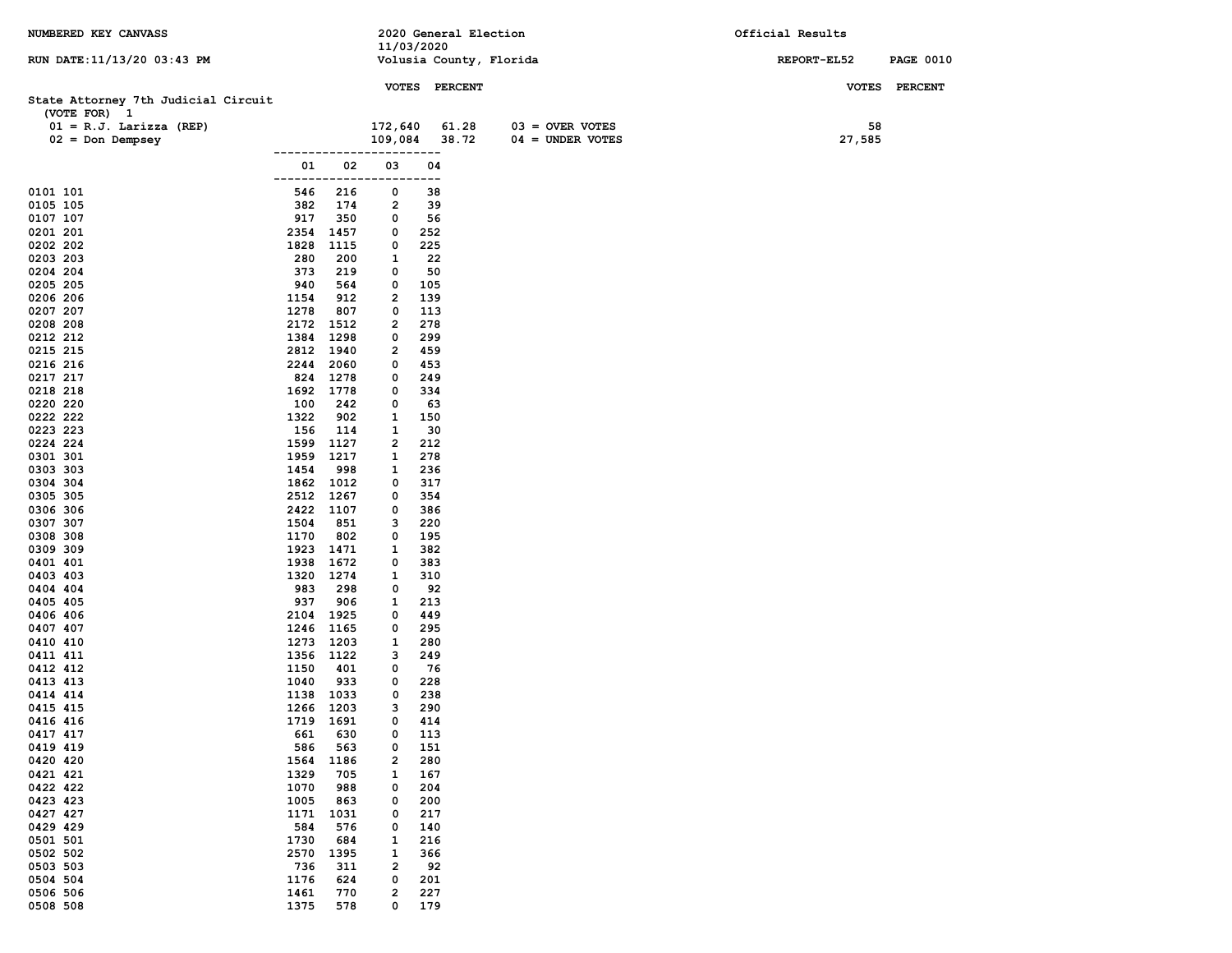| NUMBERED KEY CANVASS                                |                    |              |                         |               | 2020 General Election   | Official Results |                  |
|-----------------------------------------------------|--------------------|--------------|-------------------------|---------------|-------------------------|------------------|------------------|
| RUN DATE: 11/13/20 03:43 PM                         |                    |              | 11/03/2020              |               | Volusia County, Florida | REPORT-EL52      | <b>PAGE 0010</b> |
|                                                     |                    |              |                         |               |                         |                  |                  |
|                                                     |                    |              |                         | VOTES PERCENT |                         |                  | VOTES PERCENT    |
| State Attorney 7th Judicial Circuit<br>(VOTE FOR) 1 |                    |              |                         |               |                         |                  |                  |
| $01 = R.J.$ Larizza (REP)                           |                    |              | 172,640                 | 61.28         | $03 =$ OVER VOTES       | 58               |                  |
| $02 = Don Dempsey$                                  |                    |              | 109,084                 | 38.72         | $04 =$ UNDER VOTES      | 27,585           |                  |
|                                                     | ------------       |              |                         | ----          |                         |                  |                  |
|                                                     | 01<br>------------ | 02           | 03                      | 04<br>---     |                         |                  |                  |
| 0101 101                                            | 546                | 216          | 0                       | 38            |                         |                  |                  |
| 0105 105                                            | 382                | 174          | 2                       | 39            |                         |                  |                  |
| 0107 107                                            | 917                | 350          | 0                       | 56            |                         |                  |                  |
| 0201 201<br>0202 202                                | 2354<br>1828       | 1457<br>1115 | 0<br>0                  | 252<br>225    |                         |                  |                  |
| 0203 203                                            | 280                | 200          | 1                       | 22            |                         |                  |                  |
| 0204 204                                            | 373                | 219          | 0                       | 50            |                         |                  |                  |
| 0205 205                                            | 940                | 564          | 0                       | 105           |                         |                  |                  |
| 0206 206                                            | 1154               | 912          | $\overline{\mathbf{2}}$ | 139           |                         |                  |                  |
| 0207 207<br>0208 208                                | 1278<br>2172       | 807<br>1512  | 0<br>2                  | 113<br>278    |                         |                  |                  |
| 0212 212                                            | 1384               | 1298         | 0                       | 299           |                         |                  |                  |
| 0215 215                                            | 2812 1940          |              | 2                       | 459           |                         |                  |                  |
| 0216 216                                            | 2244               | 2060         | 0                       | 453           |                         |                  |                  |
| 0217 217                                            | 824                | 1278         | 0                       | 249           |                         |                  |                  |
| 0218 218<br>0220 220                                | 1692<br>100        | 1778<br>242  | 0<br>0                  | 334<br>63     |                         |                  |                  |
| 0222 222                                            | 1322               | 902          | 1                       | 150           |                         |                  |                  |
| 0223 223                                            | 156                | 114          | 1                       | 30            |                         |                  |                  |
| 0224 224                                            | 1599               | 1127         | 2                       | 212           |                         |                  |                  |
| 0301 301                                            | 1959<br>1454       | 1217<br>998  | 1<br>1                  | 278<br>236    |                         |                  |                  |
| 0303 303<br>0304 304                                |                    | 1862 1012    | 0                       | 317           |                         |                  |                  |
| 0305 305                                            | 2512 1267          |              | 0                       | 354           |                         |                  |                  |
| 0306 306                                            | 2422 1107          |              | 0                       | 386           |                         |                  |                  |
| 0307 307                                            | 1504               | 851          | з                       | 220           |                         |                  |                  |
| 0308 308<br>0309 309                                | 1170<br>1923       | 802<br>1471  | 0<br>1                  | 195<br>382    |                         |                  |                  |
| 0401 401                                            | 1938               | 1672         | 0                       | 383           |                         |                  |                  |
| 0403 403                                            | 1320               | 1274         | 1                       | 310           |                         |                  |                  |
| 0404 404                                            | 983                | 298          | 0                       | 92            |                         |                  |                  |
| 0405 405<br>0406 406                                | 937<br>2104        | 906<br>1925  | 1<br>0                  | 213<br>449    |                         |                  |                  |
| 0407 407                                            | 1246               | 1165         | 0                       | 295           |                         |                  |                  |
| 0410 410                                            | 1273               | 1203         | 1                       | 280           |                         |                  |                  |
| 0411 411                                            | 1356 1122          |              | 3                       | 249           |                         |                  |                  |
| 0412 412                                            | 1150               | 401          | 0                       | 76            |                         |                  |                  |
| 0413 413<br>0414 414                                | 1040<br>1138 1033  | 933          | 0<br>0                  | 228<br>238    |                         |                  |                  |
| 0415 415                                            | 1266 1203          |              | з                       | 290           |                         |                  |                  |
| 0416 416                                            | 1719 1691          |              | 0                       | 414           |                         |                  |                  |
| 0417 417                                            | 661                | 630          | 0                       | 113           |                         |                  |                  |
| 0419 419<br>0420 420                                | 586                | 563          | 0                       | 151           |                         |                  |                  |
| 0421 421                                            | 1564<br>1329       | 1186<br>705  | 2<br>1                  | 280<br>167    |                         |                  |                  |
| 0422 422                                            | 1070               | 988          | 0                       | 204           |                         |                  |                  |
| 0423 423                                            | 1005               | 863          | 0                       | 200           |                         |                  |                  |
| 0427 427                                            | 1171               | 1031         | 0                       | 217           |                         |                  |                  |
| 0429 429<br>0501 501                                | 584<br>1730        | 576<br>684   | 0<br>1                  | 140<br>216    |                         |                  |                  |
| 0502 502                                            | 2570               | 1395         | 1                       | 366           |                         |                  |                  |
| 0503 503                                            | 736                | 311          | $\overline{\mathbf{2}}$ | 92            |                         |                  |                  |
| 0504 504                                            | 1176               | 624          | 0                       | 201           |                         |                  |                  |
| 0506 506                                            | 1461               | 770          | $\overline{\mathbf{2}}$ | 227           |                         |                  |                  |
| 0508 508                                            | 1375               | 578          | 0                       | 179           |                         |                  |                  |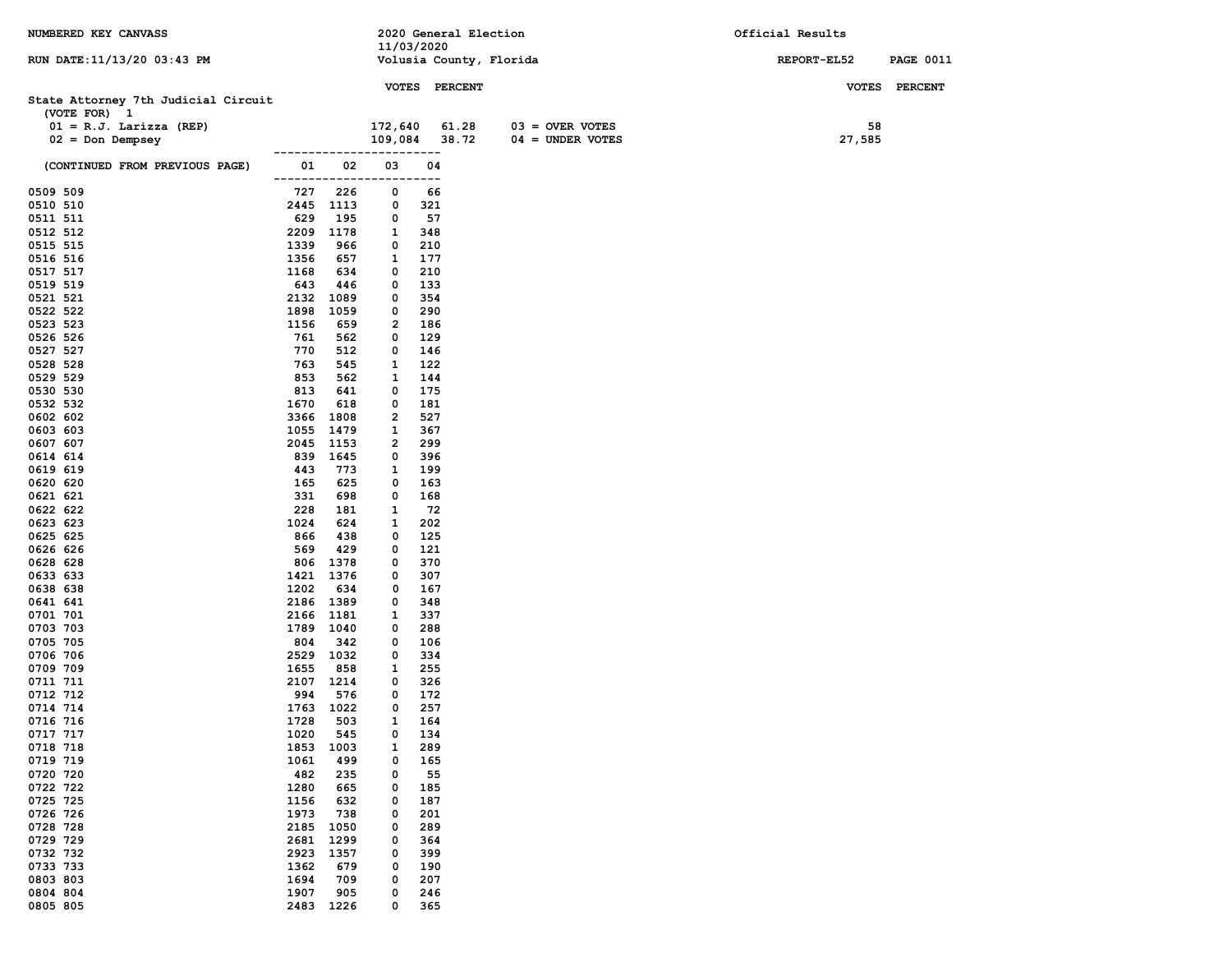| NUMBERED KEY CANVASS                |                      |                  |             |            | 2020 General Election |                         | Official Results |                  |
|-------------------------------------|----------------------|------------------|-------------|------------|-----------------------|-------------------------|------------------|------------------|
|                                     |                      |                  | 11/03/2020  |            |                       |                         |                  |                  |
| RUN DATE:11/13/20 03:43 PM          |                      |                  |             |            |                       | Volusia County, Florida | REPORT-EL52      | <b>PAGE 0011</b> |
|                                     |                      |                  |             |            | VOTES PERCENT         |                         |                  | VOTES PERCENT    |
| State Attorney 7th Judicial Circuit |                      |                  |             |            |                       |                         |                  |                  |
| (VOTE FOR) 1                        |                      |                  |             |            |                       |                         |                  |                  |
| $01 = R.J.$ Larizza (REP)           |                      |                  | 172,640     |            | 61.28                 | $03 =$ OVER VOTES       | 58               |                  |
| $02 = Don Dempsey$                  |                      |                  | 109,084     |            | 38.72                 | $04 = UNDER VOTES$      | 27,585           |                  |
|                                     | -------------        |                  |             | ----       |                       |                         |                  |                  |
| (CONTINUED FROM PREVIOUS PAGE)      | 01                   | 02               | 03          | 04         |                       |                         |                  |                  |
| 0509 509                            | -------------<br>727 | 226              | ------<br>0 | ----<br>66 |                       |                         |                  |                  |
| 0510 510                            |                      | 2445 1113        | 0           | 321        |                       |                         |                  |                  |
| 0511 511                            | 629                  | 195              | 0           | 57         |                       |                         |                  |                  |
| 0512 512                            |                      | 2209 1178        | 1           | 348        |                       |                         |                  |                  |
| 0515 515                            | 1339                 | 966              | 0           | 210        |                       |                         |                  |                  |
| 0516 516                            | 1356                 | 657              | 1           | 177        |                       |                         |                  |                  |
| 0517 517                            | 1168                 | 634              | 0           | 210        |                       |                         |                  |                  |
| 0519 519<br>0521 521                | 643<br>2132          | 446<br>1089      | 0<br>0      | 133<br>354 |                       |                         |                  |                  |
| 0522 522                            | 1898                 | 1059             | 0           | 290        |                       |                         |                  |                  |
| 0523 523                            | 1156                 | 659              | 2           | 186        |                       |                         |                  |                  |
| 0526 526                            | 761                  | 562              | 0           | 129        |                       |                         |                  |                  |
| 0527 527                            | 770                  | 512              | 0           | 146        |                       |                         |                  |                  |
| 0528 528                            | 763                  | 545              | 1           | 122        |                       |                         |                  |                  |
| 0529 529                            | 853<br>813           | 562              | 1<br>0      | 144        |                       |                         |                  |                  |
| 0530 530<br>0532 532                | 1670                 | 641<br>618       | 0           | 175<br>181 |                       |                         |                  |                  |
| 0602 602                            | 3366                 | 1808             | 2           | 527        |                       |                         |                  |                  |
| 0603 603                            | 1055                 | 1479             | 1           | 367        |                       |                         |                  |                  |
| 0607 607                            | 2045                 | 1153             | 2           | 299        |                       |                         |                  |                  |
| 0614 614                            |                      | 839 1645         | 0           | 396        |                       |                         |                  |                  |
| 0619 619                            | 443                  | 773              | 1           | 199        |                       |                         |                  |                  |
| 0620 620<br>0621 621                | 165<br>331           | 625<br>698       | 0<br>0      | 163<br>168 |                       |                         |                  |                  |
| 0622 622                            | 228                  | 181              | 1           | 72         |                       |                         |                  |                  |
| 0623 623                            | 1024                 | 624              | 1           | 202        |                       |                         |                  |                  |
| 0625 625                            | 866                  | 438              | 0           | 125        |                       |                         |                  |                  |
| 0626 626                            | 569                  | 429              | 0           | 121        |                       |                         |                  |                  |
| 0628 628                            |                      | 806 1378         | 0           | 370        |                       |                         |                  |                  |
| 0633 633                            |                      | 1421 1376        | 0           | 307        |                       |                         |                  |                  |
| 0638 638<br>0641 641                | 1202                 | 634<br>2186 1389 | 0<br>0      | 167<br>348 |                       |                         |                  |                  |
| 0701 701                            |                      | 2166 1181        | 1           | 337        |                       |                         |                  |                  |
| 0703 703                            |                      | 1789 1040        | 0           | 288        |                       |                         |                  |                  |
| 0705 705                            | 804                  | 342              | 0           | 106        |                       |                         |                  |                  |
| 0706 706                            |                      | 2529 1032        | 0           | 334        |                       |                         |                  |                  |
| 0709 709                            | 1655                 | 858              | 1           | 255        |                       |                         |                  |                  |
| 0711 711                            |                      | 2107 1214        | 0           | 326        |                       |                         |                  |                  |
| 0712 712<br>0714 714                | 994                  | 576<br>1763 1022 | 0<br>0      | 172<br>257 |                       |                         |                  |                  |
| 0716 716                            | 1728                 | 503              | 1           | 164        |                       |                         |                  |                  |
| 0717 717                            | 1020                 | 545              | 0           | 134        |                       |                         |                  |                  |
| 0718 718                            | 1853                 | 1003             | 1           | 289        |                       |                         |                  |                  |
| 0719 719                            | 1061                 | 499              | 0           | 165        |                       |                         |                  |                  |
| 0720 720                            | 482                  | 235              | 0           | 55         |                       |                         |                  |                  |
| 0722 722<br>0725 725                | 1280<br>1156         | 665<br>632       | 0<br>0      | 185<br>187 |                       |                         |                  |                  |
| 0726 726                            | 1973                 | 738              | 0           | 201        |                       |                         |                  |                  |
| 0728 728                            | 2185                 | 1050             | 0           | 289        |                       |                         |                  |                  |
| 0729 729                            | 2681                 | 1299             | 0           | 364        |                       |                         |                  |                  |
| 0732 732                            | 2923                 | 1357             | 0           | 399        |                       |                         |                  |                  |
| 0733 733                            | 1362                 | 679              | 0           | 190        |                       |                         |                  |                  |
| 0803 803                            | 1694                 | 709              | 0           | 207        |                       |                         |                  |                  |
| 0804 804                            | 1907                 | 905<br>2483 1226 | 0           | 246        |                       |                         |                  |                  |
| 0805 805                            |                      |                  | 0           | 365        |                       |                         |                  |                  |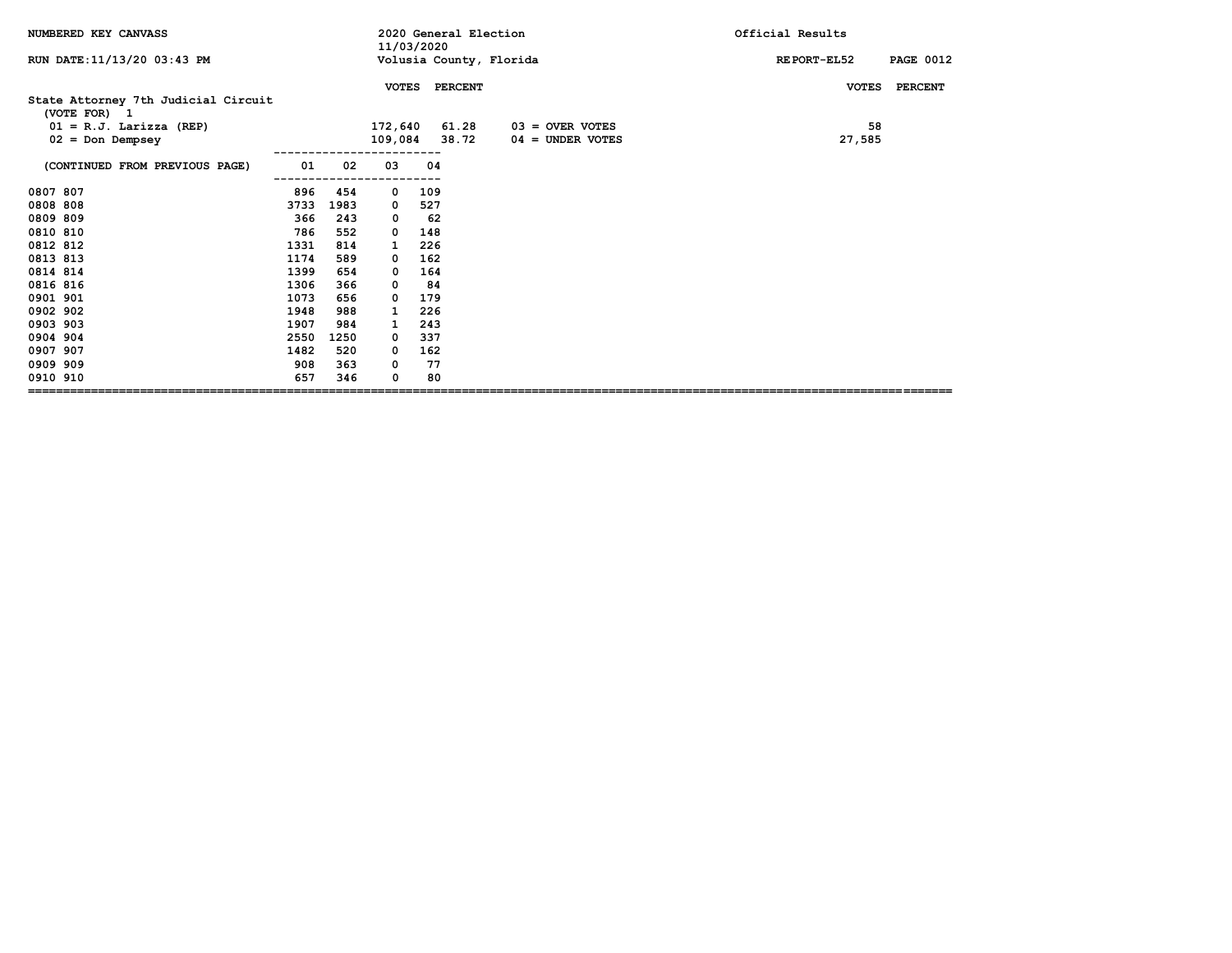| RUN DATE: 11/13/20 03:43 PM<br>Volusia County, Florida<br><b>PAGE 0012</b><br><b>REPORT-EL52</b><br><b>PERCENT</b><br><b>PERCENT</b><br><b>VOTES</b><br><b>VOTES</b><br>State Attorney 7th Judicial Circuit<br>(VOTE FOR) 1<br>61.28<br>58<br>$01 = R.J.$ Larizza (REP)<br>172,640<br>$03 =$ OVER VOTES<br>109,084 38.72<br>27,585<br>$02 = Don$ Dempsey<br>$04 =$ UNDER VOTES<br>01<br>02<br>03<br>(CONTINUED FROM PREVIOUS PAGE)<br>04<br>0807 807<br>896<br>454<br>109<br>0<br>0808 808<br>3733<br>1983<br>527<br>0<br>0809 809<br>366<br>243<br>62<br>0<br>0810 810<br>786<br>552<br>148<br>$\Omega$<br>0812 812<br>1331<br>814<br>226<br>1<br>0813 813<br>162<br>1174<br>589<br>0<br>0814 814<br>1399<br>654<br>164<br>0<br>0816 816<br>1306<br>366<br>84<br>0<br>0901 901<br>1073<br>656<br>179<br>0<br>0902 902<br>1948<br>988<br>226<br>0903 903<br>243<br>1907<br>984<br>1<br>0904 904<br>2550<br>337<br>1250<br>0<br>0907 907<br>1482<br>520<br>162<br>0<br>0909 909<br>363<br>77<br>908<br>0 | NUMBERED KEY CANVASS |     | 2020 General Election<br>11/03/2020 |   |    |  | Official Results |
|---------------------------------------------------------------------------------------------------------------------------------------------------------------------------------------------------------------------------------------------------------------------------------------------------------------------------------------------------------------------------------------------------------------------------------------------------------------------------------------------------------------------------------------------------------------------------------------------------------------------------------------------------------------------------------------------------------------------------------------------------------------------------------------------------------------------------------------------------------------------------------------------------------------------------------------------------------------------------------------------------------|----------------------|-----|-------------------------------------|---|----|--|------------------|
|                                                                                                                                                                                                                                                                                                                                                                                                                                                                                                                                                                                                                                                                                                                                                                                                                                                                                                                                                                                                         |                      |     |                                     |   |    |  |                  |
|                                                                                                                                                                                                                                                                                                                                                                                                                                                                                                                                                                                                                                                                                                                                                                                                                                                                                                                                                                                                         |                      |     |                                     |   |    |  |                  |
|                                                                                                                                                                                                                                                                                                                                                                                                                                                                                                                                                                                                                                                                                                                                                                                                                                                                                                                                                                                                         |                      |     |                                     |   |    |  |                  |
|                                                                                                                                                                                                                                                                                                                                                                                                                                                                                                                                                                                                                                                                                                                                                                                                                                                                                                                                                                                                         |                      |     |                                     |   |    |  |                  |
|                                                                                                                                                                                                                                                                                                                                                                                                                                                                                                                                                                                                                                                                                                                                                                                                                                                                                                                                                                                                         |                      |     |                                     |   |    |  |                  |
|                                                                                                                                                                                                                                                                                                                                                                                                                                                                                                                                                                                                                                                                                                                                                                                                                                                                                                                                                                                                         |                      |     |                                     |   |    |  |                  |
|                                                                                                                                                                                                                                                                                                                                                                                                                                                                                                                                                                                                                                                                                                                                                                                                                                                                                                                                                                                                         |                      |     |                                     |   |    |  |                  |
|                                                                                                                                                                                                                                                                                                                                                                                                                                                                                                                                                                                                                                                                                                                                                                                                                                                                                                                                                                                                         |                      |     |                                     |   |    |  |                  |
|                                                                                                                                                                                                                                                                                                                                                                                                                                                                                                                                                                                                                                                                                                                                                                                                                                                                                                                                                                                                         |                      |     |                                     |   |    |  |                  |
|                                                                                                                                                                                                                                                                                                                                                                                                                                                                                                                                                                                                                                                                                                                                                                                                                                                                                                                                                                                                         |                      |     |                                     |   |    |  |                  |
|                                                                                                                                                                                                                                                                                                                                                                                                                                                                                                                                                                                                                                                                                                                                                                                                                                                                                                                                                                                                         |                      |     |                                     |   |    |  |                  |
|                                                                                                                                                                                                                                                                                                                                                                                                                                                                                                                                                                                                                                                                                                                                                                                                                                                                                                                                                                                                         |                      |     |                                     |   |    |  |                  |
|                                                                                                                                                                                                                                                                                                                                                                                                                                                                                                                                                                                                                                                                                                                                                                                                                                                                                                                                                                                                         |                      |     |                                     |   |    |  |                  |
|                                                                                                                                                                                                                                                                                                                                                                                                                                                                                                                                                                                                                                                                                                                                                                                                                                                                                                                                                                                                         |                      |     |                                     |   |    |  |                  |
|                                                                                                                                                                                                                                                                                                                                                                                                                                                                                                                                                                                                                                                                                                                                                                                                                                                                                                                                                                                                         |                      |     |                                     |   |    |  |                  |
|                                                                                                                                                                                                                                                                                                                                                                                                                                                                                                                                                                                                                                                                                                                                                                                                                                                                                                                                                                                                         |                      |     |                                     |   |    |  |                  |
|                                                                                                                                                                                                                                                                                                                                                                                                                                                                                                                                                                                                                                                                                                                                                                                                                                                                                                                                                                                                         |                      |     |                                     |   |    |  |                  |
|                                                                                                                                                                                                                                                                                                                                                                                                                                                                                                                                                                                                                                                                                                                                                                                                                                                                                                                                                                                                         |                      |     |                                     |   |    |  |                  |
|                                                                                                                                                                                                                                                                                                                                                                                                                                                                                                                                                                                                                                                                                                                                                                                                                                                                                                                                                                                                         |                      |     |                                     |   |    |  |                  |
|                                                                                                                                                                                                                                                                                                                                                                                                                                                                                                                                                                                                                                                                                                                                                                                                                                                                                                                                                                                                         |                      |     |                                     |   |    |  |                  |
|                                                                                                                                                                                                                                                                                                                                                                                                                                                                                                                                                                                                                                                                                                                                                                                                                                                                                                                                                                                                         |                      |     |                                     |   |    |  |                  |
|                                                                                                                                                                                                                                                                                                                                                                                                                                                                                                                                                                                                                                                                                                                                                                                                                                                                                                                                                                                                         | 0910 910             | 657 | 346                                 | 0 | 80 |  |                  |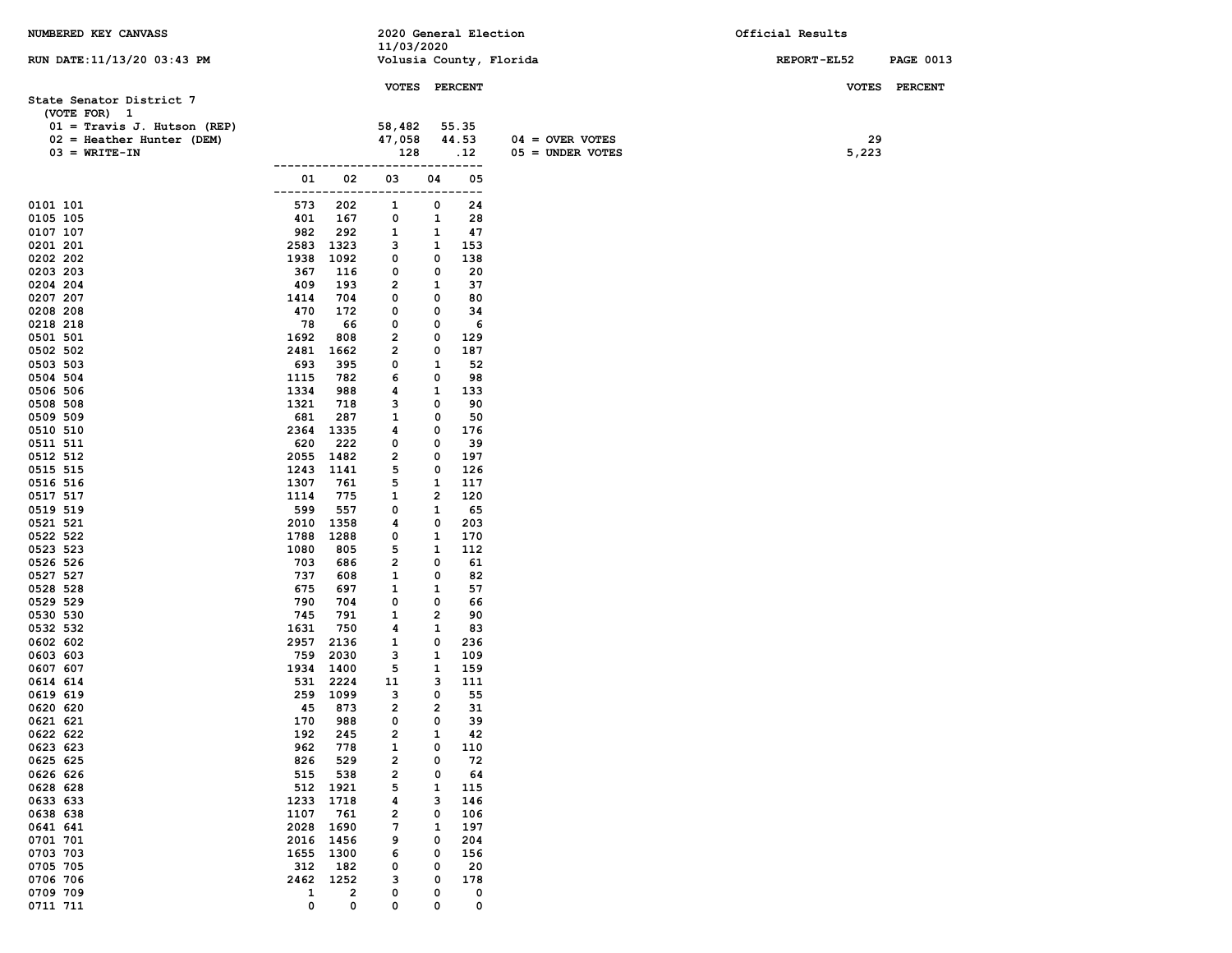| NUMBERED KEY CANVASS                                                            |                      |              | 2020 General Election<br>11/03/2020 |              |                       |                                         | Official Results |                  |
|---------------------------------------------------------------------------------|----------------------|--------------|-------------------------------------|--------------|-----------------------|-----------------------------------------|------------------|------------------|
| RUN DATE: 11/13/20 03:43 PM                                                     |                      |              | Volusia County, Florida             |              |                       |                                         | REPORT-EL52      | <b>PAGE 0013</b> |
| State Senator District 7<br>(VOTE FOR) 1                                        |                      |              | VOTES PERCENT                       |              |                       |                                         |                  | VOTES PERCENT    |
| $01 =$ Travis J. Hutson (REP)<br>$02$ = Heather Hunter (DEM)<br>$03 = WRITE-TN$ |                      |              | 58,482<br>47,058<br>128             |              | 55.35<br>44.53<br>.12 | $04 =$ OVER VOTES<br>$05 =$ UNDER VOTES | 29<br>5,223      |                  |
|                                                                                 | --------------<br>01 | 02           | ----------------<br>03              | 04           | 05                    |                                         |                  |                  |
|                                                                                 | -------              | ---          | $- - - -$                           | ---          | ---                   |                                         |                  |                  |
| 0101 101                                                                        | 573                  | 202          | 1                                   | 0            | 24                    |                                         |                  |                  |
| 0105 105<br>0107 107                                                            | 401<br>982           | 167<br>292   | 0<br>1                              | 1<br>1       | 28<br>47              |                                         |                  |                  |
| 0201 201                                                                        | 2583                 | 1323         | з                                   | 1            | 153                   |                                         |                  |                  |
| 0202 202                                                                        | 1938                 | 1092         | 0                                   | 0            | 138                   |                                         |                  |                  |
| 0203 203                                                                        | 367                  | 116          | 0                                   | 0            | 20                    |                                         |                  |                  |
| 0204 204                                                                        | 409                  | 193          | 2                                   | 1            | 37                    |                                         |                  |                  |
| 0207 207                                                                        | 1414                 | 704          | 0                                   | 0            | 80                    |                                         |                  |                  |
| 0208 208                                                                        | 470                  | 172          | 0                                   | 0            | 34                    |                                         |                  |                  |
| 0218 218                                                                        | 78<br>1692           | 66<br>808    | 0<br>2                              | 0<br>0       | 6<br>129              |                                         |                  |                  |
| 0501 501<br>0502 502                                                            | 2481                 | 1662         | 2                                   | 0            | 187                   |                                         |                  |                  |
| 0503 503                                                                        | 693                  | 395          | 0                                   | 1            | 52                    |                                         |                  |                  |
| 0504 504                                                                        | 1115                 | 782          | 6                                   | 0            | 98                    |                                         |                  |                  |
| 0506 506                                                                        | 1334                 | 988          | 4                                   | 1            | 133                   |                                         |                  |                  |
| 0508 508                                                                        | 1321                 | 718          | з                                   | 0            | 90                    |                                         |                  |                  |
| 0509 509                                                                        | 681                  | 287          | 1                                   | 0            | 50                    |                                         |                  |                  |
| 0510 510<br>0511 511                                                            | 2364<br>620          | 1335<br>222  | 4<br>0                              | 0<br>0       | 176<br>39             |                                         |                  |                  |
| 0512 512                                                                        | 2055                 | 1482         | 2                                   | 0            | 197                   |                                         |                  |                  |
| 0515 515                                                                        | 1243                 | 1141         | 5                                   | 0            | 126                   |                                         |                  |                  |
| 0516 516                                                                        | 1307                 | 761          | 5                                   | 1            | 117                   |                                         |                  |                  |
| 0517 517                                                                        | 1114                 | 775          | 1                                   | 2            | 120                   |                                         |                  |                  |
| 0519 519                                                                        | 599                  | 557          | 0                                   | 1            | 65                    |                                         |                  |                  |
| 0521 521                                                                        | 2010                 | 1358         | 4<br>0                              | 0            | 203                   |                                         |                  |                  |
| 0522 522<br>0523 523                                                            | 1788<br>1080         | 1288<br>805  | 5                                   | 1<br>1       | 170<br>112            |                                         |                  |                  |
| 0526 526                                                                        | 703                  | 686          | 2                                   | 0            | 61                    |                                         |                  |                  |
| 0527 527                                                                        | 737                  | 608          | 1                                   | 0            | 82                    |                                         |                  |                  |
| 0528 528                                                                        | 675                  | 697          | 1                                   | 1            | 57                    |                                         |                  |                  |
| 0529 529                                                                        | 790                  | 704          | 0                                   | 0            | 66                    |                                         |                  |                  |
| 0530 530                                                                        | 745                  | 791          | 1                                   | 2            | 90                    |                                         |                  |                  |
| 0532 532<br>0602 602                                                            | 1631<br>2957         | 750<br>2136  | 4<br>1                              | 1<br>0       | 83<br>236             |                                         |                  |                  |
| 0603 603                                                                        | 759                  | 2030         | з                                   | 1            | 109                   |                                         |                  |                  |
| 0607 607                                                                        | 1934                 | 1400         | 5                                   | 1            | 159                   |                                         |                  |                  |
| 0614 614                                                                        | 531                  | 2224         | 11                                  | з            | 111                   |                                         |                  |                  |
| 0619 619                                                                        | 259                  | 1099         | з                                   | 0            | 55                    |                                         |                  |                  |
| 0620 620                                                                        | 45                   | 873          | 2                                   | $\mathbf{2}$ | 31                    |                                         |                  |                  |
| 0621 621<br>0622 622                                                            | 170<br>192           | 988<br>245   | 0<br>2                              | 0<br>1       | 39<br>42              |                                         |                  |                  |
| 0623 623                                                                        | 962                  | 778          | 1                                   | 0            | 110                   |                                         |                  |                  |
| 0625 625                                                                        | 826                  | 529          | 2                                   | 0            | 72                    |                                         |                  |                  |
| 0626 626                                                                        | 515                  | 538          | 2                                   | 0            | 64                    |                                         |                  |                  |
| 0628 628                                                                        | 512                  | 1921         | 5                                   | 1            | 115                   |                                         |                  |                  |
| 0633 633                                                                        | 1233                 | 1718         | 4                                   | з            | 146                   |                                         |                  |                  |
| 0638 638                                                                        | 1107                 | 761          | 2                                   | 0            | 106                   |                                         |                  |                  |
| 0641 641<br>0701 701                                                            | 2028<br>2016         | 1690<br>1456 | 7<br>9                              | 1<br>0       | 197<br>204            |                                         |                  |                  |
| 0703 703                                                                        | 1655                 | 1300         | 6                                   | 0            | 156                   |                                         |                  |                  |
| 0705 705                                                                        | 312                  | 182          | 0                                   | 0            | 20                    |                                         |                  |                  |
| 0706 706                                                                        | 2462                 | 1252         | з                                   | 0            | 178                   |                                         |                  |                  |
| 0709 709                                                                        | $\mathbf{1}$         | $\mathbf{2}$ | 0                                   | 0            | 0                     |                                         |                  |                  |
| 0711 711                                                                        | 0                    | 0            | 0                                   | 0            | 0                     |                                         |                  |                  |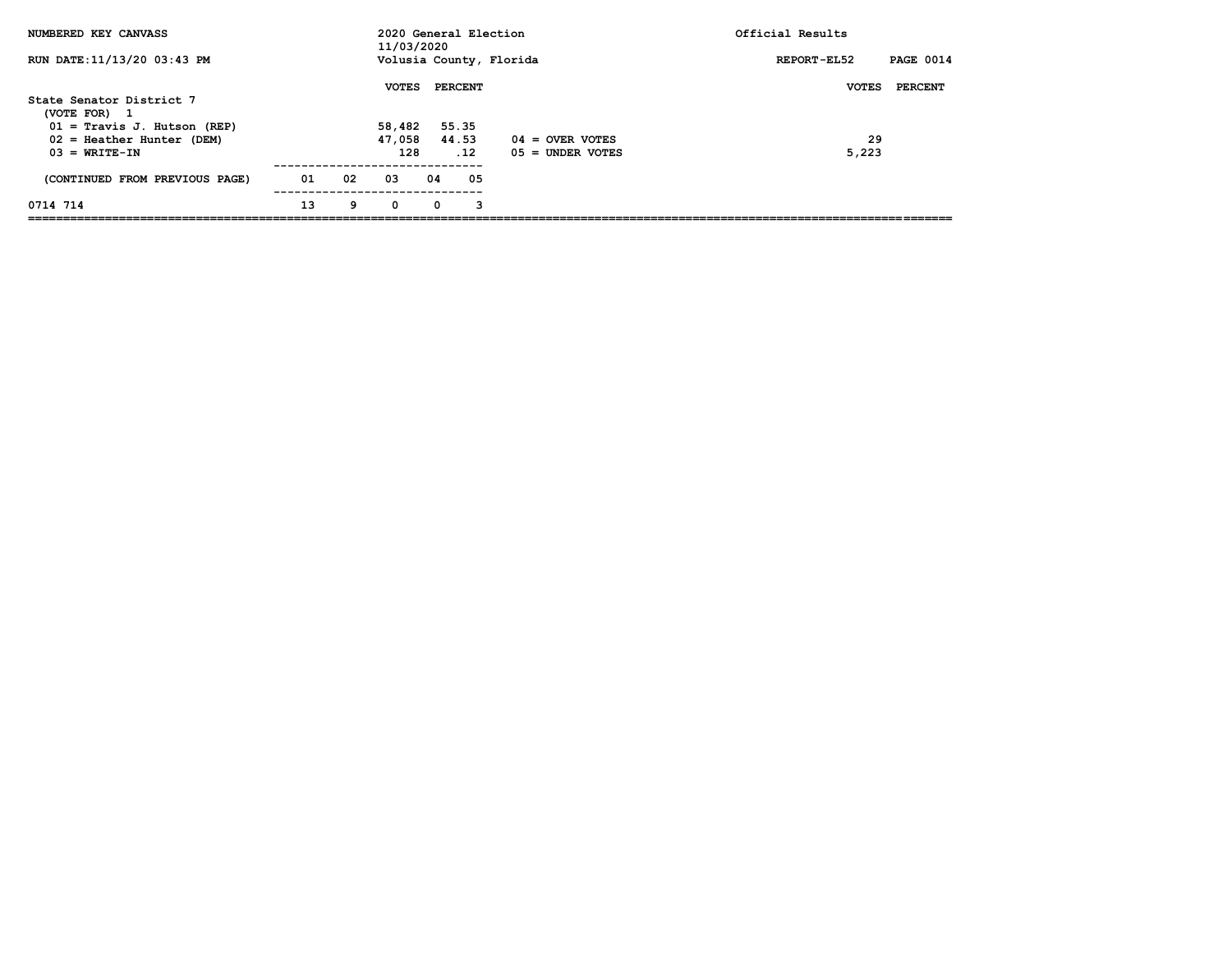| NUMBERED KEY CANVASS                          |    |    | 2020 General Election<br>11/03/2020 |    |                |                         | Official Results |                  |
|-----------------------------------------------|----|----|-------------------------------------|----|----------------|-------------------------|------------------|------------------|
| RUN DATE: 11/13/20 03:43 PM                   |    |    |                                     |    |                | Volusia County, Florida | REPORT-EL52      | <b>PAGE 0014</b> |
|                                               |    |    | <b>VOTES</b>                        |    | <b>PERCENT</b> |                         | <b>VOTES</b>     | <b>PERCENT</b>   |
| State Senator District 7<br>(VOTE FOR)<br>- 1 |    |    |                                     |    |                |                         |                  |                  |
| $01 =$ Travis J. Hutson (REP)                 |    |    | 58,482                              |    | 55.35          |                         |                  |                  |
| $02$ = Heather Hunter (DEM)                   |    |    | 47,058                              |    | 44.53          | $04 =$ OVER VOTES       | 29               |                  |
| $03 = WRTTE-TN$                               |    |    | 128                                 |    | .12            | $05 =$ UNDER VOTES      | 5,223            |                  |
| (CONTINUED FROM PREVIOUS PAGE)                | 01 | 02 | 03                                  | 04 | 05             |                         |                  |                  |
| 0714 714                                      | 13 | 9  | 0                                   | 0  | 3              |                         |                  |                  |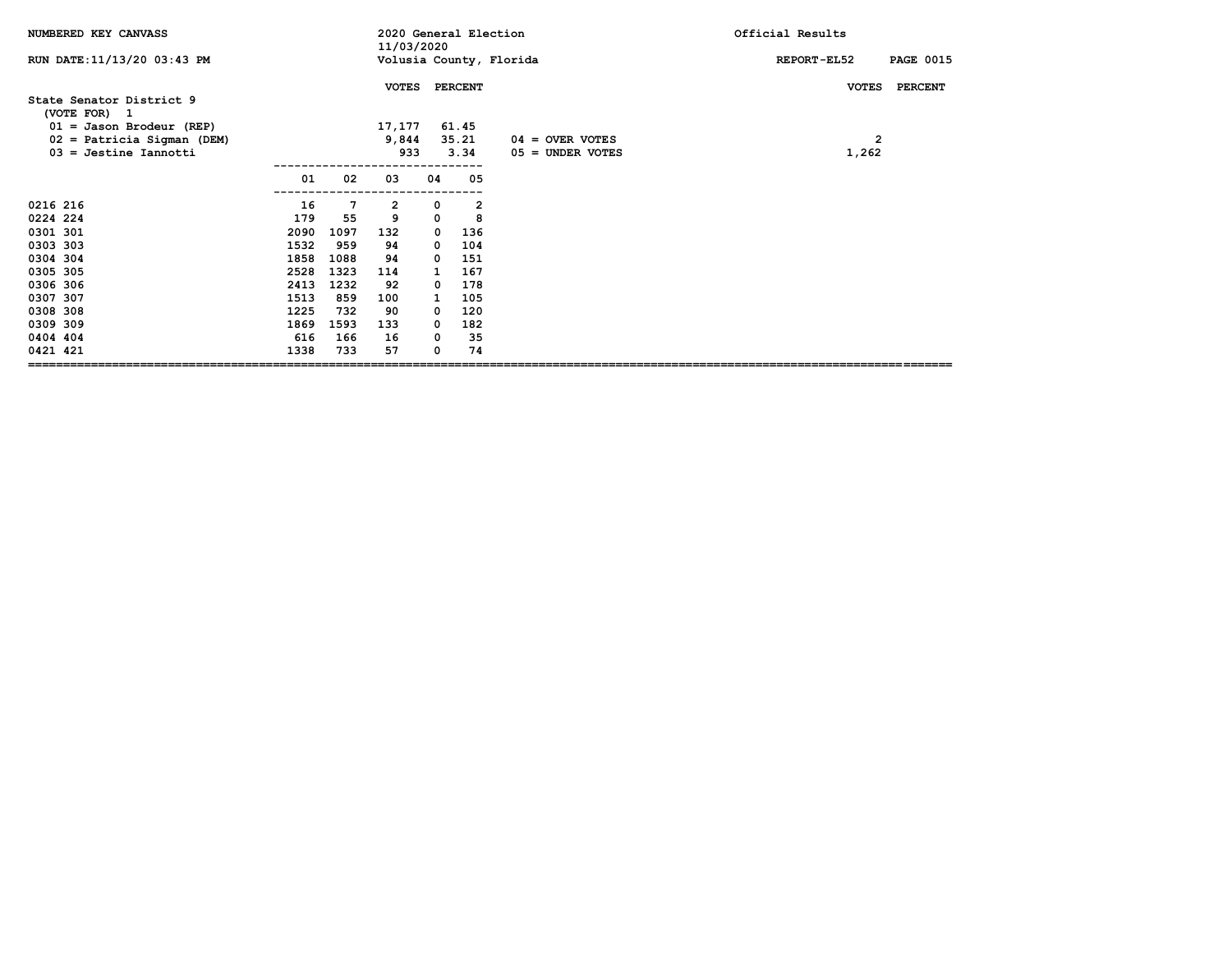| NUMBERED KEY CANVASS                                                                                                                         |                                                                                          |                                                                                    | 2020 General Election<br>11/03/2020                                    |                                                                                           |                                                                            |                                         | Official Results                |
|----------------------------------------------------------------------------------------------------------------------------------------------|------------------------------------------------------------------------------------------|------------------------------------------------------------------------------------|------------------------------------------------------------------------|-------------------------------------------------------------------------------------------|----------------------------------------------------------------------------|-----------------------------------------|---------------------------------|
| RUN DATE: 11/13/20 03:43 PM                                                                                                                  |                                                                                          |                                                                                    |                                                                        |                                                                                           |                                                                            | Volusia County, Florida                 | REPORT-EL52<br><b>PAGE 0015</b> |
| State Senator District 9<br>(VOTE FOR) 1                                                                                                     |                                                                                          |                                                                                    | <b>VOTES</b>                                                           |                                                                                           | <b>PERCENT</b>                                                             |                                         | <b>VOTES</b><br><b>PERCENT</b>  |
| $01 =$ Jason Brodeur (REP)<br>02 = Patricia Sigman (DEM)<br>$03 =$ Jestine Iannotti                                                          |                                                                                          |                                                                                    | 17,177<br>9,844<br>933                                                 |                                                                                           | 61.45<br>35.21<br>3.34                                                     | $04 =$ OVER VOTES<br>$05 =$ UNDER VOTES | 2<br>1,262                      |
|                                                                                                                                              | 01                                                                                       | 02                                                                                 | 03                                                                     | 04                                                                                        | 05                                                                         |                                         |                                 |
| 0216 216<br>0224 224<br>0301 301<br>0303 303<br>0304 304<br>0305 305<br>0306 306<br>0307 307<br>0308 308<br>0309 309<br>0404 404<br>0421 421 | 16<br>179<br>2090<br>1532<br>1858<br>2528<br>2413<br>1513<br>1225<br>1869<br>616<br>1338 | 7<br>55<br>1097<br>959<br>1088<br>1323<br>1232<br>859<br>732<br>1593<br>166<br>733 | 2<br>9<br>132<br>94<br>94<br>114<br>92<br>100<br>90<br>133<br>16<br>57 | 0<br>0<br>0<br>$\mathbf{o}$<br>$\mathbf{o}$<br>1<br>0<br>1<br>0<br>$\mathbf{o}$<br>0<br>0 | 2<br>8<br>136<br>104<br>151<br>167<br>178<br>105<br>120<br>182<br>35<br>74 |                                         |                                 |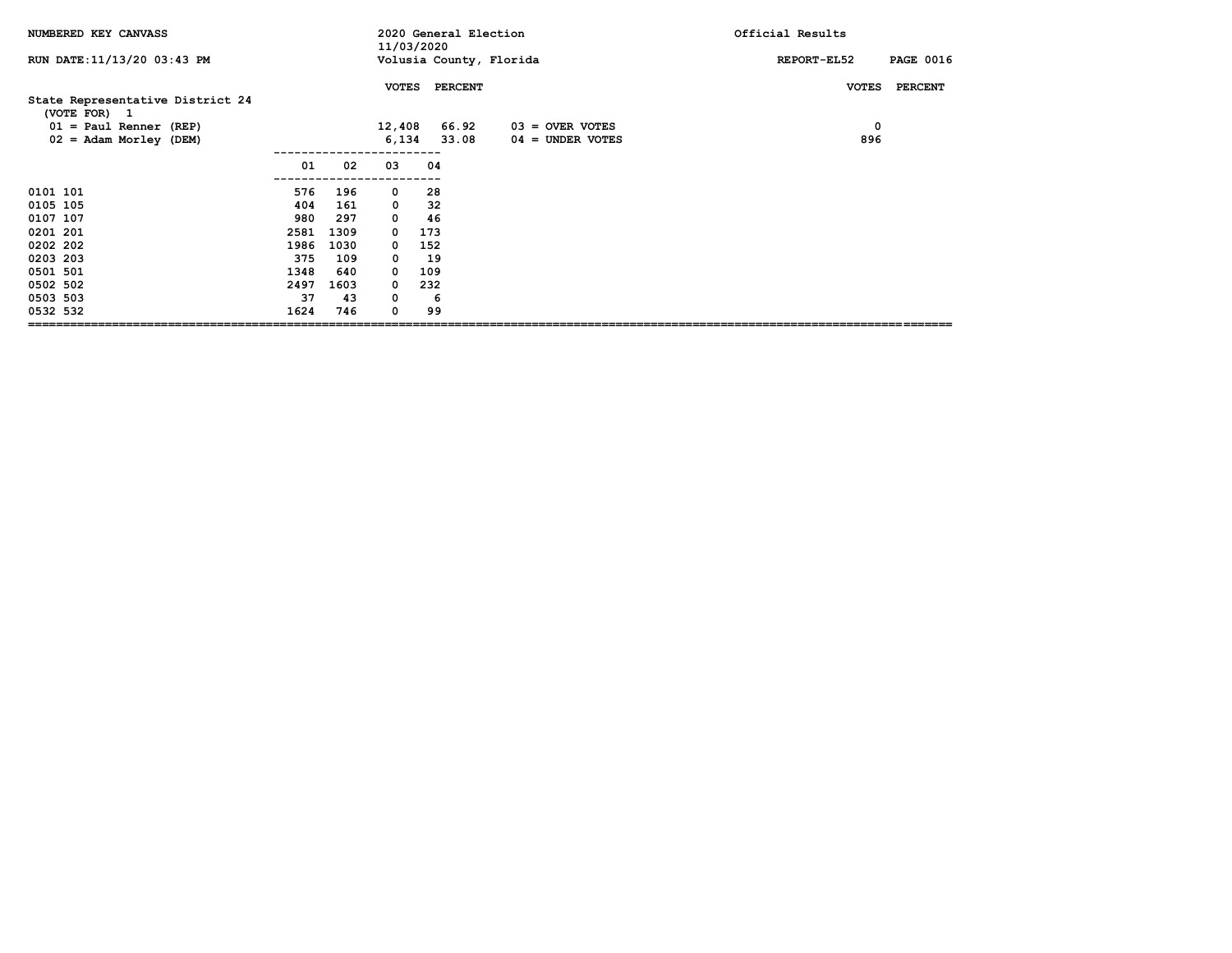| NUMBERED KEY CANVASS             |      |      |              | 2020 General Election<br>11/03/2020 |                   | Official Results                |
|----------------------------------|------|------|--------------|-------------------------------------|-------------------|---------------------------------|
| RUN DATE: 11/13/20 03:43 PM      |      |      |              | Volusia County, Florida             |                   | <b>PAGE 0016</b><br>REPORT-EL52 |
| State Representative District 24 |      |      |              | VOTES PERCENT                       |                   | <b>PERCENT</b><br><b>VOTES</b>  |
| (VOTE FOR) 1                     |      |      |              |                                     |                   |                                 |
| $01 = Paul Renner (REF)$         |      |      | 12,408       | 66.92                               | $03 =$ OVER VOTES | 0                               |
| $02 = \text{Adam Morley (DEM)}$  |      |      | 6,134        | 33.08                               | 04 = UNDER VOTES  | 896                             |
|                                  |      |      |              |                                     |                   |                                 |
|                                  | 01   | 02   | 03           | 04                                  |                   |                                 |
| 0101 101                         | 576  | 196  | 0            | 28                                  |                   |                                 |
| 0105 105                         | 404  | 161  | $\mathbf{0}$ | 32                                  |                   |                                 |
| 0107 107                         | 980  | 297  | $\mathbf 0$  | 46                                  |                   |                                 |
| 0201 201                         | 2581 | 1309 | $\mathbf 0$  | 173                                 |                   |                                 |
| 0202 202                         | 1986 | 1030 | 0            | 152                                 |                   |                                 |
| 0203 203                         | 375  | 109  | $\mathbf 0$  | 19                                  |                   |                                 |
| 0501 501                         | 1348 | 640  | 0            | 109                                 |                   |                                 |
| 0502 502                         | 2497 | 1603 | 0            | 232                                 |                   |                                 |
| 0503 503                         | 37   | 43   | 0            | -6                                  |                   |                                 |
| 0532 532                         | 1624 | 746  | 0            | 99                                  |                   |                                 |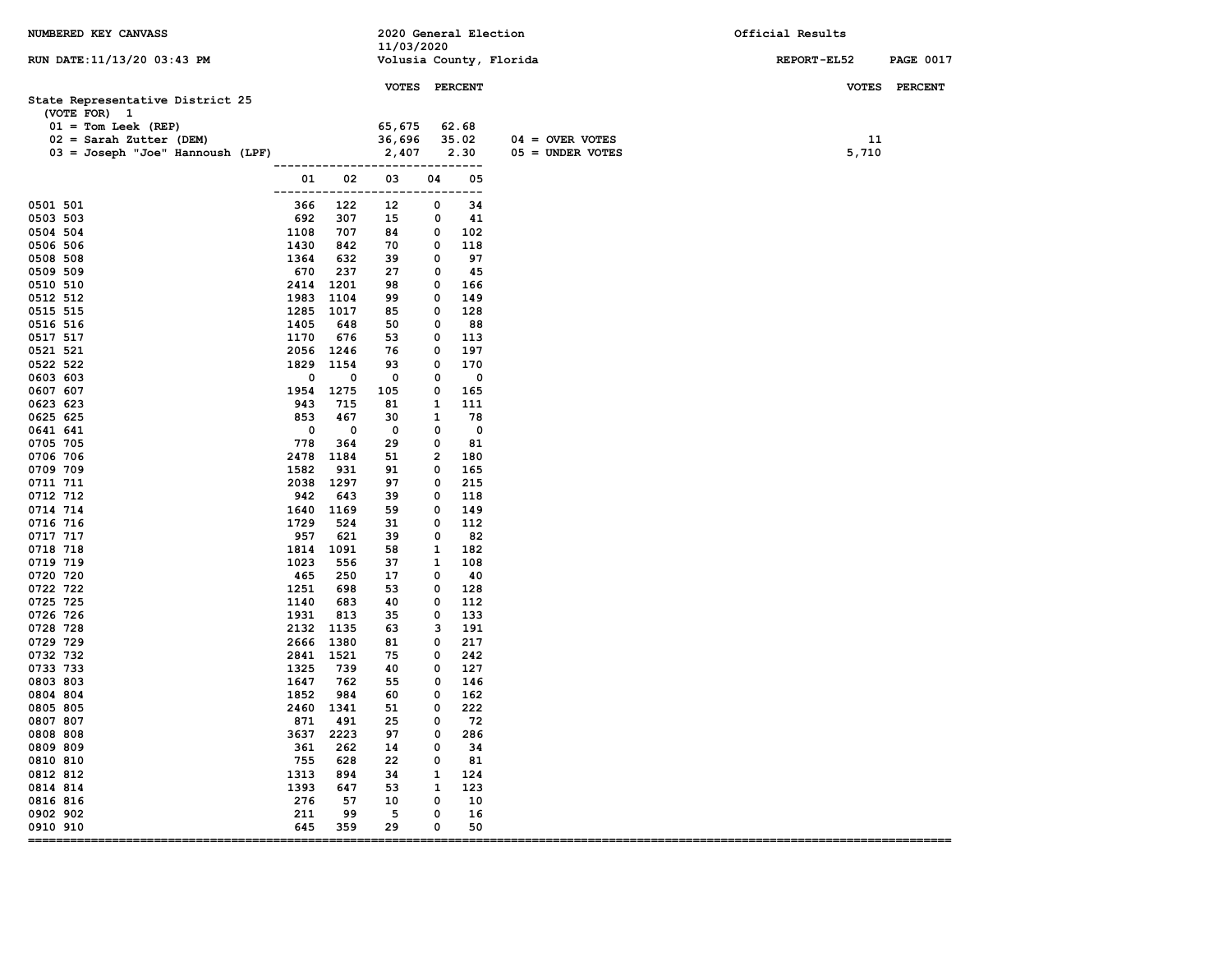| NUMBERED KEY CANVASS                                                                                                                       |                      |              | 2020 General Election<br>11/03/2020        |              |                        |                                         | Official Results |                  |
|--------------------------------------------------------------------------------------------------------------------------------------------|----------------------|--------------|--------------------------------------------|--------------|------------------------|-----------------------------------------|------------------|------------------|
| RUN DATE: 11/13/20 03:43 PM                                                                                                                |                      |              |                                            |              |                        | Volusia County, Florida                 | REPORT-EL52      | <b>PAGE 0017</b> |
| State Representative District 25<br>(VOTE FOR) 1<br>$01 = Tom Leek (REF)$<br>$02 =$ Sarah Zutter (DEM)<br>03 = Joseph "Joe" Hannoush (LPF) |                      |              | VOTES PERCENT<br>65,675<br>36,696<br>2,407 |              | 62.68<br>35.02<br>2.30 | $04 =$ OVER VOTES<br>$05 =$ UNDER VOTES | 11<br>5,710      | VOTES PERCENT    |
|                                                                                                                                            | 01                   | 02           | ------------------------------<br>03       | 04           | 05                     |                                         |                  |                  |
| 0501 501                                                                                                                                   | -------------<br>366 | 122          | -----<br>12                                | 0            | ---------<br>34        |                                         |                  |                  |
| 0503 503                                                                                                                                   | 692                  | 307          | 15                                         | 0            | 41                     |                                         |                  |                  |
| 0504 504                                                                                                                                   | 1108                 | 707          | 84                                         | 0            | 102                    |                                         |                  |                  |
| 0506 506                                                                                                                                   | 1430                 | 842          | 70                                         | 0            | 118                    |                                         |                  |                  |
| 0508 508                                                                                                                                   | 1364                 | 632          | 39                                         | $\mathbf 0$  | 97                     |                                         |                  |                  |
| 0509 509                                                                                                                                   | 670                  | 237          | 27                                         | 0            | 45                     |                                         |                  |                  |
| 0510 510                                                                                                                                   | 2414                 | 1201         | 98                                         | 0            | 166                    |                                         |                  |                  |
| 0512 512                                                                                                                                   | 1983                 | 1104         | 99                                         | 0            | 149                    |                                         |                  |                  |
| 0515 515                                                                                                                                   | 1285                 | 1017         | 85                                         | 0            | 128                    |                                         |                  |                  |
| 0516 516                                                                                                                                   | 1405                 | 648          | 50                                         | $\mathbf{o}$ | 88                     |                                         |                  |                  |
| 0517 517                                                                                                                                   | 1170                 | 676          | 53                                         | 0            | 113                    |                                         |                  |                  |
| 0521 521                                                                                                                                   | 2056 1246            |              | 76                                         | 0            | 197                    |                                         |                  |                  |
| 0522 522                                                                                                                                   | 1829                 | 1154         | 93                                         | 0            | 170                    |                                         |                  |                  |
| 0603 603<br>0607 607                                                                                                                       | 0<br>1954 1275       | 0            | 0<br>105                                   | 0<br>0       | 0<br>165               |                                         |                  |                  |
| 0623 623                                                                                                                                   | 943                  | 715          | 81                                         | 1            | 111                    |                                         |                  |                  |
| 0625 625                                                                                                                                   | 853                  | 467          | 30                                         | 1            | 78                     |                                         |                  |                  |
| 0641 641                                                                                                                                   | $\mathbf 0$          | $\mathbf 0$  | 0                                          | $\mathbf 0$  | $\mathbf{o}$           |                                         |                  |                  |
| 0705 705                                                                                                                                   | 778                  | 364          | 29                                         | 0            | 81                     |                                         |                  |                  |
| 0706 706                                                                                                                                   | 2478                 | 1184         | 51                                         | 2            | 180                    |                                         |                  |                  |
| 0709 709                                                                                                                                   | 1582                 | 931          | 91                                         | 0            | 165                    |                                         |                  |                  |
| 0711 711                                                                                                                                   | 2038                 | 1297         | 97                                         | 0            | 215                    |                                         |                  |                  |
| 0712 712                                                                                                                                   | 942                  | 643          | 39                                         | 0            | 118                    |                                         |                  |                  |
| 0714 714                                                                                                                                   | 1640                 | 1169         | 59                                         | 0            | 149                    |                                         |                  |                  |
| 0716 716                                                                                                                                   | 1729                 | 524          | 31                                         | 0            | 112                    |                                         |                  |                  |
| 0717 717                                                                                                                                   | 957                  | 621          | 39                                         | 0            | 82                     |                                         |                  |                  |
| 0718 718                                                                                                                                   | 1814                 | 1091         | 58                                         | 1            | 182                    |                                         |                  |                  |
| 0719 719                                                                                                                                   | 1023                 | 556          | 37                                         | 1            | 108                    |                                         |                  |                  |
| 0720 720                                                                                                                                   | 465                  | 250          | 17                                         | 0            | 40                     |                                         |                  |                  |
| 0722 722                                                                                                                                   | 1251                 | 698          | 53                                         | 0            | 128                    |                                         |                  |                  |
| 0725 725                                                                                                                                   | 1140                 | 683          | 40                                         | 0            | 112                    |                                         |                  |                  |
| 0726 726                                                                                                                                   | 1931                 | 813          | 35                                         | 0            | 133                    |                                         |                  |                  |
| 0728 728<br>0729 729                                                                                                                       | 2132<br>2666         | 1135<br>1380 | 63<br>81                                   | 3<br>0       | 191<br>217             |                                         |                  |                  |
| 0732 732                                                                                                                                   | 2841 1521            |              | 75                                         | 0            | 242                    |                                         |                  |                  |
| 0733 733                                                                                                                                   | 1325                 | 739          | 40                                         | 0            | 127                    |                                         |                  |                  |
| 0803 803                                                                                                                                   | 1647                 | 762          | 55                                         | 0            | 146                    |                                         |                  |                  |
| 0804 804                                                                                                                                   | 1852                 | 984          | 60                                         | 0            | 162                    |                                         |                  |                  |
| 0805 805                                                                                                                                   | 2460                 | 1341         | 51                                         | 0            | 222                    |                                         |                  |                  |
| 0807 807                                                                                                                                   | 871                  | 491          | 25                                         | 0            | 72                     |                                         |                  |                  |
| 0808 808                                                                                                                                   | 3637                 | 2223         | 97                                         | 0            | 286                    |                                         |                  |                  |
| 0809 809                                                                                                                                   | 361                  | 262          | 14                                         | 0            | 34                     |                                         |                  |                  |
| 0810 810                                                                                                                                   | 755                  | 628          | 22                                         | 0            | 81                     |                                         |                  |                  |
| 0812 812                                                                                                                                   | 1313                 | 894          | 34                                         | 1            | 124                    |                                         |                  |                  |
| 0814 814                                                                                                                                   | 1393                 | 647          | 53                                         | $\mathbf{1}$ | 123                    |                                         |                  |                  |
| 0816 816                                                                                                                                   | 276                  | 57           | 10                                         | 0            | 10                     |                                         |                  |                  |
| 0902 902                                                                                                                                   | 211                  | 99           | 5                                          | 0            | 16                     |                                         |                  |                  |
| 0910 910                                                                                                                                   | 645                  | 359          | 29                                         | 0            | 50                     |                                         |                  |                  |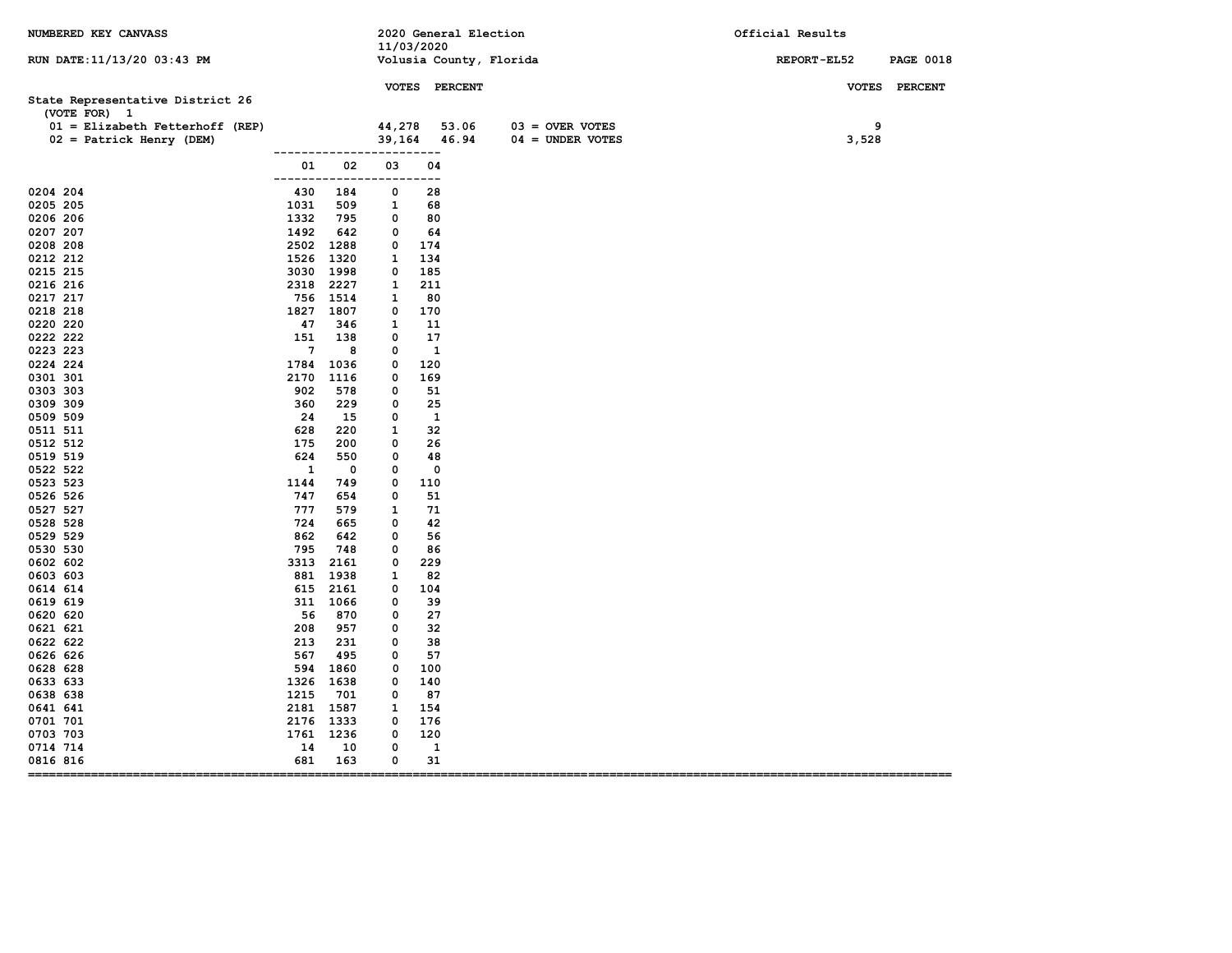| NUMBERED KEY CANVASS                                                                                            |                      |                   |                  | 11/03/2020    | 2020 General Election                                     | Official Results                |
|-----------------------------------------------------------------------------------------------------------------|----------------------|-------------------|------------------|---------------|-----------------------------------------------------------|---------------------------------|
| RUN DATE: 11/13/20 03:43 PM                                                                                     |                      |                   |                  |               | Volusia County, Florida                                   | REPORT-EL52<br><b>PAGE 0018</b> |
| State Representative District 26<br>(VOTE FOR) 1<br>01 = Elizabeth Fetterhoff (REP)<br>02 = Patrick Henry (DEM) |                      |                   | 44,278<br>39,164 | VOTES PERCENT | 53.06<br>$03 =$ OVER VOTES<br>46.94<br>$04 = UNDER VOTES$ | VOTES PERCENT<br>9<br>3,528     |
|                                                                                                                 | 01                   | -----------<br>02 | ----------<br>03 | 04            |                                                           |                                 |
| 0204 204                                                                                                        | -------------<br>430 | 184               | ----<br>0        | ---<br>28     |                                                           |                                 |
| 0205 205                                                                                                        | 1031                 | 509               | 1                | 68            |                                                           |                                 |
| 0206 206                                                                                                        | 1332                 | 795               | 0                | 80            |                                                           |                                 |
| 0207 207                                                                                                        | 1492                 | 642               | 0                | 64            |                                                           |                                 |
| 0208 208                                                                                                        | 2502                 | 1288              | 0                | 174           |                                                           |                                 |
| 0212 212                                                                                                        | 1526                 | 1320              | 1                | 134           |                                                           |                                 |
| 0215 215                                                                                                        | 3030                 | 1998              | 0                | 185           |                                                           |                                 |
| 0216 216                                                                                                        | 2318                 | 2227              | 1                | 211           |                                                           |                                 |
| 0217 217                                                                                                        |                      | 756 1514          | 1                | 80            |                                                           |                                 |
| 0218 218                                                                                                        | 1827                 | 1807              | 0                | 170           |                                                           |                                 |
| 0220 220                                                                                                        | 47                   | 346               | 1                | 11            |                                                           |                                 |
| 0222 222                                                                                                        | 151                  | 138               | 0                | 17            |                                                           |                                 |
| 0223 223                                                                                                        | $\overline{7}$       | 8                 | 0                | $\mathbf{1}$  |                                                           |                                 |
| 0224 224                                                                                                        | 1784                 | 1036              | 0                | 120           |                                                           |                                 |
| 0301 301                                                                                                        | 2170                 | 1116              | 0                | 169           |                                                           |                                 |
| 0303 303                                                                                                        | 902                  | 578               | 0                | 51            |                                                           |                                 |
| 0309 309                                                                                                        | 360                  | 229               | 0                | 25            |                                                           |                                 |
| 0509 509                                                                                                        | 24                   | 15                | 0                | 1             |                                                           |                                 |
| 0511 511                                                                                                        | 628                  | 220               | 1                | 32            |                                                           |                                 |
| 0512 512                                                                                                        | 175                  | 200               | 0                | 26            |                                                           |                                 |
| 0519 519                                                                                                        | 624                  | 550               | 0                | 48            |                                                           |                                 |
| 0522 522                                                                                                        | 1                    | 0                 | 0                | $\mathbf 0$   |                                                           |                                 |
| 0523 523                                                                                                        | 1144                 | 749               | 0                | 110           |                                                           |                                 |
| 0526 526                                                                                                        | 747                  | 654               | 0                | 51            |                                                           |                                 |
| 0527 527                                                                                                        | 777                  | 579               | 1                | 71            |                                                           |                                 |
| 0528 528                                                                                                        | 724                  | 665               | 0                | 42            |                                                           |                                 |
| 0529 529                                                                                                        | 862                  | 642               | 0                | 56            |                                                           |                                 |
| 0530 530                                                                                                        | 795                  | 748               | 0                | 86            |                                                           |                                 |
| 0602 602                                                                                                        | 3313                 | 2161              | 0                | 229           |                                                           |                                 |
| 0603 603                                                                                                        | 881                  | 1938              | 1                | 82            |                                                           |                                 |
| 0614 614                                                                                                        | 615                  | 2161              | 0                | 104           |                                                           |                                 |
| 0619 619                                                                                                        |                      | 311 1066          | 0                | 39            |                                                           |                                 |
| 0620 620                                                                                                        | 56                   | 870               | 0                | 27            |                                                           |                                 |
| 0621 621                                                                                                        | 208                  | 957               | 0                | 32            |                                                           |                                 |
| 0622 622                                                                                                        | 213                  | 231               | 0                | 38            |                                                           |                                 |
| 0626 626                                                                                                        | 567                  | 495               | 0                | 57            |                                                           |                                 |
| 0628 628                                                                                                        | 594                  | 1860              | 0                | 100           |                                                           |                                 |
| 0633 633                                                                                                        | 1326                 | 1638              | 0                | 140           |                                                           |                                 |
| 0638 638                                                                                                        | 1215                 | 701               | 0                | 87            |                                                           |                                 |
| 0641 641                                                                                                        | 2181                 | 1587              | 1                | 154           |                                                           |                                 |
| 0701 701                                                                                                        | 2176                 | 1333              | 0                | 176           |                                                           |                                 |
| 0703 703                                                                                                        | 1761                 | 1236              | 0                | 120           |                                                           |                                 |
| 0714 714                                                                                                        | 14                   | 10                | 0                | $\mathbf{1}$  |                                                           |                                 |
| 0816 816<br>----------------------------------<br>$=$ $=$ $=$ $=$                                               | 681                  | 163               | 0                | 31            |                                                           |                                 |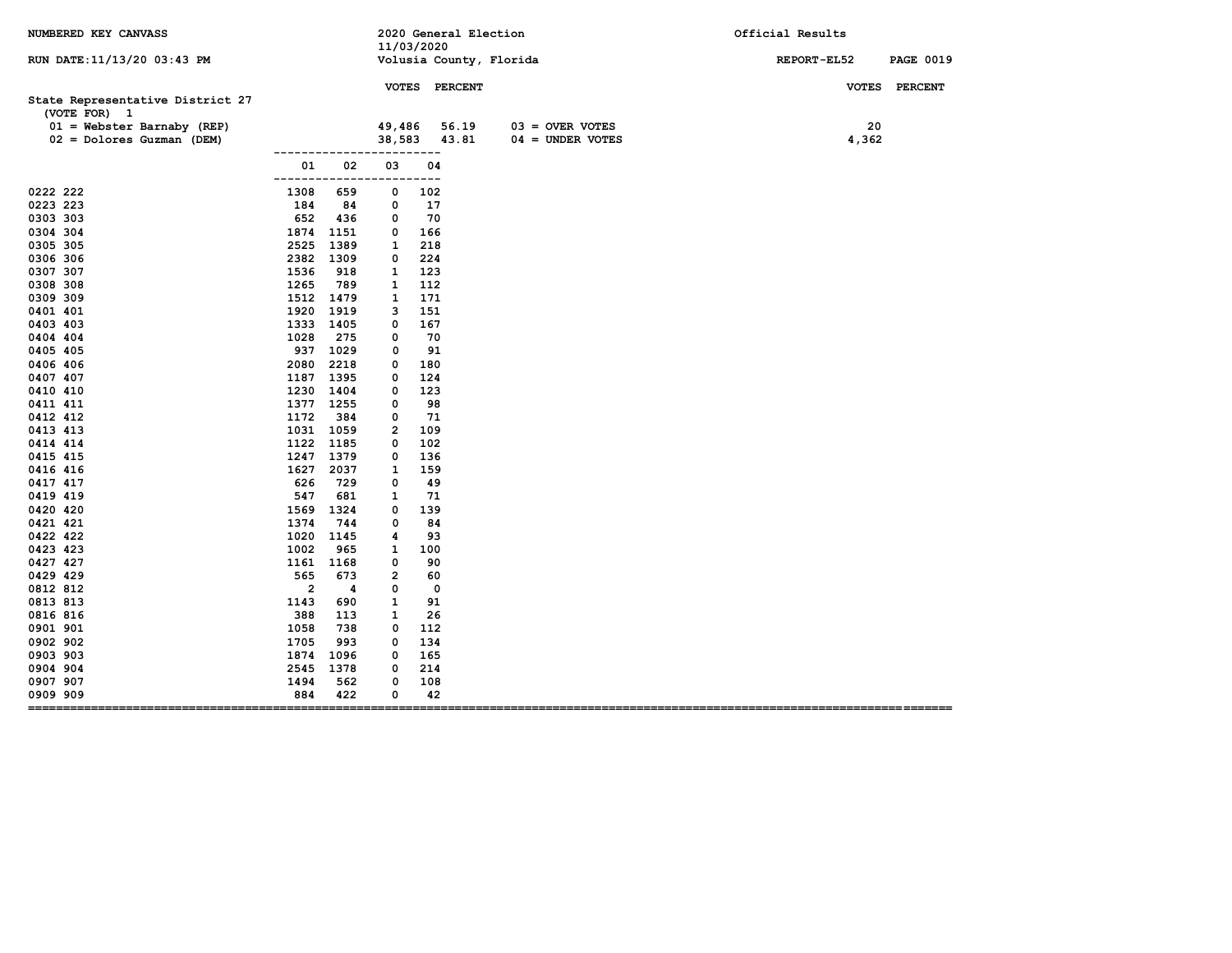| NUMBERED KEY CANVASS                                                             |                         |             | 11/03/2020        |             | 2020 General Election           |                                         | Official Results                |
|----------------------------------------------------------------------------------|-------------------------|-------------|-------------------|-------------|---------------------------------|-----------------------------------------|---------------------------------|
| RUN DATE: 11/13/20 03:43 PM                                                      |                         |             |                   |             |                                 | Volusia County, Florida                 | REPORT-EL52<br><b>PAGE 0019</b> |
| State Representative District 27<br>(VOTE FOR) 1<br>$01 =$ Webster Barnaby (REP) |                         |             | 49,486            |             | VOTES PERCENT<br>56.19<br>43.81 | $03 =$ OVER VOTES<br>$04 =$ UNDER VOTES | VOTES PERCENT<br>20             |
| 02 = Dolores Guzman (DEM)                                                        | -------------           |             | 38,583<br>------- | ---         |                                 |                                         | 4,362                           |
|                                                                                  | 01<br>-------------     | 02          | 03<br>-----       | 04<br>---   |                                 |                                         |                                 |
| 0222 222                                                                         | 1308                    | 659         | 0                 | 102         |                                 |                                         |                                 |
| 0223 223                                                                         | 184                     | 84          | 0                 | 17          |                                 |                                         |                                 |
| 0303 303                                                                         | 652                     | 436         | 0                 | 70          |                                 |                                         |                                 |
| 0304 304                                                                         | 1874                    | 1151        | 0                 | 166         |                                 |                                         |                                 |
| 0305 305                                                                         | 2525                    | 1389        | 1                 | 218         |                                 |                                         |                                 |
| 0306 306                                                                         | 2382                    | 1309        | 0                 | 224         |                                 |                                         |                                 |
| 0307 307                                                                         | 1536                    | 918         | 1                 | 123         |                                 |                                         |                                 |
| 0308 308                                                                         | 1265                    | 789         | 1                 | 112         |                                 |                                         |                                 |
| 0309 309                                                                         | 1512                    | 1479        | 1                 | 171         |                                 |                                         |                                 |
| 0401 401                                                                         | 1920                    | 1919        | з                 | 151         |                                 |                                         |                                 |
| 0403 403                                                                         | 1333                    | 1405        | 0                 | 167         |                                 |                                         |                                 |
| 0404 404                                                                         | 1028                    | 275         | 0                 | 70          |                                 |                                         |                                 |
| 0405 405                                                                         | 937                     | 1029        | 0                 | 91          |                                 |                                         |                                 |
| 0406 406                                                                         | 2080                    | 2218        | 0                 | 180         |                                 |                                         |                                 |
| 0407 407                                                                         | 1187                    | 1395        | 0                 | 124         |                                 |                                         |                                 |
| 0410 410                                                                         | 1230                    | 1404        | 0                 | 123         |                                 |                                         |                                 |
| 0411 411                                                                         | 1377                    | 1255        | 0                 | 98          |                                 |                                         |                                 |
| 0412 412                                                                         | 1172                    | 384         | 0                 | 71          |                                 |                                         |                                 |
| 0413 413                                                                         | 1031 1059               |             | 2                 | 109         |                                 |                                         |                                 |
| 0414 414                                                                         | 1122                    | 1185        | 0                 | 102         |                                 |                                         |                                 |
| 0415 415                                                                         | 1247                    | 1379        | 0                 | 136         |                                 |                                         |                                 |
| 0416 416<br>0417 417                                                             | 1627<br>626             | 2037<br>729 | 1<br>0            | 159<br>49   |                                 |                                         |                                 |
| 0419 419                                                                         | 547                     | 681         | 1                 | 71          |                                 |                                         |                                 |
| 0420 420                                                                         | 1569                    | 1324        | 0                 | 139         |                                 |                                         |                                 |
| 0421 421                                                                         | 1374                    | 744         | 0                 | 84          |                                 |                                         |                                 |
| 0422 422                                                                         | 1020                    | 1145        | 4                 | 93          |                                 |                                         |                                 |
| 0423 423                                                                         | 1002                    | 965         | 1                 | 100         |                                 |                                         |                                 |
| 0427 427                                                                         | 1161                    | 1168        | 0                 | 90          |                                 |                                         |                                 |
| 0429 429                                                                         | 565                     | 673         | 2                 | 60          |                                 |                                         |                                 |
| 0812 812                                                                         | $\overline{\mathbf{c}}$ | 4           | $\mathbf 0$       | $\mathbf 0$ |                                 |                                         |                                 |
| 0813 813                                                                         | 1143                    | 690         | 1                 | 91          |                                 |                                         |                                 |
| 0816 816                                                                         | 388                     | 113         | 1                 | 26          |                                 |                                         |                                 |
| 0901 901                                                                         | 1058                    | 738         | 0                 | 112         |                                 |                                         |                                 |
| 0902 902                                                                         | 1705                    | 993         | 0                 | 134         |                                 |                                         |                                 |
| 0903 903                                                                         | 1874                    | 1096        | 0                 | 165         |                                 |                                         |                                 |
| 0904 904                                                                         | 2545                    | 1378        | 0                 | 214         |                                 |                                         |                                 |
| 0907 907                                                                         | 1494                    | 562         | 0                 | 108         |                                 |                                         |                                 |
| 0909 909<br>===============================                                      | 884                     | 422         | 0                 | 42          |                                 |                                         |                                 |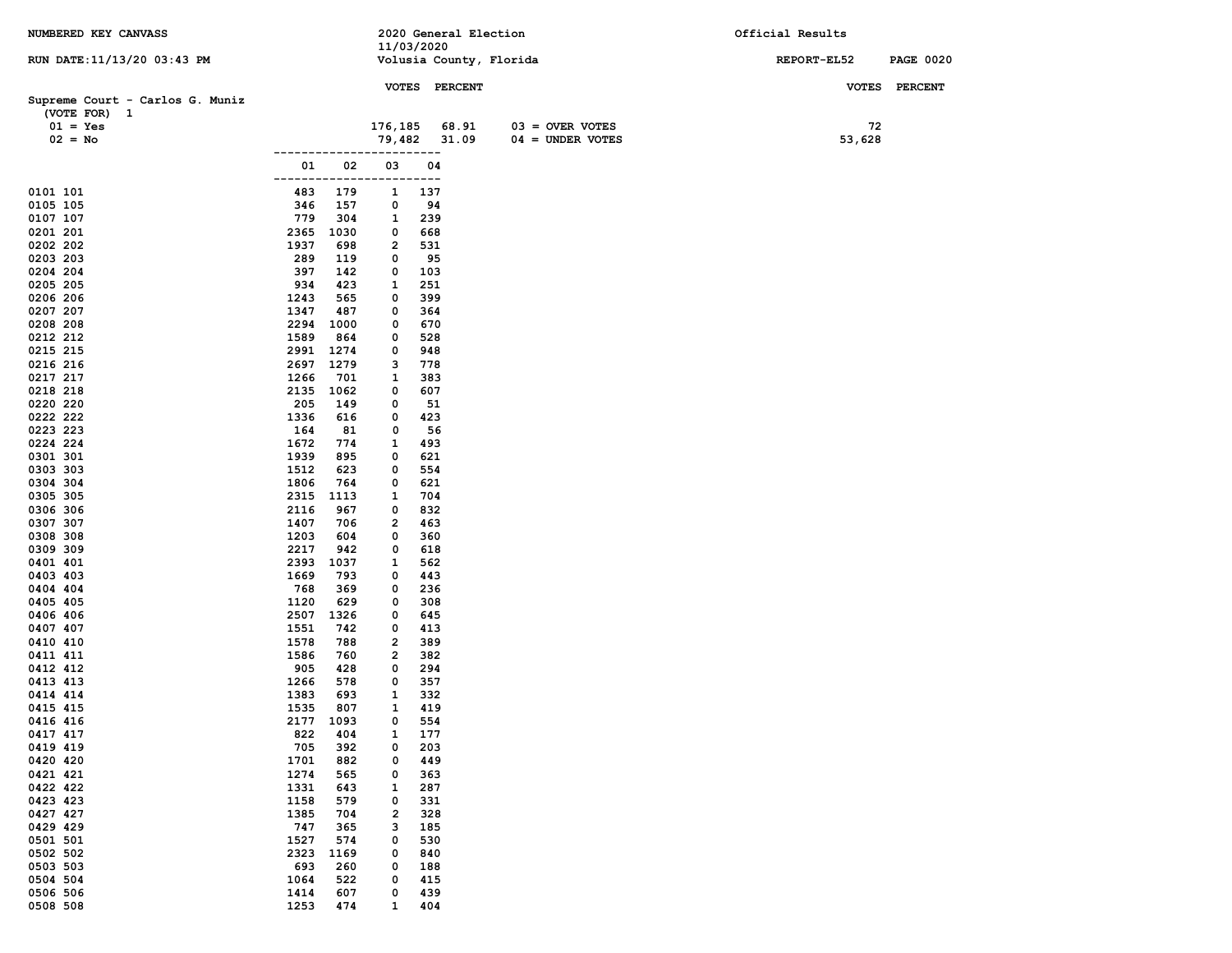| NUMBERED KEY CANVASS                            |              |             |            |            | 2020 General Election   |                    | Official Results |                  |
|-------------------------------------------------|--------------|-------------|------------|------------|-------------------------|--------------------|------------------|------------------|
| RUN DATE: 11/13/20 03:43 PM                     |              |             | 11/03/2020 |            | Volusia County, Florida |                    | REPORT-EL52      | <b>PAGE 0020</b> |
|                                                 |              |             |            |            |                         |                    |                  |                  |
|                                                 |              |             |            |            | VOTES PERCENT           |                    | <b>VOTES</b>     | <b>PERCENT</b>   |
| Supreme Court - Carlos G. Muniz<br>(VOTE FOR) 1 |              |             |            |            |                         |                    |                  |                  |
| $01 = Yes$                                      |              |             | 176,185    |            | 68.91                   | $03 =$ OVER VOTES  | 72               |                  |
| $02 = No$                                       |              |             | 79,482     |            | 31.09                   | $04 =$ UNDER VOTES | 53,628           |                  |
|                                                 |              |             |            | $---$      |                         |                    |                  |                  |
|                                                 | 01<br>----   | 02          | 03         | 04<br>---  |                         |                    |                  |                  |
| 0101 101                                        | 483          | 179         | 1          | 137        |                         |                    |                  |                  |
| 0105 105                                        | 346          | 157         | 0          | 94         |                         |                    |                  |                  |
| 0107 107                                        | 779          | 304         | 1          | 239        |                         |                    |                  |                  |
| 0201 201                                        | 2365         | 1030        | 0          | 668        |                         |                    |                  |                  |
| 0202 202<br>0203 203                            | 1937<br>289  | 698<br>119  | 2<br>0     | 531<br>95  |                         |                    |                  |                  |
| 0204 204                                        | 397          | 142         | 0          | 103        |                         |                    |                  |                  |
| 0205 205                                        | 934          | 423         | 1          | 251        |                         |                    |                  |                  |
| 0206 206                                        | 1243         | 565         | 0          | 399        |                         |                    |                  |                  |
| 0207 207<br>0208 208                            | 1347<br>2294 | 487<br>1000 | 0<br>0     | 364<br>670 |                         |                    |                  |                  |
| 0212 212                                        | 1589         | 864         | 0          | 528        |                         |                    |                  |                  |
| 0215 215                                        | 2991         | 1274        | 0          | 948        |                         |                    |                  |                  |
| 0216 216                                        | 2697         | 1279        | з          | 778        |                         |                    |                  |                  |
| 0217 217                                        | 1266         | 701         | 1          | 383        |                         |                    |                  |                  |
| 0218 218<br>0220 220                            | 2135<br>205  | 1062<br>149 | 0<br>0     | 607<br>51  |                         |                    |                  |                  |
| 0222 222                                        | 1336         | 616         | 0          | 423        |                         |                    |                  |                  |
| 0223 223                                        | 164          | 81          | 0          | 56         |                         |                    |                  |                  |
| 0224 224                                        | 1672         | 774         | 1          | 493        |                         |                    |                  |                  |
| 0301 301                                        | 1939<br>1512 | 895         | 0<br>0     | 621<br>554 |                         |                    |                  |                  |
| 0303 303<br>0304 304                            | 1806         | 623<br>764  | 0          | 621        |                         |                    |                  |                  |
| 0305 305                                        | 2315         | 1113        | 1          | 704        |                         |                    |                  |                  |
| 0306 306                                        | 2116         | 967         | 0          | 832        |                         |                    |                  |                  |
| 0307 307                                        | 1407         | 706         | 2          | 463        |                         |                    |                  |                  |
| 0308 308<br>0309 309                            | 1203<br>2217 | 604<br>942  | 0<br>0     | 360<br>618 |                         |                    |                  |                  |
| 0401 401                                        | 2393         | 1037        | 1          | 562        |                         |                    |                  |                  |
| 0403 403                                        | 1669         | 793         | 0          | 443        |                         |                    |                  |                  |
| 0404 404                                        | 768          | 369         | 0          | 236        |                         |                    |                  |                  |
| 0405 405<br>0406 406                            | 1120<br>2507 | 629<br>1326 | 0<br>0     | 308<br>645 |                         |                    |                  |                  |
| 0407 407                                        | 1551         | 742         | 0          | 413        |                         |                    |                  |                  |
| 0410 410                                        | 1578         | 788         | 2          | 389        |                         |                    |                  |                  |
| 0411 411                                        | 1586         | 760         | 2          | 382        |                         |                    |                  |                  |
| 0412 412                                        | 905          | 428         | 0          | 294        |                         |                    |                  |                  |
| 0413 413<br>0414 414                            | 1266<br>1383 | 578<br>693  | 0<br>1     | 357<br>332 |                         |                    |                  |                  |
| 0415 415                                        | 1535         | 807         | 1          | 419        |                         |                    |                  |                  |
| 0416 416                                        | 2177         | 1093        | 0          | 554        |                         |                    |                  |                  |
| 0417 417                                        | 822          | 404         | 1          | 177        |                         |                    |                  |                  |
| 0419 419<br>0420 420                            | 705<br>1701  | 392<br>882  | 0<br>0     | 203<br>449 |                         |                    |                  |                  |
| 0421 421                                        | 1274         | 565         | 0          | 363        |                         |                    |                  |                  |
| 0422 422                                        | 1331         | 643         | 1          | 287        |                         |                    |                  |                  |
| 0423 423                                        | 1158         | 579         | 0          | 331        |                         |                    |                  |                  |
| 0427 427                                        | 1385         | 704         | 2          | 328        |                         |                    |                  |                  |
| 0429 429<br>0501 501                            | 747<br>1527  | 365<br>574  | з<br>0     | 185<br>530 |                         |                    |                  |                  |
| 0502 502                                        | 2323         | 1169        | 0          | 840        |                         |                    |                  |                  |
| 0503 503                                        | 693          | 260         | 0          | 188        |                         |                    |                  |                  |
| 0504 504                                        | 1064         | 522         | 0          | 415        |                         |                    |                  |                  |
| 0506 506                                        | 1414<br>1253 | 607         | 0          | 439        |                         |                    |                  |                  |
| 0508 508                                        |              | 474         | 1          | 404        |                         |                    |                  |                  |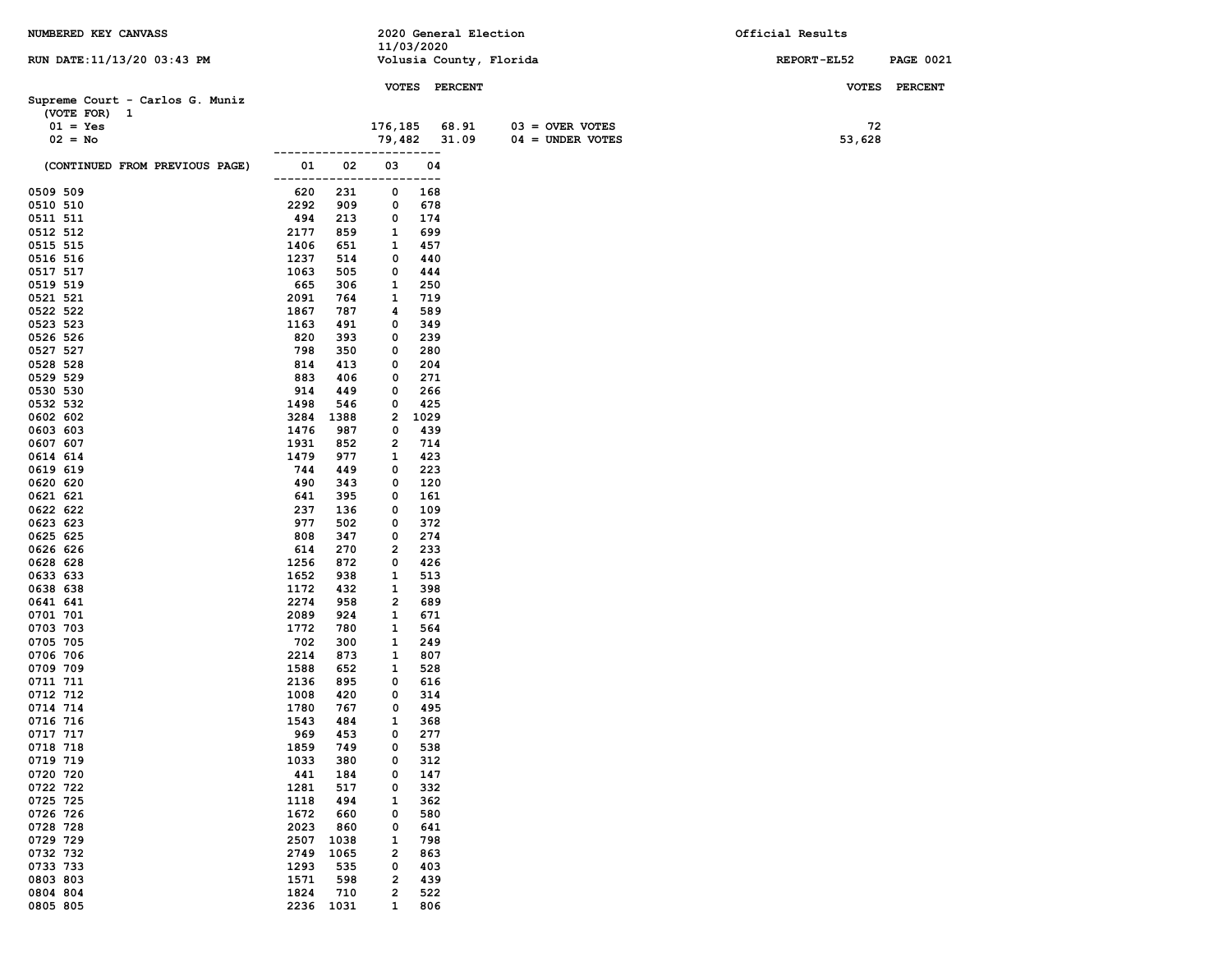| NUMBERED KEY CANVASS            |                   |            |                         | 2020 General Election   |                    | Official Results |                  |
|---------------------------------|-------------------|------------|-------------------------|-------------------------|--------------------|------------------|------------------|
|                                 |                   |            | 11/03/2020              |                         |                    |                  |                  |
| RUN DATE: 11/13/20 03:43 PM     |                   |            |                         | Volusia County, Florida |                    | REPORT-EL52      | <b>PAGE 0021</b> |
|                                 |                   |            |                         | VOTES PERCENT           |                    |                  | VOTES PERCENT    |
| Supreme Court - Carlos G. Muniz |                   |            |                         |                         |                    |                  |                  |
| (VOTE FOR) 1                    |                   |            |                         |                         |                    |                  |                  |
| $01 = Yes$                      |                   |            | 176,185                 | 68.91                   | $03 =$ OVER VOTES  | 72               |                  |
| $02 = No$                       |                   |            | 79,482                  | 31.09                   | $04 = UNDER VOTES$ | 53,628           |                  |
|                                 |                   |            |                         | ---                     |                    |                  |                  |
| (CONTINUED FROM PREVIOUS PAGE)  | 01<br>--------    | 02<br>.    | 03<br>----              | 04<br>----              |                    |                  |                  |
| 0509 509                        | 620               | 231        | 0                       | 168                     |                    |                  |                  |
| 0510 510                        | 2292              | 909        | 0                       | 678                     |                    |                  |                  |
| 0511 511                        | 494               | 213        | 0                       | 174                     |                    |                  |                  |
| 0512 512                        | 2177              | 859        | 1                       | 699                     |                    |                  |                  |
| 0515 515                        | 1406              | 651        | 1                       | 457                     |                    |                  |                  |
| 0516 516                        | 1237              | 514        | 0                       | 440                     |                    |                  |                  |
| 0517 517<br>0519 519            | 1063<br>665       | 505<br>306 | 0<br>1                  | 444<br>250              |                    |                  |                  |
| 0521 521                        | 2091              | 764        | 1                       | 719                     |                    |                  |                  |
| 0522 522                        | 1867              | 787        | 4                       | 589                     |                    |                  |                  |
| 0523 523                        | 1163              | 491        | 0                       | 349                     |                    |                  |                  |
| 0526 526                        | 820               | 393        | 0                       | 239                     |                    |                  |                  |
| 0527 527                        | 798               | 350        | 0                       | 280                     |                    |                  |                  |
| 0528 528                        | 814               | 413        | 0                       | 204                     |                    |                  |                  |
| 0529 529<br>0530 530            | 883<br>914        | 406<br>449 | 0<br>0                  | 271<br>266              |                    |                  |                  |
| 0532 532                        | 1498              | 546        | 0                       | 425                     |                    |                  |                  |
| 0602 602                        | 3284              | 1388       | 2                       | 1029                    |                    |                  |                  |
| 0603 603                        | 1476              | 987        | 0                       | 439                     |                    |                  |                  |
| 0607 607                        | 1931              | 852        | 2                       | 714                     |                    |                  |                  |
| 0614 614                        | 1479              | 977        | 1                       | 423                     |                    |                  |                  |
| 0619 619                        | 744               | 449        | 0                       | 223                     |                    |                  |                  |
| 0620 620<br>0621 621            | 490<br>641        | 343<br>395 | 0<br>0                  | 120<br>161              |                    |                  |                  |
| 0622 622                        | 237               | 136        | 0                       | 109                     |                    |                  |                  |
| 0623 623                        | 977               | 502        | 0                       | 372                     |                    |                  |                  |
| 0625 625                        | 808               | 347        | 0                       | 274                     |                    |                  |                  |
| 0626 626                        | 614               | 270        | $\overline{\mathbf{2}}$ | 233                     |                    |                  |                  |
| 0628 628                        | 1256              | 872        | 0                       | 426                     |                    |                  |                  |
| 0633 633                        | 1652              | 938        | 1                       | 513                     |                    |                  |                  |
| 0638 638<br>0641 641            | 1172<br>2274      | 432<br>958 | 1<br>$\overline{2}$     | 398<br>689              |                    |                  |                  |
| 0701 701                        | 2089              | 924        | 1                       | 671                     |                    |                  |                  |
| 0703 703                        | 1772              | 780        | 1                       | 564                     |                    |                  |                  |
| 0705 705                        | 702               | 300        | 1                       | 249                     |                    |                  |                  |
| 0706 706                        | 2214              | 873        | 1                       | 807                     |                    |                  |                  |
| 0709 709                        | 1588              | 652        | 1                       | 528                     |                    |                  |                  |
| 0711 711                        | 2136              | 895        | 0                       | 616                     |                    |                  |                  |
| 0712 712<br>0714 714            | 1008<br>1780      | 420<br>767 | 0<br>0                  | 314<br>495              |                    |                  |                  |
| 0716 716                        | 1543              | 484        | $\mathbf{1}$            | 368                     |                    |                  |                  |
| 0717 717                        | 969               | 453        | 0                       | 277                     |                    |                  |                  |
| 0718 718                        | 1859              | 749        | 0                       | 538                     |                    |                  |                  |
| 0719 719                        | 1033              | 380        | 0                       | 312                     |                    |                  |                  |
| 0720 720                        | 441               | 184        | 0                       | 147                     |                    |                  |                  |
| 0722 722<br>0725 725            | 1281<br>1118      | 517<br>494 | 0<br>1                  | 332<br>362              |                    |                  |                  |
| 0726 726                        | 1672              | 660        | 0                       | 580                     |                    |                  |                  |
| 0728 728                        | 2023              | 860        | 0                       | 641                     |                    |                  |                  |
| 0729 729                        | 2507              | 1038       | 1                       | 798                     |                    |                  |                  |
| 0732 732                        | 2749              | 1065       | 2                       | 863                     |                    |                  |                  |
| 0733 733                        | 1293              | 535        | 0                       | 403                     |                    |                  |                  |
| 0803 803                        | 1571              | 598        | 2                       | 439                     |                    |                  |                  |
| 0804 804                        | 1824<br>2236 1031 | 710        | $\overline{\mathbf{2}}$ | 522                     |                    |                  |                  |
| 0805 805                        |                   |            | $\mathbf{1}$            | 806                     |                    |                  |                  |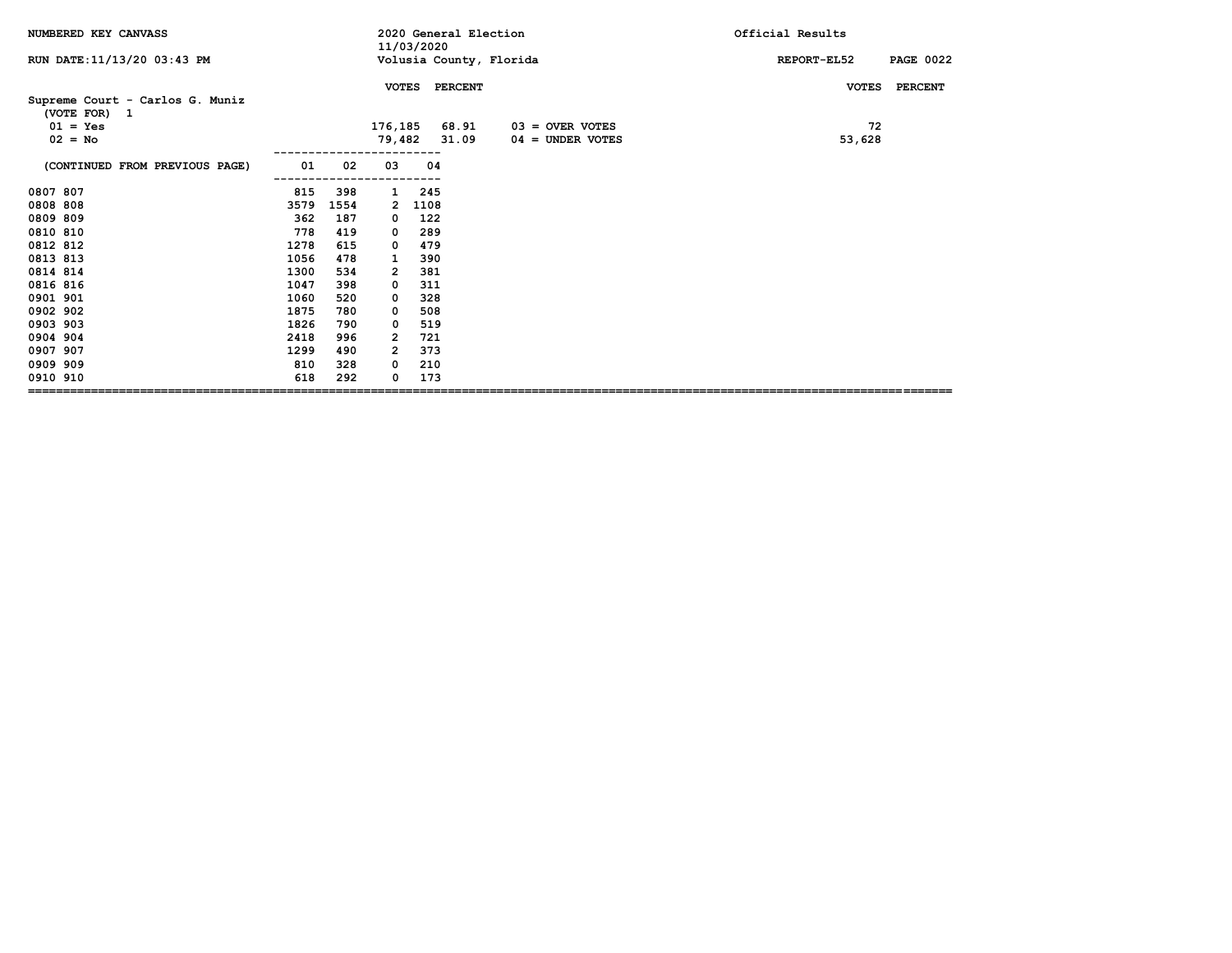| NUMBERED KEY CANVASS                            |      |      |                | 11/03/2020 | 2020 General Election |                         | Official Results                |
|-------------------------------------------------|------|------|----------------|------------|-----------------------|-------------------------|---------------------------------|
| RUN DATE: 11/13/20 03:43 PM                     |      |      |                |            |                       | Volusia County, Florida | REPORT-EL52<br><b>PAGE 0022</b> |
|                                                 |      |      | <b>VOTES</b>   |            | <b>PERCENT</b>        |                         | <b>PERCENT</b><br><b>VOTES</b>  |
| Supreme Court - Carlos G. Muniz<br>(VOTE FOR) 1 |      |      |                |            |                       |                         |                                 |
| $01 = Yes$                                      |      |      | 176,185        |            | 68.91                 | $03 =$ OVER VOTES       | 72                              |
| $02 = No$                                       |      |      | 79,482         |            | 31.09                 | $04 =$ UNDER VOTES      | 53,628                          |
| (CONTINUED FROM PREVIOUS PAGE)                  | 01   | 02   | 03             | 04         |                       |                         |                                 |
| 0807 807                                        | 815  | 398  | 1              | 245        |                       |                         |                                 |
| 0808 808                                        | 3579 | 1554 | $\mathbf{2}$   | 1108       |                       |                         |                                 |
| 0809 809                                        | 362  | 187  | 0              | 122        |                       |                         |                                 |
| 0810 810                                        | 778  | 419  | 0              | 289        |                       |                         |                                 |
| 0812 812                                        | 1278 | 615  | 0              | 479        |                       |                         |                                 |
| 0813 813                                        | 1056 | 478  | 1              | 390        |                       |                         |                                 |
| 0814 814                                        | 1300 | 534  | 2              | 381        |                       |                         |                                 |
| 0816 816                                        | 1047 | 398  | 0              | 311        |                       |                         |                                 |
| 0901 901                                        | 1060 | 520  | 0              | 328        |                       |                         |                                 |
| 0902 902                                        | 1875 | 780  | 0              | 508        |                       |                         |                                 |
| 0903 903                                        | 1826 | 790  | 0              | 519        |                       |                         |                                 |
| 0904 904                                        | 2418 | 996  | 2              | 721        |                       |                         |                                 |
| 0907 907                                        | 1299 | 490  | $\overline{2}$ | 373        |                       |                         |                                 |
| 0909 909                                        | 810  | 328  | 0              | 210        |                       |                         |                                 |
| 0910 910                                        | 618  | 292  | 0              | 173        |                       |                         |                                 |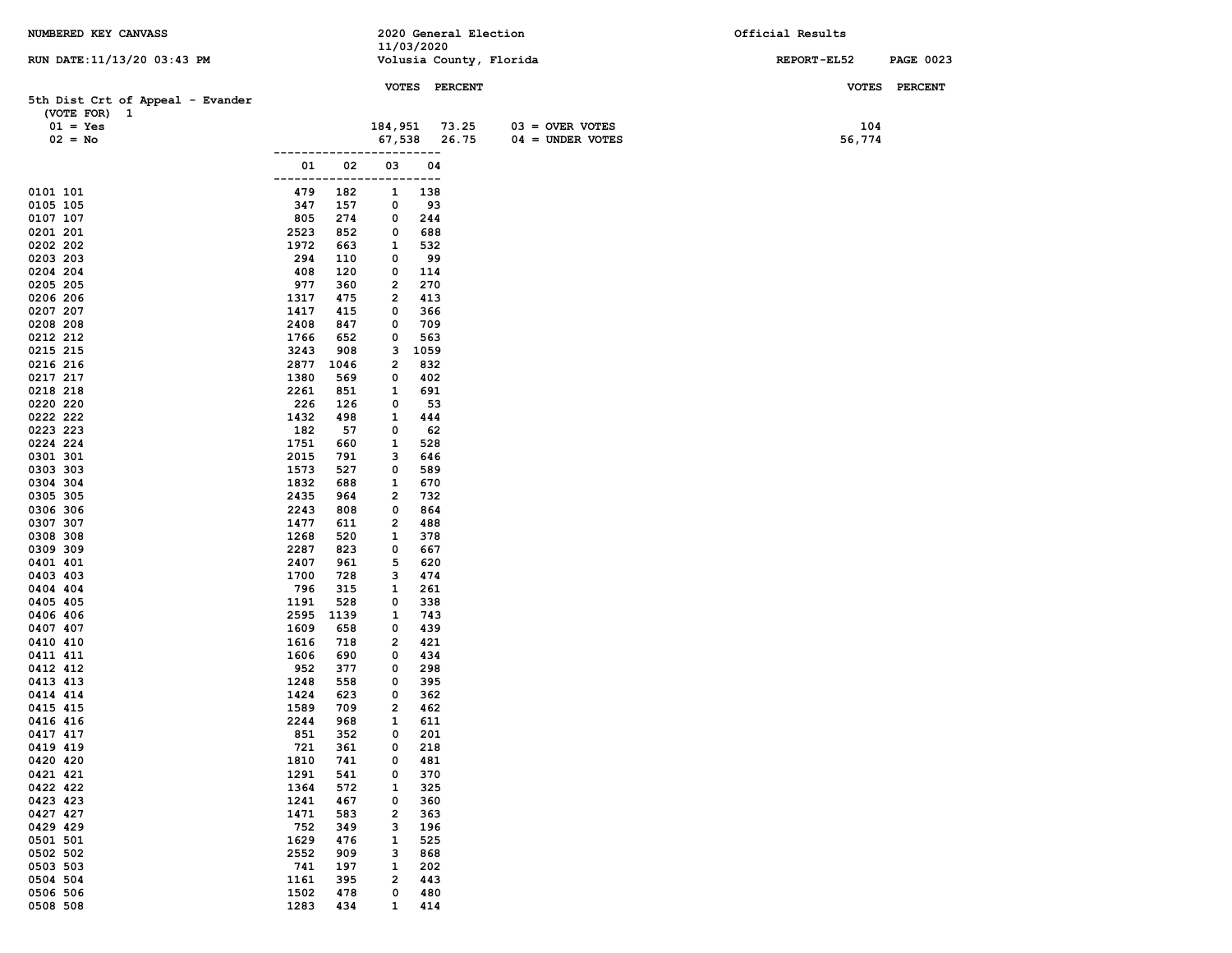| NUMBERED KEY CANVASS             |              |             |              |               | 2020 General Election   |                    | Official Results |                  |
|----------------------------------|--------------|-------------|--------------|---------------|-------------------------|--------------------|------------------|------------------|
|                                  |              |             | 11/03/2020   |               |                         |                    |                  |                  |
| RUN DATE: 11/13/20 03:43 PM      |              |             |              |               | Volusia County, Florida |                    | REPORT-EL52      | <b>PAGE 0023</b> |
|                                  |              |             |              | VOTES PERCENT |                         |                    |                  | VOTES PERCENT    |
| 5th Dist Crt of Appeal - Evander |              |             |              |               |                         |                    |                  |                  |
| (VOTE FOR) 1                     |              |             |              |               |                         |                    |                  |                  |
| $01 = Yes$                       |              |             | 184,951      |               | 73.25                   | $03 =$ OVER VOTES  | 104              |                  |
| $02 = No$                        |              |             | 67,538       | 26.75<br>.    |                         | $04 = UNDER VOTES$ | 56,774           |                  |
|                                  | 01           | 02          | 03           | 04            |                         |                    |                  |                  |
|                                  | ------       |             |              | ---           |                         |                    |                  |                  |
| 0101 101                         | 479          | 182         | $\mathbf{1}$ | 138           |                         |                    |                  |                  |
| 0105 105                         | 347          | 157         | 0            | 93            |                         |                    |                  |                  |
| 0107 107                         | 805          | 274         | 0            | 244           |                         |                    |                  |                  |
| 0201 201                         | 2523         | 852         | 0            | 688           |                         |                    |                  |                  |
| 0202 202<br>0203 203             | 1972<br>294  | 663<br>110  | 1<br>0       | 532<br>99     |                         |                    |                  |                  |
| 0204 204                         | 408          | 120         | 0            | 114           |                         |                    |                  |                  |
| 0205 205                         | 977          | 360         | 2            | 270           |                         |                    |                  |                  |
| 0206 206                         | 1317         | 475         | 2            | 413           |                         |                    |                  |                  |
| 0207 207                         | 1417         | 415         | 0            | 366           |                         |                    |                  |                  |
| 0208 208                         | 2408         | 847         | 0            | 709           |                         |                    |                  |                  |
| 0212 212                         | 1766         | 652         | 0            | 563           |                         |                    |                  |                  |
| 0215 215<br>0216 216             | 3243<br>2877 | 908<br>1046 | з<br>2       | 1059<br>832   |                         |                    |                  |                  |
| 0217 217                         | 1380         | 569         | 0            | 402           |                         |                    |                  |                  |
| 0218 218                         | 2261         | 851         | $\mathbf{1}$ | 691           |                         |                    |                  |                  |
| 0220 220                         | 226          | 126         | 0            | 53            |                         |                    |                  |                  |
| 0222 222                         | 1432         | 498         | 1            | 444           |                         |                    |                  |                  |
| 0223 223                         | 182          | 57          | 0            | 62            |                         |                    |                  |                  |
| 0224 224                         | 1751         | 660         | 1            | 528           |                         |                    |                  |                  |
| 0301 301<br>0303 303             | 2015<br>1573 | 791<br>527  | з<br>0       | 646<br>589    |                         |                    |                  |                  |
| 0304 304                         | 1832         | 688         | 1            | 670           |                         |                    |                  |                  |
| 0305 305                         | 2435         | 964         | 2            | 732           |                         |                    |                  |                  |
| 0306 306                         | 2243         | 808         | 0            | 864           |                         |                    |                  |                  |
| 0307 307                         | 1477         | 611         | 2            | 488           |                         |                    |                  |                  |
| 0308 308                         | 1268         | 520         | 1            | 378           |                         |                    |                  |                  |
| 0309 309                         | 2287         | 823         | 0            | 667           |                         |                    |                  |                  |
| 0401 401<br>0403 403             | 2407<br>1700 | 961<br>728  | 5<br>з       | 620<br>474    |                         |                    |                  |                  |
| 0404 404                         | 796          | 315         | 1            | 261           |                         |                    |                  |                  |
| 0405 405                         | 1191         | 528         | 0            | 338           |                         |                    |                  |                  |
| 0406 406                         | 2595         | 1139        | 1            | 743           |                         |                    |                  |                  |
| 0407 407                         | 1609         | 658         | 0            | 439           |                         |                    |                  |                  |
| 0410 410                         | 1616         | 718         | 2            | 421           |                         |                    |                  |                  |
| 0411 411<br>0412 412             | 1606<br>952  | 690<br>377  | 0<br>0       | 434<br>298    |                         |                    |                  |                  |
| 0413 413                         | 1248         | 558         | 0            | 395           |                         |                    |                  |                  |
| 0414 414                         | 1424         | 623         | 0            | 362           |                         |                    |                  |                  |
| 0415 415                         | 1589         | 709         | 2            | 462           |                         |                    |                  |                  |
| 0416 416                         | 2244         | 968         | $\mathbf{1}$ | 611           |                         |                    |                  |                  |
| 0417 417                         | 851          | 352         | 0            | 201           |                         |                    |                  |                  |
| 0419 419                         | 721          | 361         | 0            | 218           |                         |                    |                  |                  |
| 0420 420<br>0421 421             | 1810<br>1291 | 741<br>541  | 0<br>0       | 481<br>370    |                         |                    |                  |                  |
| 0422 422                         | 1364         | 572         | 1            | 325           |                         |                    |                  |                  |
| 0423 423                         | 1241         | 467         | 0            | 360           |                         |                    |                  |                  |
| 0427 427                         | 1471         | 583         | 2            | 363           |                         |                    |                  |                  |
| 0429 429                         | 752          | 349         | з            | 196           |                         |                    |                  |                  |
| 0501 501                         | 1629         | 476         | 1            | 525           |                         |                    |                  |                  |
| 0502 502<br>0503 503             | 2552<br>741  | 909         | з            | 868           |                         |                    |                  |                  |
| 0504 504                         | 1161         | 197<br>395  | 1<br>2       | 202<br>443    |                         |                    |                  |                  |
| 0506 506                         | 1502         | 478         | 0            | 480           |                         |                    |                  |                  |
| 0508 508                         | 1283         | 434         | 1            | 414           |                         |                    |                  |                  |
|                                  |              |             |              |               |                         |                    |                  |                  |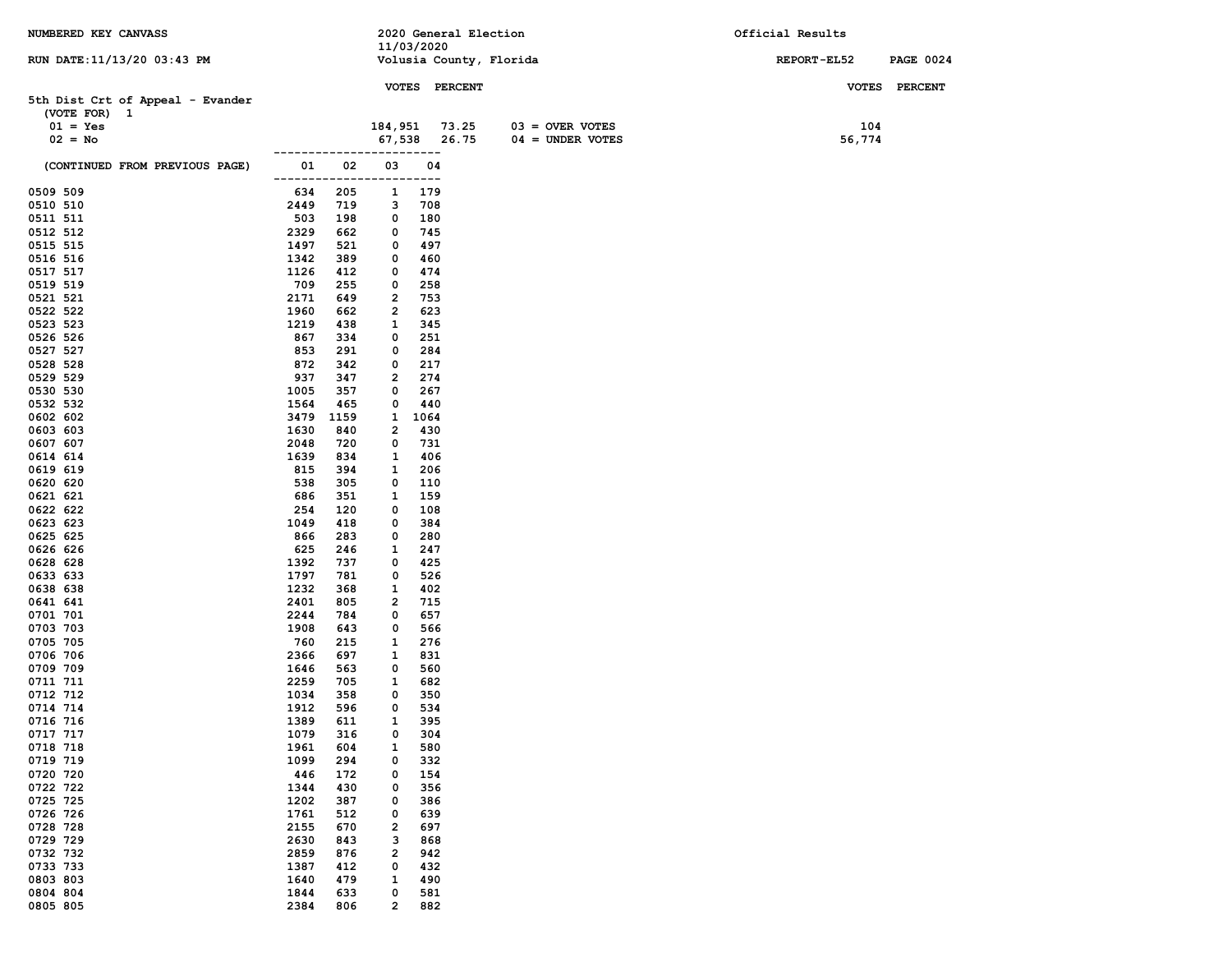| NUMBERED KEY CANVASS             |              |            |                              |               | 2020 General Election   |                    | Official Results   |                  |
|----------------------------------|--------------|------------|------------------------------|---------------|-------------------------|--------------------|--------------------|------------------|
|                                  |              |            | 11/03/2020                   |               |                         |                    |                    |                  |
| RUN DATE: 11/13/20 03:43 PM      |              |            |                              |               | Volusia County, Florida |                    | <b>REPORT-EL52</b> | <b>PAGE 0024</b> |
|                                  |              |            |                              | VOTES PERCENT |                         |                    |                    | VOTES PERCENT    |
| 5th Dist Crt of Appeal - Evander |              |            |                              |               |                         |                    |                    |                  |
| (VOTE FOR) 1                     |              |            |                              |               |                         |                    |                    |                  |
| $01 = Yes$                       |              |            | 184,951                      |               | 73.25                   | $03 =$ OVER VOTES  | 104                |                  |
| $02 = No$                        |              |            | 67,538                       | 26.75         |                         | $04 = UNDER VOTES$ | 56,774             |                  |
|                                  |              |            |                              | ----          |                         |                    |                    |                  |
| (CONTINUED FROM PREVIOUS PAGE)   | 01           | 02         | 03                           | 04            |                         |                    |                    |                  |
|                                  |              |            | ----                         | ----          |                         |                    |                    |                  |
| 0509 509                         | 634          | 205        | 1                            | 179           |                         |                    |                    |                  |
| 0510 510                         | 2449         | 719<br>198 | 3<br>0                       | 708<br>180    |                         |                    |                    |                  |
| 0511 511<br>0512 512             | 503<br>2329  | 662        | 0                            | 745           |                         |                    |                    |                  |
| 0515 515                         | 1497         | 521        | 0                            | 497           |                         |                    |                    |                  |
| 0516 516                         | 1342         | 389        | 0                            | 460           |                         |                    |                    |                  |
| 0517 517                         | 1126         | 412        | 0                            | 474           |                         |                    |                    |                  |
| 0519 519                         | 709          | 255        | 0                            | 258           |                         |                    |                    |                  |
| 0521 521                         | 2171         | 649        | 2                            | 753           |                         |                    |                    |                  |
| 0522 522                         | 1960         | 662        | 2                            | 623           |                         |                    |                    |                  |
| 0523 523                         | 1219         | 438        | 1                            | 345           |                         |                    |                    |                  |
| 0526 526                         | 867          | 334        | 0                            | 251           |                         |                    |                    |                  |
| 0527 527                         | 853          | 291        | 0                            | 284           |                         |                    |                    |                  |
| 0528 528                         | 872          | 342        | 0                            | 217           |                         |                    |                    |                  |
| 0529 529                         | 937<br>1005  | 347<br>357 | 2<br>0                       | 274<br>267    |                         |                    |                    |                  |
| 0530 530<br>0532 532             | 1564         | 465        | 0                            | 440           |                         |                    |                    |                  |
| 0602 602                         | 3479         | 1159       | 1                            | 1064          |                         |                    |                    |                  |
| 0603 603                         | 1630         | 840        | 2                            | 430           |                         |                    |                    |                  |
| 0607 607                         | 2048         | 720        | 0                            | 731           |                         |                    |                    |                  |
| 0614 614                         | 1639         | 834        | 1                            | 406           |                         |                    |                    |                  |
| 0619 619                         | 815          | 394        | 1                            | 206           |                         |                    |                    |                  |
| 0620 620                         | 538          | 305        | 0                            | 110           |                         |                    |                    |                  |
| 0621 621                         | 686          | 351        | 1                            | 159           |                         |                    |                    |                  |
| 0622 622                         | 254          | 120        | 0                            | 108           |                         |                    |                    |                  |
| 0623 623                         | 1049         | 418        | 0                            | 384           |                         |                    |                    |                  |
| 0625 625                         | 866          | 283        | 0                            | 280           |                         |                    |                    |                  |
| 0626 626<br>0628 628             | 625<br>1392  | 246<br>737 | 1<br>0                       | 247<br>425    |                         |                    |                    |                  |
| 0633 633                         | 1797         | 781        | 0                            | 526           |                         |                    |                    |                  |
| 0638 638                         | 1232         | 368        | 1                            | 402           |                         |                    |                    |                  |
| 0641 641                         | 2401         | 805        | $\overline{\mathbf{2}}$      | 715           |                         |                    |                    |                  |
| 0701 701                         | 2244         | 784        | 0                            | 657           |                         |                    |                    |                  |
| 0703 703                         | 1908         | 643        | 0                            | 566           |                         |                    |                    |                  |
| 0705 705                         | 760          | 215        | 1                            | 276           |                         |                    |                    |                  |
| 0706 706                         | 2366         | 697        | 1                            | 831           |                         |                    |                    |                  |
| 0709 709                         | 1646         | 563        | 0                            | 560           |                         |                    |                    |                  |
| 0711 711<br>0712 712             | 2259         | 705        | 1<br>0                       | 682           |                         |                    |                    |                  |
| 0714 714                         | 1034<br>1912 | 358<br>596 | 0                            | 350<br>534    |                         |                    |                    |                  |
| 0716 716                         | 1389         | 611        | $\mathbf{1}$                 | 395           |                         |                    |                    |                  |
| 0717 717                         | 1079         | 316        | 0                            | 304           |                         |                    |                    |                  |
| 0718 718                         | 1961         | 604        | 1                            | 580           |                         |                    |                    |                  |
| 0719 719                         | 1099         | 294        | 0                            | 332           |                         |                    |                    |                  |
| 0720 720                         | 446          | 172        | 0                            | 154           |                         |                    |                    |                  |
| 0722 722                         | 1344         | 430        | 0                            | 356           |                         |                    |                    |                  |
| 0725 725                         | 1202         | 387        | 0                            | 386           |                         |                    |                    |                  |
| 0726 726                         | 1761         | 512        | 0                            | 639           |                         |                    |                    |                  |
| 0728 728                         | 2155         | 670        | 2                            | 697           |                         |                    |                    |                  |
| 0729 729<br>0732 732             | 2630<br>2859 | 843<br>876 | з<br>$\overline{\mathbf{2}}$ | 868           |                         |                    |                    |                  |
| 0733 733                         | 1387         | 412        | 0                            | 942<br>432    |                         |                    |                    |                  |
| 0803 803                         | 1640         | 479        | 1                            | 490           |                         |                    |                    |                  |
| 0804 804                         | 1844         | 633        | 0                            | 581           |                         |                    |                    |                  |
| 0805 805                         | 2384         | 806        | $\overline{\mathbf{2}}$      | 882           |                         |                    |                    |                  |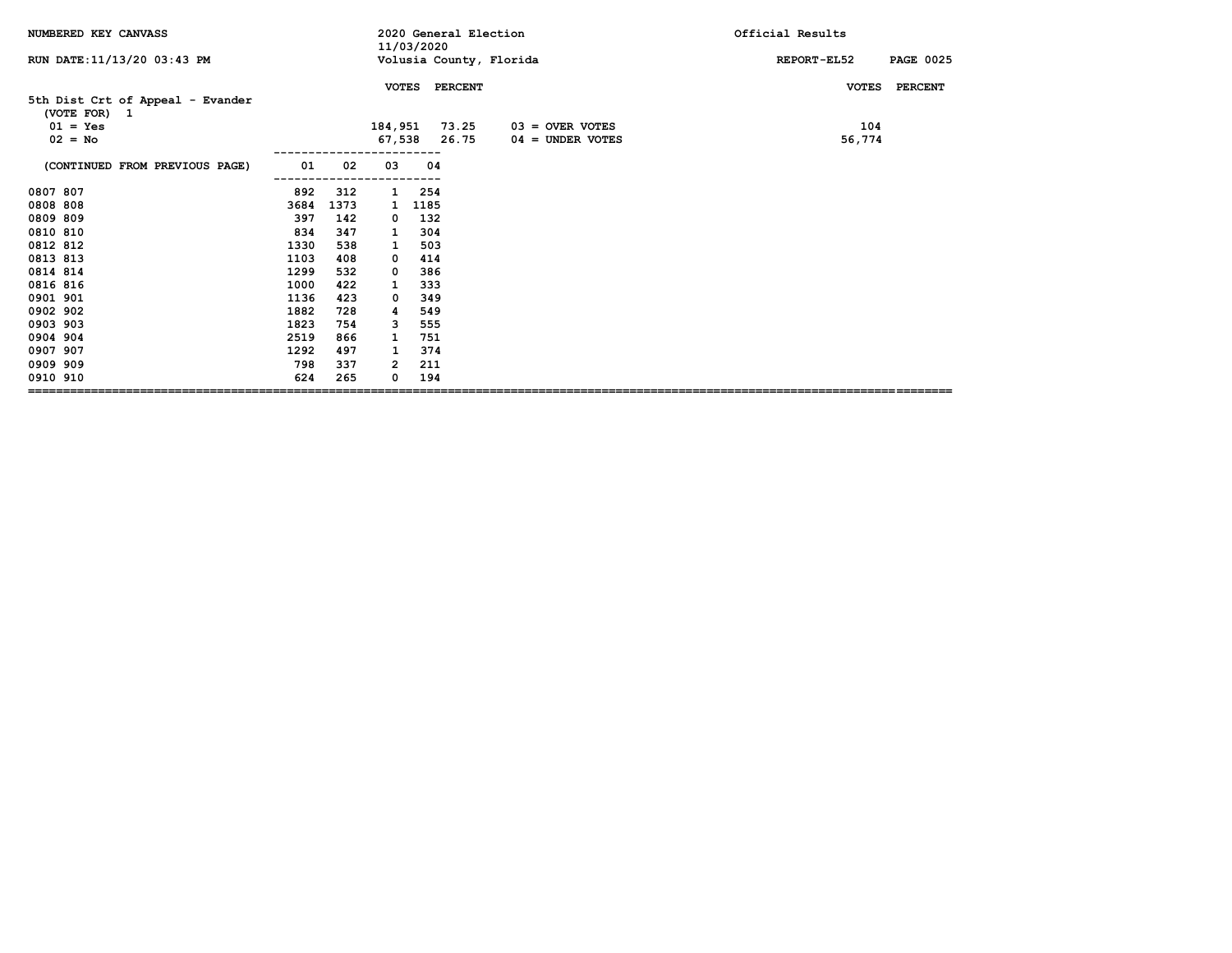| NUMBERED KEY CANVASS                             |      |      |              | 11/03/2020 | 2020 General Election |                         | Official Results                |
|--------------------------------------------------|------|------|--------------|------------|-----------------------|-------------------------|---------------------------------|
| RUN DATE: 11/13/20 03:43 PM                      |      |      |              |            |                       | Volusia County, Florida | REPORT-EL52<br><b>PAGE 0025</b> |
|                                                  |      |      | <b>VOTES</b> |            | <b>PERCENT</b>        |                         | <b>PERCENT</b><br><b>VOTES</b>  |
| 5th Dist Crt of Appeal - Evander<br>(VOTE FOR) 1 |      |      |              |            |                       |                         |                                 |
| $01 = Yes$<br>$02 = No$                          |      |      | 184,951      |            | 73.25<br>26.75        | $03 =$ OVER VOTES       | 104                             |
|                                                  |      |      |              | 67,538     |                       | $04 =$ UNDER VOTES      | 56,774                          |
| (CONTINUED FROM PREVIOUS PAGE)                   | 01   | 02   | 03           | 04         |                       |                         |                                 |
| 0807 807                                         | 892  | 312  | 1            | 254        |                       |                         |                                 |
| 0808 808                                         | 3684 | 1373 | 1            | 1185       |                       |                         |                                 |
| 0809 809                                         | 397  | 142  | 0            | 132        |                       |                         |                                 |
| 0810 810                                         | 834  | 347  | 1            | 304        |                       |                         |                                 |
| 0812 812                                         | 1330 | 538  | 1            | 503        |                       |                         |                                 |
| 0813 813                                         | 1103 | 408  | 0            | 414        |                       |                         |                                 |
| 0814 814                                         | 1299 | 532  | 0            | 386        |                       |                         |                                 |
| 0816 816                                         | 1000 | 422  | 1            | 333        |                       |                         |                                 |
| 0901 901                                         | 1136 | 423  | 0            | 349        |                       |                         |                                 |
| 0902 902                                         | 1882 | 728  | 4            | 549        |                       |                         |                                 |
| 0903 903                                         | 1823 | 754  | 3            | 555        |                       |                         |                                 |
| 0904 904                                         | 2519 | 866  | 1            | 751        |                       |                         |                                 |
| 0907 907                                         | 1292 | 497  | 1            | 374        |                       |                         |                                 |
| 0909 909                                         | 798  | 337  | 2            | 211        |                       |                         |                                 |
| 0910 910                                         | 624  | 265  | 0            | 194        |                       |                         |                                 |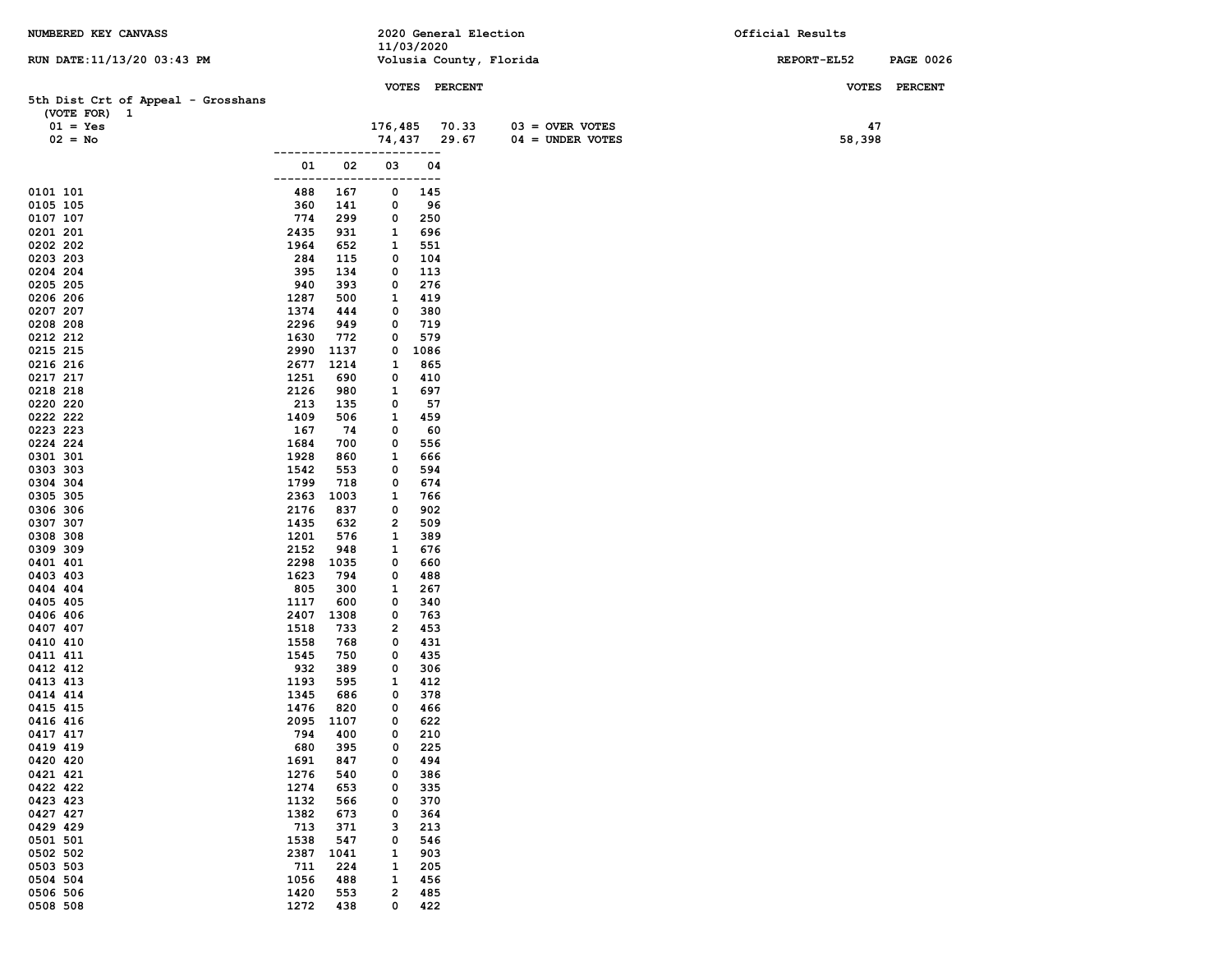| NUMBERED KEY CANVASS               |              |             |                | 2020 General Election |                         | Official Results |                  |
|------------------------------------|--------------|-------------|----------------|-----------------------|-------------------------|------------------|------------------|
| RUN DATE: 11/13/20 03:43 PM        |              |             |                | 11/03/2020            | Volusia County, Florida | REPORT-EL52      | <b>PAGE 0026</b> |
|                                    |              |             |                |                       |                         |                  |                  |
|                                    |              |             |                | VOTES PERCENT         |                         |                  | VOTES PERCENT    |
| 5th Dist Crt of Appeal - Grosshans |              |             |                |                       |                         |                  |                  |
| (VOTE FOR) 1<br>$01 = Yes$         |              |             | 176,485        | 70.33                 | $03 =$ OVER VOTES       | 47               |                  |
| $02 = No$                          |              |             | 74,437         | 29.67                 | $04 = UNDER VOTES$      | 58,398           |                  |
|                                    |              |             |                | $---$                 |                         |                  |                  |
|                                    | 01           | 02          | 03             | 04                    |                         |                  |                  |
|                                    | -----        |             |                | ---                   |                         |                  |                  |
| 0101 101                           | 488          | 167         | 0              | 145                   |                         |                  |                  |
| 0105 105                           | 360<br>774   | 141         | 0              | 96<br>250             |                         |                  |                  |
| 0107 107<br>0201 201               | 2435         | 299<br>931  | 0<br>1         | 696                   |                         |                  |                  |
| 0202 202                           | 1964         | 652         | 1              | 551                   |                         |                  |                  |
| 0203 203                           | 284          | 115         | 0              | 104                   |                         |                  |                  |
| 0204 204                           | 395          | 134         | 0              | 113                   |                         |                  |                  |
| 0205 205                           | 940          | 393         | 0              | 276                   |                         |                  |                  |
| 0206 206                           | 1287         | 500         | 1              | 419                   |                         |                  |                  |
| 0207 207                           | 1374         | 444         | 0              | 380                   |                         |                  |                  |
| 0208 208<br>0212 212               | 2296<br>1630 | 949<br>772  | 0<br>0         | 719<br>579            |                         |                  |                  |
| 0215 215                           | 2990         | 1137        | 0              | 1086                  |                         |                  |                  |
| 0216 216                           | 2677         | 1214        | 1              | 865                   |                         |                  |                  |
| 0217 217                           | 1251         | 690         | 0              | 410                   |                         |                  |                  |
| 0218 218                           | 2126         | 980         | 1              | 697                   |                         |                  |                  |
| 0220 220                           | 213          | 135         | 0              | 57                    |                         |                  |                  |
| 0222 222                           | 1409         | 506         | 1              | 459                   |                         |                  |                  |
| 0223 223<br>0224 224               | 167<br>1684  | 74<br>700   | 0<br>0         | 60<br>556             |                         |                  |                  |
| 0301 301                           | 1928         | 860         | 1              | 666                   |                         |                  |                  |
| 0303 303                           | 1542         | 553         | 0              | 594                   |                         |                  |                  |
| 0304 304                           | 1799         | 718         | 0              | 674                   |                         |                  |                  |
| 0305 305                           | 2363         | 1003        | 1              | 766                   |                         |                  |                  |
| 0306 306                           | 2176         | 837         | 0              | 902                   |                         |                  |                  |
| 0307 307                           | 1435         | 632         | 2              | 509                   |                         |                  |                  |
| 0308 308<br>0309 309               | 1201<br>2152 | 576<br>948  | 1<br>1         | 389<br>676            |                         |                  |                  |
| 0401 401                           | 2298         | 1035        | 0              | 660                   |                         |                  |                  |
| 0403 403                           | 1623         | 794         | 0              | 488                   |                         |                  |                  |
| 0404 404                           | 805          | 300         | 1              | 267                   |                         |                  |                  |
| 0405 405                           | 1117         | 600         | 0              | 340                   |                         |                  |                  |
| 0406 406                           | 2407         | 1308        | 0              | 763                   |                         |                  |                  |
| 0407 407                           | 1518         | 733         | 2              | 453                   |                         |                  |                  |
| 0410 410<br>0411 411               | 1558<br>1545 | 768<br>750  | 0<br>0         | 431<br>435            |                         |                  |                  |
| 0412 412                           | 932          | 389         | 0              | 306                   |                         |                  |                  |
| 0413 413                           | 1193         | 595         | 1              | 412                   |                         |                  |                  |
| 0414 414                           | 1345         | 686         | 0              | 378                   |                         |                  |                  |
| 0415 415                           | 1476         | 820         | 0              | 466                   |                         |                  |                  |
| 0416 416                           |              | 2095 1107   | 0              | 622                   |                         |                  |                  |
| 0417 417<br>0419 419               | 794<br>680   | 400<br>395  | 0<br>0         | 210<br>225            |                         |                  |                  |
| 0420 420                           | 1691         | 847         | 0              | 494                   |                         |                  |                  |
| 0421 421                           | 1276         | 540         | 0              | 386                   |                         |                  |                  |
| 0422 422                           | 1274         | 653         | 0              | 335                   |                         |                  |                  |
| 0423 423                           | 1132         | 566         | 0              | 370                   |                         |                  |                  |
| 0427 427                           | 1382         | 673         | 0              | 364                   |                         |                  |                  |
| 0429 429                           | 713          | 371         | з              | 213                   |                         |                  |                  |
| 0501 501<br>0502 502               | 1538<br>2387 | 547<br>1041 | 0<br>1         | 546<br>903            |                         |                  |                  |
| 0503 503                           | 711          | 224         | 1              | 205                   |                         |                  |                  |
| 0504 504                           | 1056         | 488         | 1              | 456                   |                         |                  |                  |
| 0506 506                           | 1420         | 553         | $\overline{2}$ | 485                   |                         |                  |                  |
| 0508 508                           | 1272         | 438         | 0              | 422                   |                         |                  |                  |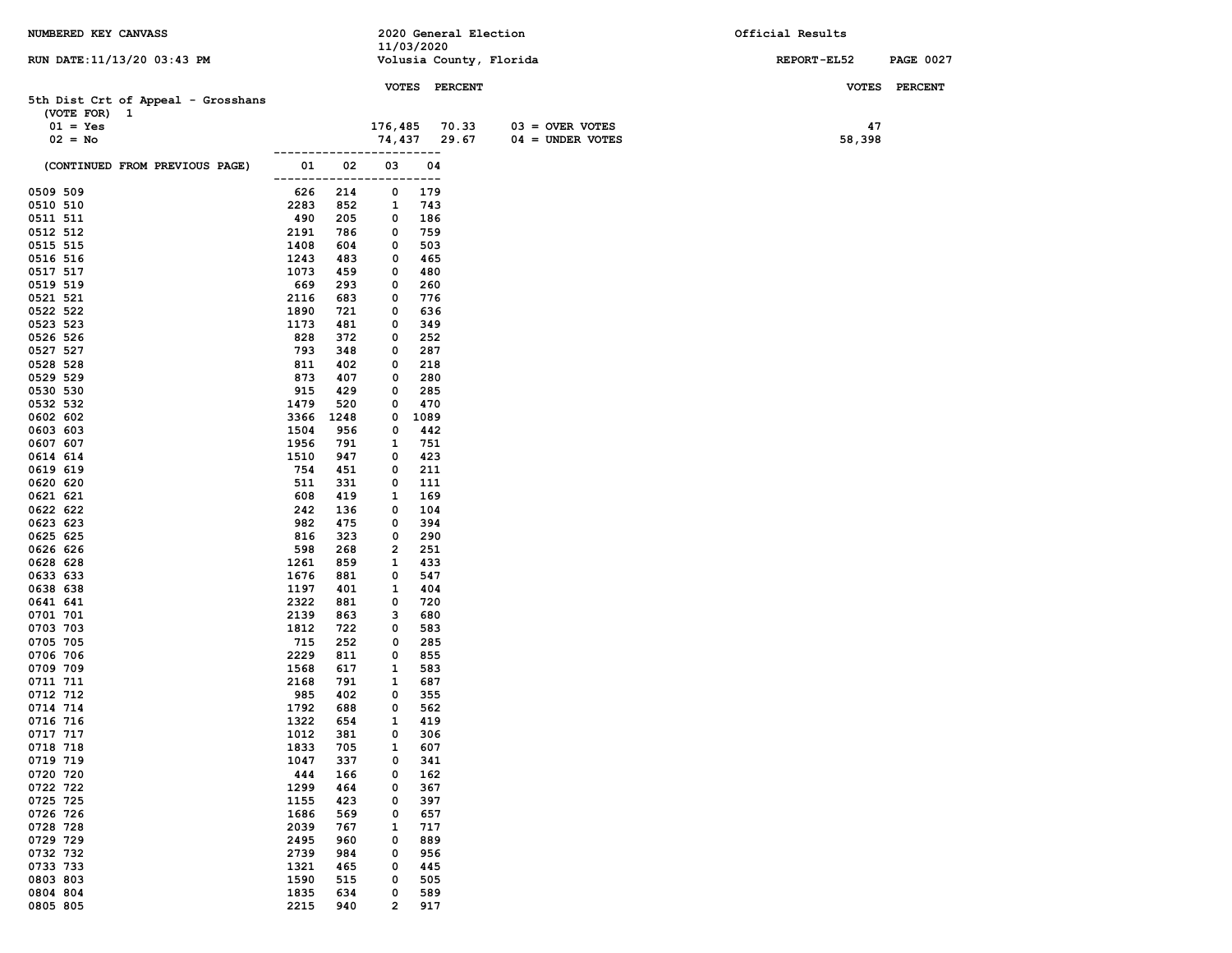| NUMBERED KEY CANVASS               |               |             |              |               | 2020 General Election |                         | Official Results |                  |
|------------------------------------|---------------|-------------|--------------|---------------|-----------------------|-------------------------|------------------|------------------|
| RUN DATE: 11/13/20 03:43 PM        |               |             |              | 11/03/2020    |                       | Volusia County, Florida | REPORT-EL52      | <b>PAGE 0027</b> |
|                                    |               |             |              |               |                       |                         |                  |                  |
|                                    |               |             |              | VOTES PERCENT |                       |                         |                  | VOTES PERCENT    |
| 5th Dist Crt of Appeal - Grosshans |               |             |              |               |                       |                         |                  |                  |
| (VOTE FOR) 1<br>$01 = Yes$         |               |             | 176,485      |               | 70.33                 | $03 =$ OVER VOTES       | 47               |                  |
| $02 = No$                          |               |             | 74,437       |               | 29.67                 | $04 =$ UNDER VOTES      | 58,398           |                  |
|                                    |               |             |              | $---$         |                       |                         |                  |                  |
| (CONTINUED FROM PREVIOUS PAGE)     | 01<br>------- | 02<br>----- | 03           | 04<br>---     |                       |                         |                  |                  |
| 0509 509                           | 626           | 214         | 0            | 179           |                       |                         |                  |                  |
| 0510 510                           | 2283          | 852         | 1            | 743           |                       |                         |                  |                  |
| 0511 511<br>0512 512               | 490<br>2191   | 205<br>786  | 0<br>0       | 186<br>759    |                       |                         |                  |                  |
| 0515 515                           | 1408          | 604         | 0            | 503           |                       |                         |                  |                  |
| 0516 516                           | 1243          | 483         | 0            | 465           |                       |                         |                  |                  |
| 0517 517                           | 1073          | 459         | 0            | 480           |                       |                         |                  |                  |
| 0519 519                           | 669           | 293         | 0            | 260           |                       |                         |                  |                  |
| 0521 521                           | 2116          | 683         | 0            | 776           |                       |                         |                  |                  |
| 0522 522                           | 1890          | 721         | 0            | 636           |                       |                         |                  |                  |
| 0523 523                           | 1173          | 481         | 0            | 349           |                       |                         |                  |                  |
| 0526 526                           | 828           | 372         | 0            | 252           |                       |                         |                  |                  |
| 0527 527                           | 793           | 348         | 0            | 287           |                       |                         |                  |                  |
| 0528 528                           | 811           | 402         | 0            | 218           |                       |                         |                  |                  |
| 0529 529<br>0530 530               | 873<br>915    | 407<br>429  | 0<br>0       | 280<br>285    |                       |                         |                  |                  |
| 0532 532                           | 1479          | 520         | 0            | 470           |                       |                         |                  |                  |
| 0602 602                           | 3366          | 1248        | 0            | 1089          |                       |                         |                  |                  |
| 0603 603                           | 1504          | 956         | 0            | 442           |                       |                         |                  |                  |
| 0607 607                           | 1956          | 791         | 1            | 751           |                       |                         |                  |                  |
| 0614 614                           | 1510          | 947         | 0            | 423           |                       |                         |                  |                  |
| 0619 619                           | 754           | 451         | 0            | 211           |                       |                         |                  |                  |
| 0620 620<br>0621 621               | 511<br>608    | 331<br>419  | 0<br>1       | 111<br>169    |                       |                         |                  |                  |
| 0622 622                           | 242           | 136         | 0            | 104           |                       |                         |                  |                  |
| 0623 623                           | 982           | 475         | 0            | 394           |                       |                         |                  |                  |
| 0625 625                           | 816           | 323         | 0            | 290           |                       |                         |                  |                  |
| 0626 626                           | 598           | 268         | 2            | 251           |                       |                         |                  |                  |
| 0628 628                           | 1261          | 859         | 1            | 433           |                       |                         |                  |                  |
| 0633 633                           | 1676          | 881         | 0            | 547           |                       |                         |                  |                  |
| 0638 638<br>0641 641               | 1197<br>2322  | 401<br>881  | 1<br>0       | 404<br>720    |                       |                         |                  |                  |
| 0701 701                           | 2139          | 863         | з            | 680           |                       |                         |                  |                  |
| 0703 703                           | 1812          | 722         | 0            | 583           |                       |                         |                  |                  |
| 0705 705                           | 715           | 252         | 0            | 285           |                       |                         |                  |                  |
| 0706 706                           | 2229          | 811         | 0            | 855           |                       |                         |                  |                  |
| 0709 709                           | 1568          | 617         | 1            | 583           |                       |                         |                  |                  |
| 0711 711                           | 2168          | 791         | 1            | 687           |                       |                         |                  |                  |
| 0712 712<br>0714 714               | 985<br>1792   | 402<br>688  | 0<br>0       | 355<br>562    |                       |                         |                  |                  |
| 0716 716                           | 1322          | 654         | $\mathbf{1}$ | 419           |                       |                         |                  |                  |
| 0717 717                           | 1012          | 381         | 0            | 306           |                       |                         |                  |                  |
| 0718 718                           | 1833          | 705         | 1            | 607           |                       |                         |                  |                  |
| 0719 719                           | 1047          | 337         | 0            | 341           |                       |                         |                  |                  |
| 0720 720                           | 444           | 166         | 0            | 162           |                       |                         |                  |                  |
| 0722 722<br>0725 725               | 1299          | 464         | 0            | 367           |                       |                         |                  |                  |
| 0726 726                           | 1155<br>1686  | 423<br>569  | 0<br>0       | 397<br>657    |                       |                         |                  |                  |
| 0728 728                           | 2039          | 767         | 1            | 717           |                       |                         |                  |                  |
| 0729 729                           | 2495          | 960         | 0            | 889           |                       |                         |                  |                  |
| 0732 732                           | 2739          | 984         | 0            | 956           |                       |                         |                  |                  |
| 0733 733                           | 1321          | 465         | 0            | 445           |                       |                         |                  |                  |
| 0803 803                           | 1590          | 515         | 0            | 505           |                       |                         |                  |                  |
| 0804 804                           | 1835          | 634         | 0            | 589           |                       |                         |                  |                  |
| 0805 805                           | 2215          | 940         | 2            | 917           |                       |                         |                  |                  |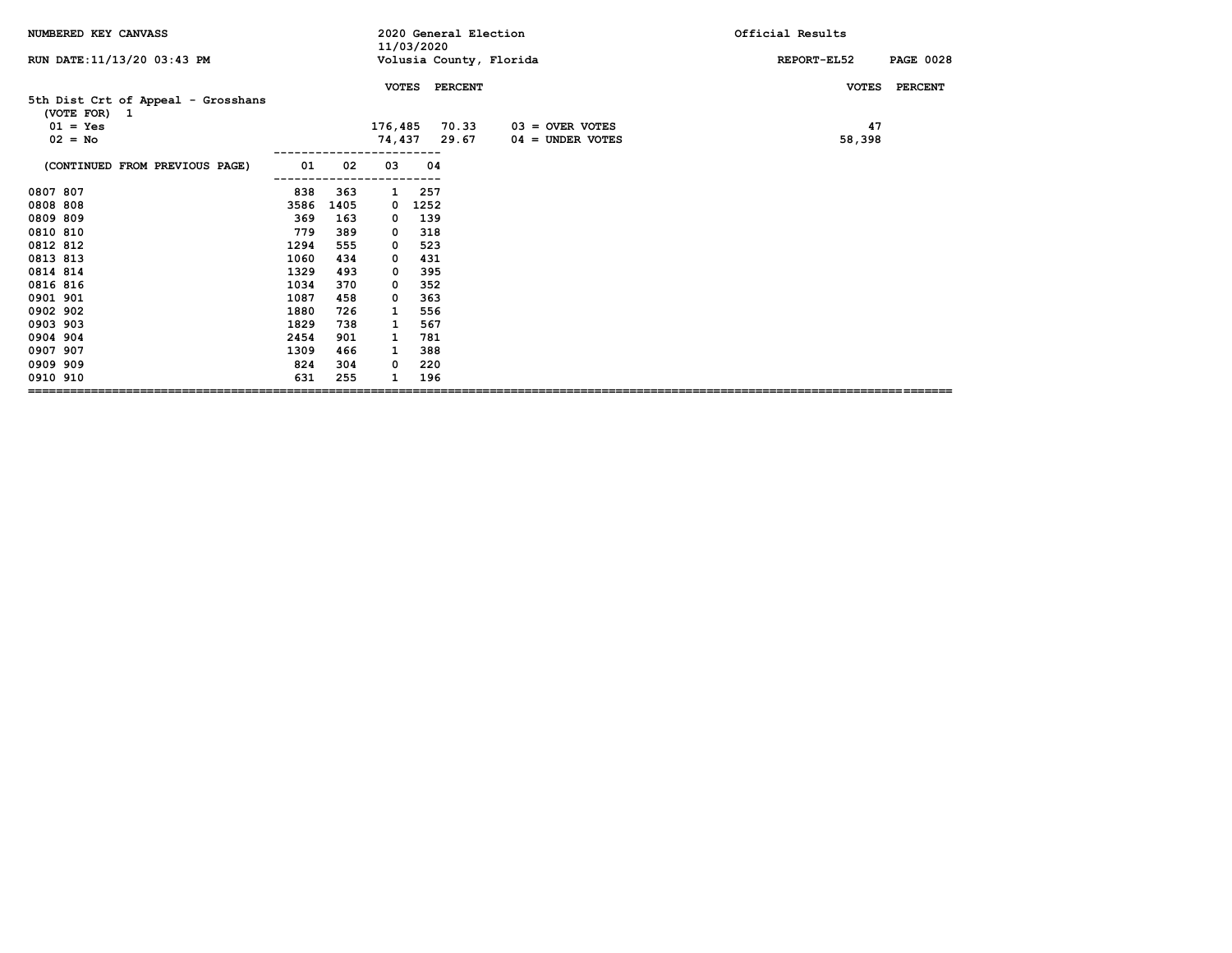| NUMBERED KEY CANVASS                                                          |      |      |              | 11/03/2020 | 2020 General Election |                                         | Official Results                |
|-------------------------------------------------------------------------------|------|------|--------------|------------|-----------------------|-----------------------------------------|---------------------------------|
| RUN DATE: 11/13/20 03:43 PM                                                   |      |      |              |            |                       | Volusia County, Florida                 | REPORT-EL52<br><b>PAGE 0028</b> |
|                                                                               |      |      | <b>VOTES</b> |            | <b>PERCENT</b>        |                                         | <b>PERCENT</b><br><b>VOTES</b>  |
| 5th Dist Crt of Appeal - Grosshans<br>(VOTE FOR) 1<br>$01 = Yes$<br>$02 = No$ |      |      | 176,485      |            | 70.33<br>74,437 29.67 | $03 =$ OVER VOTES<br>$04 =$ UNDER VOTES | 47<br>58,398                    |
| (CONTINUED FROM PREVIOUS PAGE)                                                | 01   | 02   | 03           | 04         |                       |                                         |                                 |
| 0807 807                                                                      | 838  | 363  | $\mathbf{1}$ | 257        |                       |                                         |                                 |
| 0808 808                                                                      | 3586 | 1405 | 0            | 1252       |                       |                                         |                                 |
| 0809 809                                                                      | 369  | 163  | 0            | 139        |                       |                                         |                                 |
| 0810 810                                                                      | 779  | 389  | 0            | 318        |                       |                                         |                                 |
| 0812 812                                                                      | 1294 | 555  | 0            | 523        |                       |                                         |                                 |
| 0813 813                                                                      | 1060 | 434  | 0            | 431        |                       |                                         |                                 |
| 0814 814                                                                      | 1329 | 493  | 0            | 395        |                       |                                         |                                 |
| 0816 816                                                                      | 1034 | 370  | 0            | 352        |                       |                                         |                                 |
| 0901 901                                                                      | 1087 | 458  | 0            | 363        |                       |                                         |                                 |
| 0902 902                                                                      | 1880 | 726  | 1            | 556        |                       |                                         |                                 |
| 0903 903                                                                      | 1829 | 738  | 1            | 567        |                       |                                         |                                 |
| 0904 904                                                                      | 2454 | 901  | 1            | 781        |                       |                                         |                                 |
| 0907 907                                                                      | 1309 | 466  | 1            | 388        |                       |                                         |                                 |
| 0909 909                                                                      | 824  | 304  | 0            | 220        |                       |                                         |                                 |
| 0910 910                                                                      | 631  | 255  |              | 196        |                       |                                         |                                 |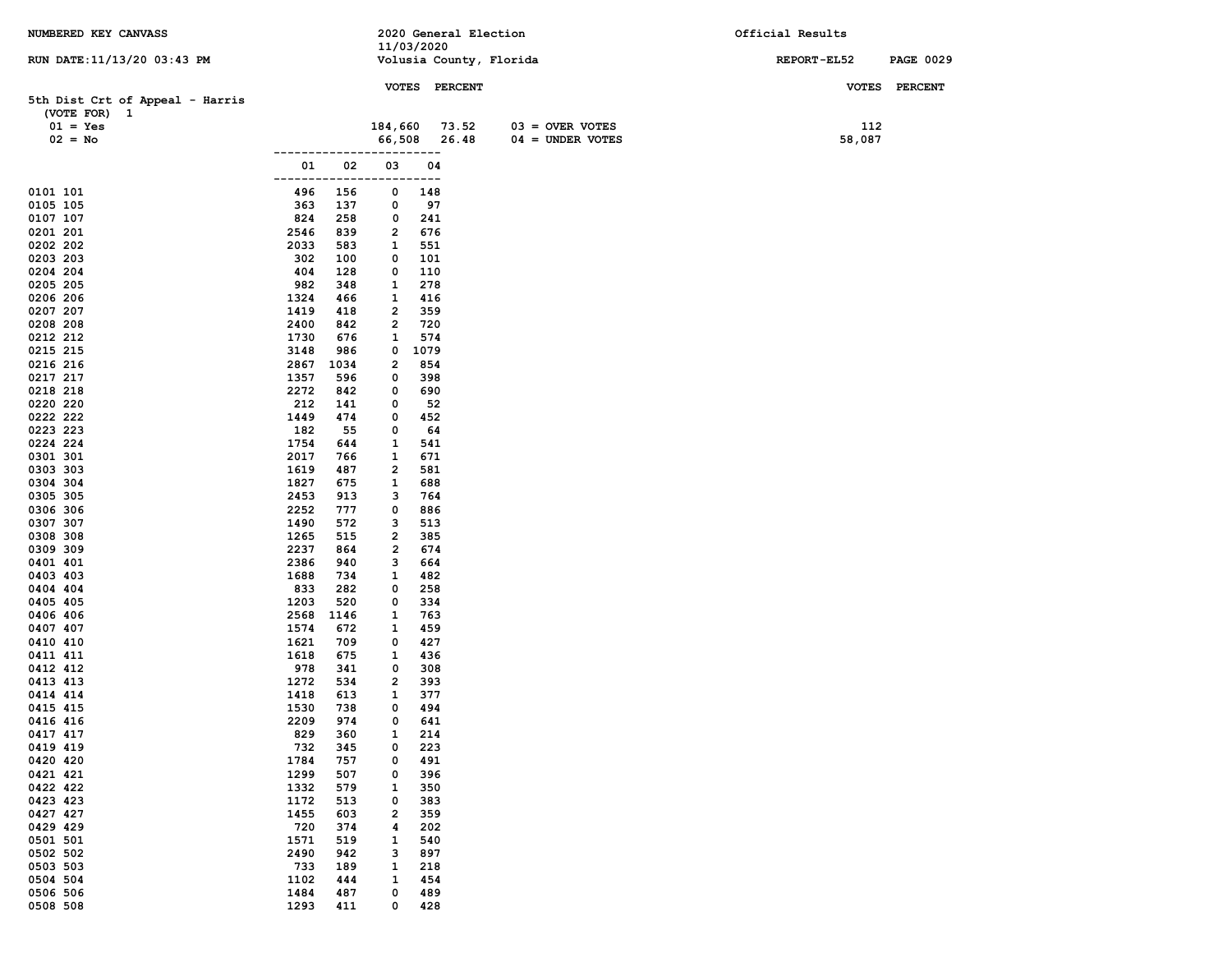| NUMBERED KEY CANVASS            |              |            |                         | 11/03/2020 | 2020 General Election |                         | Official Results |                  |
|---------------------------------|--------------|------------|-------------------------|------------|-----------------------|-------------------------|------------------|------------------|
| RUN DATE: 11/13/20 03:43 PM     |              |            |                         |            |                       | Volusia County, Florida | REPORT-EL52      | <b>PAGE 0029</b> |
|                                 |              |            |                         |            |                       |                         |                  |                  |
| 5th Dist Crt of Appeal - Harris |              |            |                         |            | VOTES PERCENT         |                         |                  | VOTES PERCENT    |
| (VOTE FOR) 1                    |              |            |                         |            |                       |                         |                  |                  |
| $01 = Yes$                      |              |            | 184,660                 |            | 73.52                 | $03 =$ OVER VOTES       | 112              |                  |
| $02 = No$                       |              |            | 66,508                  |            | 26.48                 | $04 = UNDER VOTES$      | 58,087           |                  |
|                                 | 01           | 02         | 03                      | ---        |                       |                         |                  |                  |
|                                 |              |            |                         | 04<br>---  |                       |                         |                  |                  |
| 0101 101                        | 496          | 156        | 0                       | 148        |                       |                         |                  |                  |
| 0105 105                        | 363          | 137        | 0                       | 97         |                       |                         |                  |                  |
| 0107 107                        | 824          | 258        | 0                       | 241        |                       |                         |                  |                  |
| 0201 201                        | 2546         | 839        | $\overline{\mathbf{2}}$ | 676        |                       |                         |                  |                  |
| 0202 202<br>0203 203            | 2033<br>302  | 583<br>100 | 1<br>0                  | 551<br>101 |                       |                         |                  |                  |
| 0204 204                        | 404          | 128        | 0                       | 110        |                       |                         |                  |                  |
| 0205 205                        | 982          | 348        | 1                       | 278        |                       |                         |                  |                  |
| 0206 206                        | 1324         | 466        | 1                       | 416        |                       |                         |                  |                  |
| 0207 207                        | 1419         | 418        | 2                       | 359        |                       |                         |                  |                  |
| 0208 208<br>0212 212            | 2400<br>1730 | 842<br>676 | 2<br>1                  | 720<br>574 |                       |                         |                  |                  |
| 0215 215                        | 3148         | 986        | 0                       | 1079       |                       |                         |                  |                  |
| 0216 216                        | 2867         | 1034       | 2                       | 854        |                       |                         |                  |                  |
| 0217 217                        | 1357         | 596        | 0                       | 398        |                       |                         |                  |                  |
| 0218 218                        | 2272         | 842        | 0                       | 690        |                       |                         |                  |                  |
| 0220 220<br>0222 222            | 212<br>1449  | 141<br>474 | 0<br>0                  | 52         |                       |                         |                  |                  |
| 0223 223                        | 182          | 55         | 0                       | 452<br>64  |                       |                         |                  |                  |
| 0224 224                        | 1754         | 644        | 1                       | 541        |                       |                         |                  |                  |
| 0301 301                        | 2017         | 766        | 1                       | 671        |                       |                         |                  |                  |
| 0303 303                        | 1619         | 487        | $\overline{\mathbf{2}}$ | 581        |                       |                         |                  |                  |
| 0304 304                        | 1827         | 675        | $\mathbf{1}$            | 688        |                       |                         |                  |                  |
| 0305 305<br>0306 306            | 2453<br>2252 | 913<br>777 | з<br>0                  | 764<br>886 |                       |                         |                  |                  |
| 0307 307                        | 1490         | 572        | з                       | 513        |                       |                         |                  |                  |
| 0308 308                        | 1265         | 515        | 2                       | 385        |                       |                         |                  |                  |
| 0309 309                        | 2237         | 864        | 2                       | 674        |                       |                         |                  |                  |
| 0401 401                        | 2386         | 940        | з                       | 664        |                       |                         |                  |                  |
| 0403 403<br>0404 404            | 1688<br>833  | 734<br>282 | 1<br>0                  | 482<br>258 |                       |                         |                  |                  |
| 0405 405                        | 1203         | 520        | 0                       | 334        |                       |                         |                  |                  |
| 0406 406                        | 2568         | 1146       | 1                       | 763        |                       |                         |                  |                  |
| 0407 407                        | 1574         | 672        | 1                       | 459        |                       |                         |                  |                  |
| 0410 410                        | 1621         | 709        | 0                       | 427        |                       |                         |                  |                  |
| 0411 411<br>0412 412            | 1618<br>978  | 675<br>341 | 1<br>0                  | 436<br>308 |                       |                         |                  |                  |
| 0413 413                        | 1272         | 534        | 2                       | 393        |                       |                         |                  |                  |
| 0414 414                        | 1418         | 613        | 1                       | 377        |                       |                         |                  |                  |
| 0415 415                        | 1530         | 738        | 0                       | 494        |                       |                         |                  |                  |
| 0416 416                        | 2209         | 974        | 0                       | 641        |                       |                         |                  |                  |
| 0417 417<br>0419 419            | 829<br>732   | 360<br>345 | $\mathbf{1}$<br>0       | 214<br>223 |                       |                         |                  |                  |
| 0420 420                        | 1784         | 757        | 0                       | 491        |                       |                         |                  |                  |
| 0421 421                        | 1299         | 507        | 0                       | 396        |                       |                         |                  |                  |
| 0422 422                        | 1332         | 579        | 1                       | 350        |                       |                         |                  |                  |
| 0423 423                        | 1172         | 513        | 0                       | 383        |                       |                         |                  |                  |
| 0427 427<br>0429 429            | 1455<br>720  | 603        | 2                       | 359        |                       |                         |                  |                  |
| 0501 501                        | 1571         | 374<br>519 | 4<br>1                  | 202<br>540 |                       |                         |                  |                  |
| 0502 502                        | 2490         | 942        | з                       | 897        |                       |                         |                  |                  |
| 0503 503                        | 733          | 189        | $\mathbf{1}$            | 218        |                       |                         |                  |                  |
| 0504 504                        | 1102         | 444        | 1                       | 454        |                       |                         |                  |                  |
| 0506 506                        | 1484         | 487        | 0                       | 489        |                       |                         |                  |                  |
| 0508 508                        | 1293         | 411        | 0                       | 428        |                       |                         |                  |                  |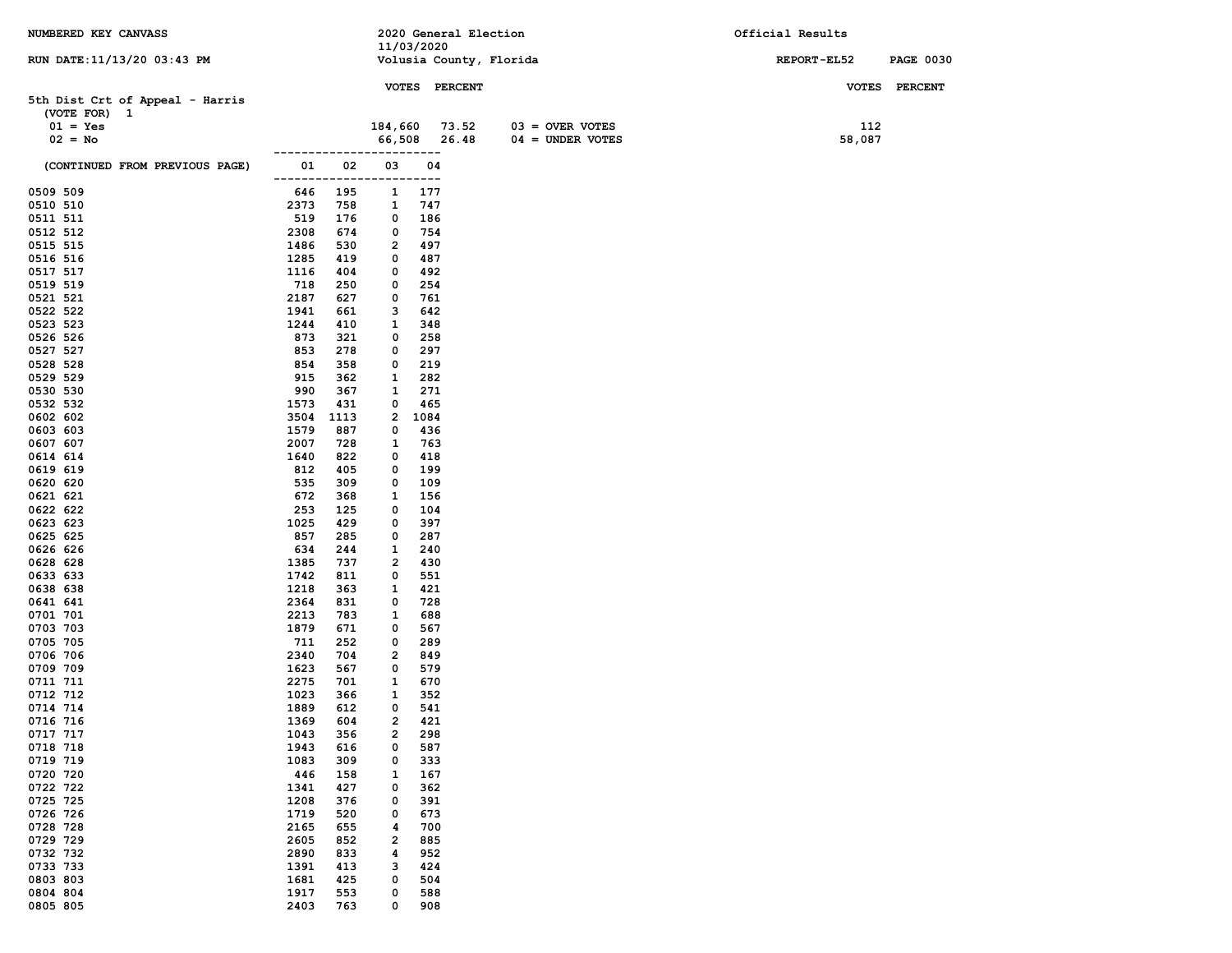| NUMBERED KEY CANVASS                            |                |            |                     |             | 2020 General Election   |                    | Official Results   |                  |
|-------------------------------------------------|----------------|------------|---------------------|-------------|-------------------------|--------------------|--------------------|------------------|
| RUN DATE: 11/13/20 03:43 PM                     |                |            | 11/03/2020          |             | Volusia County, Florida |                    | <b>REPORT-EL52</b> | <b>PAGE 0030</b> |
|                                                 |                |            |                     |             |                         |                    |                    |                  |
|                                                 |                |            |                     |             | VOTES PERCENT           |                    |                    | VOTES PERCENT    |
| 5th Dist Crt of Appeal - Harris<br>(VOTE FOR) 1 |                |            |                     |             |                         |                    |                    |                  |
| $01 = Yes$                                      |                |            | 184,660 73.52       |             |                         | $03 =$ OVER VOTES  | 112                |                  |
| $02 = No$                                       |                |            | 66,508              |             | 26.48                   | $04 =$ UNDER VOTES | 58,087             |                  |
|                                                 |                |            |                     | ----        |                         |                    |                    |                  |
| (CONTINUED FROM PREVIOUS PAGE)                  | 01             | 02         | 03                  | 04          |                         |                    |                    |                  |
| 0509 509                                        | -------<br>646 | 195        | 1                   | ----<br>177 |                         |                    |                    |                  |
| 0510 510                                        | 2373           | 758        | 1                   | 747         |                         |                    |                    |                  |
| 0511 511                                        | 519            | 176        | 0                   | 186         |                         |                    |                    |                  |
| 0512 512                                        | 2308           | 674        | 0                   | 754         |                         |                    |                    |                  |
| 0515 515                                        | 1486           | 530        | 2                   | 497         |                         |                    |                    |                  |
| 0516 516                                        | 1285           | 419        | 0                   | 487         |                         |                    |                    |                  |
| 0517 517                                        | 1116           | 404        | 0                   | 492         |                         |                    |                    |                  |
| 0519 519<br>0521 521                            | 718<br>2187    | 250<br>627 | 0<br>0              | 254<br>761  |                         |                    |                    |                  |
| 0522 522                                        | 1941           | 661        | 3                   | 642         |                         |                    |                    |                  |
| 0523 523                                        | 1244           | 410        | 1                   | 348         |                         |                    |                    |                  |
| 0526 526                                        | 873            | 321        | 0                   | 258         |                         |                    |                    |                  |
| 0527 527                                        | 853            | 278        | 0                   | 297         |                         |                    |                    |                  |
| 0528 528                                        | 854            | 358        | 0                   | 219         |                         |                    |                    |                  |
| 0529 529                                        | 915            | 362        | 1                   | 282         |                         |                    |                    |                  |
| 0530 530<br>0532 532                            | 990<br>1573    | 367<br>431 | 1<br>0              | 271<br>465  |                         |                    |                    |                  |
| 0602 602                                        | 3504           | 1113       | 2                   | 1084        |                         |                    |                    |                  |
| 0603 603                                        | 1579           | 887        | 0                   | 436         |                         |                    |                    |                  |
| 0607 607                                        | 2007           | 728        | 1                   | 763         |                         |                    |                    |                  |
| 0614 614                                        | 1640           | 822        | 0                   | 418         |                         |                    |                    |                  |
| 0619 619                                        | 812            | 405        | 0                   | 199         |                         |                    |                    |                  |
| 0620 620                                        | 535            | 309        | 0                   | 109         |                         |                    |                    |                  |
| 0621 621<br>0622 622                            | 672<br>253     | 368        | 1<br>0              | 156         |                         |                    |                    |                  |
| 0623 623                                        | 1025           | 125<br>429 | 0                   | 104<br>397  |                         |                    |                    |                  |
| 0625 625                                        | 857            | 285        | 0                   | 287         |                         |                    |                    |                  |
| 0626 626                                        | 634            | 244        | 1                   | 240         |                         |                    |                    |                  |
| 0628 628                                        | 1385           | 737        | 2                   | 430         |                         |                    |                    |                  |
| 0633 633                                        | 1742           | 811        | 0                   | 551         |                         |                    |                    |                  |
| 0638 638                                        | 1218           | 363        | 1                   | 421         |                         |                    |                    |                  |
| 0641 641<br>0701 701                            | 2364<br>2213   | 831<br>783 | 0<br>1              | 728<br>688  |                         |                    |                    |                  |
| 0703 703                                        | 1879           | 671        | 0                   | 567         |                         |                    |                    |                  |
| 0705 705                                        | 711            | 252        | 0                   | 289         |                         |                    |                    |                  |
| 0706 706                                        | 2340           | 704        | 2                   | 849         |                         |                    |                    |                  |
| 0709 709                                        | 1623           | 567        | 0                   | 579         |                         |                    |                    |                  |
| 0711 711                                        | 2275           | 701        | 1                   | 670         |                         |                    |                    |                  |
| 0712 712                                        | 1023           | 366        | 1                   | 352         |                         |                    |                    |                  |
| 0714 714<br>0716 716                            | 1889<br>1369   | 612<br>604 | 0<br>$\overline{2}$ | 541<br>421  |                         |                    |                    |                  |
| 0717 717                                        | 1043           | 356        | 2                   | 298         |                         |                    |                    |                  |
| 0718 718                                        | 1943           | 616        | 0                   | 587         |                         |                    |                    |                  |
| 0719 719                                        | 1083           | 309        | 0                   | 333         |                         |                    |                    |                  |
| 0720 720                                        | 446            | 158        | 1                   | 167         |                         |                    |                    |                  |
| 0722 722                                        | 1341           | 427        | 0                   | 362         |                         |                    |                    |                  |
| 0725 725<br>0726 726                            | 1208<br>1719   | 376<br>520 | 0<br>0              | 391<br>673  |                         |                    |                    |                  |
| 0728 728                                        | 2165           | 655        | 4                   | 700         |                         |                    |                    |                  |
| 0729 729                                        | 2605           | 852        | 2                   | 885         |                         |                    |                    |                  |
| 0732 732                                        | 2890           | 833        | 4                   | 952         |                         |                    |                    |                  |
| 0733 733                                        | 1391           | 413        | з                   | 424         |                         |                    |                    |                  |
| 0803 803                                        | 1681           | 425        | 0                   | 504         |                         |                    |                    |                  |
| 0804 804                                        | 1917           | 553        | 0                   | 588         |                         |                    |                    |                  |
| 0805 805                                        | 2403           | 763        | 0                   | 908         |                         |                    |                    |                  |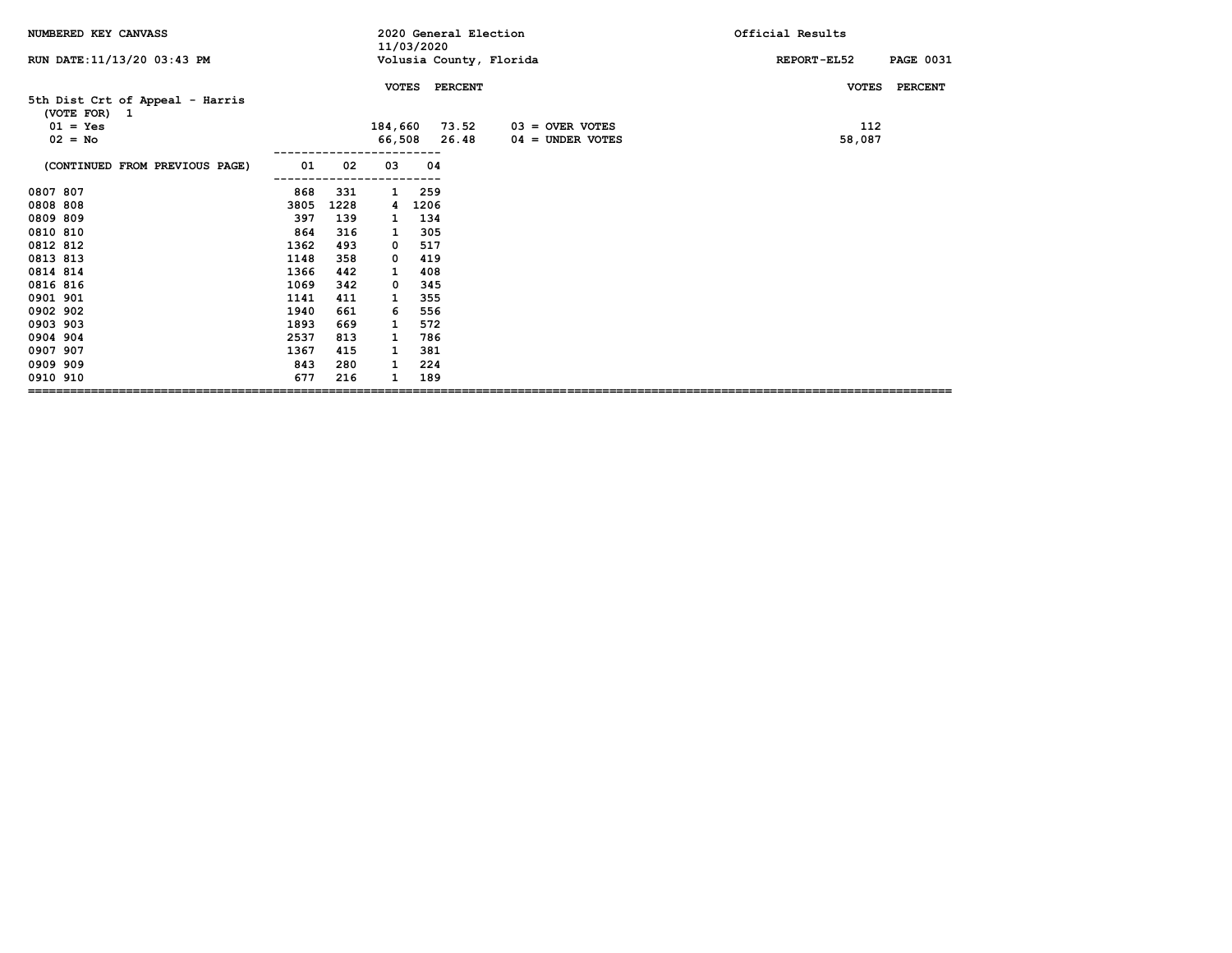| NUMBERED KEY CANVASS                            |      |      |              | 11/03/2020 | 2020 General Election |                         | Official Results                |
|-------------------------------------------------|------|------|--------------|------------|-----------------------|-------------------------|---------------------------------|
| RUN DATE: 11/13/20 03:43 PM                     |      |      |              |            |                       | Volusia County, Florida | REPORT-EL52<br><b>PAGE 0031</b> |
|                                                 |      |      | <b>VOTES</b> |            | <b>PERCENT</b>        |                         | <b>PERCENT</b><br><b>VOTES</b>  |
| 5th Dist Crt of Appeal - Harris<br>(VOTE FOR) 1 |      |      |              |            |                       |                         |                                 |
| $01 = Yes$                                      |      |      | 184,660      |            | 73.52                 | $03 =$ OVER VOTES       | 112                             |
| $02 = No$                                       |      |      |              | 66,508     | 26.48                 | $04 =$ UNDER VOTES      | 58,087                          |
| (CONTINUED FROM PREVIOUS PAGE)                  | 01   | 02   | 03           | 04         |                       |                         |                                 |
| 0807 807                                        | 868  | 331  | 1            | 259        |                       |                         |                                 |
| 0808 808                                        | 3805 | 1228 | 4            | 1206       |                       |                         |                                 |
| 0809 809                                        | 397  | 139  | 1            | 134        |                       |                         |                                 |
| 0810 810                                        | 864  | 316  | 1            | 305        |                       |                         |                                 |
| 0812 812                                        | 1362 | 493  | 0            | 517        |                       |                         |                                 |
| 0813 813                                        | 1148 | 358  | 0            | 419        |                       |                         |                                 |
| 0814 814                                        | 1366 | 442  | 1            | 408        |                       |                         |                                 |
| 0816 816                                        | 1069 | 342  | 0            | 345        |                       |                         |                                 |
| 0901 901                                        | 1141 | 411  | 1            | 355        |                       |                         |                                 |
| 0902 902                                        | 1940 | 661  | 6            | 556        |                       |                         |                                 |
| 0903 903                                        | 1893 | 669  | 1            | 572        |                       |                         |                                 |
| 0904 904                                        | 2537 | 813  | 1            | 786        |                       |                         |                                 |
| 0907 907                                        | 1367 | 415  | 1            | 381        |                       |                         |                                 |
| 0909 909                                        | 843  | 280  | 1            | 224        |                       |                         |                                 |
| 0910 910                                        | 677  | 216  | 1            | 189        |                       |                         |                                 |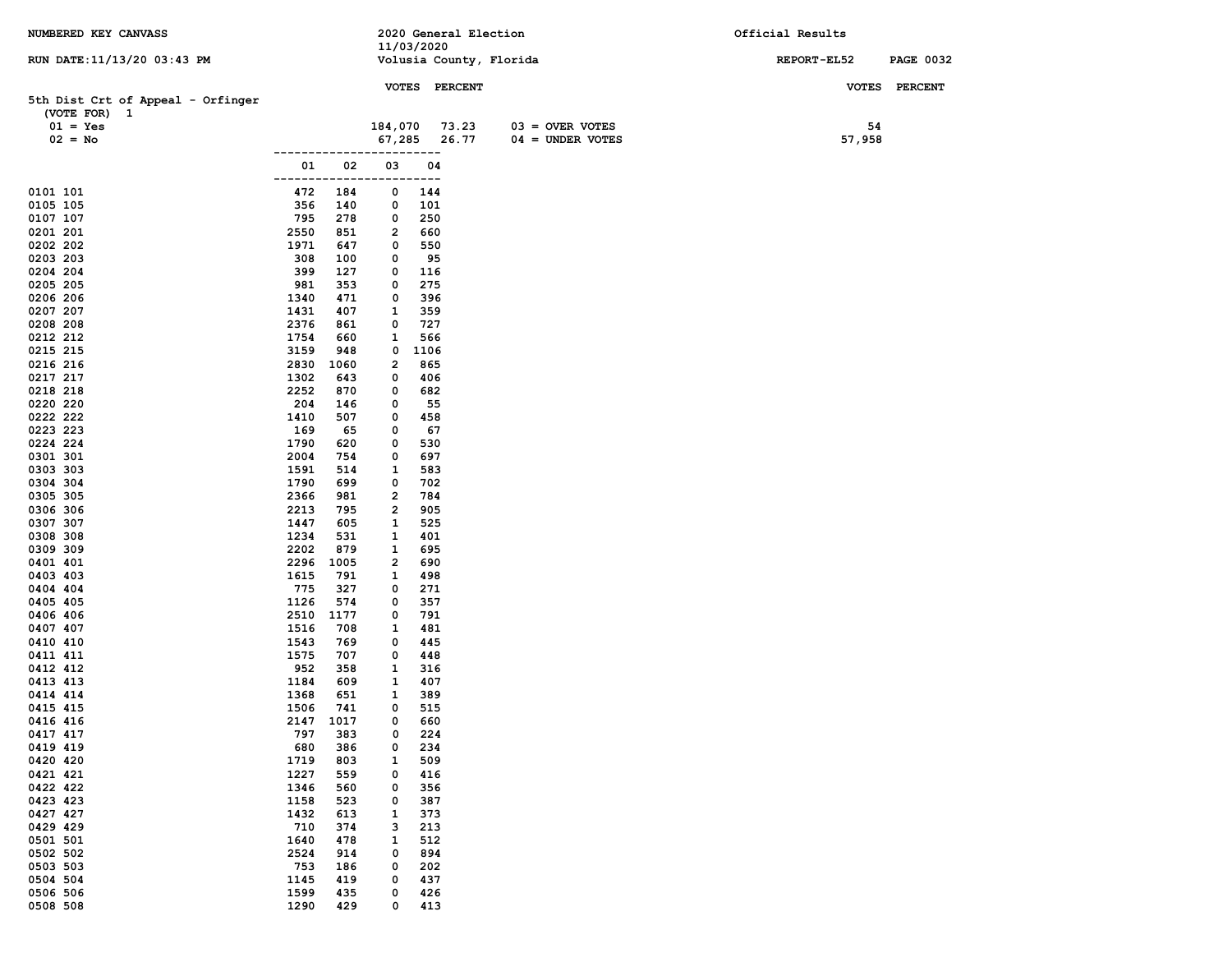| NUMBERED KEY CANVASS              |                            |            | 2020 General Election   |                    | Official Results                |
|-----------------------------------|----------------------------|------------|-------------------------|--------------------|---------------------------------|
| RUN DATE: 11/13/20 03:43 PM       |                            | 11/03/2020 | Volusia County, Florida |                    | REPORT-EL52<br><b>PAGE 0032</b> |
|                                   |                            |            |                         |                    |                                 |
|                                   |                            |            | VOTES PERCENT           |                    | <b>VOTES</b><br><b>PERCENT</b>  |
| 5th Dist Crt of Appeal - Orfinger |                            |            |                         |                    |                                 |
| (VOTE FOR) 1<br>$01 = Yes$        |                            | 184,070    | 73.23                   | $03 =$ OVER VOTES  | 54                              |
| $02 = No$                         |                            | 67,285     | 26.77                   | $04 =$ UNDER VOTES | 57,958                          |
|                                   |                            |            | ---                     |                    |                                 |
|                                   | 01<br>02                   | 03         | 04                      |                    |                                 |
|                                   | ------                     |            | ---                     |                    |                                 |
| 0101 101                          | 472<br>184                 | 0          | 144                     |                    |                                 |
| 0105 105<br>0107 107              | 356<br>140<br>795<br>278   | 0<br>0     | 101<br>250              |                    |                                 |
| 0201 201                          | 2550<br>851                | 2          | 660                     |                    |                                 |
| 0202 202                          | 1971<br>647                | 0          | 550                     |                    |                                 |
| 0203 203                          | 308<br>100                 | 0          | 95                      |                    |                                 |
| 0204 204                          | 399<br>127                 | 0          | 116                     |                    |                                 |
| 0205 205                          | 981<br>353                 | 0          | 275                     |                    |                                 |
| 0206 206<br>0207 207              | 1340<br>471<br>1431<br>407 | 0<br>1     | 396<br>359              |                    |                                 |
| 0208 208                          | 2376<br>861                | 0          | 727                     |                    |                                 |
| 0212 212                          | 1754<br>660                | 1          | 566                     |                    |                                 |
| 0215 215                          | 3159<br>948                | 0          | 1106                    |                    |                                 |
| 0216 216                          | 2830<br>1060               | 2          | 865                     |                    |                                 |
| 0217 217                          | 1302<br>643                | 0          | 406                     |                    |                                 |
| 0218 218                          | 2252<br>870                | 0          | 682                     |                    |                                 |
| 0220 220<br>0222 222              | 204<br>146<br>1410<br>507  | 0<br>0     | 55<br>458               |                    |                                 |
| 0223 223                          | 169<br>65                  | 0          | 67                      |                    |                                 |
| 0224 224                          | 1790<br>620                | 0          | 530                     |                    |                                 |
| 0301 301                          | 2004<br>754                | 0          | 697                     |                    |                                 |
| 0303 303                          | 1591<br>514                | 1          | 583                     |                    |                                 |
| 0304 304                          | 1790<br>699                | 0          | 702                     |                    |                                 |
| 0305 305<br>0306 306              | 2366<br>981<br>2213        | 2<br>2     | 784<br>905              |                    |                                 |
| 0307 307                          | 795<br>1447<br>605         | 1          | 525                     |                    |                                 |
| 0308 308                          | 1234<br>531                | 1          | 401                     |                    |                                 |
| 0309 309                          | 2202<br>879                | 1          | 695                     |                    |                                 |
| 0401 401                          | 2296<br>1005               | 2          | 690                     |                    |                                 |
| 0403 403                          | 1615<br>791                | 1          | 498                     |                    |                                 |
| 0404 404<br>0405 405              | 775<br>327<br>1126<br>574  | 0<br>0     | 271<br>357              |                    |                                 |
| 0406 406                          | 2510<br>1177               | 0          | 791                     |                    |                                 |
| 0407 407                          | 1516<br>708                | 1          | 481                     |                    |                                 |
| 0410 410                          | 1543<br>769                | 0          | 445                     |                    |                                 |
| 0411 411                          | 1575<br>707                | 0          | 448                     |                    |                                 |
| 0412 412                          | 952<br>358                 | 1          | 316                     |                    |                                 |
| 0413 413<br>0414 414              | 1184<br>609<br>1368<br>651 | 1<br>1     | 407<br>389              |                    |                                 |
| 0415 415                          | 1506<br>741                | 0          | 515                     |                    |                                 |
| 0416 416                          | 2147<br>1017               | 0          | 660                     |                    |                                 |
| 0417 417                          | 797<br>383                 | 0          | 224                     |                    |                                 |
| 0419 419                          | 680<br>386                 | 0          | 234                     |                    |                                 |
| 0420 420<br>0421 421              | 1719<br>803<br>1227<br>559 | 1<br>0     | 509<br>416              |                    |                                 |
| 0422 422                          | 1346<br>560                | 0          | 356                     |                    |                                 |
| 0423 423                          | 1158<br>523                | 0          | 387                     |                    |                                 |
| 0427 427                          | 1432<br>613                | 1          | 373                     |                    |                                 |
| 0429 429                          | 710<br>374                 | з          | 213                     |                    |                                 |
| 0501 501                          | 1640<br>478                | 1          | 512                     |                    |                                 |
| 0502 502<br>0503 503              | 2524<br>914<br>753<br>186  | 0<br>0     | 894<br>202              |                    |                                 |
| 0504 504                          | 1145<br>419                | 0          | 437                     |                    |                                 |
| 0506 506                          | 1599<br>435                | 0          | 426                     |                    |                                 |
| 0508 508                          | 1290<br>429                | 0          | 413                     |                    |                                 |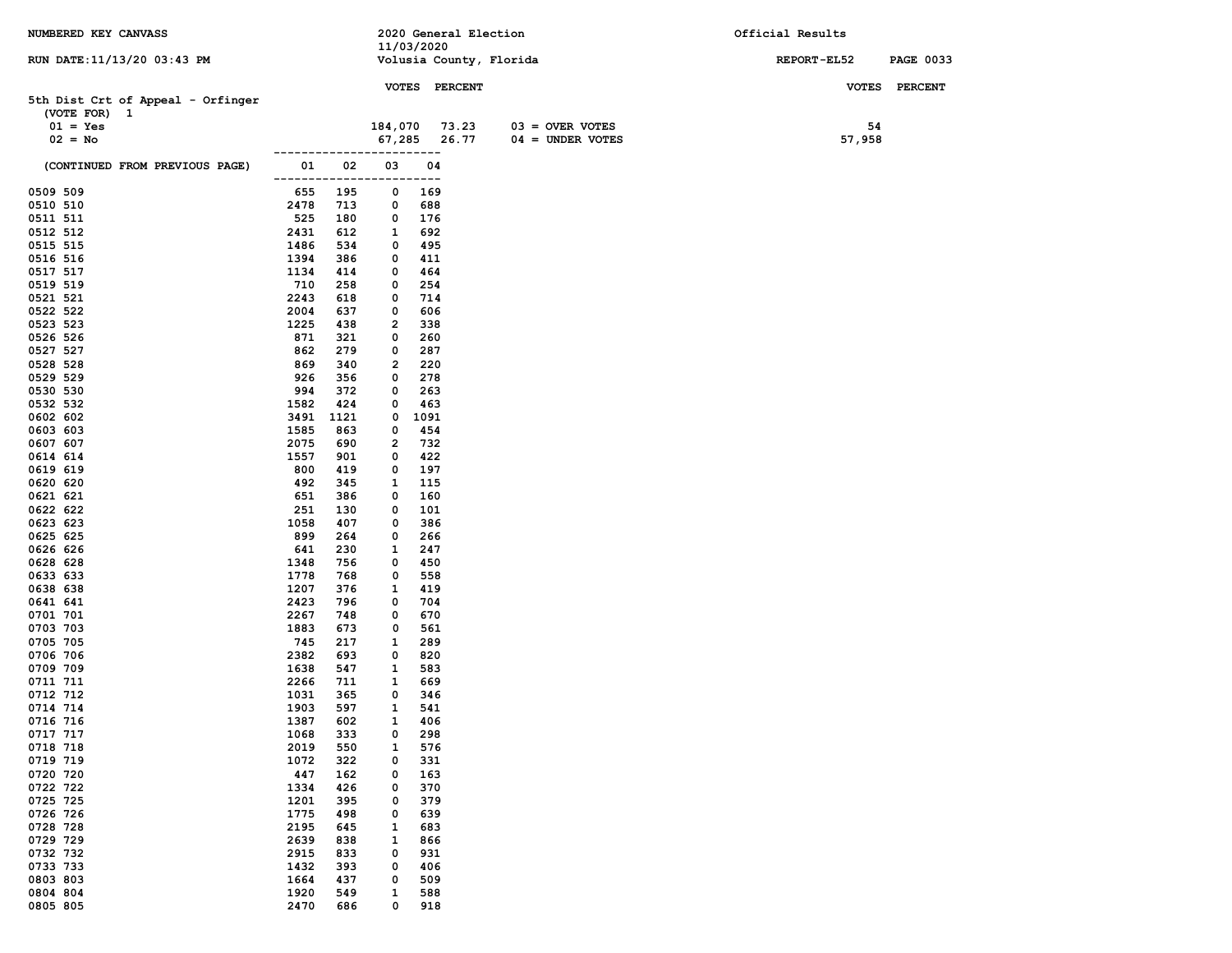| NUMBERED KEY CANVASS              |              |             |               |               | 2020 General Election   |                    | Official Results   |                  |
|-----------------------------------|--------------|-------------|---------------|---------------|-------------------------|--------------------|--------------------|------------------|
|                                   |              |             |               | 11/03/2020    |                         |                    |                    |                  |
| RUN DATE: 11/13/20 03:43 PM       |              |             |               |               | Volusia County, Florida |                    | <b>REPORT-EL52</b> | <b>PAGE 0033</b> |
|                                   |              |             |               | VOTES PERCENT |                         |                    |                    | <b>PERCENT</b>   |
| 5th Dist Crt of Appeal - Orfinger |              |             |               |               |                         |                    | <b>VOTES</b>       |                  |
| (VOTE FOR) 1                      |              |             |               |               |                         |                    |                    |                  |
| $01 = Yes$                        |              |             | 184,070 73.23 |               |                         | $03 =$ OVER VOTES  | 54                 |                  |
| $02 = No$                         |              |             |               | 67,285 26.77  |                         | $04 =$ UNDER VOTES | 57,958             |                  |
|                                   |              |             |               | $---$         |                         |                    |                    |                  |
| (CONTINUED FROM PREVIOUS PAGE)    | 01           | 02          | 03            | 04<br>---     |                         |                    |                    |                  |
| 0509 509                          | 655          | 195         | 0             | 169           |                         |                    |                    |                  |
| 0510 510                          | 2478         | 713         | 0             | 688           |                         |                    |                    |                  |
| 0511 511                          | 525          | 180         | 0             | 176           |                         |                    |                    |                  |
| 0512 512                          | 2431         | 612         | 1             | 692           |                         |                    |                    |                  |
| 0515 515                          | 1486         | 534         | 0             | 495           |                         |                    |                    |                  |
| 0516 516                          | 1394         | 386         | 0             | 411           |                         |                    |                    |                  |
| 0517 517                          | 1134         | 414         | 0             | 464           |                         |                    |                    |                  |
| 0519 519                          | 710          | 258         | 0             | 254           |                         |                    |                    |                  |
| 0521 521                          | 2243         | 618         | 0             | 714           |                         |                    |                    |                  |
| 0522 522                          | 2004         | 637         | 0             | 606           |                         |                    |                    |                  |
| 0523 523                          | 1225         | 438         | 2             | 338           |                         |                    |                    |                  |
| 0526 526                          | 871          | 321         | 0             | 260           |                         |                    |                    |                  |
| 0527 527                          | 862          | 279         | 0             | 287           |                         |                    |                    |                  |
| 0528 528                          | 869          | 340         | 2             | 220           |                         |                    |                    |                  |
| 0529 529                          | 926          | 356         | 0             | 278           |                         |                    |                    |                  |
| 0530 530                          | 994          | 372         | 0             | 263           |                         |                    |                    |                  |
| 0532 532<br>0602 602              | 1582<br>3491 | 424<br>1121 | 0<br>0        | 463<br>1091   |                         |                    |                    |                  |
| 0603 603                          | 1585         | 863         | 0             | 454           |                         |                    |                    |                  |
| 0607 607                          | 2075         | 690         | 2             | 732           |                         |                    |                    |                  |
| 0614 614                          | 1557         | 901         | 0             | 422           |                         |                    |                    |                  |
| 0619 619                          | 800          | 419         | 0             | 197           |                         |                    |                    |                  |
| 0620 620                          | 492          | 345         | 1             | 115           |                         |                    |                    |                  |
| 0621 621                          | 651          | 386         | 0             | 160           |                         |                    |                    |                  |
| 0622 622                          | 251          | 130         | 0             | 101           |                         |                    |                    |                  |
| 0623 623                          | 1058         | 407         | 0             | 386           |                         |                    |                    |                  |
| 0625 625                          | 899          | 264         | 0             | 266           |                         |                    |                    |                  |
| 0626 626                          | 641          | 230         | 1             | 247           |                         |                    |                    |                  |
| 0628 628                          | 1348         | 756         | 0             | 450           |                         |                    |                    |                  |
| 0633 633                          | 1778         | 768         | 0             | 558           |                         |                    |                    |                  |
| 0638 638                          | 1207         | 376         | 1             | 419           |                         |                    |                    |                  |
| 0641 641                          | 2423         | 796         | 0             | 704           |                         |                    |                    |                  |
| 0701 701                          | 2267         | 748         | 0             | 670           |                         |                    |                    |                  |
| 0703 703                          | 1883         | 673         | 0             | 561           |                         |                    |                    |                  |
| 0705 705<br>0706 706              | 745<br>2382  | 217<br>693  | 1<br>0        | 289<br>820    |                         |                    |                    |                  |
| 0709 709                          | 1638         | 547         | 1             | 583           |                         |                    |                    |                  |
| 0711 711                          | 2266         | 711         | 1             | 669           |                         |                    |                    |                  |
| 0712 712                          | 1031         | 365         | 0             | 346           |                         |                    |                    |                  |
| 0714 714                          | 1903         | 597         | 1             | 541           |                         |                    |                    |                  |
| 0716 716                          | 1387         | 602         | $\mathbf{1}$  | 406           |                         |                    |                    |                  |
| 0717 717                          | 1068         | 333         | 0             | 298           |                         |                    |                    |                  |
| 0718 718                          | 2019         | 550         | 1             | 576           |                         |                    |                    |                  |
| 0719 719                          | 1072         | 322         | 0             | 331           |                         |                    |                    |                  |
| 0720 720                          | 447          | 162         | 0             | 163           |                         |                    |                    |                  |
| 0722 722                          | 1334         | 426         | 0             | 370           |                         |                    |                    |                  |
| 0725 725                          | 1201         | 395         | 0             | 379           |                         |                    |                    |                  |
| 0726 726                          | 1775         | 498         | 0             | 639           |                         |                    |                    |                  |
| 0728 728                          | 2195         | 645         | 1             | 683           |                         |                    |                    |                  |
| 0729 729                          | 2639         | 838         | 1             | 866           |                         |                    |                    |                  |
| 0732 732                          | 2915         | 833         | 0             | 931           |                         |                    |                    |                  |
| 0733 733                          | 1432         | 393         | 0             | 406           |                         |                    |                    |                  |
| 0803 803                          | 1664         | 437         | 0             | 509           |                         |                    |                    |                  |
| 0804 804                          | 1920         | 549         | $\mathbf{1}$  | 588           |                         |                    |                    |                  |
| 0805 805                          | 2470         | 686         | 0             | 918           |                         |                    |                    |                  |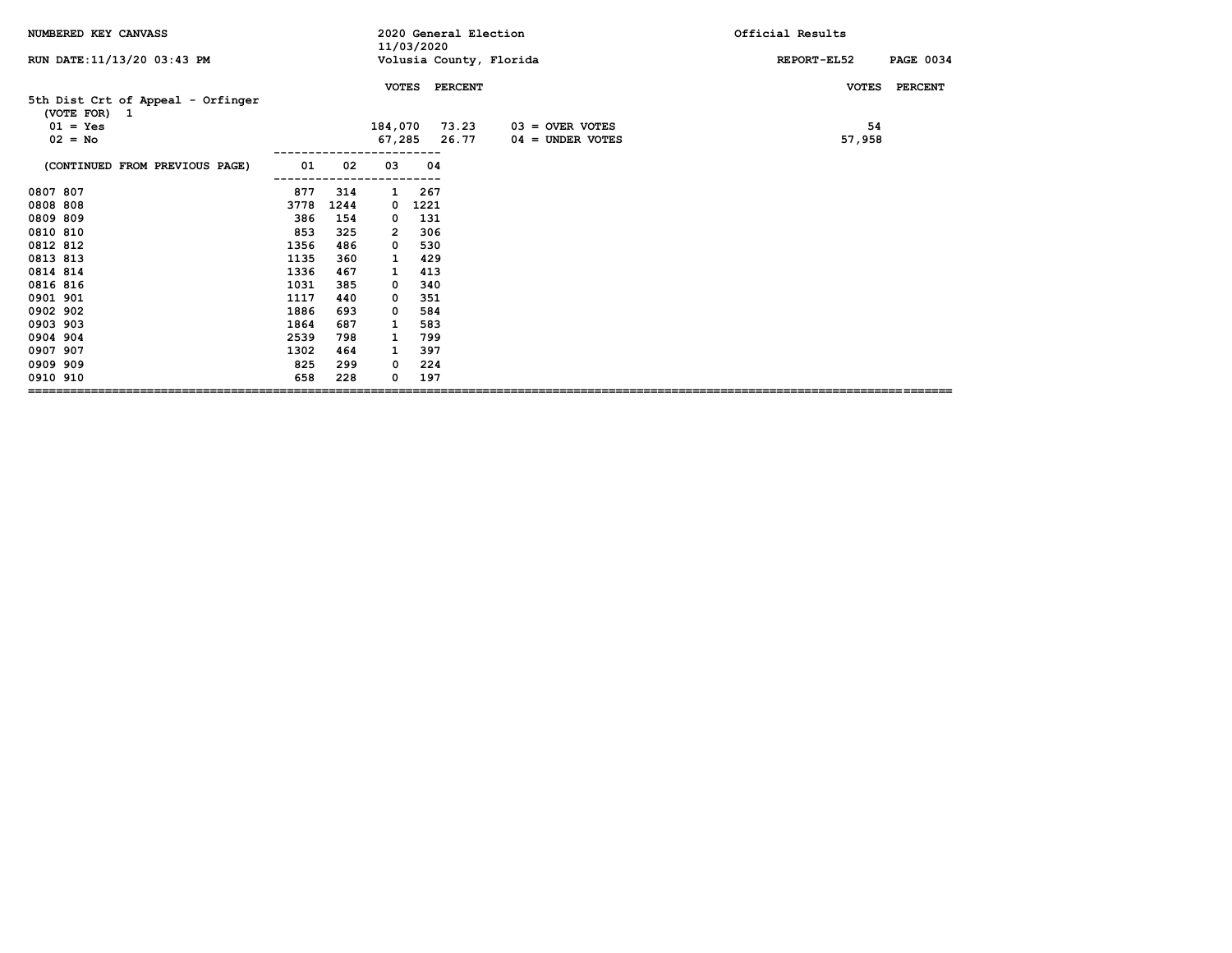| NUMBERED KEY CANVASS                              |      |      |              | 11/03/2020 | 2020 General Election |                         | Official Results                |
|---------------------------------------------------|------|------|--------------|------------|-----------------------|-------------------------|---------------------------------|
| RUN DATE: 11/13/20 03:43 PM                       |      |      |              |            |                       | Volusia County, Florida | <b>PAGE 0034</b><br>REPORT-EL52 |
|                                                   |      |      | <b>VOTES</b> |            | <b>PERCENT</b>        |                         | <b>VOTES</b><br><b>PERCENT</b>  |
| 5th Dist Crt of Appeal - Orfinger<br>(VOTE FOR) 1 |      |      |              |            |                       |                         |                                 |
| $01 = Yes$                                        |      |      | 184,070      |            | 73.23                 | $03 =$ OVER VOTES       | 54                              |
| $02 = No$                                         |      |      |              |            | 67,285 26.77          | $04 =$ UNDER VOTES      | 57,958                          |
| (CONTINUED FROM PREVIOUS PAGE)                    | 01   | 02   | 03           | 04         |                       |                         |                                 |
| 0807 807                                          | 877  | 314  | 1            | 267        |                       |                         |                                 |
| 0808 808                                          | 3778 | 1244 | 0            | 1221       |                       |                         |                                 |
| 0809 809                                          | 386  | 154  | 0            | 131        |                       |                         |                                 |
| 0810 810                                          | 853  | 325  | 2            | 306        |                       |                         |                                 |
| 0812 812                                          | 1356 | 486  | 0            | 530        |                       |                         |                                 |
| 0813 813                                          | 1135 | 360  | 1            | 429        |                       |                         |                                 |
| 0814 814                                          | 1336 | 467  | 1            | 413        |                       |                         |                                 |
| 0816 816                                          | 1031 | 385  | 0            | 340        |                       |                         |                                 |
| 0901 901                                          | 1117 | 440  | 0            | 351        |                       |                         |                                 |
| 0902 902                                          | 1886 | 693  | 0            | 584        |                       |                         |                                 |
| 0903 903                                          | 1864 | 687  | 1            | 583        |                       |                         |                                 |
| 0904 904                                          | 2539 | 798  | 1            | 799        |                       |                         |                                 |
| 0907 907                                          | 1302 | 464  | 1            | 397        |                       |                         |                                 |
| 0909 909                                          | 825  | 299  | 0            | 224        |                       |                         |                                 |
| 0910 910                                          | 658  | 228  | 0            | 197        |                       |                         |                                 |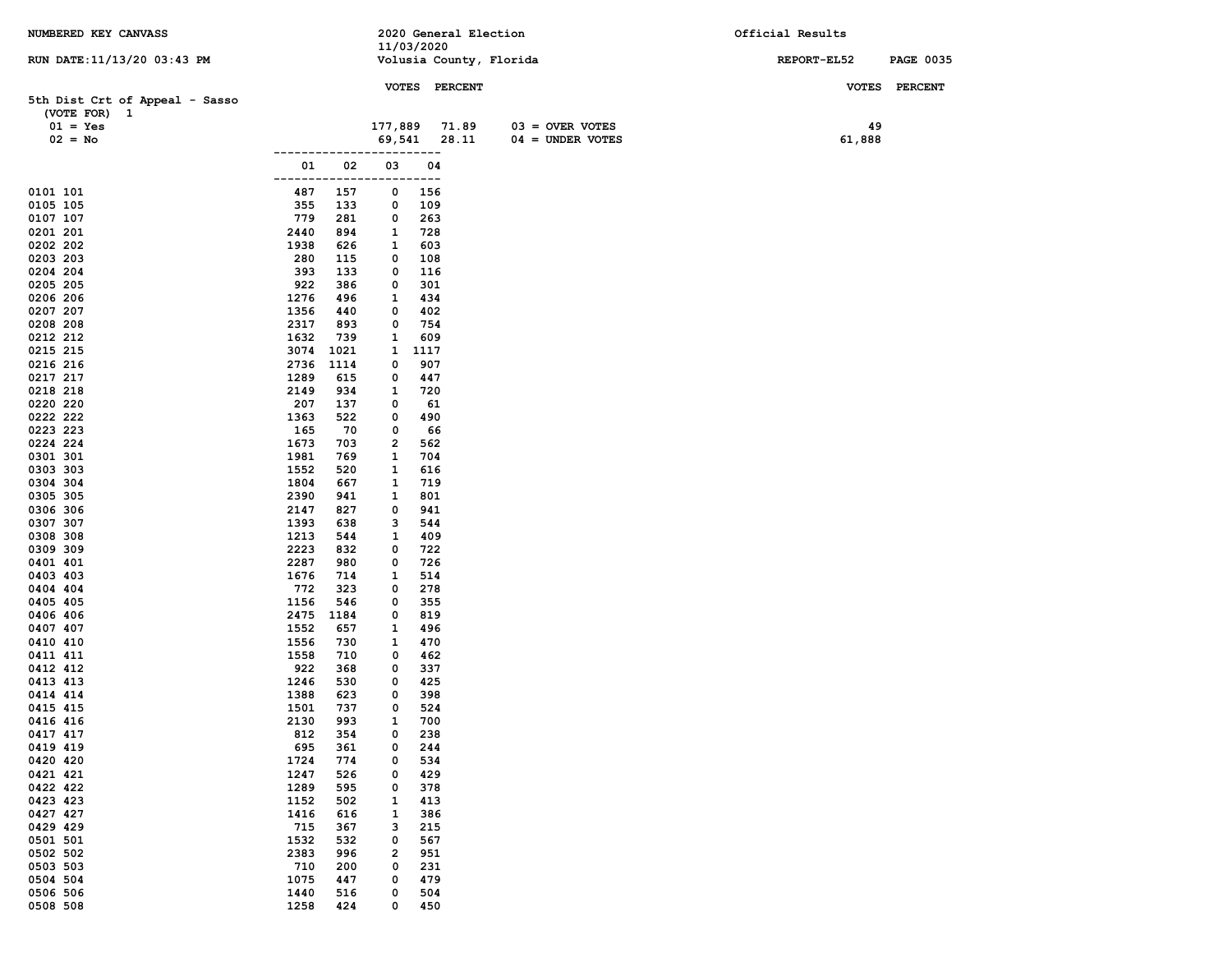| NUMBERED KEY CANVASS           |                             |            | 2020 General Election   |                    | Official Results |                  |
|--------------------------------|-----------------------------|------------|-------------------------|--------------------|------------------|------------------|
| RUN DATE: 11/13/20 03:43 PM    |                             | 11/03/2020 | Volusia County, Florida |                    | REPORT-EL52      | <b>PAGE 0035</b> |
|                                |                             |            |                         |                    |                  |                  |
| 5th Dist Crt of Appeal - Sasso |                             |            | VOTES PERCENT           |                    |                  | VOTES PERCENT    |
| (VOTE FOR) 1                   |                             |            |                         |                    |                  |                  |
| $01 = Yes$                     |                             | 177,889    | 71.89                   | $03 =$ OVER VOTES  | 49               |                  |
| $02 = No$                      |                             | 69,541     | 28.11                   | $04 =$ UNDER VOTES | 61,888           |                  |
|                                |                             |            | ---                     |                    |                  |                  |
|                                | 02<br>01<br>------          | 03         | 04<br>---               |                    |                  |                  |
| 0101 101                       | 487<br>157                  | 0          | 156                     |                    |                  |                  |
| 0105 105                       | 355<br>133                  | 0          | 109                     |                    |                  |                  |
| 0107 107                       | 779<br>281                  | 0          | 263                     |                    |                  |                  |
| 0201 201<br>0202 202           | 2440<br>894<br>1938<br>626  | 1<br>1     | 728<br>603              |                    |                  |                  |
| 0203 203                       | 280<br>115                  | 0          | 108                     |                    |                  |                  |
| 0204 204                       | 393<br>133                  | 0          | 116                     |                    |                  |                  |
| 0205 205                       | 922<br>386                  | 0          | 301                     |                    |                  |                  |
| 0206 206                       | 1276<br>496                 | 1          | 434                     |                    |                  |                  |
| 0207 207<br>0208 208           | 1356<br>440<br>2317<br>893  | 0<br>0     | 402<br>754              |                    |                  |                  |
| 0212 212                       | 1632<br>739                 | 1          | 609                     |                    |                  |                  |
| 0215 215                       | 3074<br>1021                | 1          | 1117                    |                    |                  |                  |
| 0216 216                       | 2736<br>1114                | 0          | 907                     |                    |                  |                  |
| 0217 217                       | 1289<br>615                 | 0          | 447                     |                    |                  |                  |
| 0218 218<br>0220 220           | 2149<br>934<br>207<br>137   | 1<br>0     | 720<br>61               |                    |                  |                  |
| 0222 222                       | 1363<br>522                 | 0          | 490                     |                    |                  |                  |
| 0223 223                       | 165<br>70                   | 0          | 66                      |                    |                  |                  |
| 0224 224                       | 1673<br>703                 | 2          | 562                     |                    |                  |                  |
| 0301 301<br>0303 303           | 1981<br>769<br>1552<br>520  | 1<br>1     | 704<br>616              |                    |                  |                  |
| 0304 304                       | 1804<br>667                 | 1          | 719                     |                    |                  |                  |
| 0305 305                       | 2390<br>941                 | 1          | 801                     |                    |                  |                  |
| 0306 306                       | 2147<br>827                 | 0          | 941                     |                    |                  |                  |
| 0307 307                       | 1393<br>638                 | з          | 544                     |                    |                  |                  |
| 0308 308<br>0309 309           | 1213<br>544<br>2223<br>832  | 1<br>0     | 409<br>722              |                    |                  |                  |
| 0401 401                       | 2287<br>980                 | 0          | 726                     |                    |                  |                  |
| 0403 403                       | 1676<br>714                 | 1          | 514                     |                    |                  |                  |
| 0404 404                       | 772<br>323                  | 0          | 278                     |                    |                  |                  |
| 0405 405<br>0406 406           | 1156<br>546<br>2475<br>1184 | 0<br>0     | 355<br>819              |                    |                  |                  |
| 0407 407                       | 1552<br>657                 | 1          | 496                     |                    |                  |                  |
| 0410 410                       | 1556<br>730                 | 1          | 470                     |                    |                  |                  |
| 0411 411                       | 1558<br>710                 | 0          | 462                     |                    |                  |                  |
| 0412 412<br>0413 413           | 922<br>368<br>1246<br>530   | 0<br>0     | 337<br>425              |                    |                  |                  |
| 0414 414                       | 1388<br>623                 | 0          | 398                     |                    |                  |                  |
| 0415 415                       | 1501<br>737                 | 0          | 524                     |                    |                  |                  |
| 0416 416                       | 2130<br>993                 | 1          | 700                     |                    |                  |                  |
| 0417 417                       | 812<br>354                  | 0          | 238                     |                    |                  |                  |
| 0419 419<br>0420 420           | 695<br>361<br>1724<br>774   | 0<br>0     | 244<br>534              |                    |                  |                  |
| 0421 421                       | 1247<br>526                 | 0          | 429                     |                    |                  |                  |
| 0422 422                       | 1289<br>595                 | 0          | 378                     |                    |                  |                  |
| 0423 423                       | 1152<br>502                 | 1          | 413                     |                    |                  |                  |
| 0427 427<br>0429 429           | 1416<br>616<br>715<br>367   | 1<br>з     | 386<br>215              |                    |                  |                  |
| 0501 501                       | 1532<br>532                 | 0          | 567                     |                    |                  |                  |
| 0502 502                       | 2383<br>996                 | 2          | 951                     |                    |                  |                  |
| 0503 503                       | 710<br>200                  | 0          | 231                     |                    |                  |                  |
| 0504 504                       | 1075<br>447                 | 0          | 479                     |                    |                  |                  |
| 0506 506<br>0508 508           | 1440<br>516<br>1258<br>424  | 0<br>0     | 504<br>450              |                    |                  |                  |
|                                |                             |            |                         |                    |                  |                  |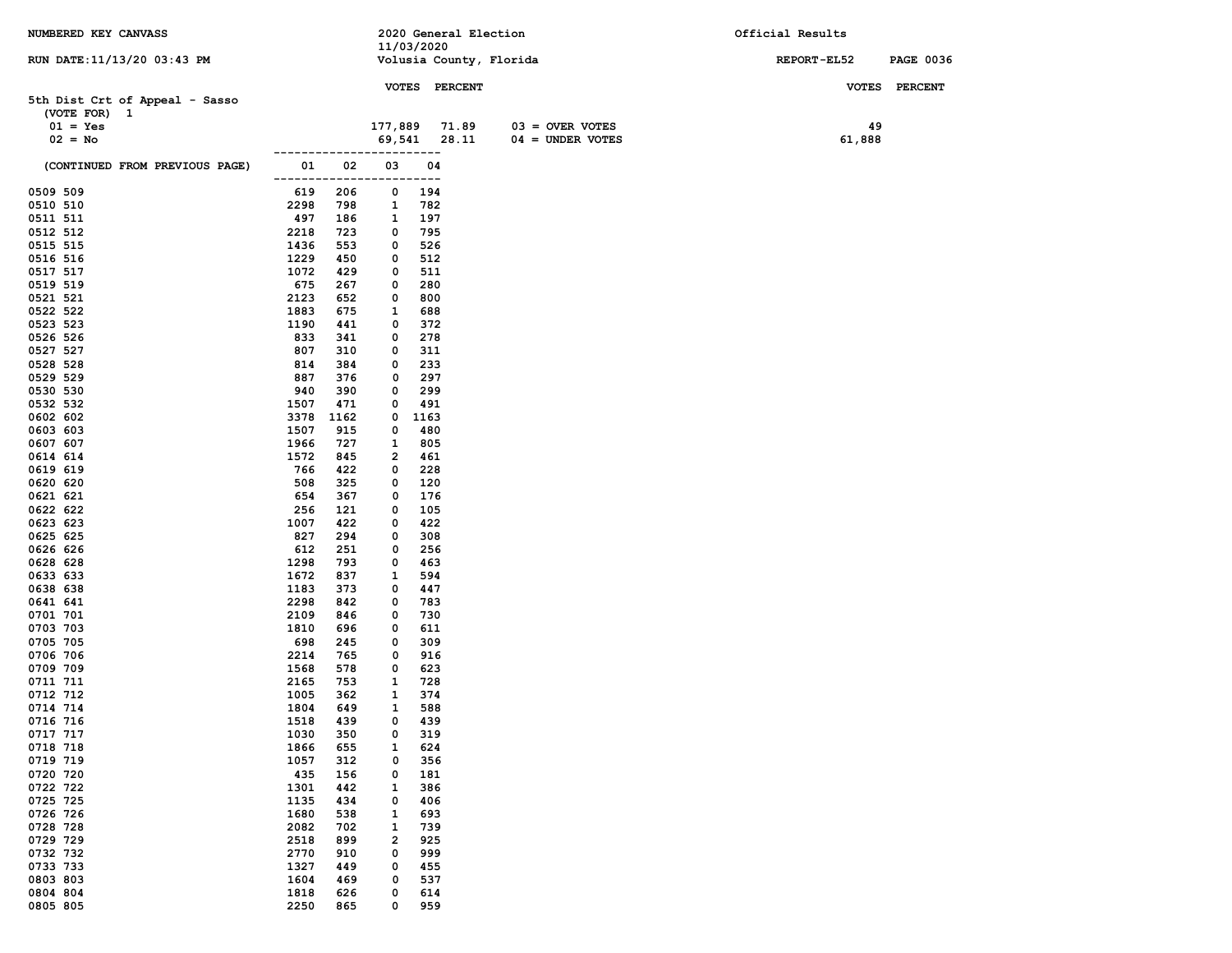| NUMBERED KEY CANVASS           |              |            | 11/03/2020  |               | 2020 General Election   | Official Results |                  |
|--------------------------------|--------------|------------|-------------|---------------|-------------------------|------------------|------------------|
| RUN DATE: 11/13/20 03:43 PM    |              |            |             |               | Volusia County, Florida | REPORT-EL52      | <b>PAGE 0036</b> |
|                                |              |            |             |               |                         |                  |                  |
| 5th Dist Crt of Appeal - Sasso |              |            |             | VOTES PERCENT |                         | <b>VOTES</b>     | <b>PERCENT</b>   |
| (VOTE FOR) 1                   |              |            |             |               |                         |                  |                  |
| $01 = Yes$                     |              |            | 177,889     | 71.89         | $03 =$ OVER VOTES       | 49               |                  |
| $02 = No$                      |              |            | 69,541      | 28.11         | $04 =$ UNDER VOTES      | 61,888           |                  |
|                                |              |            |             | .             |                         |                  |                  |
| (CONTINUED FROM PREVIOUS PAGE) | 01<br>------ | 02         | 03          | 04<br>---     |                         |                  |                  |
| 0509 509                       | 619          | 206        | 0           | 194           |                         |                  |                  |
| 0510 510                       | 2298         | 798        | 1           | 782           |                         |                  |                  |
| 0511 511                       | 497          | 186        | 1           | 197           |                         |                  |                  |
| 0512 512                       | 2218         | 723        | 0           | 795           |                         |                  |                  |
| 0515 515                       | 1436         | 553        | 0           | 526           |                         |                  |                  |
| 0516 516<br>0517 517           | 1229<br>1072 | 450<br>429 | 0<br>0      | 512<br>511    |                         |                  |                  |
| 0519 519                       | 675          | 267        | 0           | 280           |                         |                  |                  |
| 0521 521                       | 2123         | 652        | 0           | 800           |                         |                  |                  |
| 0522 522                       | 1883         | 675        | 1           | 688           |                         |                  |                  |
| 0523 523                       | 1190         | 441        | 0           | 372           |                         |                  |                  |
| 0526 526                       | 833          | 341        | 0           | 278           |                         |                  |                  |
| 0527 527                       | 807          | 310        | 0           | 311           |                         |                  |                  |
| 0528 528                       | 814          | 384        | 0           | 233           |                         |                  |                  |
| 0529 529<br>0530 530           | 887<br>940   | 376<br>390 | 0<br>0      | 297<br>299    |                         |                  |                  |
| 0532 532                       | 1507         | 471        | 0           | 491           |                         |                  |                  |
| 0602 602                       | 3378         | 1162       | 0           | 1163          |                         |                  |                  |
| 0603 603                       | 1507         | 915        | 0           | 480           |                         |                  |                  |
| 0607 607                       | 1966         | 727        | 1           | 805           |                         |                  |                  |
| 0614 614                       | 1572         | 845        | 2           | 461           |                         |                  |                  |
| 0619 619                       | 766          | 422        | 0           | 228           |                         |                  |                  |
| 0620 620                       | 508          | 325<br>367 | 0           | 120<br>176    |                         |                  |                  |
| 0621 621<br>0622 622           | 654<br>256   | 121        | 0<br>0      | 105           |                         |                  |                  |
| 0623 623                       | 1007         | 422        | 0           | 422           |                         |                  |                  |
| 0625 625                       | 827          | 294        | 0           | 308           |                         |                  |                  |
| 0626 626                       | 612          | 251        | 0           | 256           |                         |                  |                  |
| 0628 628                       | 1298         | 793        | 0           | 463           |                         |                  |                  |
| 0633 633                       | 1672         | 837        | 1           | 594           |                         |                  |                  |
| 0638 638<br>0641 641           | 1183<br>2298 | 373<br>842 | 0<br>0      | 447<br>783    |                         |                  |                  |
| 0701 701                       | 2109         | 846        | 0           | 730           |                         |                  |                  |
| 0703 703                       | 1810         | 696        | 0           | 611           |                         |                  |                  |
| 0705 705                       | 698          | 245        | 0           | 309           |                         |                  |                  |
| 0706 706                       | 2214         | 765        | 0           | 916           |                         |                  |                  |
| 0709 709                       | 1568         | 578        | 0           | 623           |                         |                  |                  |
| 0711 711                       | 2165         | 753        | 1           | 728           |                         |                  |                  |
| 0712 712<br>0714 714           | 1005<br>1804 | 362<br>649 | 1<br>1      | 374<br>588    |                         |                  |                  |
| 0716 716                       | 1518         | 439        | $\mathbf 0$ | 439           |                         |                  |                  |
| 0717 717                       | 1030         | 350        | 0           | 319           |                         |                  |                  |
| 0718 718                       | 1866         | 655        | 1           | 624           |                         |                  |                  |
| 0719 719                       | 1057         | 312        | 0           | 356           |                         |                  |                  |
| 0720 720                       | 435          | 156        | 0           | 181           |                         |                  |                  |
| 0722 722                       | 1301         | 442        | 1           | 386           |                         |                  |                  |
| 0725 725                       | 1135         | 434        | 0           | 406           |                         |                  |                  |
| 0726 726<br>0728 728           | 1680<br>2082 | 538<br>702 | 1<br>1      | 693<br>739    |                         |                  |                  |
| 0729 729                       | 2518         | 899        | 2           | 925           |                         |                  |                  |
| 0732 732                       | 2770         | 910        | 0           | 999           |                         |                  |                  |
| 0733 733                       | 1327         | 449        | 0           | 455           |                         |                  |                  |
| 0803 803                       | 1604         | 469        | 0           | 537           |                         |                  |                  |
| 0804 804                       | 1818         | 626        | 0           | 614           |                         |                  |                  |
| 0805 805                       | 2250         | 865        | 0           | 959           |                         |                  |                  |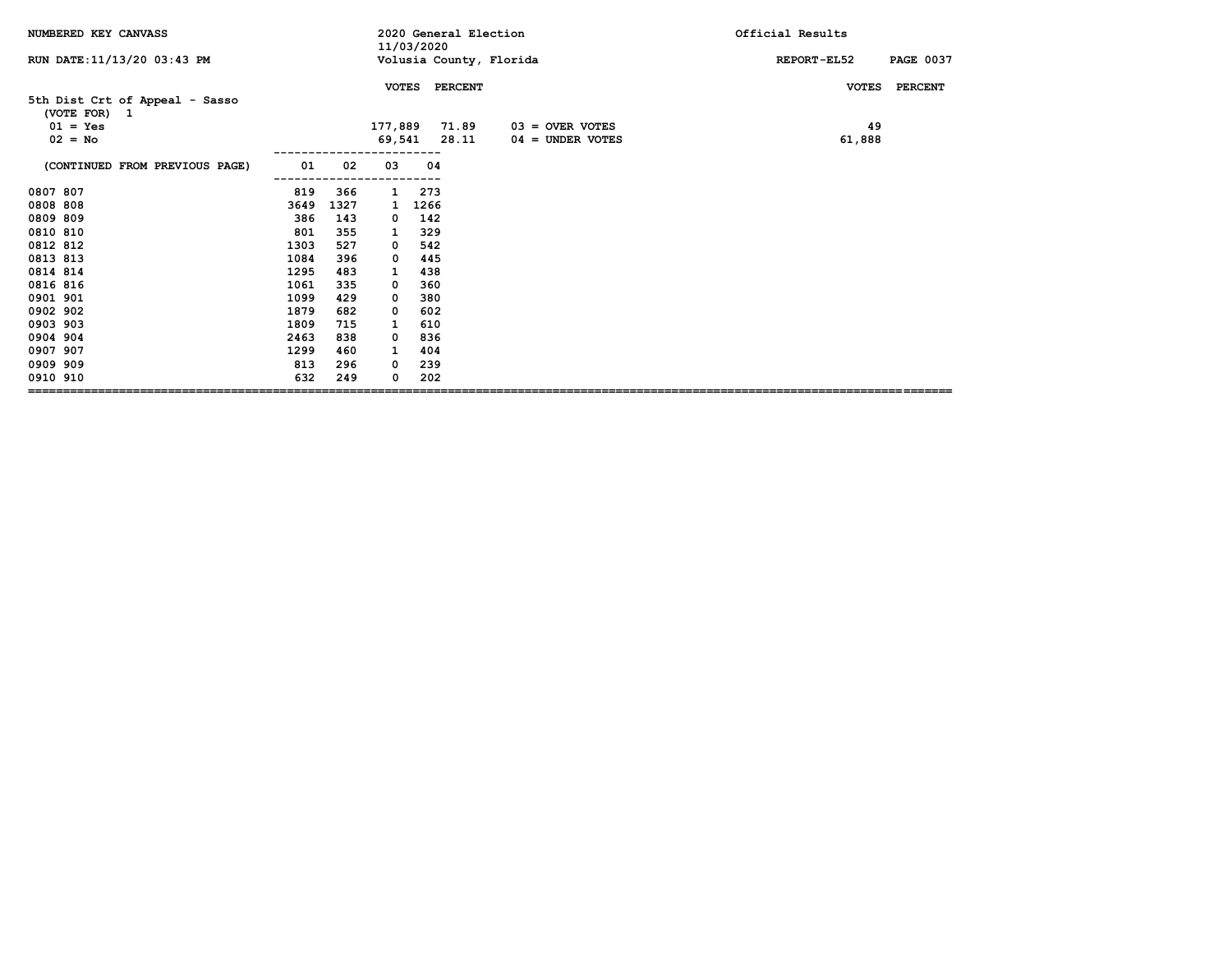| NUMBERED KEY CANVASS                                                      |      |      |              | 11/03/2020 | 2020 General Election         |                                         | Official Results                       |
|---------------------------------------------------------------------------|------|------|--------------|------------|-------------------------------|-----------------------------------------|----------------------------------------|
| RUN DATE: 11/13/20 03:43 PM                                               |      |      |              |            |                               | Volusia County, Florida                 | <b>PAGE 0037</b><br><b>REPORT-EL52</b> |
|                                                                           |      |      | <b>VOTES</b> |            | <b>PERCENT</b>                |                                         | <b>PERCENT</b><br><b>VOTES</b>         |
| 5th Dist Crt of Appeal - Sasso<br>(VOTE FOR) 1<br>$01 = Yes$<br>$02 = No$ |      |      |              |            | 177,889 71.89<br>69,541 28.11 | $03 =$ OVER VOTES<br>$04 =$ UNDER VOTES | 49<br>61,888                           |
| (CONTINUED FROM PREVIOUS PAGE)                                            | 01   | 02   | 03           | 04         |                               |                                         |                                        |
| 0807 807                                                                  | 819  | 366  | 1            | 273        |                               |                                         |                                        |
| 0808 808                                                                  | 3649 | 1327 | 1            | 1266       |                               |                                         |                                        |
| 0809 809                                                                  | 386  | 143  | 0            | 142        |                               |                                         |                                        |
| 0810 810                                                                  | 801  | 355  | 1            | 329        |                               |                                         |                                        |
| 0812 812                                                                  | 1303 | 527  | 0            | 542        |                               |                                         |                                        |
| 0813 813                                                                  | 1084 | 396  | 0            | 445        |                               |                                         |                                        |
| 0814 814                                                                  | 1295 | 483  | 1            | 438        |                               |                                         |                                        |
| 0816 816                                                                  | 1061 | 335  | 0            | 360        |                               |                                         |                                        |
| 0901 901                                                                  | 1099 | 429  | 0            | 380        |                               |                                         |                                        |
| 0902 902                                                                  | 1879 | 682  | 0            | 602        |                               |                                         |                                        |
| 0903 903                                                                  | 1809 | 715  | 1            | 610        |                               |                                         |                                        |
| 0904 904                                                                  | 2463 | 838  | 0            | 836        |                               |                                         |                                        |
| 0907 907                                                                  | 1299 | 460  | 1            | 404        |                               |                                         |                                        |
| 0909 909                                                                  | 813  | 296  | 0            | 239        |                               |                                         |                                        |
| 0910 910                                                                  | 632  | 249  | 0            | 202        |                               |                                         |                                        |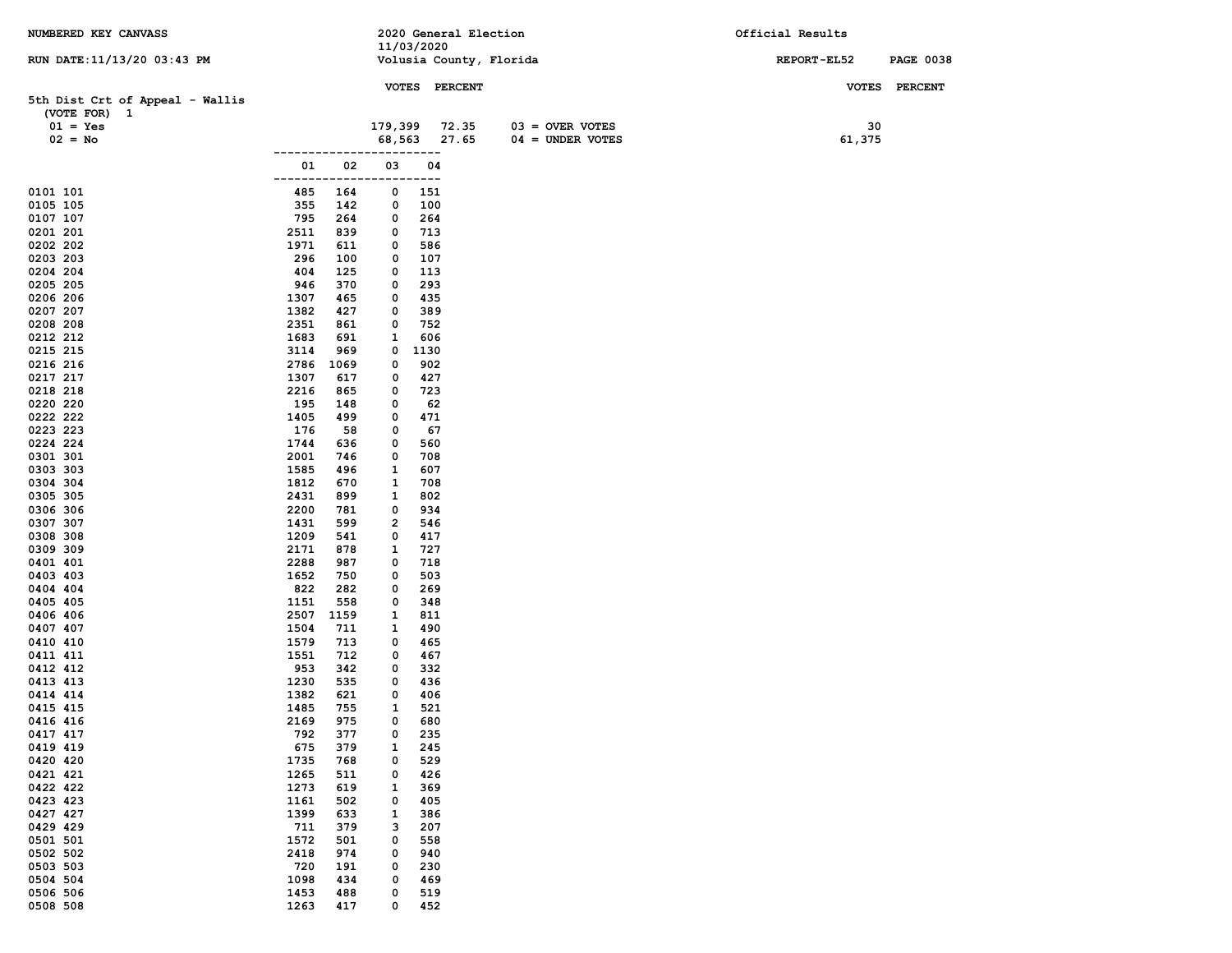| NUMBERED KEY CANVASS            |              |            |         |            | 2020 General Election |                         | Official Results |                  |
|---------------------------------|--------------|------------|---------|------------|-----------------------|-------------------------|------------------|------------------|
| RUN DATE: 11/13/20 03:43 PM     |              |            |         | 11/03/2020 |                       | Volusia County, Florida | REPORT-EL52      | <b>PAGE 0038</b> |
|                                 |              |            |         |            |                       |                         |                  |                  |
|                                 |              |            |         |            | VOTES PERCENT         |                         |                  | VOTES PERCENT    |
| 5th Dist Crt of Appeal - Wallis |              |            |         |            |                       |                         |                  |                  |
| (VOTE FOR) 1<br>$01 = Yes$      |              |            | 179,399 |            | 72.35                 | $03 =$ OVER VOTES       | 30               |                  |
| $02 = No$                       |              |            | 68,563  |            | 27.65                 | $04 = UNDER VOTES$      | 61,375           |                  |
|                                 |              |            |         | ---        |                       |                         |                  |                  |
|                                 | 01           | 02         | 03      | 04         |                       |                         |                  |                  |
|                                 | ----         |            | ---     | ---        |                       |                         |                  |                  |
| 0101 101                        | 485          | 164        | 0       | 151        |                       |                         |                  |                  |
| 0105 105                        | 355          | 142        | 0       | 100        |                       |                         |                  |                  |
| 0107 107<br>0201 201            | 795<br>2511  | 264<br>839 | 0<br>0  | 264<br>713 |                       |                         |                  |                  |
| 0202 202                        | 1971         | 611        | 0       | 586        |                       |                         |                  |                  |
| 0203 203                        | 296          | 100        | 0       | 107        |                       |                         |                  |                  |
| 0204 204                        | 404          | 125        | 0       | 113        |                       |                         |                  |                  |
| 0205 205                        | 946          | 370        | 0       | 293        |                       |                         |                  |                  |
| 0206 206                        | 1307         | 465        | 0       | 435        |                       |                         |                  |                  |
| 0207 207                        | 1382         | 427        | 0       | 389        |                       |                         |                  |                  |
| 0208 208<br>0212 212            | 2351<br>1683 | 861<br>691 | 0<br>1  | 752<br>606 |                       |                         |                  |                  |
| 0215 215                        | 3114         | 969        | 0       | 1130       |                       |                         |                  |                  |
| 0216 216                        | 2786         | 1069       | 0       | 902        |                       |                         |                  |                  |
| 0217 217                        | 1307         | 617        | 0       | 427        |                       |                         |                  |                  |
| 0218 218                        | 2216         | 865        | 0       | 723        |                       |                         |                  |                  |
| 0220 220                        | 195          | 148        | 0       | 62         |                       |                         |                  |                  |
| 0222 222                        | 1405<br>176  | 499        | 0       | 471<br>67  |                       |                         |                  |                  |
| 0223 223<br>0224 224            | 1744         | 58<br>636  | 0<br>0  | 560        |                       |                         |                  |                  |
| 0301 301                        | 2001         | 746        | 0       | 708        |                       |                         |                  |                  |
| 0303 303                        | 1585         | 496        | 1       | 607        |                       |                         |                  |                  |
| 0304 304                        | 1812         | 670        | 1       | 708        |                       |                         |                  |                  |
| 0305 305                        | 2431         | 899        | 1       | 802        |                       |                         |                  |                  |
| 0306 306                        | 2200         | 781        | 0       | 934        |                       |                         |                  |                  |
| 0307 307                        | 1431<br>1209 | 599<br>541 | 2<br>0  | 546<br>417 |                       |                         |                  |                  |
| 0308 308<br>0309 309            | 2171         | 878        | 1       | 727        |                       |                         |                  |                  |
| 0401 401                        | 2288         | 987        | 0       | 718        |                       |                         |                  |                  |
| 0403 403                        | 1652         | 750        | 0       | 503        |                       |                         |                  |                  |
| 0404 404                        | 822          | 282        | 0       | 269        |                       |                         |                  |                  |
| 0405 405                        | 1151         | 558        | 0       | 348        |                       |                         |                  |                  |
| 0406 406                        | 2507         | 1159       | 1       | 811        |                       |                         |                  |                  |
| 0407 407<br>0410 410            | 1504<br>1579 | 711<br>713 | 1<br>0  | 490<br>465 |                       |                         |                  |                  |
| 0411 411                        | 1551         | 712        | 0       | 467        |                       |                         |                  |                  |
| 0412 412                        | 953          | 342        | 0       | 332        |                       |                         |                  |                  |
| 0413 413                        | 1230         | 535        | 0       | 436        |                       |                         |                  |                  |
| 0414 414                        | 1382         | 621        | 0       | 406        |                       |                         |                  |                  |
| 0415 415                        | 1485         | 755        | 1       | 521        |                       |                         |                  |                  |
| 0416 416<br>0417 417            | 2169<br>792  | 975<br>377 | 0<br>0  | 680<br>235 |                       |                         |                  |                  |
| 0419 419                        | 675          | 379        | 1       | 245        |                       |                         |                  |                  |
| 0420 420                        | 1735         | 768        | 0       | 529        |                       |                         |                  |                  |
| 0421 421                        | 1265         | 511        | 0       | 426        |                       |                         |                  |                  |
| 0422 422                        | 1273         | 619        | 1       | 369        |                       |                         |                  |                  |
| 0423 423                        | 1161         | 502        | 0       | 405        |                       |                         |                  |                  |
| 0427 427                        | 1399         | 633        | 1       | 386        |                       |                         |                  |                  |
| 0429 429<br>0501 501            | 711<br>1572  | 379<br>501 | з<br>0  | 207<br>558 |                       |                         |                  |                  |
| 0502 502                        | 2418         | 974        | 0       | 940        |                       |                         |                  |                  |
| 0503 503                        | 720          | 191        | 0       | 230        |                       |                         |                  |                  |
| 0504 504                        | 1098         | 434        | 0       | 469        |                       |                         |                  |                  |
| 0506 506                        | 1453         | 488        | 0       | 519        |                       |                         |                  |                  |
| 0508 508                        | 1263         | 417        | 0       | 452        |                       |                         |                  |                  |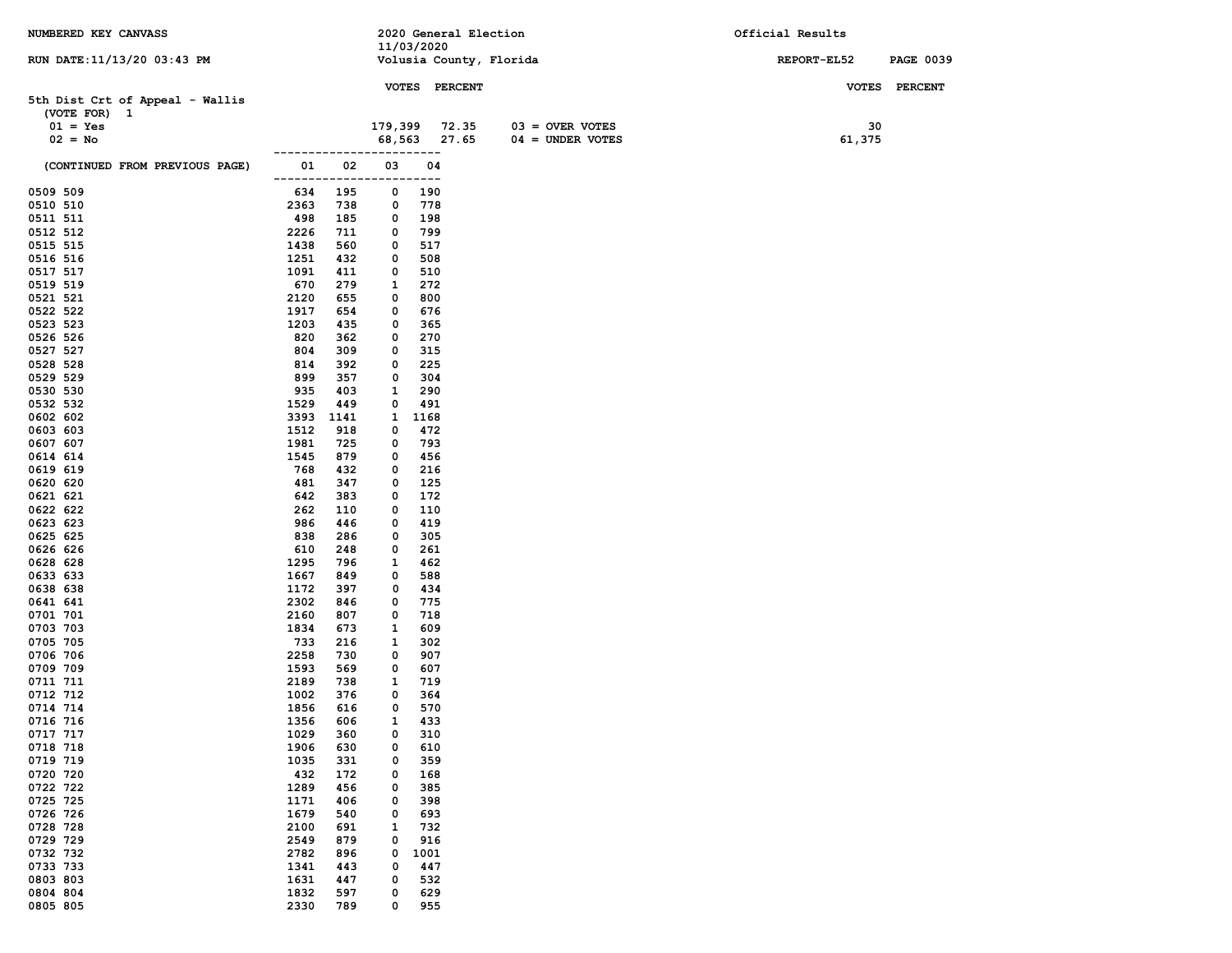| NUMBERED KEY CANVASS                            |                |              |                   |               | 2020 General Election   |                    | Official Results |        |                  |
|-------------------------------------------------|----------------|--------------|-------------------|---------------|-------------------------|--------------------|------------------|--------|------------------|
| RUN DATE: 11/13/20 03:43 PM                     |                |              | 11/03/2020        |               | Volusia County, Florida |                    | REPORT-EL52      |        | <b>PAGE 0039</b> |
|                                                 |                |              |                   |               |                         |                    |                  |        |                  |
|                                                 |                |              |                   | VOTES PERCENT |                         |                    |                  |        | VOTES PERCENT    |
| 5th Dist Crt of Appeal - Wallis<br>(VOTE FOR) 1 |                |              |                   |               |                         |                    |                  |        |                  |
| $01 = Yes$                                      |                |              | 179,399 72.35     |               |                         | $03 =$ OVER VOTES  |                  | 30     |                  |
| $02 = No$                                       |                |              |                   | 68,563 27.65  |                         | $04 = UNDER VOTES$ |                  | 61,375 |                  |
|                                                 |                |              |                   | ---           |                         |                    |                  |        |                  |
| (CONTINUED FROM PREVIOUS PAGE)                  | 01             | 02           | 03                | 04            |                         |                    |                  |        |                  |
| 0509 509                                        | -------<br>634 | $---$<br>195 | 0                 | $---$<br>190  |                         |                    |                  |        |                  |
| 0510 510                                        | 2363           | 738          | 0                 | 778           |                         |                    |                  |        |                  |
| 0511 511                                        | 498            | 185          | 0                 | 198           |                         |                    |                  |        |                  |
| 0512 512                                        | 2226           | 711          | 0                 | 799           |                         |                    |                  |        |                  |
| 0515 515                                        | 1438           | 560          | 0                 | 517           |                         |                    |                  |        |                  |
| 0516 516<br>0517 517                            | 1251<br>1091   | 432<br>411   | 0<br>0            | 508<br>510    |                         |                    |                  |        |                  |
| 0519 519                                        | 670            | 279          | 1                 | 272           |                         |                    |                  |        |                  |
| 0521 521                                        | 2120           | 655          | 0                 | 800           |                         |                    |                  |        |                  |
| 0522 522                                        | 1917           | 654          | 0                 | 676           |                         |                    |                  |        |                  |
| 0523 523                                        | 1203           | 435          | 0                 | 365           |                         |                    |                  |        |                  |
| 0526 526                                        | 820            | 362          | 0                 | 270           |                         |                    |                  |        |                  |
| 0527 527<br>0528 528                            | 804<br>814     | 309<br>392   | 0<br>0            | 315<br>225    |                         |                    |                  |        |                  |
| 0529 529                                        | 899            | 357          | 0                 | 304           |                         |                    |                  |        |                  |
| 0530 530                                        | 935            | 403          | 1                 | 290           |                         |                    |                  |        |                  |
| 0532 532                                        | 1529           | 449          | 0                 | 491           |                         |                    |                  |        |                  |
| 0602 602                                        | 3393           | 1141         | 1                 | 1168          |                         |                    |                  |        |                  |
| 0603 603                                        | 1512           | 918          | 0                 | 472           |                         |                    |                  |        |                  |
| 0607 607                                        | 1981           | 725          | 0                 | 793           |                         |                    |                  |        |                  |
| 0614 614<br>0619 619                            | 1545<br>768    | 879<br>432   | 0<br>0            | 456<br>216    |                         |                    |                  |        |                  |
| 0620 620                                        | 481            | 347          | 0                 | 125           |                         |                    |                  |        |                  |
| 0621 621                                        | 642            | 383          | 0                 | 172           |                         |                    |                  |        |                  |
| 0622 622                                        | 262            | 110          | 0                 | 110           |                         |                    |                  |        |                  |
| 0623 623                                        | 986            | 446          | 0                 | 419           |                         |                    |                  |        |                  |
| 0625 625                                        | 838            | 286          | 0                 | 305           |                         |                    |                  |        |                  |
| 0626 626<br>0628 628                            | 610<br>1295    | 248<br>796   | 0<br>1            | 261<br>462    |                         |                    |                  |        |                  |
| 0633 633                                        | 1667           | 849          | 0                 | 588           |                         |                    |                  |        |                  |
| 0638 638                                        | 1172           | 397          | 0                 | 434           |                         |                    |                  |        |                  |
| 0641 641                                        | 2302           | 846          | 0                 | 775           |                         |                    |                  |        |                  |
| 0701 701                                        | 2160           | 807          | 0                 | 718           |                         |                    |                  |        |                  |
| 0703 703<br>0705 705                            | 1834<br>733    | 673<br>216   | 1<br>1            | 609<br>302    |                         |                    |                  |        |                  |
| 0706 706                                        | 2258           | 730          | 0                 | 907           |                         |                    |                  |        |                  |
| 0709 709                                        | 1593           | 569          | 0                 | 607           |                         |                    |                  |        |                  |
| 0711 711                                        | 2189           | 738          | 1                 | 719           |                         |                    |                  |        |                  |
| 0712 712                                        | 1002           | 376          | 0                 | 364           |                         |                    |                  |        |                  |
| 0714 714                                        | 1856           | 616          | 0                 | 570           |                         |                    |                  |        |                  |
| 0716 716<br>0717 717                            | 1356<br>1029   | 606<br>360   | $\mathbf{1}$<br>0 | 433<br>310    |                         |                    |                  |        |                  |
| 0718 718                                        | 1906           | 630          | 0                 | 610           |                         |                    |                  |        |                  |
| 0719 719                                        | 1035           | 331          | 0                 | 359           |                         |                    |                  |        |                  |
| 0720 720                                        | 432            | 172          | 0                 | 168           |                         |                    |                  |        |                  |
| 0722 722                                        | 1289           | 456          | 0                 | 385           |                         |                    |                  |        |                  |
| 0725 725                                        | 1171           | 406          | 0                 | 398           |                         |                    |                  |        |                  |
| 0726 726<br>0728 728                            | 1679<br>2100   | 540<br>691   | 0<br>1            | 693<br>732    |                         |                    |                  |        |                  |
| 0729 729                                        | 2549           | 879          | 0                 | 916           |                         |                    |                  |        |                  |
| 0732 732                                        | 2782           | 896          | 0                 | 1001          |                         |                    |                  |        |                  |
| 0733 733                                        | 1341           | 443          | 0                 | 447           |                         |                    |                  |        |                  |
| 0803 803                                        | 1631           | 447          | 0                 | 532           |                         |                    |                  |        |                  |
| 0804 804                                        | 1832           | 597          | 0                 | 629           |                         |                    |                  |        |                  |
| 0805 805                                        | 2330           | 789          | 0                 | 955           |                         |                    |                  |        |                  |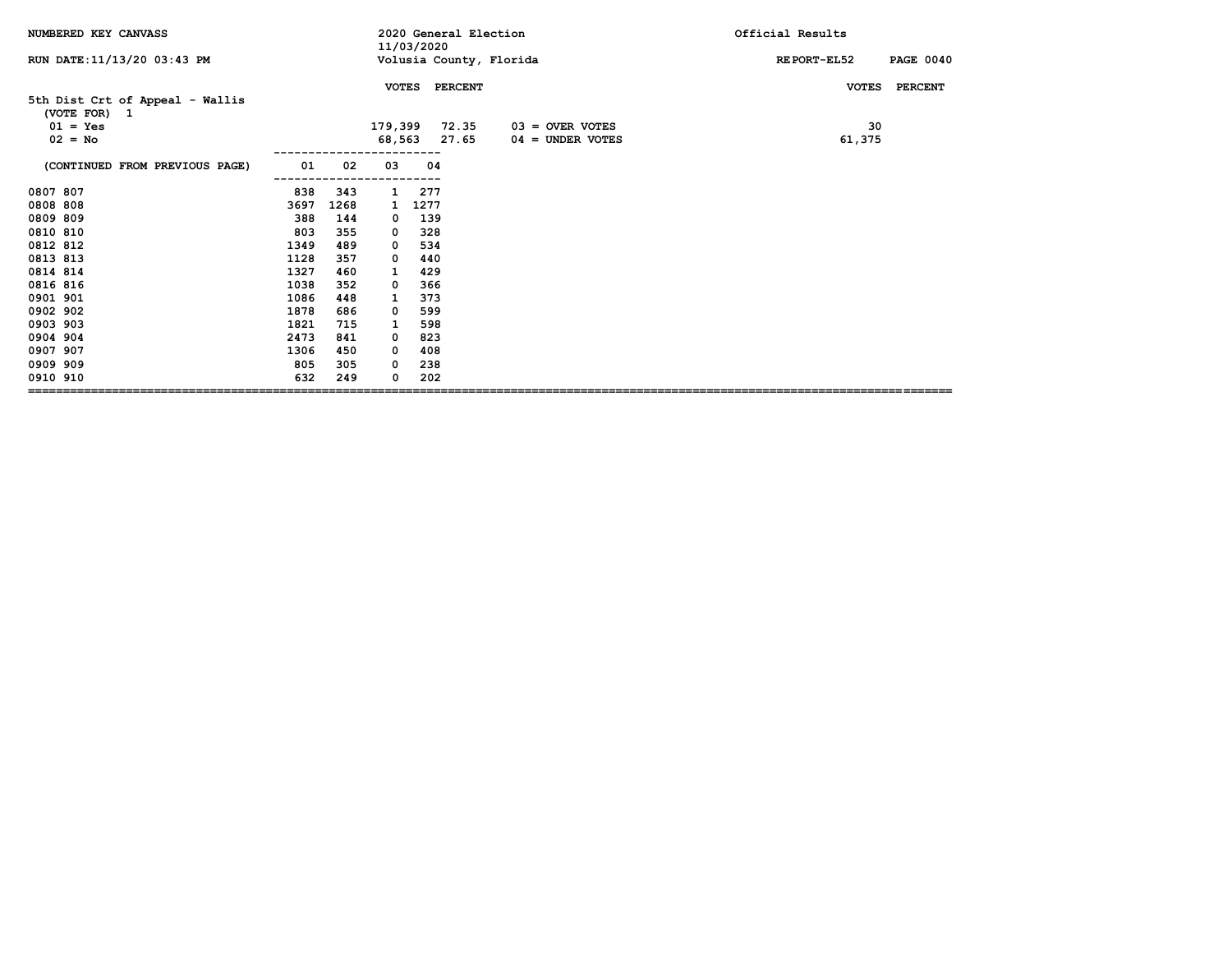| NUMBERED KEY CANVASS                            |      |      |              | 11/03/2020 | 2020 General Election         |                                         | Official Results                |
|-------------------------------------------------|------|------|--------------|------------|-------------------------------|-----------------------------------------|---------------------------------|
| RUN DATE: 11/13/20 03:43 PM                     |      |      |              |            |                               | Volusia County, Florida                 | <b>PAGE 0040</b><br>REPORT-EL52 |
|                                                 |      |      | <b>VOTES</b> |            | <b>PERCENT</b>                |                                         | <b>PERCENT</b><br><b>VOTES</b>  |
| 5th Dist Crt of Appeal - Wallis<br>(VOTE FOR) 1 |      |      |              |            |                               |                                         |                                 |
| $01 = Yes$<br>$02 = No$                         |      |      |              |            | 179,399 72.35<br>68,563 27.65 | $03 =$ OVER VOTES<br>$04 =$ UNDER VOTES | 30<br>61,375                    |
|                                                 |      |      |              |            |                               |                                         |                                 |
| (CONTINUED FROM PREVIOUS PAGE)                  | 01   | 02   | 03           | 04         |                               |                                         |                                 |
| 0807 807                                        | 838  | 343  | $\mathbf{1}$ | 277        |                               |                                         |                                 |
| 0808 808                                        | 3697 | 1268 | 1            | 1277       |                               |                                         |                                 |
| 0809 809                                        | 388  | 144  | 0            | 139        |                               |                                         |                                 |
| 0810 810                                        | 803  | 355  | 0            | 328        |                               |                                         |                                 |
| 0812 812                                        | 1349 | 489  | 0            | 534        |                               |                                         |                                 |
| 0813 813                                        | 1128 | 357  | 0            | 440        |                               |                                         |                                 |
| 0814 814                                        | 1327 | 460  | 1            | 429        |                               |                                         |                                 |
| 0816 816                                        | 1038 | 352  | 0            | 366        |                               |                                         |                                 |
| 0901 901                                        | 1086 | 448  | 1            | 373        |                               |                                         |                                 |
| 0902 902                                        | 1878 | 686  | 0            | 599        |                               |                                         |                                 |
| 0903 903                                        | 1821 | 715  | 1            | 598        |                               |                                         |                                 |
| 0904 904                                        | 2473 | 841  | 0            | 823        |                               |                                         |                                 |
| 0907 907                                        | 1306 | 450  | 0            | 408        |                               |                                         |                                 |
| 0909 909                                        | 805  | 305  | 0            | 238        |                               |                                         |                                 |
| 0910 910                                        | 632  | 249  | 0            | 202        |                               |                                         |                                 |
|                                                 |      |      |              |            |                               |                                         |                                 |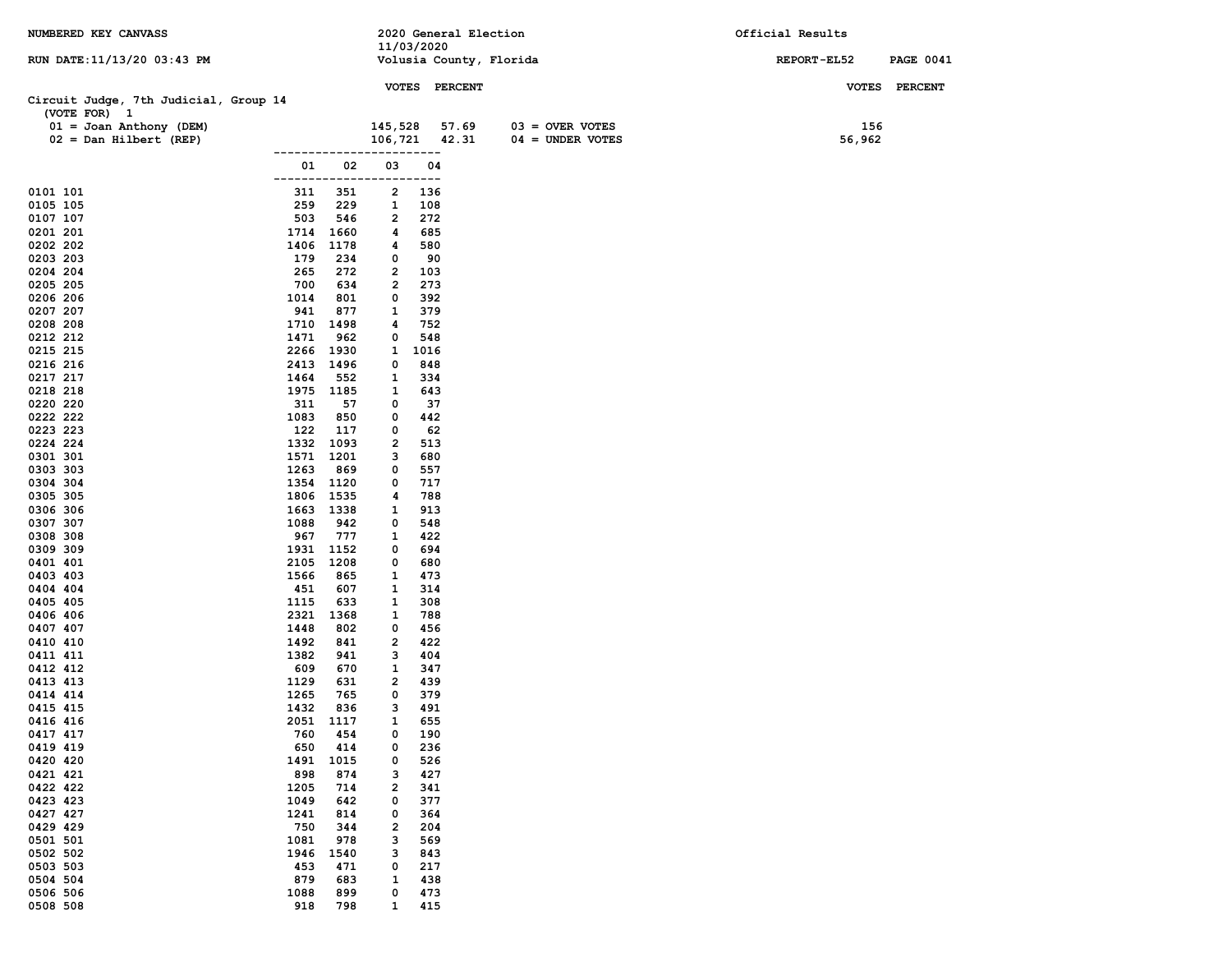| NUMBERED KEY CANVASS                                  |                    |              |                              | 2020 General Election |       |                         | Official Results |                  |
|-------------------------------------------------------|--------------------|--------------|------------------------------|-----------------------|-------|-------------------------|------------------|------------------|
| RUN DATE:11/13/20 03:43 PM                            |                    |              |                              | 11/03/2020            |       | Volusia County, Florida | REPORT-EL52      | <b>PAGE 0041</b> |
|                                                       |                    |              |                              |                       |       |                         |                  |                  |
|                                                       |                    |              |                              | VOTES PERCENT         |       |                         |                  | VOTES PERCENT    |
| Circuit Judge, 7th Judicial, Group 14<br>(VOTE FOR) 1 |                    |              |                              |                       |       |                         |                  |                  |
| $01 =$ Joan Anthony (DEM)                             |                    |              | 145,528                      |                       | 57.69 | $03 =$ OVER VOTES       | 156              |                  |
| $02 = Dan Hilbert (REF)$                              |                    |              | 106,721                      |                       | 42.31 | $04 = UNDER VOTES$      | 56,962           |                  |
|                                                       |                    |              |                              |                       |       |                         |                  |                  |
|                                                       | 01<br>------------ | 02           | 03                           | 04<br>$---$           |       |                         |                  |                  |
| 0101 101                                              | 311                | 351          | $\overline{\mathbf{2}}$      | 136                   |       |                         |                  |                  |
| 0105 105                                              | 259                | 229          | 1                            | 108                   |       |                         |                  |                  |
| 0107 107                                              | 503                | 546          | $\overline{\mathbf{2}}$<br>4 | 272                   |       |                         |                  |                  |
| 0201 201<br>0202 202                                  | 1714<br>1406       | 1660<br>1178 | 4                            | 685<br>580            |       |                         |                  |                  |
| 0203 203                                              | 179                | 234          | 0                            | 90                    |       |                         |                  |                  |
| 0204 204                                              | 265                | 272          | $\overline{\mathbf{2}}$      | 103                   |       |                         |                  |                  |
| 0205 205                                              | 700                | 634          | $\mathbf{2}$                 | 273                   |       |                         |                  |                  |
| 0206 206<br>0207 207                                  | 1014<br>941        | 801<br>877   | 0<br>1                       | 392<br>379            |       |                         |                  |                  |
| 0208 208                                              | 1710               | 1498         | 4                            | 752                   |       |                         |                  |                  |
| 0212 212                                              | 1471               | 962          | 0                            | 548                   |       |                         |                  |                  |
| 0215 215                                              | 2266               | 1930         | $\mathbf{1}$                 | 1016                  |       |                         |                  |                  |
| 0216 216                                              | 2413 1496          |              | 0                            | 848                   |       |                         |                  |                  |
| 0217 217<br>0218 218                                  | 1464<br>1975 1185  | 552          | 1<br>1                       | 334<br>643            |       |                         |                  |                  |
| 0220 220                                              | 311                | 57           | 0                            | 37                    |       |                         |                  |                  |
| 0222 222                                              | 1083               | 850          | 0                            | 442                   |       |                         |                  |                  |
| 0223 223                                              | 122                | 117          | 0                            | 62                    |       |                         |                  |                  |
| 0224 224                                              | 1332 1093          | 1201         | $\mathbf{2}$<br>з            | 513                   |       |                         |                  |                  |
| 0301 301<br>0303 303                                  | 1571<br>1263       | 869          | 0                            | 680<br>557            |       |                         |                  |                  |
| 0304 304                                              | 1354 1120          |              | 0                            | 717                   |       |                         |                  |                  |
| 0305 305                                              | 1806               | 1535         | 4                            | 788                   |       |                         |                  |                  |
| 0306 306                                              | 1663               | 1338         | 1                            | 913                   |       |                         |                  |                  |
| 0307 307<br>0308 308                                  | 1088<br>967        | 942<br>777   | 0<br>1                       | 548<br>422            |       |                         |                  |                  |
| 0309 309                                              | 1931               | 1152         | 0                            | 694                   |       |                         |                  |                  |
| 0401 401                                              | 2105               | 1208         | 0                            | 680                   |       |                         |                  |                  |
| 0403 403                                              | 1566               | 865          | 1                            | 473                   |       |                         |                  |                  |
| 0404 404<br>0405 405                                  | 451<br>1115        | 607<br>633   | 1<br>1                       | 314<br>308            |       |                         |                  |                  |
| 0406 406                                              | 2321               | 1368         | 1                            | 788                   |       |                         |                  |                  |
| 0407 407                                              | 1448               | 802          | 0                            | 456                   |       |                         |                  |                  |
| 0410 410                                              | 1492               | 841          | $\overline{\mathbf{2}}$      | 422                   |       |                         |                  |                  |
| 0411 411                                              | 1382               | 941          | з                            | 404                   |       |                         |                  |                  |
| 0412 412<br>0413 413                                  | 609<br>1129        | 670<br>631   | 1<br>2                       | 347<br>439            |       |                         |                  |                  |
| 0414 414                                              | 1265               | 765          | 0                            | 379                   |       |                         |                  |                  |
| 0415 415                                              | 1432               | 836          | з                            | 491                   |       |                         |                  |                  |
| 0416 416                                              | 2051               | 1117         | $\mathbf{1}$                 | 655                   |       |                         |                  |                  |
| 0417 417<br>0419 419                                  | 760<br>650         | 454          | 0<br>0                       | 190                   |       |                         |                  |                  |
| 0420 420                                              | 1491               | 414<br>1015  | 0                            | 236<br>526            |       |                         |                  |                  |
| 0421 421                                              | 898                | 874          | з                            | 427                   |       |                         |                  |                  |
| 0422 422                                              | 1205               | 714          | 2                            | 341                   |       |                         |                  |                  |
| 0423 423                                              | 1049               | 642          | 0                            | 377                   |       |                         |                  |                  |
| 0427 427<br>0429 429                                  | 1241<br>750        | 814<br>344   | 0<br>$\overline{\mathbf{2}}$ | 364<br>204            |       |                         |                  |                  |
| 0501 501                                              | 1081               | 978          | з                            | 569                   |       |                         |                  |                  |
| 0502 502                                              | 1946               | 1540         | з                            | 843                   |       |                         |                  |                  |
| 0503 503                                              | 453                | 471          | 0                            | 217                   |       |                         |                  |                  |
| 0504 504                                              | 879                | 683          | 1                            | 438                   |       |                         |                  |                  |
| 0506 506<br>0508 508                                  | 1088<br>918        | 899<br>798   | 0<br>$\mathbf{1}$            | 473<br>415            |       |                         |                  |                  |
|                                                       |                    |              |                              |                       |       |                         |                  |                  |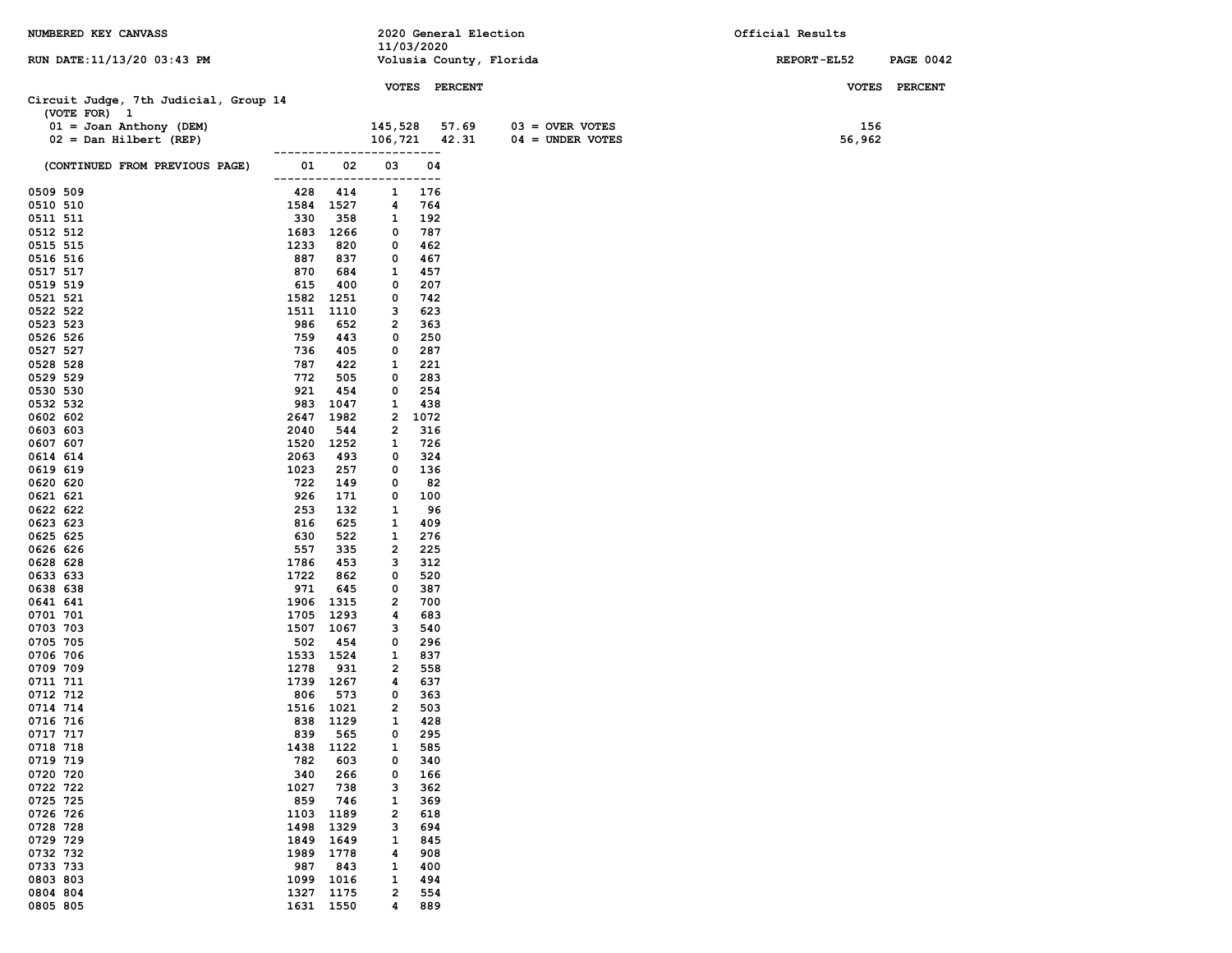| NUMBERED KEY CANVASS                                  |                          |                  |                                | 2020 General Election |                         | Official Results   |                  |
|-------------------------------------------------------|--------------------------|------------------|--------------------------------|-----------------------|-------------------------|--------------------|------------------|
|                                                       |                          |                  | 11/03/2020                     |                       |                         |                    |                  |
| RUN DATE:11/13/20 03:43 PM                            |                          |                  |                                |                       | Volusia County, Florida | <b>REPORT-EL52</b> | <b>PAGE 0042</b> |
|                                                       |                          |                  |                                | VOTES PERCENT         |                         |                    | VOTES PERCENT    |
| Circuit Judge, 7th Judicial, Group 14<br>(VOTE FOR) 1 |                          |                  |                                |                       |                         |                    |                  |
| $01 =$ Joan Anthony (DEM)                             |                          |                  |                                | 145,528 57.69         | $03 =$ OVER VOTES       | 156                |                  |
| $02 = Dan Hilbert (REF)$                              |                          |                  |                                | 106,721 42.31         | $04 =$ UNDER VOTES      | 56,962             |                  |
| (CONTINUED FROM PREVIOUS PAGE)                        | ------------------<br>01 | 02               | 03                             | 04                    |                         |                    |                  |
|                                                       |                          |                  | -------------------------      |                       |                         |                    |                  |
| 0509 509                                              | 428                      | 414              | 1                              | 176                   |                         |                    |                  |
| 0510 510<br>0511 511                                  | 330                      | 1584 1527<br>358 | 4<br>$\mathbf{1}$              | 764<br>192            |                         |                    |                  |
| 0512 512                                              |                          | 1683 1266        | 0                              | 787                   |                         |                    |                  |
| 0515 515                                              | 1233                     | 820              | 0                              | 462                   |                         |                    |                  |
| 0516 516                                              | 887                      | 837              | 0                              | 467                   |                         |                    |                  |
| 0517 517                                              | 870                      | 684              | 1                              | 457                   |                         |                    |                  |
| 0519 519                                              | 615                      | 400              | 0                              | 207                   |                         |                    |                  |
| 0521 521                                              | 1582                     | 1251             | 0                              | 742                   |                         |                    |                  |
| 0522 522                                              | 1511                     | 1110             | 3                              | 623                   |                         |                    |                  |
| 0523 523<br>0526 526                                  | 986<br>759               | 652<br>443       | $\overline{\mathbf{2}}$<br>0   | 363<br>250            |                         |                    |                  |
| 0527 527                                              | 736                      | 405              | 0                              | 287                   |                         |                    |                  |
| 0528 528                                              | 787                      | 422              | 1                              | 221                   |                         |                    |                  |
| 0529 529                                              | 772                      | 505              | 0                              | 283                   |                         |                    |                  |
| 0530 530                                              | 921                      | 454              | 0                              | 254                   |                         |                    |                  |
| 0532 532                                              | 983                      | 1047             | 1                              | 438                   |                         |                    |                  |
| 0602 602                                              | 2647                     | 1982             | $\mathbf{2}$                   | 1072                  |                         |                    |                  |
| 0603 603<br>0607 607                                  | 2040                     | 544<br>1520 1252 | 2<br>1                         | 316<br>726            |                         |                    |                  |
| 0614 614                                              | 2063                     | 493              | 0                              | 324                   |                         |                    |                  |
| 0619 619                                              | 1023                     | 257              | 0                              | 136                   |                         |                    |                  |
| 0620 620                                              | 722                      | 149              | 0                              | 82                    |                         |                    |                  |
| 0621 621                                              | 926                      | 171              | 0                              | 100                   |                         |                    |                  |
| 0622 622                                              | 253                      | 132              | 1                              | 96                    |                         |                    |                  |
| 0623 623                                              | 816                      | 625              | 1                              | 409                   |                         |                    |                  |
| 0625 625<br>0626 626                                  | 630<br>557               | 522<br>335       | $\mathbf{1}$<br>$\overline{2}$ | 276<br>225            |                         |                    |                  |
| 0628 628                                              | 1786                     | 453              | 3                              | 312                   |                         |                    |                  |
| 0633 633                                              | 1722                     | 862              | 0                              | 520                   |                         |                    |                  |
| 0638 638                                              | 971                      | 645              | 0                              | 387                   |                         |                    |                  |
| 0641 641                                              | 1906                     | 1315             | $\overline{2}$                 | 700                   |                         |                    |                  |
| 0701 701                                              | 1705                     | 1293             | 4<br>3                         | 683                   |                         |                    |                  |
| 0703 703<br>0705 705                                  | 1507<br>502              | 1067<br>454      | 0                              | 540<br>296            |                         |                    |                  |
| 0706 706                                              |                          | 1533 1524        | $\mathbf{1}$                   | 837                   |                         |                    |                  |
| 0709 709                                              | 1278                     | 931              | $\mathbf{2}$                   | 558                   |                         |                    |                  |
| 0711 711                                              |                          | 1739 1267        | 4                              | 637                   |                         |                    |                  |
| 0712 712                                              | 806                      | 573              | 0                              | 363                   |                         |                    |                  |
| 0714 714                                              |                          | 1516 1021        | $\overline{2}$                 | 503                   |                         |                    |                  |
| 0716 716<br>0717 717                                  | 839                      | 838 1129<br>565  | $\mathbf{1}$<br>0              | 428<br>295            |                         |                    |                  |
| 0718 718                                              | 1438                     | 1122             | 1                              | 585                   |                         |                    |                  |
| 0719 719                                              | 782                      | 603              | 0                              | 340                   |                         |                    |                  |
| 0720 720                                              | 340                      | 266              | 0                              | 166                   |                         |                    |                  |
| 0722 722                                              | 1027                     | 738              | з                              | 362                   |                         |                    |                  |
| 0725 725                                              | 859                      | 746              | 1                              | 369                   |                         |                    |                  |
| 0726 726<br>0728 728                                  | 1103<br>1498             | 1189             | $\overline{\mathbf{2}}$<br>з   | 618                   |                         |                    |                  |
| 0729 729                                              | 1849                     | 1329<br>1649     | $\mathbf{1}$                   | 694<br>845            |                         |                    |                  |
| 0732 732                                              | 1989                     | 1778             | 4                              | 908                   |                         |                    |                  |
| 0733 733                                              | 987                      | 843              | 1                              | 400                   |                         |                    |                  |
| 0803 803                                              | 1099                     | 1016             | 1                              | 494                   |                         |                    |                  |
| 0804 804                                              | 1327                     | 1175             | $\overline{\mathbf{2}}$        | 554                   |                         |                    |                  |
| 0805 805                                              |                          | 1631 1550        | 4                              | 889                   |                         |                    |                  |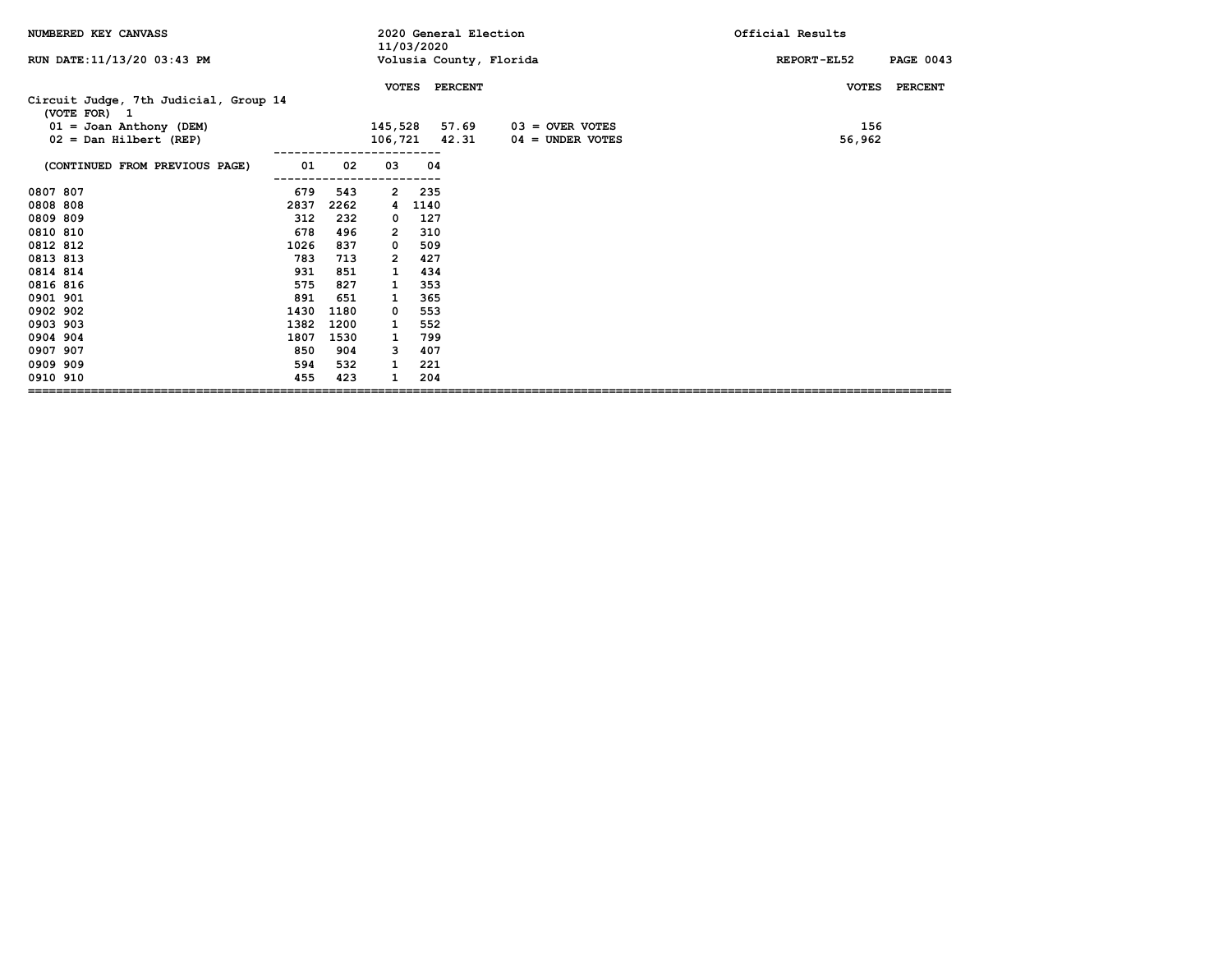| NUMBERED KEY CANVASS                                  |      |      |                | 11/03/2020 | 2020 General Election |                         | Official Results                |
|-------------------------------------------------------|------|------|----------------|------------|-----------------------|-------------------------|---------------------------------|
| RUN DATE: 11/13/20 03:43 PM                           |      |      |                |            |                       | Volusia County, Florida | <b>PAGE 0043</b><br>REPORT-EL52 |
|                                                       |      |      | <b>VOTES</b>   |            | <b>PERCENT</b>        |                         | <b>PERCENT</b><br><b>VOTES</b>  |
| Circuit Judge, 7th Judicial, Group 14<br>(VOTE FOR) 1 |      |      |                |            |                       |                         |                                 |
| $01 =$ Joan Anthony (DEM)                             |      |      | 145,528        |            | 57.69                 | $03 =$ OVER VOTES       | 156                             |
| $02 = Dan Hilbert (REF)$                              |      |      |                |            | 106,721 42.31         | $04 =$ UNDER VOTES      | 56,962                          |
| (CONTINUED FROM PREVIOUS PAGE)                        | 01   | 02   | 03             | 04         |                       |                         |                                 |
| 0807 807                                              | 679  | 543  | 2              | 235        |                       |                         |                                 |
| 0808 808                                              | 2837 | 2262 | 4              | 1140       |                       |                         |                                 |
| 0809 809                                              | 312  | 232  | $\mathbf 0$    | 127        |                       |                         |                                 |
| 0810 810                                              | 678  | 496  | $\overline{2}$ | 310        |                       |                         |                                 |
| 0812 812                                              | 1026 | 837  | 0              | 509        |                       |                         |                                 |
| 0813 813                                              | 783  | 713  | 2              | 427        |                       |                         |                                 |
| 0814 814                                              | 931  | 851  |                | 434        |                       |                         |                                 |
| 0816 816                                              | 575  | 827  | 1              | 353        |                       |                         |                                 |
| 0901 901                                              | 891  | 651  | 1              | 365        |                       |                         |                                 |
| 0902 902                                              | 1430 | 1180 | 0              | 553        |                       |                         |                                 |
| 0903 903                                              | 1382 | 1200 | 1              | 552        |                       |                         |                                 |
| 0904 904                                              | 1807 | 1530 | 1              | 799        |                       |                         |                                 |
| 0907 907                                              | 850  | 904  | з              | 407        |                       |                         |                                 |
| 0909 909                                              | 594  | 532  | 1              | 221        |                       |                         |                                 |
| 0910 910                                              | 455  | 423  |                | 204        |                       |                         |                                 |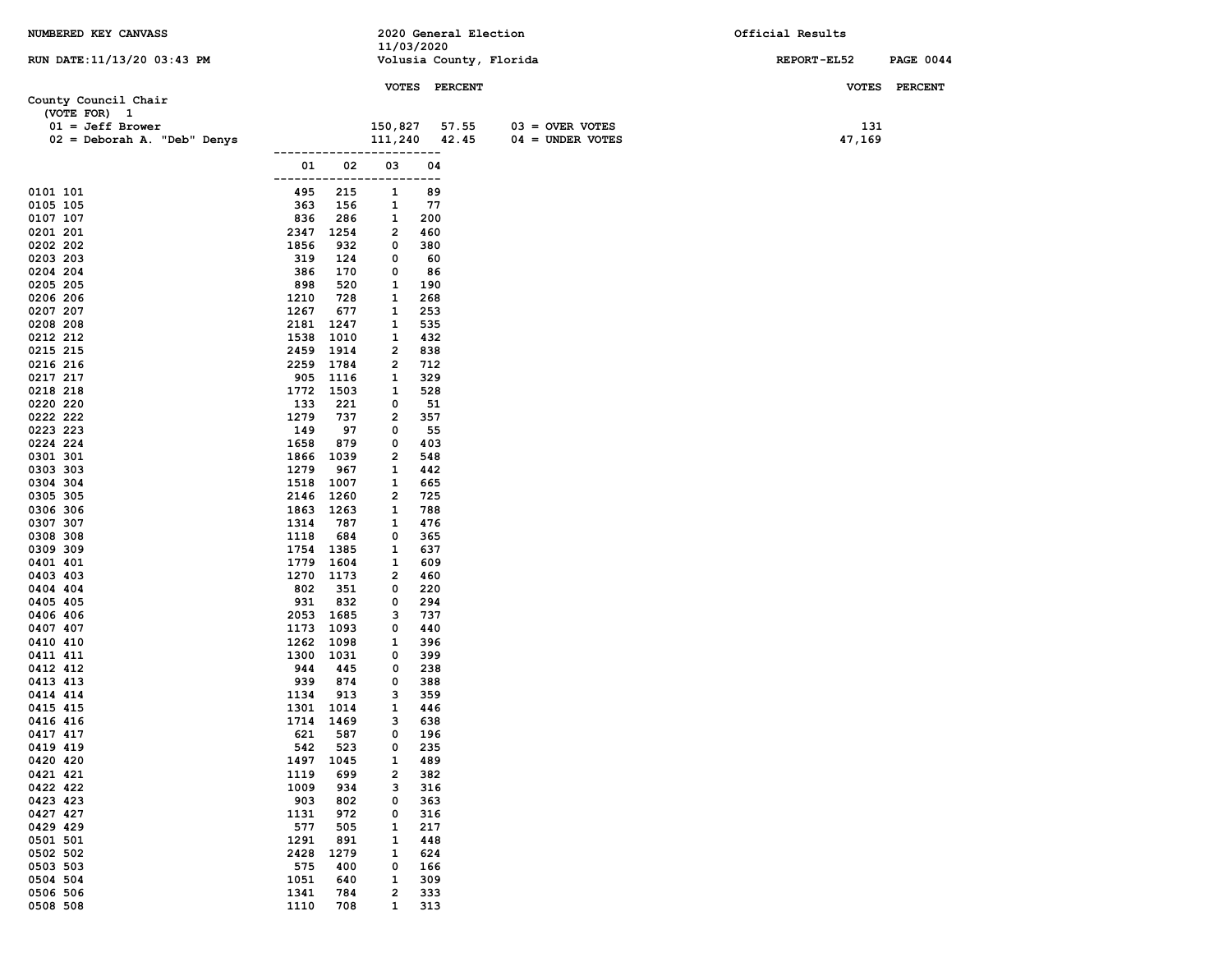| NUMBERED KEY CANVASS        |              |                   |                              |               | 2020 General Election   |                    | Official Results   |                  |
|-----------------------------|--------------|-------------------|------------------------------|---------------|-------------------------|--------------------|--------------------|------------------|
|                             |              |                   | 11/03/2020                   |               |                         |                    |                    |                  |
| RUN DATE: 11/13/20 03:43 PM |              |                   |                              |               | Volusia County, Florida |                    | <b>REPORT-EL52</b> | <b>PAGE 0044</b> |
|                             |              |                   |                              | VOTES PERCENT |                         |                    |                    | VOTES PERCENT    |
| County Council Chair        |              |                   |                              |               |                         |                    |                    |                  |
| (VOTE FOR) 1                |              |                   |                              |               |                         |                    |                    |                  |
| $01 = Jeff Brower$          |              |                   | 150,827                      | 57.55         |                         | $03 =$ OVER VOTES  | 131                |                  |
| 02 = Deborah A. "Deb" Denys |              |                   | 111,240                      | 42.45         |                         | $04 = UNDER VOTES$ | 47,169             |                  |
|                             | 01           | 02                | 03                           | .<br>04       |                         |                    |                    |                  |
|                             | -------      |                   | ---                          | ---           |                         |                    |                    |                  |
| 0101 101                    | 495          | 215               | 1                            | 89            |                         |                    |                    |                  |
| 0105 105                    | 363          | 156               | 1                            | 77            |                         |                    |                    |                  |
| 0107 107                    | 836          | 286               | 1                            | 200           |                         |                    |                    |                  |
| 0201 201                    | 2347         | 1254              | $\overline{2}$               | 460           |                         |                    |                    |                  |
| 0202 202<br>0203 203        | 1856<br>319  | 932<br>124        | 0<br>0                       | 380<br>60     |                         |                    |                    |                  |
| 0204 204                    | 386          | 170               | 0                            | 86            |                         |                    |                    |                  |
| 0205 205                    | 898          | 520               | 1                            | 190           |                         |                    |                    |                  |
| 0206 206                    | 1210         | 728               | 1                            | 268           |                         |                    |                    |                  |
| 0207 207                    | 1267         | 677               | 1                            | 253           |                         |                    |                    |                  |
| 0208 208                    | 2181         | 1247              | 1                            | 535           |                         |                    |                    |                  |
| 0212 212<br>0215 215        | 1538         | 1010<br>2459 1914 | 1<br>$\overline{2}$          | 432<br>838    |                         |                    |                    |                  |
| 0216 216                    |              | 2259 1784         | 2                            | 712           |                         |                    |                    |                  |
| 0217 217                    |              | 905 1116          | 1                            | 329           |                         |                    |                    |                  |
| 0218 218                    |              | 1772 1503         | 1                            | 528           |                         |                    |                    |                  |
| 0220 220                    | 133          | 221               | 0                            | 51            |                         |                    |                    |                  |
| 0222 222                    | 1279         | 737               | 2                            | 357           |                         |                    |                    |                  |
| 0223 223<br>0224 224        | 149<br>1658  | 97<br>879         | 0<br>0                       | 55<br>403     |                         |                    |                    |                  |
| 0301 301                    |              | 1866 1039         | 2                            | 548           |                         |                    |                    |                  |
| 0303 303                    | 1279         | 967               | 1                            | 442           |                         |                    |                    |                  |
| 0304 304                    |              | 1518 1007         | 1                            | 665           |                         |                    |                    |                  |
| 0305 305                    |              | 2146 1260         | 2                            | 725           |                         |                    |                    |                  |
| 0306 306                    |              | 1863 1263         | 1                            | 788           |                         |                    |                    |                  |
| 0307 307<br>0308 308        | 1314<br>1118 | 787<br>684        | 1<br>0                       | 476<br>365    |                         |                    |                    |                  |
| 0309 309                    | 1754         | 1385              | 1                            | 637           |                         |                    |                    |                  |
| 0401 401                    | 1779         | 1604              | 1                            | 609           |                         |                    |                    |                  |
| 0403 403                    |              | 1270 1173         | 2                            | 460           |                         |                    |                    |                  |
| 0404 404                    | 802          | 351               | 0                            | 220           |                         |                    |                    |                  |
| 0405 405<br>0406 406        | 931<br>2053  | 832<br>1685       | 0<br>з                       | 294<br>737    |                         |                    |                    |                  |
| 0407 407                    | 1173         | 1093              | 0                            | 440           |                         |                    |                    |                  |
| 0410 410                    |              | 1262 1098         | 1                            | 396           |                         |                    |                    |                  |
| 0411 411                    | 1300         | 1031              | 0                            | 399           |                         |                    |                    |                  |
| 0412 412                    | 944          | 445               | 0                            | 238           |                         |                    |                    |                  |
| 0413 413                    | 939          | 874               | 0                            | 388           |                         |                    |                    |                  |
| 0414 414<br>0415 415        | 1134<br>1301 | 913<br>1014       | 3<br>1                       | 359<br>446    |                         |                    |                    |                  |
| 0416 416                    | 1714         | 1469              | 3                            | 638           |                         |                    |                    |                  |
| 0417 417                    | 621          | 587               | 0                            | 196           |                         |                    |                    |                  |
| 0419 419                    | 542          | 523               | 0                            | 235           |                         |                    |                    |                  |
| 0420 420                    | 1497         | 1045              | 1                            | 489           |                         |                    |                    |                  |
| 0421 421<br>0422 422        | 1119         | 699               | $\overline{\mathbf{2}}$<br>з | 382           |                         |                    |                    |                  |
| 0423 423                    | 1009<br>903  | 934<br>802        | 0                            | 316<br>363    |                         |                    |                    |                  |
| 0427 427                    | 1131         | 972               | 0                            | 316           |                         |                    |                    |                  |
| 0429 429                    | 577          | 505               | 1                            | 217           |                         |                    |                    |                  |
| 0501 501                    | 1291         | 891               | 1                            | 448           |                         |                    |                    |                  |
| 0502 502                    | 2428         | 1279              | 1                            | 624           |                         |                    |                    |                  |
| 0503 503                    | 575          | 400               | 0                            | 166           |                         |                    |                    |                  |
| 0504 504<br>0506 506        | 1051<br>1341 | 640<br>784        | 1<br>$\overline{\mathbf{2}}$ | 309<br>333    |                         |                    |                    |                  |
| 0508 508                    | 1110         | 708               | $\mathbf{1}$                 | 313           |                         |                    |                    |                  |
|                             |              |                   |                              |               |                         |                    |                    |                  |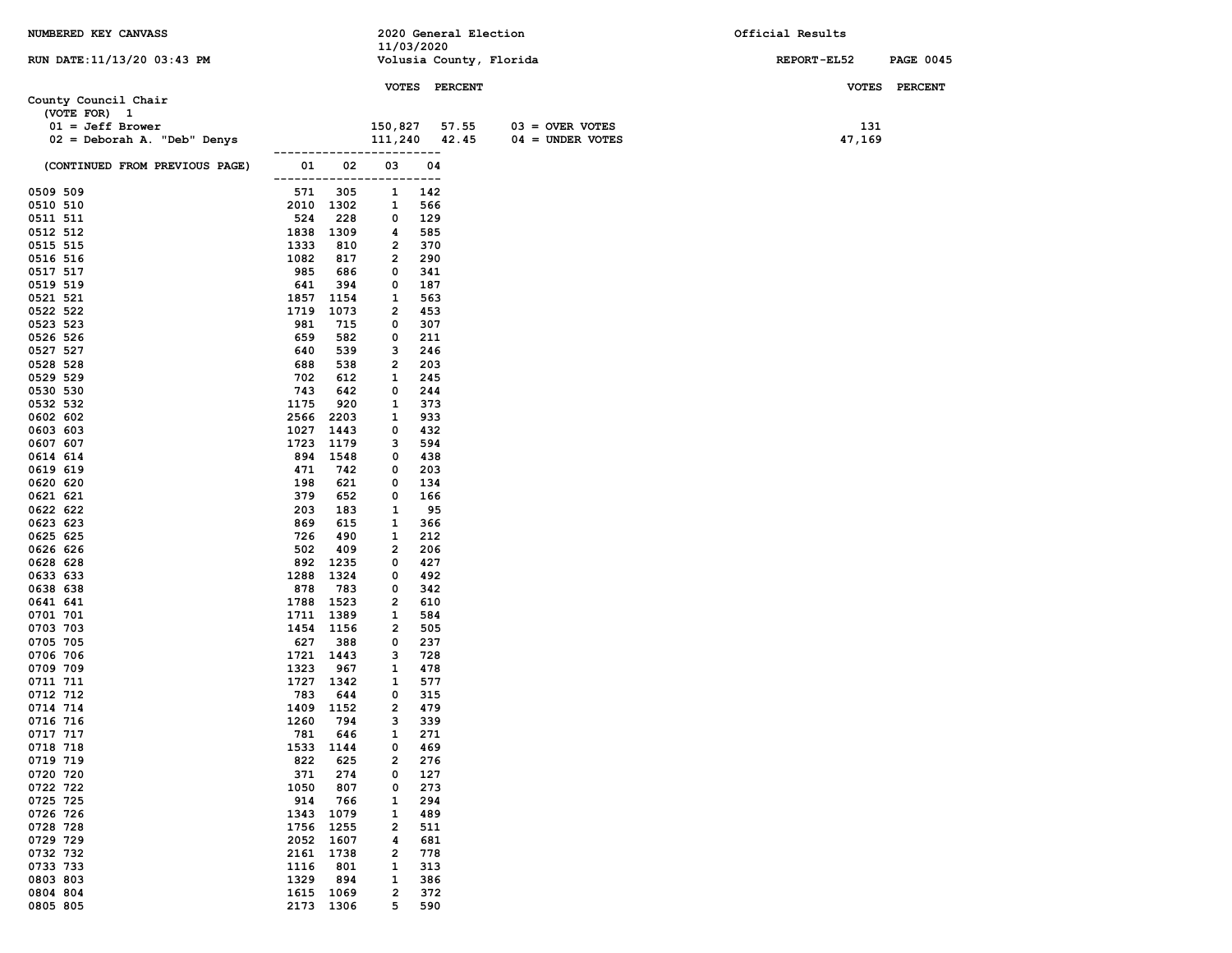| NUMBERED KEY CANVASS           |                  |                  |                              | 2020 General Election |                         | Official Results |                  |
|--------------------------------|------------------|------------------|------------------------------|-----------------------|-------------------------|------------------|------------------|
|                                |                  |                  | 11/03/2020                   |                       |                         |                  |                  |
| RUN DATE: 11/13/20 03:43 PM    |                  |                  |                              |                       | Volusia County, Florida | REPORT-EL52      | <b>PAGE 0045</b> |
|                                |                  |                  |                              | VOTES PERCENT         |                         |                  | VOTES PERCENT    |
| County Council Chair           |                  |                  |                              |                       |                         |                  |                  |
| (VOTE FOR) 1                   |                  |                  |                              |                       |                         |                  |                  |
| $01 = Jeff Brower$             |                  |                  | 150,827                      | 57.55                 | $03 =$ OVER VOTES       | 131              |                  |
| 02 = Deborah A. "Deb" Denys    |                  |                  | 111,240                      | 42.45                 | $04 = UNDER VOTES$      | 47,169           |                  |
|                                |                  |                  |                              |                       |                         |                  |                  |
| (CONTINUED FROM PREVIOUS PAGE) | 01               | 02               | 03                           | 04                    |                         |                  |                  |
|                                | ------------     |                  | ----                         | ----                  |                         |                  |                  |
| 0509 509                       | 571              | 305              | 1                            | 142                   |                         |                  |                  |
| 0510 510<br>0511 511           | 2010 1302<br>524 | 228              | 1<br>0                       | 566<br>129            |                         |                  |                  |
| 0512 512                       | 1838             | 1309             | 4                            | 585                   |                         |                  |                  |
| 0515 515                       | 1333             | 810              | 2                            | 370                   |                         |                  |                  |
| 0516 516                       | 1082             | 817              | $\overline{2}$               | 290                   |                         |                  |                  |
| 0517 517                       | 985              | 686              | 0                            | 341                   |                         |                  |                  |
| 0519 519                       | 641              | 394              | 0                            | 187                   |                         |                  |                  |
| 0521 521                       | 1857             | 1154             | 1                            | 563                   |                         |                  |                  |
| 0522 522                       | 1719             | 1073             | 2                            | 453                   |                         |                  |                  |
| 0523 523<br>0526 526           | 981<br>659       | 715<br>582       | 0<br>0                       | 307<br>211            |                         |                  |                  |
| 0527 527                       | 640              | 539              | з                            | 246                   |                         |                  |                  |
| 0528 528                       | 688              | 538              | $\overline{2}$               | 203                   |                         |                  |                  |
| 0529 529                       | 702              | 612              | 1                            | 245                   |                         |                  |                  |
| 0530 530                       | 743              | 642              | 0                            | 244                   |                         |                  |                  |
| 0532 532                       | 1175             | 920              | 1                            | 373                   |                         |                  |                  |
| 0602 602                       | 2566             | 2203             | 1                            | 933                   |                         |                  |                  |
| 0603 603                       | 1027             | 1443             | 0                            | 432                   |                         |                  |                  |
| 0607 607<br>0614 614           | 1723             | 1179<br>894 1548 | 3<br>0                       | 594<br>438            |                         |                  |                  |
| 0619 619                       | 471              | 742              | 0                            | 203                   |                         |                  |                  |
| 0620 620                       | 198              | 621              | 0                            | 134                   |                         |                  |                  |
| 0621 621                       | 379              | 652              | 0                            | 166                   |                         |                  |                  |
| 0622 622                       | 203              | 183              | 1                            | 95                    |                         |                  |                  |
| 0623 623                       | 869              | 615              | 1                            | 366                   |                         |                  |                  |
| 0625 625                       | 726<br>502       | 490              | 1<br>$\overline{\mathbf{2}}$ | 212                   |                         |                  |                  |
| 0626 626<br>0628 628           | 892              | 409<br>1235      | 0                            | 206<br>427            |                         |                  |                  |
| 0633 633                       | 1288             | 1324             | 0                            | 492                   |                         |                  |                  |
| 0638 638                       | 878              | 783              | 0                            | 342                   |                         |                  |                  |
| 0641 641                       | 1788             | 1523             | 2                            | 610                   |                         |                  |                  |
| 0701 701                       | 1711 1389        |                  | 1                            | 584                   |                         |                  |                  |
| 0703 703                       | 1454 1156        |                  | 2                            | 505                   |                         |                  |                  |
| 0705 705<br>0706 706           | 627<br>1721 1443 | 388              | 0<br>з                       | 237<br>728            |                         |                  |                  |
| 0709 709                       | 1323             | 967              | 1                            | 478                   |                         |                  |                  |
| 0711 711                       | 1727 1342        |                  | 1                            | 577                   |                         |                  |                  |
| 0712 712                       | 783              | 644              | 0                            | 315                   |                         |                  |                  |
| 0714 714                       | 1409 1152        |                  | $\overline{\mathbf{2}}$      | 479                   |                         |                  |                  |
| 0716 716                       | 1260             | 794              | 3                            | 339                   |                         |                  |                  |
| 0717 717                       | 781              | 646              | 1                            | 271                   |                         |                  |                  |
| 0718 718<br>0719 719           | 1533<br>822      | 1144<br>625      | 0<br>$\overline{\mathbf{2}}$ | 469<br>276            |                         |                  |                  |
| 0720 720                       | 371              | 274              | 0                            | 127                   |                         |                  |                  |
| 0722 722                       | 1050             | 807              | 0                            | 273                   |                         |                  |                  |
| 0725 725                       | 914              | 766              | 1                            | 294                   |                         |                  |                  |
| 0726 726                       | 1343             | 1079             | 1                            | 489                   |                         |                  |                  |
| 0728 728                       | 1756             | 1255             | $\overline{\mathbf{2}}$      | 511                   |                         |                  |                  |
| 0729 729                       | 2052             | 1607             | 4                            | 681                   |                         |                  |                  |
| 0732 732<br>0733 733           | 2161<br>1116     | 1738<br>801      | 2<br>1                       | 778<br>313            |                         |                  |                  |
| 0803 803                       | 1329             | 894              | 1                            | 386                   |                         |                  |                  |
| 0804 804                       | 1615             | 1069             | 2                            | 372                   |                         |                  |                  |
| 0805 805                       | 2173 1306        |                  | 5                            | 590                   |                         |                  |                  |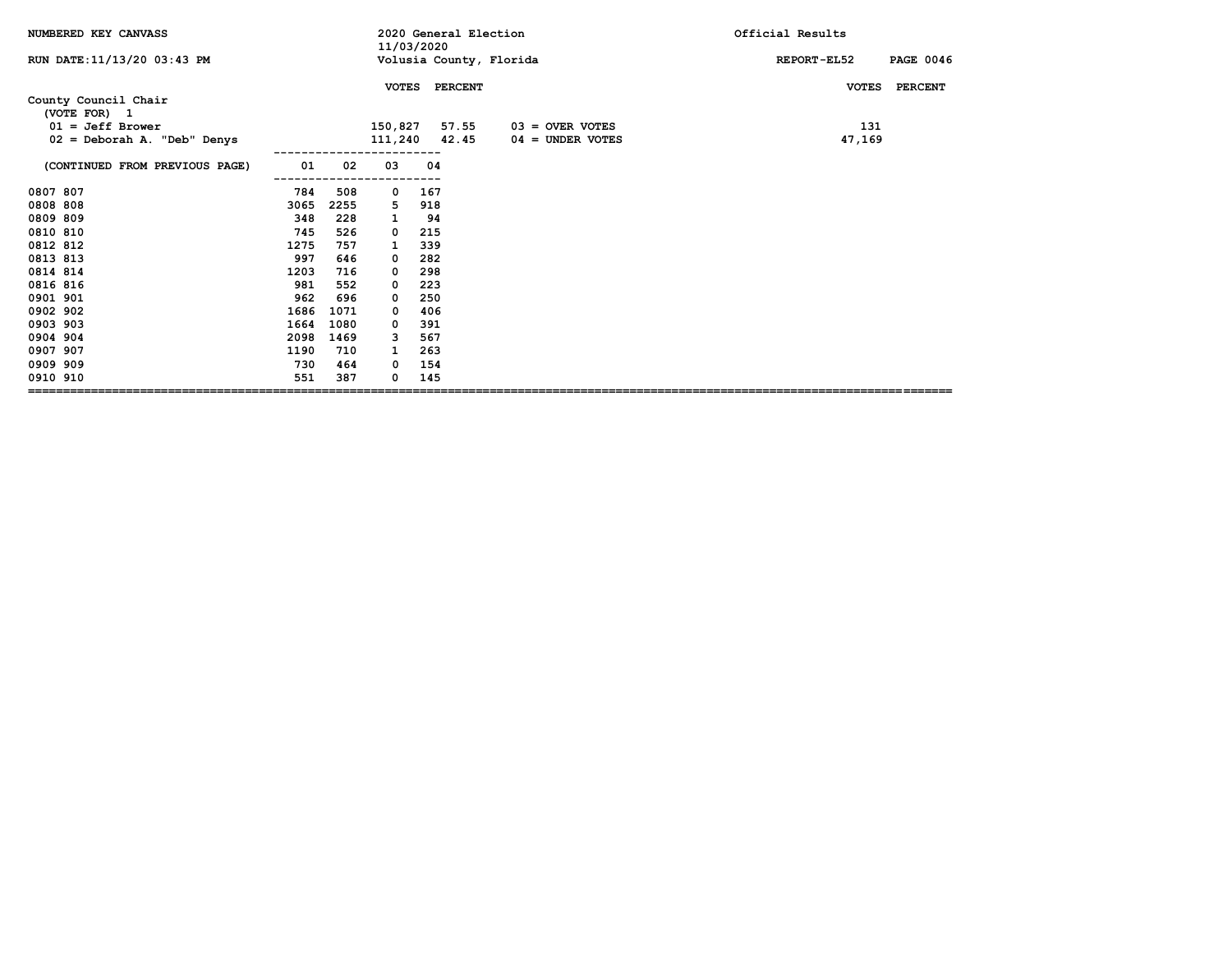| NUMBERED KEY CANVASS                 |      |      | 11/03/2020    |     |                | 2020 General Election   | Official Results                |
|--------------------------------------|------|------|---------------|-----|----------------|-------------------------|---------------------------------|
| RUN DATE: 11/13/20 03:43 PM          |      |      |               |     |                | Volusia County, Florida | <b>PAGE 0046</b><br>REPORT-EL52 |
|                                      |      |      | <b>VOTES</b>  |     | <b>PERCENT</b> |                         | <b>PERCENT</b><br><b>VOTES</b>  |
| County Council Chair<br>(VOTE FOR) 1 |      |      |               |     |                |                         |                                 |
| $01 = Jeff Brower$                   |      |      | 150,827       |     | 57.55          | $03 =$ OVER VOTES       | 131                             |
| 02 = Deborah A. "Deb" Denys          |      |      | 111,240 42.45 |     |                | $04 =$ UNDER VOTES      | 47,169                          |
| (CONTINUED FROM PREVIOUS PAGE)       | 01   | 02   | 03            | 04  |                |                         |                                 |
| 0807 807                             | 784  | 508  | 0             | 167 |                |                         |                                 |
| 0808 808                             | 3065 | 2255 | 5             | 918 |                |                         |                                 |
| 0809 809                             | 348  | 228  | 1             | 94  |                |                         |                                 |
| 0810 810                             | 745  | 526  | 0             | 215 |                |                         |                                 |
| 0812 812                             | 1275 | 757  | 1             | 339 |                |                         |                                 |
| 0813 813                             | 997  | 646  | 0             | 282 |                |                         |                                 |
| 0814 814                             | 1203 | 716  | 0             | 298 |                |                         |                                 |
| 0816 816                             | 981  | 552  | 0             | 223 |                |                         |                                 |
| 0901 901                             | 962  | 696  | 0             | 250 |                |                         |                                 |
| 0902 902                             | 1686 | 1071 | 0             | 406 |                |                         |                                 |
| 0903 903                             | 1664 | 1080 | 0             | 391 |                |                         |                                 |
| 0904 904                             | 2098 | 1469 | 3             | 567 |                |                         |                                 |
| 0907 907                             | 1190 | 710  | 1             | 263 |                |                         |                                 |
| 0909 909                             | 730  | 464  | 0             | 154 |                |                         |                                 |
| 0910 910                             | 551  | 387  | 0             | 145 |                |                         |                                 |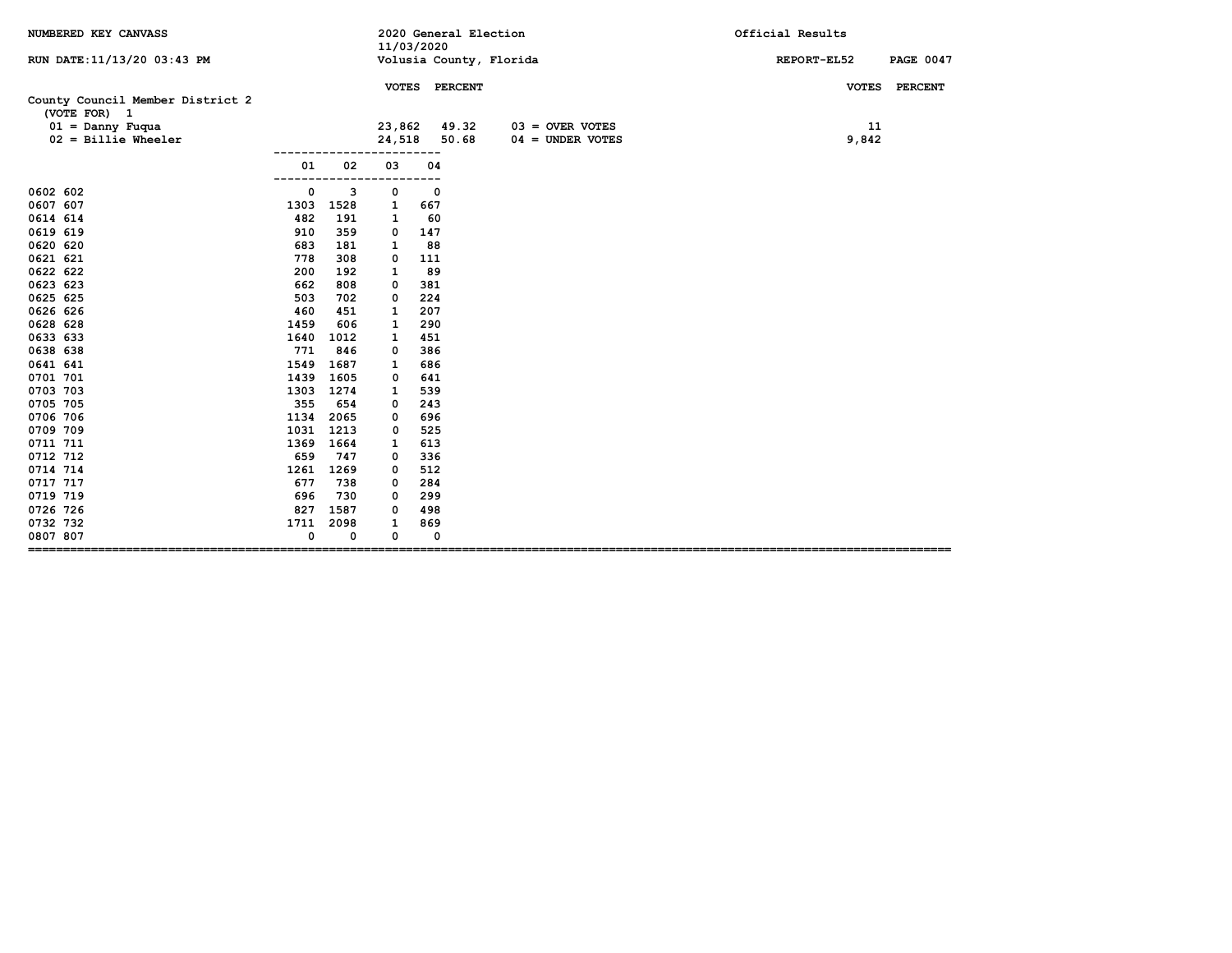| NUMBERED KEY CANVASS                             |      |      | 11/03/2020   |     | 2020 General Election |                         | Official Results                |  |  |  |
|--------------------------------------------------|------|------|--------------|-----|-----------------------|-------------------------|---------------------------------|--|--|--|
| RUN DATE: 11/13/20 03:43 PM                      |      |      |              |     |                       | Volusia County, Florida | REPORT-EL52<br><b>PAGE 0047</b> |  |  |  |
|                                                  |      |      |              |     | VOTES PERCENT         |                         | VOTES PERCENT                   |  |  |  |
| County Council Member District 2<br>(VOTE FOR) 1 |      |      |              |     |                       |                         |                                 |  |  |  |
| $01 =$ Danny Fuqua                               |      |      | 23,862 49.32 |     |                       | $03 =$ OVER VOTES       | 11                              |  |  |  |
| $02 =$ Billie Wheeler                            |      |      | 24,518       |     | 50.68                 | $04 =$ UNDER VOTES      | 9,842                           |  |  |  |
|                                                  |      |      |              |     |                       |                         |                                 |  |  |  |
|                                                  | 01   | 02   | 03           | 04  |                       |                         |                                 |  |  |  |
| 0602 602                                         | 0    | з    | 0            | 0   |                       |                         |                                 |  |  |  |
| 0607 607                                         | 1303 | 1528 | 1            | 667 |                       |                         |                                 |  |  |  |
| 0614 614                                         | 482  | 191  | 1            | 60  |                       |                         |                                 |  |  |  |
| 0619 619                                         | 910  | 359  | 0            | 147 |                       |                         |                                 |  |  |  |
| 0620 620                                         | 683  | 181  | 1            | 88  |                       |                         |                                 |  |  |  |
| 0621 621                                         | 778  | 308  | 0            | 111 |                       |                         |                                 |  |  |  |
| 0622 622                                         | 200  | 192  | 1            | 89  |                       |                         |                                 |  |  |  |
| 0623 623                                         | 662  | 808  | 0            | 381 |                       |                         |                                 |  |  |  |
| 0625 625                                         | 503  | 702  | 0            | 224 |                       |                         |                                 |  |  |  |
| 0626 626                                         | 460  | 451  | 1            | 207 |                       |                         |                                 |  |  |  |
| 0628 628                                         | 1459 | 606  | 1            | 290 |                       |                         |                                 |  |  |  |
| 0633 633                                         | 1640 | 1012 | 1            | 451 |                       |                         |                                 |  |  |  |
| 0638 638                                         | 771  | 846  | 0            | 386 |                       |                         |                                 |  |  |  |
| 0641 641                                         | 1549 | 1687 | 1            | 686 |                       |                         |                                 |  |  |  |
| 0701 701                                         | 1439 | 1605 | 0            | 641 |                       |                         |                                 |  |  |  |
| 0703 703                                         | 1303 | 1274 | 1            | 539 |                       |                         |                                 |  |  |  |
| 0705 705                                         | 355  | 654  | 0            | 243 |                       |                         |                                 |  |  |  |
| 0706 706                                         | 1134 | 2065 | 0            | 696 |                       |                         |                                 |  |  |  |
| 0709 709                                         | 1031 | 1213 | 0            | 525 |                       |                         |                                 |  |  |  |
| 0711 711                                         | 1369 | 1664 | 1            | 613 |                       |                         |                                 |  |  |  |
| 0712 712                                         | 659  | 747  | 0            | 336 |                       |                         |                                 |  |  |  |
| 0714 714                                         | 1261 | 1269 | 0            | 512 |                       |                         |                                 |  |  |  |
| 0717 717                                         | 677  | 738  | 0            | 284 |                       |                         |                                 |  |  |  |
| 0719 719                                         | 696  | 730  | 0            | 299 |                       |                         |                                 |  |  |  |
| 0726 726                                         | 827  | 1587 | 0            | 498 |                       |                         |                                 |  |  |  |
| 0732 732                                         | 1711 | 2098 | 1            | 869 |                       |                         |                                 |  |  |  |
| 0807 807<br>=======================              | 0    | 0    | 0            | 0   |                       |                         |                                 |  |  |  |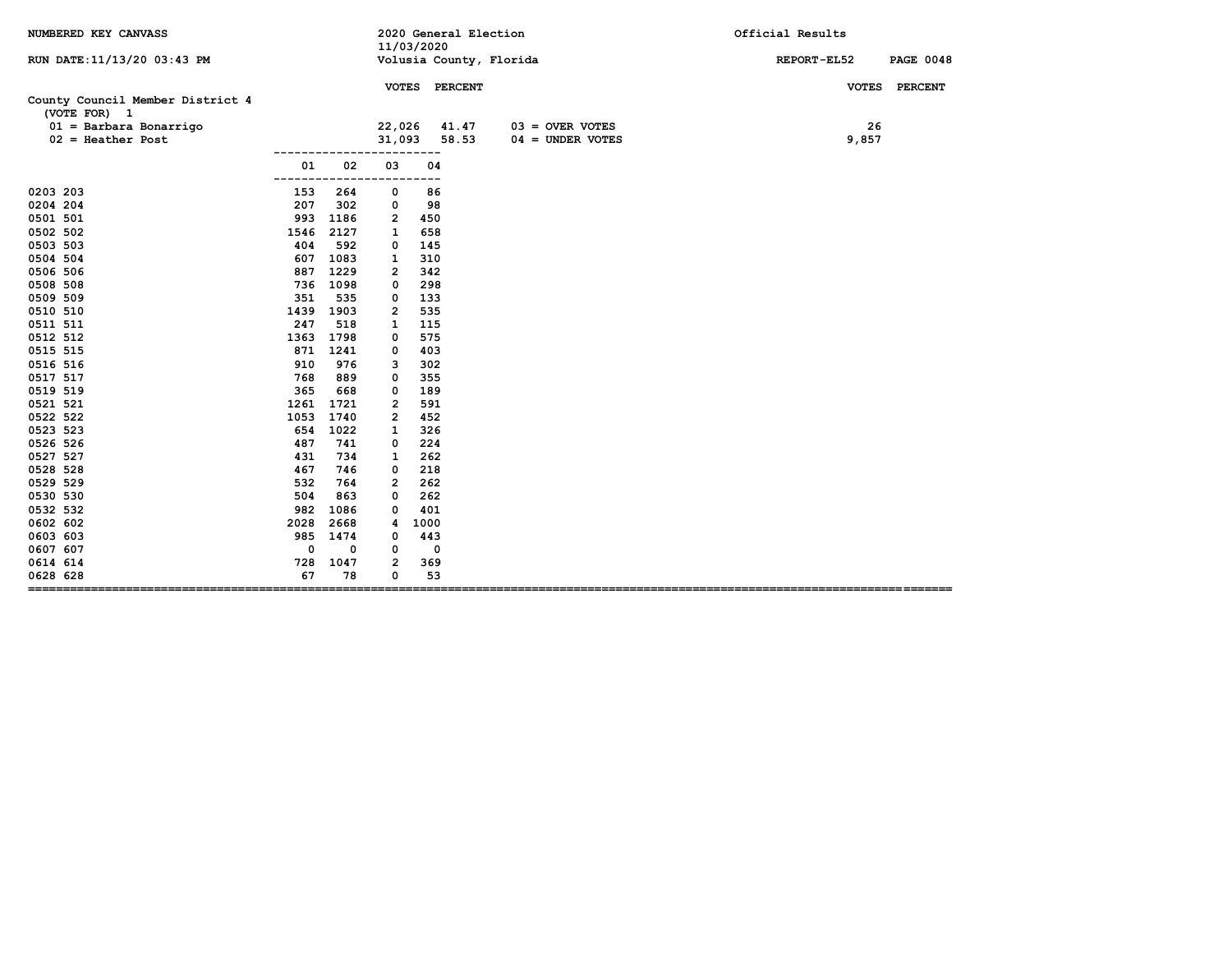| NUMBERED KEY CANVASS                             |      |             |              | 11/03/2020 | 2020 General Election   |                    | Official Results                |
|--------------------------------------------------|------|-------------|--------------|------------|-------------------------|--------------------|---------------------------------|
| RUN DATE: 11/13/20 03:43 PM                      |      |             |              |            | Volusia County, Florida |                    | REPORT-EL52<br><b>PAGE 0048</b> |
|                                                  |      |             |              |            | VOTES PERCENT           |                    | VOTES PERCENT                   |
| County Council Member District 4<br>(VOTE FOR) 1 |      |             |              |            |                         |                    |                                 |
| $01 =$ Barbara Bonarrigo                         |      |             | 22,026       |            | 41.47                   | $03 =$ OVER VOTES  | 26                              |
| $02$ = Heather Post                              |      |             | 31,093       |            | 58.53                   | $04 =$ UNDER VOTES | 9,857                           |
|                                                  |      |             |              |            |                         |                    |                                 |
|                                                  | 01   | 02          | 03           | 04         |                         |                    |                                 |
| 0203 203                                         | 153  | 264         | 0            | .<br>86    |                         |                    |                                 |
| 0204 204                                         | 207  | 302         | 0            | 98         |                         |                    |                                 |
| 0501 501                                         | 993  | 1186        | 2            | 450        |                         |                    |                                 |
| 0502 502                                         | 1546 | 2127        | 1            | 658        |                         |                    |                                 |
| 0503 503                                         | 404  | 592         | 0            | 145        |                         |                    |                                 |
| 0504 504                                         | 607  | 1083        | $\mathbf{1}$ | 310        |                         |                    |                                 |
| 0506 506                                         | 887  | 1229        | 2            | 342        |                         |                    |                                 |
| 0508 508                                         | 736  | 1098        | 0            | 298        |                         |                    |                                 |
| 0509 509                                         | 351  | 535         | 0            | 133        |                         |                    |                                 |
| 0510 510                                         | 1439 | 1903        | 2            | 535        |                         |                    |                                 |
| 0511 511                                         | 247  | 518         | 1            | 115        |                         |                    |                                 |
| 0512 512                                         | 1363 | 1798        | 0            | 575        |                         |                    |                                 |
| 0515 515                                         | 871  | 1241        | 0            | 403        |                         |                    |                                 |
| 0516 516                                         | 910  | 976         | з            | 302        |                         |                    |                                 |
| 0517 517                                         | 768  | 889         | 0            | 355        |                         |                    |                                 |
| 0519 519                                         | 365  | 668         | 0            | 189        |                         |                    |                                 |
| 0521 521                                         | 1261 | 1721        | 2            | 591        |                         |                    |                                 |
| 0522 522                                         | 1053 | 1740        | 2            | 452        |                         |                    |                                 |
| 0523 523                                         | 654  | 1022        | 1            | 326        |                         |                    |                                 |
| 0526 526                                         | 487  | 741         | 0            | 224        |                         |                    |                                 |
| 0527 527                                         | 431  | 734         | 1            | 262        |                         |                    |                                 |
| 0528 528                                         | 467  | 746         | 0            | 218        |                         |                    |                                 |
| 0529 529                                         | 532  | 764         | 2            | 262        |                         |                    |                                 |
| 0530 530                                         | 504  | 863         | 0            | 262        |                         |                    |                                 |
| 0532 532                                         | 982  | 1086        | 0            | 401        |                         |                    |                                 |
| 0602 602                                         | 2028 | 2668        | 4            | 1000       |                         |                    |                                 |
| 0603 603                                         | 985  | 1474        | 0            | 443        |                         |                    |                                 |
| 0607 607                                         | 0    | $\mathbf 0$ | 0            | 0          |                         |                    |                                 |
| 0614 614                                         | 728  | 1047        | 2            | 369        |                         |                    |                                 |
| 0628 628                                         | 67   | 78          | 0            | 53         |                         |                    |                                 |
| =================================                |      |             |              |            |                         |                    |                                 |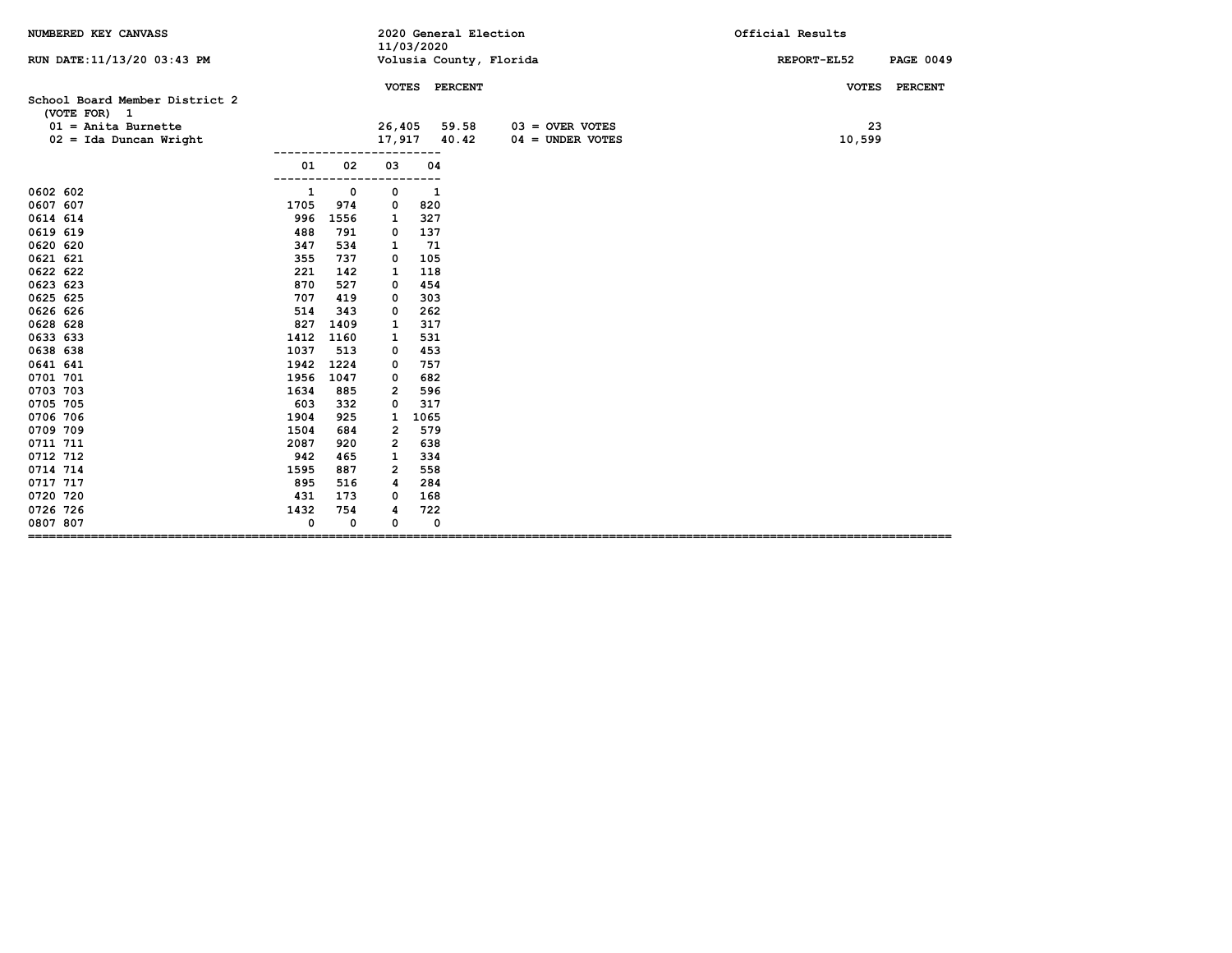| NUMBERED KEY CANVASS                                                    |      |             |        | 11/03/2020 | 2020 General Election  |                         | Official Results                |
|-------------------------------------------------------------------------|------|-------------|--------|------------|------------------------|-------------------------|---------------------------------|
| RUN DATE: 11/13/20 03:43 PM                                             |      |             |        |            |                        | Volusia County, Florida | REPORT-EL52<br><b>PAGE 0049</b> |
| School Board Member District 2<br>(VOTE FOR) 1<br>$01$ = Anita Burnette |      |             | 26,405 |            | VOTES PERCENT<br>59.58 | $03 =$ OVER VOTES       | VOTES PERCENT<br>23             |
| $02 = Ida$ Duncan Wright                                                |      |             |        |            | 17,917 40.42           | $04 =$ UNDER VOTES      | 10,599                          |
|                                                                         | 01   | 02          | 03     | 04         |                        |                         |                                 |
|                                                                         |      |             |        |            |                        |                         |                                 |
| 0602 602                                                                | 1    | 0           | 0      | 1          |                        |                         |                                 |
| 0607 607                                                                | 1705 | 974         | 0      | 820        |                        |                         |                                 |
| 0614 614                                                                | 996  | 1556        | 1      | 327        |                        |                         |                                 |
| 0619 619                                                                | 488  | 791         | 0      | 137        |                        |                         |                                 |
| 0620 620                                                                | 347  | 534         | 1      | 71         |                        |                         |                                 |
| 0621 621                                                                | 355  | 737         | 0      | 105        |                        |                         |                                 |
| 0622 622                                                                | 221  | 142         | 1      | 118        |                        |                         |                                 |
| 0623 623                                                                | 870  | 527         | 0      | 454        |                        |                         |                                 |
| 0625 625                                                                | 707  | 419         | 0      | 303        |                        |                         |                                 |
| 0626 626                                                                | 514  | 343         | 0      | 262        |                        |                         |                                 |
| 0628 628                                                                | 827  | 1409        | 1      | 317        |                        |                         |                                 |
| 0633 633                                                                | 1412 | 1160        | 1      | 531        |                        |                         |                                 |
| 0638 638                                                                | 1037 | 513         | 0      | 453        |                        |                         |                                 |
| 0641 641                                                                | 1942 | 1224        | 0      | 757        |                        |                         |                                 |
| 0701 701                                                                | 1956 | 1047        | 0      | 682        |                        |                         |                                 |
| 0703 703                                                                | 1634 | 885         | 2      | 596        |                        |                         |                                 |
| 0705 705                                                                | 603  | 332         | 0      | 317        |                        |                         |                                 |
| 0706 706                                                                | 1904 | 925         | 1      | 1065       |                        |                         |                                 |
| 0709 709                                                                | 1504 | 684         | 2      | 579        |                        |                         |                                 |
| 0711 711                                                                | 2087 | 920         | 2      | 638        |                        |                         |                                 |
| 0712 712                                                                | 942  | 465         | 1      | 334        |                        |                         |                                 |
| 0714 714                                                                | 1595 | 887         | 2      | 558        |                        |                         |                                 |
| 0717 717                                                                | 895  | 516         | 4      | 284        |                        |                         |                                 |
| 0720 720                                                                | 431  | 173         | 0      | 168        |                        |                         |                                 |
| 0726 726                                                                | 1432 | 754         | 4      | 722        |                        |                         |                                 |
| 0807 807                                                                | 0    | $\mathbf 0$ | 0      | 0          |                        |                         |                                 |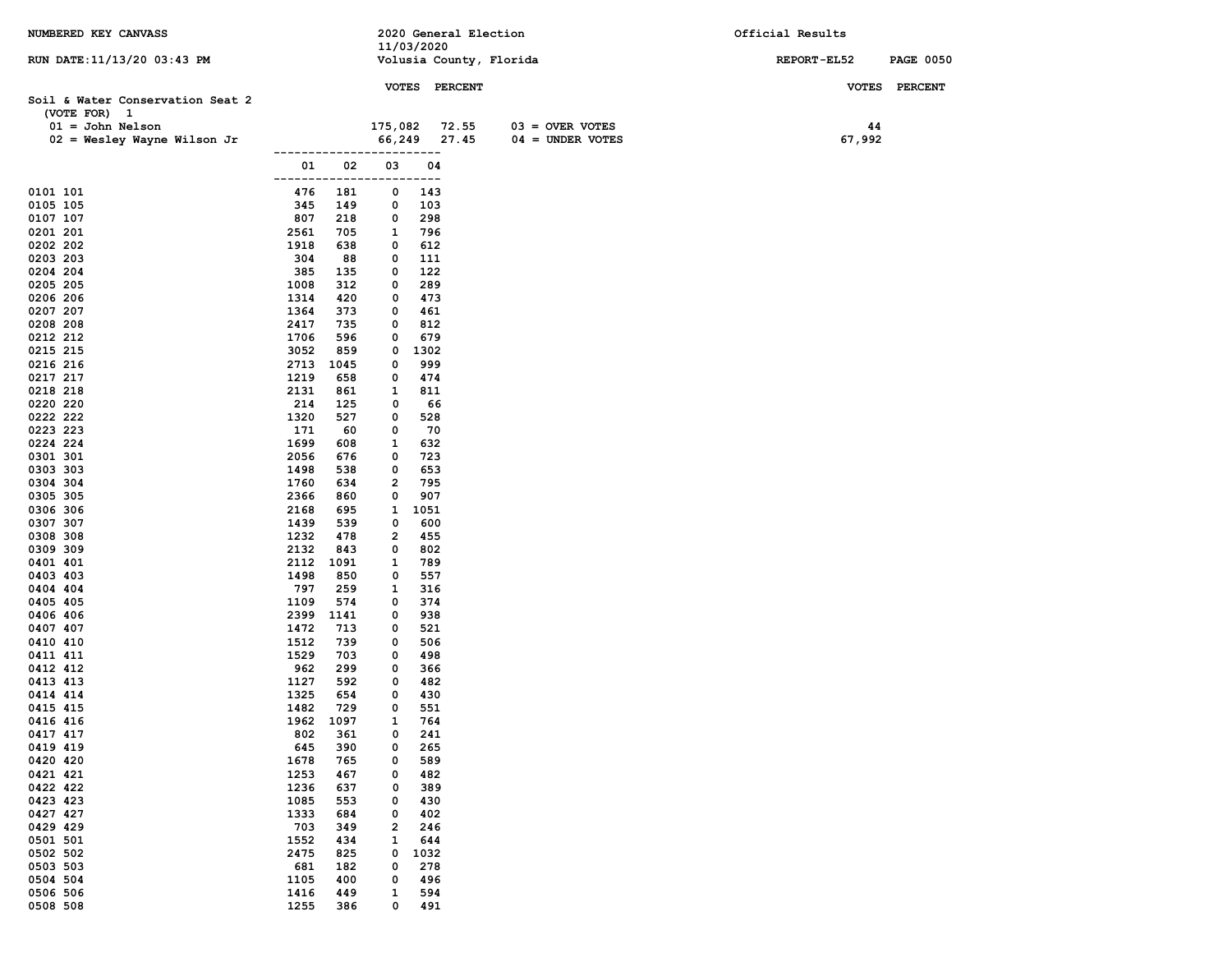| NUMBERED KEY CANVASS             |              |             |                         | 11/03/2020  | 2020 General Election |                         | Official Results |                  |
|----------------------------------|--------------|-------------|-------------------------|-------------|-----------------------|-------------------------|------------------|------------------|
| RUN DATE: 11/13/20 03:43 PM      |              |             |                         |             |                       | Volusia County, Florida | REPORT-EL52      | <b>PAGE 0050</b> |
|                                  |              |             |                         |             | VOTES PERCENT         |                         |                  | VOTES PERCENT    |
| Soil & Water Conservation Seat 2 |              |             |                         |             |                       |                         |                  |                  |
| (VOTE FOR) 1                     |              |             |                         |             |                       |                         |                  |                  |
| $01 =$ John Nelson               |              |             | 175,082                 |             | 72.55                 | $03 =$ OVER VOTES       | 44               |                  |
| $02$ = Wesley Wayne Wilson Jr    |              |             | 66,249                  | ---         | 27.45                 | $04 =$ UNDER VOTES      | 67,992           |                  |
|                                  | 01           | 02          | 03                      | 04          |                       |                         |                  |                  |
|                                  | ------       |             |                         | ---         |                       |                         |                  |                  |
| 0101 101<br>0105 105             | 476<br>345   | 181<br>149  | 0<br>0                  | 143<br>103  |                       |                         |                  |                  |
| 0107 107                         | 807          | 218         | 0                       | 298         |                       |                         |                  |                  |
| 0201 201                         | 2561         | 705         | 1                       | 796         |                       |                         |                  |                  |
| 0202 202                         | 1918         | 638         | 0                       | 612         |                       |                         |                  |                  |
| 0203 203                         | 304          | 88          | 0                       | 111         |                       |                         |                  |                  |
| 0204 204                         | 385          | 135         | 0                       | 122         |                       |                         |                  |                  |
| 0205 205<br>0206 206             | 1008<br>1314 | 312<br>420  | 0<br>0                  | 289<br>473  |                       |                         |                  |                  |
| 0207 207                         | 1364         | 373         | 0                       | 461         |                       |                         |                  |                  |
| 0208 208                         | 2417         | 735         | 0                       | 812         |                       |                         |                  |                  |
| 0212 212                         | 1706         | 596         | 0                       | 679         |                       |                         |                  |                  |
| 0215 215                         | 3052         | 859         | 0                       | 1302        |                       |                         |                  |                  |
| 0216 216                         | 2713         | 1045        | 0                       | 999         |                       |                         |                  |                  |
| 0217 217                         | 1219         | 658         | 0                       | 474         |                       |                         |                  |                  |
| 0218 218                         | 2131         | 861         | 1                       | 811         |                       |                         |                  |                  |
| 0220 220<br>0222 222             | 214<br>1320  | 125<br>527  | 0<br>0                  | 66<br>528   |                       |                         |                  |                  |
| 0223 223                         | 171          | 60          | 0                       | 70          |                       |                         |                  |                  |
| 0224 224                         | 1699         | 608         | 1                       | 632         |                       |                         |                  |                  |
| 0301 301                         | 2056         | 676         | 0                       | 723         |                       |                         |                  |                  |
| 0303 303                         | 1498         | 538         | 0                       | 653         |                       |                         |                  |                  |
| 0304 304                         | 1760         | 634         | 2                       | 795         |                       |                         |                  |                  |
| 0305 305                         | 2366         | 860         | 0                       | 907         |                       |                         |                  |                  |
| 0306 306<br>0307 307             | 2168<br>1439 | 695<br>539  | 1<br>0                  | 1051<br>600 |                       |                         |                  |                  |
| 0308 308                         | 1232         | 478         | 2                       | 455         |                       |                         |                  |                  |
| 0309 309                         | 2132         | 843         | 0                       | 802         |                       |                         |                  |                  |
| 0401 401                         | 2112         | 1091        | 1                       | 789         |                       |                         |                  |                  |
| 0403 403                         | 1498         | 850         | 0                       | 557         |                       |                         |                  |                  |
| 0404 404                         | 797          | 259         | 1                       | 316         |                       |                         |                  |                  |
| 0405 405<br>0406 406             | 1109<br>2399 | 574<br>1141 | 0<br>0                  | 374<br>938  |                       |                         |                  |                  |
| 0407 407                         | 1472         | 713         | 0                       | 521         |                       |                         |                  |                  |
| 0410 410                         | 1512         | 739         | 0                       | 506         |                       |                         |                  |                  |
| 0411 411                         | 1529         | 703         | 0                       | 498         |                       |                         |                  |                  |
| 0412 412                         | 962          | 299         | 0                       | 366         |                       |                         |                  |                  |
| 0413 413                         | 1127         | 592         | 0                       | 482         |                       |                         |                  |                  |
| 0414 414<br>0415 415             | 1325<br>1482 | 654<br>729  | 0<br>0                  | 430<br>551  |                       |                         |                  |                  |
| 0416 416                         | 1962         | 1097        | 1                       | 764         |                       |                         |                  |                  |
| 0417 417                         | 802          | 361         | 0                       | 241         |                       |                         |                  |                  |
| 0419 419                         | 645          | 390         | 0                       | 265         |                       |                         |                  |                  |
| 0420 420                         | 1678         | 765         | 0                       | 589         |                       |                         |                  |                  |
| 0421 421                         | 1253         | 467         | 0                       | 482         |                       |                         |                  |                  |
| 0422 422<br>0423 423             | 1236         | 637         | 0<br>0                  | 389         |                       |                         |                  |                  |
| 0427 427                         | 1085<br>1333 | 553<br>684  | 0                       | 430<br>402  |                       |                         |                  |                  |
| 0429 429                         | 703          | 349         | $\overline{\mathbf{2}}$ | 246         |                       |                         |                  |                  |
| 0501 501                         | 1552         | 434         | 1                       | 644         |                       |                         |                  |                  |
| 0502 502                         | 2475         | 825         | 0                       | 1032        |                       |                         |                  |                  |
| 0503 503                         | 681          | 182         | 0                       | 278         |                       |                         |                  |                  |
| 0504 504                         | 1105         | 400         | 0                       | 496         |                       |                         |                  |                  |
| 0506 506<br>0508 508             | 1416<br>1255 | 449<br>386  | 1<br>0                  | 594<br>491  |                       |                         |                  |                  |
|                                  |              |             |                         |             |                       |                         |                  |                  |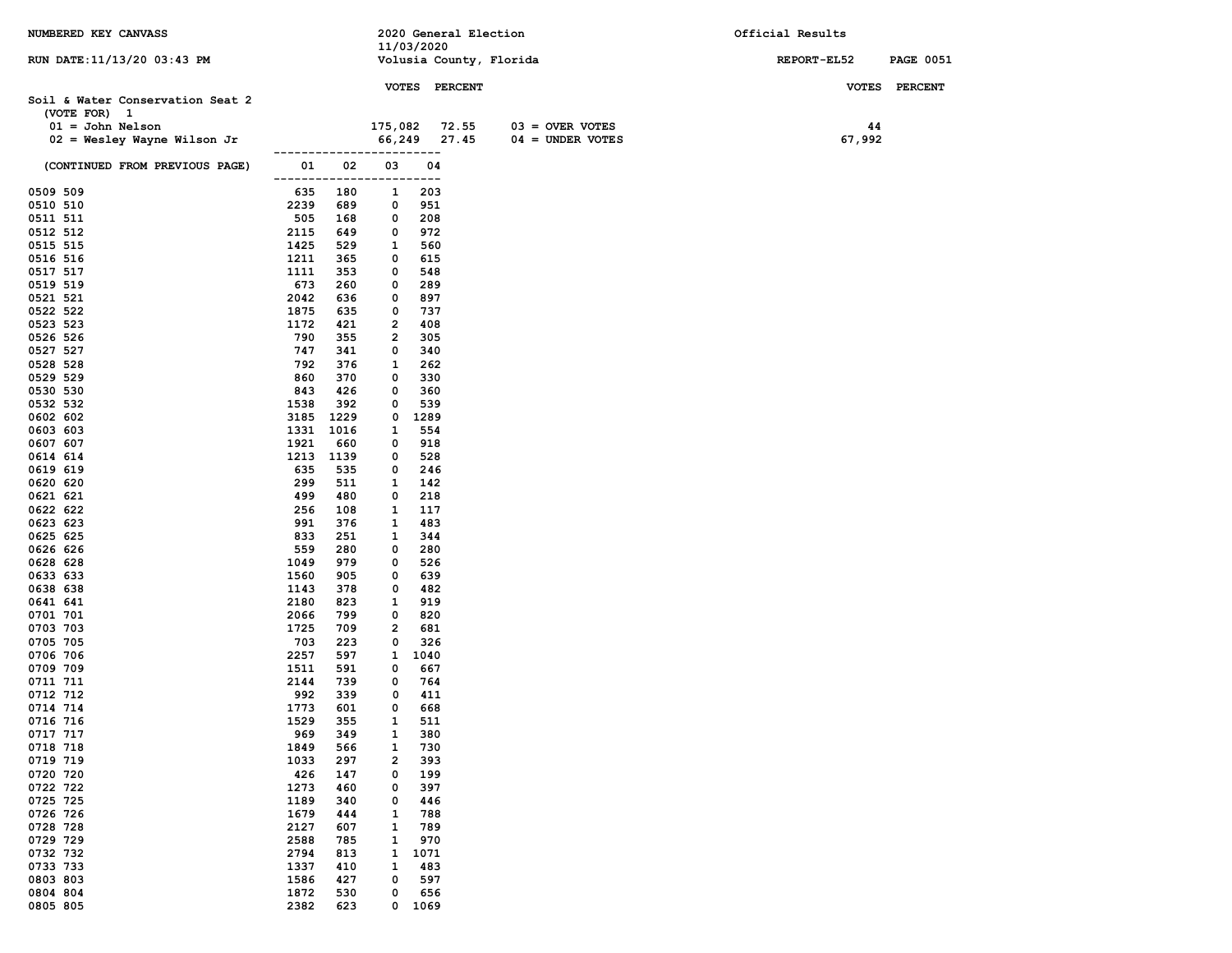| NUMBERED KEY CANVASS                                |              |             |                         |               | 2020 General Election   |                    | Official Results |              |                  |
|-----------------------------------------------------|--------------|-------------|-------------------------|---------------|-------------------------|--------------------|------------------|--------------|------------------|
| RUN DATE: 11/13/20 03:43 PM                         |              |             | 11/03/2020              |               | Volusia County, Florida |                    |                  | REPORT-EL52  | <b>PAGE 0051</b> |
|                                                     |              |             |                         |               |                         |                    |                  |              |                  |
|                                                     |              |             |                         | VOTES PERCENT |                         |                    |                  | <b>VOTES</b> | <b>PERCENT</b>   |
| Soil & Water Conservation Seat 2                    |              |             |                         |               |                         |                    |                  |              |                  |
| (VOTE FOR) 1                                        |              |             | 175,082 72.55           |               |                         | $03 =$ OVER VOTES  |                  |              |                  |
| $01 =$ John Nelson<br>$02$ = Wesley Wayne Wilson Jr |              |             |                         | 66,249 27.45  |                         | $04 =$ UNDER VOTES |                  | 44<br>67,992 |                  |
|                                                     |              |             |                         | $---$         |                         |                    |                  |              |                  |
| (CONTINUED FROM PREVIOUS PAGE)                      | 01           | 02          | 03<br>---               | 04<br>---     |                         |                    |                  |              |                  |
| 0509 509                                            | 635          | 180         | 1                       | 203           |                         |                    |                  |              |                  |
| 0510 510                                            | 2239         | 689         | 0                       | 951           |                         |                    |                  |              |                  |
| 0511 511                                            | 505          | 168         | 0                       | 208           |                         |                    |                  |              |                  |
| 0512 512                                            | 2115         | 649         | 0                       | 972           |                         |                    |                  |              |                  |
| 0515 515<br>0516 516                                | 1425<br>1211 | 529<br>365  | 1<br>0                  | 560<br>615    |                         |                    |                  |              |                  |
| 0517 517                                            | 1111         | 353         | 0                       | 548           |                         |                    |                  |              |                  |
| 0519 519                                            | 673          | 260         | 0                       | 289           |                         |                    |                  |              |                  |
| 0521 521                                            | 2042         | 636         | 0                       | 897           |                         |                    |                  |              |                  |
| 0522 522                                            | 1875         | 635         | 0                       | 737           |                         |                    |                  |              |                  |
| 0523 523                                            | 1172         | 421         | $\overline{\mathbf{2}}$ | 408           |                         |                    |                  |              |                  |
| 0526 526<br>0527 527                                | 790<br>747   | 355<br>341  | 2<br>0                  | 305           |                         |                    |                  |              |                  |
| 0528 528                                            | 792          | 376         | 1                       | 340<br>262    |                         |                    |                  |              |                  |
| 0529 529                                            | 860          | 370         | 0                       | 330           |                         |                    |                  |              |                  |
| 0530 530                                            | 843          | 426         | 0                       | 360           |                         |                    |                  |              |                  |
| 0532 532                                            | 1538         | 392         | 0                       | 539           |                         |                    |                  |              |                  |
| 0602 602                                            | 3185         | 1229        | 0                       | 1289          |                         |                    |                  |              |                  |
| 0603 603                                            | 1331         | 1016        | 1                       | 554           |                         |                    |                  |              |                  |
| 0607 607<br>0614 614                                | 1921<br>1213 | 660<br>1139 | 0<br>0                  | 918<br>528    |                         |                    |                  |              |                  |
| 0619 619                                            | 635          | 535         | 0                       | 246           |                         |                    |                  |              |                  |
| 0620 620                                            | 299          | 511         | 1                       | 142           |                         |                    |                  |              |                  |
| 0621 621                                            | 499          | 480         | 0                       | 218           |                         |                    |                  |              |                  |
| 0622 622                                            | 256          | 108         | 1                       | 117           |                         |                    |                  |              |                  |
| 0623 623                                            | 991          | 376         | 1                       | 483           |                         |                    |                  |              |                  |
| 0625 625<br>0626 626                                | 833<br>559   | 251<br>280  | 1<br>0                  | 344<br>280    |                         |                    |                  |              |                  |
| 0628 628                                            | 1049         | 979         | 0                       | 526           |                         |                    |                  |              |                  |
| 0633 633                                            | 1560         | 905         | 0                       | 639           |                         |                    |                  |              |                  |
| 0638 638                                            | 1143         | 378         | 0                       | 482           |                         |                    |                  |              |                  |
| 0641 641                                            | 2180         | 823         | 1                       | 919           |                         |                    |                  |              |                  |
| 0701 701                                            | 2066         | 799         | 0                       | 820           |                         |                    |                  |              |                  |
| 0703 703                                            | 1725         | 709         | $\overline{\mathbf{2}}$ | 681           |                         |                    |                  |              |                  |
| 0705 705<br>0706 706                                | 703<br>2257  | 223<br>597  | 0<br>$\mathbf{1}$       | 326<br>1040   |                         |                    |                  |              |                  |
| 0709 709                                            | 1511         | 591         | 0                       | 667           |                         |                    |                  |              |                  |
| 0711 711                                            | 2144         | 739         | 0                       | 764           |                         |                    |                  |              |                  |
| 0712 712                                            | 992          | 339         | 0                       | 411           |                         |                    |                  |              |                  |
| 0714 714                                            | 1773         | 601         | 0                       | 668           |                         |                    |                  |              |                  |
| 0716 716                                            | 1529         | 355         | $\mathbf{1}$            | 511           |                         |                    |                  |              |                  |
| 0717 717<br>0718 718                                | 969<br>1849  | 349<br>566  | 1<br>1                  | 380<br>730    |                         |                    |                  |              |                  |
| 0719 719                                            | 1033         | 297         | $\overline{\mathbf{2}}$ | 393           |                         |                    |                  |              |                  |
| 0720 720                                            | 426          | 147         | 0                       | 199           |                         |                    |                  |              |                  |
| 0722 722                                            | 1273         | 460         | 0                       | 397           |                         |                    |                  |              |                  |
| 0725 725                                            | 1189         | 340         | 0                       | 446           |                         |                    |                  |              |                  |
| 0726 726                                            | 1679         | 444         | 1                       | 788           |                         |                    |                  |              |                  |
| 0728 728<br>0729 729                                | 2127<br>2588 | 607<br>785  | 1                       | 789<br>970    |                         |                    |                  |              |                  |
| 0732 732                                            | 2794         | 813         | 1<br>1                  | 1071          |                         |                    |                  |              |                  |
| 0733 733                                            | 1337         | 410         | 1                       | 483           |                         |                    |                  |              |                  |
| 0803 803                                            | 1586         | 427         | 0                       | 597           |                         |                    |                  |              |                  |
| 0804 804                                            | 1872         | 530         | 0                       | 656           |                         |                    |                  |              |                  |
| 0805 805                                            | 2382         | 623         | 0                       | 1069          |                         |                    |                  |              |                  |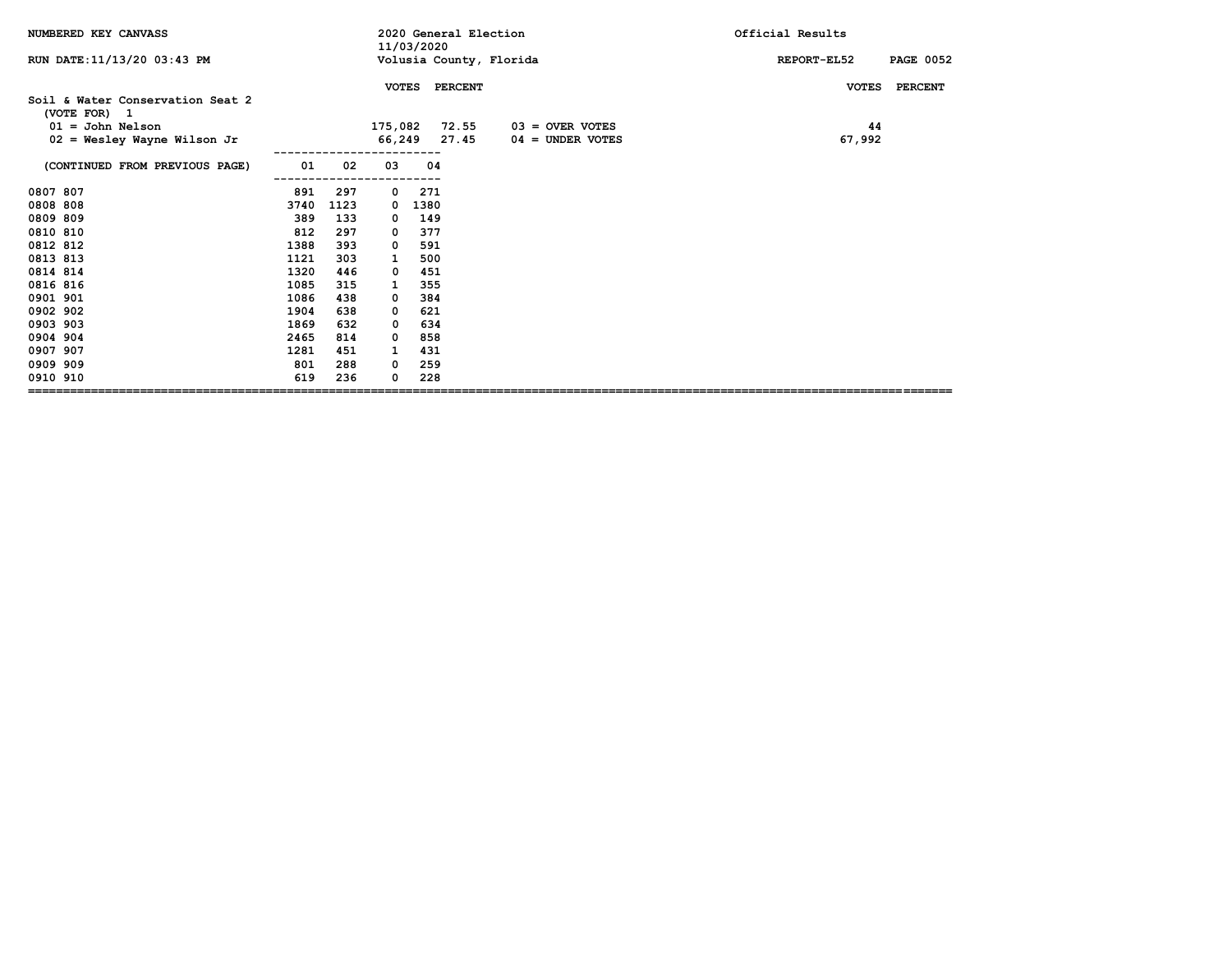| NUMBERED KEY CANVASS                             |      |      |              | 11/03/2020 | 2020 General Election |                         | Official Results                |
|--------------------------------------------------|------|------|--------------|------------|-----------------------|-------------------------|---------------------------------|
| RUN DATE: 11/13/20 03:43 PM                      |      |      |              |            |                       | Volusia County, Florida | REPORT-EL52<br><b>PAGE 0052</b> |
|                                                  |      |      | <b>VOTES</b> |            | <b>PERCENT</b>        |                         | <b>VOTES</b><br><b>PERCENT</b>  |
| Soil & Water Conservation Seat 2<br>(VOTE FOR) 1 |      |      |              |            |                       |                         |                                 |
| $01 =$ John Nelson                               |      |      |              |            | 175,082 72.55         | $03 =$ OVER VOTES       | 44                              |
| $02$ = Wesley Wayne Wilson Jr                    |      |      |              |            | 66,249 27.45          | 04 = UNDER VOTES        | 67,992                          |
| (CONTINUED FROM PREVIOUS PAGE)                   | 01   | 02   | 03           | 04         |                       |                         |                                 |
| 0807 807                                         | 891  | 297  | $\mathbf 0$  | 271        |                       |                         |                                 |
| 0808 808                                         | 3740 | 1123 | 0            | 1380       |                       |                         |                                 |
| 0809 809                                         | 389  | 133  | 0            | 149        |                       |                         |                                 |
| 0810 810                                         | 812  | 297  | 0            | 377        |                       |                         |                                 |
| 0812 812                                         | 1388 | 393  | 0            | 591        |                       |                         |                                 |
| 0813 813                                         | 1121 | 303  |              | 500        |                       |                         |                                 |
| 0814 814                                         | 1320 | 446  | 0            | 451        |                       |                         |                                 |
| 0816 816                                         | 1085 | 315  | 1            | 355        |                       |                         |                                 |
| 0901 901                                         | 1086 | 438  | 0            | 384        |                       |                         |                                 |
| 0902 902                                         | 1904 | 638  | 0            | 621        |                       |                         |                                 |
| 0903 903                                         | 1869 | 632  | 0            | 634        |                       |                         |                                 |
| 0904 904                                         | 2465 | 814  | 0            | 858        |                       |                         |                                 |
| 0907 907                                         | 1281 | 451  | 1            | 431        |                       |                         |                                 |
| 0909 909                                         | 801  | 288  | 0            | 259        |                       |                         |                                 |
| 0910 910                                         | 619  | 236  | 0            | 228        |                       |                         |                                 |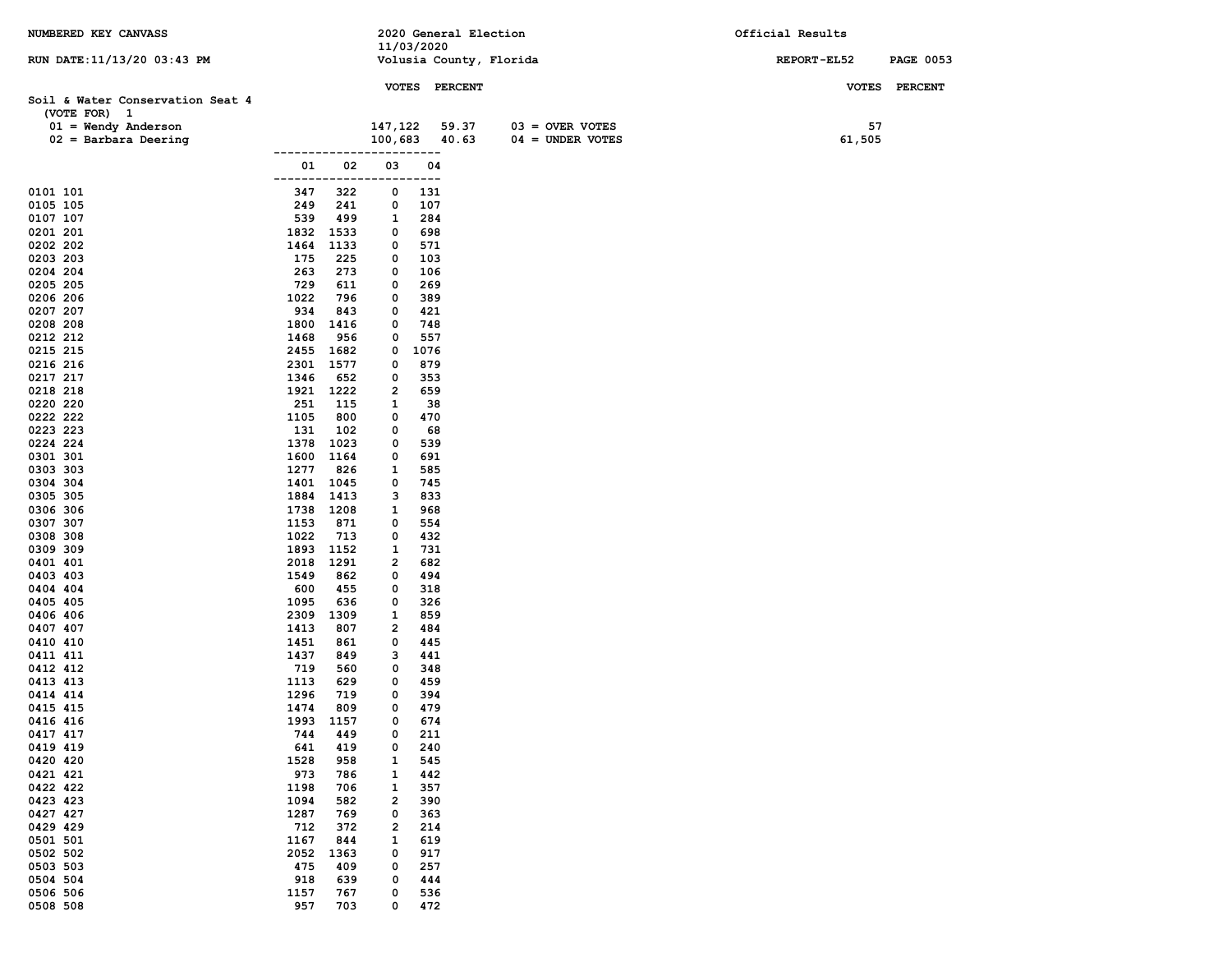| NUMBERED KEY CANVASS             |              |                  |                   |            | 2020 General Election |                         |                    | Official Results |              |                  |
|----------------------------------|--------------|------------------|-------------------|------------|-----------------------|-------------------------|--------------------|------------------|--------------|------------------|
|                                  |              |                  | 11/03/2020        |            |                       |                         |                    |                  |              |                  |
| RUN DATE: 11/13/20 03:43 PM      |              |                  |                   |            |                       | Volusia County, Florida |                    | REPORT-EL52      |              | <b>PAGE 0053</b> |
|                                  |              |                  |                   |            | VOTES PERCENT         |                         |                    |                  | <b>VOTES</b> | <b>PERCENT</b>   |
| Soil & Water Conservation Seat 4 |              |                  |                   |            |                       |                         |                    |                  |              |                  |
| (VOTE FOR) 1                     |              |                  |                   |            |                       |                         |                    |                  |              |                  |
| $01 =$ Wendy Anderson            |              |                  | 147,122           |            | 59.37                 |                         | $03 =$ OVER VOTES  |                  | 57           |                  |
| $02 =$ Barbara Deering           |              |                  | 100,683           |            | 40.63                 |                         | $04 = UNDER VOTES$ |                  | 61,505       |                  |
|                                  |              |                  |                   | ----       |                       |                         |                    |                  |              |                  |
|                                  | 01           | 02               | 03                | 04<br>---  |                       |                         |                    |                  |              |                  |
| 0101 101                         | 347          | 322              | 0                 | 131        |                       |                         |                    |                  |              |                  |
| 0105 105                         | 249          | 241              | 0                 | 107        |                       |                         |                    |                  |              |                  |
| 0107 107                         | 539          | 499              | 1                 | 284        |                       |                         |                    |                  |              |                  |
| 0201 201                         | 1832         | 1533             | 0                 | 698        |                       |                         |                    |                  |              |                  |
| 0202 202                         | 1464         | 1133             | 0                 | 571        |                       |                         |                    |                  |              |                  |
| 0203 203<br>0204 204             | 175<br>263   | 225<br>273       | 0<br>0            | 103<br>106 |                       |                         |                    |                  |              |                  |
| 0205 205                         | 729          | 611              | 0                 | 269        |                       |                         |                    |                  |              |                  |
| 0206 206                         | 1022         | 796              | 0                 | 389        |                       |                         |                    |                  |              |                  |
| 0207 207                         | 934          | 843              | 0                 | 421        |                       |                         |                    |                  |              |                  |
| 0208 208                         | 1800         | 1416             | 0                 | 748        |                       |                         |                    |                  |              |                  |
| 0212 212                         | 1468         | 956              | 0                 | 557        |                       |                         |                    |                  |              |                  |
| 0215 215                         |              | 2455 1682        | 0                 | 1076       |                       |                         |                    |                  |              |                  |
| 0216 216<br>0217 217             | 1346         | 2301 1577<br>652 | 0<br>0            | 879<br>353 |                       |                         |                    |                  |              |                  |
| 0218 218                         |              | 1921 1222        | 2                 | 659        |                       |                         |                    |                  |              |                  |
| 0220 220                         | 251          | 115              | 1                 | 38         |                       |                         |                    |                  |              |                  |
| 0222 222                         | 1105         | 800              | 0                 | 470        |                       |                         |                    |                  |              |                  |
| 0223 223                         | 131          | 102              | 0                 | 68         |                       |                         |                    |                  |              |                  |
| 0224 224                         | 1378         | 1023             | 0                 | 539        |                       |                         |                    |                  |              |                  |
| 0301 301                         | 1600         | 1164             | 0                 | 691        |                       |                         |                    |                  |              |                  |
| 0303 303<br>0304 304             | 1277         | 826<br>1401 1045 | 1<br>0            | 585<br>745 |                       |                         |                    |                  |              |                  |
| 0305 305                         | 1884         | 1413             | з                 | 833        |                       |                         |                    |                  |              |                  |
| 0306 306                         | 1738         | 1208             | 1                 | 968        |                       |                         |                    |                  |              |                  |
| 0307 307                         | 1153         | 871              | 0                 | 554        |                       |                         |                    |                  |              |                  |
| 0308 308                         | 1022         | 713              | 0                 | 432        |                       |                         |                    |                  |              |                  |
| 0309 309                         | 1893         | 1152             | 1                 | 731        |                       |                         |                    |                  |              |                  |
| 0401 401                         | 2018<br>1549 | 1291<br>862      | 2<br>0            | 682<br>494 |                       |                         |                    |                  |              |                  |
| 0403 403<br>0404 404             | 600          | 455              | 0                 | 318        |                       |                         |                    |                  |              |                  |
| 0405 405                         | 1095         | 636              | 0                 | 326        |                       |                         |                    |                  |              |                  |
| 0406 406                         | 2309         | 1309             | 1                 | 859        |                       |                         |                    |                  |              |                  |
| 0407 407                         | 1413         | 807              | 2                 | 484        |                       |                         |                    |                  |              |                  |
| 0410 410                         | 1451         | 861              | 0                 | 445        |                       |                         |                    |                  |              |                  |
| 0411 411                         | 1437         | 849              | з                 | 441        |                       |                         |                    |                  |              |                  |
| 0412 412<br>0413 413             | 719<br>1113  | 560<br>629       | 0<br>0            | 348<br>459 |                       |                         |                    |                  |              |                  |
| 0414 414                         | 1296         | 719              | 0                 | 394        |                       |                         |                    |                  |              |                  |
| 0415 415                         | 1474         | 809              | 0                 | 479        |                       |                         |                    |                  |              |                  |
| 0416 416                         | 1993         | 1157             | 0                 | 674        |                       |                         |                    |                  |              |                  |
| 0417 417                         | 744          | 449              | 0                 | 211        |                       |                         |                    |                  |              |                  |
| 0419 419                         | 641          | 419              | 0                 | 240        |                       |                         |                    |                  |              |                  |
| 0420 420                         | 1528         | 958              | 1                 | 545        |                       |                         |                    |                  |              |                  |
| 0421 421<br>0422 422             | 973<br>1198  | 786<br>706       | 1<br>$\mathbf{1}$ | 442<br>357 |                       |                         |                    |                  |              |                  |
| 0423 423                         | 1094         | 582              | 2                 | 390        |                       |                         |                    |                  |              |                  |
| 0427 427                         | 1287         | 769              | 0                 | 363        |                       |                         |                    |                  |              |                  |
| 0429 429                         | 712          | 372              | 2                 | 214        |                       |                         |                    |                  |              |                  |
| 0501 501                         | 1167         | 844              | 1                 | 619        |                       |                         |                    |                  |              |                  |
| 0502 502                         | 2052         | 1363             | 0                 | 917        |                       |                         |                    |                  |              |                  |
| 0503 503<br>0504 504             | 475          | 409              | 0                 | 257        |                       |                         |                    |                  |              |                  |
| 0506 506                         | 918<br>1157  | 639<br>767       | 0<br>0            | 444<br>536 |                       |                         |                    |                  |              |                  |
| 0508 508                         | 957          | 703              | 0                 | 472        |                       |                         |                    |                  |              |                  |
|                                  |              |                  |                   |            |                       |                         |                    |                  |              |                  |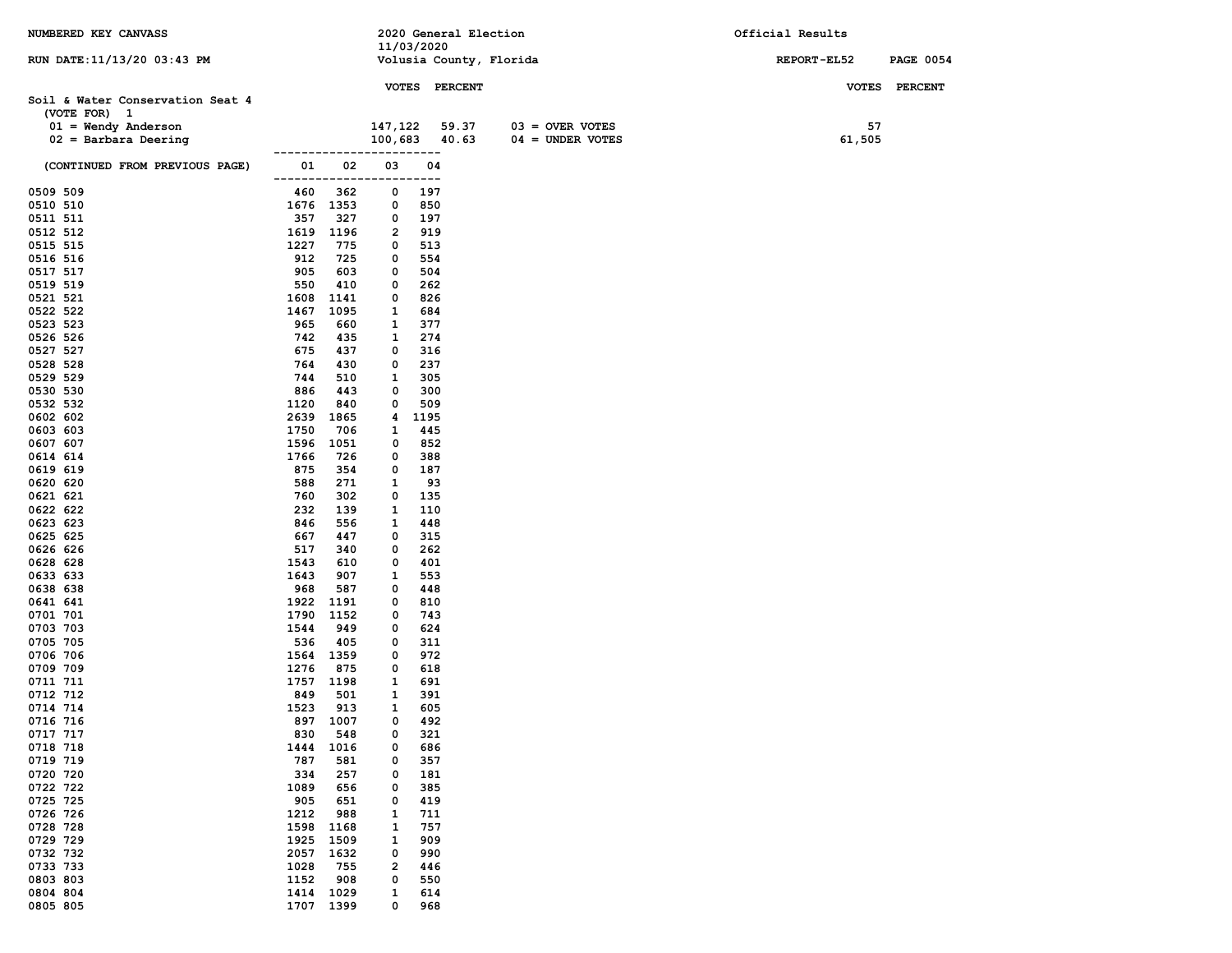| NUMBERED KEY CANVASS             |                            |            | 2020 General Election   |                    | Official Results |                  |
|----------------------------------|----------------------------|------------|-------------------------|--------------------|------------------|------------------|
|                                  |                            | 11/03/2020 |                         |                    |                  |                  |
| RUN DATE:11/13/20 03:43 PM       |                            |            | Volusia County, Florida |                    | REPORT-EL52      | <b>PAGE 0054</b> |
|                                  |                            |            | VOTES PERCENT           |                    |                  | VOTES PERCENT    |
| Soil & Water Conservation Seat 4 |                            |            |                         |                    |                  |                  |
| (VOTE FOR) 1                     |                            |            |                         |                    |                  |                  |
| $01 =$ Wendy Anderson            |                            | 147,122    | 59.37                   | $03 =$ OVER VOTES  | 57               |                  |
| $02 =$ Barbara Deering           |                            | 100,683    | 40.63                   | $04 = UNDER VOTES$ | 61,505           |                  |
| (CONTINUED FROM PREVIOUS PAGE)   | 01                         | 02<br>03   | ----<br>04              |                    |                  |                  |
|                                  | ------------               | ----       | ----                    |                    |                  |                  |
| 0509 509                         | 460<br>362                 | 0          | 197                     |                    |                  |                  |
| 0510 510                         | 1676 1353                  | 0          | 850                     |                    |                  |                  |
| 0511 511                         | 357<br>327                 | 0          | 197                     |                    |                  |                  |
| 0512 512                         | 1619<br>1196<br>1227       | 2          | 919                     |                    |                  |                  |
| 0515 515<br>0516 516             | 775<br>912<br>725          | 0<br>0     | 513<br>554              |                    |                  |                  |
| 0517 517                         | 905<br>603                 | 0          | 504                     |                    |                  |                  |
| 0519 519                         | 550<br>410                 | 0          | 262                     |                    |                  |                  |
| 0521 521                         | 1608<br>1141               | 0          | 826                     |                    |                  |                  |
| 0522 522                         | 1095<br>1467               | 1          | 684                     |                    |                  |                  |
| 0523 523                         | 965<br>660                 | 1          | 377                     |                    |                  |                  |
| 0526 526                         | 742<br>435                 | 1          | 274                     |                    |                  |                  |
| 0527 527<br>0528 528             | 675<br>437<br>764<br>430   | 0<br>0     | 316<br>237              |                    |                  |                  |
| 0529 529                         | 744<br>510                 | 1          | 305                     |                    |                  |                  |
| 0530 530                         | 886<br>443                 | 0          | 300                     |                    |                  |                  |
| 0532 532                         | 1120<br>840                | 0          | 509                     |                    |                  |                  |
| 0602 602                         | 2639<br>1865               | 4          | 1195                    |                    |                  |                  |
| 0603 603                         | 1750<br>706                | 1          | 445                     |                    |                  |                  |
| 0607 607                         | 1596<br>1051               | 0          | 852                     |                    |                  |                  |
| 0614 614<br>0619 619             | 1766<br>726<br>875<br>354  | 0<br>0     | 388<br>187              |                    |                  |                  |
| 0620 620                         | 588<br>271                 | 1          | 93                      |                    |                  |                  |
| 0621 621                         | 760<br>302                 | 0          | 135                     |                    |                  |                  |
| 0622 622                         | 232<br>139                 | 1          | 110                     |                    |                  |                  |
| 0623 623                         | 846<br>556                 | 1          | 448                     |                    |                  |                  |
| 0625 625                         | 667<br>447                 | 0          | 315                     |                    |                  |                  |
| 0626 626                         | 517<br>340                 | 0          | 262                     |                    |                  |                  |
| 0628 628<br>0633 633             | 1543<br>610<br>1643<br>907 | 0<br>1     | 401<br>553              |                    |                  |                  |
| 0638 638                         | 968<br>587                 | 0          | 448                     |                    |                  |                  |
| 0641 641                         | 1922<br>1191               | 0          | 810                     |                    |                  |                  |
| 0701 701                         | 1790<br>1152               | 0          | 743                     |                    |                  |                  |
| 0703 703                         | 1544<br>949                | 0          | 624                     |                    |                  |                  |
| 0705 705                         | 536<br>405                 | 0          | 311                     |                    |                  |                  |
| 0706 706                         | 1564 1359<br>1276<br>875   | 0<br>0     | 972<br>618              |                    |                  |                  |
| 0709 709<br>0711 711             | 1757 1198                  | 1          | 691                     |                    |                  |                  |
| 0712 712                         | 849<br>501                 | 1          | 391                     |                    |                  |                  |
| 0714 714                         | 1523<br>913                | 1          | 605                     |                    |                  |                  |
| 0716 716                         | 897 1007                   | 0          | 492                     |                    |                  |                  |
| 0717 717                         | 548<br>830                 | 0          | 321                     |                    |                  |                  |
| 0718 718                         | 1016<br>1444               | 0          | 686                     |                    |                  |                  |
| 0719 719<br>0720 720             | 787<br>581<br>334<br>257   | 0<br>0     | 357<br>181              |                    |                  |                  |
| 0722 722                         | 1089<br>656                | 0          | 385                     |                    |                  |                  |
| 0725 725                         | 905<br>651                 | 0          | 419                     |                    |                  |                  |
| 0726 726                         | 1212<br>988                | 1          | 711                     |                    |                  |                  |
| 0728 728                         | 1598<br>1168               | 1          | 757                     |                    |                  |                  |
| 0729 729                         | 1509<br>1925               | 1          | 909                     |                    |                  |                  |
| 0732 732                         | 2057<br>1632               | 0          | 990                     |                    |                  |                  |
| 0733 733<br>0803 803             | 1028<br>755<br>1152<br>908 | 2<br>0     | 446<br>550              |                    |                  |                  |
| 0804 804                         | 1414<br>1029               | 1          | 614                     |                    |                  |                  |
| 0805 805                         | 1707 1399                  | 0          | 968                     |                    |                  |                  |
|                                  |                            |            |                         |                    |                  |                  |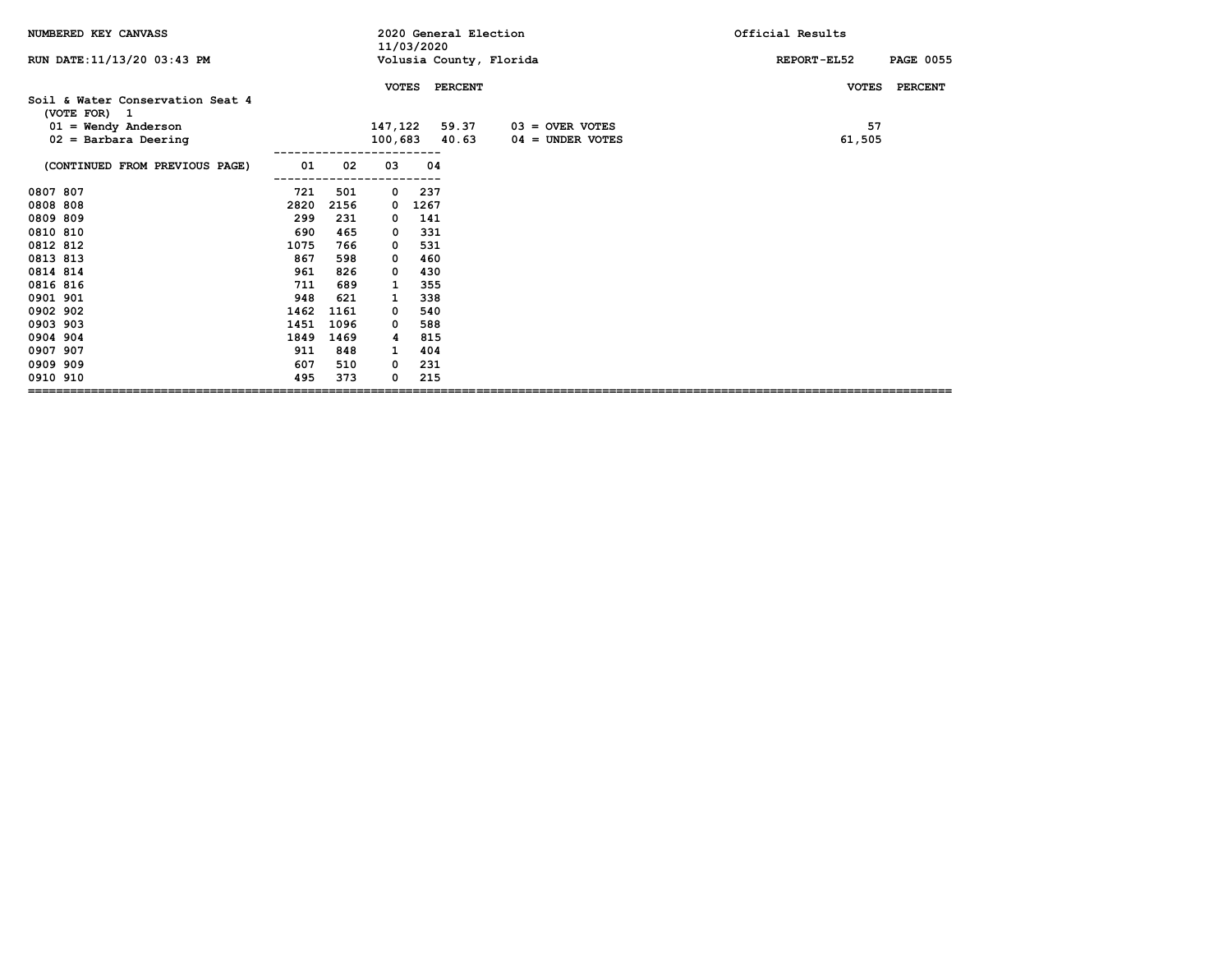| NUMBERED KEY CANVASS                             |      |      |              | 11/03/2020 | 2020 General Election |                         | Official Results                |
|--------------------------------------------------|------|------|--------------|------------|-----------------------|-------------------------|---------------------------------|
| RUN DATE: 11/13/20 03:43 PM                      |      |      |              |            |                       | Volusia County, Florida | <b>PAGE 0055</b><br>REPORT-EL52 |
|                                                  |      |      | <b>VOTES</b> |            | <b>PERCENT</b>        |                         | <b>VOTES</b><br><b>PERCENT</b>  |
| Soil & Water Conservation Seat 4<br>(VOTE FOR) 1 |      |      |              |            |                       |                         |                                 |
| $01 =$ Wendy Anderson                            |      |      | 147,122      |            | 59.37                 | $03 =$ OVER VOTES       | 57                              |
| $02 =$ Barbara Deering                           |      |      | 100,683      |            | 40.63                 | $04 =$ UNDER VOTES      | 61,505                          |
| (CONTINUED FROM PREVIOUS PAGE)                   | 01   | 02   | 03           | 04         |                       |                         |                                 |
| 0807 807                                         | 721  | 501  | $^{\circ}$   | 237        |                       |                         |                                 |
| 0808 808                                         | 2820 | 2156 | 0            | 1267       |                       |                         |                                 |
| 0809 809                                         | 299  | 231  | 0            | 141        |                       |                         |                                 |
| 0810 810                                         | 690  | 465  | 0            | 331        |                       |                         |                                 |
| 0812 812                                         | 1075 | 766  | 0            | 531        |                       |                         |                                 |
| 0813 813                                         | 867  | 598  | 0            | 460        |                       |                         |                                 |
| 0814 814                                         | 961  | 826  | 0            | 430        |                       |                         |                                 |
| 0816 816                                         | 711  | 689  | 1            | 355        |                       |                         |                                 |
| 0901 901                                         | 948  | 621  | 1            | 338        |                       |                         |                                 |
| 0902 902                                         | 1462 | 1161 | 0            | 540        |                       |                         |                                 |
| 0903 903                                         | 1451 | 1096 | 0            | 588        |                       |                         |                                 |
| 0904 904                                         | 1849 | 1469 | 4            | 815        |                       |                         |                                 |
| 0907 907                                         | 911  | 848  | 1            | 404        |                       |                         |                                 |
| 0909 909                                         | 607  | 510  | 0            | 231        |                       |                         |                                 |
| 0910 910                                         | 495  | 373  | 0            | 215        |                       |                         |                                 |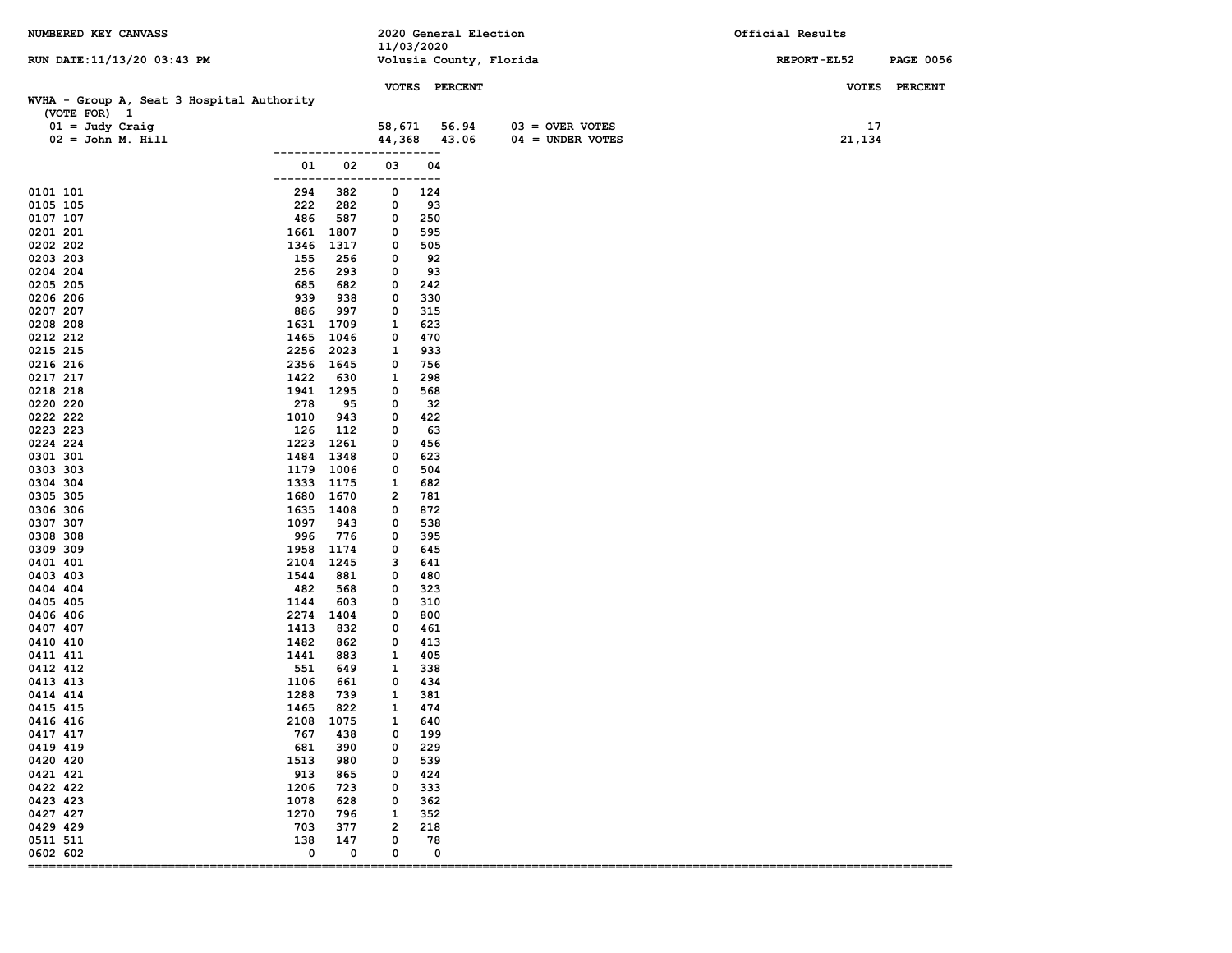| NUMBERED KEY CANVASS                                      |               |                             |                     |             | 2020 General Election   |                    | Official Results |                  |
|-----------------------------------------------------------|---------------|-----------------------------|---------------------|-------------|-------------------------|--------------------|------------------|------------------|
| RUN DATE: 11/13/20 03:43 PM                               |               |                             | 11/03/2020          |             | Volusia County, Florida |                    | REPORT-EL52      | <b>PAGE 0056</b> |
|                                                           |               |                             |                     |             | VOTES PERCENT           |                    |                  | VOTES PERCENT    |
| WVHA - Group A, Seat 3 Hospital Authority<br>(VOTE FOR) 1 |               |                             |                     |             |                         |                    |                  |                  |
| $01 =$ Judy Craig                                         |               |                             | 58,671              |             | 56.94                   | $03 =$ OVER VOTES  | 17               |                  |
| $02 = John M. Hill$                                       |               |                             | 44,368              |             | 43.06                   | $04 = UNDER VOTES$ | 21,134           |                  |
|                                                           | -------       |                             |                     | ---         |                         |                    |                  |                  |
|                                                           | 01<br>------- | 02                          | 03<br>---           | 04<br>$---$ |                         |                    |                  |                  |
| 0101 101                                                  | 294           | 382                         | 0                   | 124         |                         |                    |                  |                  |
| 0105 105                                                  | 222           | 282                         | 0                   | 93          |                         |                    |                  |                  |
| 0107 107                                                  | 486           | 587                         | 0                   | 250         |                         |                    |                  |                  |
| 0201 201                                                  | 1661          | 1807                        | 0                   | 595         |                         |                    |                  |                  |
| 0202 202<br>0203 203                                      | 1346<br>155   | 1317<br>256                 | 0<br>0              | 505<br>92   |                         |                    |                  |                  |
| 0204 204                                                  | 256           | 293                         | 0                   | 93          |                         |                    |                  |                  |
| 0205 205                                                  | 685           | 682                         | 0                   | 242         |                         |                    |                  |                  |
| 0206 206                                                  | 939           | 938                         | 0                   | 330         |                         |                    |                  |                  |
| 0207 207                                                  | 886           | 997                         | 0                   | 315         |                         |                    |                  |                  |
| 0208 208                                                  | 1631          | 1709                        | 1                   | 623         |                         |                    |                  |                  |
| 0212 212                                                  | 1465          | 1046                        | 0                   | 470         |                         |                    |                  |                  |
| 0215 215                                                  | 2256          | 2023                        | 1                   | 933         |                         |                    |                  |                  |
| 0216 216<br>0217 217                                      | 2356<br>1422  | 1645<br>630                 | 0<br>1              | 756<br>298  |                         |                    |                  |                  |
| 0218 218                                                  | 1941          | 1295                        | 0                   | 568         |                         |                    |                  |                  |
| 0220 220                                                  | 278           | 95                          | 0                   | 32          |                         |                    |                  |                  |
| 0222 222                                                  | 1010          | 943                         | 0                   | 422         |                         |                    |                  |                  |
| 0223 223                                                  | 126           | 112                         | 0                   | 63          |                         |                    |                  |                  |
| 0224 224                                                  | 1223          | 1261                        | 0                   | 456         |                         |                    |                  |                  |
| 0301 301                                                  | 1484          | 1348                        | 0                   | 623         |                         |                    |                  |                  |
| 0303 303                                                  | 1179          | 1006                        | 0                   | 504         |                         |                    |                  |                  |
| 0304 304<br>0305 305                                      | 1333<br>1680  | 1175<br>1670                | 1<br>2              | 682<br>781  |                         |                    |                  |                  |
| 0306 306                                                  | 1635          | 1408                        | 0                   | 872         |                         |                    |                  |                  |
| 0307 307                                                  | 1097          | 943                         | 0                   | 538         |                         |                    |                  |                  |
| 0308 308                                                  | 996           | 776                         | 0                   | 395         |                         |                    |                  |                  |
| 0309 309                                                  | 1958          | 1174                        | 0                   | 645         |                         |                    |                  |                  |
| 0401 401                                                  | 2104          | 1245                        | з                   | 641         |                         |                    |                  |                  |
| 0403 403                                                  | 1544          | 881                         | 0                   | 480         |                         |                    |                  |                  |
| 0404 404                                                  | 482           | 568                         | 0<br>0              | 323         |                         |                    |                  |                  |
| 0405 405<br>0406 406                                      | 1144<br>2274  | 603<br>1404                 | 0                   | 310<br>800  |                         |                    |                  |                  |
| 0407 407                                                  | 1413          | 832                         | 0                   | 461         |                         |                    |                  |                  |
| 0410 410                                                  | 1482          | 862                         | 0                   | 413         |                         |                    |                  |                  |
| 0411 411                                                  | 1441          | 883                         | 1                   | 405         |                         |                    |                  |                  |
| 0412 412                                                  | 551           | 649                         | 1                   | 338         |                         |                    |                  |                  |
| 0413 413                                                  | 1106          | 661                         | 0                   | 434         |                         |                    |                  |                  |
| 0414 414                                                  | 1288          | 739                         | 1                   | 381         |                         |                    |                  |                  |
| 0415 415<br>0416 416                                      | 1465          | 822<br>2108 1075            | 1<br>$\mathbf{1}$   | 474<br>640  |                         |                    |                  |                  |
| 0417 417                                                  | 767           | 438                         | 0                   | 199         |                         |                    |                  |                  |
| 0419 419                                                  | 681           | 390                         | 0                   | 229         |                         |                    |                  |                  |
| 0420 420                                                  | 1513          | 980                         | 0                   | 539         |                         |                    |                  |                  |
| 0421 421                                                  | 913           | 865                         | 0                   | 424         |                         |                    |                  |                  |
| 0422 422                                                  | 1206          | 723                         | 0                   | 333         |                         |                    |                  |                  |
| 0423 423                                                  | 1078          | 628                         | 0                   | 362         |                         |                    |                  |                  |
| 0427 427                                                  | 1270          | 796                         | 1                   | 352         |                         |                    |                  |                  |
| 0429 429<br>0511 511                                      | 703           | 377                         | $\overline{2}$<br>0 | 218         |                         |                    |                  |                  |
| 0602 602                                                  | 138<br>0      | 147<br>0                    | 0                   | 78          | 0                       |                    |                  |                  |
| =================                                         |               | =========================== |                     |             |                         |                    |                  |                  |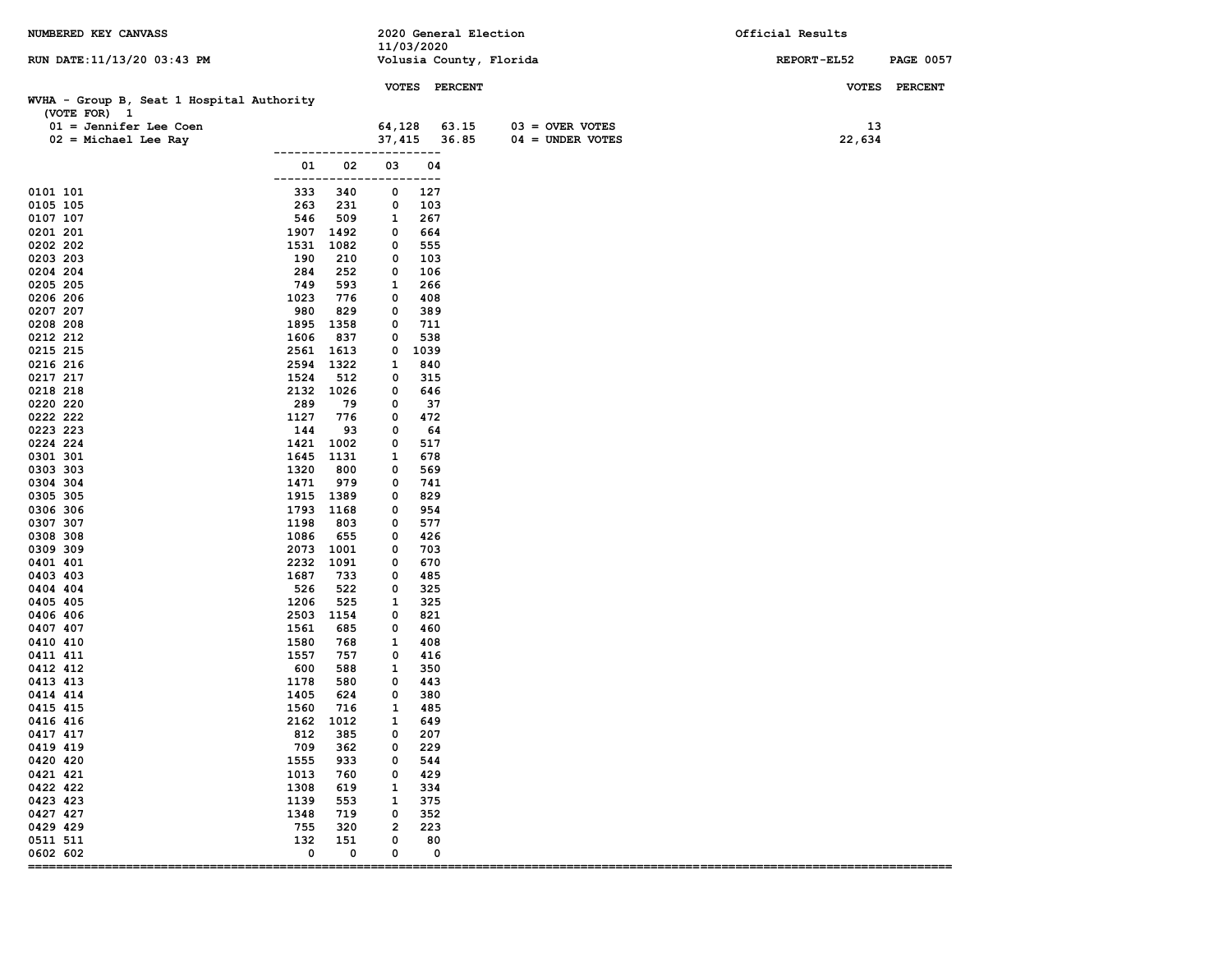| NUMBERED KEY CANVASS                                      |               |                          |                     |             | 2020 General Election |                         | Official Results |                  |
|-----------------------------------------------------------|---------------|--------------------------|---------------------|-------------|-----------------------|-------------------------|------------------|------------------|
| RUN DATE: 11/13/20 03:43 PM                               |               |                          |                     | 11/03/2020  |                       | Volusia County, Florida | REPORT-EL52      | <b>PAGE 0057</b> |
|                                                           |               |                          |                     |             |                       |                         |                  |                  |
|                                                           |               |                          |                     |             | VOTES PERCENT         |                         |                  | VOTES PERCENT    |
| WVHA - Group B, Seat 1 Hospital Authority<br>(VOTE FOR) 1 |               |                          |                     |             |                       |                         |                  |                  |
| $01 =$ Jennifer Lee Coen                                  |               |                          | 64,128              |             | 63.15                 | $03 =$ OVER VOTES       | 13               |                  |
| $02$ = Michael Lee Ray                                    |               |                          | 37,415              |             | 36.85                 | $04 = UNDER VOTES$      | 22,634           |                  |
|                                                           |               |                          |                     | ---         |                       |                         |                  |                  |
|                                                           | 01<br>------- | 02                       | 03<br>----          | 04<br>$---$ |                       |                         |                  |                  |
| 0101 101                                                  | 333           | 340                      | 0                   | 127         |                       |                         |                  |                  |
| 0105 105                                                  | 263           | 231                      | 0                   | 103         |                       |                         |                  |                  |
| 0107 107                                                  | 546           | 509                      | 1                   | 267         |                       |                         |                  |                  |
| 0201 201                                                  | 1907          | 1492                     | 0                   | 664         |                       |                         |                  |                  |
| 0202 202<br>0203 203                                      | 1531<br>190   | 1082<br>210              | 0<br>0              | 555<br>103  |                       |                         |                  |                  |
| 0204 204                                                  | 284           | 252                      | 0                   | 106         |                       |                         |                  |                  |
| 0205 205                                                  | 749           | 593                      | 1                   | 266         |                       |                         |                  |                  |
| 0206 206                                                  | 1023          | 776                      | 0                   | 408         |                       |                         |                  |                  |
| 0207 207                                                  | 980           | 829                      | 0                   | 389         |                       |                         |                  |                  |
| 0208 208<br>0212 212                                      | 1895<br>1606  | 1358<br>837              | 0<br>0              | 711<br>538  |                       |                         |                  |                  |
| 0215 215                                                  | 2561          | 1613                     | 0                   | 1039        |                       |                         |                  |                  |
| 0216 216                                                  | 2594          | 1322                     | 1                   | 840         |                       |                         |                  |                  |
| 0217 217                                                  | 1524          | 512                      | 0                   | 315         |                       |                         |                  |                  |
| 0218 218                                                  | 2132          | 1026                     | 0                   | 646         |                       |                         |                  |                  |
| 0220 220<br>0222 222                                      | 289<br>1127   | 79<br>776                | 0<br>0              | 37<br>472   |                       |                         |                  |                  |
| 0223 223                                                  | 144           | 93                       | 0                   | 64          |                       |                         |                  |                  |
| 0224 224                                                  | 1421          | 1002                     | 0                   | 517         |                       |                         |                  |                  |
| 0301 301                                                  | 1645          | 1131                     | 1                   | 678         |                       |                         |                  |                  |
| 0303 303                                                  | 1320          | 800                      | 0                   | 569         |                       |                         |                  |                  |
| 0304 304<br>0305 305                                      | 1471<br>1915  | 979<br>1389              | 0<br>0              | 741<br>829  |                       |                         |                  |                  |
| 0306 306                                                  | 1793          | 1168                     | 0                   | 954         |                       |                         |                  |                  |
| 0307 307                                                  | 1198          | 803                      | 0                   | 577         |                       |                         |                  |                  |
| 0308 308                                                  | 1086          | 655                      | 0                   | 426         |                       |                         |                  |                  |
| 0309 309                                                  | 2073          | 1001                     | 0                   | 703         |                       |                         |                  |                  |
| 0401 401                                                  | 2232          | 1091                     | 0                   | 670         |                       |                         |                  |                  |
| 0403 403<br>0404 404                                      | 1687<br>526   | 733<br>522               | 0<br>0              | 485<br>325  |                       |                         |                  |                  |
| 0405 405                                                  | 1206          | 525                      | 1                   | 325         |                       |                         |                  |                  |
| 0406 406                                                  | 2503          | 1154                     | 0                   | 821         |                       |                         |                  |                  |
| 0407 407                                                  | 1561          | 685                      | 0                   | 460         |                       |                         |                  |                  |
| 0410 410                                                  | 1580          | 768                      | 1                   | 408         |                       |                         |                  |                  |
| 0411 411<br>0412 412                                      | 1557<br>600   | 757<br>588               | 0<br>1              | 416<br>350  |                       |                         |                  |                  |
| 0413 413                                                  | 1178          | 580                      | 0                   | 443         |                       |                         |                  |                  |
| 0414 414                                                  | 1405          | 624                      | 0                   | 380         |                       |                         |                  |                  |
| 0415 415                                                  | 1560          | 716                      | 1                   | 485         |                       |                         |                  |                  |
| 0416 416                                                  | 2162          | 1012                     | 1                   | 649         |                       |                         |                  |                  |
| 0417 417<br>0419 419                                      | 812<br>709    | 385<br>362               | 0<br>0              | 207<br>229  |                       |                         |                  |                  |
| 0420 420                                                  | 1555          | 933                      | 0                   | 544         |                       |                         |                  |                  |
| 0421 421                                                  | 1013          | 760                      | 0                   | 429         |                       |                         |                  |                  |
| 0422 422                                                  | 1308          | 619                      | 1                   | 334         |                       |                         |                  |                  |
| 0423 423                                                  | 1139          | 553                      | 1                   | 375         |                       |                         |                  |                  |
| 0427 427<br>0429 429                                      | 1348<br>755   | 719<br>320               | 0<br>$\overline{2}$ | 352         |                       |                         |                  |                  |
| 0511 511                                                  | 132           | 151                      | 0                   | 223<br>80   |                       |                         |                  |                  |
| 0602 602                                                  | 0             | 0                        | 0                   | 0           |                       |                         |                  |                  |
| ===========                                               |               | ======================== |                     |             |                       |                         |                  |                  |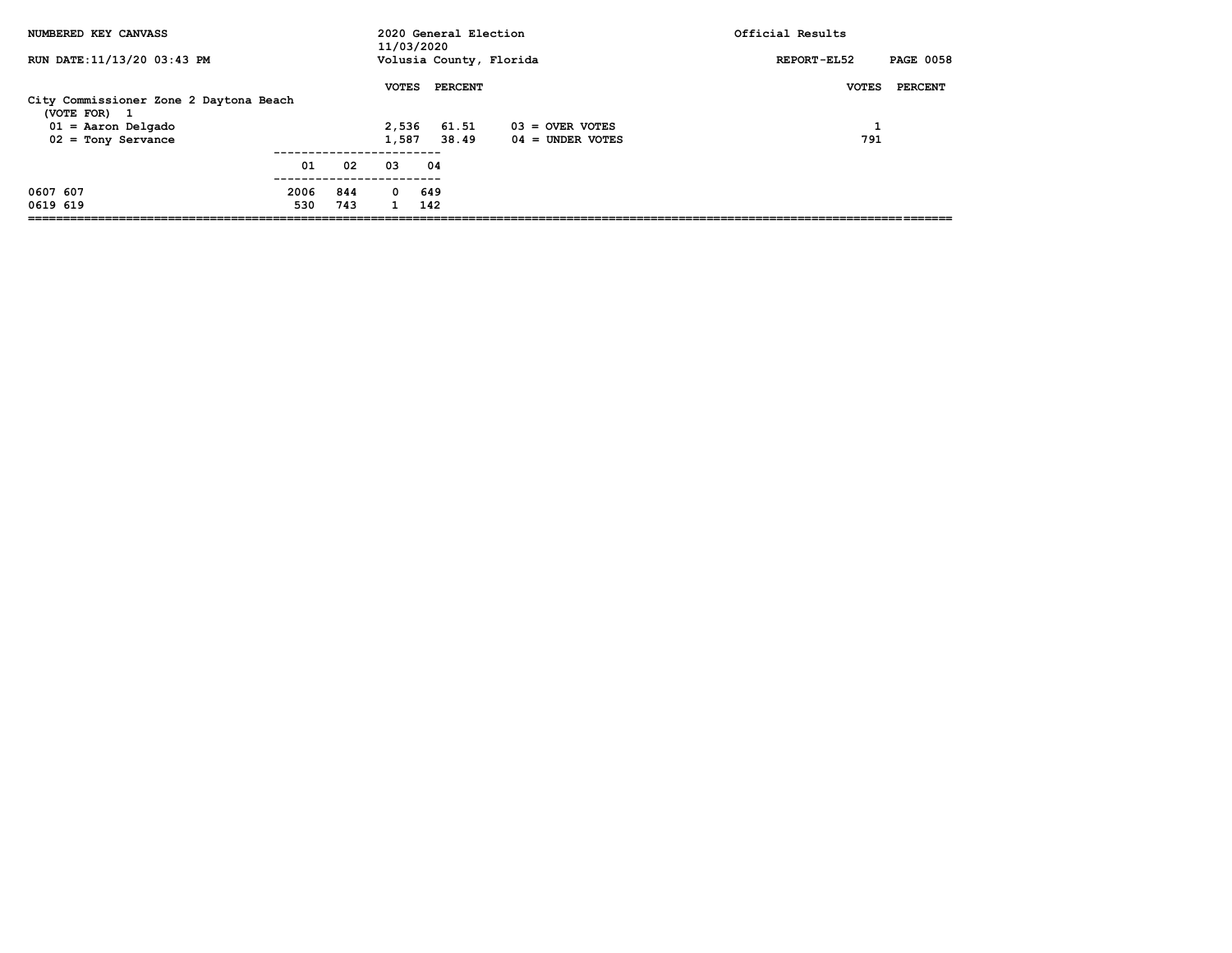| NUMBERED KEY CANVASS                   |      |     | 11/03/2020   |                | 2020 General Election   | Official Results                |
|----------------------------------------|------|-----|--------------|----------------|-------------------------|---------------------------------|
| RUN DATE: 11/13/20 03:43 PM            |      |     |              |                | Volusia County, Florida | <b>PAGE 0058</b><br>REPORT-EL52 |
|                                        |      |     | <b>VOTES</b> | <b>PERCENT</b> |                         | <b>PERCENT</b><br><b>VOTES</b>  |
| City Commissioner Zone 2 Daytona Beach |      |     |              |                |                         |                                 |
| (VOTE FOR) 1                           |      |     |              |                |                         |                                 |
| $01 =$ Aaron Delgado                   |      |     | 2,536        | 61.51          | $03 =$ OVER VOTES       |                                 |
| $02 =$ Tony Servance                   |      |     | 1,587        | 38.49          | $04 =$ UNDER VOTES      | 791                             |
|                                        | 01   | 02  | 03           | 04             |                         |                                 |
|                                        |      |     |              |                |                         |                                 |
| 0607 607                               | 2006 | 844 | $^{\circ}$   | 649            |                         |                                 |
| 0619 619                               | 530  | 743 | $\mathbf{1}$ | 142            |                         |                                 |
|                                        |      |     |              |                |                         |                                 |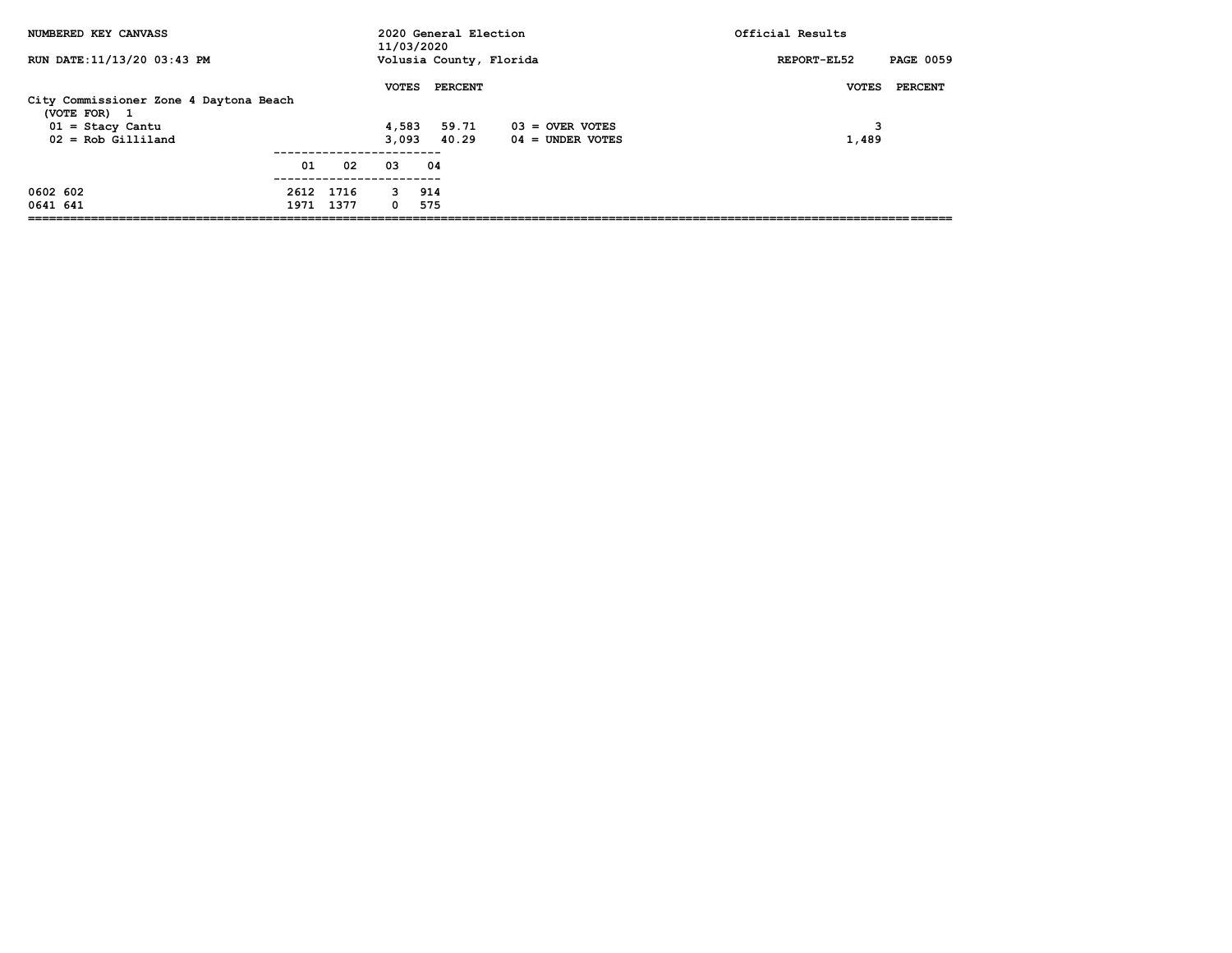| NUMBERED KEY CANVASS                                                 |           |    | 2020 General Election<br>11/03/2020 |     |                |                         | Official Results                |
|----------------------------------------------------------------------|-----------|----|-------------------------------------|-----|----------------|-------------------------|---------------------------------|
| RUN DATE: 11/13/20 03:43 PM                                          |           |    |                                     |     |                | Volusia County, Florida | <b>PAGE 0059</b><br>REPORT-EL52 |
|                                                                      |           |    | <b>VOTES</b>                        |     | <b>PERCENT</b> |                         | PERCENT<br><b>VOTES</b>         |
| City Commissioner Zone 4 Daytona Beach<br>(VOTE FOR)<br>$\mathbf{1}$ |           |    |                                     |     |                |                         |                                 |
| $01 =$ Stacy Cantu                                                   |           |    | 4,583                               |     | 59.71          | $03 =$ OVER VOTES       | 3                               |
| $02 = Rob Gilliland$                                                 |           |    | 3.093                               |     | 40.29          | $04 =$ UNDER VOTES      | 1,489                           |
|                                                                      | 01        | 02 | 03                                  | 04  |                |                         |                                 |
| 0602 602                                                             | 2612 1716 |    | 3                                   | 914 |                |                         |                                 |
| 0641 641                                                             | 1971 1377 |    | 0                                   | 575 |                |                         |                                 |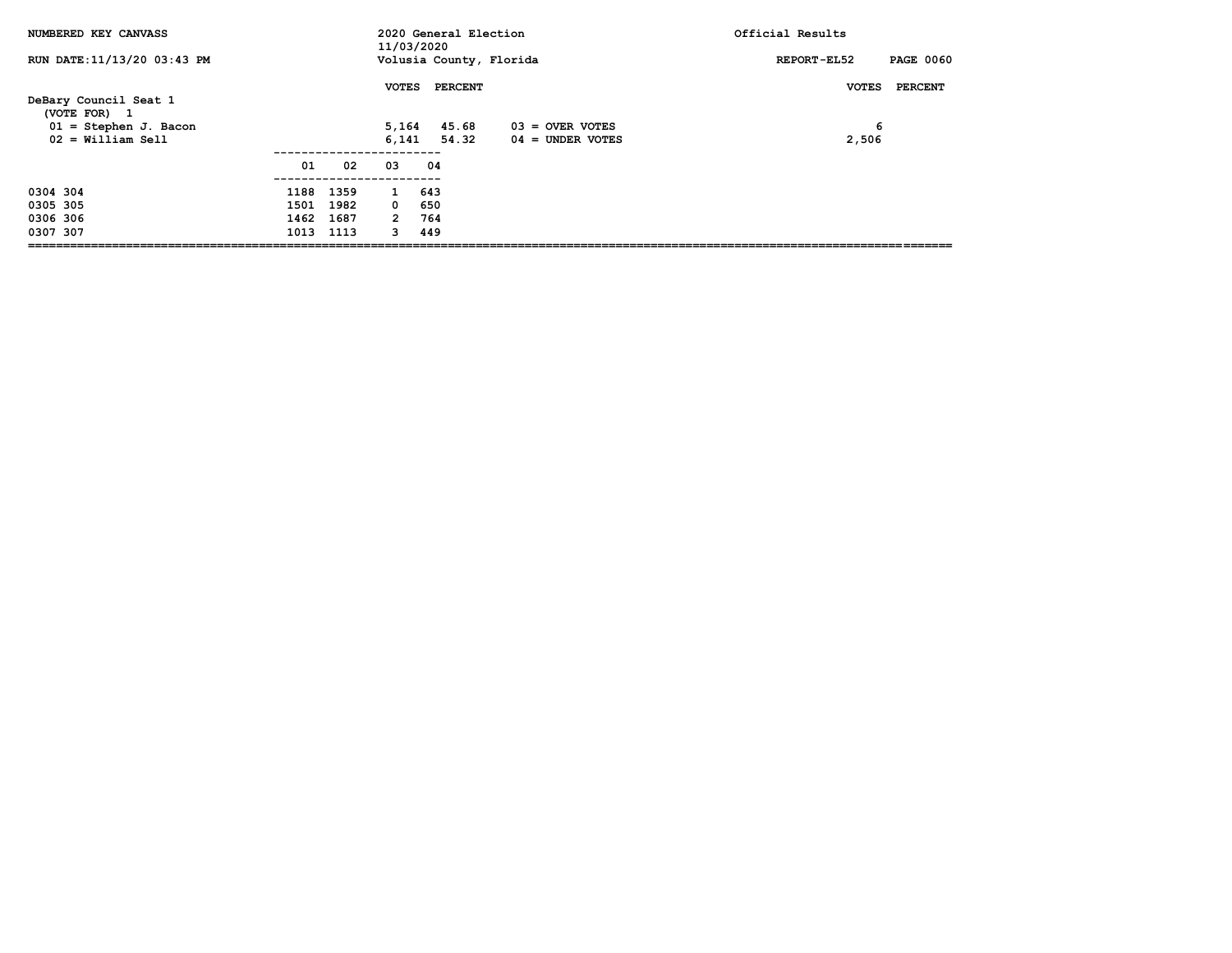| NUMBERED KEY CANVASS                                                                    |      |           | 11/03/2020            | 2020 General Election                  |                                         | Official Results                      |
|-----------------------------------------------------------------------------------------|------|-----------|-----------------------|----------------------------------------|-----------------------------------------|---------------------------------------|
| RUN DATE: 11/13/20 03:43 PM                                                             |      |           |                       | Volusia County, Florida                |                                         | <b>PAGE 0060</b><br>REPORT-EL52       |
| DeBary Council Seat 1<br>(VOTE FOR) 1<br>$01 =$ Stephen J. Bacon<br>$02 =$ William Sell |      |           | <b>VOTES</b><br>6,141 | <b>PERCENT</b><br>5,164 45.68<br>54.32 | $03 =$ OVER VOTES<br>$04 =$ UNDER VOTES | PERCENT<br><b>VOTES</b><br>6<br>2,506 |
|                                                                                         | 01   | 02        | 03                    | 04                                     |                                         |                                       |
| 0304 304                                                                                |      | 1188 1359 | 1 643                 |                                        |                                         |                                       |
| 0305 305                                                                                |      | 1501 1982 | $\mathbf{0}$          | 650                                    |                                         |                                       |
| 0306 306                                                                                | 1462 | 1687      | $2^{\circ}$           | 764                                    |                                         |                                       |
| 0307 307                                                                                | 1013 | 1113      | 3                     | 449                                    |                                         |                                       |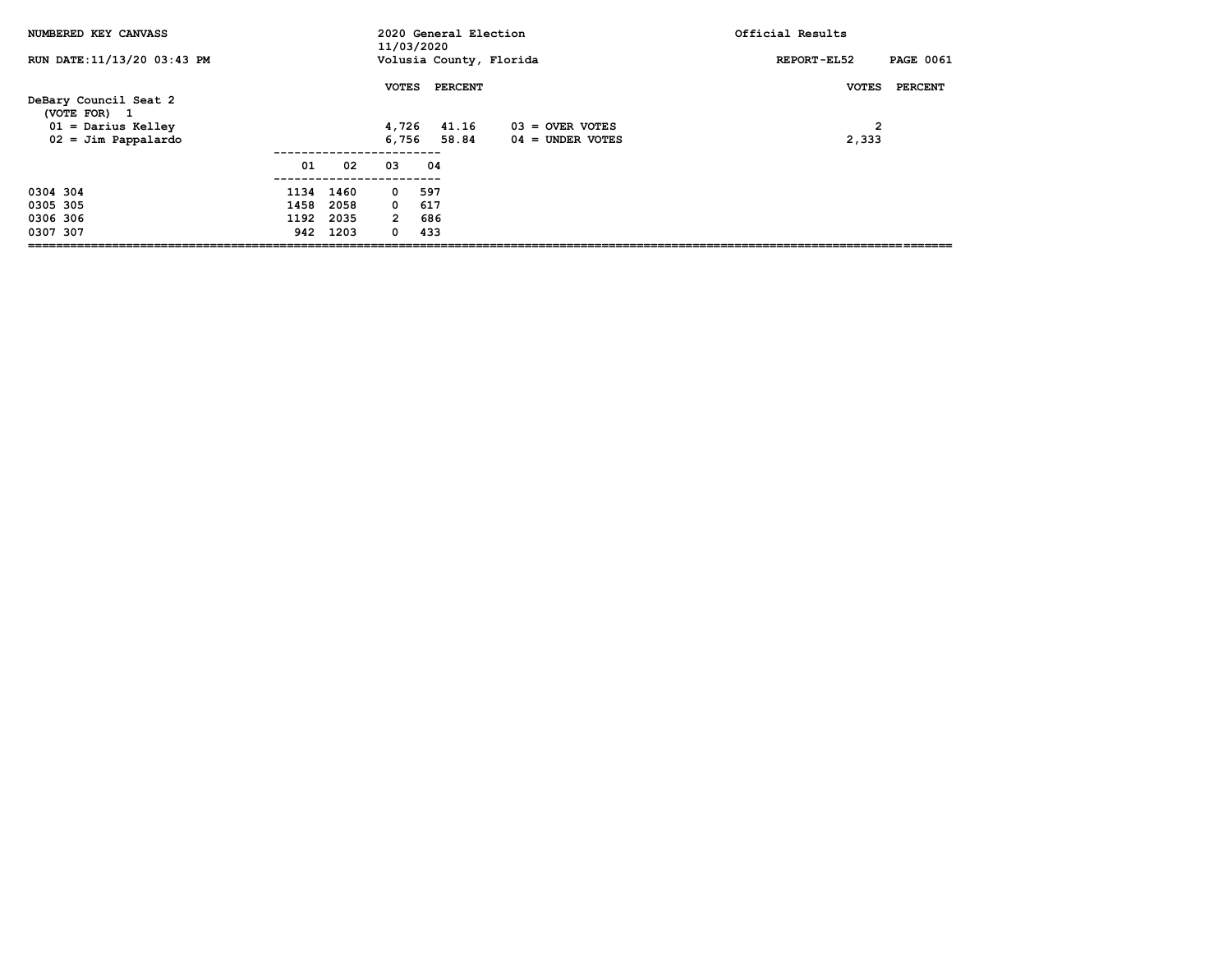| NUMBERED KEY CANVASS                                          |      |           | 11/03/2020            | 2020 General Election   |                    | Official Results                          |
|---------------------------------------------------------------|------|-----------|-----------------------|-------------------------|--------------------|-------------------------------------------|
| RUN DATE: 11/13/20 03:43 PM                                   |      |           |                       | Volusia County, Florida |                    | <b>PAGE 0061</b><br>REPORT-EL52           |
| DeBary Council Seat 2<br>(VOTE FOR) 1<br>$01 =$ Darius Kelley |      |           | <b>VOTES</b><br>4,726 | PERCENT<br>41.16        | $03 =$ OVER VOTES  | PERCENT<br><b>VOTES</b><br>$\overline{2}$ |
| $02 =$ Jim Pappalardo                                         |      |           | 6,756                 | 58.84                   | $04 =$ UNDER VOTES | 2,333                                     |
|                                                               | 01   | 02        | 03                    | 04                      |                    |                                           |
| 0304 304                                                      |      | 1134 1460 | $\mathbf 0$           | 597                     |                    |                                           |
| 0305 305                                                      | 1458 | 2058      | $\mathbf{0}$          | 617                     |                    |                                           |
| 0306 306                                                      | 1192 | 2035      | $\overline{2}$        | 686                     |                    |                                           |
| 0307 307                                                      |      | 942 1203  | 0                     | 433                     |                    |                                           |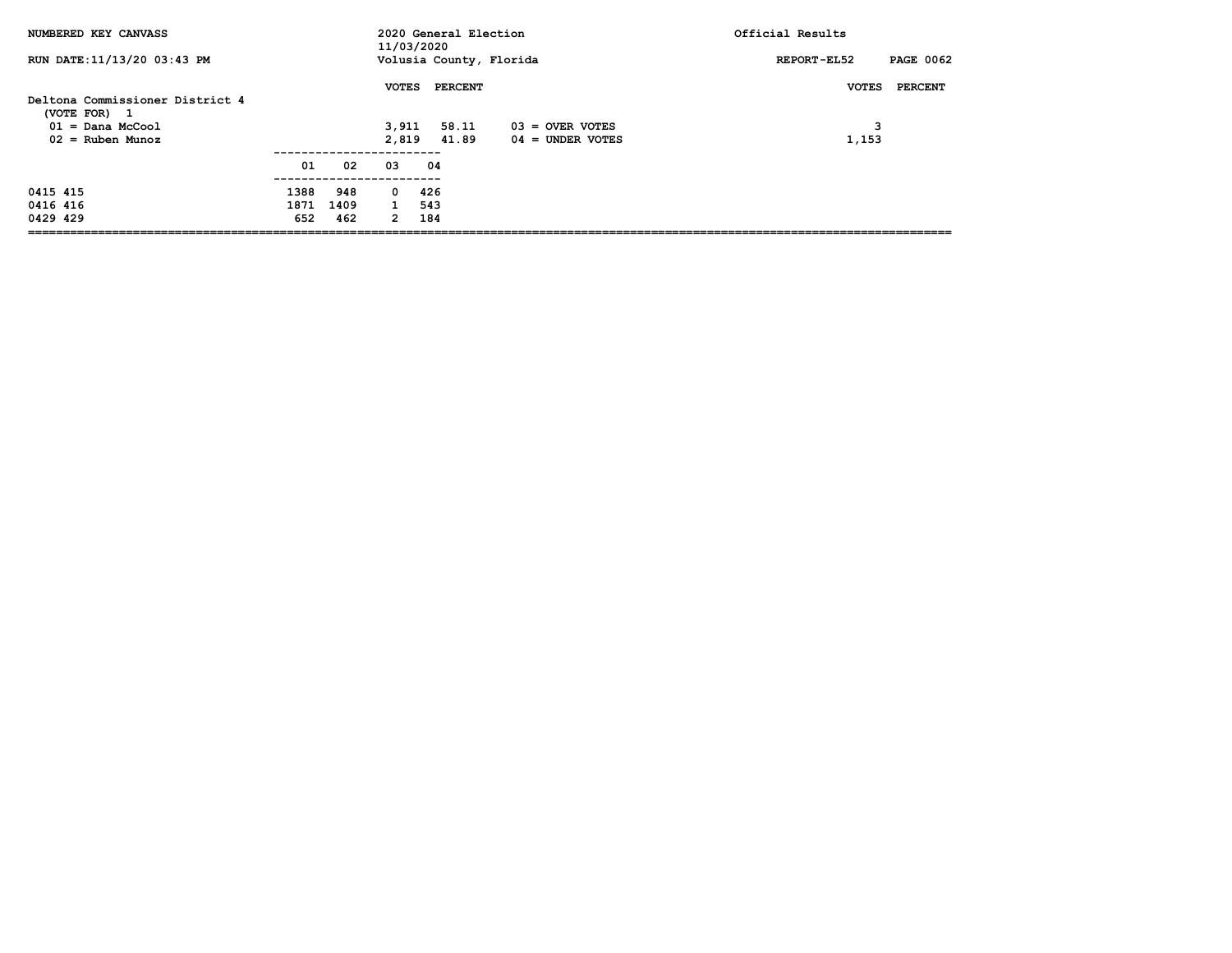| NUMBERED KEY CANVASS                     |      |      | 11/03/2020     | 2020 General Election   |                                         | Official Results                |
|------------------------------------------|------|------|----------------|-------------------------|-----------------------------------------|---------------------------------|
| RUN DATE:11/13/20 03:43 PM               |      |      |                | Volusia County, Florida |                                         | <b>PAGE 0062</b><br>REPORT-EL52 |
| Deltona Commissioner District 4          |      |      | <b>VOTES</b>   | <b>PERCENT</b>          |                                         | PERCENT<br><b>VOTES</b>         |
| (VOTE FOR)<br>$\mathbf{1}$               |      |      |                |                         |                                         |                                 |
| $01 =$ Dana McCool<br>$02 =$ Ruben Munoz |      |      | 3,911<br>2,819 | 58.11<br>41.89          | $03 =$ OVER VOTES<br>$04 =$ UNDER VOTES | 3<br>1,153                      |
|                                          | 01   | 02   | 03             | 04                      |                                         |                                 |
| 0415 415                                 | 1388 | 948  | 0              | 426                     |                                         |                                 |
| 0416 416                                 | 1871 | 1409 | $\mathbf{1}$   | 543                     |                                         |                                 |
| 0429 429                                 | 652  | 462  | $\mathbf{2}$   | 184                     |                                         |                                 |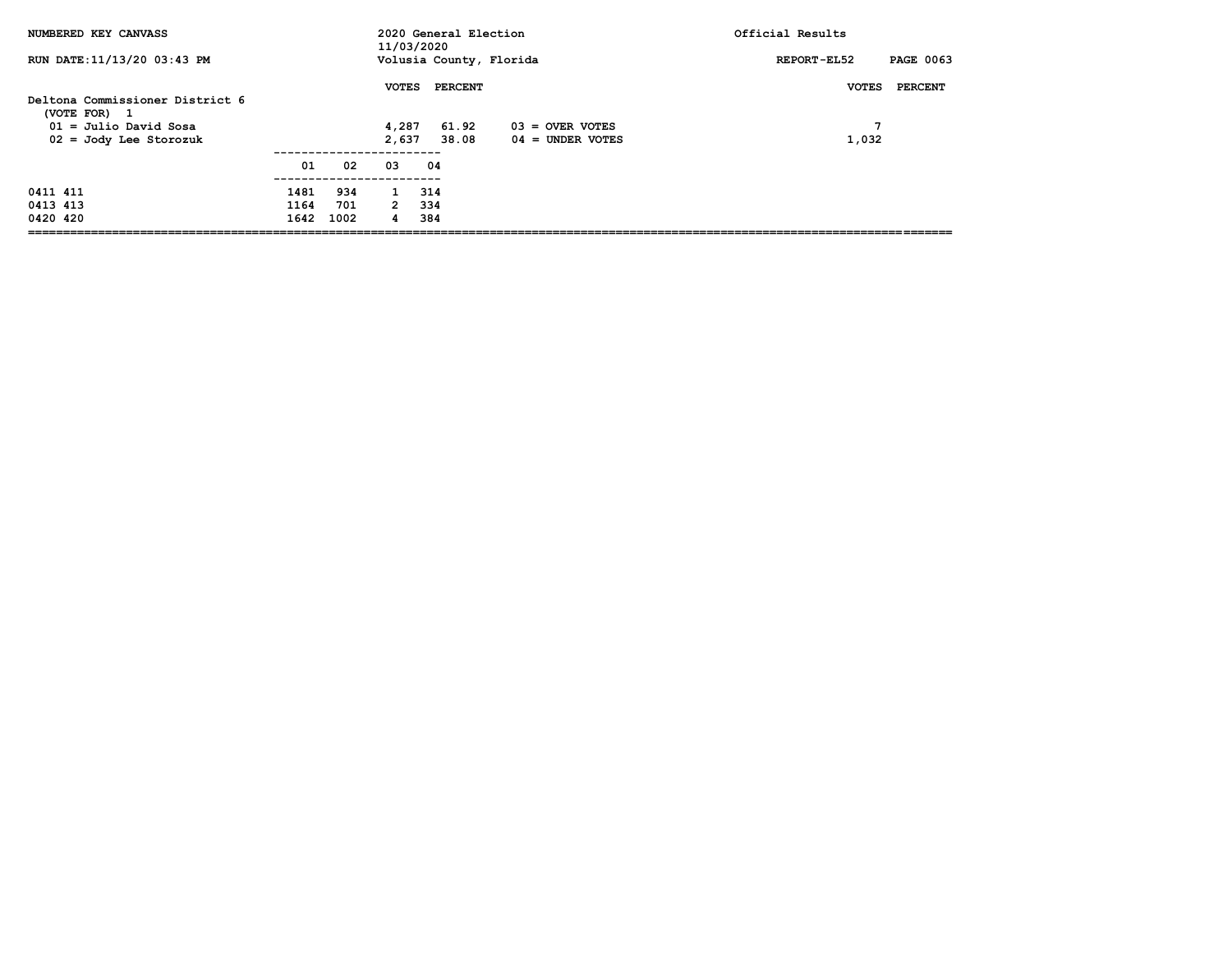| NUMBERED KEY CANVASS                                 |      |      | 11/03/2020     | 2020 General Election   |                                         | Official Results                |
|------------------------------------------------------|------|------|----------------|-------------------------|-----------------------------------------|---------------------------------|
| RUN DATE:11/13/20 03:43 PM                           |      |      |                | Volusia County, Florida |                                         | <b>PAGE 0063</b><br>REPORT-EL52 |
| Deltona Commissioner District 6<br>(VOTE FOR)<br>- 1 |      |      | <b>VOTES</b>   | <b>PERCENT</b>          |                                         | PERCENT<br><b>VOTES</b>         |
| $01 =$ Julio David Sosa<br>$02 = Jody$ Lee Storozuk  |      |      | 4,287<br>2,637 | 61.92<br>38.08          | $03 =$ OVER VOTES<br>$04 =$ UNDER VOTES | 1,032                           |
|                                                      | 01   | 02   | 03             | 04                      |                                         |                                 |
| 0411 411                                             | 1481 | 934  | $\mathbf{1}$   | 314                     |                                         |                                 |
| 0413 413                                             | 1164 | 701  | $2^{\circ}$    | 334                     |                                         |                                 |
| 0420 420                                             | 1642 | 1002 | 4              | 384                     |                                         |                                 |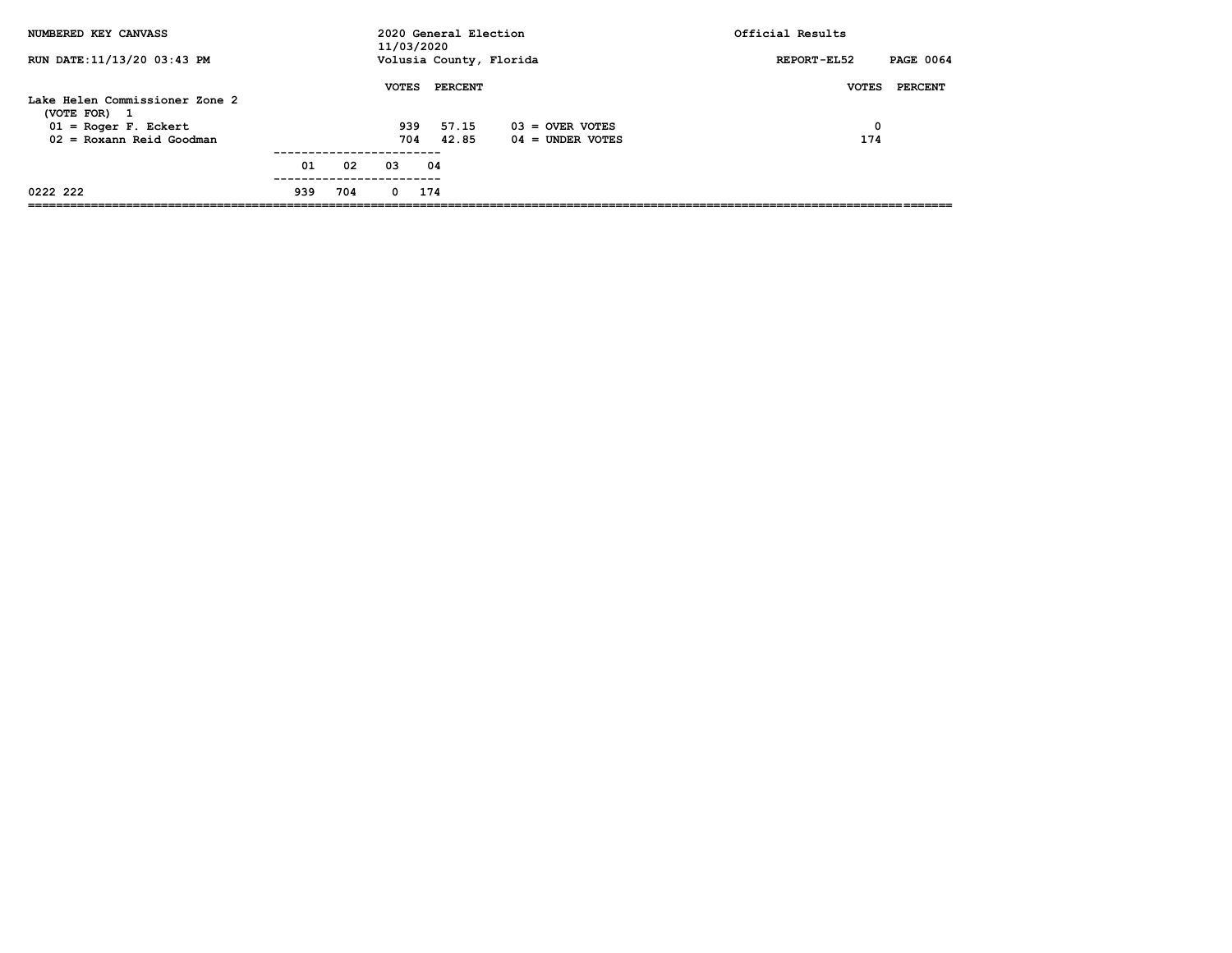| NUMBERED KEY CANVASS                                |     |     | 11/03/2020   | 2020 General Election |                         | Official Results                |
|-----------------------------------------------------|-----|-----|--------------|-----------------------|-------------------------|---------------------------------|
| RUN DATE: 11/13/20 03:43 PM                         |     |     |              |                       | Volusia County, Florida | <b>PAGE 0064</b><br>REPORT-EL52 |
|                                                     |     |     | <b>VOTES</b> | PERCENT               |                         | PERCENT<br><b>VOTES</b>         |
| Lake Helen Commissioner Zone 2<br>(VOTE FOR)<br>- 1 |     |     |              |                       |                         |                                 |
| $01 = Roger F. Eckert$                              |     |     | 939          | 57.15                 | $03 =$ OVER VOTES       | 0                               |
| $02 = Roxann$ Reid Goodman                          |     |     | 704          | 42.85                 | $04 =$ UNDER VOTES      | 174                             |
|                                                     | 01  | 02  | 03           | 04                    |                         |                                 |
| 0222 222                                            | 939 | 704 | $\Omega$     | 174                   |                         |                                 |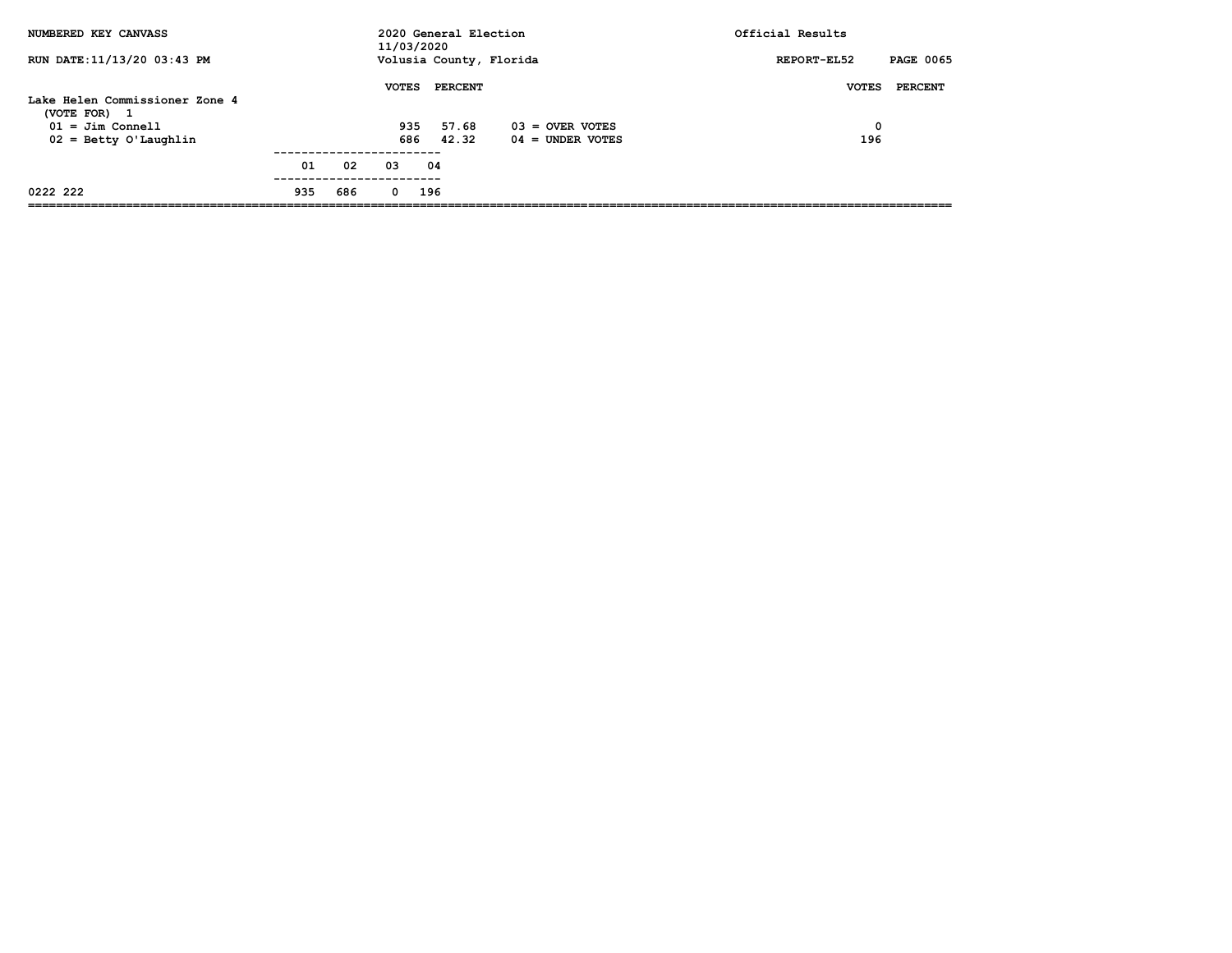| NUMBERED KEY CANVASS                                         |     |     | 11/03/2020   | 2020 General Election |                         | Official Results                |
|--------------------------------------------------------------|-----|-----|--------------|-----------------------|-------------------------|---------------------------------|
| RUN DATE: 11/13/20 03:43 PM                                  |     |     |              |                       | Volusia County, Florida | <b>PAGE 0065</b><br>REPORT-EL52 |
|                                                              |     |     | <b>VOTES</b> | <b>PERCENT</b>        |                         | <b>VOTES</b><br>PERCENT         |
| Lake Helen Commissioner Zone 4<br>(VOTE FOR)<br>$\mathbf{1}$ |     |     |              |                       |                         |                                 |
| $01 =$ Jim Connell                                           |     |     | 935          | 57.68                 | $03 =$ OVER VOTES       | 0                               |
| $02 =$ Betty O'Laughlin                                      |     |     | 686          | 42.32                 | $04 =$ UNDER VOTES      | 196                             |
|                                                              | 01  | 02  | 03           | 04                    |                         |                                 |
| 0222 222                                                     | 935 | 686 | $\Omega$     | 196                   |                         |                                 |
|                                                              |     |     |              |                       |                         |                                 |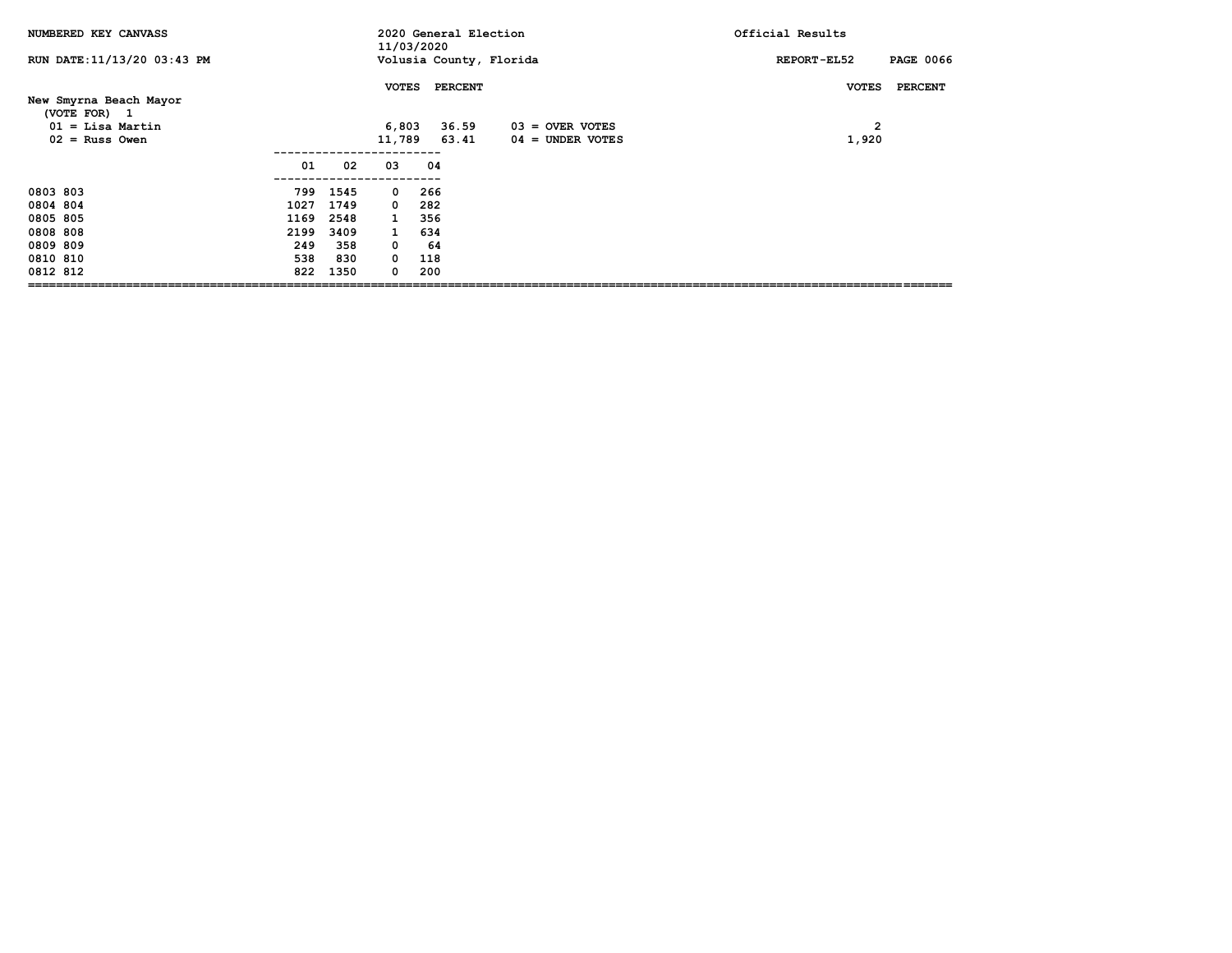| NUMBERED KEY CANVASS        |      |      | 11/03/2020   |                | 2020 General Election   | Official Results                |
|-----------------------------|------|------|--------------|----------------|-------------------------|---------------------------------|
| RUN DATE: 11/13/20 03:43 PM |      |      |              |                | Volusia County, Florida | <b>PAGE 0066</b><br>REPORT-EL52 |
| New Smyrna Beach Mayor      |      |      | <b>VOTES</b> | <b>PERCENT</b> |                         | <b>VOTES</b><br><b>PERCENT</b>  |
| (VOTE FOR) 1                |      |      |              |                |                         |                                 |
| $01 =$ Lisa Martin          |      |      | 6,803        | 36.59          | $03 =$ OVER VOTES       | $\overline{2}$                  |
| $02$ = Russ Owen            |      |      |              | 11,789 63.41   | 04 = UNDER VOTES        | 1,920                           |
|                             | 01   | 02   | 03           | 04             |                         |                                 |
| 0803 803                    | 799  | 1545 | $^{\circ}$   | 266            |                         |                                 |
| 0804 804                    | 1027 | 1749 | $\Omega$     | 282            |                         |                                 |
| 0805 805                    | 1169 | 2548 | $\mathbf{1}$ | 356            |                         |                                 |
| 0808 808                    | 2199 | 3409 | $\mathbf{1}$ | 634            |                         |                                 |
| 0809 809                    | 249  | 358  | 0            | -64            |                         |                                 |
| 0810 810                    | 538  | 830  | $^{\circ}$   | 118            |                         |                                 |
| 0812 812                    | 822  | 1350 | 0            | 200            |                         |                                 |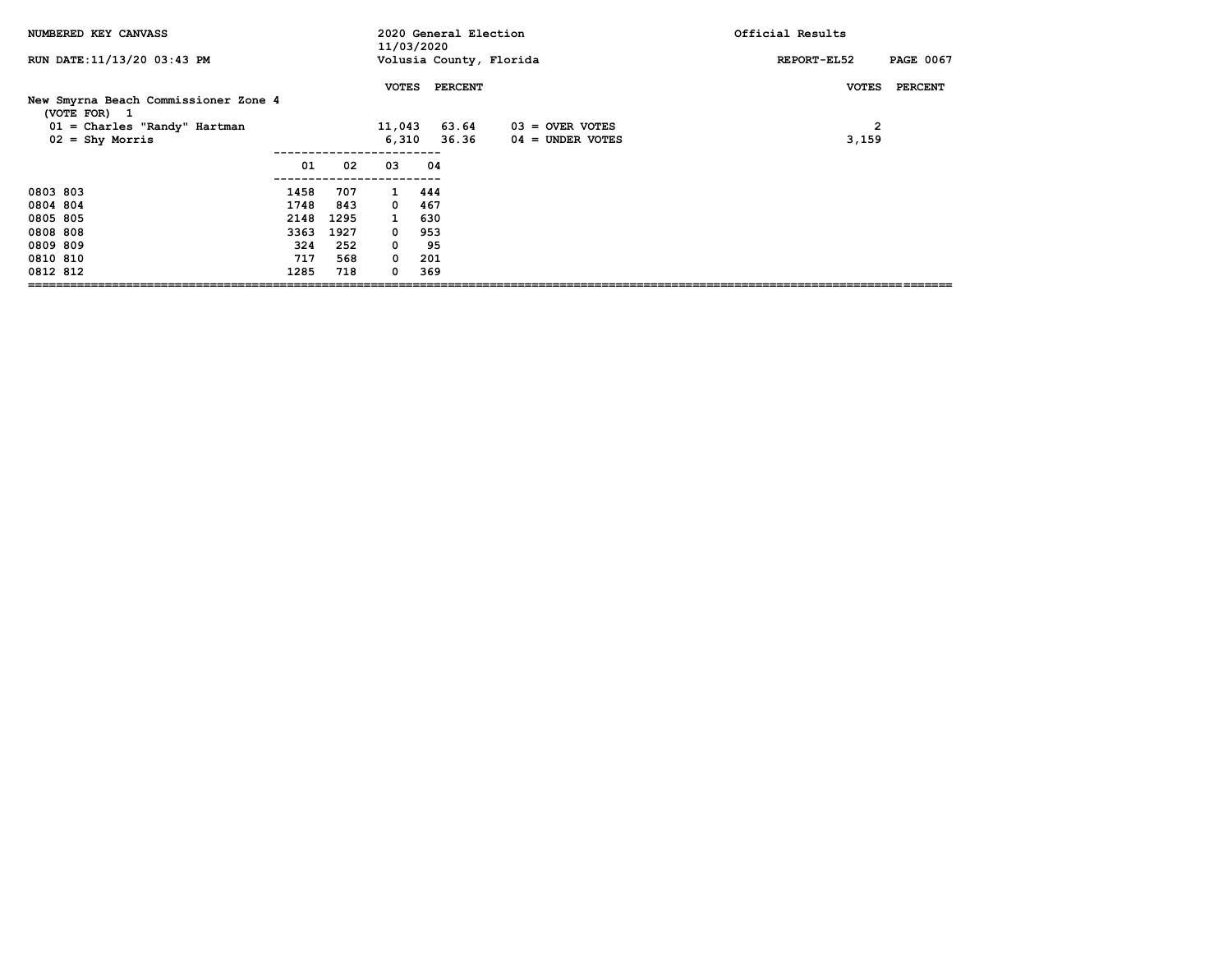| NUMBERED KEY CANVASS                                                             |                                                    |                                                 | 11/03/2020                                                                                                | 2020 General Election                        |                                       | Official Results                |
|----------------------------------------------------------------------------------|----------------------------------------------------|-------------------------------------------------|-----------------------------------------------------------------------------------------------------------|----------------------------------------------|---------------------------------------|---------------------------------|
| RUN DATE: 11/13/20 03:43 PM                                                      |                                                    |                                                 |                                                                                                           | Volusia County, Florida                      |                                       | <b>PAGE 0067</b><br>REPORT-EL52 |
| New Smyrna Beach Commissioner Zone 4<br>(VOTE FOR) 1                             |                                                    |                                                 | <b>VOTES</b>                                                                                              | <b>PERCENT</b>                               |                                       | <b>PERCENT</b><br><b>VOTES</b>  |
| $01 =$ Charles "Randy" Hartman<br>$02 =$ Shy Morris                              |                                                    |                                                 | 11,043<br>6,310                                                                                           | 63.64<br>36.36                               | $03 =$ OVER VOTES<br>04 = UNDER VOTES | $\overline{2}$<br>3,159         |
|                                                                                  | 01                                                 | 02                                              | 03                                                                                                        | 04                                           |                                       |                                 |
| 0803 803<br>0804 804<br>0805 805<br>0808 808<br>0809 809<br>0810 810<br>0812 812 | 1458<br>1748<br>2148<br>3363<br>324<br>717<br>1285 | 707<br>843<br>1295<br>1927<br>252<br>568<br>718 | $\mathbf{1}$<br>$\mathbf{o}$<br>$\mathbf{1}$<br>$^{\circ}$<br>$\mathbf{o}$<br>$\mathbf 0$<br>$\mathbf{o}$ | 444<br>467<br>630<br>953<br>95<br>201<br>369 |                                       |                                 |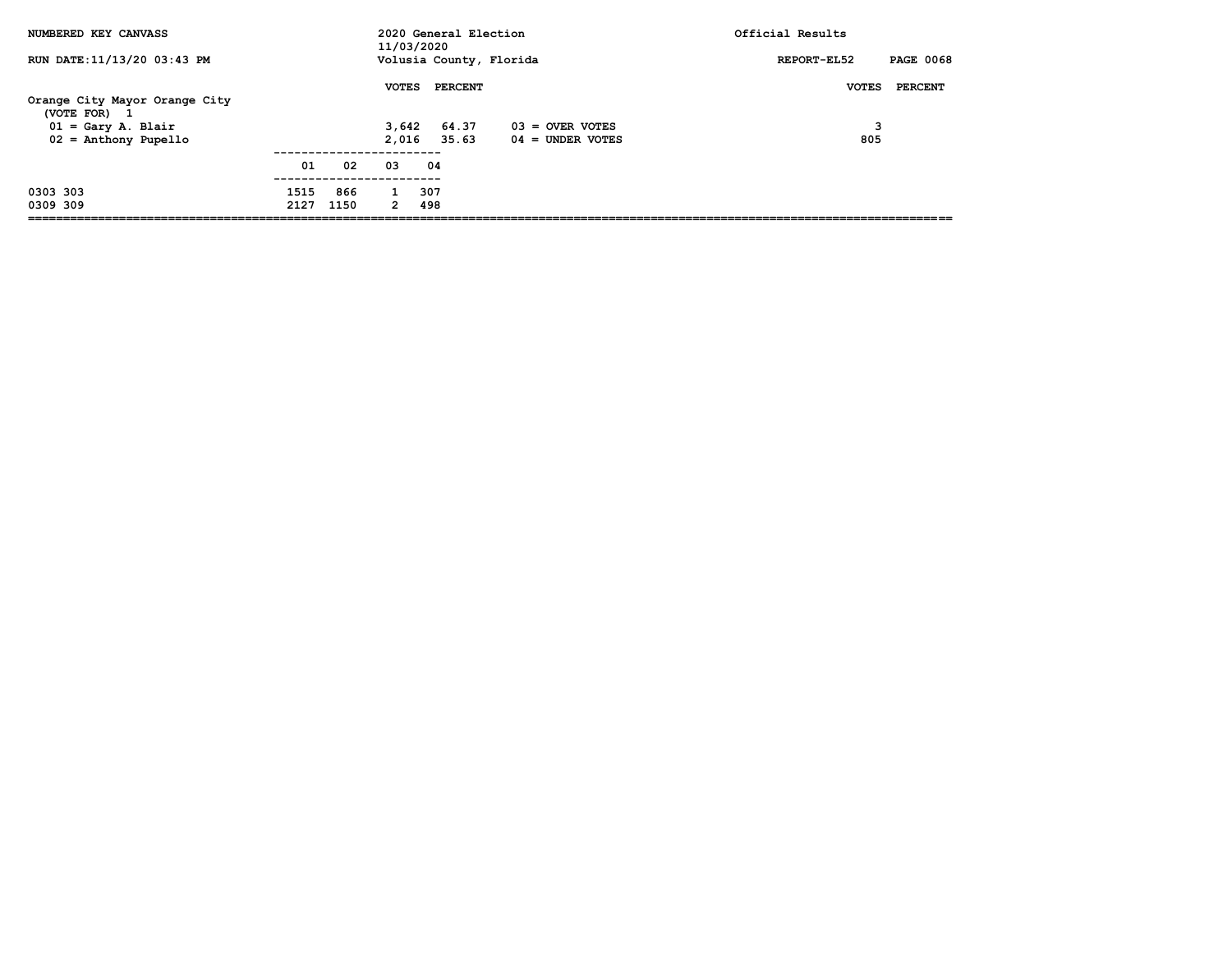| NUMBERED KEY CANVASS                               |              |             | 11/03/2020     | 2020 General Election   |                                         | Official Results                |
|----------------------------------------------------|--------------|-------------|----------------|-------------------------|-----------------------------------------|---------------------------------|
| RUN DATE: 11/13/20 03:43 PM                        |              |             |                | Volusia County, Florida |                                         | <b>PAGE 0068</b><br>REPORT-EL52 |
| Orange City Mayor Orange City<br>(VOTE FOR)<br>- 1 |              |             | <b>VOTES</b>   | <b>PERCENT</b>          |                                         | PERCENT<br><b>VOTES</b>         |
| $01 = Gary A. Blair$<br>$02$ = Anthony Pupello     |              |             | 3,642<br>2,016 | 64.37<br>35.63          | $03 =$ OVER VOTES<br>$04 =$ UNDER VOTES | 3<br>805                        |
|                                                    | 01           | 02          | 03             | 04                      |                                         |                                 |
| 0303 303<br>0309 309                               | 1515<br>2127 | 866<br>1150 | $\overline{2}$ | 307<br>498              |                                         |                                 |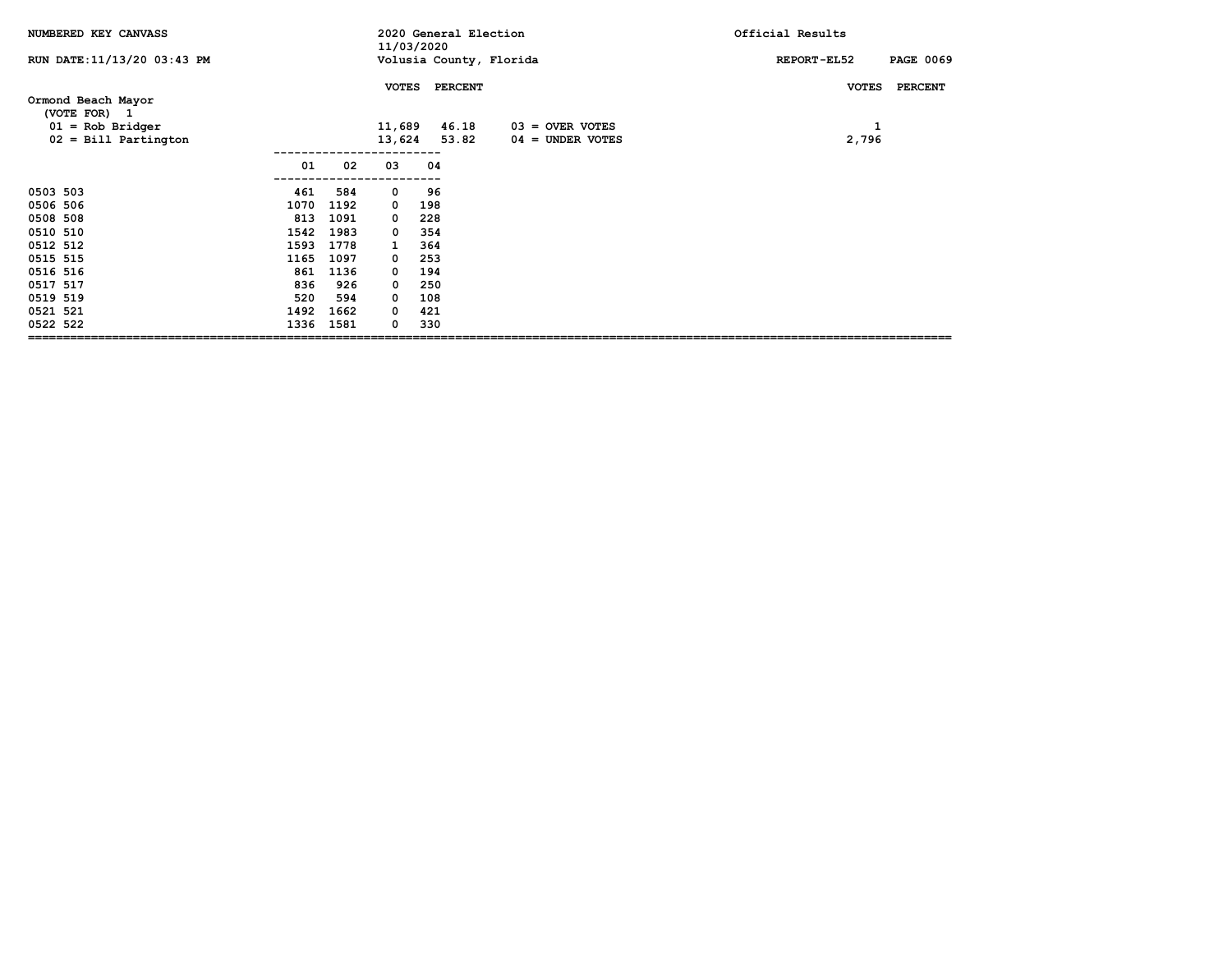| NUMBERED KEY CANVASS                                    |          |                        | 11/03/2020 | 2020 General Election   |                    | Official Results   |                  |
|---------------------------------------------------------|----------|------------------------|------------|-------------------------|--------------------|--------------------|------------------|
| RUN DATE: 11/13/20 03:43 PM                             |          |                        |            | Volusia County, Florida |                    | <b>REPORT-EL52</b> | <b>PAGE 0069</b> |
| Ormond Beach Mayor<br>(VOTE FOR) 1<br>$01 = Rob Bridge$ |          | <b>VOTES</b><br>11,689 |            | <b>PERCENT</b><br>46.18 | $03 =$ OVER VOTES  | <b>VOTES</b><br>1  | <b>PERCENT</b>   |
| $02 =$ Bill Partington                                  |          | 13,624                 |            | 53.82                   | $04 =$ UNDER VOTES | 2,796              |                  |
|                                                         | 01<br>02 | 03                     | 04         |                         |                    |                    |                  |
| 0503 503<br>461                                         | 584      | 0                      | 96         |                         |                    |                    |                  |
| 0506 506<br>1070                                        | 1192     | 0                      | 198        |                         |                    |                    |                  |
| 0508 508<br>813                                         | 1091     | 0                      | 228        |                         |                    |                    |                  |
| 0510 510<br>1542                                        | 1983     | 0                      | 354        |                         |                    |                    |                  |
| 0512 512<br>1593                                        | 1778     | 1                      | 364        |                         |                    |                    |                  |
| 0515 515<br>1165                                        | 1097     | 0                      | 253        |                         |                    |                    |                  |
| 0516 516<br>861                                         | 1136     | 0                      | 194        |                         |                    |                    |                  |
| 0517 517<br>836                                         | 926      | $\Omega$               | 250        |                         |                    |                    |                  |
| 0519 519<br>520                                         | 594      | $\Omega$               | 108        |                         |                    |                    |                  |
| 1492<br>0521 521                                        | 1662     | 0                      | 421        |                         |                    |                    |                  |
| 0522 522<br>1336                                        | 1581     | 0                      | 330        |                         |                    |                    |                  |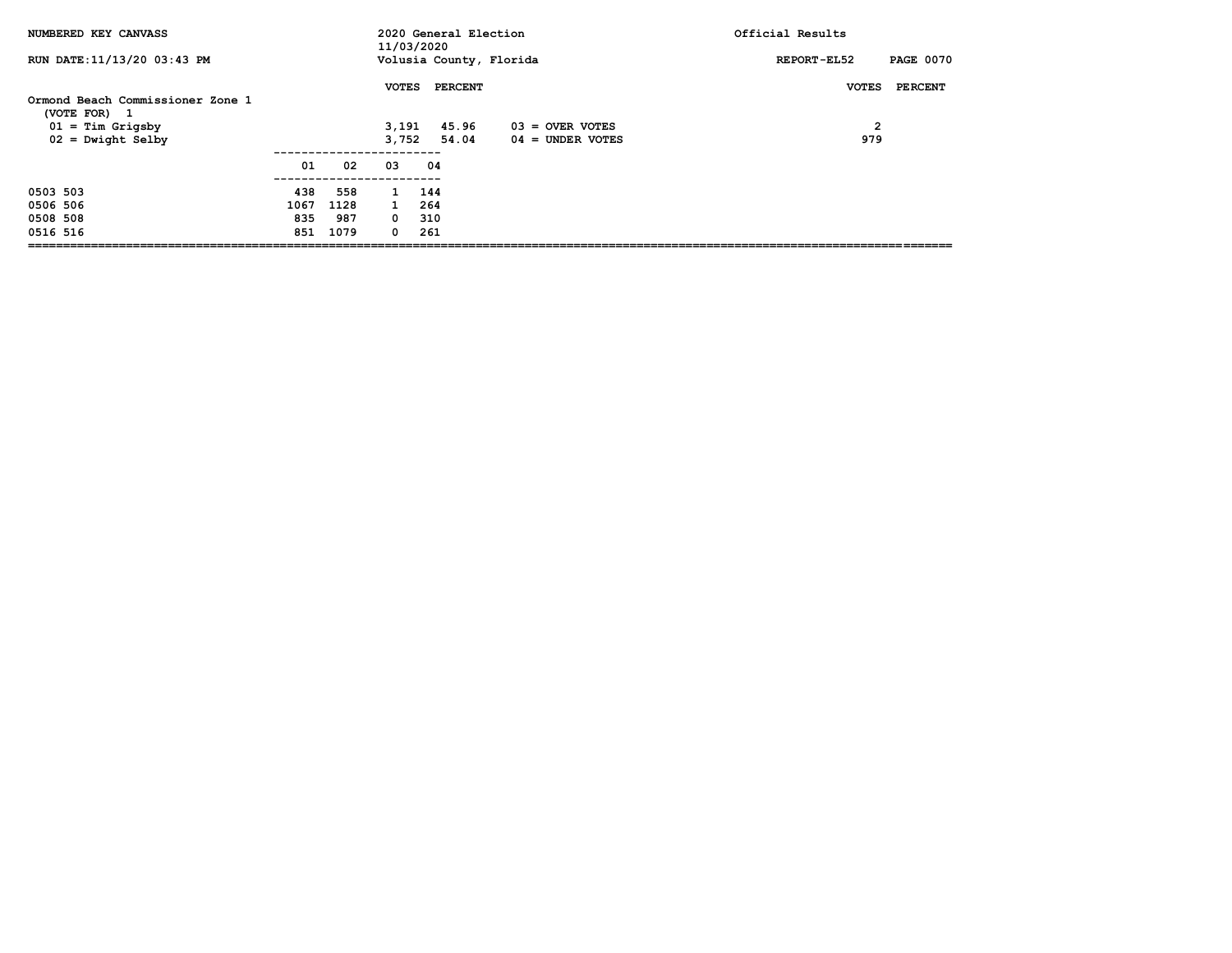| NUMBERED KEY CANVASS                                                                          |      |      | 11/03/2020                     | 2020 General Election     |                                       | Official Results                                      |
|-----------------------------------------------------------------------------------------------|------|------|--------------------------------|---------------------------|---------------------------------------|-------------------------------------------------------|
| RUN DATE:11/13/20 03:43 PM                                                                    |      |      |                                | Volusia County, Florida   |                                       | <b>PAGE 0070</b><br>REPORT-EL52                       |
| Ormond Beach Commissioner Zone 1<br>(VOTE FOR) 1<br>$01 =$ Tim Grigsby<br>$02 =$ Dwight Selby |      |      | <b>VOTES</b><br>3,191<br>3.752 | PERCENT<br>45.96<br>54.04 | $03 =$ OVER VOTES<br>04 = UNDER VOTES | <b>PERCENT</b><br><b>VOTES</b><br>$\mathbf{2}$<br>979 |
|                                                                                               | 01   | 02   | 03                             | 04                        |                                       |                                                       |
| 0503 503                                                                                      | 438  | 558  | $\mathbf{1}$                   | 144                       |                                       |                                                       |
| 0506 506                                                                                      | 1067 | 1128 | $\mathbf{1}$                   | 264                       |                                       |                                                       |
| 0508 508                                                                                      | 835  | 987  | $^{\circ}$                     | 310                       |                                       |                                                       |
| 0516 516                                                                                      | 851  | 1079 | 0                              | 261                       |                                       |                                                       |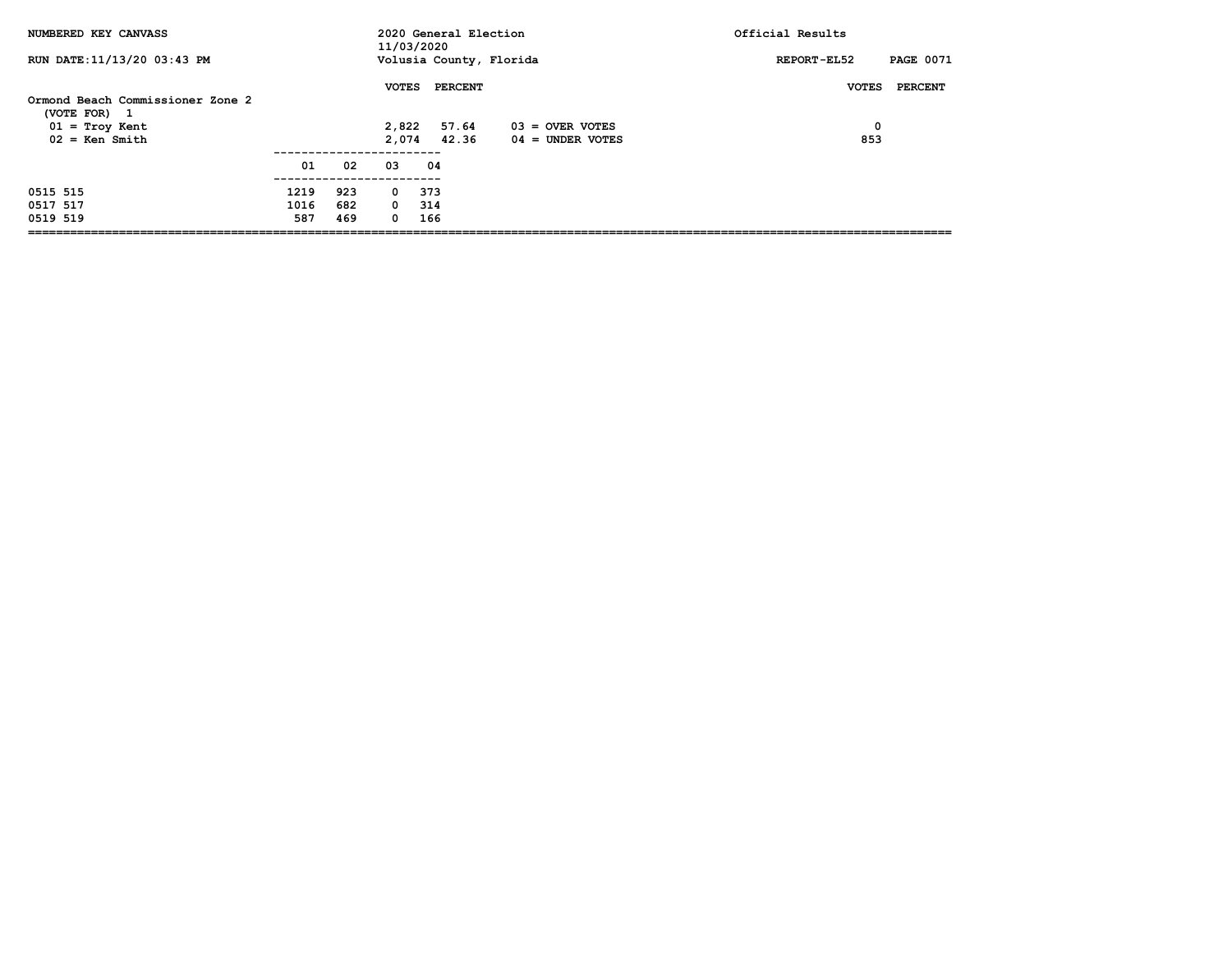| NUMBERED KEY CANVASS                 |      |     | 11/03/2020   | 2020 General Election   |                    | Official Results                |
|--------------------------------------|------|-----|--------------|-------------------------|--------------------|---------------------------------|
| RUN DATE:11/13/20 03:43 PM           |      |     |              | Volusia County, Florida |                    | <b>PAGE 0071</b><br>REPORT-EL52 |
| Ormond Beach Commissioner Zone 2     |      |     | <b>VOTES</b> | <b>PERCENT</b>          |                    | PERCENT<br><b>VOTES</b>         |
| (VOTE FOR)<br>$\mathbf{1}$           |      |     | 2,822        | 57.64                   | 03 = OVER VOTES    | 0                               |
| $01 = Troy$ Kent<br>$02 =$ Ken Smith |      |     | 2,074        | 42.36                   | $04 =$ UNDER VOTES | 853                             |
|                                      | 01   | 02  | 03           | 04                      |                    |                                 |
| 0515 515                             | 1219 | 923 | 0            | 373                     |                    |                                 |
| 0517 517                             | 1016 | 682 | $0\quad 314$ |                         |                    |                                 |
| 0519 519                             | 587  | 469 | $\Omega$     | 166                     |                    |                                 |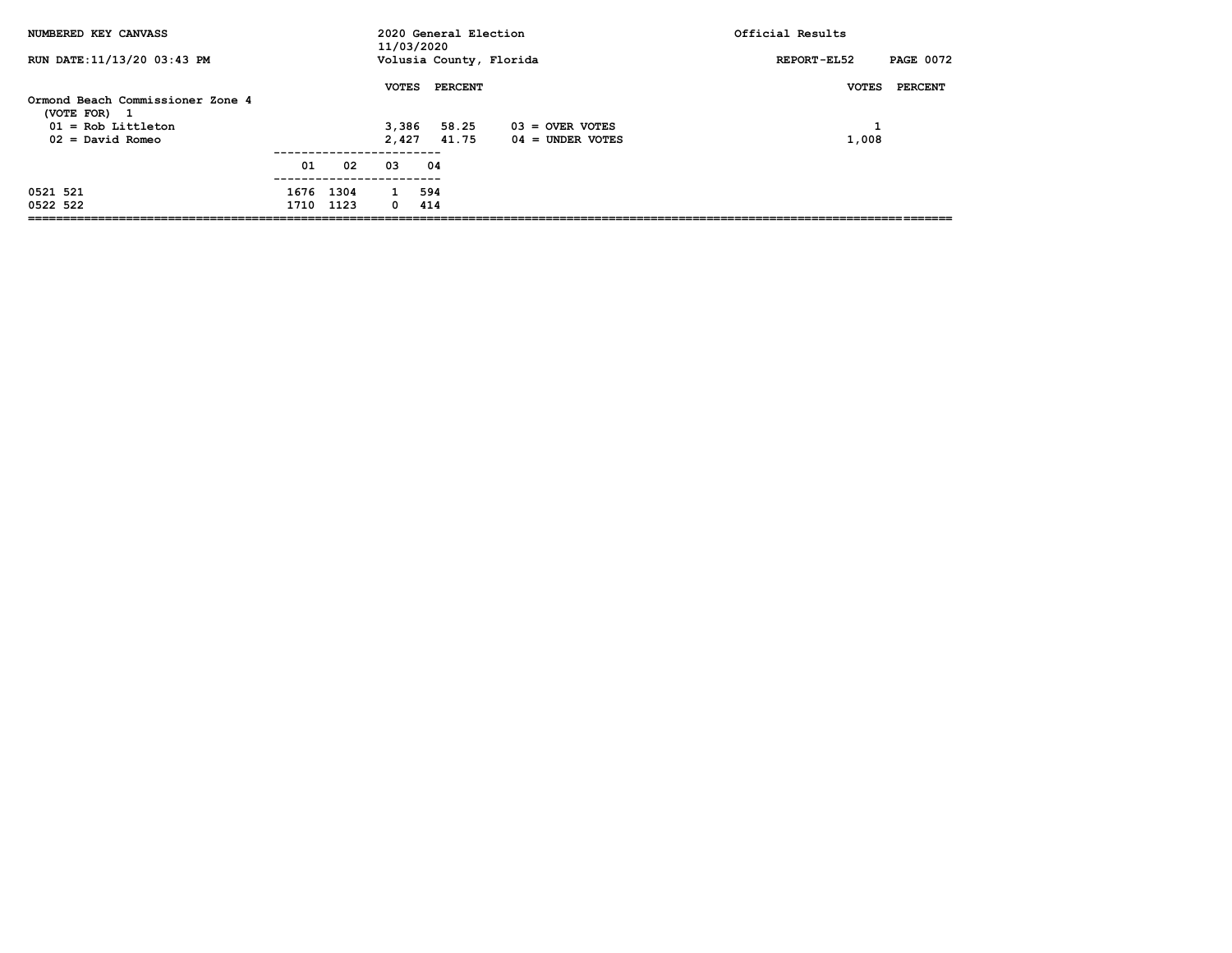| NUMBERED KEY CANVASS             |      |      | 11/03/2020   | 2020 General Election |                         | Official Results                |
|----------------------------------|------|------|--------------|-----------------------|-------------------------|---------------------------------|
| RUN DATE: 11/13/20 03:43 PM      |      |      |              |                       | Volusia County, Florida | <b>PAGE 0072</b><br>REPORT-EL52 |
| Ormond Beach Commissioner Zone 4 |      |      | <b>VOTES</b> | <b>PERCENT</b>        |                         | <b>VOTES</b><br>PERCENT         |
| (VOTE FOR)<br>-1                 |      |      |              |                       |                         |                                 |
| $01 = Rob Littleton$             |      |      | 3,386        | 58.25                 | $03 =$ OVER VOTES       |                                 |
| $02 = David Romeo$               |      |      | 2,427        | 41.75                 | $04 =$ UNDER VOTES      | 1,008                           |
|                                  |      |      |              |                       |                         |                                 |
|                                  | 01   | 02   | 03           | 04                    |                         |                                 |
| 0521 521                         | 1676 | 1304 |              | 594                   |                         |                                 |
| 0522 522                         | 1710 | 1123 | 0            | 414                   |                         |                                 |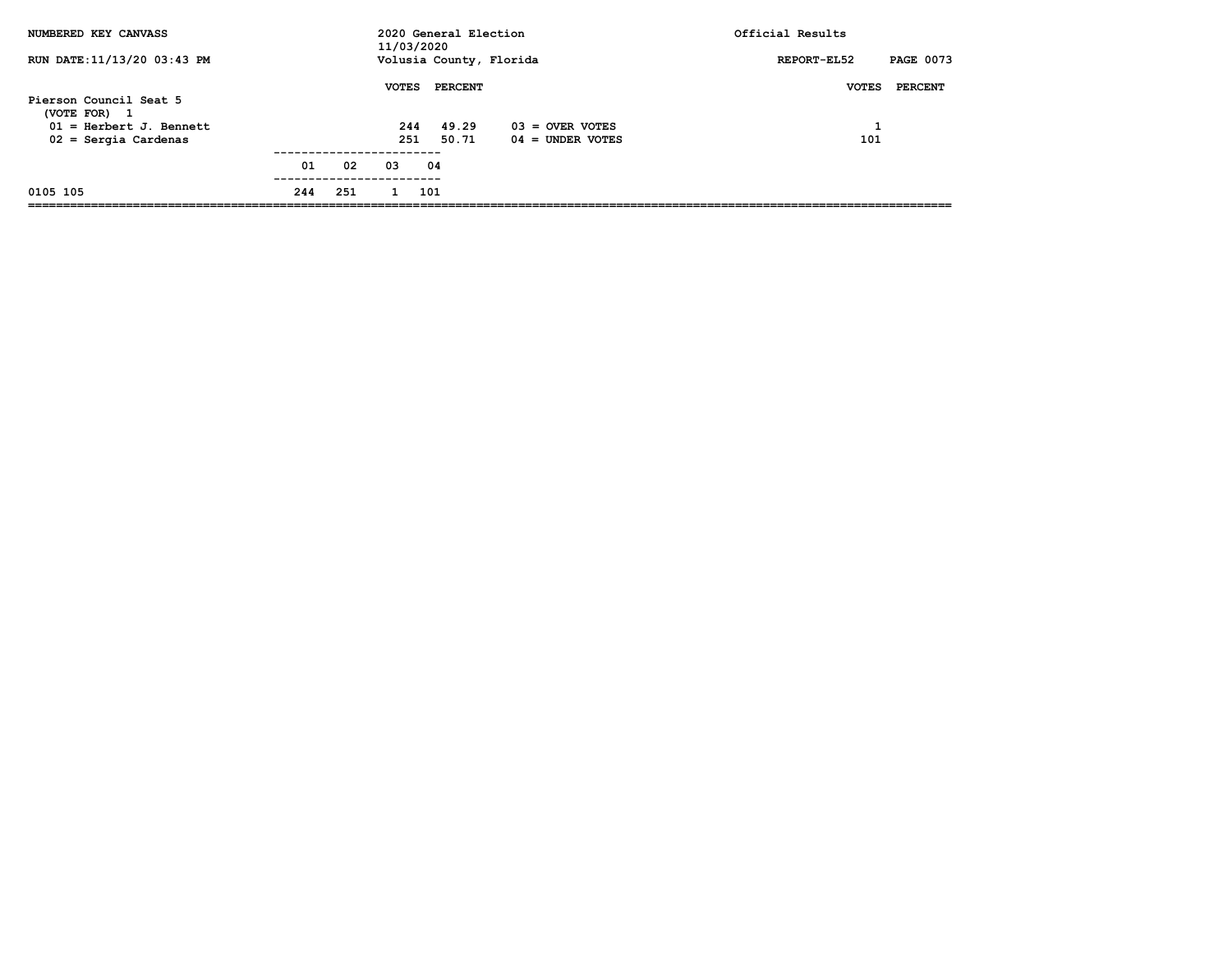| NUMBERED KEY CANVASS                                                                                        |     |     | 11/03/2020                 | 2020 General Election            |                                         | Official Results                |
|-------------------------------------------------------------------------------------------------------------|-----|-----|----------------------------|----------------------------------|-----------------------------------------|---------------------------------|
| RUN DATE:11/13/20 03:43 PM                                                                                  |     |     |                            |                                  | Volusia County, Florida                 | <b>PAGE 0073</b><br>REPORT-EL52 |
| Pierson Council Seat 5<br>(VOTE FOR)<br>$\mathbf{1}$<br>$01$ = Herbert J. Bennett<br>$02 =$ Sergia Cardenas |     |     | <b>VOTES</b><br>244<br>251 | <b>PERCENT</b><br>49.29<br>50.71 | $03 =$ OVER VOTES<br>$04 =$ UNDER VOTES | <b>VOTES</b><br>PERCENT<br>101  |
|                                                                                                             | 01  | 02  | 03                         | 04                               |                                         |                                 |
| 0105 105                                                                                                    | 244 | 251 |                            | 101                              |                                         |                                 |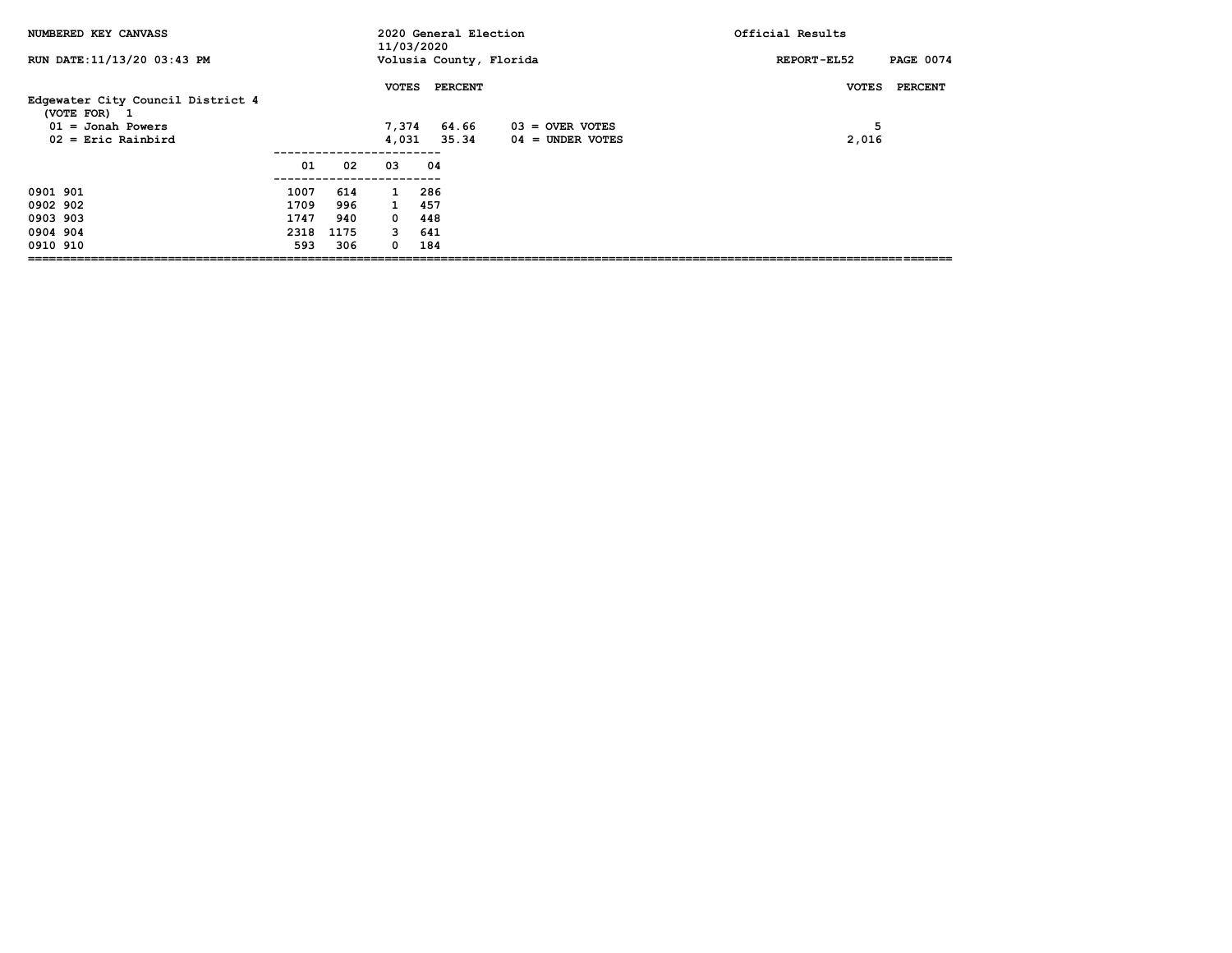| NUMBERED KEY CANVASS                              |      |      | 11/03/2020   | 2020 General Election   |                    | Official Results                |
|---------------------------------------------------|------|------|--------------|-------------------------|--------------------|---------------------------------|
| RUN DATE: 11/13/20 03:43 PM                       |      |      |              | Volusia County, Florida |                    | <b>PAGE 0074</b><br>REPORT-EL52 |
| Edgewater City Council District 4<br>(VOTE FOR) 1 |      |      | <b>VOTES</b> | <b>PERCENT</b>          |                    | PERCENT<br><b>VOTES</b>         |
| $01 =$ Jonah Powers                               |      |      | 7,374        | 64.66                   | $03 =$ OVER VOTES  | 5                               |
| $02$ = Eric Rainbird                              |      |      | 4,031        | 35.34                   | $04 =$ UNDER VOTES | 2,016                           |
|                                                   |      |      |              |                         |                    |                                 |
|                                                   | 01   | 02   | 03           | 04                      |                    |                                 |
|                                                   |      |      |              |                         |                    |                                 |
| 0901 901                                          | 1007 | 614  | $\mathbf{1}$ | 286                     |                    |                                 |
| 0902 902                                          | 1709 | 996  | $\mathbf{1}$ | 457                     |                    |                                 |
| 0903 903                                          | 1747 | 940  | $\Omega$     | 448                     |                    |                                 |
| 0904 904                                          | 2318 | 1175 | 3            | 641                     |                    |                                 |
| 0910 910                                          | 593  | 306  | 0            | 184                     |                    |                                 |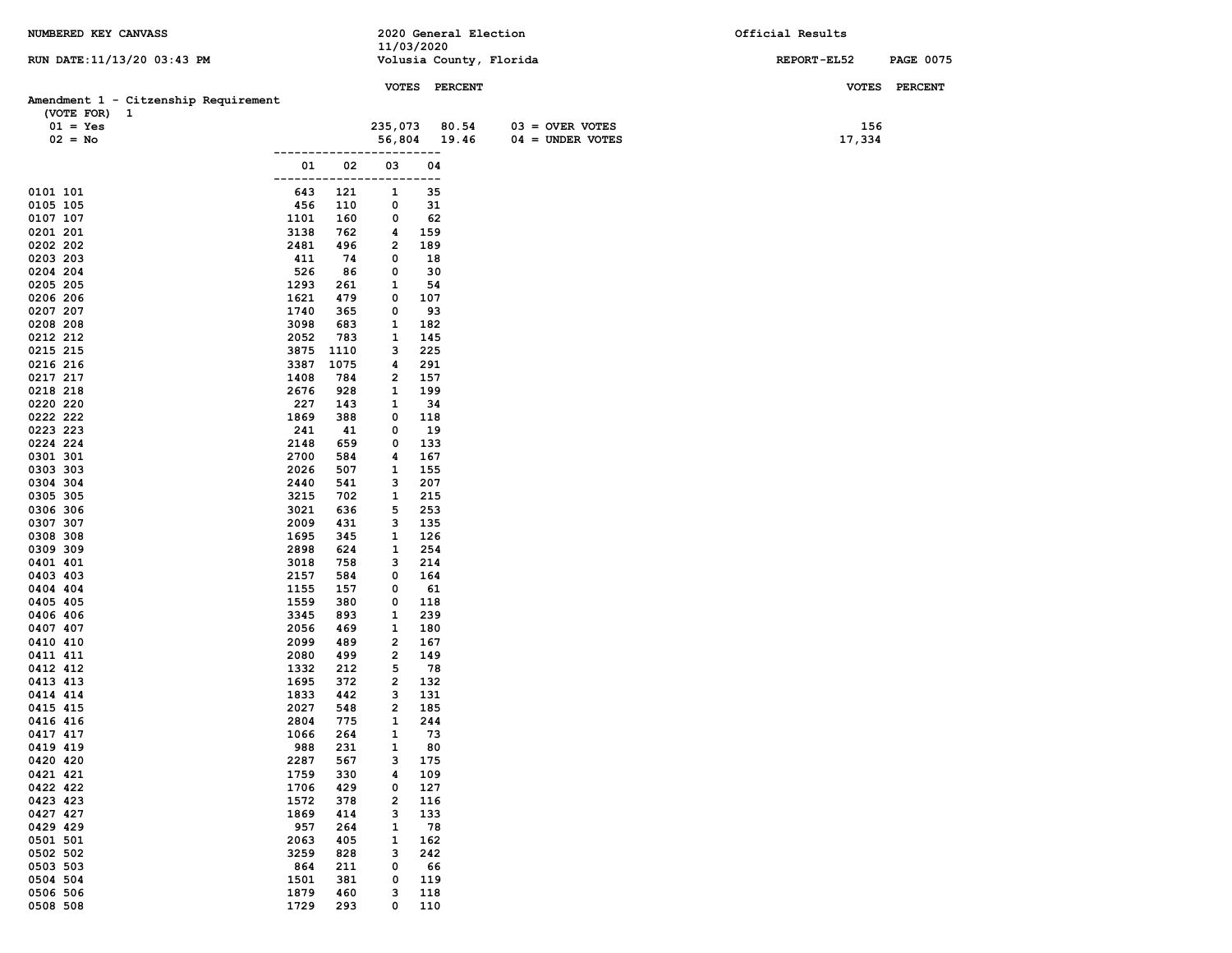| NUMBERED KEY CANVASS                 |                        |                         | 2020 General Election   |                    | Official Results |                  |
|--------------------------------------|------------------------|-------------------------|-------------------------|--------------------|------------------|------------------|
| RUN DATE: 11/13/20 03:43 PM          |                        | 11/03/2020              | Volusia County, Florida |                    | REPORT-EL52      | <b>PAGE 0075</b> |
|                                      |                        |                         |                         |                    |                  |                  |
|                                      |                        |                         | VOTES PERCENT           |                    | <b>VOTES</b>     | <b>PERCENT</b>   |
| Amendment 1 - Citzenship Requirement |                        |                         |                         |                    |                  |                  |
| (VOTE FOR) 1<br>$01 = Yes$           |                        | 235,073                 | 80.54                   | $03 =$ OVER VOTES  | 156              |                  |
| $02 = No$                            |                        | 56,804                  | 19.46                   | $04 = UNDER VOTES$ | 17,334           |                  |
|                                      |                        |                         |                         |                    |                  |                  |
|                                      | 02<br>01               | 03                      | 04                      |                    |                  |                  |
| 0101 101                             | 643<br>121             | 1                       | ---<br>35               |                    |                  |                  |
| 0105 105                             | 456<br>110             | 0                       | 31                      |                    |                  |                  |
| 0107 107<br>1101                     | 160                    | 0                       | 62                      |                    |                  |                  |
| 3138<br>0201 201                     | 762                    | 4                       | 159                     |                    |                  |                  |
| 0202 202<br>2481                     | 496                    | 2                       | 189                     |                    |                  |                  |
| 0203 203<br>0204 204                 | 411<br>74<br>526<br>86 | 0<br>0                  | 18<br>30                |                    |                  |                  |
| 0205 205<br>1293                     | 261                    | 1                       | 54                      |                    |                  |                  |
| 1621<br>0206 206                     | 479                    | 0                       | 107                     |                    |                  |                  |
| 1740<br>0207 207                     | 365                    | 0                       | 93                      |                    |                  |                  |
| 0208 208<br>3098                     | 683                    | 1                       | 182                     |                    |                  |                  |
| 0212 212<br>2052<br>0215 215<br>3875 | 783<br>1110            | 1<br>з                  | 145<br>225              |                    |                  |                  |
| 0216 216<br>3387                     | 1075                   | 4                       | 291                     |                    |                  |                  |
| 0217 217<br>1408                     | 784                    | 2                       | 157                     |                    |                  |                  |
| 2676<br>0218 218                     | 928                    | 1                       | 199                     |                    |                  |                  |
| 0220 220<br>227                      | 143                    | 1                       | 34                      |                    |                  |                  |
| 0222 222<br>1869<br>241<br>0223 223  | 388<br>41              | 0<br>0                  | 118<br>19               |                    |                  |                  |
| 0224 224<br>2148                     | 659                    | 0                       | 133                     |                    |                  |                  |
| 0301 301<br>2700                     | 584                    | 4                       | 167                     |                    |                  |                  |
| 2026<br>0303 303                     | 507                    | 1                       | 155                     |                    |                  |                  |
| 0304 304<br>2440                     | 541                    | з                       | 207                     |                    |                  |                  |
| 0305 305<br>3215<br>0306 306<br>3021 | 702<br>636             | 1<br>5                  | 215<br>253              |                    |                  |                  |
| 0307 307<br>2009                     | 431                    | з                       | 135                     |                    |                  |                  |
| 0308 308<br>1695                     | 345                    | 1                       | 126                     |                    |                  |                  |
| 0309 309<br>2898                     | 624                    | 1                       | 254                     |                    |                  |                  |
| 0401 401<br>3018                     | 758                    | з                       | 214                     |                    |                  |                  |
| 0403 403<br>2157<br>0404 404<br>1155 | 584<br>157             | 0<br>0                  | 164<br>61               |                    |                  |                  |
| 0405 405<br>1559                     | 380                    | 0                       | 118                     |                    |                  |                  |
| 3345<br>0406 406                     | 893                    | 1                       | 239                     |                    |                  |                  |
| 2056<br>0407 407                     | 469                    | 1                       | 180                     |                    |                  |                  |
| 0410 410<br>2099                     | 489                    | $\overline{\mathbf{2}}$ | 167                     |                    |                  |                  |
| 0411 411<br>2080<br>0412 412<br>1332 | 499<br>212             | 2<br>5                  | 149<br>78               |                    |                  |                  |
| 1695<br>0413 413                     | 372                    | 2                       | 132                     |                    |                  |                  |
| 1833<br>0414 414                     | 442                    | з                       | 131                     |                    |                  |                  |
| 2027<br>0415 415                     | 548                    | $\overline{2}$          | 185                     |                    |                  |                  |
| 2804<br>0416 416                     | 775                    | $\mathbf{1}$            | 244                     |                    |                  |                  |
| 0417 417<br>1066<br>988<br>0419 419  | 264<br>231             | 1<br>1                  | 73<br>80                |                    |                  |                  |
| 0420 420<br>2287                     | 567                    | з                       | 175                     |                    |                  |                  |
| 0421 421<br>1759                     | 330                    | 4                       | 109                     |                    |                  |                  |
| 0422 422<br>1706                     | 429                    | 0                       | 127                     |                    |                  |                  |
| 0423 423<br>1572<br>0427 427<br>1869 | 378                    | 2<br>з                  | 116<br>133              |                    |                  |                  |
| 0429 429<br>957                      | 414<br>264             | $\mathbf{1}$            | 78                      |                    |                  |                  |
| 0501 501<br>2063                     | 405                    | 1                       | 162                     |                    |                  |                  |
| 0502 502<br>3259                     | 828                    | з                       | 242                     |                    |                  |                  |
| 0503 503<br>864                      | 211                    | 0                       | 66                      |                    |                  |                  |
| 0504 504<br>1501                     | 381                    | 0                       | 119                     |                    |                  |                  |
| 0506 506<br>1879<br>1729<br>0508 508 | 460<br>293             | 3<br>0                  | 118<br>110              |                    |                  |                  |
|                                      |                        |                         |                         |                    |                  |                  |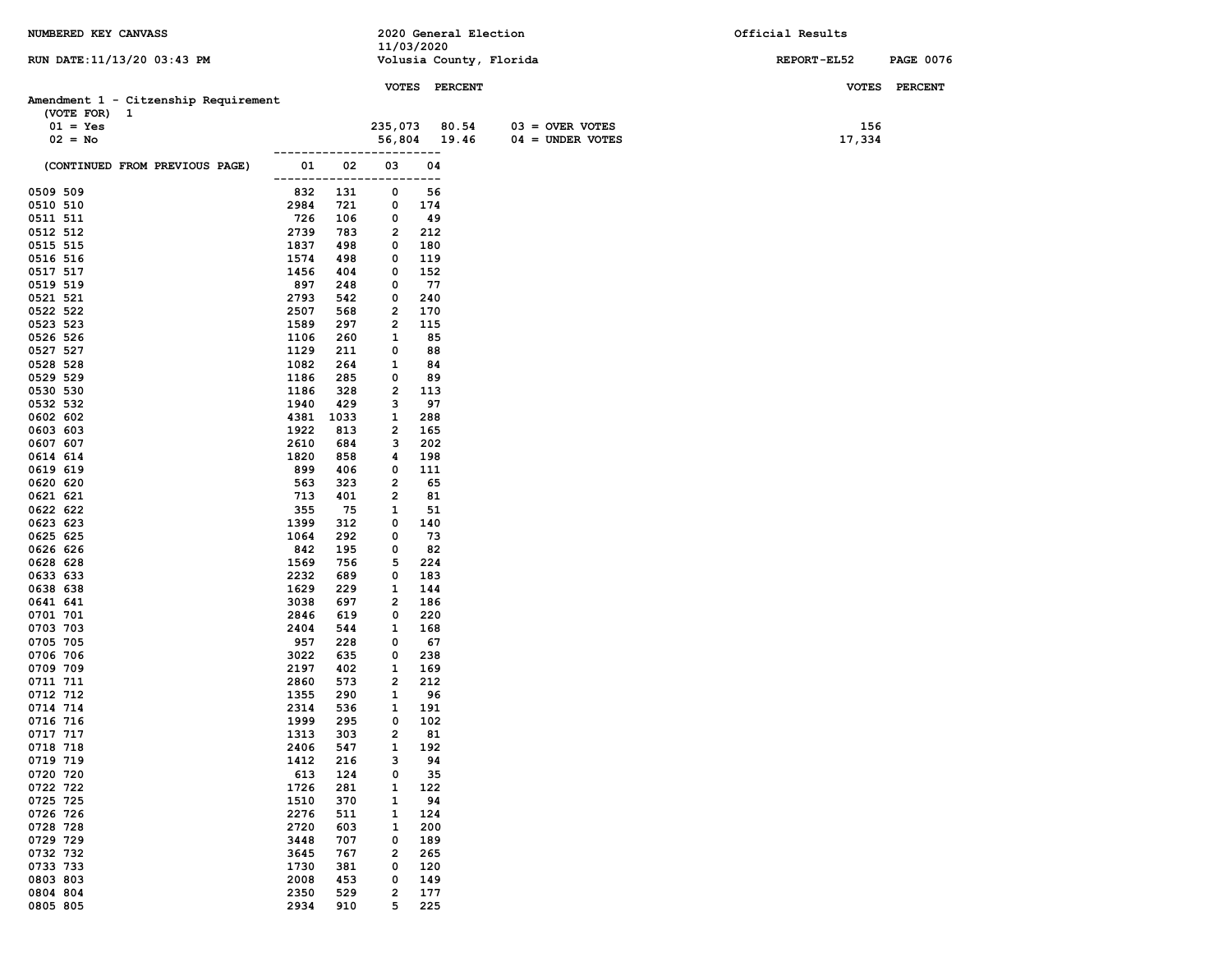| NUMBERED KEY CANVASS                 |               |             |                              |               | 2020 General Election   |                    |  | Official Results   |        |                  |
|--------------------------------------|---------------|-------------|------------------------------|---------------|-------------------------|--------------------|--|--------------------|--------|------------------|
|                                      |               |             | 11/03/2020                   |               |                         |                    |  |                    |        |                  |
| RUN DATE: 11/13/20 03:43 PM          |               |             |                              |               | Volusia County, Florida |                    |  | <b>REPORT-EL52</b> |        | <b>PAGE 0076</b> |
|                                      |               |             |                              | VOTES PERCENT |                         |                    |  |                    |        | VOTES PERCENT    |
| Amendment 1 - Citzenship Requirement |               |             |                              |               |                         |                    |  |                    |        |                  |
| (VOTE FOR) 1                         |               |             |                              |               |                         |                    |  |                    |        |                  |
| $01 = Yes$                           |               |             | 235,073                      | 80.54         |                         | $03 =$ OVER VOTES  |  |                    | 156    |                  |
| $02 = No$                            |               |             | 56,804 19.46                 |               |                         | $04 = UNDER VOTES$ |  |                    | 17,334 |                  |
|                                      |               |             |                              |               |                         |                    |  |                    |        |                  |
| (CONTINUED FROM PREVIOUS PAGE)       | 01<br>------- | 02          | 03                           | 04<br>---     |                         |                    |  |                    |        |                  |
| 0509 509                             | 832           | 131         | 0                            | 56            |                         |                    |  |                    |        |                  |
| 0510 510                             | 2984          | 721         | 0                            | 174           |                         |                    |  |                    |        |                  |
| 0511 511                             | 726           | 106         | 0                            | 49            |                         |                    |  |                    |        |                  |
| 0512 512                             | 2739          | 783         | $\overline{\mathbf{2}}$      | 212           |                         |                    |  |                    |        |                  |
| 0515 515                             | 1837          | 498         | 0                            | 180           |                         |                    |  |                    |        |                  |
| 0516 516                             | 1574          | 498         | 0                            | 119           |                         |                    |  |                    |        |                  |
| 0517 517                             | 1456          | 404         | 0                            | 152           |                         |                    |  |                    |        |                  |
| 0519 519<br>0521 521                 | 897<br>2793   | 248<br>542  | 0<br>0                       | 77<br>240     |                         |                    |  |                    |        |                  |
| 0522 522                             | 2507          | 568         | 2                            | 170           |                         |                    |  |                    |        |                  |
| 0523 523                             | 1589          | 297         | 2                            | 115           |                         |                    |  |                    |        |                  |
| 0526 526                             | 1106          | 260         | 1                            | 85            |                         |                    |  |                    |        |                  |
| 0527 527                             | 1129          | 211         | 0                            | 88            |                         |                    |  |                    |        |                  |
| 0528 528                             | 1082          | 264         | 1                            | 84            |                         |                    |  |                    |        |                  |
| 0529 529                             | 1186          | 285         | 0                            | 89            |                         |                    |  |                    |        |                  |
| 0530 530                             | 1186          | 328         | 2                            | 113           |                         |                    |  |                    |        |                  |
| 0532 532                             | 1940          | 429         | 3                            | 97            |                         |                    |  |                    |        |                  |
| 0602 602<br>0603 603                 | 4381<br>1922  | 1033<br>813 | 1<br>2                       | 288<br>165    |                         |                    |  |                    |        |                  |
| 0607 607                             | 2610          | 684         | з                            | 202           |                         |                    |  |                    |        |                  |
| 0614 614                             | 1820          | 858         | 4                            | 198           |                         |                    |  |                    |        |                  |
| 0619 619                             | 899           | 406         | 0                            | 111           |                         |                    |  |                    |        |                  |
| 0620 620                             | 563           | 323         | 2                            | 65            |                         |                    |  |                    |        |                  |
| 0621 621                             | 713           | 401         | 2                            | 81            |                         |                    |  |                    |        |                  |
| 0622 622                             | 355           | 75          | 1                            | 51            |                         |                    |  |                    |        |                  |
| 0623 623                             | 1399          | 312         | 0                            | 140           |                         |                    |  |                    |        |                  |
| 0625 625<br>0626 626                 | 1064<br>842   | 292<br>195  | 0<br>0                       | 73<br>82      |                         |                    |  |                    |        |                  |
| 0628 628                             | 1569          | 756         | 5                            | 224           |                         |                    |  |                    |        |                  |
| 0633 633                             | 2232          | 689         | 0                            | 183           |                         |                    |  |                    |        |                  |
| 0638 638                             | 1629          | 229         | 1                            | 144           |                         |                    |  |                    |        |                  |
| 0641 641                             | 3038          | 697         | 2                            | 186           |                         |                    |  |                    |        |                  |
| 0701 701                             | 2846          | 619         | 0                            | 220           |                         |                    |  |                    |        |                  |
| 0703 703                             | 2404          | 544         | 1                            | 168           |                         |                    |  |                    |        |                  |
| 0705 705<br>0706 706                 | 957<br>3022   | 228<br>635  | 0<br>0                       | 67<br>238     |                         |                    |  |                    |        |                  |
| 0709 709                             | 2197          | 402         | 1                            | 169           |                         |                    |  |                    |        |                  |
| 0711 711                             | 2860          | 573         | 2                            | 212           |                         |                    |  |                    |        |                  |
| 0712 712                             | 1355          | 290         | 1                            | 96            |                         |                    |  |                    |        |                  |
| 0714 714                             | 2314          | 536         | 1                            | 191           |                         |                    |  |                    |        |                  |
| 0716 716                             | 1999          | 295         | 0                            | 102           |                         |                    |  |                    |        |                  |
| 0717 717                             | 1313          | 303         | $\overline{\mathbf{2}}$      | 81            |                         |                    |  |                    |        |                  |
| 0718 718<br>0719 719                 | 2406<br>1412  | 547<br>216  | 1<br>з                       | 192<br>94     |                         |                    |  |                    |        |                  |
| 0720 720                             | 613           | 124         | 0                            | 35            |                         |                    |  |                    |        |                  |
| 0722 722                             | 1726          | 281         | 1                            | 122           |                         |                    |  |                    |        |                  |
| 0725 725                             | 1510          | 370         | 1                            | 94            |                         |                    |  |                    |        |                  |
| 0726 726                             | 2276          | 511         | 1                            | 124           |                         |                    |  |                    |        |                  |
| 0728 728                             | 2720          | 603         | $\mathbf{1}$                 | 200           |                         |                    |  |                    |        |                  |
| 0729 729                             | 3448          | 707         | 0                            | 189           |                         |                    |  |                    |        |                  |
| 0732 732                             | 3645          | 767         | $\overline{\mathbf{2}}$      | 265           |                         |                    |  |                    |        |                  |
| 0733 733                             | 1730          | 381         | 0                            | 120           |                         |                    |  |                    |        |                  |
| 0803 803<br>0804 804                 | 2008<br>2350  | 453<br>529  | 0<br>$\overline{\mathbf{2}}$ | 149<br>177    |                         |                    |  |                    |        |                  |
| 0805 805                             | 2934          | 910         | 5                            | 225           |                         |                    |  |                    |        |                  |
|                                      |               |             |                              |               |                         |                    |  |                    |        |                  |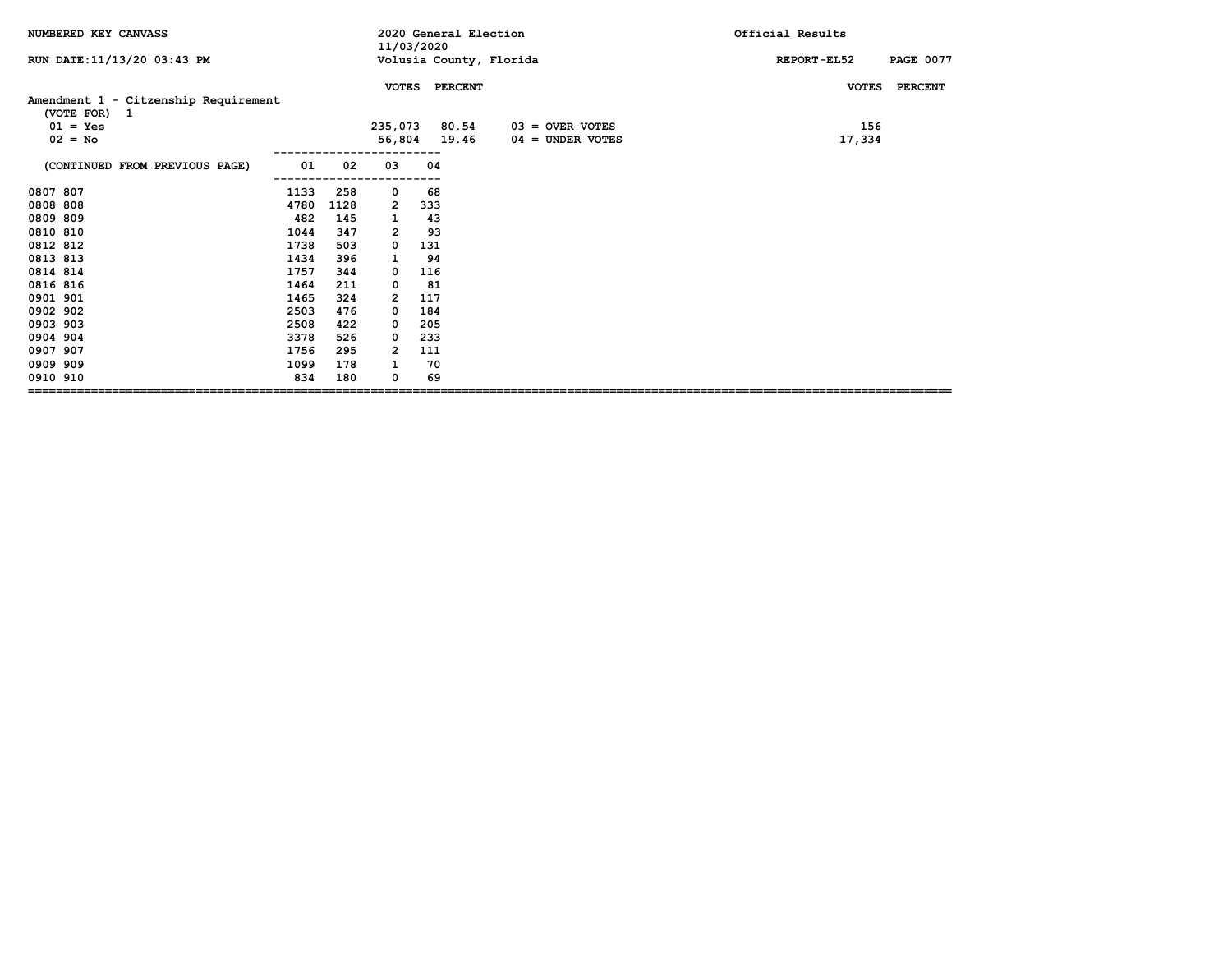| NUMBERED KEY CANVASS                                 |      |      |              | 11/03/2020 | 2020 General Election   |                    | Official Results                |  |  |
|------------------------------------------------------|------|------|--------------|------------|-------------------------|--------------------|---------------------------------|--|--|
| RUN DATE: 11/13/20 03:43 PM                          |      |      |              |            | Volusia County, Florida |                    | <b>PAGE 0077</b><br>REPORT-EL52 |  |  |
|                                                      |      |      | <b>VOTES</b> |            | <b>PERCENT</b>          |                    | <b>PERCENT</b><br><b>VOTES</b>  |  |  |
| Amendment 1 - Citzenship Requirement<br>(VOTE FOR) 1 |      |      |              |            |                         |                    |                                 |  |  |
| $01 = Yes$                                           |      |      | 235,073      |            | 80.54                   | $03 =$ OVER VOTES  | 156                             |  |  |
| $02 = No$                                            |      |      |              |            | 56,804 19.46            | $04 =$ UNDER VOTES | 17,334                          |  |  |
| (CONTINUED FROM PREVIOUS PAGE)                       | 01   | 02   | 03           | 04         |                         |                    |                                 |  |  |
| 0807 807                                             | 1133 | 258  | 0            | 68         |                         |                    |                                 |  |  |
| 0808 808                                             | 4780 | 1128 | 2            | 333        |                         |                    |                                 |  |  |
| 0809 809                                             | 482  | 145  | 1            | 43         |                         |                    |                                 |  |  |
| 0810 810                                             | 1044 | 347  | $\mathbf{2}$ | 93         |                         |                    |                                 |  |  |
| 0812 812                                             | 1738 | 503  | 0            | 131        |                         |                    |                                 |  |  |
| 0813 813                                             | 1434 | 396  | 1            | 94         |                         |                    |                                 |  |  |
| 0814 814                                             | 1757 | 344  | 0            | 116        |                         |                    |                                 |  |  |
| 0816 816                                             | 1464 | 211  | 0            | 81         |                         |                    |                                 |  |  |
| 0901 901                                             | 1465 | 324  | 2            | 117        |                         |                    |                                 |  |  |
| 0902 902                                             | 2503 | 476  | 0            | 184        |                         |                    |                                 |  |  |
| 0903 903                                             | 2508 | 422  | 0            | 205        |                         |                    |                                 |  |  |
| 0904 904                                             | 3378 | 526  | 0            | 233        |                         |                    |                                 |  |  |
| 0907 907                                             | 1756 | 295  | 2            | 111        |                         |                    |                                 |  |  |
| 0909 909                                             | 1099 | 178  |              | 70         |                         |                    |                                 |  |  |
| 0910 910                                             | 834  | 180  | 0            | 69         |                         |                    |                                 |  |  |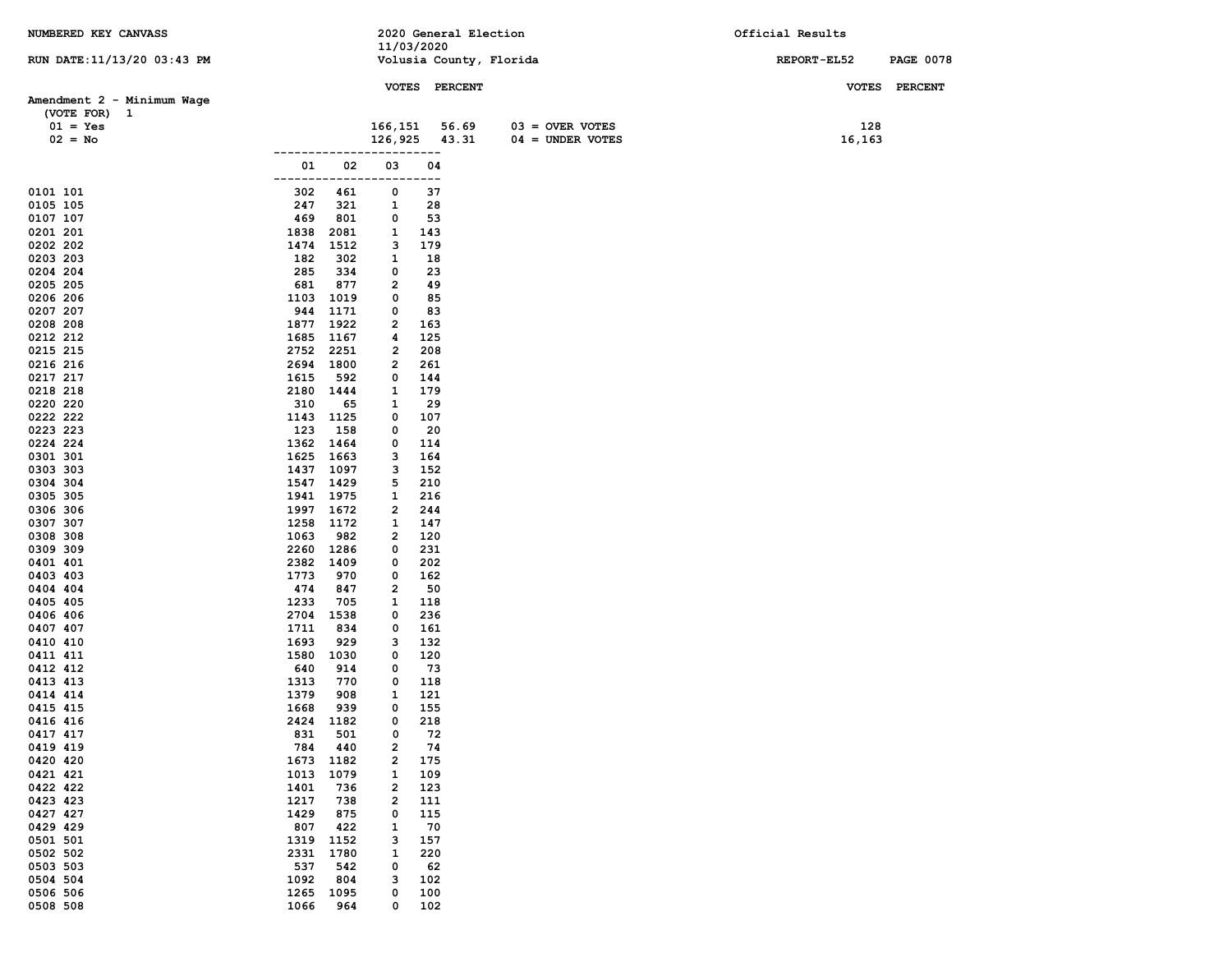| NUMBERED KEY CANVASS        |                              |                         | 2020 General Election   |                    | Official Results |                  |
|-----------------------------|------------------------------|-------------------------|-------------------------|--------------------|------------------|------------------|
|                             |                              | 11/03/2020              |                         |                    |                  |                  |
| RUN DATE: 11/13/20 03:43 PM |                              |                         | Volusia County, Florida |                    | REPORT-EL52      | <b>PAGE 0078</b> |
|                             |                              |                         | VOTES PERCENT           |                    |                  | VOTES PERCENT    |
| Amendment 2 - Minimum Wage  |                              |                         |                         |                    |                  |                  |
| (VOTE FOR) 1                |                              |                         |                         |                    |                  |                  |
| $01 = Yes$                  |                              | 166,151                 | 56.69                   | $03 =$ OVER VOTES  | 128              |                  |
| $02 = No$                   |                              | 126,925                 | 43.31                   | $04 = UNDER VOTES$ | 16,163           |                  |
|                             | 01                           | 02<br>03                | ----<br>04              |                    |                  |                  |
|                             |                              |                         | ---                     |                    |                  |                  |
| 0101 101                    | 302<br>461                   | 0                       | 37                      |                    |                  |                  |
| 0105 105                    | 247<br>321                   | 1                       | 28                      |                    |                  |                  |
| 0107 107                    | 469<br>801                   | 0                       | 53                      |                    |                  |                  |
| 0201 201                    | 1838<br>2081                 | 1                       | 143                     |                    |                  |                  |
| 0202 202<br>0203 203        | 1474<br>1512<br>182          | з<br>1                  | 179                     |                    |                  |                  |
| 0204 204                    | 302<br>285<br>334            | 0                       | 18<br>23                |                    |                  |                  |
| 0205 205                    | 681<br>877                   | 2                       | 49                      |                    |                  |                  |
| 0206 206                    | 1103 1019                    | 0                       | 85                      |                    |                  |                  |
| 0207 207                    | 944<br>1171                  | 0                       | 83                      |                    |                  |                  |
| 0208 208                    | 1877<br>1922                 | 2                       | 163                     |                    |                  |                  |
| 0212 212                    | 1685 1167                    | 4                       | 125                     |                    |                  |                  |
| 0215 215<br>0216 216        | 2752 2251<br>2694 1800       | 2<br>2                  | 208<br>261              |                    |                  |                  |
| 0217 217                    | 1615<br>592                  | 0                       | 144                     |                    |                  |                  |
| 0218 218                    | 2180 1444                    | 1                       | 179                     |                    |                  |                  |
| 0220 220                    | 310                          | 65<br>1                 | 29                      |                    |                  |                  |
| 0222 222                    | 1143 1125                    | 0                       | 107                     |                    |                  |                  |
| 0223 223                    | 123<br>158                   | 0                       | 20                      |                    |                  |                  |
| 0224 224                    | 1362 1464                    | 0                       | 114                     |                    |                  |                  |
| 0301 301<br>0303 303        | 1625 1663<br>1437 1097       | з<br>з                  | 164<br>152              |                    |                  |                  |
| 0304 304                    | 1547 1429                    | 5                       | 210                     |                    |                  |                  |
| 0305 305                    | 1941 1975                    | 1                       | 216                     |                    |                  |                  |
| 0306 306                    | 1997 1672                    | $\overline{\mathbf{2}}$ | 244                     |                    |                  |                  |
| 0307 307                    | 1258<br>1172                 | 1                       | 147                     |                    |                  |                  |
| 0308 308                    | 1063<br>982                  | 2                       | 120                     |                    |                  |                  |
| 0309 309<br>0401 401        | 2260<br>1286<br>2382<br>1409 | 0<br>0                  | 231<br>202              |                    |                  |                  |
| 0403 403                    | 1773<br>970                  | 0                       | 162                     |                    |                  |                  |
| 0404 404                    | 474<br>847                   | 2                       | 50                      |                    |                  |                  |
| 0405 405                    | 1233<br>705                  | 1                       | 118                     |                    |                  |                  |
| 0406 406                    | 2704<br>1538                 | 0                       | 236                     |                    |                  |                  |
| 0407 407                    | 1711<br>834                  | 0                       | 161                     |                    |                  |                  |
| 0410 410<br>0411 411        | 1693<br>929<br>1580<br>1030  | з<br>0                  | 132<br>120              |                    |                  |                  |
| 0412 412                    | 640<br>914                   | 0                       | 73                      |                    |                  |                  |
| 0413 413                    | 1313<br>770                  | 0                       | 118                     |                    |                  |                  |
| 0414 414                    | 1379<br>908                  | 1                       | 121                     |                    |                  |                  |
| 0415 415                    | 939<br>1668                  | 0                       | 155                     |                    |                  |                  |
| 0416 416                    | 2424<br>1182                 | 0                       | 218                     |                    |                  |                  |
| 0417 417                    | 501<br>831                   | 0                       | 72                      |                    |                  |                  |
| 0419 419<br>0420 420        | 440<br>784<br>1182<br>1673   | 2<br>2                  | 74<br>175               |                    |                  |                  |
| 0421 421                    | 1079<br>1013                 | 1                       | 109                     |                    |                  |                  |
| 0422 422                    | 1401<br>736                  | $\mathbf{2}$            | 123                     |                    |                  |                  |
| 0423 423                    | 1217<br>738                  | $\overline{\mathbf{2}}$ | 111                     |                    |                  |                  |
| 0427 427                    | 1429<br>875                  | 0                       | 115                     |                    |                  |                  |
| 0429 429                    | 807<br>422                   | 1                       | 70                      |                    |                  |                  |
| 0501 501                    | 1319<br>1152<br>1780         | з                       | 157                     |                    |                  |                  |
| 0502 502<br>0503 503        | 2331<br>537<br>542           | 1<br>0                  | 220<br>62               |                    |                  |                  |
| 0504 504                    | 1092<br>804                  | з                       | 102                     |                    |                  |                  |
| 0506 506                    | 1095<br>1265                 | 0                       | 100                     |                    |                  |                  |
| 0508 508                    | 1066<br>964                  | 0                       | 102                     |                    |                  |                  |
|                             |                              |                         |                         |                    |                  |                  |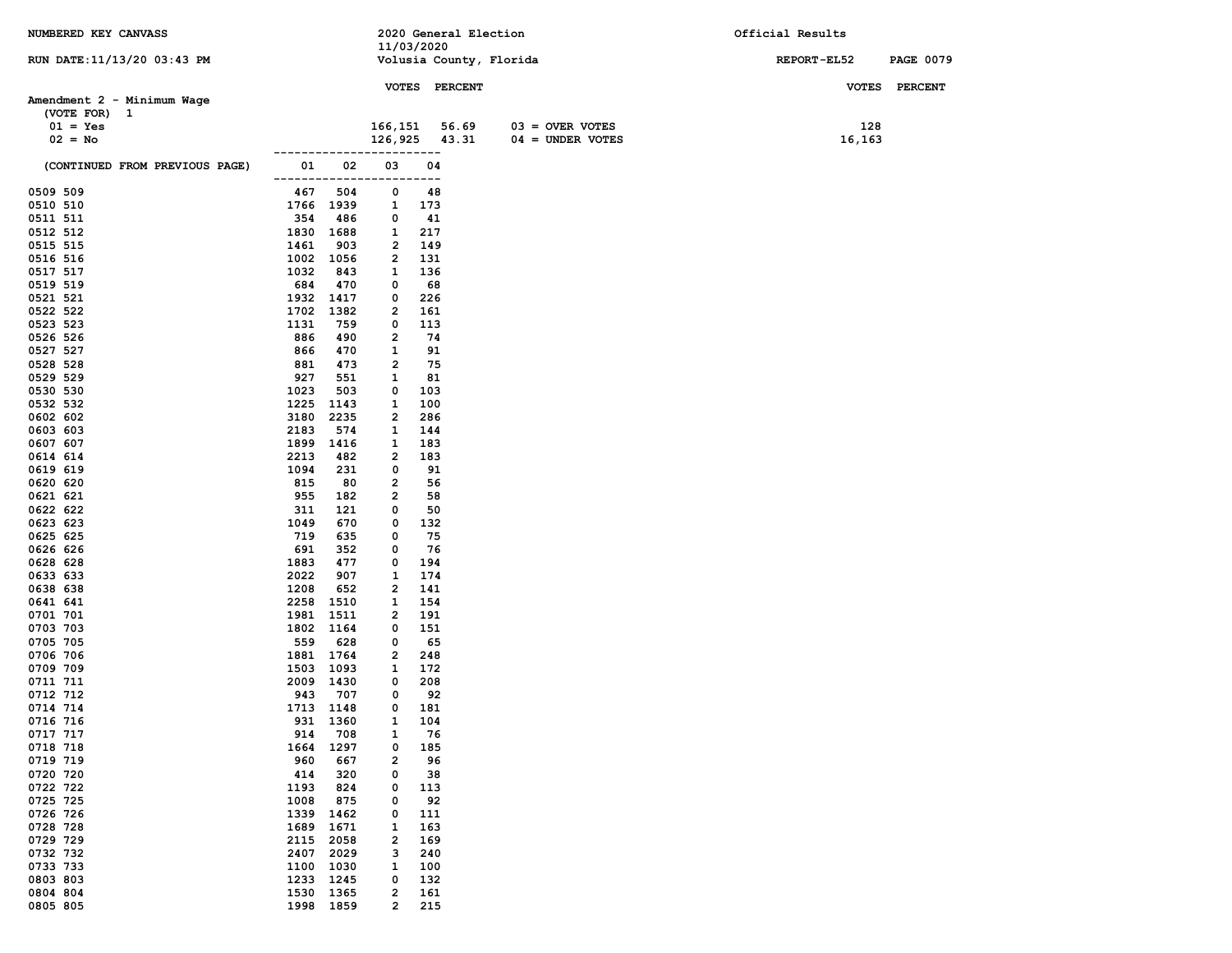| NUMBERED KEY CANVASS           |                              |                         | 2020 General Election   |                    | Official Results |                  |
|--------------------------------|------------------------------|-------------------------|-------------------------|--------------------|------------------|------------------|
| RUN DATE: 11/13/20 03:43 PM    |                              | 11/03/2020              | Volusia County, Florida |                    | REPORT-EL52      | <b>PAGE 0079</b> |
|                                |                              |                         |                         |                    |                  |                  |
|                                |                              |                         | VOTES PERCENT           |                    | <b>VOTES</b>     | <b>PERCENT</b>   |
| Amendment 2 - Minimum Wage     |                              |                         |                         |                    |                  |                  |
| (VOTE FOR) 1                   |                              |                         |                         |                    |                  |                  |
| $01 = Yes$                     |                              | 166,151                 | 56.69                   | $03 =$ OVER VOTES  | 128              |                  |
| $02 = No$                      | ----------                   | 126,925                 | 43.31<br>----           | $04 = UNDER VOTES$ | 16,163           |                  |
| (CONTINUED FROM PREVIOUS PAGE) | 02<br>01<br>-------------    | 03<br>-----             | 04<br>---               |                    |                  |                  |
| 0509 509                       | 467<br>504                   | 0                       | 48                      |                    |                  |                  |
| 0510 510                       | 1766 1939                    | 1                       | 173                     |                    |                  |                  |
| 0511 511                       | 354<br>486                   | 0                       | 41                      |                    |                  |                  |
| 0512 512                       | 1830<br>1688                 | 1                       | 217                     |                    |                  |                  |
| 0515 515<br>0516 516           | 1461<br>903<br>1002<br>1056  | 2<br>2                  | 149<br>131              |                    |                  |                  |
| 0517 517                       | 1032<br>843                  | 1                       | 136                     |                    |                  |                  |
| 0519 519                       | 684<br>470                   | 0                       | 68                      |                    |                  |                  |
| 0521 521                       | 1932 1417                    | 0                       | 226                     |                    |                  |                  |
| 0522 522                       | 1702<br>1382                 | 2                       | 161                     |                    |                  |                  |
| 0523 523                       | 1131<br>759                  | 0                       | 113                     |                    |                  |                  |
| 0526 526                       | 886<br>490                   | 2                       | 74                      |                    |                  |                  |
| 0527 527<br>0528 528           | 866<br>470<br>881            | 1<br>2                  | 91<br>75                |                    |                  |                  |
| 0529 529                       | 473<br>927<br>551            | 1                       | 81                      |                    |                  |                  |
| 0530 530                       | 1023<br>503                  | 0                       | 103                     |                    |                  |                  |
| 0532 532                       | 1225<br>1143                 | 1                       | 100                     |                    |                  |                  |
| 0602 602                       | 3180<br>2235                 | 2                       | 286                     |                    |                  |                  |
| 0603 603                       | 2183<br>574                  | 1                       | 144                     |                    |                  |                  |
| 0607 607                       | 1899<br>1416                 | 1                       | 183                     |                    |                  |                  |
| 0614 614                       | 2213<br>482                  | 2                       | 183                     |                    |                  |                  |
| 0619 619<br>0620 620           | 1094<br>231<br>815<br>80     | 0<br>2                  | 91<br>56                |                    |                  |                  |
| 0621 621                       | 955<br>182                   | 2                       | 58                      |                    |                  |                  |
| 0622 622                       | 311<br>121                   | 0                       | 50                      |                    |                  |                  |
| 0623 623                       | 1049<br>670                  | 0                       | 132                     |                    |                  |                  |
| 0625 625                       | 719<br>635                   | 0                       | 75                      |                    |                  |                  |
| 0626 626                       | 691<br>352                   | 0                       | 76                      |                    |                  |                  |
| 0628 628<br>0633 633           | 1883<br>477<br>2022<br>907   | 0<br>1                  | 194<br>174              |                    |                  |                  |
| 0638 638                       | 1208<br>652                  | 2                       | 141                     |                    |                  |                  |
| 0641 641                       | 2258<br>1510                 | 1                       | 154                     |                    |                  |                  |
| 0701 701                       | 1981<br>1511                 | 2                       | 191                     |                    |                  |                  |
| 0703 703                       | 1802<br>1164                 | 0                       | 151                     |                    |                  |                  |
| 0705 705                       | 559<br>628                   | 0                       | 65                      |                    |                  |                  |
| 0706 706                       | 1881 1764                    | 2                       | 248                     |                    |                  |                  |
| 0709 709<br>0711 711           | 1503 1093<br>2009 1430       | 1<br>0                  | 172<br>208              |                    |                  |                  |
| 0712 712                       | 943<br>707                   | 0                       | 92                      |                    |                  |                  |
| 0714 714                       | 1713 1148                    | 0                       | 181                     |                    |                  |                  |
| 0716 716                       | 931 1360                     | $\mathbf{1}$            | 104                     |                    |                  |                  |
| 0717 717                       | 708<br>914                   | 1                       | 76                      |                    |                  |                  |
| 0718 718                       | 1297<br>1664                 | 0                       | 185                     |                    |                  |                  |
| 0719 719                       | 960<br>667                   | 2                       | 96                      |                    |                  |                  |
| 0720 720<br>0722 722           | 414<br>320<br>1193<br>824    | 0<br>0                  | 38<br>113               |                    |                  |                  |
| 0725 725                       | 1008<br>875                  | 0                       | 92                      |                    |                  |                  |
| 0726 726                       | 1339<br>1462                 | 0                       | 111                     |                    |                  |                  |
| 0728 728                       | 1689<br>1671                 | 1                       | 163                     |                    |                  |                  |
| 0729 729                       | 2115<br>2058                 | $\overline{\mathbf{2}}$ | 169                     |                    |                  |                  |
| 0732 732                       | 2407<br>2029                 | з                       | 240                     |                    |                  |                  |
| 0733 733<br>0803 803           | 1100<br>1030                 | 1                       | 100                     |                    |                  |                  |
| 0804 804                       | 1233<br>1245<br>1530<br>1365 | 0<br>2                  | 132<br>161              |                    |                  |                  |
| 0805 805                       | 1998 1859                    | $\overline{\mathbf{2}}$ | 215                     |                    |                  |                  |
|                                |                              |                         |                         |                    |                  |                  |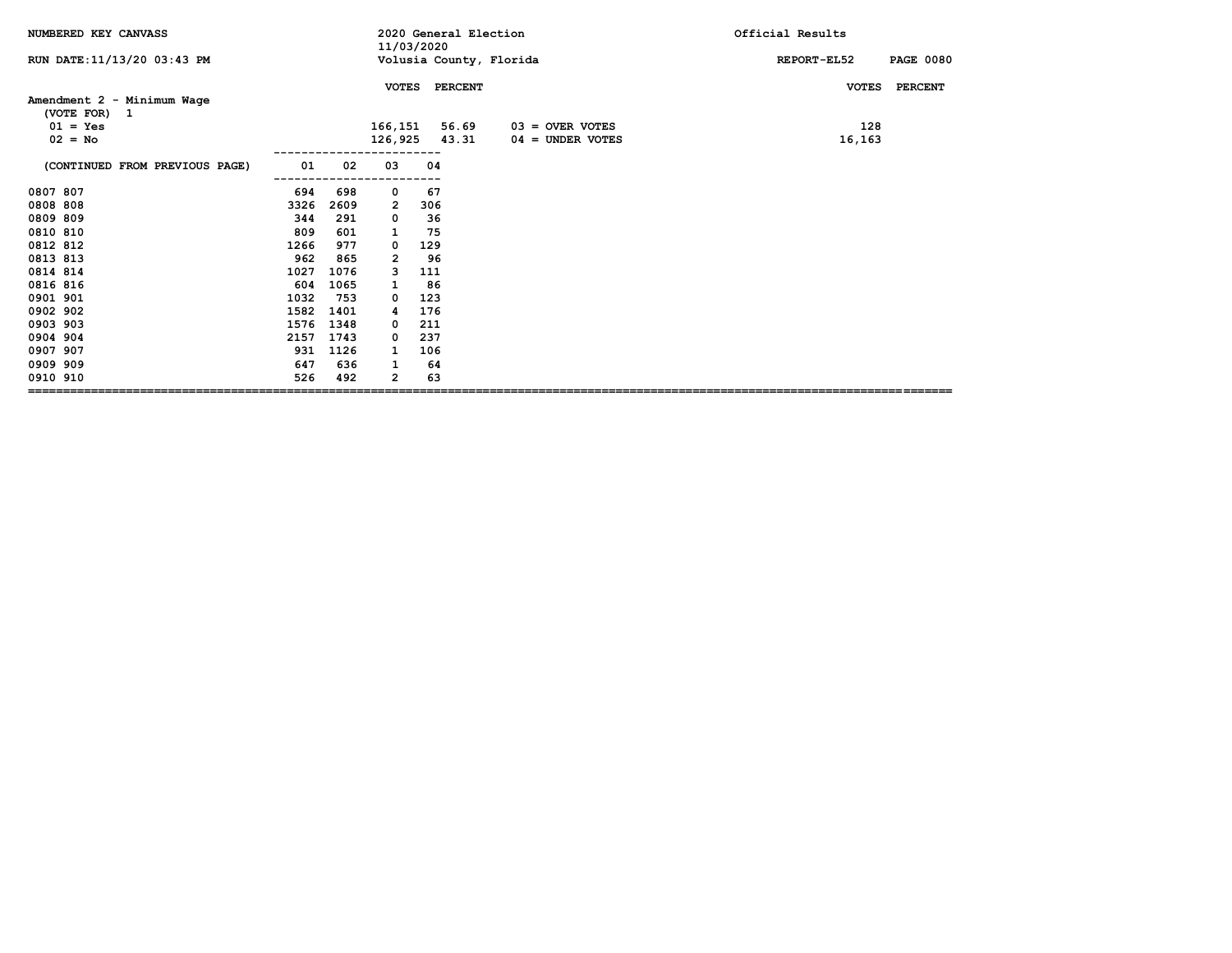| NUMBERED KEY CANVASS                       |      |      | 11/03/2020     |                | 2020 General Election   | Official Results |                  |
|--------------------------------------------|------|------|----------------|----------------|-------------------------|------------------|------------------|
| RUN DATE: 11/13/20 03:43 PM                |      |      |                |                | Volusia County, Florida | REPORT-EL52      | <b>PAGE 0080</b> |
|                                            |      |      | <b>VOTES</b>   | <b>PERCENT</b> |                         | <b>VOTES</b>     | <b>PERCENT</b>   |
| Amendment 2 - Minimum Wage<br>(VOTE FOR) 1 |      |      |                |                |                         |                  |                  |
| $01 = Yes$                                 |      |      | 166,151        | 56.69          | $03 =$ OVER VOTES       | 128              |                  |
| $02 = No$                                  |      |      | 126,925        | 43.31          | $04 =$ UNDER VOTES      | 16,163           |                  |
| (CONTINUED FROM PREVIOUS PAGE)             | 01   | 02   | 03             | 04             |                         |                  |                  |
| 0807 807                                   | 694  | 698  | 0              | 67             |                         |                  |                  |
| 0808 808                                   | 3326 | 2609 | 2              | 306            |                         |                  |                  |
| 0809 809                                   | 344  | 291  | 0              | 36             |                         |                  |                  |
| 0810 810                                   | 809  | 601  | 1              | 75             |                         |                  |                  |
| 0812 812                                   | 1266 | 977  | 0              | 129            |                         |                  |                  |
| 0813 813                                   | 962  | 865  | $\overline{2}$ | 96             |                         |                  |                  |
| 0814 814                                   | 1027 | 1076 | з              | 111            |                         |                  |                  |
| 0816 816                                   | 604  | 1065 | 1              | 86             |                         |                  |                  |
| 0901 901                                   | 1032 | 753  | 0              | 123            |                         |                  |                  |
| 0902 902                                   | 1582 | 1401 | 4              | 176            |                         |                  |                  |
| 0903 903                                   | 1576 | 1348 | 0              | 211            |                         |                  |                  |
| 0904 904                                   | 2157 | 1743 | 0              | 237            |                         |                  |                  |
| 0907 907                                   | 931  | 1126 | 1              | 106            |                         |                  |                  |
| 0909 909                                   | 647  | 636  | 1              | 64             |                         |                  |                  |
| 0910 910                                   | 526  | 492  | 2              | 63             |                         |                  |                  |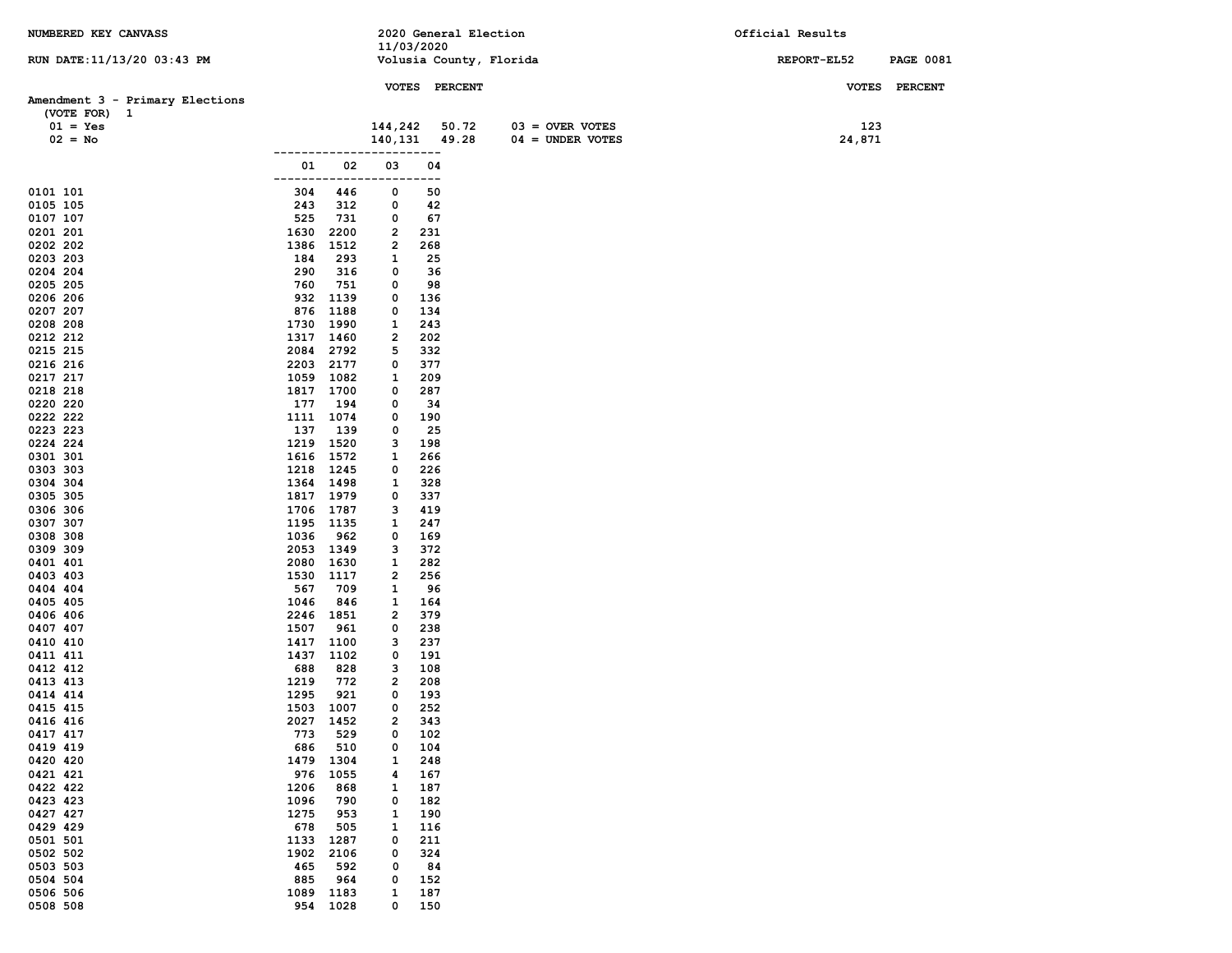| NUMBERED KEY CANVASS            |             |                        |                | 2020 General Election   |                    | Official Results |                  |
|---------------------------------|-------------|------------------------|----------------|-------------------------|--------------------|------------------|------------------|
|                                 |             |                        | 11/03/2020     |                         |                    | REPORT-EL52      | <b>PAGE 0081</b> |
| RUN DATE: 11/13/20 03:43 PM     |             |                        |                | Volusia County, Florida |                    |                  |                  |
|                                 |             |                        |                | VOTES PERCENT           |                    |                  | VOTES PERCENT    |
| Amendment 3 - Primary Elections |             |                        |                |                         |                    |                  |                  |
| (VOTE FOR) 1                    |             |                        | 144,242        |                         | $03 =$ OVER VOTES  | 123              |                  |
| $01 = Yes$<br>$02 = No$         |             |                        | 140,131        | 50.72<br>49.28          | $04 =$ UNDER VOTES | 24,871           |                  |
|                                 |             |                        |                | ----                    |                    |                  |                  |
|                                 | 01          | 02                     | 03             | 04                      |                    |                  |                  |
|                                 | -------     |                        |                | $---$                   |                    |                  |                  |
| 0101 101                        | 304         | 446                    | 0              | 50                      |                    |                  |                  |
| 0105 105<br>0107 107            | 243<br>525  | 312<br>731             | 0<br>0         | 42<br>67                |                    |                  |                  |
| 0201 201                        | 1630        | 2200                   | 2              | 231                     |                    |                  |                  |
| 0202 202                        | 1386        | 1512                   | 2              | 268                     |                    |                  |                  |
| 0203 203                        | 184         | 293                    | 1              | 25                      |                    |                  |                  |
| 0204 204                        | 290         | 316                    | 0              | 36                      |                    |                  |                  |
| 0205 205                        | 760         | 751                    | 0              | 98                      |                    |                  |                  |
| 0206 206<br>0207 207            | 876         | 932 1139<br>1188       | 0<br>0         | 136<br>134              |                    |                  |                  |
| 0208 208                        | 1730        | 1990                   | 1              | 243                     |                    |                  |                  |
| 0212 212                        |             | 1317 1460              | 2              | 202                     |                    |                  |                  |
| 0215 215                        |             | 2084 2792              | 5              | 332                     |                    |                  |                  |
| 0216 216                        |             | 2203 2177              | 0              | 377                     |                    |                  |                  |
| 0217 217                        |             | 1059 1082              | 1              | 209                     |                    |                  |                  |
| 0218 218<br>0220 220            | 177         | 1817 1700<br>194       | 0<br>0         | 287<br>34               |                    |                  |                  |
| 0222 222                        |             | 1111 1074              | 0              | 190                     |                    |                  |                  |
| 0223 223                        | 137         | 139                    | 0              | 25                      |                    |                  |                  |
| 0224 224                        |             | 1219 1520              | з              | 198                     |                    |                  |                  |
| 0301 301                        |             | 1616 1572              | 1              | 266                     |                    |                  |                  |
| 0303 303                        | 1218 1245   |                        | 0              | 226                     |                    |                  |                  |
| 0304 304<br>0305 305            |             | 1364 1498<br>1817 1979 | 1<br>0         | 328<br>337              |                    |                  |                  |
| 0306 306                        |             | 1706 1787              | з              | 419                     |                    |                  |                  |
| 0307 307                        |             | 1195 1135              | 1              | 247                     |                    |                  |                  |
| 0308 308                        | 1036        | 962                    | 0              | 169                     |                    |                  |                  |
| 0309 309                        |             | 2053 1349              | з              | 372                     |                    |                  |                  |
| 0401 401                        | 2080        | 1630                   | 1              | 282                     |                    |                  |                  |
| 0403 403<br>0404 404            | 1530<br>567 | 1117<br>709            | 2<br>1         | 256<br>96               |                    |                  |                  |
| 0405 405                        | 1046        | 846                    | 1              | 164                     |                    |                  |                  |
| 0406 406                        |             | 2246 1851              | 2              | 379                     |                    |                  |                  |
| 0407 407                        | 1507        | 961                    | 0              | 238                     |                    |                  |                  |
| 0410 410                        | 1417        | 1100                   | з              | 237                     |                    |                  |                  |
| 0411 411                        | 1437        | 1102                   | 0              | 191                     |                    |                  |                  |
| 0412 412<br>0413 413            | 688<br>1219 | 828<br>772             | з<br>2         | 108<br>208              |                    |                  |                  |
| 0414 414                        | 1295        | 921                    | 0              | 193                     |                    |                  |                  |
| 0415 415                        |             | 1503 1007              | 0              | 252                     |                    |                  |                  |
| 0416 416                        |             | 2027 1452              | $\overline{2}$ | 343                     |                    |                  |                  |
| 0417 417                        | 773         | 529                    | 0              | 102                     |                    |                  |                  |
| 0419 419                        | 686         | 510                    | 0              | 104                     |                    |                  |                  |
| 0420 420<br>0421 421            | 1479<br>976 | 1304<br>1055           | 1<br>4         | 248<br>167              |                    |                  |                  |
| 0422 422                        | 1206        | 868                    | 1              | 187                     |                    |                  |                  |
| 0423 423                        | 1096        | 790                    | 0              | 182                     |                    |                  |                  |
| 0427 427                        | 1275        | 953                    | 1              | 190                     |                    |                  |                  |
| 0429 429                        | 678         | 505                    | 1              | 116                     |                    |                  |                  |
| 0501 501                        | 1133        | 1287                   | 0              | 211                     |                    |                  |                  |
| 0502 502<br>0503 503            | 1902<br>465 | 2106<br>592            | 0<br>0         | 324<br>84               |                    |                  |                  |
| 0504 504                        | 885         | 964                    | 0              | 152                     |                    |                  |                  |
| 0506 506                        | 1089        | 1183                   | 1              | 187                     |                    |                  |                  |
| 0508 508                        | 954         | 1028                   | 0              | 150                     |                    |                  |                  |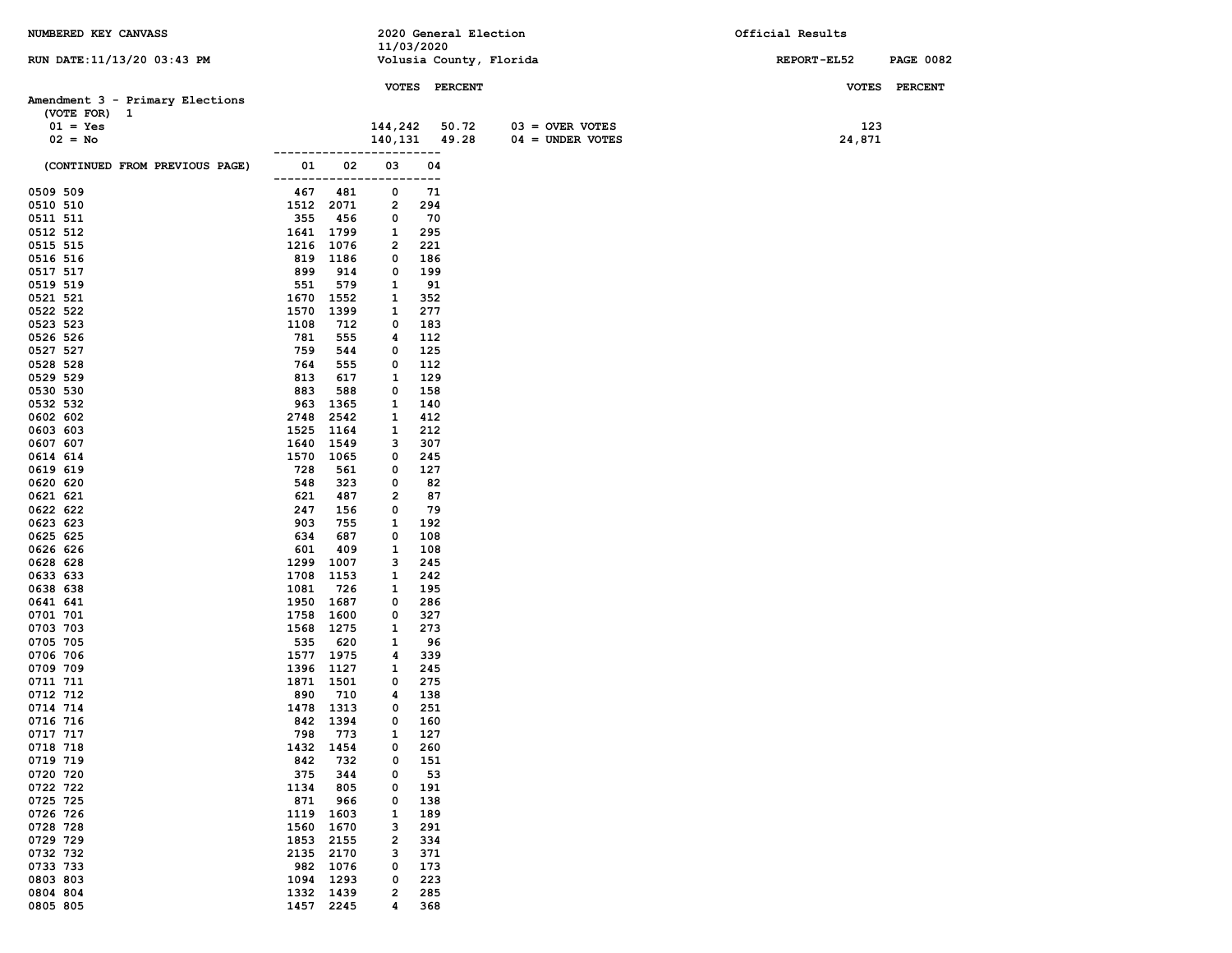| NUMBERED KEY CANVASS            |                    |             |                 |             | 2020 General Election |                         | Official Results |                  |
|---------------------------------|--------------------|-------------|-----------------|-------------|-----------------------|-------------------------|------------------|------------------|
|                                 |                    |             | 11/03/2020      |             |                       |                         |                  |                  |
| RUN DATE: 11/13/20 03:43 PM     |                    |             |                 |             |                       | Volusia County, Florida | REPORT-EL52      | <b>PAGE 0082</b> |
|                                 |                    |             |                 |             | VOTES PERCENT         |                         |                  | VOTES PERCENT    |
| Amendment 3 - Primary Elections |                    |             |                 |             |                       |                         |                  |                  |
| (VOTE FOR) 1                    |                    |             |                 |             |                       |                         |                  |                  |
| $01 = Yes$                      |                    |             | 144,242         |             | 50.72                 | $03 =$ OVER VOTES       | 123              |                  |
| $02 = No$                       |                    |             | 140, 131 49. 28 |             |                       | $04 = UNDER VOTES$      | 24,871           |                  |
|                                 |                    |             |                 | ----        |                       |                         |                  |                  |
| (CONTINUED FROM PREVIOUS PAGE)  | 01<br>------------ | 02          | 03              | 04<br>$---$ |                       |                         |                  |                  |
| 0509 509                        | 467                | 481         | 0               | 71          |                       |                         |                  |                  |
| 0510 510                        | 1512 2071          |             | 2               | 294         |                       |                         |                  |                  |
| 0511 511                        | 355                | 456         | 0               | 70          |                       |                         |                  |                  |
| 0512 512                        | 1641 1799          |             | 1               | 295         |                       |                         |                  |                  |
| 0515 515                        | 1216               | 1076        | 2               | 221         |                       |                         |                  |                  |
| 0516 516                        | 819                | 1186        | 0               | 186         |                       |                         |                  |                  |
| 0517 517                        | 899                | 914         | 0               | 199         |                       |                         |                  |                  |
| 0519 519<br>0521 521            | 551<br>1670 1552   | 579         | 1<br>1          | 91<br>352   |                       |                         |                  |                  |
| 0522 522                        | 1570               | 1399        | 1               | 277         |                       |                         |                  |                  |
| 0523 523                        | 1108               | 712         | 0               | 183         |                       |                         |                  |                  |
| 0526 526                        | 781                | 555         | 4               | 112         |                       |                         |                  |                  |
| 0527 527                        | 759                | 544         | 0               | 125         |                       |                         |                  |                  |
| 0528 528                        | 764                | 555         | 0               | 112         |                       |                         |                  |                  |
| 0529 529                        | 813                | 617         | 1               | 129         |                       |                         |                  |                  |
| 0530 530                        | 883                | 588         | 0               | 158         |                       |                         |                  |                  |
| 0532 532                        | 963                | 1365        | 1               | 140         |                       |                         |                  |                  |
| 0602 602                        | 2748               | 2542        | 1               | 412         |                       |                         |                  |                  |
| 0603 603                        | 1525               | 1164        | 1               | 212         |                       |                         |                  |                  |
| 0607 607                        | 1640 1549          |             | з               | 307         |                       |                         |                  |                  |
| 0614 614                        | 1570 1065          |             | 0               | 245         |                       |                         |                  |                  |
| 0619 619<br>0620 620            | 728<br>548         | 561<br>323  | 0<br>0          | 127<br>82   |                       |                         |                  |                  |
| 0621 621                        | 621                | 487         | 2               | 87          |                       |                         |                  |                  |
| 0622 622                        | 247                | 156         | 0               | 79          |                       |                         |                  |                  |
| 0623 623                        | 903                | 755         | 1               | 192         |                       |                         |                  |                  |
| 0625 625                        | 634                | 687         | 0               | 108         |                       |                         |                  |                  |
| 0626 626                        | 601                | 409         | 1               | 108         |                       |                         |                  |                  |
| 0628 628                        | 1299               | 1007        | з               | 245         |                       |                         |                  |                  |
| 0633 633                        | 1708               | 1153        | 1               | 242         |                       |                         |                  |                  |
| 0638 638                        | 1081               | 726         | 1               | 195         |                       |                         |                  |                  |
| 0641 641                        | 1950 1687          |             | 0               | 286         |                       |                         |                  |                  |
| 0701 701                        | 1758               | 1600        | 0               | 327         |                       |                         |                  |                  |
| 0703 703                        | 1568 1275          |             | 1               | 273         |                       |                         |                  |                  |
| 0705 705<br>0706 706            | 535<br>1577 1975   | 620         | 1<br>4          | 96<br>339   |                       |                         |                  |                  |
| 0709 709                        | 1396 1127          |             | 1               | 245         |                       |                         |                  |                  |
| 0711 711                        | 1871 1501          |             | 0               | 275         |                       |                         |                  |                  |
| 0712 712                        | 890                | 710         | 4               | 138         |                       |                         |                  |                  |
| 0714 714                        | 1478 1313          |             | 0               | 251         |                       |                         |                  |                  |
| 0716 716                        | 842 1394           |             | 0               | 160         |                       |                         |                  |                  |
| 0717 717                        | 798                | 773         | 1               | 127         |                       |                         |                  |                  |
| 0718 718                        | 1432               | 1454        | 0               | 260         |                       |                         |                  |                  |
| 0719 719                        | 842                | 732         | 0               | 151         |                       |                         |                  |                  |
| 0720 720                        | 375                | 344         | 0               | 53          |                       |                         |                  |                  |
| 0722 722                        | 1134               | 805         | 0               | 191         |                       |                         |                  |                  |
| 0725 725<br>0726 726            | 871<br>1119        | 966<br>1603 | 0<br>1          | 138<br>189  |                       |                         |                  |                  |
| 0728 728                        | 1560               | 1670        | з               | 291         |                       |                         |                  |                  |
| 0729 729                        | 1853               | 2155        | 2               | 334         |                       |                         |                  |                  |
| 0732 732                        | 2135               | 2170        | з               | 371         |                       |                         |                  |                  |
| 0733 733                        | 982                | 1076        | 0               | 173         |                       |                         |                  |                  |
| 0803 803                        | 1094               | 1293        | 0               | 223         |                       |                         |                  |                  |
| 0804 804                        | 1332 1439          |             | 2               | 285         |                       |                         |                  |                  |
| 0805 805                        | 1457 2245          |             | 4               | 368         |                       |                         |                  |                  |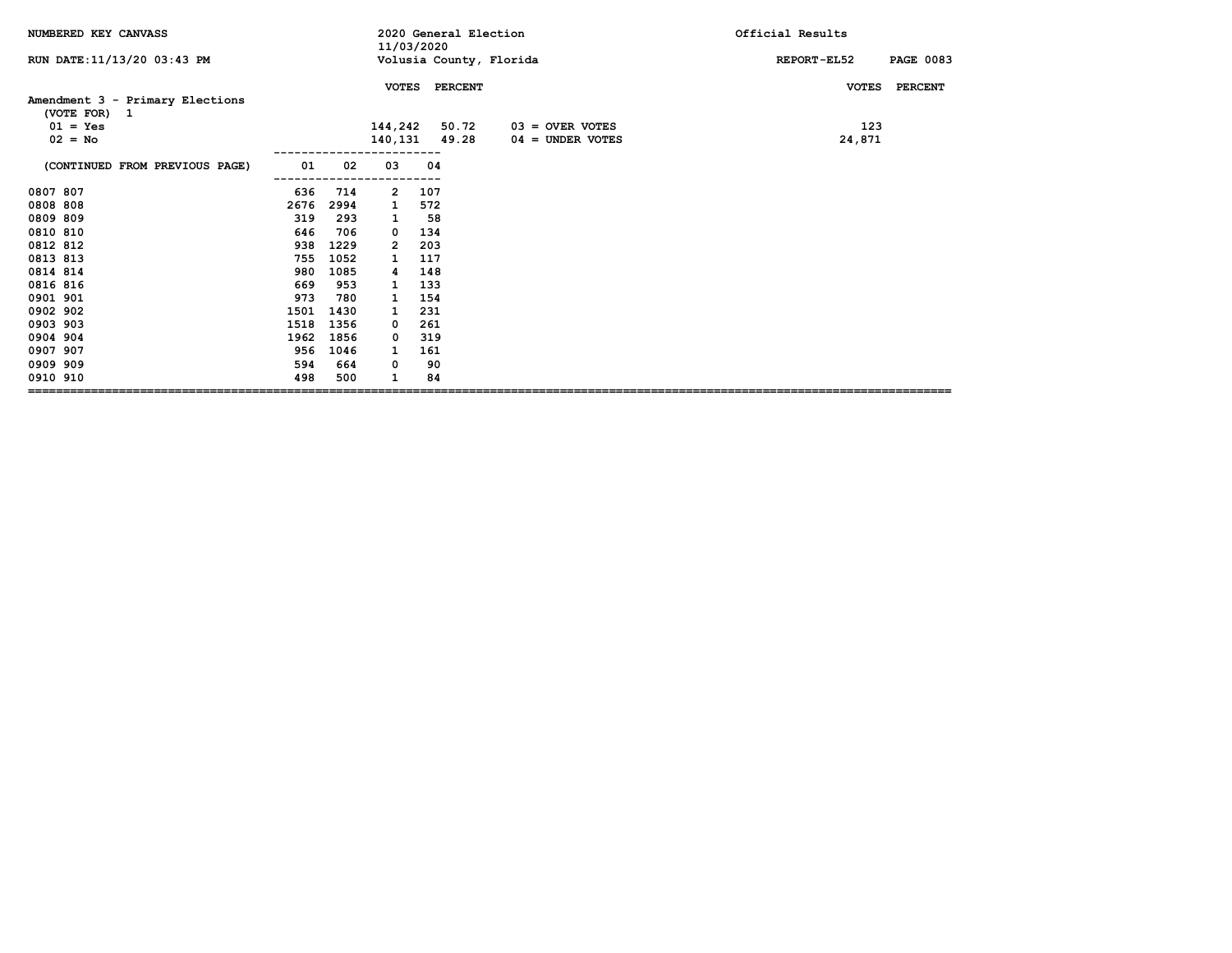| NUMBERED KEY CANVASS                            |      |      | 11/03/2020      |     | 2020 General Election |                         | Official Results                |  |  |
|-------------------------------------------------|------|------|-----------------|-----|-----------------------|-------------------------|---------------------------------|--|--|
| RUN DATE: 11/13/20 03:43 PM                     |      |      |                 |     |                       | Volusia County, Florida | REPORT-EL52<br><b>PAGE 0083</b> |  |  |
|                                                 |      |      | <b>VOTES</b>    |     | <b>PERCENT</b>        |                         | <b>PERCENT</b><br><b>VOTES</b>  |  |  |
| Amendment 3 - Primary Elections<br>(VOTE FOR) 1 |      |      |                 |     |                       |                         |                                 |  |  |
| $01 = Yes$                                      |      |      | 144,242         |     | 50.72                 | $03 =$ OVER VOTES       | 123                             |  |  |
| $02 = No$                                       |      |      | 140, 131 49. 28 |     |                       | $04 =$ UNDER VOTES      | 24,871                          |  |  |
| (CONTINUED FROM PREVIOUS PAGE)                  | 01   | 02   | 03              | 04  |                       |                         |                                 |  |  |
| 0807 807                                        | 636  | 714  | 2               | 107 |                       |                         |                                 |  |  |
| 0808 808                                        | 2676 | 2994 | 1               | 572 |                       |                         |                                 |  |  |
| 0809 809                                        | 319  | 293  | 1               | 58  |                       |                         |                                 |  |  |
| 0810 810                                        | 646  | 706  | 0               | 134 |                       |                         |                                 |  |  |
| 0812 812                                        | 938  | 1229 | 2               | 203 |                       |                         |                                 |  |  |
| 0813 813                                        | 755  | 1052 | 1               | 117 |                       |                         |                                 |  |  |
| 0814 814                                        | 980  | 1085 | 4               | 148 |                       |                         |                                 |  |  |
| 0816 816                                        | 669  | 953  | 1               | 133 |                       |                         |                                 |  |  |
| 0901 901                                        | 973  | 780  | 1               | 154 |                       |                         |                                 |  |  |
| 0902 902                                        | 1501 | 1430 | 1               | 231 |                       |                         |                                 |  |  |
| 0903 903                                        | 1518 | 1356 | 0               | 261 |                       |                         |                                 |  |  |
| 0904 904                                        | 1962 | 1856 | 0               | 319 |                       |                         |                                 |  |  |
| 0907 907                                        | 956  | 1046 | 1               | 161 |                       |                         |                                 |  |  |
| 0909 909                                        | 594  | 664  | 0               | 90  |                       |                         |                                 |  |  |
| 0910 910                                        | 498  | 500  |                 | 84  |                       |                         |                                 |  |  |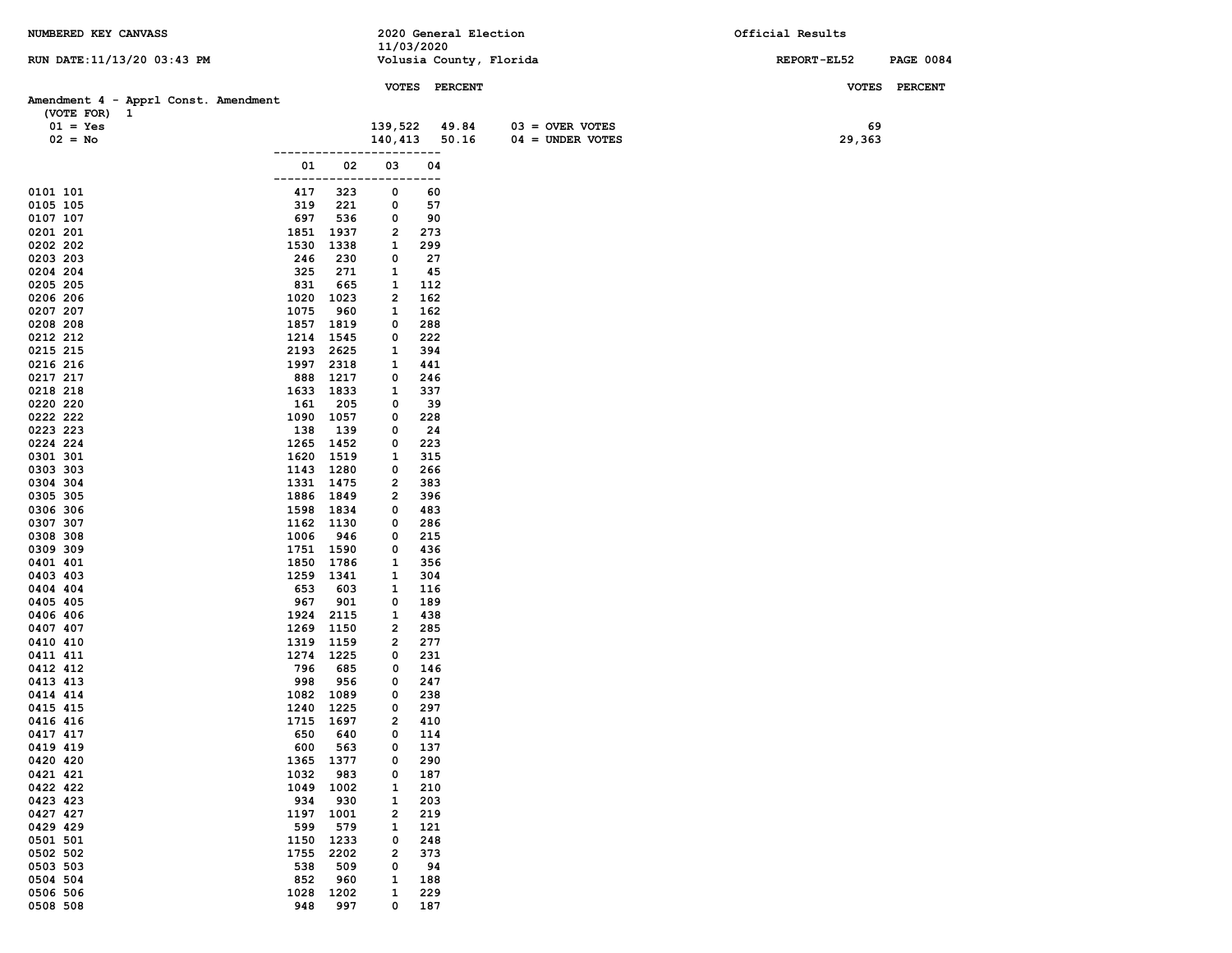| NUMBERED KEY CANVASS                 |              |                        |            | 2020 General Election |                         | Official Results |                  |
|--------------------------------------|--------------|------------------------|------------|-----------------------|-------------------------|------------------|------------------|
| RUN DATE: 11/13/20 03:43 PM          |              |                        | 11/03/2020 |                       | Volusia County, Florida | REPORT-EL52      | <b>PAGE 0084</b> |
|                                      |              |                        |            |                       |                         |                  |                  |
|                                      |              |                        |            | VOTES PERCENT         |                         |                  | VOTES PERCENT    |
| Amendment 4 - Apprl Const. Amendment |              |                        |            |                       |                         |                  |                  |
| (VOTE FOR) 1<br>$01 = Yes$           |              |                        | 139,522    | 49.84                 | $03 =$ OVER VOTES       | 69               |                  |
| $02 = No$                            |              |                        |            | 140,413 50.16         | $04 = UNDER VOTES$      | 29,363           |                  |
|                                      |              |                        |            | .                     |                         |                  |                  |
|                                      | 01           | 02                     | 03         | 04                    |                         |                  |                  |
| 0101 101                             | ------------ |                        | 0          | ---<br>60             |                         |                  |                  |
| 0105 105                             | 417<br>319   | 323<br>221             | 0          | 57                    |                         |                  |                  |
| 0107 107                             | 697          | 536                    | 0          | 90                    |                         |                  |                  |
| 0201 201                             |              | 1851 1937              | 2          | 273                   |                         |                  |                  |
| 0202 202                             | 1530         | 1338                   | 1          | 299                   |                         |                  |                  |
| 0203 203                             | 246          | 230                    | 0          | 27                    |                         |                  |                  |
| 0204 204<br>0205 205                 | 325<br>831   | 271<br>665             | 1<br>1     | 45<br>112             |                         |                  |                  |
| 0206 206                             | 1020         | 1023                   | 2          | 162                   |                         |                  |                  |
| 0207 207                             | 1075         | 960                    | 1          | 162                   |                         |                  |                  |
| 0208 208                             | 1857         | 1819                   | 0          | 288                   |                         |                  |                  |
| 0212 212                             | 1214         | 1545                   | 0          | 222                   |                         |                  |                  |
| 0215 215<br>0216 216                 | 2193<br>1997 | 2625<br>2318           | 1<br>1     | 394<br>441            |                         |                  |                  |
| 0217 217                             | 888          | 1217                   | 0          | 246                   |                         |                  |                  |
| 0218 218                             |              | 1633 1833              | 1          | 337                   |                         |                  |                  |
| 0220 220                             | 161          | 205                    | 0          | 39                    |                         |                  |                  |
| 0222 222                             |              | 1090 1057              | 0          | 228                   |                         |                  |                  |
| 0223 223                             | 138          | 139                    | 0          | 24                    |                         |                  |                  |
| 0224 224<br>0301 301                 |              | 1265 1452<br>1620 1519 | 0<br>1     | 223<br>315            |                         |                  |                  |
| 0303 303                             |              | 1143 1280              | 0          | 266                   |                         |                  |                  |
| 0304 304                             |              | 1331 1475              | 2          | 383                   |                         |                  |                  |
| 0305 305                             |              | 1886 1849              | 2          | 396                   |                         |                  |                  |
| 0306 306                             | 1598         | 1834                   | 0          | 483                   |                         |                  |                  |
| 0307 307<br>0308 308                 | 1006         | 1162 1130<br>946       | 0<br>0     | 286<br>215            |                         |                  |                  |
| 0309 309                             |              | 1751 1590              | 0          | 436                   |                         |                  |                  |
| 0401 401                             |              | 1850 1786              | 1          | 356                   |                         |                  |                  |
| 0403 403                             | 1259         | 1341                   | 1          | 304                   |                         |                  |                  |
| 0404 404                             | 653          | 603                    | 1          | 116                   |                         |                  |                  |
| 0405 405<br>0406 406                 | 967          | 901<br>1924 2115       | 0<br>1     | 189<br>438            |                         |                  |                  |
| 0407 407                             | 1269         | 1150                   | 2          | 285                   |                         |                  |                  |
| 0410 410                             | 1319         | 1159                   | 2          | 277                   |                         |                  |                  |
| 0411 411                             | 1274         | 1225                   | 0          | 231                   |                         |                  |                  |
| 0412 412<br>0413 413                 | 796<br>998   | 685<br>956             | 0<br>0     | 146<br>247            |                         |                  |                  |
| 0414 414                             |              | 1082 1089              | 0          | 238                   |                         |                  |                  |
| 0415 415                             |              | 1240 1225              | 0          | 297                   |                         |                  |                  |
| 0416 416                             |              | 1715 1697              | 2          | 410                   |                         |                  |                  |
| 0417 417                             | 650          | 640                    | 0          | 114                   |                         |                  |                  |
| 0419 419                             | 600          | 563                    | 0          | 137                   |                         |                  |                  |
| 0420 420<br>0421 421                 | 1365<br>1032 | 1377<br>983            | 0<br>0     | 290<br>187            |                         |                  |                  |
| 0422 422                             | 1049         | 1002                   | 1          | 210                   |                         |                  |                  |
| 0423 423                             | 934          | 930                    | 1          | 203                   |                         |                  |                  |
| 0427 427                             | 1197         | 1001                   | 2          | 219                   |                         |                  |                  |
| 0429 429                             | 599          | 579                    | 1          | 121                   |                         |                  |                  |
| 0501 501<br>0502 502                 | 1150<br>1755 | 1233<br>2202           | 0<br>2     | 248<br>373            |                         |                  |                  |
| 0503 503                             | 538          | 509                    | 0          | 94                    |                         |                  |                  |
| 0504 504                             | 852          | 960                    | 1          | 188                   |                         |                  |                  |
| 0506 506                             | 1028         | 1202                   | 1          | 229                   |                         |                  |                  |
| 0508 508                             | 948          | 997                    | 0          | 187                   |                         |                  |                  |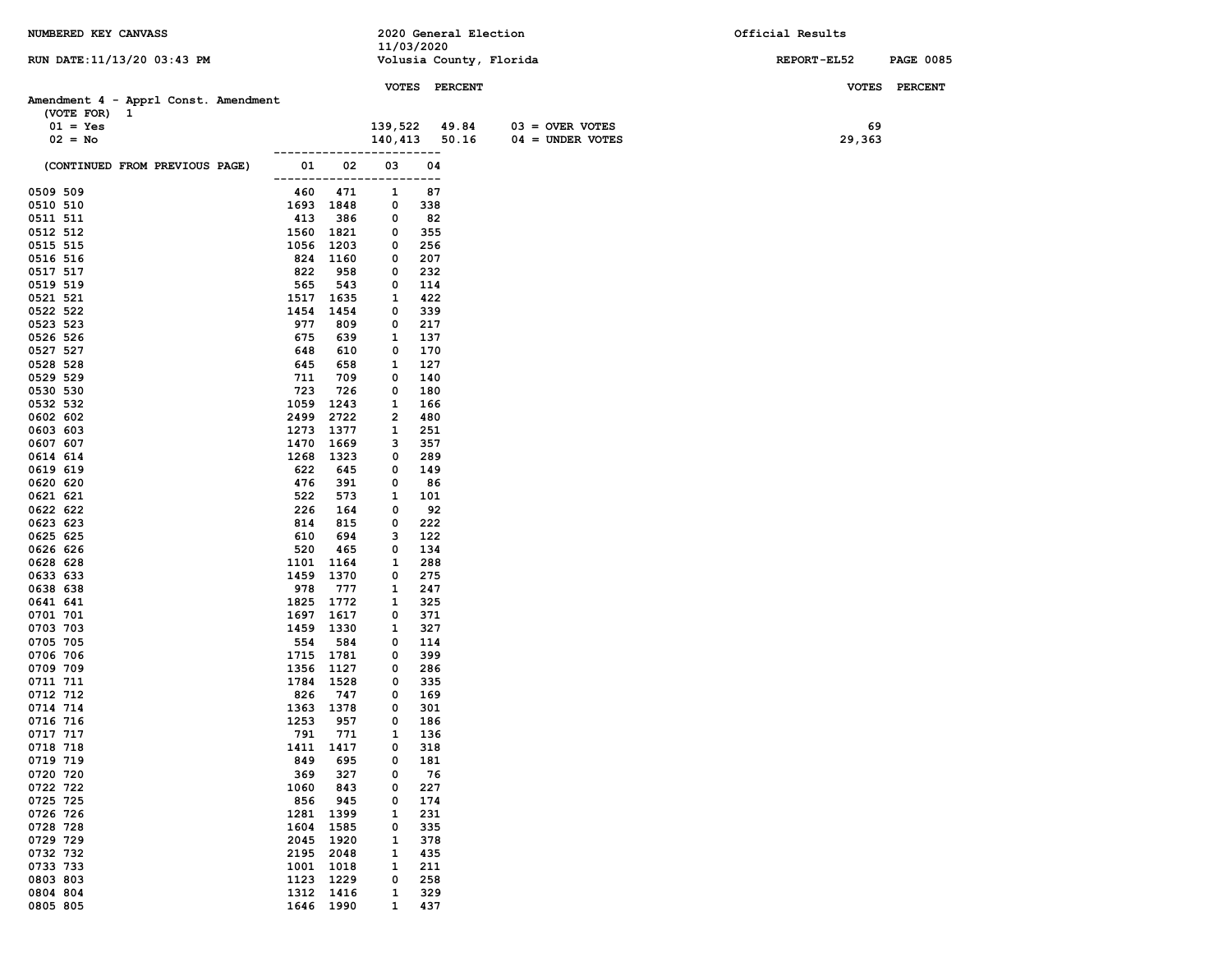| NUMBERED KEY CANVASS                 |                            |                   | 2020 General Election   |                    | Official Results                |
|--------------------------------------|----------------------------|-------------------|-------------------------|--------------------|---------------------------------|
|                                      |                            | 11/03/2020        |                         |                    |                                 |
| RUN DATE: 11/13/20 03:43 PM          |                            |                   | Volusia County, Florida |                    | REPORT-EL52<br><b>PAGE 0085</b> |
|                                      |                            |                   | VOTES PERCENT           |                    | VOTES PERCENT                   |
| Amendment 4 - Apprl Const. Amendment |                            |                   |                         |                    |                                 |
| (VOTE FOR) 1                         |                            |                   |                         |                    |                                 |
| $01 = Yes$                           |                            | 139,522           | 49.84                   | $03 =$ OVER VOTES  | 69                              |
| $02 = No$                            |                            | 140,413           | 50.16                   | $04 = UNDER VOTES$ | 29,363                          |
|                                      |                            |                   | ----                    |                    |                                 |
| (CONTINUED FROM PREVIOUS PAGE)       | 02<br>01<br>------------   | 03<br>-----       | 04<br>----              |                    |                                 |
| 0509 509                             | 471<br>460                 | 1                 | 87                      |                    |                                 |
| 0510 510                             | 1693 1848                  | 0                 | 338                     |                    |                                 |
| 0511 511                             | 413<br>386                 | 0                 | 82                      |                    |                                 |
| 0512 512                             | 1560<br>1821               | 0                 | 355                     |                    |                                 |
| 0515 515                             | 1056<br>1203               | 0                 | 256                     |                    |                                 |
| 0516 516                             | 824 1160                   | 0                 | 207                     |                    |                                 |
| 0517 517                             | 822<br>958                 | 0                 | 232                     |                    |                                 |
| 0519 519<br>0521 521                 | 565<br>543<br>1517<br>1635 | 0<br>1            | 114<br>422              |                    |                                 |
| 0522 522                             | 1454<br>1454               | 0                 | 339                     |                    |                                 |
| 0523 523                             | 977<br>809                 | 0                 | 217                     |                    |                                 |
| 0526 526                             | 675<br>639                 | 1                 | 137                     |                    |                                 |
| 0527 527                             | 648<br>610                 | 0                 | 170                     |                    |                                 |
| 0528 528                             | 645<br>658                 | 1                 | 127                     |                    |                                 |
| 0529 529                             | 711<br>709                 | 0                 | 140                     |                    |                                 |
| 0530 530                             | 723<br>726                 | 0                 | 180                     |                    |                                 |
| 0532 532<br>0602 602                 | 1059<br>1243<br>2499 2722  | 1<br>2            | 166<br>480              |                    |                                 |
| 0603 603                             | 1273<br>1377               | 1                 | 251                     |                    |                                 |
| 0607 607                             | 1470<br>1669               | з                 | 357                     |                    |                                 |
| 0614 614                             | 1268 1323                  | 0                 | 289                     |                    |                                 |
| 0619 619                             | 622<br>645                 | 0                 | 149                     |                    |                                 |
| 0620 620                             | 476<br>391                 | 0                 | 86                      |                    |                                 |
| 0621 621                             | 522<br>573                 | 1                 | 101                     |                    |                                 |
| 0622 622<br>0623 623                 | 226<br>164<br>814<br>815   | 0<br>0            | 92<br>222               |                    |                                 |
| 0625 625                             | 610<br>694                 | 3                 | 122                     |                    |                                 |
| 0626 626                             | 520<br>465                 | 0                 | 134                     |                    |                                 |
| 0628 628                             | 1101<br>1164               | 1                 | 288                     |                    |                                 |
| 0633 633                             | 1459<br>1370               | 0                 | 275                     |                    |                                 |
| 0638 638                             | 978<br>777                 | 1                 | 247                     |                    |                                 |
| 0641 641<br>0701 701                 | 1825<br>1772<br>1697 1617  | 1<br>0            | 325<br>371              |                    |                                 |
| 0703 703                             | 1459 1330                  | 1                 | 327                     |                    |                                 |
| 0705 705                             | 554<br>584                 | 0                 | 114                     |                    |                                 |
| 0706 706                             | 1715 1781                  | 0                 | 399                     |                    |                                 |
| 0709 709                             | 1356 1127                  | 0                 | 286                     |                    |                                 |
| 0711 711                             | 1784 1528                  | 0                 | 335                     |                    |                                 |
| 0712 712<br>0714 714                 | 826<br>747<br>1363 1378    | 0<br>0            | 169<br>301              |                    |                                 |
| 0716 716                             | 1253<br>957                | 0                 | 186                     |                    |                                 |
| 0717 717                             | 771<br>791                 | 1                 | 136                     |                    |                                 |
| 0718 718                             | 1417<br>1411               | 0                 | 318                     |                    |                                 |
| 0719 719                             | 849<br>695                 | 0                 | 181                     |                    |                                 |
| 0720 720                             | 327<br>369                 | 0                 | 76                      |                    |                                 |
| 0722 722                             | 1060<br>843                | 0<br>0            | 227                     |                    |                                 |
| 0725 725<br>0726 726                 | 856<br>945<br>1281<br>1399 | 1                 | 174<br>231              |                    |                                 |
| 0728 728                             | 1604<br>1585               | 0                 | 335                     |                    |                                 |
| 0729 729                             | 2045<br>1920               | 1                 | 378                     |                    |                                 |
| 0732 732                             | 2195<br>2048               | 1                 | 435                     |                    |                                 |
| 0733 733                             | 1001 1018                  | 1                 | 211                     |                    |                                 |
| 0803 803                             | 1229<br>1123               | 0                 | 258                     |                    |                                 |
| 0804 804<br>0805 805                 | 1312 1416<br>1646 1990     | 1<br>$\mathbf{1}$ | 329<br>437              |                    |                                 |
|                                      |                            |                   |                         |                    |                                 |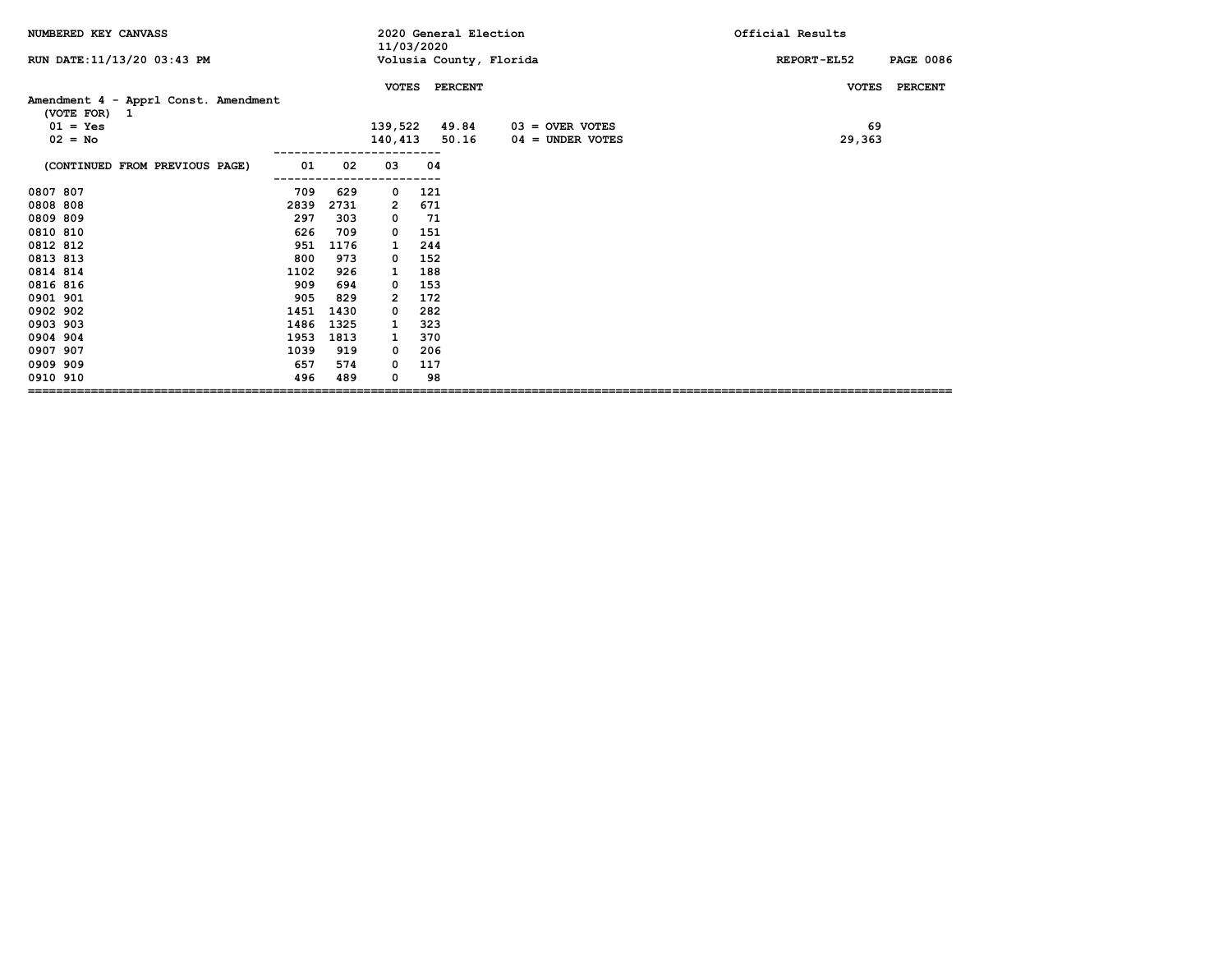| NUMBERED KEY CANVASS                                 |      |      | 11/03/2020   |     | 2020 General Election   |                    | Official Results                       |
|------------------------------------------------------|------|------|--------------|-----|-------------------------|--------------------|----------------------------------------|
| RUN DATE: 11/13/20 03:43 PM                          |      |      |              |     | Volusia County, Florida |                    | <b>PAGE 0086</b><br><b>REPORT-EL52</b> |
|                                                      |      |      | <b>VOTES</b> |     | <b>PERCENT</b>          |                    | <b>VOTES</b><br><b>PERCENT</b>         |
| Amendment 4 - Apprl Const. Amendment<br>(VOTE FOR) 1 |      |      |              |     |                         |                    |                                        |
| $01 = Yes$                                           |      |      | 139,522      |     | 49.84                   | $03 =$ OVER VOTES  | 69                                     |
| $02 = No$                                            |      |      | 140,413      |     | 50.16                   | $04 =$ UNDER VOTES | 29,363                                 |
| (CONTINUED FROM PREVIOUS PAGE)                       | 01   | 02   | 03           | 04  |                         |                    |                                        |
| 0807 807                                             | 709  | 629  | 0            | 121 |                         |                    |                                        |
| 0808 808                                             | 2839 | 2731 | 2            | 671 |                         |                    |                                        |
| 0809 809                                             | 297  | 303  | 0            | 71  |                         |                    |                                        |
| 0810 810                                             | 626  | 709  | 0            | 151 |                         |                    |                                        |
| 0812 812                                             | 951  | 1176 | 1            | 244 |                         |                    |                                        |
| 0813 813                                             | 800  | 973  | 0            | 152 |                         |                    |                                        |
| 0814 814                                             | 1102 | 926  | 1            | 188 |                         |                    |                                        |
| 0816 816                                             | 909  | 694  | 0            | 153 |                         |                    |                                        |
| 0901 901                                             | 905  | 829  | 2            | 172 |                         |                    |                                        |
| 0902 902                                             | 1451 | 1430 | 0            | 282 |                         |                    |                                        |
| 0903 903                                             | 1486 | 1325 | 1            | 323 |                         |                    |                                        |
| 0904 904                                             | 1953 | 1813 | 1            | 370 |                         |                    |                                        |
| 0907 907                                             | 1039 | 919  | 0            | 206 |                         |                    |                                        |
| 0909 909                                             | 657  | 574  | 0            | 117 |                         |                    |                                        |
| 0910 910                                             | 496  | 489  | 0            | 98  |                         |                    |                                        |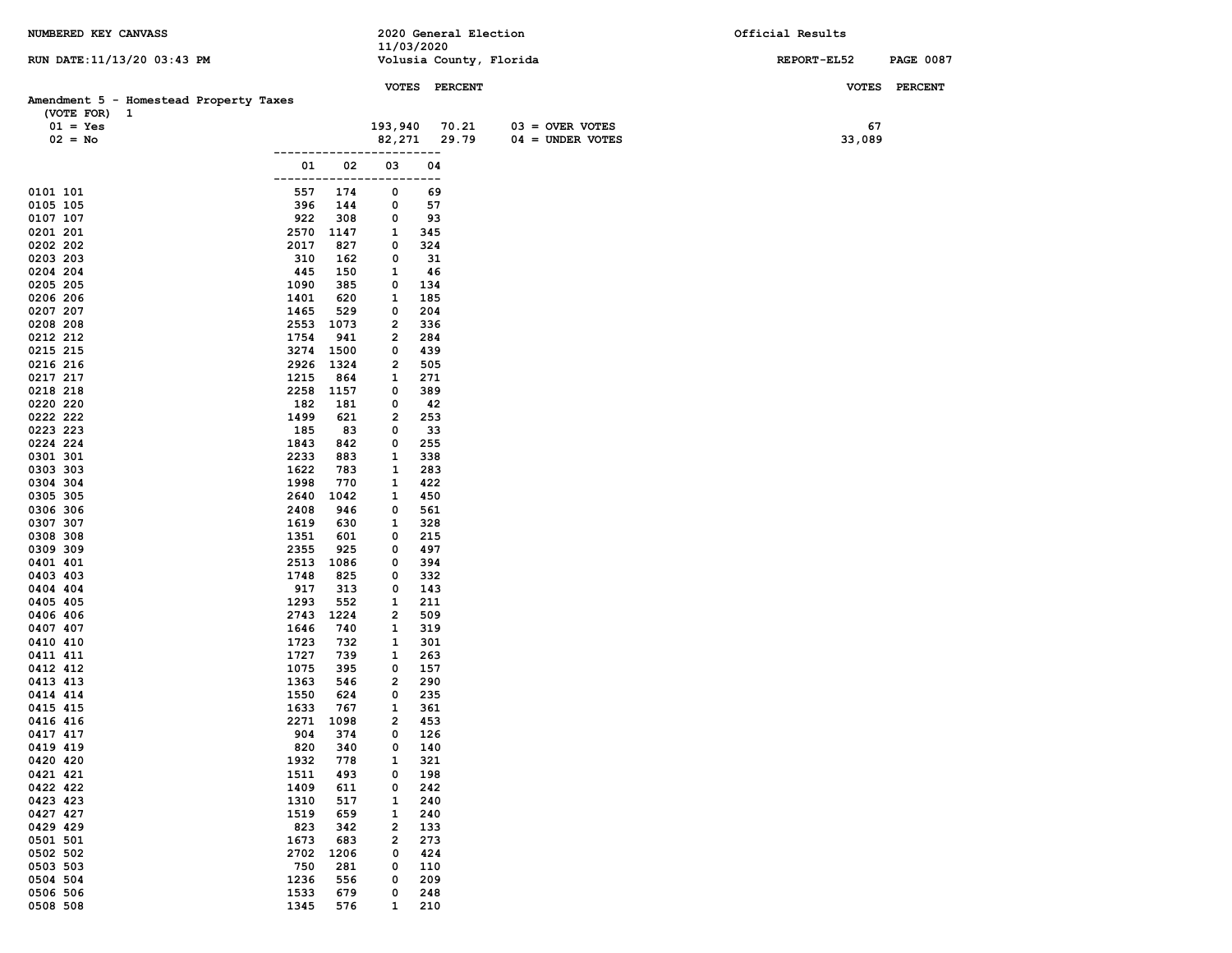| NUMBERED KEY CANVASS                                   | 2020 General Election                 | Official Results                |  |  |
|--------------------------------------------------------|---------------------------------------|---------------------------------|--|--|
| RUN DATE: 11/13/20 03:43 PM                            | 11/03/2020<br>Volusia County, Florida | REPORT-EL52<br><b>PAGE 0087</b> |  |  |
|                                                        |                                       |                                 |  |  |
|                                                        | VOTES PERCENT                         | VOTES PERCENT                   |  |  |
| Amendment 5 - Homestead Property Taxes<br>(VOTE FOR) 1 |                                       |                                 |  |  |
| $01 = Yes$                                             | 193,940<br>70.21<br>$03 =$ OVER VOTES | 67                              |  |  |
| $02 = No$                                              | 29.79<br>$04 =$ UNDER VOTES<br>82,271 | 33,089                          |  |  |
|                                                        | ---                                   |                                 |  |  |
| 01<br>02                                               | 03<br>04                              |                                 |  |  |
| -----<br>0101 101<br>557<br>174                        | $--$<br>0<br>69                       |                                 |  |  |
| 0105 105<br>396<br>144                                 | 57<br>0                               |                                 |  |  |
| 922<br>0107 107<br>308                                 | 93<br>0                               |                                 |  |  |
| 2570<br>0201 201<br>1147                               | 1<br>345                              |                                 |  |  |
| 0202 202<br>2017<br>827<br>310                         | 324<br>0<br>0                         |                                 |  |  |
| 0203 203<br>162<br>0204 204<br>445<br>150              | 31<br>46<br>1                         |                                 |  |  |
| 1090<br>0205 205<br>385                                | 0<br>134                              |                                 |  |  |
| 1401<br>0206 206<br>620                                | 1<br>185                              |                                 |  |  |
| 0207 207<br>1465<br>529                                | 204<br>0                              |                                 |  |  |
| 0208 208<br>2553<br>1073<br>1754<br>0212 212<br>941    | 2<br>336<br>284<br>2                  |                                 |  |  |
| 0215 215<br>3274 1500                                  | 439<br>0                              |                                 |  |  |
| 2926<br>1324<br>0216 216                               | 2<br>505                              |                                 |  |  |
| 0217 217<br>1215<br>864                                | 271<br>1                              |                                 |  |  |
| 0218 218<br>2258<br>1157<br>0220 220                   | 389<br>0<br>0                         |                                 |  |  |
| 182<br>181<br>1499<br>0222 222<br>621                  | 42<br>2<br>253                        |                                 |  |  |
| 0223 223<br>185<br>83                                  | 33<br>0                               |                                 |  |  |
| 0224 224<br>1843<br>842                                | 255<br>0                              |                                 |  |  |
| 2233<br>0301 301<br>883                                | 338<br>1                              |                                 |  |  |
| 0303 303<br>1622<br>783<br>0304 304<br>1998<br>770     | 283<br>1<br>1<br>422                  |                                 |  |  |
| 2640<br>0305 305<br>1042                               | 450<br>1                              |                                 |  |  |
| 0306 306<br>2408<br>946                                | 561<br>0                              |                                 |  |  |
| 0307 307<br>1619<br>630                                | 1<br>328                              |                                 |  |  |
| 1351<br>0308 308<br>601<br>0309 309<br>2355<br>925     | 215<br>0<br>497<br>0                  |                                 |  |  |
| 2513<br>0401 401<br>1086                               | 0<br>394                              |                                 |  |  |
| 1748<br>0403 403<br>825                                | 332<br>0                              |                                 |  |  |
| 0404 404<br>917<br>313                                 | 143<br>0                              |                                 |  |  |
| 1293<br>0405 405<br>552<br>2743<br>1224<br>0406 406    | 211<br>1<br>509<br>2                  |                                 |  |  |
| 0407 407<br>1646<br>740                                | 319<br>1                              |                                 |  |  |
| 0410 410<br>1723<br>732                                | 1<br>301                              |                                 |  |  |
| 1727<br>0411 411<br>739                                | 1<br>263                              |                                 |  |  |
| 0412 412<br>1075<br>395<br>1363<br>0413 413            | 157<br>0                              |                                 |  |  |
| 546<br>1550<br>0414 414<br>624                         | 2<br>290<br>235<br>0                  |                                 |  |  |
| 1633<br>0415 415<br>767                                | $\mathbf{1}$<br>361                   |                                 |  |  |
| 2271<br>0416 416<br>1098                               | $\overline{2}$<br>453                 |                                 |  |  |
| 0417 417<br>374<br>904                                 | 126<br>0                              |                                 |  |  |
| 0419 419<br>820<br>340<br>0420 420<br>1932<br>778      | 140<br>0<br>321<br>1                  |                                 |  |  |
| 0421 421<br>1511<br>493                                | 198<br>0                              |                                 |  |  |
| 0422 422<br>1409<br>611                                | 242<br>0                              |                                 |  |  |
| 0423 423<br>1310<br>517                                | 240<br>1                              |                                 |  |  |
| 1519<br>0427 427<br>659<br>823<br>0429 429<br>342      | 240<br>1<br>2<br>133                  |                                 |  |  |
| 1673<br>0501 501<br>683                                | 273<br>2                              |                                 |  |  |
| 0502 502<br>2702<br>1206                               | 0<br>424                              |                                 |  |  |
| 0503 503<br>750<br>281                                 | 110<br>0                              |                                 |  |  |
| 0504 504<br>1236<br>556                                | 209<br>0                              |                                 |  |  |
| 0506 506<br>1533<br>679<br>1345<br>0508 508<br>576     | 0<br>248<br>210<br>1                  |                                 |  |  |
|                                                        |                                       |                                 |  |  |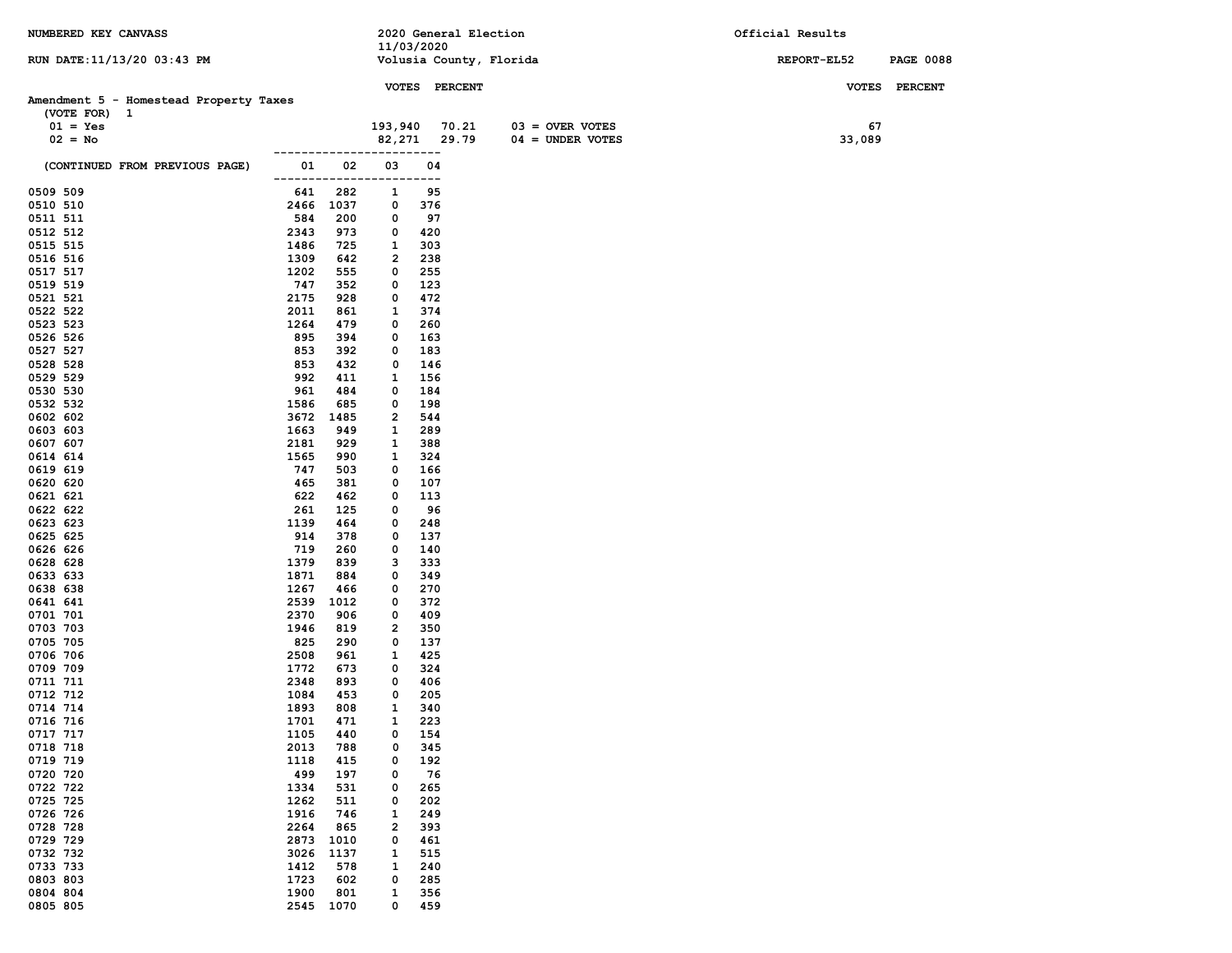| NUMBERED KEY CANVASS                   |                            |                   | 2020 General Election   |                    | Official Results |                  |
|----------------------------------------|----------------------------|-------------------|-------------------------|--------------------|------------------|------------------|
|                                        |                            | 11/03/2020        |                         |                    |                  |                  |
| RUN DATE: 11/13/20 03:43 PM            |                            |                   | Volusia County, Florida |                    | REPORT-EL52      | <b>PAGE 0088</b> |
|                                        |                            |                   | VOTES PERCENT           |                    |                  | VOTES PERCENT    |
| Amendment 5 - Homestead Property Taxes |                            |                   |                         |                    |                  |                  |
| (VOTE FOR) 1                           |                            |                   |                         |                    |                  |                  |
| $01 = Yes$                             |                            | 193,940           | 70.21                   | $03 =$ OVER VOTES  | 67               |                  |
| $02 = No$                              |                            | 82,271            | 29.79                   | $04 = UNDER VOTES$ | 33,089           |                  |
|                                        |                            |                   |                         |                    |                  |                  |
| (CONTINUED FROM PREVIOUS PAGE)         | 01<br>------------         | 02<br>03<br>$---$ | 04<br>$---$             |                    |                  |                  |
| 0509 509                               | 282<br>641                 | 1                 | 95                      |                    |                  |                  |
| 0510 510                               | 2466 1037                  | 0                 | 376                     |                    |                  |                  |
| 0511 511                               | 584<br>200                 | 0                 | 97                      |                    |                  |                  |
| 0512 512                               | 2343<br>973                | 0                 | 420                     |                    |                  |                  |
| 0515 515                               | 1486<br>725                | 1                 | 303                     |                    |                  |                  |
| 0516 516                               | 1309<br>642                | 2                 | 238                     |                    |                  |                  |
| 0517 517                               | 1202<br>555                | 0                 | 255                     |                    |                  |                  |
| 0519 519                               | 747<br>352                 | 0                 | 123                     |                    |                  |                  |
| 0521 521                               | 2175<br>928                | 0                 | 472                     |                    |                  |                  |
| 0522 522                               | 2011<br>861                | 1                 | 374                     |                    |                  |                  |
| 0523 523<br>0526 526                   | 1264<br>479<br>895<br>394  | 0<br>0            | 260<br>163              |                    |                  |                  |
| 0527 527                               | 853<br>392                 | 0                 | 183                     |                    |                  |                  |
| 0528 528                               | 853<br>432                 | 0                 | 146                     |                    |                  |                  |
| 0529 529                               | 992<br>411                 | 1                 | 156                     |                    |                  |                  |
| 0530 530                               | 961<br>484                 | 0                 | 184                     |                    |                  |                  |
| 0532 532                               | 1586<br>685                | 0                 | 198                     |                    |                  |                  |
| 0602 602                               | 3672<br>1485               | 2                 | 544                     |                    |                  |                  |
| 0603 603                               | 1663<br>949                | 1                 | 289                     |                    |                  |                  |
| 0607 607                               | 2181<br>929                | 1                 | 388                     |                    |                  |                  |
| 0614 614                               | 1565<br>990                | 1                 | 324                     |                    |                  |                  |
| 0619 619                               | 747<br>503                 | 0                 | 166                     |                    |                  |                  |
| 0620 620                               | 465<br>381                 | 0                 | 107                     |                    |                  |                  |
| 0621 621                               | 622<br>462                 | 0                 | 113                     |                    |                  |                  |
| 0622 622                               | 261<br>125                 | 0                 | 96                      |                    |                  |                  |
| 0623 623                               | 1139<br>464                | 0                 | 248                     |                    |                  |                  |
| 0625 625                               | 914<br>378                 | 0                 | 137                     |                    |                  |                  |
| 0626 626                               | 719<br>260                 | 0                 | 140                     |                    |                  |                  |
| 0628 628<br>0633 633                   | 1379<br>839<br>1871<br>884 | з<br>0            | 333<br>349              |                    |                  |                  |
| 0638 638                               | 1267<br>466                | 0                 | 270                     |                    |                  |                  |
| 0641 641                               | 2539<br>1012               | 0                 | 372                     |                    |                  |                  |
| 0701 701                               | 2370<br>906                | 0                 | 409                     |                    |                  |                  |
| 0703 703                               | 1946<br>819                | 2                 | 350                     |                    |                  |                  |
| 0705 705                               | 825<br>290                 | 0                 | 137                     |                    |                  |                  |
| 0706 706                               | 2508<br>961                | 1                 | 425                     |                    |                  |                  |
| 0709 709                               | 1772<br>673                | 0                 | 324                     |                    |                  |                  |
| 0711 711                               | 2348<br>893                | 0                 | 406                     |                    |                  |                  |
| 0712 712                               | 1084<br>453                | 0                 | 205                     |                    |                  |                  |
| 0714 714                               | 1893<br>808                | 1                 | 340                     |                    |                  |                  |
| 0716 716                               | 1701<br>471                | 1                 | 223                     |                    |                  |                  |
| 0717 717                               | 1105<br>440                | 0                 | 154                     |                    |                  |                  |
| 0718 718                               | 2013<br>788                | 0                 | 345                     |                    |                  |                  |
| 0719 719<br>0720 720                   | 1118<br>415                | 0                 | 192                     |                    |                  |                  |
| 0722 722                               | 499<br>197<br>1334<br>531  | 0<br>0            | 76<br>265               |                    |                  |                  |
| 0725 725                               | 1262<br>511                | 0                 | 202                     |                    |                  |                  |
| 0726 726                               | 1916<br>746                | 1                 | 249                     |                    |                  |                  |
| 0728 728                               | 2264<br>865                | 2                 | 393                     |                    |                  |                  |
| 0729 729                               | 2873<br>1010               | 0                 | 461                     |                    |                  |                  |
| 0732 732                               | 3026<br>1137               | 1                 | 515                     |                    |                  |                  |
| 0733 733                               | 1412<br>578                | 1                 | 240                     |                    |                  |                  |
| 0803 803                               | 1723<br>602                | 0                 | 285                     |                    |                  |                  |
| 0804 804                               | 1900<br>801                | 1                 | 356                     |                    |                  |                  |
| 0805 805                               | 2545 1070                  | 0                 | 459                     |                    |                  |                  |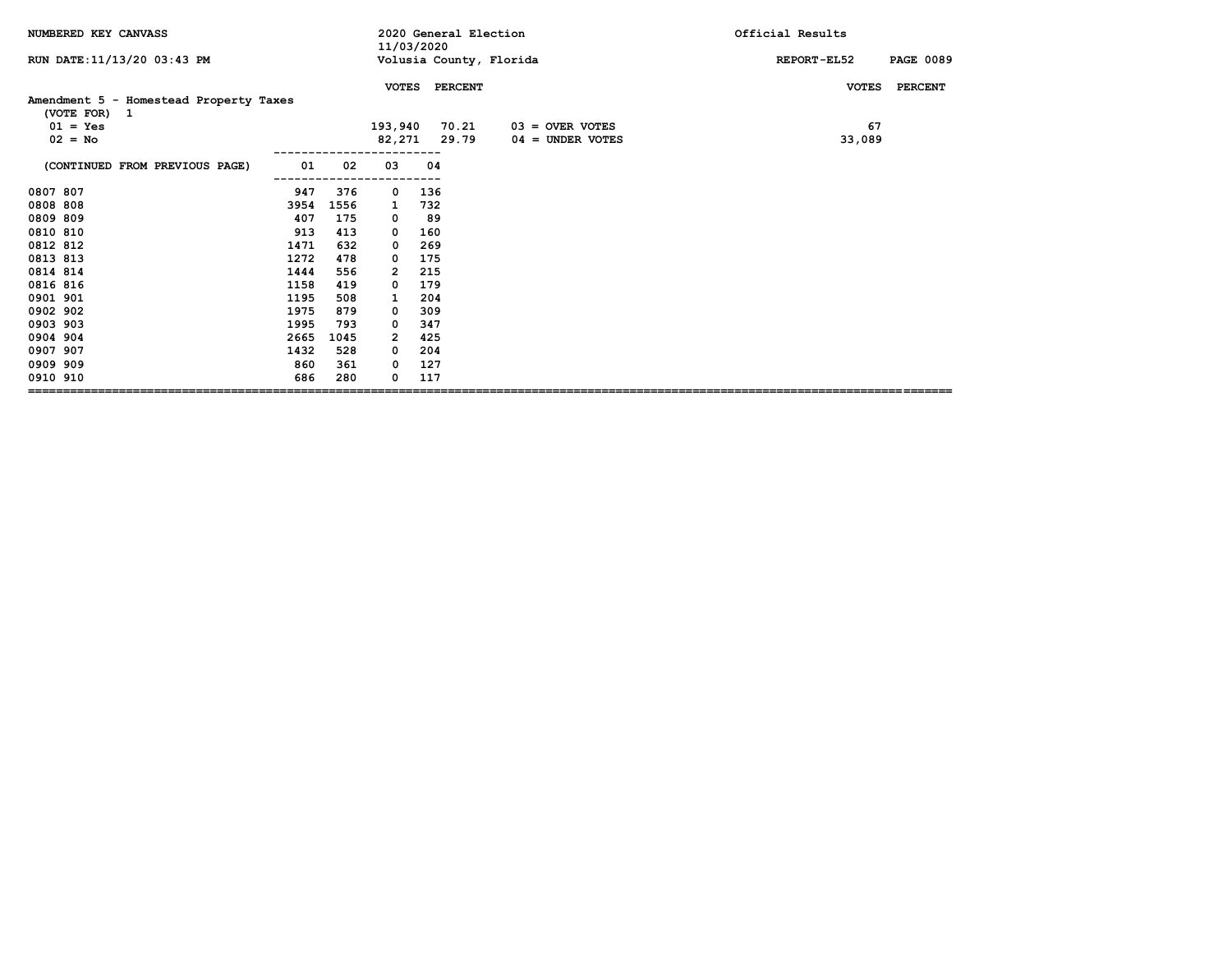| NUMBERED KEY CANVASS                                   |      |      | 11/03/2020     |     |                | 2020 General Election   | Official Results                |
|--------------------------------------------------------|------|------|----------------|-----|----------------|-------------------------|---------------------------------|
| RUN DATE: 11/13/20 03:43 PM                            |      |      |                |     |                | Volusia County, Florida | <b>PAGE 0089</b><br>REPORT-EL52 |
|                                                        |      |      | <b>VOTES</b>   |     | <b>PERCENT</b> |                         | <b>VOTES</b><br><b>PERCENT</b>  |
| Amendment 5 - Homestead Property Taxes<br>(VOTE FOR) 1 |      |      |                |     |                |                         |                                 |
| $01 = Yes$                                             |      |      | 193,940        |     | 70.21          | $03 =$ OVER VOTES       | 67                              |
| $02 = No$                                              |      |      | 82,271         |     | 29.79          | $04 =$ UNDER VOTES      | 33,089                          |
| (CONTINUED FROM PREVIOUS PAGE)                         | 01   | 02   | 03             | 04  |                |                         |                                 |
| 0807 807                                               | 947  | 376  | 0              | 136 |                |                         |                                 |
| 0808 808                                               | 3954 | 1556 | 1              | 732 |                |                         |                                 |
| 0809 809                                               | 407  | 175  | 0              | 89  |                |                         |                                 |
| 0810 810                                               | 913  | 413  | 0              | 160 |                |                         |                                 |
| 0812 812                                               | 1471 | 632  | 0              | 269 |                |                         |                                 |
| 0813 813                                               | 1272 | 478  | 0              | 175 |                |                         |                                 |
| 0814 814                                               | 1444 | 556  | $\overline{2}$ | 215 |                |                         |                                 |
| 0816 816                                               | 1158 | 419  | 0              | 179 |                |                         |                                 |
| 0901 901                                               | 1195 | 508  | 1              | 204 |                |                         |                                 |
| 0902 902                                               | 1975 | 879  | 0              | 309 |                |                         |                                 |
| 0903 903                                               | 1995 | 793  | 0              | 347 |                |                         |                                 |
| 0904 904                                               | 2665 | 1045 | 2              | 425 |                |                         |                                 |
| 0907 907                                               | 1432 | 528  | 0              | 204 |                |                         |                                 |
| 0909 909                                               | 860  | 361  | 0              | 127 |                |                         |                                 |
| 0910 910                                               | 686  | 280  | 0              | 117 |                |                         |                                 |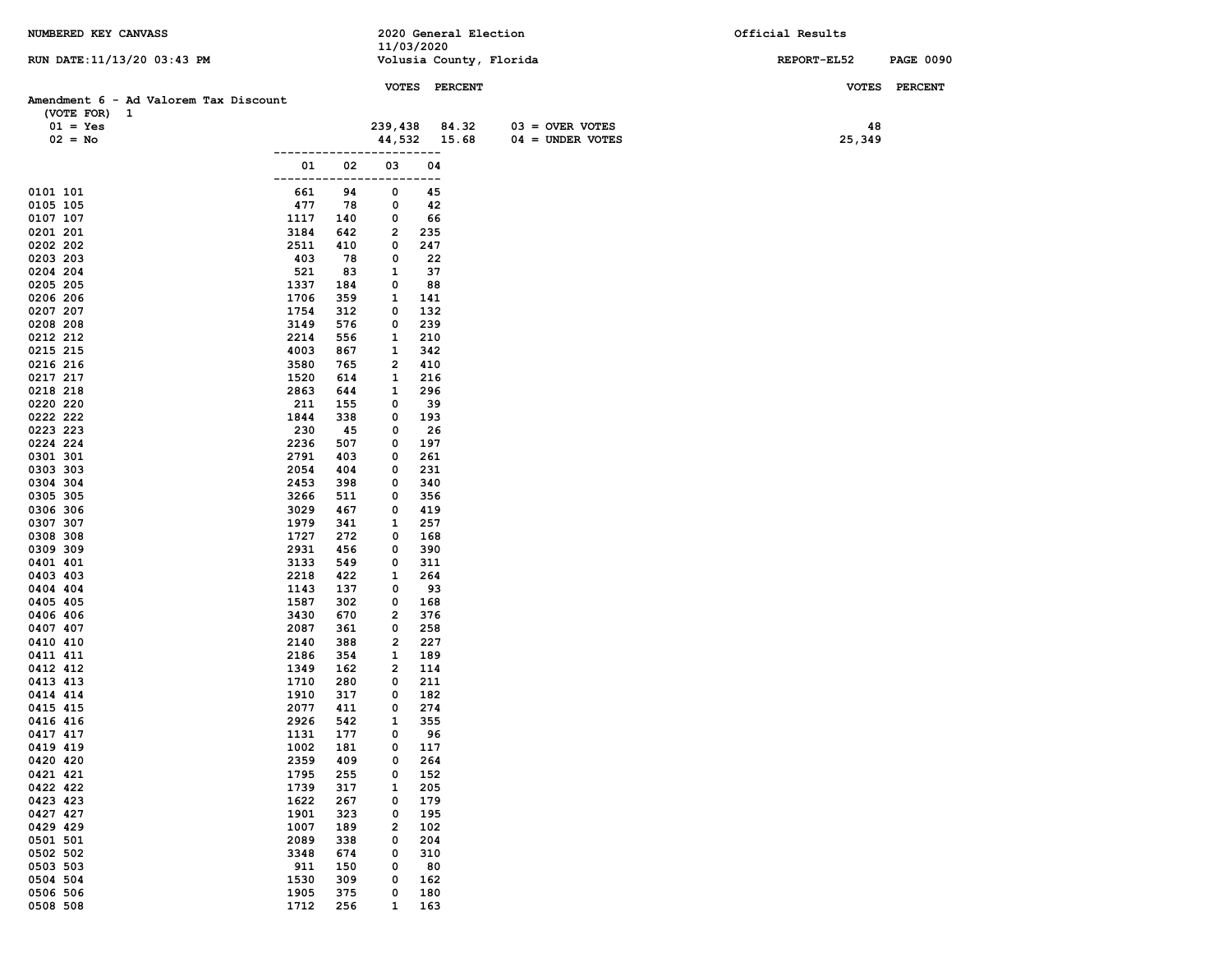| NUMBERED KEY CANVASS                  |                            |                    | 11/03/2020 | 2020 General Election   |                                         | Official Results |                  |
|---------------------------------------|----------------------------|--------------------|------------|-------------------------|-----------------------------------------|------------------|------------------|
| RUN DATE: 11/13/20 03:43 PM           |                            |                    |            | Volusia County, Florida |                                         | REPORT-EL52      | <b>PAGE 0090</b> |
|                                       |                            |                    |            | VOTES PERCENT           |                                         | <b>VOTES</b>     | <b>PERCENT</b>   |
| Amendment 6 - Ad Valorem Tax Discount |                            |                    |            |                         |                                         |                  |                  |
| (VOTE FOR) 1                          |                            |                    |            |                         |                                         |                  |                  |
| $01 = Yes$                            |                            | 239,438            |            | 84.32                   | $03 =$ OVER VOTES<br>$04 = UNDER VOTES$ | 48<br>25,349     |                  |
| $02 = No$                             |                            |                    | ---        | 44,532 15.68            |                                         |                  |                  |
|                                       | 01                         | 02<br>03           |            | 04                      |                                         |                  |                  |
|                                       | -----                      |                    | ---        |                         |                                         |                  |                  |
| 0101 101<br>0105 105                  | 661<br>477                 | 94<br>0<br>78<br>0 |            | 45<br>42                |                                         |                  |                  |
| 0107 107                              | 1117<br>140                | 0                  |            | 66                      |                                         |                  |                  |
| 0201 201                              | 3184<br>642                | 2                  | 235        |                         |                                         |                  |                  |
| 0202 202                              | 2511<br>410                | 0                  | 247        |                         |                                         |                  |                  |
| 0203 203                              | 403                        | 78<br>0            |            | 22                      |                                         |                  |                  |
| 0204 204                              | 521                        | 83<br>1            |            | 37                      |                                         |                  |                  |
| 0205 205                              | 1337<br>184<br>1706        | 0                  | 88         |                         |                                         |                  |                  |
| 0206 206<br>0207 207                  | 359<br>1754<br>312         | 1<br>0             | 141<br>132 |                         |                                         |                  |                  |
| 0208 208                              | 3149<br>576                | 0                  | 239        |                         |                                         |                  |                  |
| 0212 212                              | 2214<br>556                | 1                  | 210        |                         |                                         |                  |                  |
| 0215 215                              | 4003<br>867                | 1                  | 342        |                         |                                         |                  |                  |
| 0216 216                              | 3580<br>765                | 2                  | 410        |                         |                                         |                  |                  |
| 0217 217                              | 1520<br>614                | 1                  | 216        |                         |                                         |                  |                  |
| 0218 218                              | 2863<br>644                | 1                  | 296        |                         |                                         |                  |                  |
| 0220 220<br>0222 222                  | 211<br>155<br>1844<br>338  | 0<br>0             | 39<br>193  |                         |                                         |                  |                  |
| 0223 223                              | 230                        | 45<br>0            |            | 26                      |                                         |                  |                  |
| 0224 224                              | 2236<br>507                | 0                  | 197        |                         |                                         |                  |                  |
| 0301 301                              | 2791<br>403                | 0                  | 261        |                         |                                         |                  |                  |
| 0303 303                              | 2054<br>404                | 0                  | 231        |                         |                                         |                  |                  |
| 0304 304                              | 2453<br>398                | 0                  | 340        |                         |                                         |                  |                  |
| 0305 305                              | 3266<br>511<br>3029        | 0<br>0             | 356<br>419 |                         |                                         |                  |                  |
| 0306 306<br>0307 307                  | 467<br>1979<br>341         | 1                  | 257        |                         |                                         |                  |                  |
| 0308 308                              | 1727<br>272                | 0                  | 168        |                         |                                         |                  |                  |
| 0309 309                              | 2931<br>456                | 0                  | 390        |                         |                                         |                  |                  |
| 0401 401                              | 3133<br>549                | 0                  | 311        |                         |                                         |                  |                  |
| 0403 403                              | 2218<br>422                | 1                  | 264        |                         |                                         |                  |                  |
| 0404 404                              | 1143<br>137                | 0                  |            | 93                      |                                         |                  |                  |
| 0405 405<br>0406 406                  | 1587<br>302<br>3430<br>670 | 0<br>2             | 168<br>376 |                         |                                         |                  |                  |
| 0407 407                              | 2087<br>361                | 0                  | 258        |                         |                                         |                  |                  |
| 0410 410                              | 2140<br>388                | 2                  | 227        |                         |                                         |                  |                  |
| 0411 411                              | 2186<br>354                | 1                  | 189        |                         |                                         |                  |                  |
| 0412 412                              | 1349<br>162                | 2                  | 114        |                         |                                         |                  |                  |
| 0413 413                              | 1710<br>280                | 0                  | 211        |                         |                                         |                  |                  |
| 0414 414<br>0415 415                  | 1910<br>317<br>2077<br>411 | 0<br>0             | 182<br>274 |                         |                                         |                  |                  |
| 0416 416                              | 2926<br>542                | $\mathbf{1}$       | 355        |                         |                                         |                  |                  |
| 0417 417                              | 1131<br>177                | 0                  |            | 96                      |                                         |                  |                  |
| 0419 419                              | 1002<br>181                | 0                  | 117        |                         |                                         |                  |                  |
| 0420 420                              | 2359<br>409                | 0                  | 264        |                         |                                         |                  |                  |
| 0421 421                              | 1795<br>255                | 0                  | 152        |                         |                                         |                  |                  |
| 0422 422                              | 1739<br>317                | 1                  | 205        |                         |                                         |                  |                  |
| 0423 423<br>0427 427                  | 1622<br>267<br>1901<br>323 | 0<br>0             | 179<br>195 |                         |                                         |                  |                  |
| 0429 429                              | 1007<br>189                | 2                  | 102        |                         |                                         |                  |                  |
| 0501 501                              | 2089<br>338                | 0                  | 204        |                         |                                         |                  |                  |
| 0502 502                              | 3348<br>674                | 0                  | 310        |                         |                                         |                  |                  |
| 0503 503                              | 911<br>150                 | 0                  | 80         |                         |                                         |                  |                  |
| 0504 504                              | 1530<br>309                | 0                  | 162        |                         |                                         |                  |                  |
| 0506 506                              | 1905<br>375                | 0                  | 180        |                         |                                         |                  |                  |
| 0508 508                              | 1712<br>256                | $\mathbf{1}$       | 163        |                         |                                         |                  |                  |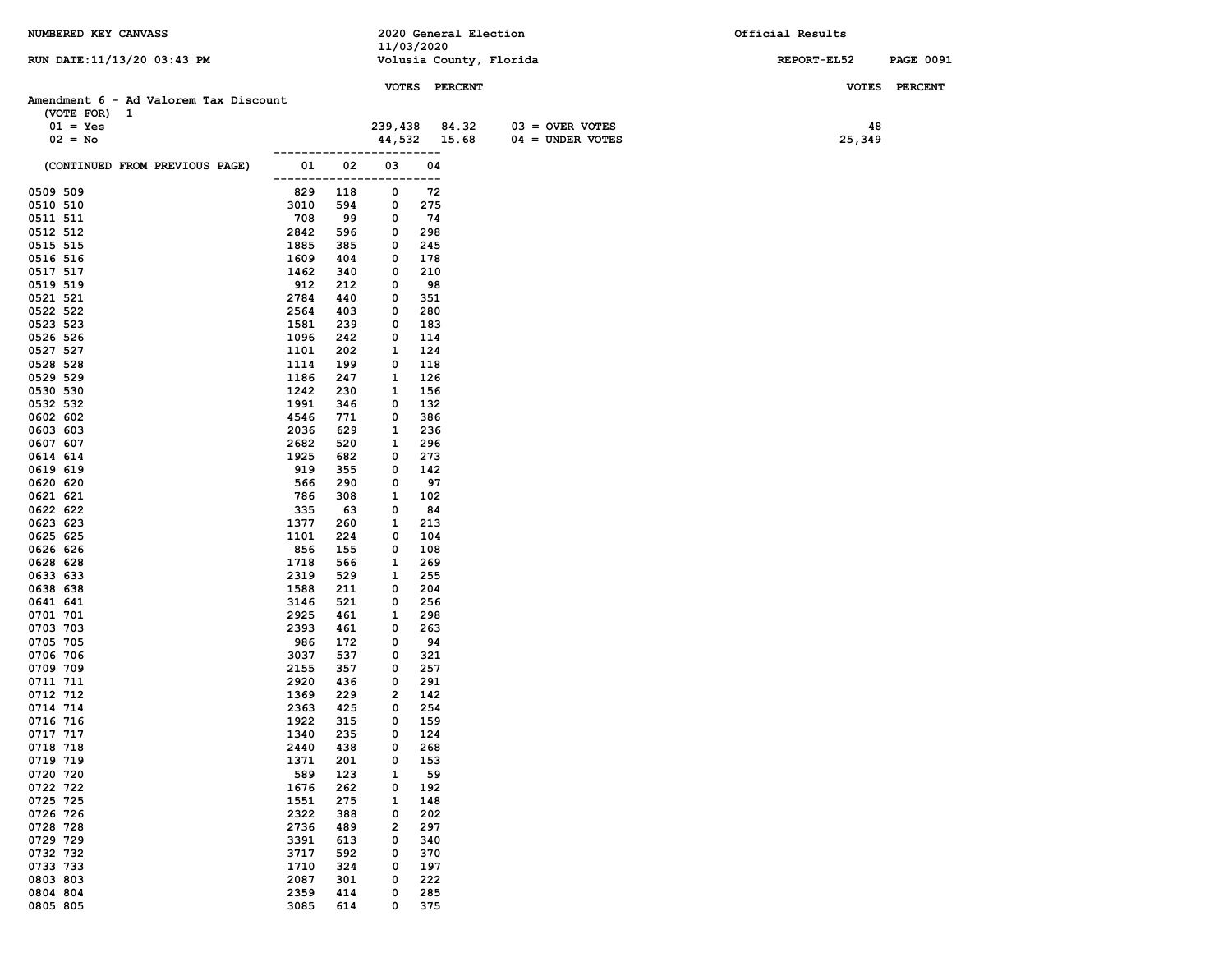| NUMBERED KEY CANVASS                  |                    |            |            |               | 2020 General Election   | Official Results |                  |
|---------------------------------------|--------------------|------------|------------|---------------|-------------------------|------------------|------------------|
|                                       |                    |            | 11/03/2020 |               |                         |                  |                  |
| RUN DATE: 11/13/20 03:43 PM           |                    |            |            |               | Volusia County, Florida | REPORT-EL52      | <b>PAGE 0091</b> |
|                                       |                    |            |            | VOTES PERCENT |                         |                  | VOTES PERCENT    |
| Amendment 6 - Ad Valorem Tax Discount |                    |            |            |               |                         |                  |                  |
| (VOTE FOR) 1                          |                    |            |            |               |                         |                  |                  |
| $01 = Yes$                            |                    |            | 239,438    | 84.32         | $03 =$ OVER VOTES       | 48               |                  |
| $02 = No$                             |                    |            |            | 44,532 15.68  | $04 = UNDER VOTES$      | 25,349           |                  |
|                                       |                    |            |            | ---           |                         |                  |                  |
| (CONTINUED FROM PREVIOUS PAGE)        | 01<br>-------<br>. | 02         | 03         | 04<br>$---$   |                         |                  |                  |
| 0509 509                              | 829                | 118        | 0          | 72            |                         |                  |                  |
| 0510 510                              | 3010               | 594        | 0          | 275           |                         |                  |                  |
| 0511 511                              | 708                | 99         | 0          | 74            |                         |                  |                  |
| 0512 512                              | 2842               | 596        | 0          | 298           |                         |                  |                  |
| 0515 515                              | 1885               | 385        | 0          | 245           |                         |                  |                  |
| 0516 516                              | 1609               | 404        | 0          | 178           |                         |                  |                  |
| 0517 517                              | 1462               | 340        | 0          | 210           |                         |                  |                  |
| 0519 519                              | 912                | 212        | 0          | 98            |                         |                  |                  |
| 0521 521                              | 2784               | 440        | 0          | 351           |                         |                  |                  |
| 0522 522                              | 2564               | 403        | 0          | 280           |                         |                  |                  |
| 0523 523                              | 1581               | 239        | 0          | 183           |                         |                  |                  |
| 0526 526                              | 1096               | 242        | 0          | 114           |                         |                  |                  |
| 0527 527                              | 1101               | 202        | 1          | 124           |                         |                  |                  |
| 0528 528                              | 1114               | 199        | 0          | 118           |                         |                  |                  |
| 0529 529                              | 1186               | 247        | 1          | 126           |                         |                  |                  |
| 0530 530                              | 1242               | 230        | 1          | 156           |                         |                  |                  |
| 0532 532                              | 1991               | 346        | 0          | 132           |                         |                  |                  |
| 0602 602                              | 4546               | 771        | 0          | 386           |                         |                  |                  |
| 0603 603                              | 2036               | 629        | 1          | 236           |                         |                  |                  |
| 0607 607                              | 2682               | 520        | 1          | 296           |                         |                  |                  |
| 0614 614                              | 1925               | 682        | 0          | 273           |                         |                  |                  |
| 0619 619                              | 919                | 355        | 0          | 142           |                         |                  |                  |
| 0620 620                              | 566                | 290        | 0          | 97            |                         |                  |                  |
| 0621 621                              | 786                | 308        | 1          | 102           |                         |                  |                  |
| 0622 622                              | 335                | 63         | 0          | 84            |                         |                  |                  |
| 0623 623                              | 1377               | 260        | 1          | 213           |                         |                  |                  |
| 0625 625                              | 1101               | 224        | 0          | 104           |                         |                  |                  |
| 0626 626                              | 856                | 155        | 0          | 108           |                         |                  |                  |
| 0628 628<br>0633 633                  | 1718<br>2319       | 566<br>529 | 1<br>1     | 269<br>255    |                         |                  |                  |
| 0638 638                              | 1588               | 211        | 0          | 204           |                         |                  |                  |
| 0641 641                              | 3146               | 521        | 0          | 256           |                         |                  |                  |
| 0701 701                              | 2925               | 461        | 1          | 298           |                         |                  |                  |
| 0703 703                              | 2393               | 461        | 0          | 263           |                         |                  |                  |
| 0705 705                              | 986                | 172        | 0          | 94            |                         |                  |                  |
| 0706 706                              | 3037               | 537        | 0          | 321           |                         |                  |                  |
| 0709 709                              | 2155               | 357        | 0          | 257           |                         |                  |                  |
| 0711 711                              | 2920               | 436        | 0          | 291           |                         |                  |                  |
| 0712 712                              | 1369               | 229        | 2          | 142           |                         |                  |                  |
| 0714 714                              | 2363               | 425        | 0          | 254           |                         |                  |                  |
| 0716 716                              | 1922               | 315        | 0          | 159           |                         |                  |                  |
| 0717 717                              | 1340               | 235        | 0          | 124           |                         |                  |                  |
| 0718 718                              | 2440               | 438        | 0          | 268           |                         |                  |                  |
| 0719 719                              | 1371               | 201        | 0          | 153           |                         |                  |                  |
| 0720 720                              | 589                | 123        | 1          | 59            |                         |                  |                  |
| 0722 722                              | 1676               | 262        | 0          | 192           |                         |                  |                  |
| 0725 725                              | 1551               | 275        | 1          | 148           |                         |                  |                  |
| 0726 726                              | 2322               | 388        | 0          | 202           |                         |                  |                  |
| 0728 728                              | 2736               | 489        | 2          | 297           |                         |                  |                  |
| 0729 729                              | 3391               | 613        | 0          | 340           |                         |                  |                  |
| 0732 732                              | 3717               | 592        | 0          | 370           |                         |                  |                  |
| 0733 733                              | 1710               | 324        | 0          | 197           |                         |                  |                  |
| 0803 803                              | 2087               | 301        | 0          | 222           |                         |                  |                  |
| 0804 804                              | 2359               | 414        | 0          | 285           |                         |                  |                  |
| 0805 805                              | 3085               | 614        | 0          | 375           |                         |                  |                  |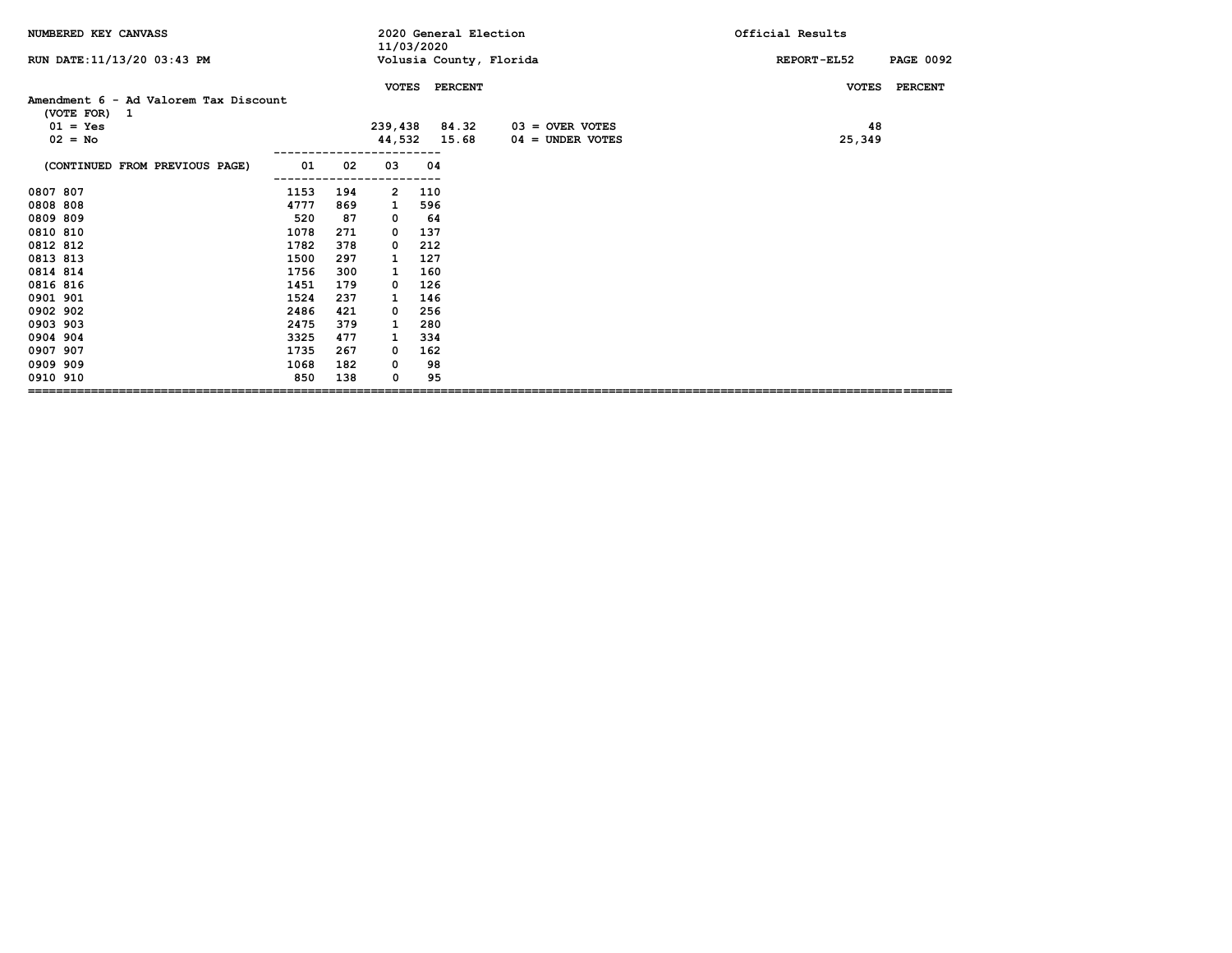| NUMBERED KEY CANVASS                                  |      |     | 11/03/2020    |     | 2020 General Election   | Official Results                |
|-------------------------------------------------------|------|-----|---------------|-----|-------------------------|---------------------------------|
| RUN DATE: 11/13/20 03:43 PM                           |      |     |               |     | Volusia County, Florida | <b>PAGE 0092</b><br>REPORT-EL52 |
|                                                       |      |     | <b>VOTES</b>  |     | <b>PERCENT</b>          | <b>PERCENT</b><br><b>VOTES</b>  |
| Amendment 6 - Ad Valorem Tax Discount<br>(VOTE FOR) 1 |      |     |               |     |                         |                                 |
| $01 = Yes$                                            |      |     | 239,438 84.32 |     | $03 =$ OVER VOTES       | 48                              |
| $02 = No$                                             |      |     | 44,532 15.68  |     | $04 =$ UNDER VOTES      | 25,349                          |
| (CONTINUED FROM PREVIOUS PAGE)                        | 01   | 02  | 03            | 04  |                         |                                 |
| 0807 807                                              | 1153 | 194 | 2             | 110 |                         |                                 |
| 0808 808                                              | 4777 | 869 | 1             | 596 |                         |                                 |
| 0809 809                                              | 520  | 87  | 0             | 64  |                         |                                 |
| 0810 810                                              | 1078 | 271 | 0             | 137 |                         |                                 |
| 0812 812                                              | 1782 | 378 | 0             | 212 |                         |                                 |
| 0813 813                                              | 1500 | 297 |               | 127 |                         |                                 |
| 0814 814                                              | 1756 | 300 |               | 160 |                         |                                 |
| 0816 816                                              | 1451 | 179 | 0             | 126 |                         |                                 |
| 0901 901                                              | 1524 | 237 | 1             | 146 |                         |                                 |
| 0902 902                                              | 2486 | 421 | 0             | 256 |                         |                                 |
| 0903 903                                              | 2475 | 379 | 1             | 280 |                         |                                 |
| 0904 904                                              | 3325 | 477 | 1             | 334 |                         |                                 |
| 0907 907                                              | 1735 | 267 | 0             | 162 |                         |                                 |
| 0909 909                                              | 1068 | 182 | 0             | 98  |                         |                                 |
| 0910 910                                              | 850  | 138 | 0             | 95  |                         |                                 |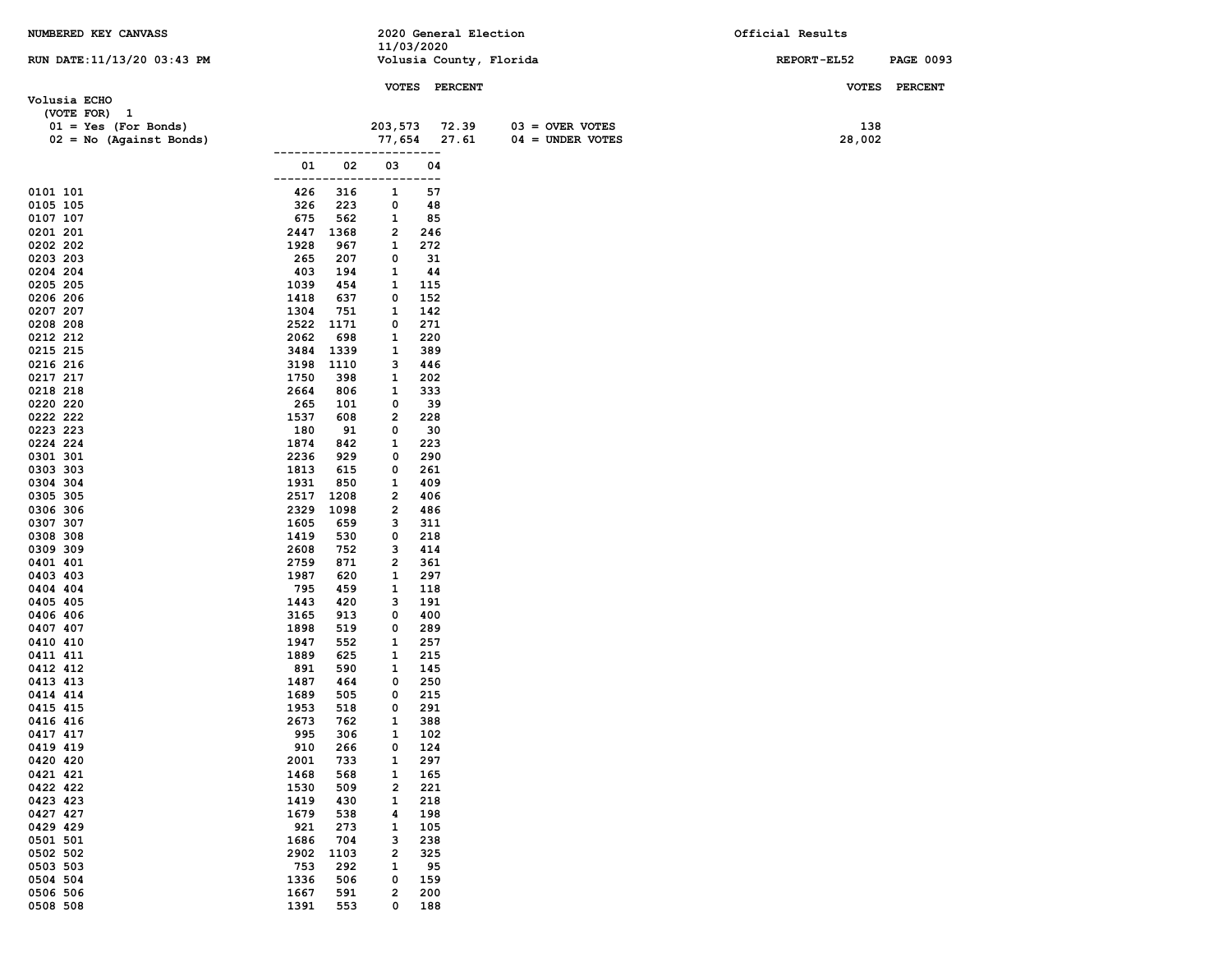| NUMBERED KEY CANVASS        |                   |            |                         |               | 2020 General Election   |                    | Official Results |                  |
|-----------------------------|-------------------|------------|-------------------------|---------------|-------------------------|--------------------|------------------|------------------|
|                             |                   |            | 11/03/2020              |               |                         |                    |                  |                  |
| RUN DATE: 11/13/20 03:43 PM |                   |            |                         |               | Volusia County, Florida |                    | REPORT-EL52      | <b>PAGE 0093</b> |
|                             |                   |            |                         | VOTES PERCENT |                         |                    | <b>VOTES</b>     | <b>PERCENT</b>   |
| Volusia ECHO                |                   |            |                         |               |                         |                    |                  |                  |
| (VOTE FOR) 1                |                   |            |                         |               |                         |                    |                  |                  |
| $01 = Yes (For Bonds)$      |                   |            | 203,573                 | 72.39         |                         | $03 =$ OVER VOTES  | 138              |                  |
| $02 = No$ (Against Bonds)   |                   |            | 77,654                  | 27.61         |                         | $04 = UNDER VOTES$ | 28,002           |                  |
|                             | 01                | 02         | 03                      | ----<br>04    |                         |                    |                  |                  |
|                             |                   |            |                         | ---           |                         |                    |                  |                  |
| 0101 101                    | 426               | 316        | 1                       | 57            |                         |                    |                  |                  |
| 0105 105                    | 326               | 223        | 0                       | 48            |                         |                    |                  |                  |
| 0107 107                    | 675               | 562        | 1                       | 85            |                         |                    |                  |                  |
| 0201 201                    | 2447              | 1368       | $\overline{\mathbf{2}}$ | 246           |                         |                    |                  |                  |
| 0202 202<br>0203 203        | 1928<br>265       | 967<br>207 | 1<br>0                  | 272<br>31     |                         |                    |                  |                  |
| 0204 204                    | 403               | 194        | 1                       | 44            |                         |                    |                  |                  |
| 0205 205                    | 1039              | 454        | 1                       | 115           |                         |                    |                  |                  |
| 0206 206                    | 1418              | 637        | 0                       | 152           |                         |                    |                  |                  |
| 0207 207                    | 1304              | 751        | 1                       | 142           |                         |                    |                  |                  |
| 0208 208                    | 2522              | 1171       | 0                       | 271           |                         |                    |                  |                  |
| 0212 212<br>0215 215        | 2062<br>3484 1339 | 698        | 1<br>1                  | 220<br>389    |                         |                    |                  |                  |
| 0216 216                    | 3198              | 1110       | з                       | 446           |                         |                    |                  |                  |
| 0217 217                    | 1750              | 398        | 1                       | 202           |                         |                    |                  |                  |
| 0218 218                    | 2664              | 806        | 1                       | 333           |                         |                    |                  |                  |
| 0220 220                    | 265               | 101        | 0                       | 39            |                         |                    |                  |                  |
| 0222 222                    | 1537              | 608        | 2                       | 228           |                         |                    |                  |                  |
| 0223 223                    | 180               | 91         | 0                       | 30            |                         |                    |                  |                  |
| 0224 224<br>0301 301        | 1874<br>2236      | 842<br>929 | 1<br>0                  | 223<br>290    |                         |                    |                  |                  |
| 0303 303                    | 1813              | 615        | 0                       | 261           |                         |                    |                  |                  |
| 0304 304                    | 1931              | 850        | 1                       | 409           |                         |                    |                  |                  |
| 0305 305                    | 2517              | 1208       | 2                       | 406           |                         |                    |                  |                  |
| 0306 306                    | 2329              | 1098       | $\overline{\mathbf{2}}$ | 486           |                         |                    |                  |                  |
| 0307 307<br>0308 308        | 1605<br>1419      | 659<br>530 | з<br>0                  | 311<br>218    |                         |                    |                  |                  |
| 0309 309                    | 2608              | 752        | з                       | 414           |                         |                    |                  |                  |
| 0401 401                    | 2759              | 871        | 2                       | 361           |                         |                    |                  |                  |
| 0403 403                    | 1987              | 620        | 1                       | 297           |                         |                    |                  |                  |
| 0404 404                    | 795               | 459        | 1                       | 118           |                         |                    |                  |                  |
| 0405 405                    | 1443              | 420        | з                       | 191           |                         |                    |                  |                  |
| 0406 406<br>0407 407        | 3165<br>1898      | 913<br>519 | 0<br>0                  | 400<br>289    |                         |                    |                  |                  |
| 0410 410                    | 1947              | 552        | 1                       | 257           |                         |                    |                  |                  |
| 0411 411                    | 1889              | 625        | 1                       | 215           |                         |                    |                  |                  |
| 0412 412                    | 891               | 590        | 1                       | 145           |                         |                    |                  |                  |
| 0413 413                    | 1487              | 464        | 0                       | 250           |                         |                    |                  |                  |
| 0414 414                    | 1689              | 505        | 0                       | 215           |                         |                    |                  |                  |
| 0415 415                    | 1953              | 518<br>762 | 0<br>$\mathbf{1}$       | 291<br>388    |                         |                    |                  |                  |
| 0416 416<br>0417 417        | 2673<br>995       | 306        | $\mathbf{1}$            | 102           |                         |                    |                  |                  |
| 0419 419                    | 910               | 266        | 0                       | 124           |                         |                    |                  |                  |
| 0420 420                    | 2001              | 733        | 1                       | 297           |                         |                    |                  |                  |
| 0421 421                    | 1468              | 568        | 1                       | 165           |                         |                    |                  |                  |
| 0422 422                    | 1530              | 509        | $\overline{\mathbf{c}}$ | 221           |                         |                    |                  |                  |
| 0423 423<br>0427 427        | 1419<br>1679      | 430<br>538 | 1<br>4                  | 218<br>198    |                         |                    |                  |                  |
| 0429 429                    | 921               | 273        | 1                       | 105           |                         |                    |                  |                  |
| 0501 501                    | 1686              | 704        | 3                       | 238           |                         |                    |                  |                  |
| 0502 502                    | 2902              | 1103       | $\overline{\mathbf{2}}$ | 325           |                         |                    |                  |                  |
| 0503 503                    | 753               | 292        | 1                       | 95            |                         |                    |                  |                  |
| 0504 504                    | 1336              | 506        | 0                       | 159           |                         |                    |                  |                  |
| 0506 506                    | 1667<br>1391      | 591        | 2                       | 200           |                         |                    |                  |                  |
| 0508 508                    |                   | 553        | 0                       | 188           |                         |                    |                  |                  |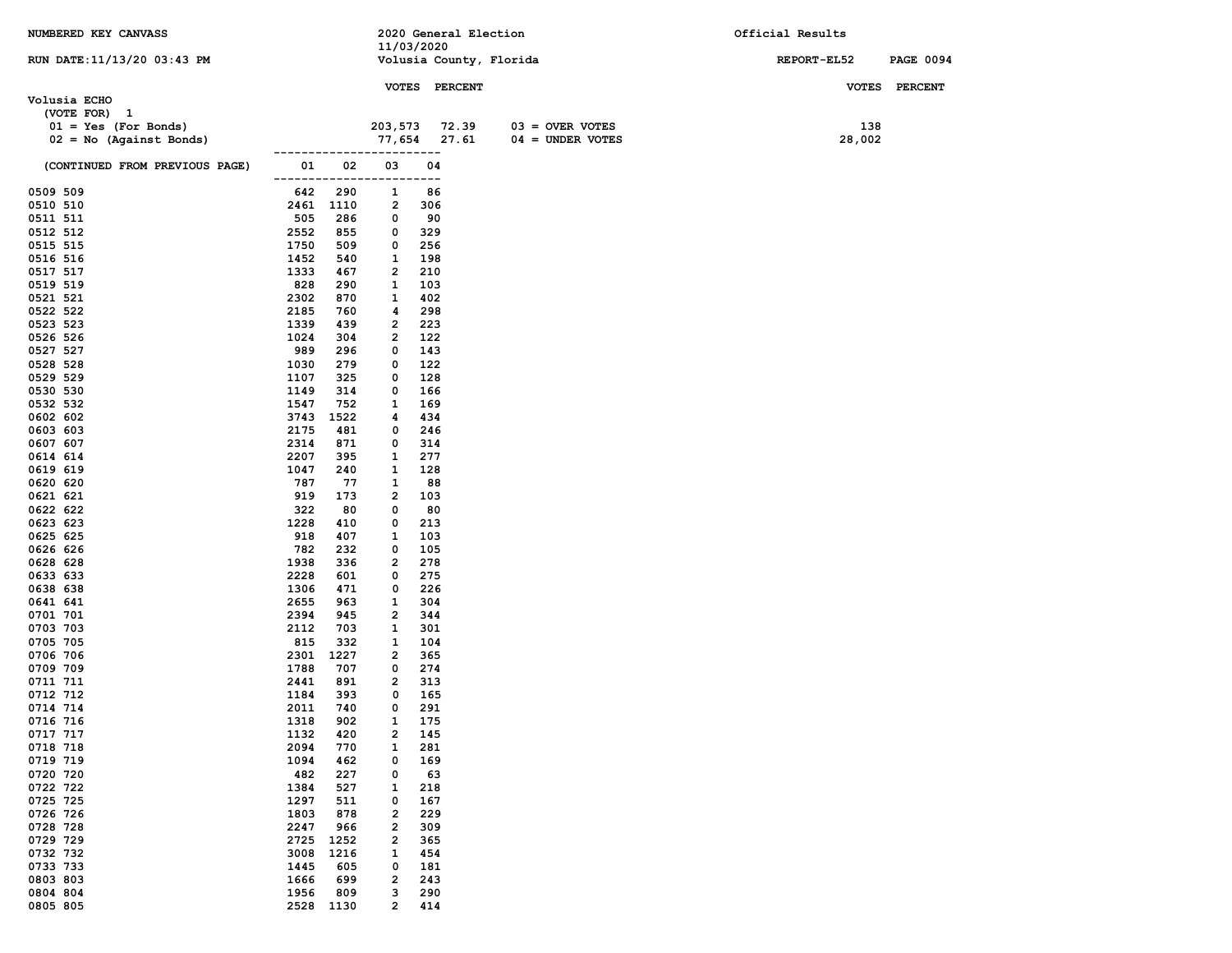| NUMBERED KEY CANVASS                                |              |             | 2020 General Election        |            |               |                         | Official Results |        |                  |
|-----------------------------------------------------|--------------|-------------|------------------------------|------------|---------------|-------------------------|------------------|--------|------------------|
| RUN DATE:11/13/20 03:43 PM                          |              |             | 11/03/2020                   |            |               | Volusia County, Florida | REPORT-EL52      |        | <b>PAGE 0094</b> |
|                                                     |              |             |                              |            |               |                         |                  |        |                  |
|                                                     |              |             |                              |            | VOTES PERCENT |                         |                  |        | VOTES PERCENT    |
| Volusia ECHO                                        |              |             |                              |            |               |                         |                  |        |                  |
| (VOTE FOR) 1                                        |              |             | 203,573                      |            | 72.39         | $03 =$ OVER VOTES       |                  | 138    |                  |
| $01 = Yes (For Bonds)$<br>$02 = No$ (Against Bonds) |              |             | 77,654                       |            | 27.61         | $04 =$ UNDER VOTES      |                  | 28,002 |                  |
|                                                     |              |             |                              |            |               |                         |                  |        |                  |
| (CONTINUED FROM PREVIOUS PAGE)                      | 01           | 02          | 03                           | 04         |               |                         |                  |        |                  |
| 0509 509                                            | -----<br>642 | ----<br>290 | 1                            | ---<br>86  |               |                         |                  |        |                  |
| 0510 510                                            |              | 2461 1110   | 2                            | 306        |               |                         |                  |        |                  |
| 0511 511                                            | 505          | 286         | 0                            | 90         |               |                         |                  |        |                  |
| 0512 512                                            | 2552         | 855         | 0                            | 329        |               |                         |                  |        |                  |
| 0515 515                                            | 1750         | 509         | 0                            | 256        |               |                         |                  |        |                  |
| 0516 516<br>0517 517                                | 1452<br>1333 | 540<br>467  | 1<br>$\overline{\mathbf{2}}$ | 198<br>210 |               |                         |                  |        |                  |
| 0519 519                                            | 828          | 290         | 1                            | 103        |               |                         |                  |        |                  |
| 0521 521                                            | 2302         | 870         | 1                            | 402        |               |                         |                  |        |                  |
| 0522 522                                            | 2185         | 760         | 4                            | 298        |               |                         |                  |        |                  |
| 0523 523                                            | 1339         | 439         | $\overline{\mathbf{2}}$      | 223        |               |                         |                  |        |                  |
| 0526 526<br>0527 527                                | 1024<br>989  | 304<br>296  | 2<br>0                       | 122<br>143 |               |                         |                  |        |                  |
| 0528 528                                            | 1030         | 279         | 0                            | 122        |               |                         |                  |        |                  |
| 0529 529                                            | 1107         | 325         | 0                            | 128        |               |                         |                  |        |                  |
| 0530 530                                            | 1149         | 314         | 0                            | 166        |               |                         |                  |        |                  |
| 0532 532                                            | 1547         | 752         | 1                            | 169        |               |                         |                  |        |                  |
| 0602 602                                            | 3743<br>2175 | 1522<br>481 | 4<br>0                       | 434<br>246 |               |                         |                  |        |                  |
| 0603 603<br>0607 607                                | 2314         | 871         | 0                            | 314        |               |                         |                  |        |                  |
| 0614 614                                            | 2207         | 395         | 1                            | 277        |               |                         |                  |        |                  |
| 0619 619                                            | 1047         | 240         | 1                            | 128        |               |                         |                  |        |                  |
| 0620 620                                            | 787          | 77          | 1                            | 88         |               |                         |                  |        |                  |
| 0621 621                                            | 919<br>322   | 173<br>80   | 2<br>0                       | 103<br>80  |               |                         |                  |        |                  |
| 0622 622<br>0623 623                                | 1228         | 410         | 0                            | 213        |               |                         |                  |        |                  |
| 0625 625                                            | 918          | 407         | 1                            | 103        |               |                         |                  |        |                  |
| 0626 626                                            | 782          | 232         | 0                            | 105        |               |                         |                  |        |                  |
| 0628 628                                            | 1938         | 336         | $\overline{\mathbf{2}}$      | 278        |               |                         |                  |        |                  |
| 0633 633<br>0638 638                                | 2228<br>1306 | 601<br>471  | 0<br>0                       | 275<br>226 |               |                         |                  |        |                  |
| 0641 641                                            | 2655         | 963         | $\mathbf{1}$                 | 304        |               |                         |                  |        |                  |
| 0701 701                                            | 2394         | 945         | 2                            | 344        |               |                         |                  |        |                  |
| 0703 703                                            | 2112         | 703         | 1                            | 301        |               |                         |                  |        |                  |
| 0705 705                                            | 815          | 332         | 1                            | 104        |               |                         |                  |        |                  |
| 0706 706<br>0709 709                                | 2301<br>1788 | 1227<br>707 | 2<br>0                       | 365<br>274 |               |                         |                  |        |                  |
| 0711 711                                            | 2441         | 891         | $\overline{\mathbf{2}}$      | 313        |               |                         |                  |        |                  |
| 0712 712                                            | 1184         | 393         | 0                            | 165        |               |                         |                  |        |                  |
| 0714 714                                            | 2011         | 740         | 0                            | 291        |               |                         |                  |        |                  |
| 0716 716                                            | 1318         | 902         | 1                            | 175        |               |                         |                  |        |                  |
| 0717 717<br>0718 718                                | 1132<br>2094 | 420<br>770  | 2<br>$\mathbf{1}$            | 145<br>281 |               |                         |                  |        |                  |
| 0719 719                                            | 1094         | 462         | 0                            | 169        |               |                         |                  |        |                  |
| 0720 720                                            | 482          | 227         | 0                            | 63         |               |                         |                  |        |                  |
| 0722 722                                            | 1384         | 527         | 1                            | 218        |               |                         |                  |        |                  |
| 0725 725                                            | 1297         | 511         | 0                            | 167        |               |                         |                  |        |                  |
| 0726 726<br>0728 728                                | 1803<br>2247 | 878<br>966  | 2<br>2                       | 229<br>309 |               |                         |                  |        |                  |
| 0729 729                                            | 2725         | 1252        | 2                            | 365        |               |                         |                  |        |                  |
| 0732 732                                            | 3008         | 1216        | 1                            | 454        |               |                         |                  |        |                  |
| 0733 733                                            | 1445         | 605         | 0                            | 181        |               |                         |                  |        |                  |
| 0803 803                                            | 1666         | 699         | 2                            | 243        |               |                         |                  |        |                  |
| 0804 804                                            | 1956         | 809         | 3                            | 290        |               |                         |                  |        |                  |
| 0805 805                                            | 2528         | 1130        | 2                            | 414        |               |                         |                  |        |                  |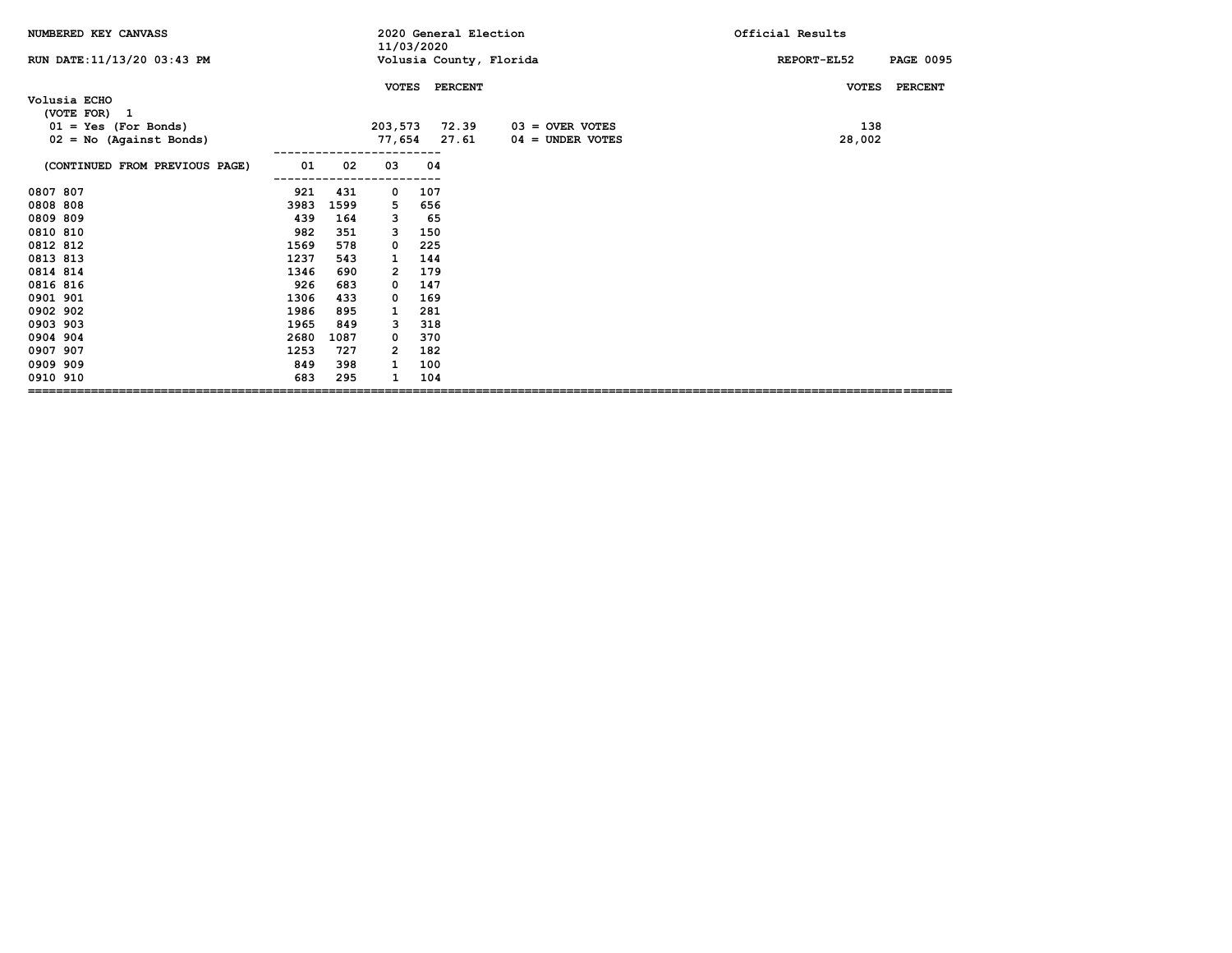| NUMBERED KEY CANVASS           |      |      |                | 11/03/2020    | 2020 General Election   | Official Results |                  |
|--------------------------------|------|------|----------------|---------------|-------------------------|------------------|------------------|
| RUN DATE: 11/13/20 03:43 PM    |      |      |                |               | Volusia County, Florida | REPORT-EL52      | <b>PAGE 0095</b> |
|                                |      |      | <b>VOTES</b>   | PERCENT       |                         | <b>VOTES</b>     | <b>PERCENT</b>   |
| Volusia ECHO<br>(VOTE FOR) 1   |      |      |                |               |                         |                  |                  |
| $01 = Yes (For Bonds)$         |      |      |                | 203,573 72.39 | $03 =$ OVER VOTES       | 138              |                  |
| $02 = No$ (Against Bonds)      |      |      | 77,654         | 27.61         | $04 =$ UNDER VOTES      | 28,002           |                  |
| (CONTINUED FROM PREVIOUS PAGE) | 01   | 02   | 03             | 04            |                         |                  |                  |
|                                |      |      |                |               |                         |                  |                  |
| 0807 807                       | 921  | 431  | 0              | 107           |                         |                  |                  |
| 0808 808                       | 3983 | 1599 | 5              | 656           |                         |                  |                  |
| 0809 809                       | 439  | 164  | 3              | 65            |                         |                  |                  |
| 0810 810                       | 982  | 351  | 3              | 150           |                         |                  |                  |
| 0812 812                       | 1569 | 578  | 0              | 225           |                         |                  |                  |
| 0813 813                       | 1237 | 543  | 1              | 144           |                         |                  |                  |
| 0814 814                       | 1346 | 690  | $\overline{2}$ | 179           |                         |                  |                  |
| 0816 816                       | 926  | 683  | 0              | 147           |                         |                  |                  |
| 0901 901                       | 1306 | 433  | 0              | 169           |                         |                  |                  |
| 0902 902                       | 1986 | 895  | 1              | 281           |                         |                  |                  |
| 0903 903                       | 1965 | 849  | з              | 318           |                         |                  |                  |
| 0904 904                       | 2680 | 1087 | 0              | 370           |                         |                  |                  |
| 0907 907                       | 1253 | 727  | $\mathbf{2}$   | 182           |                         |                  |                  |
| 0909 909                       | 849  | 398  | 1              | 100           |                         |                  |                  |
| 0910 910                       | 683  | 295  |                | 104           |                         |                  |                  |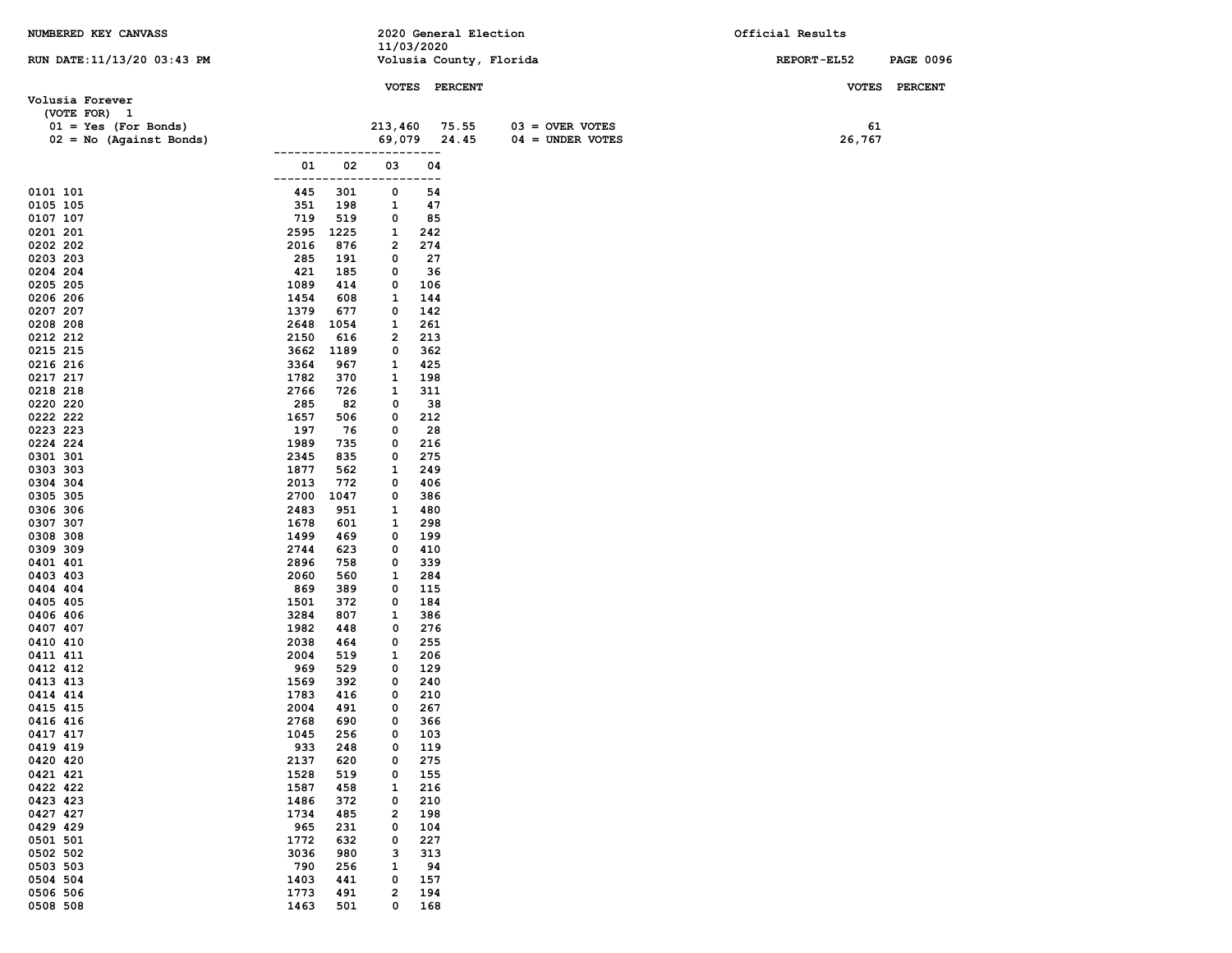| NUMBERED KEY CANVASS            |              |            |              | 2020 General Election   |                    | Official Results |                  |
|---------------------------------|--------------|------------|--------------|-------------------------|--------------------|------------------|------------------|
|                                 |              |            |              | 11/03/2020              |                    |                  |                  |
| RUN DATE: 11/13/20 03:43 PM     |              |            |              | Volusia County, Florida |                    | REPORT-EL52      | <b>PAGE 0096</b> |
|                                 |              |            |              | VOTES PERCENT           |                    |                  | VOTES PERCENT    |
| Volusia Forever<br>(VOTE FOR) 1 |              |            |              |                         |                    |                  |                  |
| $01 = Yes$ (For Bonds)          |              |            | 213,460      | 75.55                   | $03 =$ OVER VOTES  | 61               |                  |
| $02 = No$ (Against Bonds)       |              |            | 69,079       | 24.45                   | $04 =$ UNDER VOTES | 26,767           |                  |
|                                 |              |            |              | .                       |                    |                  |                  |
|                                 | 01           | 02         | 03           | 04                      |                    |                  |                  |
|                                 |              |            |              | --                      |                    |                  |                  |
| 0101 101                        | 445          | 301        | 0            | 54                      |                    |                  |                  |
| 0105 105                        | 351          | 198        | 1            | 47                      |                    |                  |                  |
| 0107 107                        | 719          | 519        | 0            | 85                      |                    |                  |                  |
| 0201 201                        | 2595         | 1225       | 1            | 242                     |                    |                  |                  |
| 0202 202<br>0203 203            | 2016<br>285  | 876<br>191 | 2<br>0       | 274<br>27               |                    |                  |                  |
| 0204 204                        | 421          | 185        | 0            | 36                      |                    |                  |                  |
| 0205 205                        | 1089         | 414        | 0            | 106                     |                    |                  |                  |
| 0206 206                        | 1454         | 608        | 1            | 144                     |                    |                  |                  |
| 0207 207                        | 1379         | 677        | 0            | 142                     |                    |                  |                  |
| 0208 208                        | 2648         | 1054       | 1            | 261                     |                    |                  |                  |
| 0212 212                        | 2150         | 616        | 2            | 213                     |                    |                  |                  |
| 0215 215                        | 3662         | 1189       | 0            | 362                     |                    |                  |                  |
| 0216 216                        | 3364         | 967        | 1            | 425                     |                    |                  |                  |
| 0217 217                        | 1782         | 370        | 1            | 198                     |                    |                  |                  |
| 0218 218                        | 2766         | 726        | 1            | 311                     |                    |                  |                  |
| 0220 220                        | 285          | 82         | 0            | 38                      |                    |                  |                  |
| 0222 222<br>0223 223            | 1657<br>197  | 506<br>76  | 0<br>0       | 212<br>28               |                    |                  |                  |
| 0224 224                        | 1989         | 735        | 0            | 216                     |                    |                  |                  |
| 0301 301                        | 2345         | 835        | 0            | 275                     |                    |                  |                  |
| 0303 303                        | 1877         | 562        | 1            | 249                     |                    |                  |                  |
| 0304 304                        | 2013         | 772        | 0            | 406                     |                    |                  |                  |
| 0305 305                        | 2700         | 1047       | 0            | 386                     |                    |                  |                  |
| 0306 306                        | 2483         | 951        | 1            | 480                     |                    |                  |                  |
| 0307 307                        | 1678         | 601        | 1            | 298                     |                    |                  |                  |
| 0308 308                        | 1499         | 469        | 0            | 199                     |                    |                  |                  |
| 0309 309                        | 2744         | 623        | 0            | 410                     |                    |                  |                  |
| 0401 401                        | 2896         | 758        | 0            | 339                     |                    |                  |                  |
| 0403 403<br>0404 404            | 2060<br>869  | 560<br>389 | 1<br>0       | 284<br>115              |                    |                  |                  |
| 0405 405                        | 1501         | 372        | 0            | 184                     |                    |                  |                  |
| 0406 406                        | 3284         | 807        | 1            | 386                     |                    |                  |                  |
| 0407 407                        | 1982         | 448        | 0            | 276                     |                    |                  |                  |
| 0410 410                        | 2038         | 464        | 0            | 255                     |                    |                  |                  |
| 0411 411                        | 2004         | 519        | 1            | 206                     |                    |                  |                  |
| 0412 412                        | 969          | 529        | 0            | 129                     |                    |                  |                  |
| 0413 413                        | 1569         | 392        | 0            | 240                     |                    |                  |                  |
| 0414 414                        | 1783         | 416        | 0            | 210                     |                    |                  |                  |
| 0415 415                        | 2004         | 491        | 0            | 267                     |                    |                  |                  |
| 0416 416<br>0417 417            | 2768<br>1045 | 690<br>256 | 0<br>0       | 366<br>103              |                    |                  |                  |
| 0419 419                        | 933          | 248        | 0            | 119                     |                    |                  |                  |
| 0420 420                        | 2137         | 620        | 0            | 275                     |                    |                  |                  |
| 0421 421                        | 1528         | 519        | 0            | 155                     |                    |                  |                  |
| 0422 422                        | 1587         | 458        | 1            | 216                     |                    |                  |                  |
| 0423 423                        | 1486         | 372        | 0            | 210                     |                    |                  |                  |
| 0427 427                        | 1734         | 485        | $\mathbf{2}$ | 198                     |                    |                  |                  |
| 0429 429                        | 965          | 231        | 0            | 104                     |                    |                  |                  |
| 0501 501                        | 1772         | 632        | 0            | 227                     |                    |                  |                  |
| 0502 502                        | 3036         | 980        | з            | 313                     |                    |                  |                  |
| 0503 503                        | 790          | 256        | $\mathbf{1}$ | 94                      |                    |                  |                  |
| 0504 504                        | 1403         | 441        | 0            | 157                     |                    |                  |                  |
| 0506 506<br>0508 508            | 1773<br>1463 | 491<br>501 | 2<br>0       | 194<br>168              |                    |                  |                  |
|                                 |              |            |              |                         |                    |                  |                  |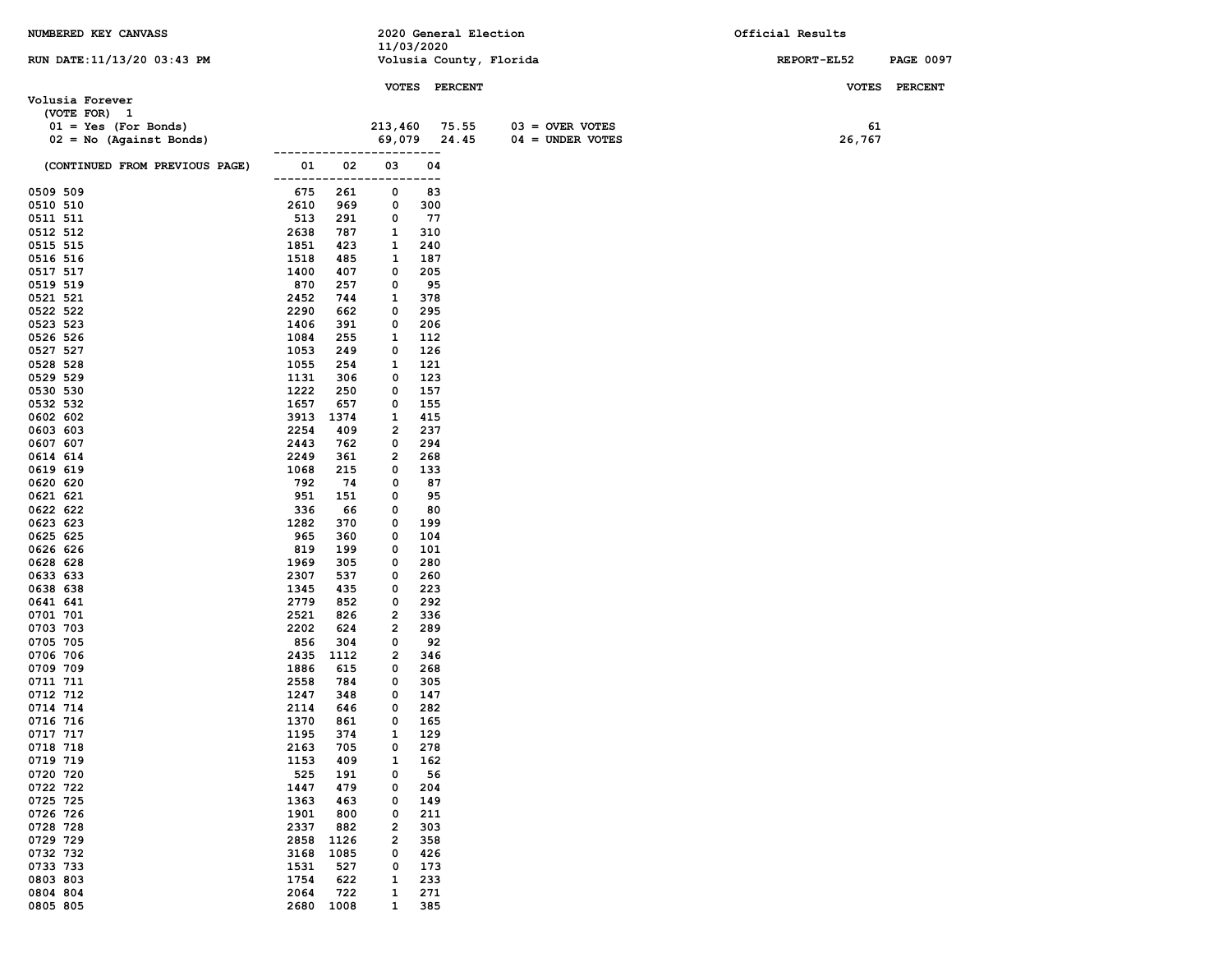| NUMBERED KEY CANVASS           |              |             |                         |               | 2020 General Election   |                    | Official Results |                  |
|--------------------------------|--------------|-------------|-------------------------|---------------|-------------------------|--------------------|------------------|------------------|
|                                |              |             | 11/03/2020              |               |                         |                    |                  |                  |
| RUN DATE: 11/13/20 03:43 PM    |              |             |                         |               | Volusia County, Florida |                    | REPORT-EL52      | <b>PAGE 0097</b> |
|                                |              |             |                         | VOTES PERCENT |                         |                    | <b>VOTES</b>     | <b>PERCENT</b>   |
| Volusia Forever                |              |             |                         |               |                         |                    |                  |                  |
| (VOTE FOR) 1                   |              |             |                         |               |                         |                    |                  |                  |
| $01 = Yes (For Bonds)$         |              |             | 213,460                 | 75.55         |                         | $03 =$ OVER VOTES  | 61               |                  |
| $02 = No$ (Against Bonds)      |              |             | 69,079                  | 24.45         |                         | $04 = UNDER VOTES$ | 26,767           |                  |
| (CONTINUED FROM PREVIOUS PAGE) | 01           | 02          | 03                      | 04            |                         |                    |                  |                  |
|                                |              |             |                         | ---           |                         |                    |                  |                  |
| 0509 509                       | 675          | 261         | 0                       | 83            |                         |                    |                  |                  |
| 0510 510                       | 2610         | 969         | 0                       | 300           |                         |                    |                  |                  |
| 0511 511                       | 513<br>2638  | 291         | 0                       | 77<br>310     |                         |                    |                  |                  |
| 0512 512<br>0515 515           | 1851         | 787<br>423  | 1<br>1                  | 240           |                         |                    |                  |                  |
| 0516 516                       | 1518         | 485         | 1                       | 187           |                         |                    |                  |                  |
| 0517 517                       | 1400         | 407         | 0                       | 205           |                         |                    |                  |                  |
| 0519 519                       | 870          | 257         | 0                       | 95            |                         |                    |                  |                  |
| 0521 521                       | 2452         | 744         | 1                       | 378           |                         |                    |                  |                  |
| 0522 522                       | 2290         | 662         | 0                       | 295           |                         |                    |                  |                  |
| 0523 523                       | 1406         | 391         | 0                       | 206           |                         |                    |                  |                  |
| 0526 526                       | 1084         | 255         | 1                       | 112           |                         |                    |                  |                  |
| 0527 527<br>0528 528           | 1053<br>1055 | 249<br>254  | 0<br>1                  | 126<br>121    |                         |                    |                  |                  |
| 0529 529                       | 1131         | 306         | 0                       | 123           |                         |                    |                  |                  |
| 0530 530                       | 1222         | 250         | 0                       | 157           |                         |                    |                  |                  |
| 0532 532                       | 1657         | 657         | 0                       | 155           |                         |                    |                  |                  |
| 0602 602                       | 3913         | 1374        | 1                       | 415           |                         |                    |                  |                  |
| 0603 603                       | 2254         | 409         | 2                       | 237           |                         |                    |                  |                  |
| 0607 607                       | 2443         | 762         | 0                       | 294           |                         |                    |                  |                  |
| 0614 614<br>0619 619           | 2249<br>1068 | 361<br>215  | 2<br>0                  | 268<br>133    |                         |                    |                  |                  |
| 0620 620                       | 792          | 74          | 0                       | 87            |                         |                    |                  |                  |
| 0621 621                       | 951          | 151         | 0                       | 95            |                         |                    |                  |                  |
| 0622 622                       | 336          | 66          | 0                       | 80            |                         |                    |                  |                  |
| 0623 623                       | 1282         | 370         | 0                       | 199           |                         |                    |                  |                  |
| 0625 625                       | 965          | 360         | 0                       | 104           |                         |                    |                  |                  |
| 0626 626                       | 819          | 199         | 0                       | 101           |                         |                    |                  |                  |
| 0628 628<br>0633 633           | 1969<br>2307 | 305<br>537  | 0<br>0                  | 280<br>260    |                         |                    |                  |                  |
| 0638 638                       | 1345         | 435         | 0                       | 223           |                         |                    |                  |                  |
| 0641 641                       | 2779         | 852         | 0                       | 292           |                         |                    |                  |                  |
| 0701 701                       | 2521         | 826         | 2                       | 336           |                         |                    |                  |                  |
| 0703 703                       | 2202         | 624         | $\overline{\mathbf{2}}$ | 289           |                         |                    |                  |                  |
| 0705 705                       | 856          | 304         | 0                       | 92            |                         |                    |                  |                  |
| 0706 706<br>0709 709           | 2435<br>1886 | 1112<br>615 | 2<br>0                  | 346<br>268    |                         |                    |                  |                  |
| 0711 711                       | 2558         | 784         | 0                       | 305           |                         |                    |                  |                  |
| 0712 712                       | 1247         | 348         | 0                       | 147           |                         |                    |                  |                  |
| 0714 714                       | 2114         | 646         | 0                       | 282           |                         |                    |                  |                  |
| 0716 716                       | 1370         | 861         | 0                       | 165           |                         |                    |                  |                  |
| 0717 717                       | 1195         | 374         | 1                       | 129           |                         |                    |                  |                  |
| 0718 718<br>0719 719           | 2163         | 705<br>409  | 0                       | 278           |                         |                    |                  |                  |
| 0720 720                       | 1153<br>525  | 191         | 1<br>0                  | 162<br>56     |                         |                    |                  |                  |
| 0722 722                       | 1447         | 479         | 0                       | 204           |                         |                    |                  |                  |
| 0725 725                       | 1363         | 463         | 0                       | 149           |                         |                    |                  |                  |
| 0726 726                       | 1901         | 800         | 0                       | 211           |                         |                    |                  |                  |
| 0728 728                       | 2337         | 882         | 2                       | 303           |                         |                    |                  |                  |
| 0729 729                       | 2858         | 1126        | $\overline{\mathbf{2}}$ | 358           |                         |                    |                  |                  |
| 0732 732<br>0733 733           | 3168<br>1531 | 1085<br>527 | 0<br>0                  | 426<br>173    |                         |                    |                  |                  |
| 0803 803                       | 1754         | 622         | 1                       | 233           |                         |                    |                  |                  |
| 0804 804                       | 2064         | 722         | 1                       | 271           |                         |                    |                  |                  |
| 0805 805                       | 2680         | 1008        | $\mathbf{1}$            | 385           |                         |                    |                  |                  |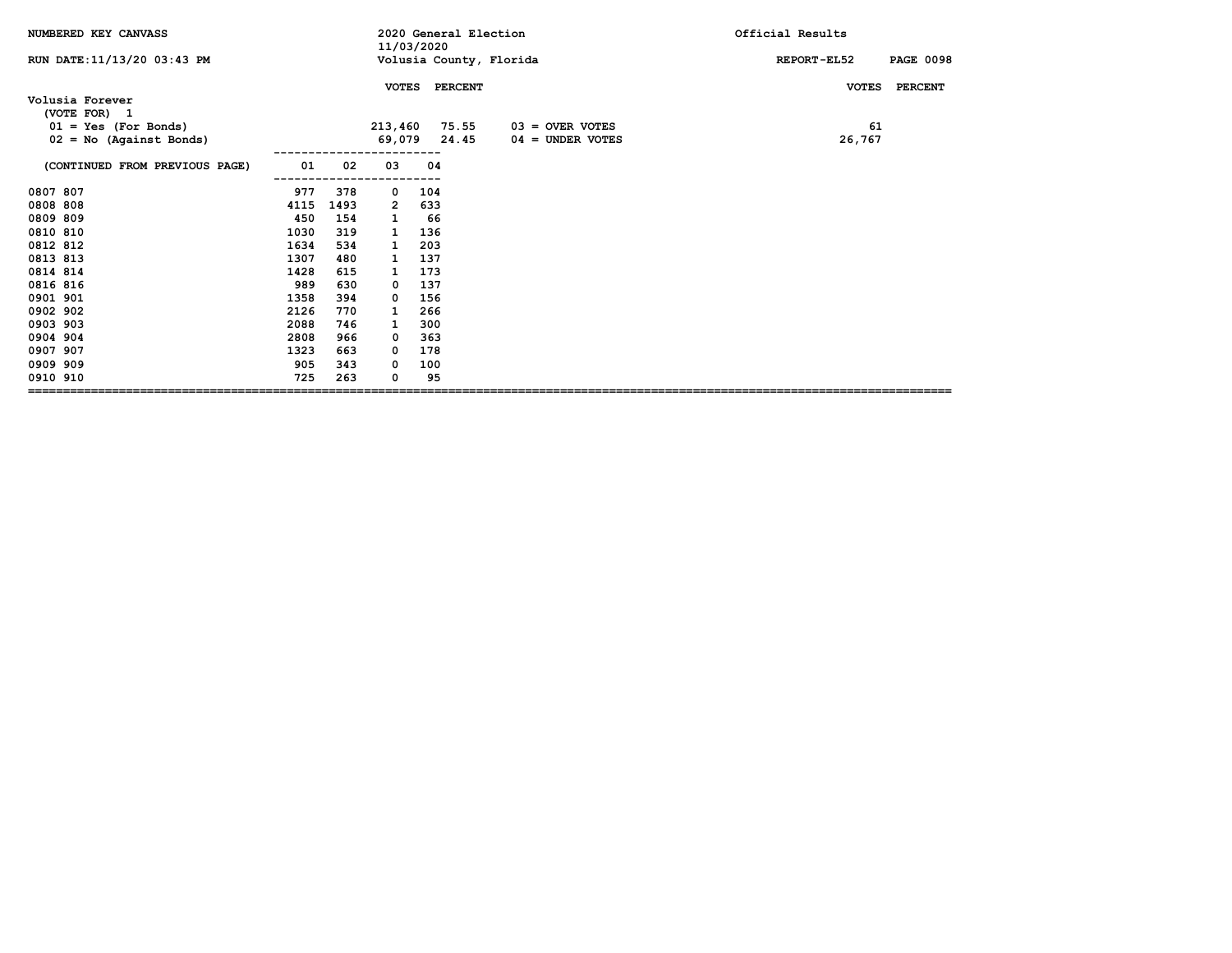| NUMBERED KEY CANVASS            |      |      | 11/03/2020    |     | 2020 General Election |                         | Official Results                |
|---------------------------------|------|------|---------------|-----|-----------------------|-------------------------|---------------------------------|
| RUN DATE: 11/13/20 03:43 PM     |      |      |               |     |                       | Volusia County, Florida | <b>PAGE 0098</b><br>REPORT-EL52 |
|                                 |      |      | <b>VOTES</b>  |     | <b>PERCENT</b>        |                         | <b>PERCENT</b><br><b>VOTES</b>  |
| Volusia Forever<br>(VOTE FOR) 1 |      |      |               |     |                       |                         |                                 |
| $01 = Yes (For Bonds)$          |      |      | 213,460 75.55 |     |                       | $03 =$ OVER VOTES       | 61                              |
| $02 = No$ (Against Bonds)       |      |      | 69,079        |     | 24.45                 | $04 =$ UNDER VOTES      | 26,767                          |
|                                 |      |      |               |     |                       |                         |                                 |
| (CONTINUED FROM PREVIOUS PAGE)  | 01   | 02   | 03            | 04  |                       |                         |                                 |
| 0807 807                        | 977  | 378  | 0             | 104 |                       |                         |                                 |
| 0808 808                        | 4115 | 1493 | 2             | 633 |                       |                         |                                 |
| 0809 809                        | 450  | 154  | 1             | 66  |                       |                         |                                 |
| 0810 810                        | 1030 | 319  | 1             | 136 |                       |                         |                                 |
| 0812 812                        | 1634 | 534  | 1             | 203 |                       |                         |                                 |
| 0813 813                        | 1307 | 480  | 1             | 137 |                       |                         |                                 |
| 0814 814                        | 1428 | 615  | 1             | 173 |                       |                         |                                 |
| 0816 816                        | 989  | 630  | 0             | 137 |                       |                         |                                 |
| 0901 901                        | 1358 | 394  | 0             | 156 |                       |                         |                                 |
| 0902 902                        | 2126 | 770  | 1             | 266 |                       |                         |                                 |
| 0903 903                        | 2088 | 746  | 1             | 300 |                       |                         |                                 |
| 0904 904                        | 2808 | 966  | 0             | 363 |                       |                         |                                 |
| 0907 907                        | 1323 | 663  | 0             | 178 |                       |                         |                                 |
| 0909 909                        | 905  | 343  | 0             | 100 |                       |                         |                                 |
| 0910 910                        | 725  | 263  | 0             | 95  |                       |                         |                                 |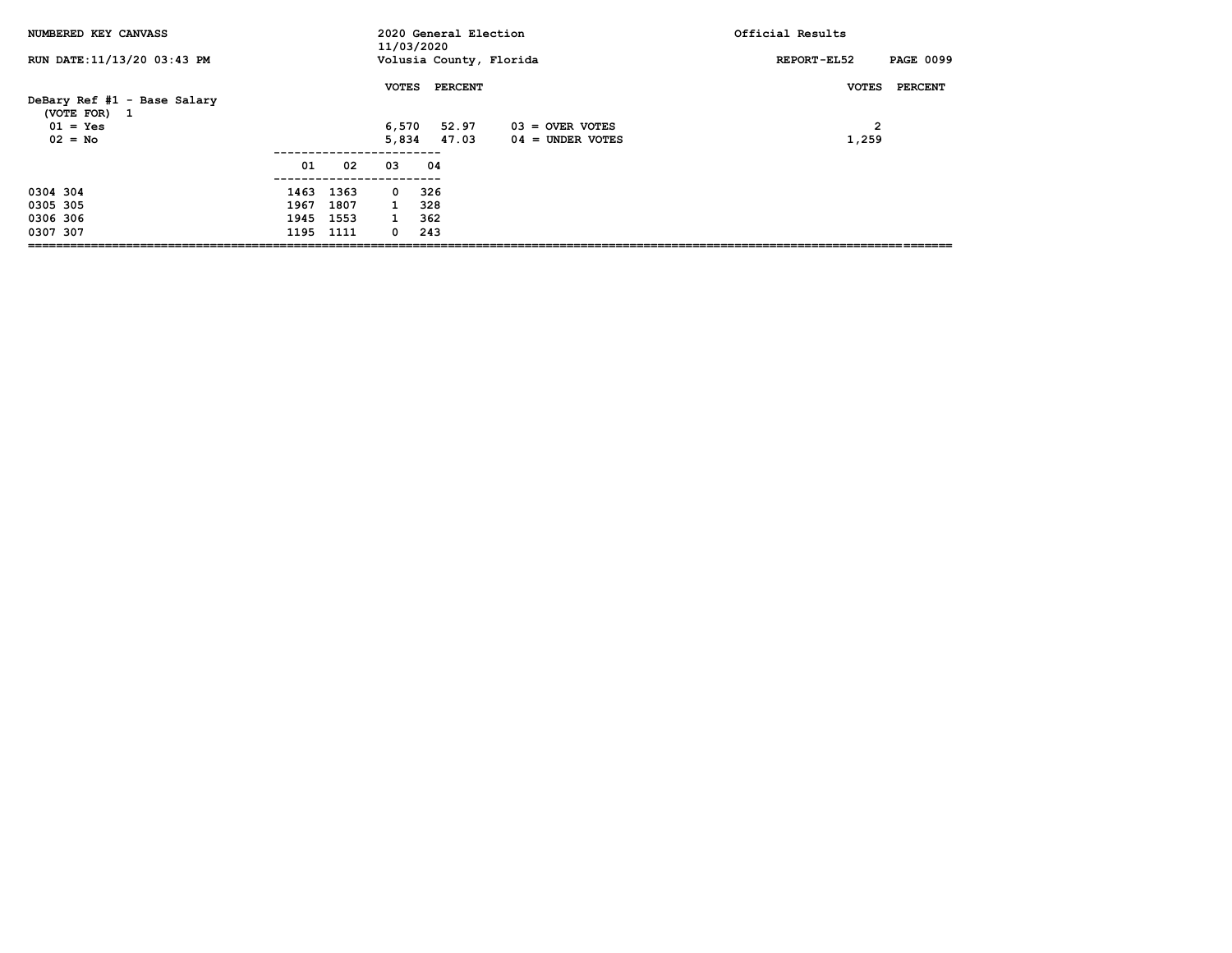| NUMBERED KEY CANVASS                                      |      |      | 11/03/2020            | 2020 General Election   |                    | Official Results                          |
|-----------------------------------------------------------|------|------|-----------------------|-------------------------|--------------------|-------------------------------------------|
| RUN DATE: 11/13/20 03:43 PM                               |      |      |                       | Volusia County, Florida |                    | <b>PAGE 0099</b><br>REPORT-EL52           |
| DeBary Ref #1 - Base Salary<br>(VOTE FOR) 1<br>$01 = Yes$ |      |      | <b>VOTES</b><br>6,570 | <b>PERCENT</b><br>52.97 | 03 = OVER VOTES    | <b>VOTES</b><br>PERCENT<br>$\overline{2}$ |
| $02 = No$                                                 |      |      | 5,834                 | 47.03                   | $04 =$ UNDER VOTES | 1,259                                     |
|                                                           | 01   | 02   | 03                    | 04                      |                    |                                           |
| 0304 304                                                  | 1463 | 1363 | $\mathbf{0}$          | 326                     |                    |                                           |
| 0305 305                                                  | 1967 | 1807 | $\mathbf{1}$          | 328                     |                    |                                           |
| 0306 306                                                  | 1945 | 1553 | $\mathbf{1}$          | 362                     |                    |                                           |
| 0307 307                                                  | 1195 | 1111 | $\Omega$              | 243                     |                    |                                           |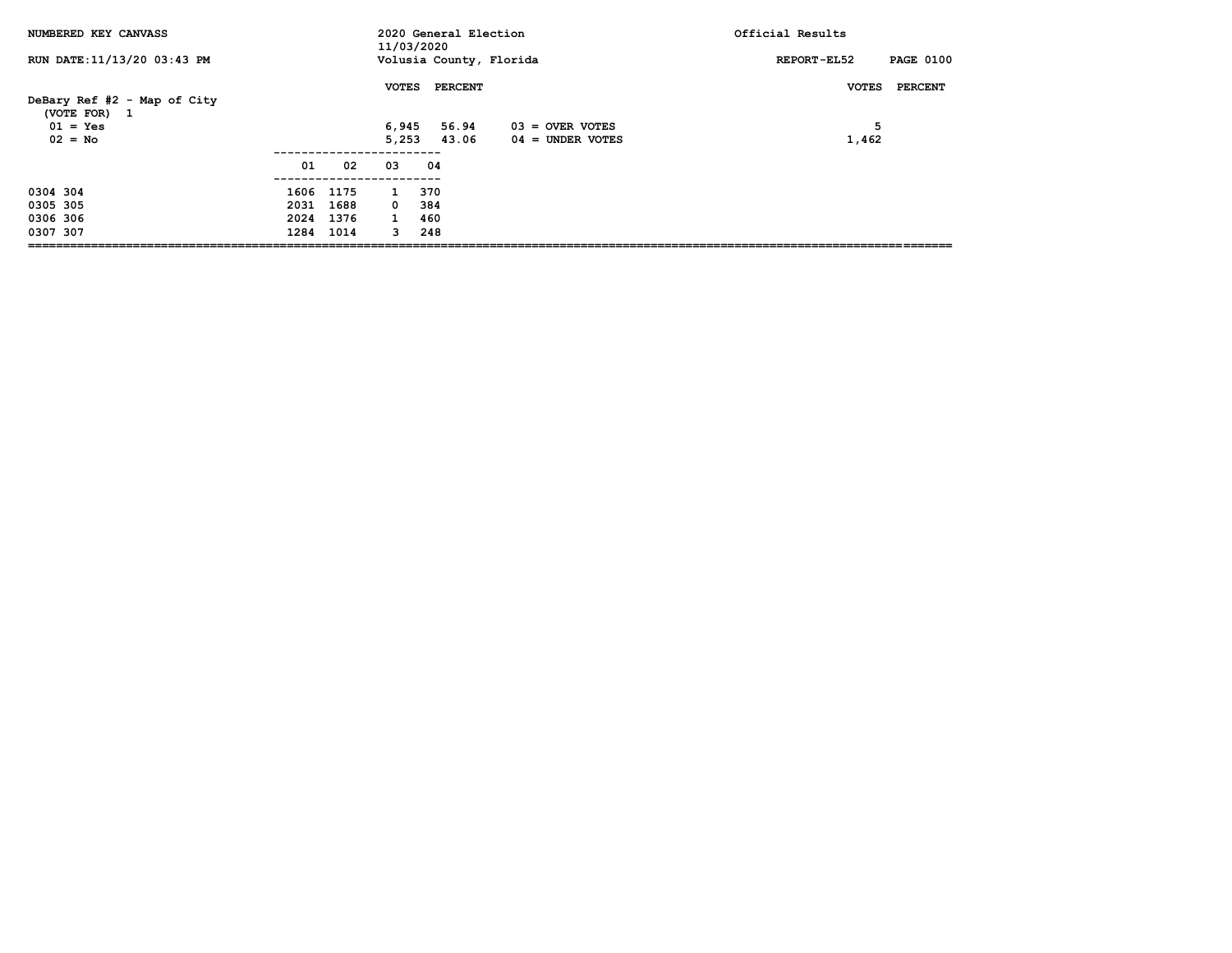| NUMBERED KEY CANVASS                        |           |           | 11/03/2020   | 2020 General Election   |                   | Official Results                |
|---------------------------------------------|-----------|-----------|--------------|-------------------------|-------------------|---------------------------------|
| RUN DATE:11/13/20 03:43 PM                  |           |           |              | Volusia County, Florida |                   | <b>PAGE 0100</b><br>REPORT-EL52 |
| DeBary Ref #2 - Map of City<br>(VOTE FOR) 1 |           |           | <b>VOTES</b> | <b>PERCENT</b>          |                   | PERCENT<br><b>VOTES</b>         |
| $01 = Yes$                                  |           |           | 6,945        | 56.94                   | $03 =$ OVER VOTES | 5                               |
| $02 = No$                                   |           |           | 5.253        | 43.06                   | 04 = UNDER VOTES  | 1,462                           |
|                                             | 01        | 02        | 03           | 04                      |                   |                                 |
| 0304 304                                    |           | 1606 1175 | $\mathbf{1}$ | 370                     |                   |                                 |
| 0305 305                                    | 2031      | 1688      | $^{\circ}$   | 384                     |                   |                                 |
| 0306 306                                    | 2024 1376 |           | $\mathbf{1}$ | 460                     |                   |                                 |
| 0307 307                                    |           | 1284 1014 | $\mathbf{3}$ | 248                     |                   |                                 |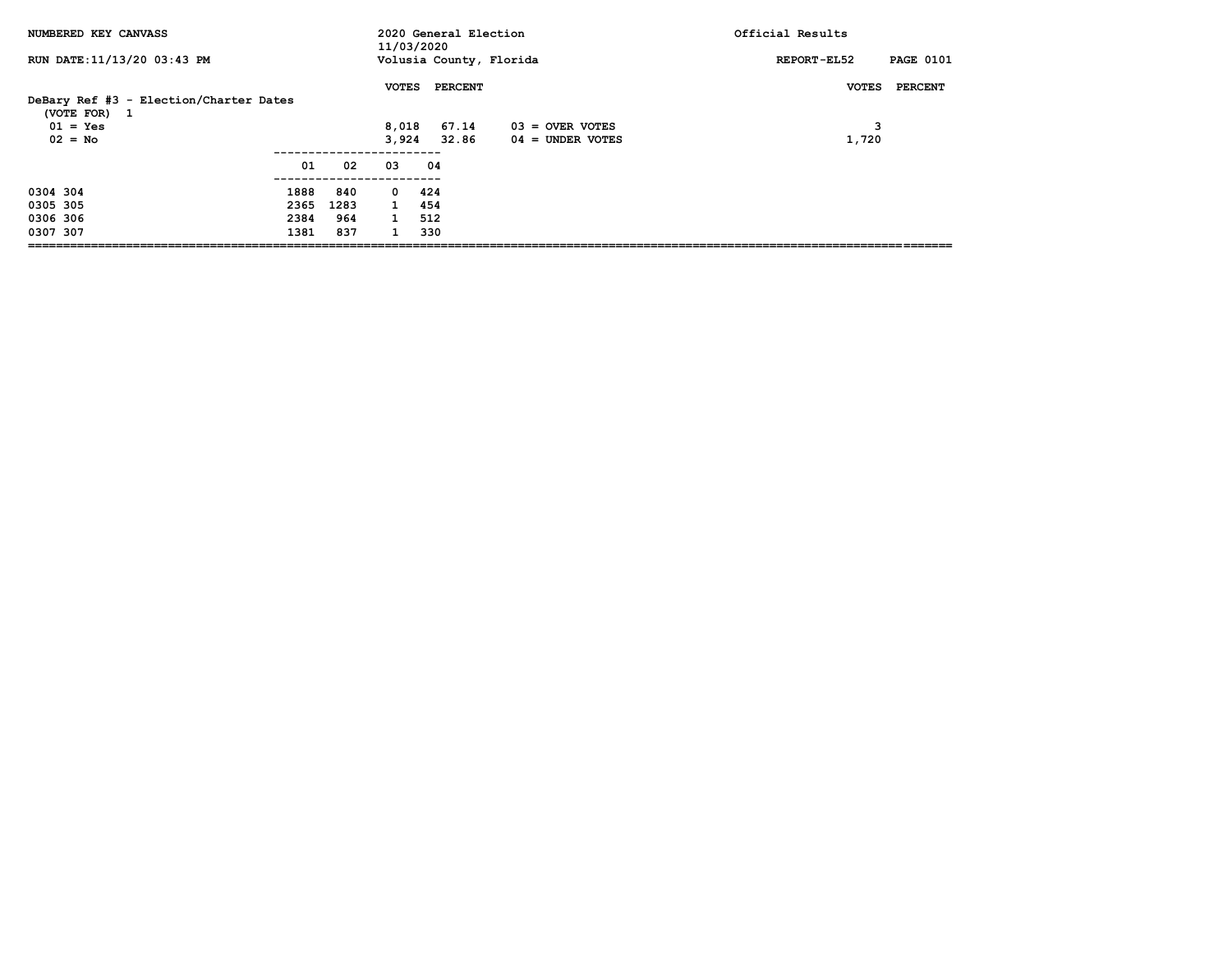| NUMBERED KEY CANVASS                                                              |      |      | 11/03/2020                     | 2020 General Election            |                                       | Official Results                      |
|-----------------------------------------------------------------------------------|------|------|--------------------------------|----------------------------------|---------------------------------------|---------------------------------------|
| RUN DATE: 11/13/20 03:43 PM                                                       |      |      |                                | Volusia County, Florida          |                                       | <b>PAGE 0101</b><br>REPORT-EL52       |
| DeBary Ref #3 - Election/Charter Dates<br>(VOTE FOR) 1<br>$01 = Yes$<br>$02 = No$ |      |      | <b>VOTES</b><br>8,018<br>3.924 | <b>PERCENT</b><br>67.14<br>32.86 | 03 = OVER VOTES<br>$04 =$ UNDER VOTES | PERCENT<br><b>VOTES</b><br>з<br>1,720 |
|                                                                                   | 01   | 02   | 03                             | 04                               |                                       |                                       |
| 0304 304                                                                          | 1888 | 840  | $\mathbf{0}$                   | 424                              |                                       |                                       |
| 0305 305                                                                          | 2365 | 1283 | $\mathbf{1}$                   | 454                              |                                       |                                       |
| 0306 306                                                                          | 2384 | 964  | $\mathbf{1}$                   | 512                              |                                       |                                       |
| 0307 307                                                                          | 1381 | 837  |                                | 330                              |                                       |                                       |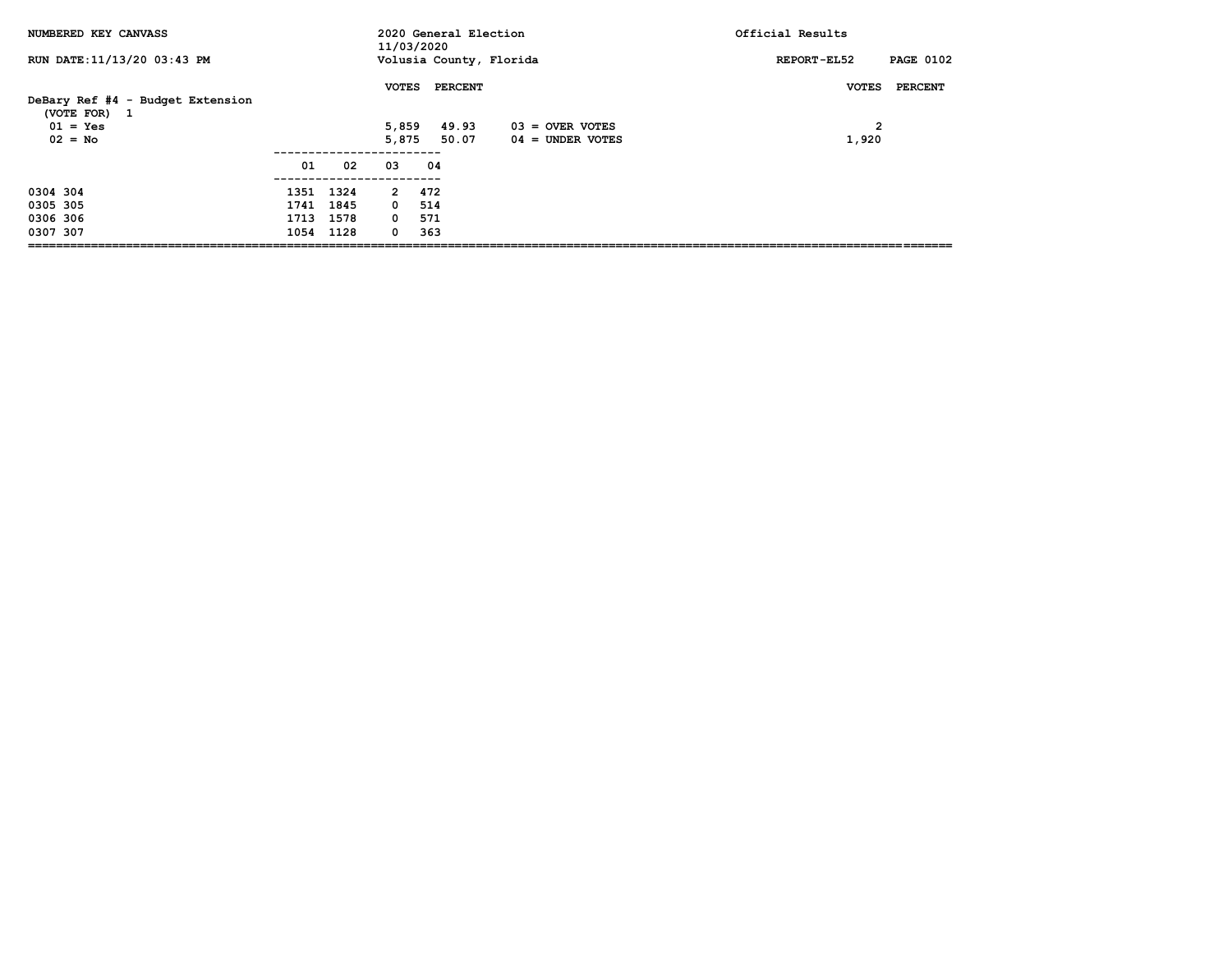| NUMBERED KEY CANVASS                                                        |                                     |           | 11/03/2020                             | 2020 General Election            |                                         | Official Results                                   |
|-----------------------------------------------------------------------------|-------------------------------------|-----------|----------------------------------------|----------------------------------|-----------------------------------------|----------------------------------------------------|
| RUN DATE: 11/13/20 03:43 PM                                                 |                                     |           |                                        | Volusia County, Florida          |                                         | <b>PAGE 0102</b><br>REPORT-EL52                    |
| DeBary Ref #4 - Budget Extension<br>(VOTE FOR) 1<br>$01 = Yes$<br>$02 = No$ |                                     |           | <b>VOTES</b><br>5,859<br>5,875         | <b>PERCENT</b><br>49.93<br>50.07 | $03 =$ OVER VOTES<br>$04 =$ UNDER VOTES | <b>VOTES</b><br>PERCENT<br>$\overline{2}$<br>1,920 |
|                                                                             | 01                                  | 02        | 03                                     | 04                               |                                         |                                                    |
| 0304 304<br>0305 305<br>0306 306<br>0307 307                                | 1351 1324<br>1741 1845<br>1713 1578 | 1054 1128 | 2 472<br>$0\quad 514$<br>$\Omega$<br>0 | 571<br>363                       |                                         |                                                    |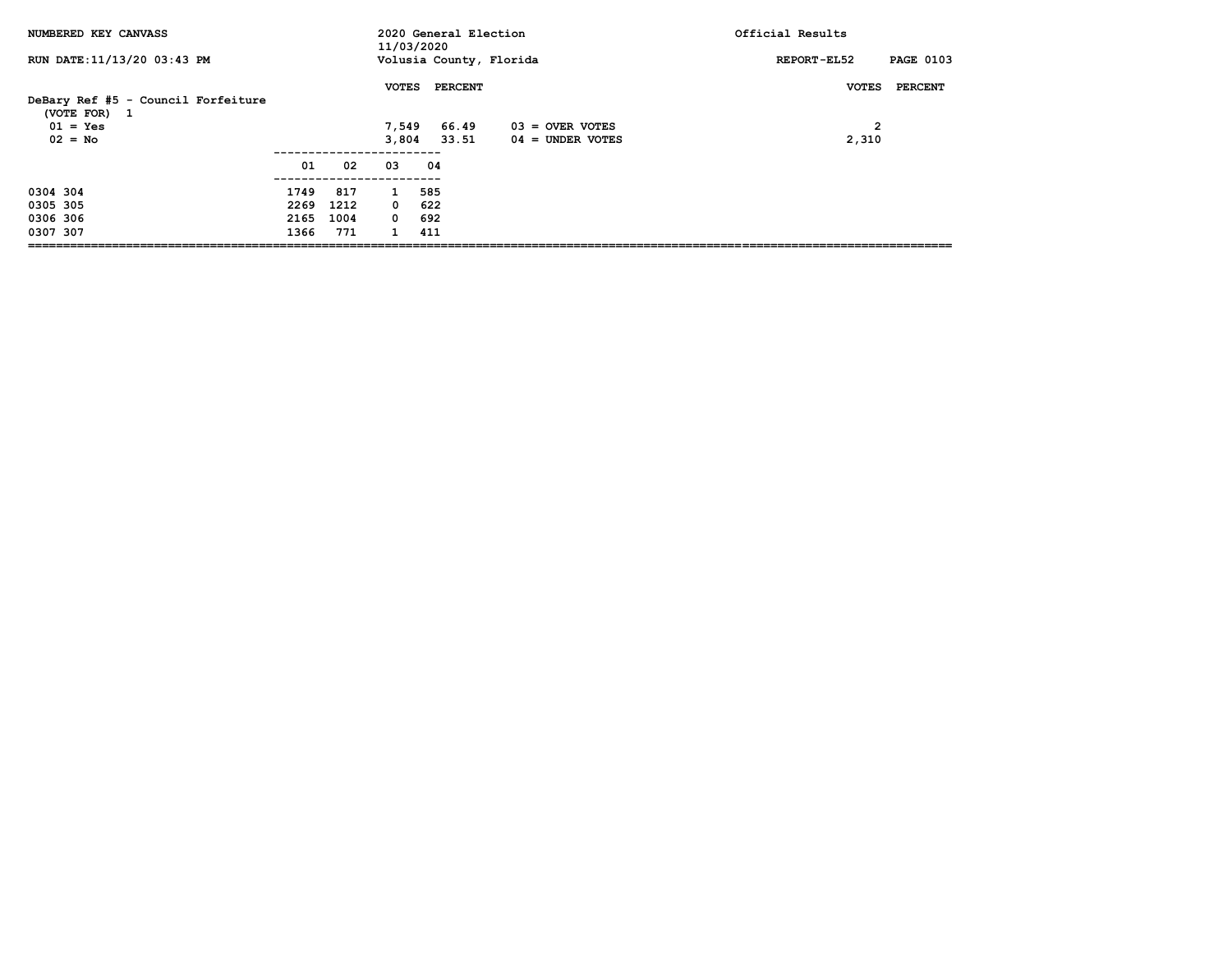| NUMBERED KEY CANVASS                                                          |      |      | 11/03/2020   | 2020 General Election                        |                                         | Official Results                                 |
|-------------------------------------------------------------------------------|------|------|--------------|----------------------------------------------|-----------------------------------------|--------------------------------------------------|
| RUN DATE: 11/13/20 03:43 PM                                                   |      |      |              | Volusia County, Florida                      |                                         | <b>PAGE 0103</b><br>REPORT-EL52                  |
| DeBary Ref #5 - Council Forfeiture<br>(VOTE FOR) 1<br>$01 = Yes$<br>$02 = No$ |      |      | <b>VOTES</b> | <b>PERCENT</b><br>7,549 66.49<br>3,804 33.51 | $03 =$ OVER VOTES<br>$04 =$ UNDER VOTES | PERCENT<br><b>VOTES</b><br>$\mathbf{2}$<br>2,310 |
|                                                                               | 01   | 02   | 03           | 04                                           |                                         |                                                  |
| 0304 304                                                                      | 1749 | 817  | $\mathbf{1}$ | 585                                          |                                         |                                                  |
| 0305 305                                                                      | 2269 | 1212 | $0$ 622      |                                              |                                         |                                                  |
| 0306 306                                                                      | 2165 | 1004 | 0 692        |                                              |                                         |                                                  |
| 0307 307                                                                      | 1366 | 771  | $\mathbf{1}$ | 411                                          |                                         |                                                  |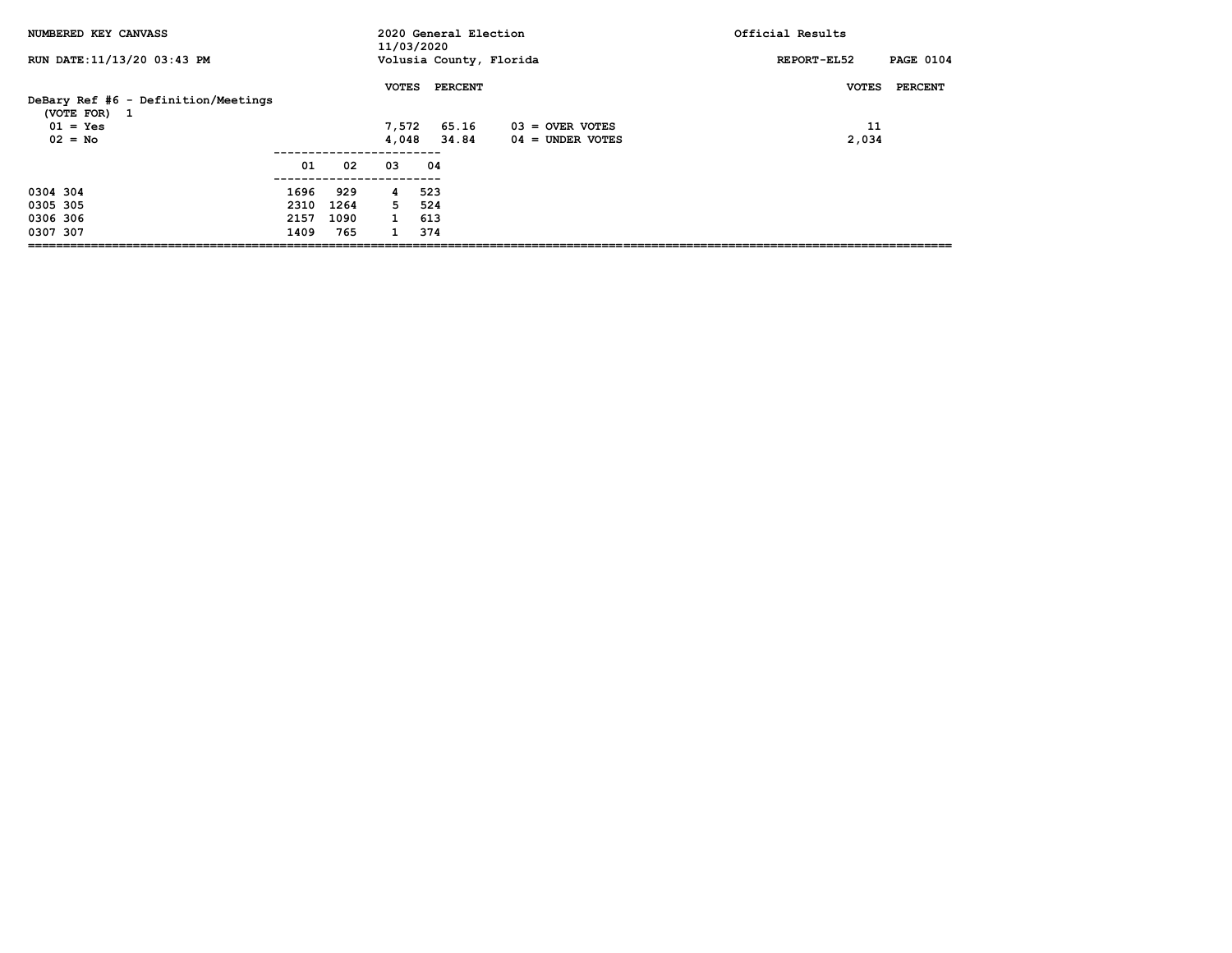| NUMBERED KEY CANVASS                                                           |                              |                            | 11/03/2020                             | 2020 General Election     |                                         | Official Results                       |
|--------------------------------------------------------------------------------|------------------------------|----------------------------|----------------------------------------|---------------------------|-----------------------------------------|----------------------------------------|
| RUN DATE: 11/13/20 03:43 PM                                                    |                              |                            |                                        | Volusia County, Florida   |                                         | <b>PAGE 0104</b><br>REPORT-EL52        |
| DeBary Ref #6 - Definition/Meetings<br>(VOTE FOR) 1<br>$01 = Yes$<br>$02 = No$ |                              |                            | <b>VOTES</b><br>7,572<br>4,048         | PERCENT<br>65.16<br>34.84 | $03 =$ OVER VOTES<br>$04 =$ UNDER VOTES | PERCENT<br><b>VOTES</b><br>11<br>2,034 |
|                                                                                | 01                           | 02                         | 03                                     | 04                        |                                         |                                        |
| 0304 304<br>0305 305<br>0306 306<br>0307 307                                   | 1696<br>2310<br>2157<br>1409 | 929<br>1264<br>1090<br>765 | 4<br>5<br>$\mathbf{1}$<br>$\mathbf{1}$ | 523<br>524<br>613<br>374  |                                         |                                        |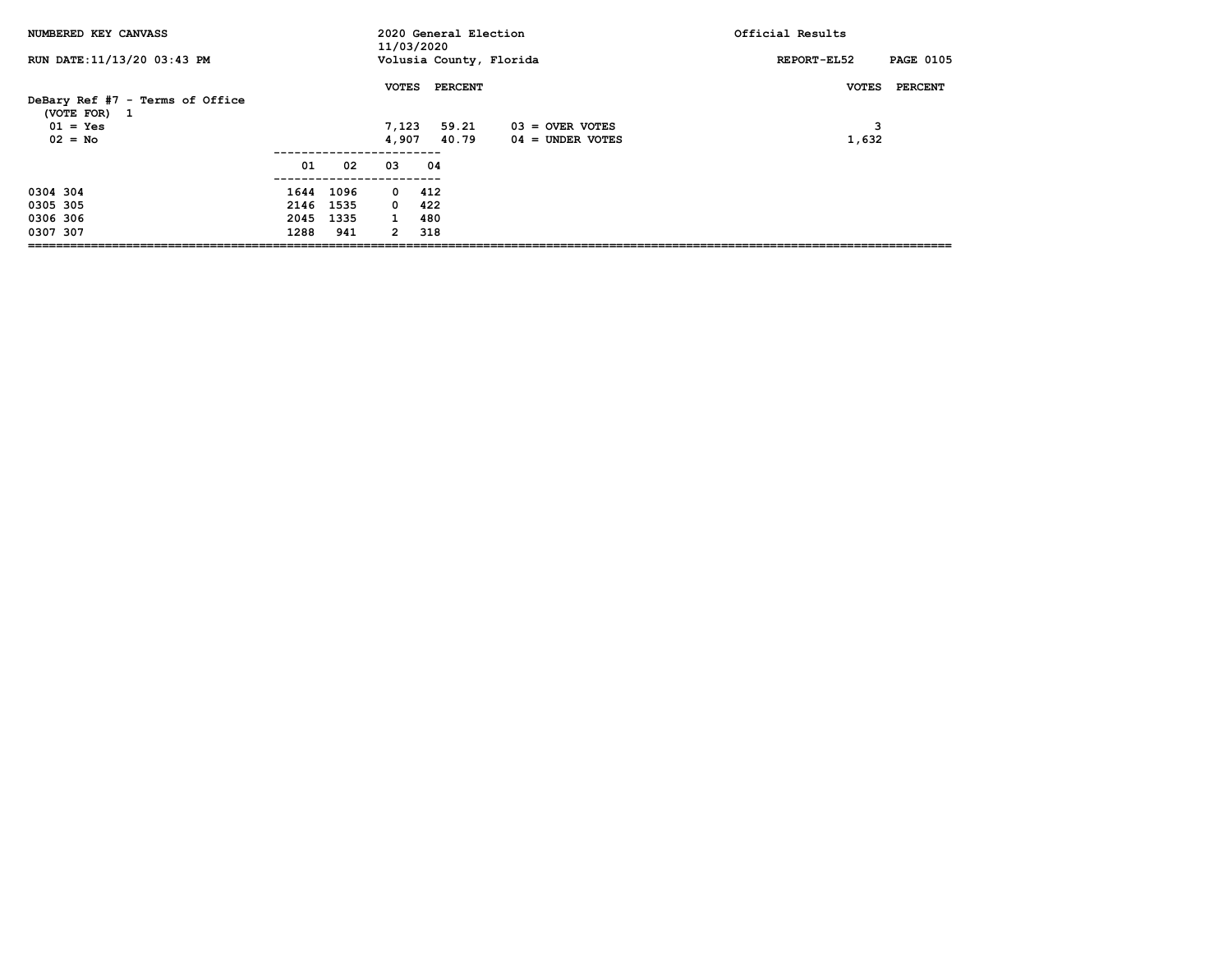| NUMBERED KEY CANVASS                                                       |                           |                          | 11/03/2020                                                  | 2020 General Election            |                                       | Official Results                      |
|----------------------------------------------------------------------------|---------------------------|--------------------------|-------------------------------------------------------------|----------------------------------|---------------------------------------|---------------------------------------|
| RUN DATE: 11/13/20 03:43 PM                                                |                           |                          |                                                             | Volusia County, Florida          |                                       | <b>PAGE 0105</b><br>REPORT-EL52       |
| DeBary Ref #7 - Terms of Office<br>(VOTE FOR) 1<br>$01 = Yes$<br>$02 = No$ |                           |                          | <b>VOTES</b><br>7,123<br>4,907                              | <b>PERCENT</b><br>59.21<br>40.79 | 03 = OVER VOTES<br>$04 =$ UNDER VOTES | <b>VOTES</b><br>PERCENT<br>з<br>1,632 |
|                                                                            | 01                        | 02                       | 03                                                          | 04                               |                                       |                                       |
| 0304 304<br>0305 305<br>0306 306<br>0307 307                               | 2146 1535<br>2045<br>1288 | 1644 1096<br>1335<br>941 | $0\quad 412$<br>$0\quad 422$<br>$\mathbf{1}$<br>$2^{\circ}$ | 480<br>318                       |                                       |                                       |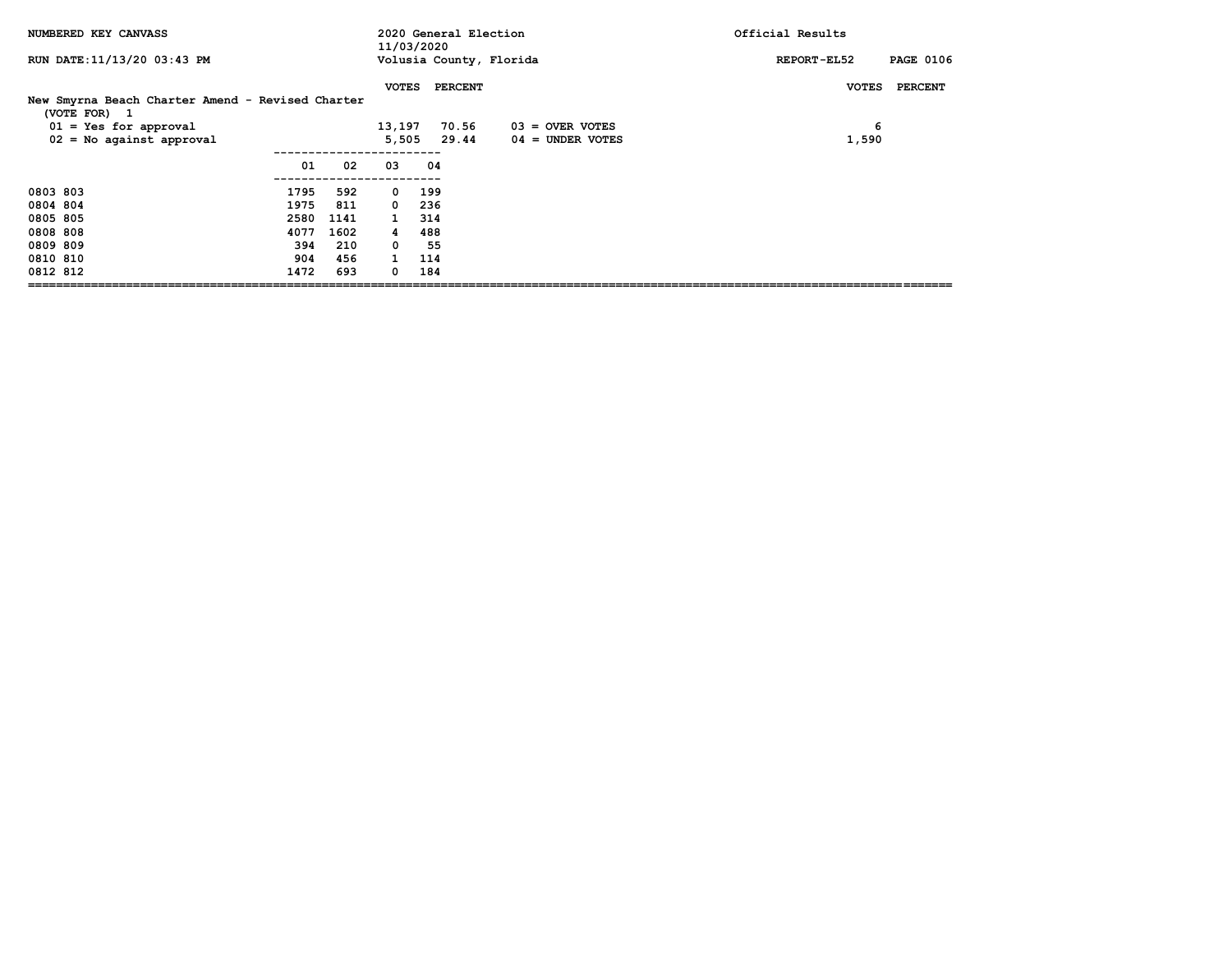| NUMBERED KEY CANVASS                                                  |              |            | 11/03/2020                 | 2020 General Election   |                                         | Official Results                |
|-----------------------------------------------------------------------|--------------|------------|----------------------------|-------------------------|-----------------------------------------|---------------------------------|
| RUN DATE: 11/13/20 03:43 PM                                           |              |            |                            | Volusia County, Florida |                                         | <b>PAGE 0106</b><br>REPORT-EL52 |
| New Smyrna Beach Charter Amend - Revised Charter                      |              |            | <b>VOTES</b>               | <b>PERCENT</b>          |                                         | <b>PERCENT</b><br><b>VOTES</b>  |
| (VOTE FOR) 1<br>$01 = Yes for approval$<br>$02 = No$ against approval |              |            | 13,197<br>5,505            | 70.56<br>29.44          | $03 =$ OVER VOTES<br>$04 =$ UNDER VOTES | 6<br>1,590                      |
|                                                                       | 01           | 02         | 03                         | 04                      |                                         |                                 |
| 0803 803<br>0804 804                                                  | 1795<br>1975 | 592<br>811 | $\mathbf{0}$<br>$^{\circ}$ | 199<br>236              |                                         |                                 |
| 0805 805                                                              | 2580         | 1141       | $\mathbf{1}$               | 314                     |                                         |                                 |
| 0808 808                                                              | 4077         | 1602       | 4                          | 488                     |                                         |                                 |
| 0809 809                                                              | 394          | 210        | $\mathbf 0$                | 55                      |                                         |                                 |
| 0810 810                                                              | 904          | 456        | $\mathbf{1}$               | 114                     |                                         |                                 |
| 0812 812                                                              | 1472         | 693        | $^{\circ}$                 | 184                     |                                         |                                 |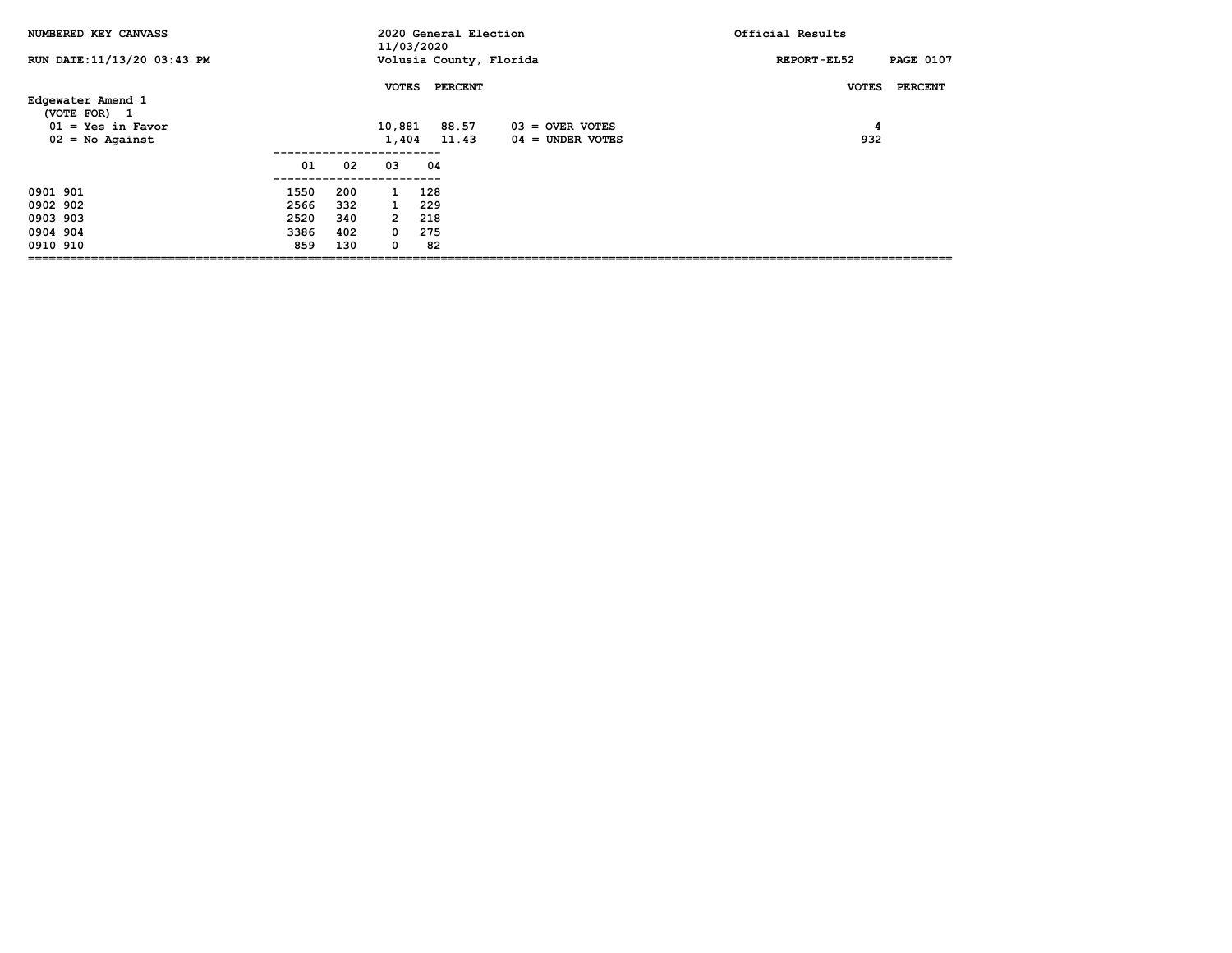| NUMBERED KEY CANVASS                                     |      |     | 11/03/2020      | 2020 General Election   |                                         | Official Results                |
|----------------------------------------------------------|------|-----|-----------------|-------------------------|-----------------------------------------|---------------------------------|
| RUN DATE: 11/13/20 03:43 PM                              |      |     |                 | Volusia County, Florida |                                         | <b>PAGE 0107</b><br>REPORT-EL52 |
| Edgewater Amend 1                                        |      |     | <b>VOTES</b>    | <b>PERCENT</b>          |                                         | <b>PERCENT</b><br><b>VOTES</b>  |
| (VOTE FOR) 1<br>$01 = Yes$ in Favor<br>$02 = No$ Against |      |     | 10,881<br>1,404 | 88.57<br>11.43          | $03 =$ OVER VOTES<br>$04 =$ UNDER VOTES | 4<br>932                        |
|                                                          | 01   | 02  | 03              | 04                      |                                         |                                 |
| 0901 901                                                 | 1550 | 200 | $\mathbf{1}$    | 128                     |                                         |                                 |
| 0902 902                                                 | 2566 | 332 | 1               | 229                     |                                         |                                 |
| 0903 903                                                 | 2520 | 340 | $\mathbf{2}$    | 218                     |                                         |                                 |
| 0904 904                                                 | 3386 | 402 | $^{\circ}$      | 275                     |                                         |                                 |
| 0910 910                                                 | 859  | 130 | 0               | 82                      |                                         |                                 |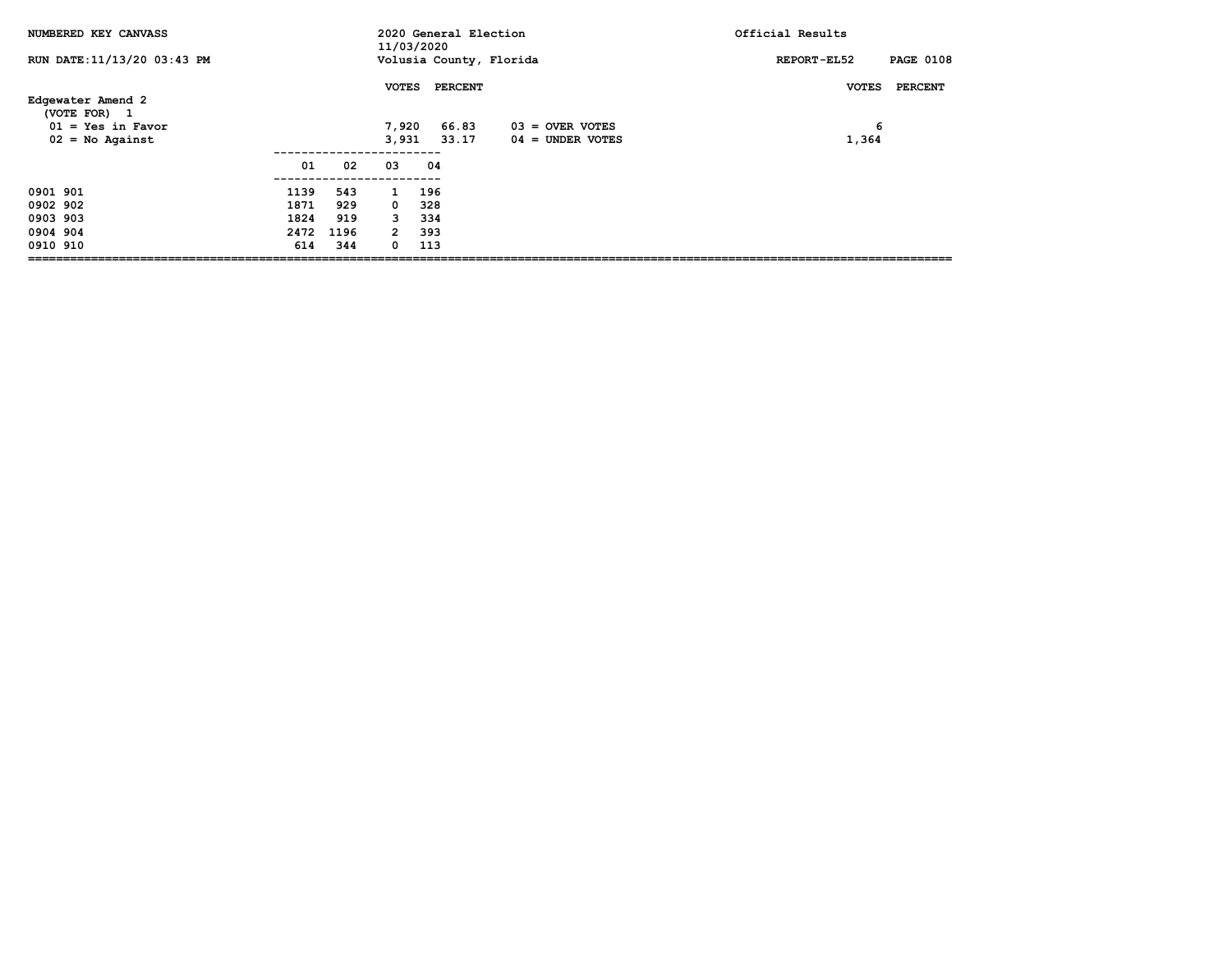| NUMBERED KEY CANVASS              |      |      | 11/03/2020     | 2020 General Election   |                    | Official Results                |
|-----------------------------------|------|------|----------------|-------------------------|--------------------|---------------------------------|
| RUN DATE: 11/13/20 03:43 PM       |      |      |                | Volusia County, Florida |                    | <b>PAGE 0108</b><br>REPORT-EL52 |
| Edgewater Amend 2<br>(VOTE FOR) 1 |      |      | <b>VOTES</b>   | <b>PERCENT</b>          |                    | <b>PERCENT</b><br><b>VOTES</b>  |
| $01 = Yes$ in Favor               |      |      | 7,920          | 66.83                   | $03 =$ OVER VOTES  | 6                               |
| $02 = No$ Against                 |      |      | 3,931          | 33.17                   | $04 =$ UNDER VOTES | 1,364                           |
|                                   |      |      |                |                         |                    |                                 |
|                                   | 01   | 02   | 03             | 04                      |                    |                                 |
| 0901 901                          | 1139 | 543  | $\mathbf{1}$   | 196                     |                    |                                 |
| 0902 902                          | 1871 | 929  | $^{\circ}$     | 328                     |                    |                                 |
| 0903 903                          | 1824 | 919  | 3              | 334                     |                    |                                 |
| 0904 904                          | 2472 | 1196 | $\overline{2}$ | 393                     |                    |                                 |
| 0910 910                          | 614  | 344  | 0              | 113                     |                    |                                 |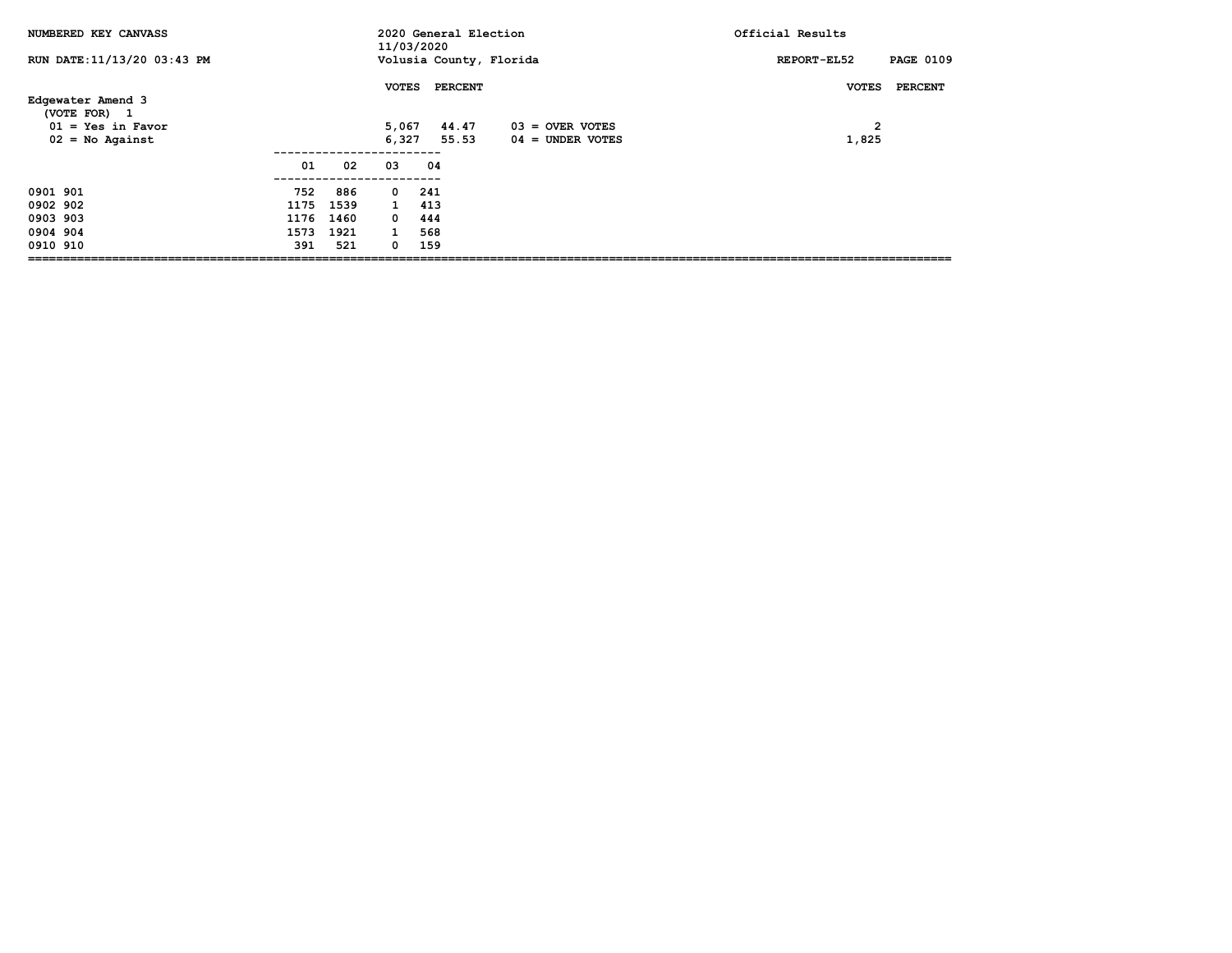| NUMBERED KEY CANVASS              |      |      | 11/03/2020   | 2020 General Election   |                    | Official Results                |
|-----------------------------------|------|------|--------------|-------------------------|--------------------|---------------------------------|
| RUN DATE: 11/13/20 03:43 PM       |      |      |              | Volusia County, Florida |                    | <b>PAGE 0109</b><br>REPORT-EL52 |
| Edgewater Amend 3<br>(VOTE FOR) 1 |      |      | <b>VOTES</b> | PERCENT                 |                    | PERCENT<br><b>VOTES</b>         |
| $01 = Yes$ in Favor               |      |      | 5,067        | 44.47                   | $03 =$ OVER VOTES  | $\mathbf{2}$                    |
| $02 = No$ Against                 |      |      | 6,327        | 55.53                   | $04 =$ UNDER VOTES | 1,825                           |
|                                   |      |      |              |                         |                    |                                 |
|                                   | 01   | 02   | 03           | 04                      |                    |                                 |
| 0901 901                          | 752  | 886  | $\mathbf{o}$ | 241                     |                    |                                 |
| 0902 902                          | 1175 | 1539 | $\mathbf{1}$ | 413                     |                    |                                 |
| 0903 903                          | 1176 | 1460 | $^{\circ}$   | 444                     |                    |                                 |
| 0904 904                          | 1573 | 1921 | $\mathbf{1}$ | 568                     |                    |                                 |
| 0910 910                          | 391  | 521  | 0            | 159                     |                    |                                 |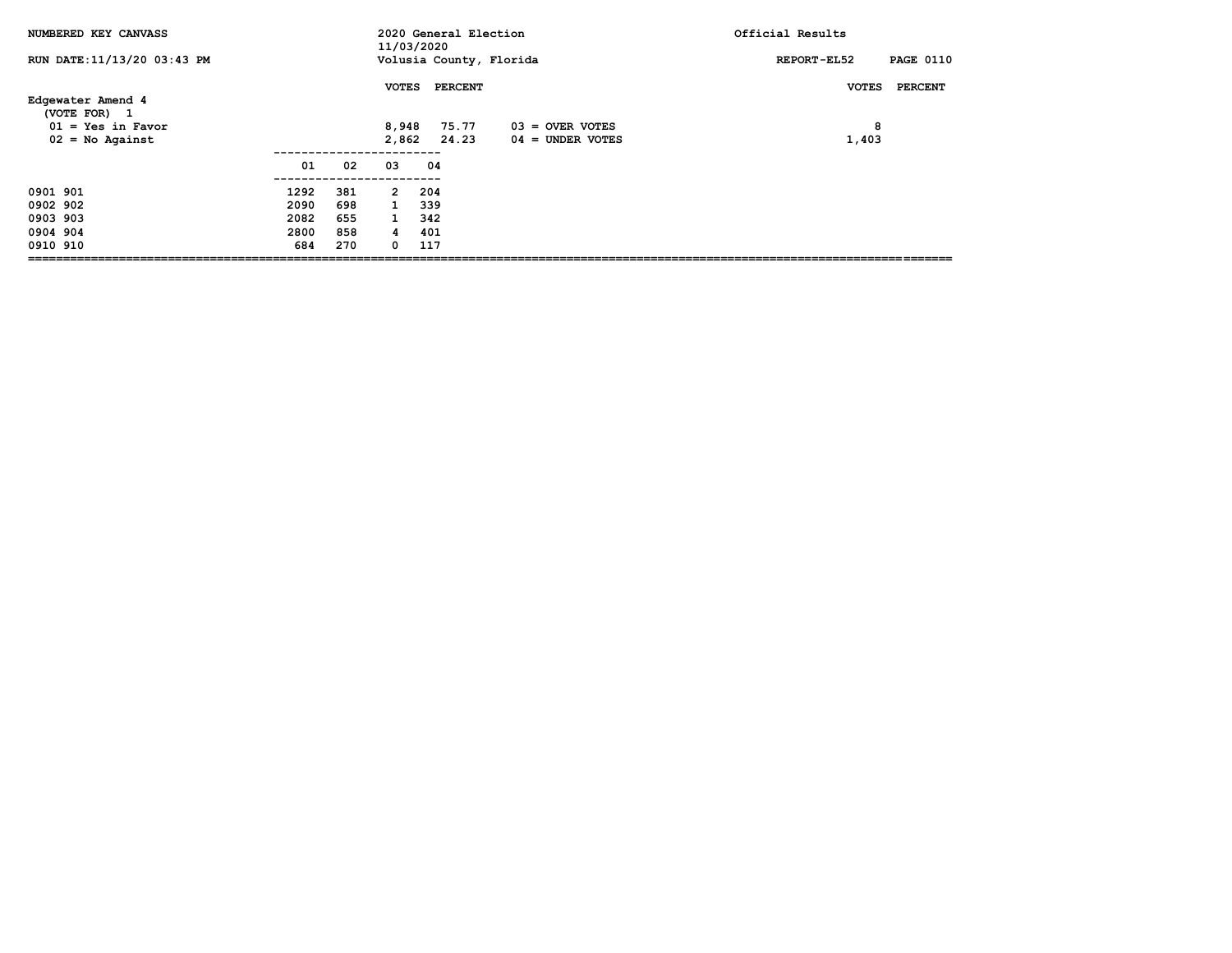| NUMBERED KEY CANVASS                |      |     | 11/03/2020   | 2020 General Election   |                    | Official Results                |
|-------------------------------------|------|-----|--------------|-------------------------|--------------------|---------------------------------|
| RUN DATE: 11/13/20 03:43 PM         |      |     |              | Volusia County, Florida |                    | <b>PAGE 0110</b><br>REPORT-EL52 |
| Edgewater Amend 4                   |      |     | <b>VOTES</b> | PERCENT                 |                    | <b>PERCENT</b><br><b>VOTES</b>  |
| (VOTE FOR) 1<br>$01 = Yes$ in Favor |      |     | 8,948        | 75.77                   | $03 =$ OVER VOTES  | 8                               |
| $02 = No$ Against                   |      |     | 2,862        | 24.23                   | $04 =$ UNDER VOTES | 1,403                           |
|                                     | 01   | 02  | 03           | 04                      |                    |                                 |
| 0901 901                            | 1292 | 381 | $\mathbf{2}$ | 204                     |                    |                                 |
| 0902 902                            | 2090 | 698 | $\mathbf{1}$ | 339                     |                    |                                 |
| 0903 903                            | 2082 | 655 | $\mathbf{1}$ | 342                     |                    |                                 |
| 0904 904                            | 2800 | 858 | 4            | 401                     |                    |                                 |
| 0910 910                            | 684  | 270 | 0            | 117                     |                    |                                 |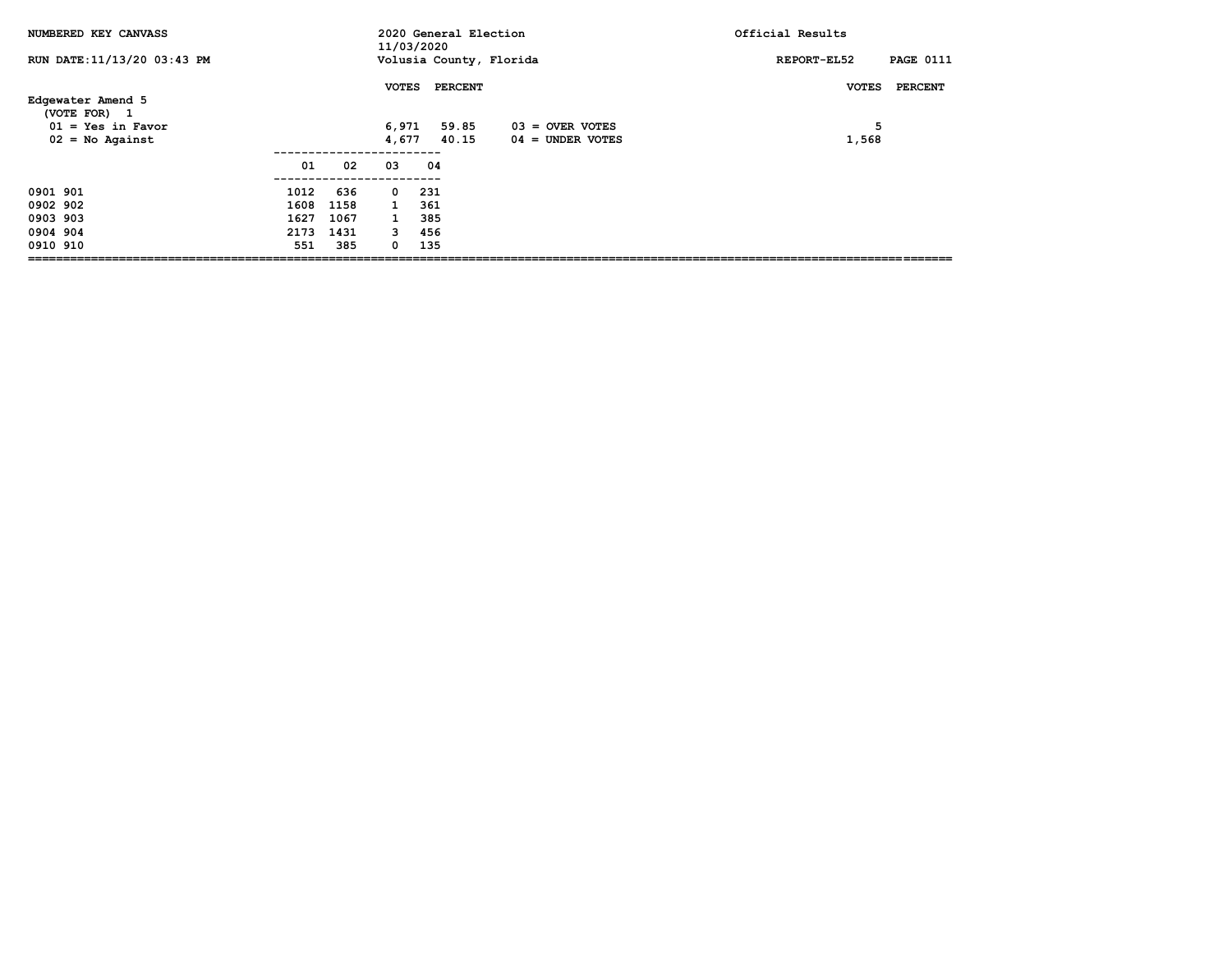| NUMBERED KEY CANVASS                     |      |      | 11/03/2020     | 2020 General Election   |                                         | Official Results                |
|------------------------------------------|------|------|----------------|-------------------------|-----------------------------------------|---------------------------------|
| RUN DATE: 11/13/20 03:43 PM              |      |      |                | Volusia County, Florida |                                         | <b>PAGE 0111</b><br>REPORT-EL52 |
| Edgewater Amend 5<br>(VOTE FOR) 1        |      |      | <b>VOTES</b>   | <b>PERCENT</b>          |                                         | PERCENT<br><b>VOTES</b>         |
| $01 = Yes$ in Favor<br>$02 = No$ Against |      |      | 6,971<br>4,677 | 59.85<br>40.15          | $03 =$ OVER VOTES<br>$04 =$ UNDER VOTES | 5<br>1,568                      |
|                                          | 01   | 02   | 03             | 04                      |                                         |                                 |
| 0901 901                                 | 1012 | 636  | $\mathbf{o}$   | 231                     |                                         |                                 |
| 0902 902                                 | 1608 | 1158 | $\mathbf{1}$   | 361                     |                                         |                                 |
| 0903 903                                 | 1627 | 1067 | $\mathbf{1}$   | 385                     |                                         |                                 |
| 0904 904                                 | 2173 | 1431 | 3              | 456                     |                                         |                                 |
| 0910 910                                 | 551  | 385  | 0              | 135                     |                                         |                                 |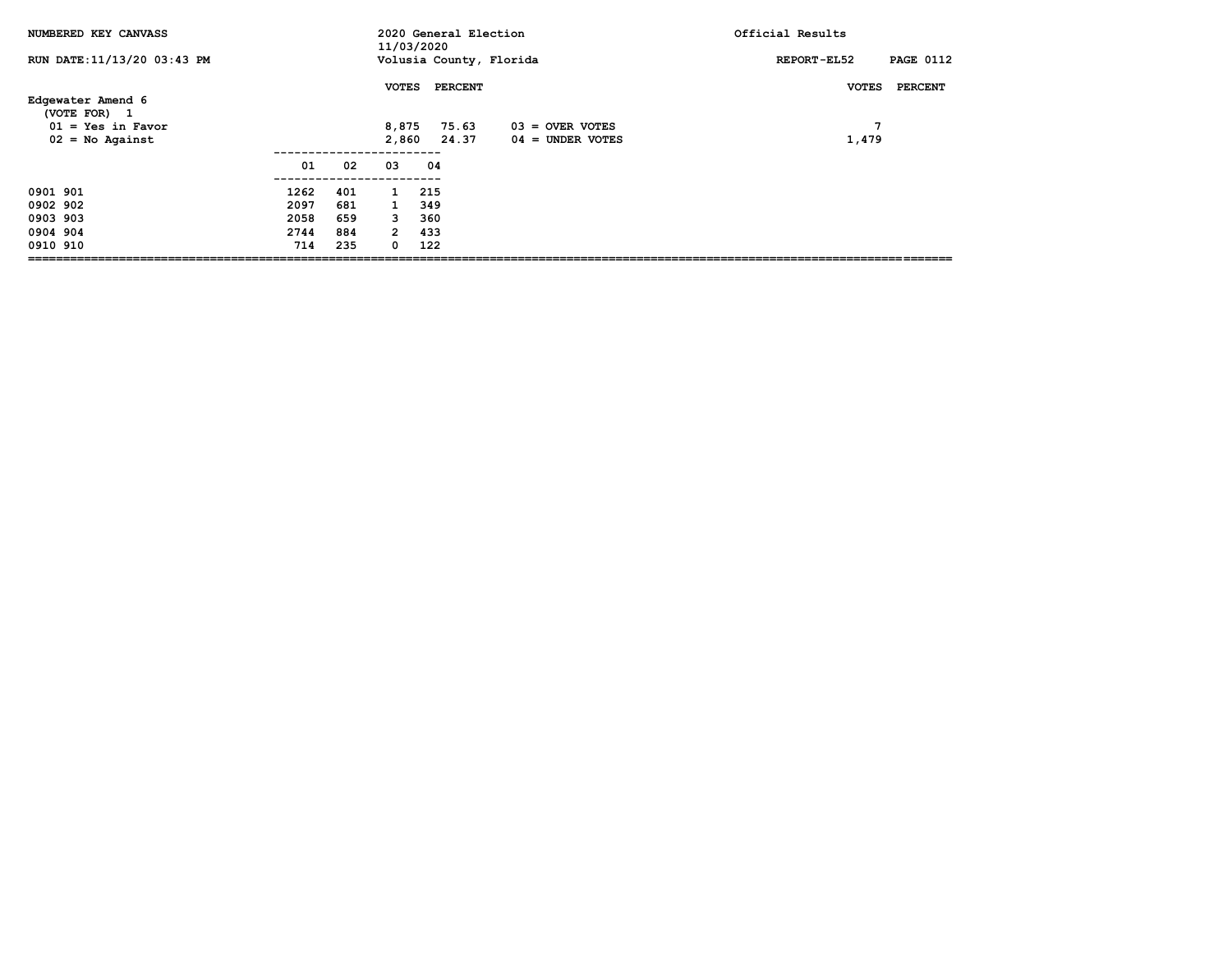| NUMBERED KEY CANVASS                     |      |     | 11/03/2020     | 2020 General Election   |                                         | Official Results                       |
|------------------------------------------|------|-----|----------------|-------------------------|-----------------------------------------|----------------------------------------|
| RUN DATE: 11/13/20 03:43 PM              |      |     |                | Volusia County, Florida |                                         | <b>PAGE 0112</b><br><b>REPORT-EL52</b> |
| Edgewater Amend 6<br>(VOTE FOR) 1        |      |     | <b>VOTES</b>   | <b>PERCENT</b>          |                                         | <b>PERCENT</b><br><b>VOTES</b>         |
| $01 = Yes$ in Favor<br>$02 = No$ Against |      |     | 8,875<br>2,860 | 75.63<br>24.37          | $03 =$ OVER VOTES<br>$04 =$ UNDER VOTES | 7<br>1,479                             |
|                                          | 01   | 02  | 03             | 04                      |                                         |                                        |
| 0901 901                                 | 1262 | 401 | $\mathbf{1}$   | 215                     |                                         |                                        |
| 0902 902                                 | 2097 | 681 | $\mathbf{1}$   | 349                     |                                         |                                        |
| 0903 903                                 | 2058 | 659 | 3              | 360                     |                                         |                                        |
| 0904 904                                 | 2744 | 884 | $\overline{2}$ | 433                     |                                         |                                        |
| 0910 910                                 | 714  | 235 | 0              | 122                     |                                         |                                        |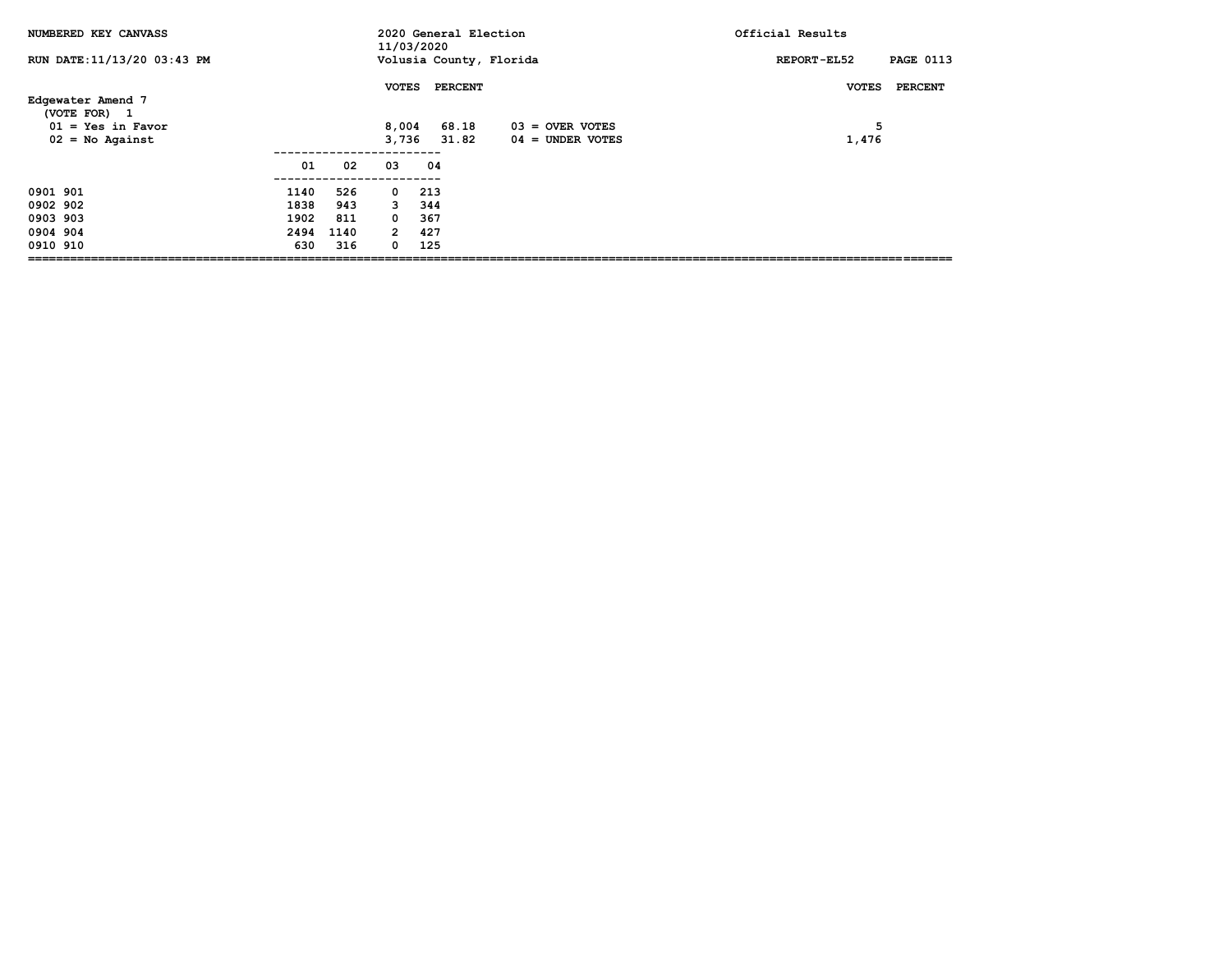| NUMBERED KEY CANVASS                                     |      |      | 11/03/2020     | 2020 General Election   |                                         | Official Results                |
|----------------------------------------------------------|------|------|----------------|-------------------------|-----------------------------------------|---------------------------------|
| RUN DATE: 11/13/20 03:43 PM                              |      |      |                | Volusia County, Florida |                                         | <b>PAGE 0113</b><br>REPORT-EL52 |
| Edgewater Amend 7                                        |      |      | <b>VOTES</b>   | <b>PERCENT</b>          |                                         | PERCENT<br><b>VOTES</b>         |
| (VOTE FOR) 1<br>$01 = Yes$ in Favor<br>$02 = No$ Against |      |      | 8,004<br>3,736 | 68.18<br>31.82          | $03 =$ OVER VOTES<br>$04 =$ UNDER VOTES | 5<br>1,476                      |
|                                                          | 01   | 02   | 03             | 04                      |                                         |                                 |
| 0901 901                                                 | 1140 | 526  | $\mathbf{o}$   | 213                     |                                         |                                 |
| 0902 902                                                 | 1838 | 943  | 3              | 344                     |                                         |                                 |
| 0903 903                                                 | 1902 | 811  | 0              | 367                     |                                         |                                 |
| 0904 904                                                 | 2494 | 1140 | $\overline{2}$ | 427                     |                                         |                                 |
| 0910 910                                                 | 630  | 316  | 0              | 125                     |                                         |                                 |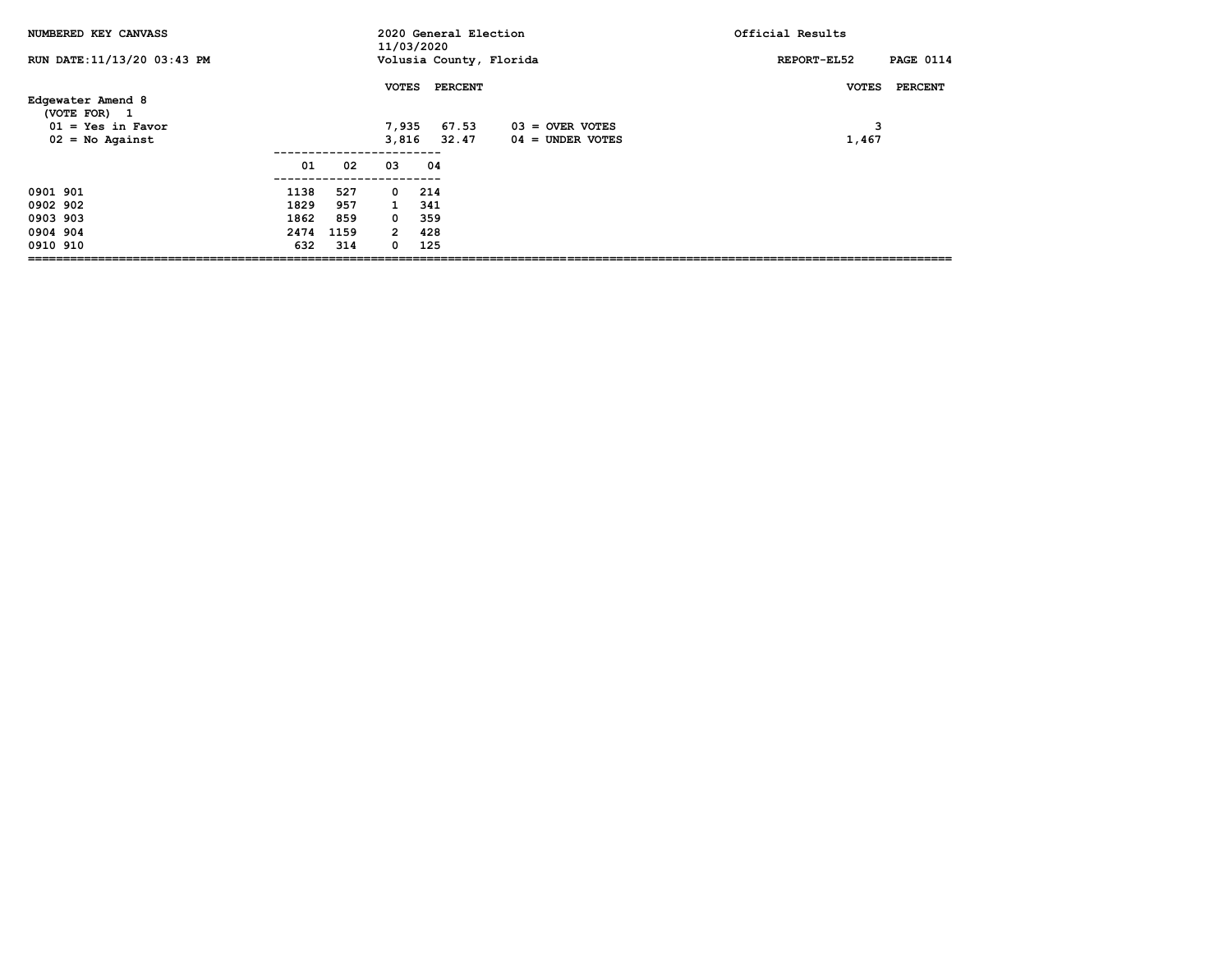| NUMBERED KEY CANVASS                |      |      | 11/03/2020     | 2020 General Election   |                    | Official Results                |
|-------------------------------------|------|------|----------------|-------------------------|--------------------|---------------------------------|
| RUN DATE: 11/13/20 03:43 PM         |      |      |                | Volusia County, Florida |                    | <b>PAGE 0114</b><br>REPORT-EL52 |
| Edgewater Amend 8                   |      |      | <b>VOTES</b>   | PERCENT                 |                    | PERCENT<br><b>VOTES</b>         |
| (VOTE FOR) 1<br>$01 = Yes$ in Favor |      |      | 7,935          | 67.53                   | $03 =$ OVER VOTES  | 3                               |
| $02 = No$ Against                   |      |      | 3,816          | 32.47                   | $04 =$ UNDER VOTES | 1,467                           |
|                                     | 01   | 02   | 03             | 04                      |                    |                                 |
|                                     |      |      |                |                         |                    |                                 |
| 0901 901                            | 1138 | 527  | $\mathbf{o}$   | 214                     |                    |                                 |
| 0902 902                            | 1829 | 957  | $\mathbf{1}$   | 341                     |                    |                                 |
| 0903 903                            | 1862 | 859  | $^{\circ}$     | 359                     |                    |                                 |
| 0904 904                            | 2474 | 1159 | $\overline{2}$ | 428                     |                    |                                 |
| 0910 910                            | 632  | 314  | 0              | 125                     |                    |                                 |